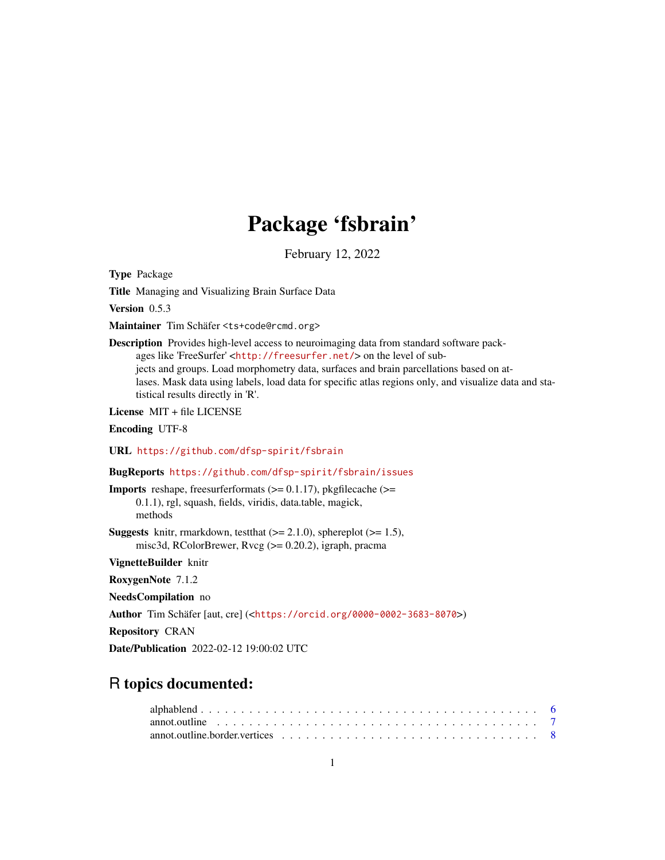# Package 'fsbrain'

February 12, 2022

<span id="page-0-0"></span>Type Package

Title Managing and Visualizing Brain Surface Data

Version 0.5.3

Maintainer Tim Schäfer <ts+code@rcmd.org>

Description Provides high-level access to neuroimaging data from standard software packages like 'FreeSurfer' <<http://freesurfer.net/>> on the level of subjects and groups. Load morphometry data, surfaces and brain parcellations based on atlases. Mask data using labels, load data for specific atlas regions only, and visualize data and statistical results directly in 'R'.

License MIT + file LICENSE

Encoding UTF-8

URL <https://github.com/dfsp-spirit/fsbrain>

BugReports <https://github.com/dfsp-spirit/fsbrain/issues>

**Imports** reshape, freesurferformats  $(>= 0.1.17)$ , pkgfilecache  $(>=$ 0.1.1), rgl, squash, fields, viridis, data.table, magick, methods

**Suggests** knitr, rmarkdown, test that  $(>= 2.1.0)$ , sphereplot  $(>= 1.5)$ , misc3d, RColorBrewer, Rvcg (>= 0.20.2), igraph, pracma

VignetteBuilder knitr

RoxygenNote 7.1.2

NeedsCompilation no

Author Tim Schäfer [aut, cre] (<<https://orcid.org/0000-0002-3683-8070>>)

Repository CRAN

Date/Publication 2022-02-12 19:00:02 UTC

# R topics documented:

| annot outline $\ldots \ldots \ldots \ldots \ldots \ldots \ldots \ldots \ldots \ldots \ldots \ldots \ldots$ |  |  |  |  |  |  |  |  |  |  |  |  |  |  |  |  |
|------------------------------------------------------------------------------------------------------------|--|--|--|--|--|--|--|--|--|--|--|--|--|--|--|--|
|                                                                                                            |  |  |  |  |  |  |  |  |  |  |  |  |  |  |  |  |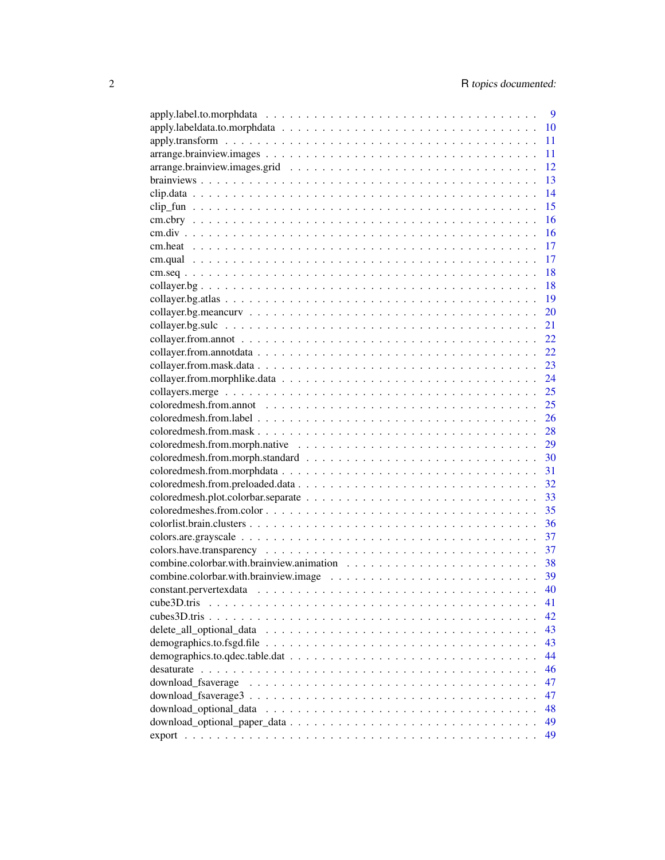|                                                                                                                 | 9  |
|-----------------------------------------------------------------------------------------------------------------|----|
|                                                                                                                 | 10 |
|                                                                                                                 | 11 |
|                                                                                                                 | 11 |
|                                                                                                                 | 12 |
|                                                                                                                 | 13 |
|                                                                                                                 | 14 |
|                                                                                                                 | 15 |
|                                                                                                                 | 16 |
|                                                                                                                 | 16 |
|                                                                                                                 | 17 |
|                                                                                                                 | 17 |
|                                                                                                                 | 18 |
|                                                                                                                 |    |
|                                                                                                                 | 18 |
|                                                                                                                 | 19 |
|                                                                                                                 | 20 |
|                                                                                                                 | 21 |
|                                                                                                                 | 22 |
|                                                                                                                 | 22 |
|                                                                                                                 | 23 |
|                                                                                                                 | 24 |
|                                                                                                                 | 25 |
|                                                                                                                 | 25 |
|                                                                                                                 | 26 |
|                                                                                                                 | 28 |
|                                                                                                                 | 29 |
|                                                                                                                 | 30 |
|                                                                                                                 | 31 |
|                                                                                                                 | 32 |
|                                                                                                                 | 33 |
|                                                                                                                 | 35 |
|                                                                                                                 | 36 |
|                                                                                                                 |    |
|                                                                                                                 | 37 |
|                                                                                                                 | 37 |
|                                                                                                                 | 38 |
|                                                                                                                 | 39 |
|                                                                                                                 | 40 |
| cube3D.tris                                                                                                     | 41 |
| cubes3D.tris.                                                                                                   | 42 |
|                                                                                                                 | 43 |
| demographics.to.fsgd.file $\ldots \ldots \ldots \ldots \ldots \ldots \ldots \ldots \ldots \ldots \ldots \ldots$ | 43 |
|                                                                                                                 | 44 |
|                                                                                                                 | 46 |
| download fsaverage                                                                                              | 47 |
|                                                                                                                 | 47 |
|                                                                                                                 | 48 |
|                                                                                                                 | 49 |
|                                                                                                                 | 49 |
|                                                                                                                 |    |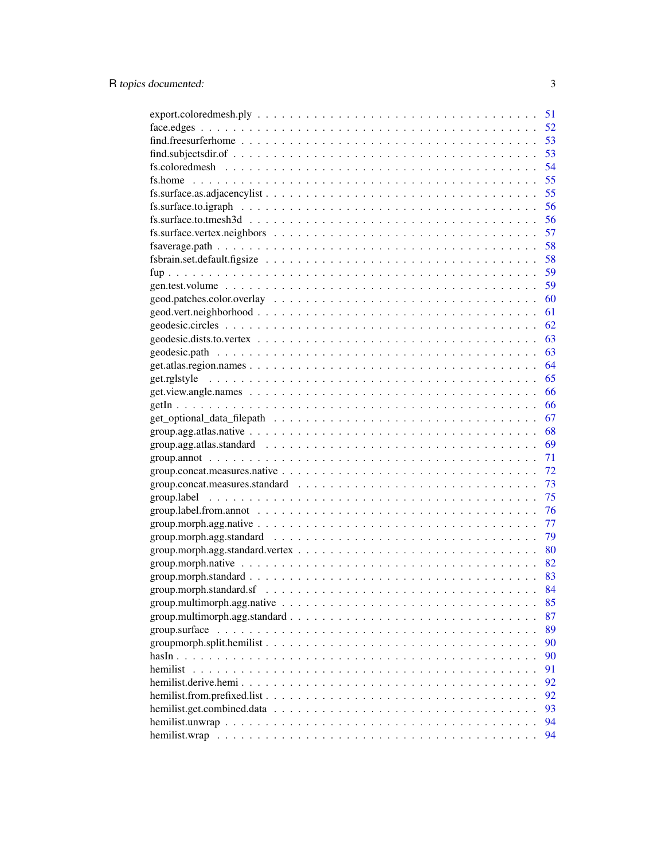|                                                                                                                         | 51 |
|-------------------------------------------------------------------------------------------------------------------------|----|
|                                                                                                                         | 52 |
|                                                                                                                         | 53 |
|                                                                                                                         | 53 |
|                                                                                                                         | 54 |
|                                                                                                                         | 55 |
|                                                                                                                         | 55 |
|                                                                                                                         | 56 |
| $fs.surface.to.tmesh3d \dots \dots \dots \dots \dots \dots \dots \dots \dots \dots \dots \dots \dots \dots \dots \dots$ | 56 |
|                                                                                                                         | 57 |
|                                                                                                                         | 58 |
|                                                                                                                         | 58 |
|                                                                                                                         | 59 |
|                                                                                                                         | 59 |
|                                                                                                                         | 60 |
|                                                                                                                         | 61 |
|                                                                                                                         | 62 |
|                                                                                                                         | 63 |
|                                                                                                                         | 63 |
|                                                                                                                         | 64 |
|                                                                                                                         | 65 |
|                                                                                                                         | 66 |
|                                                                                                                         | 66 |
| $get\_optional\_data_{\text{filepath}} \dots \dots \dots \dots \dots \dots \dots \dots \dots \dots \dots$               | 67 |
|                                                                                                                         | 68 |
|                                                                                                                         | 69 |
|                                                                                                                         | 71 |
| $group. concat. measures. native \dots \dots \dots \dots \dots \dots \dots \dots \dots \dots \dots \dots \dots \dots$   | 72 |
|                                                                                                                         | 73 |
|                                                                                                                         | 75 |
|                                                                                                                         | 76 |
|                                                                                                                         | 77 |
|                                                                                                                         | 79 |
|                                                                                                                         | 80 |
|                                                                                                                         | 82 |
|                                                                                                                         |    |
| $group.morph. standard.sf \dots \dots \dots \dots \dots \dots \dots \dots \dots \dots \dots \dots \dots \dots$          | 84 |
|                                                                                                                         | 85 |
|                                                                                                                         | 87 |
|                                                                                                                         | 89 |
| $groupmorph.split.hemilist$                                                                                             | 90 |
|                                                                                                                         | 90 |
| hemilist                                                                                                                | 91 |
|                                                                                                                         | 92 |
|                                                                                                                         | 92 |
|                                                                                                                         | 93 |
|                                                                                                                         | 94 |
|                                                                                                                         | 94 |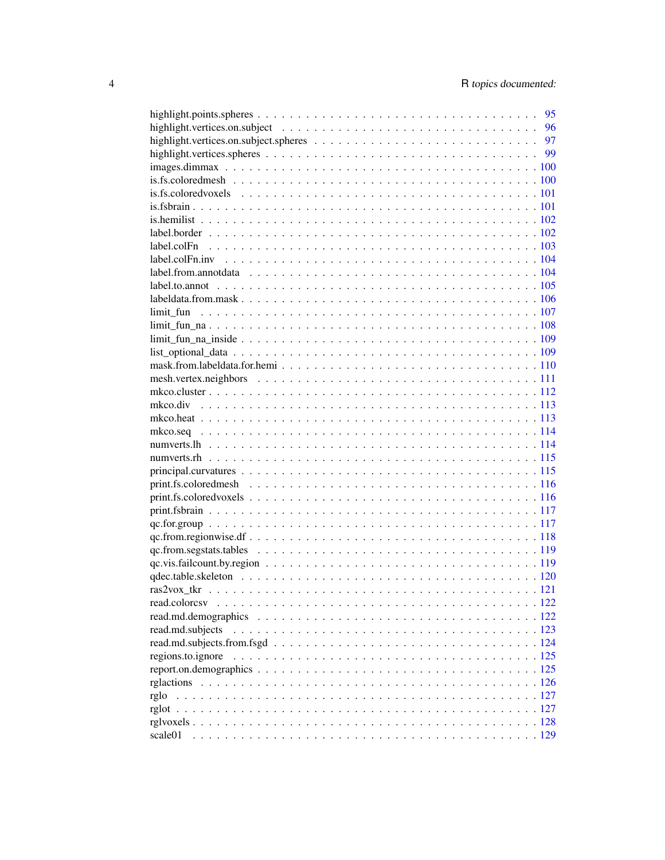|                                                                                                                              | 95 |
|------------------------------------------------------------------------------------------------------------------------------|----|
|                                                                                                                              |    |
|                                                                                                                              |    |
|                                                                                                                              |    |
|                                                                                                                              |    |
|                                                                                                                              |    |
|                                                                                                                              |    |
|                                                                                                                              |    |
|                                                                                                                              |    |
|                                                                                                                              |    |
|                                                                                                                              |    |
|                                                                                                                              |    |
|                                                                                                                              |    |
|                                                                                                                              |    |
|                                                                                                                              |    |
|                                                                                                                              |    |
|                                                                                                                              |    |
|                                                                                                                              |    |
|                                                                                                                              |    |
|                                                                                                                              |    |
|                                                                                                                              |    |
|                                                                                                                              |    |
|                                                                                                                              |    |
|                                                                                                                              |    |
|                                                                                                                              |    |
|                                                                                                                              |    |
|                                                                                                                              |    |
|                                                                                                                              |    |
|                                                                                                                              |    |
|                                                                                                                              |    |
|                                                                                                                              |    |
|                                                                                                                              |    |
|                                                                                                                              |    |
| $qc$ . from segstats tables $\ldots \ldots \ldots \ldots \ldots \ldots \ldots \ldots \ldots \ldots \ldots \ldots \ldots 119$ |    |
|                                                                                                                              |    |
|                                                                                                                              |    |
|                                                                                                                              |    |
| read.colorcsy                                                                                                                |    |
|                                                                                                                              |    |
| read.md.subjects                                                                                                             |    |
|                                                                                                                              |    |
|                                                                                                                              |    |
|                                                                                                                              |    |
|                                                                                                                              |    |
| rglo                                                                                                                         |    |
|                                                                                                                              |    |
|                                                                                                                              |    |
| scale01                                                                                                                      |    |
|                                                                                                                              |    |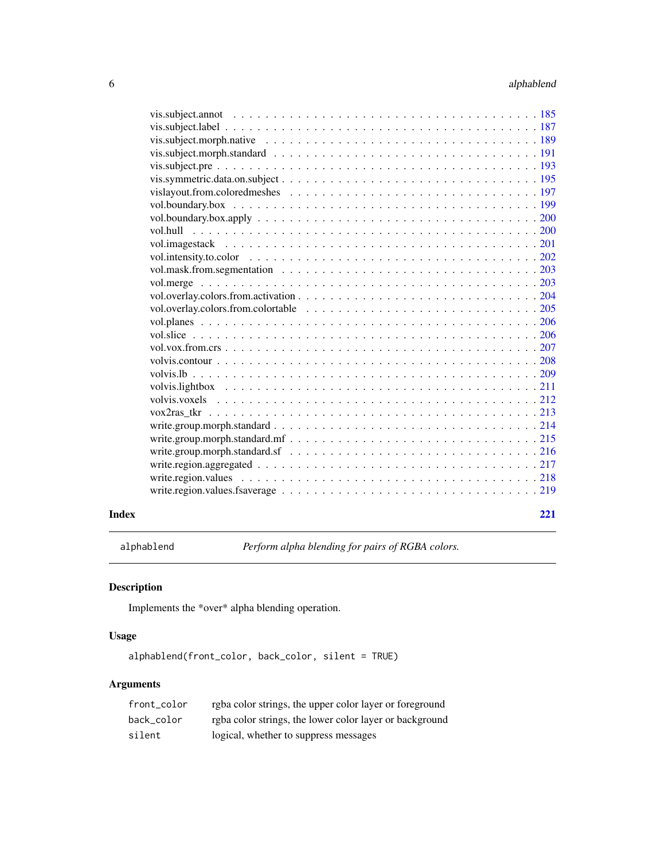<span id="page-5-0"></span>

| 221 |  |
|-----|--|
|     |  |
|     |  |
|     |  |
|     |  |
|     |  |
|     |  |
|     |  |
|     |  |
|     |  |
|     |  |
|     |  |
|     |  |
|     |  |
|     |  |
|     |  |
|     |  |
|     |  |
|     |  |
|     |  |
|     |  |
|     |  |
|     |  |
|     |  |
|     |  |
|     |  |
|     |  |
|     |  |
|     |  |
|     |  |
|     |  |
|     |  |

alphablend *Perform alpha blending for pairs of RGBA colors.*

# Description

Implements the \*over\* alpha blending operation.

# Usage

alphablend(front\_color, back\_color, silent = TRUE)

| front color | rgba color strings, the upper color layer or foreground |
|-------------|---------------------------------------------------------|
| back color  | rgba color strings, the lower color layer or background |
| silent      | logical, whether to suppress messages                   |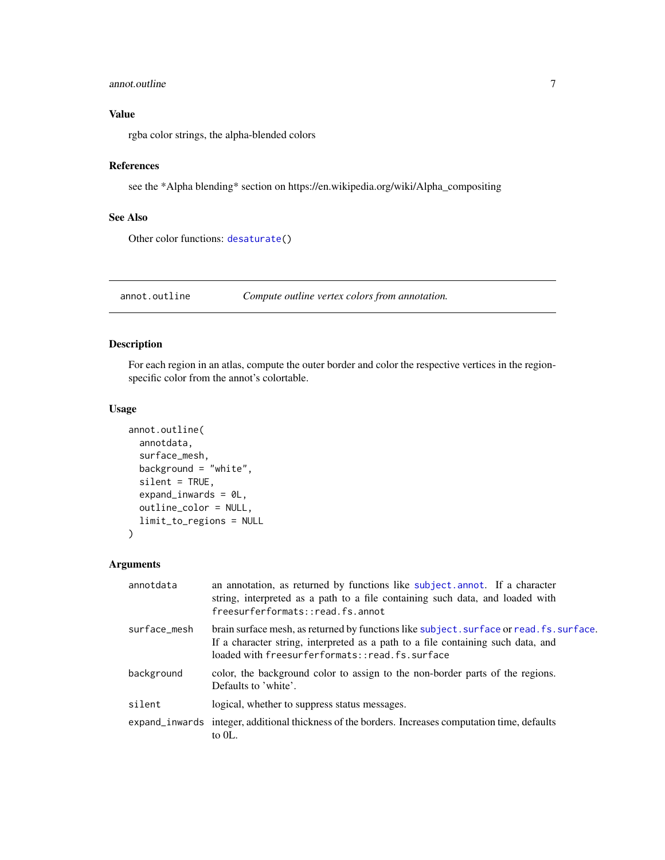#### <span id="page-6-0"></span>annot.outline 7

# Value

rgba color strings, the alpha-blended colors

#### References

see the \*Alpha blending\* section on https://en.wikipedia.org/wiki/Alpha\_compositing

# See Also

Other color functions: [desaturate\(](#page-45-1))

<span id="page-6-1"></span>annot.outline *Compute outline vertex colors from annotation.*

# Description

For each region in an atlas, compute the outer border and color the respective vertices in the regionspecific color from the annot's colortable.

#### Usage

```
annot.outline(
  annotdata,
  surface_mesh,
 background = "white",
  silent = TRUE,
  expand_inwards = 0L,
  outline_color = NULL,
  limit_to_regions = NULL
)
```

| annotdata    | an annotation, as returned by functions like subject. annot. If a character<br>string, interpreted as a path to a file containing such data, and loaded with<br>freesurferformats::read.fs.annot                               |
|--------------|--------------------------------------------------------------------------------------------------------------------------------------------------------------------------------------------------------------------------------|
| surface mesh | brain surface mesh, as returned by functions like subject. surface or read. fs. surface.<br>If a character string, interpreted as a path to a file containing such data, and<br>loaded with freesurferformats::read.fs.surface |
| background   | color, the background color to assign to the non-border parts of the regions.<br>Defaults to 'white'.                                                                                                                          |
| silent       | logical, whether to suppress status messages.                                                                                                                                                                                  |
|              | expand_inwards integer, additional thickness of the borders. Increases computation time, defaults<br>to $0L$ .                                                                                                                 |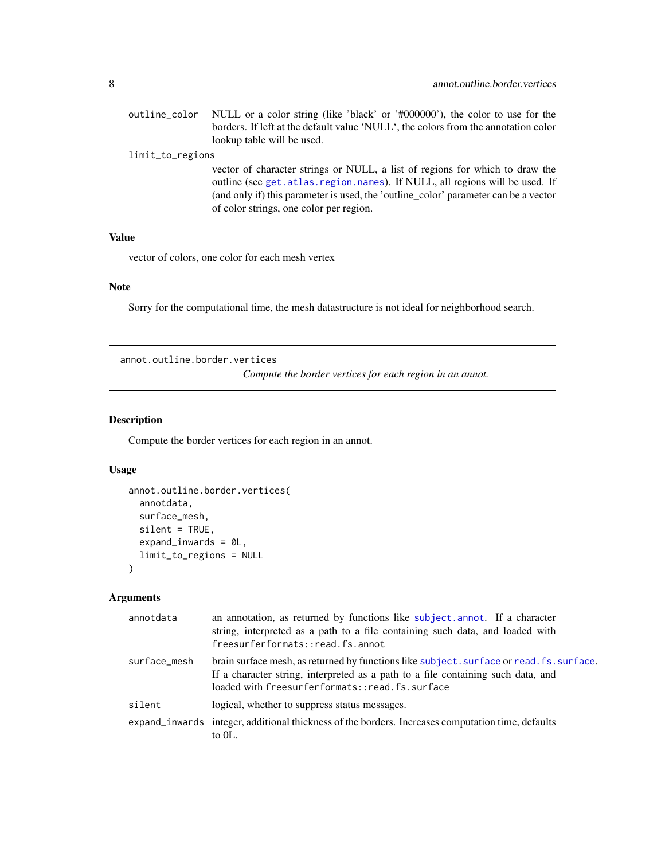<span id="page-7-0"></span>outline\_color NULL or a color string (like 'black' or '#000000'), the color to use for the borders. If left at the default value 'NULL', the colors from the annotation color lookup table will be used.

# limit\_to\_regions

vector of character strings or NULL, a list of regions for which to draw the outline (see [get.atlas.region.names](#page-63-1)). If NULL, all regions will be used. If (and only if) this parameter is used, the 'outline\_color' parameter can be a vector of color strings, one color per region.

#### Value

vector of colors, one color for each mesh vertex

# Note

Sorry for the computational time, the mesh datastructure is not ideal for neighborhood search.

annot.outline.border.vertices

*Compute the border vertices for each region in an annot.*

#### Description

Compute the border vertices for each region in an annot.

#### Usage

```
annot.outline.border.vertices(
  annotdata,
  surface_mesh,
  silent = TRUE,
  expand_inwards = 0L,
  limit_to_regions = NULL
)
```

| an annotation, as returned by functions like subject.annot. If a character<br>string, interpreted as a path to a file containing such data, and loaded with<br>freesurferformats::read.fs.annot                                |
|--------------------------------------------------------------------------------------------------------------------------------------------------------------------------------------------------------------------------------|
| brain surface mesh, as returned by functions like subject. surface or read. fs. surface.<br>If a character string, interpreted as a path to a file containing such data, and<br>loaded with freesurferformats::read.fs.surface |
| logical, whether to suppress status messages.                                                                                                                                                                                  |
| expand_inwards integer, additional thickness of the borders. Increases computation time, defaults<br>to $0L$ .                                                                                                                 |
|                                                                                                                                                                                                                                |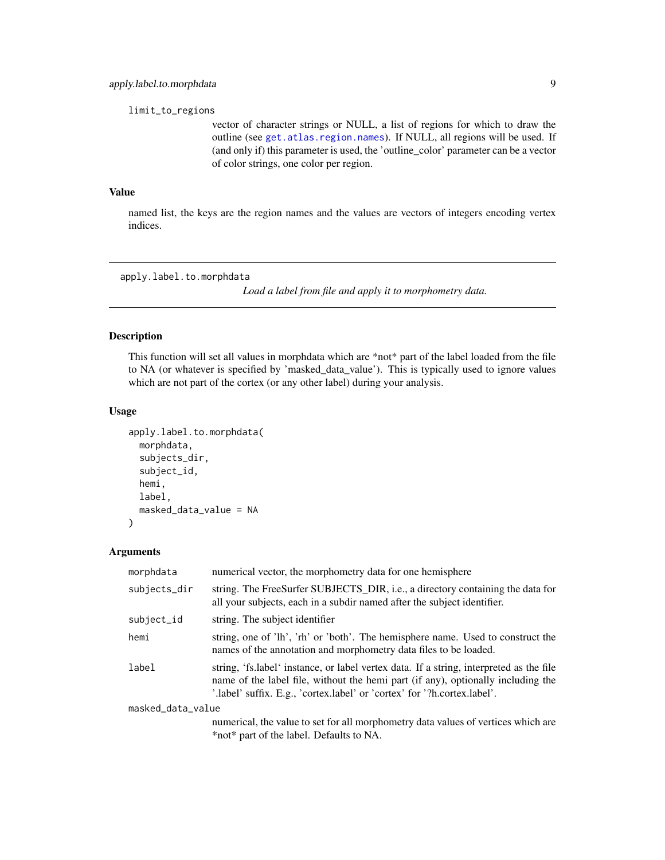<span id="page-8-0"></span>limit\_to\_regions

vector of character strings or NULL, a list of regions for which to draw the outline (see [get.atlas.region.names](#page-63-1)). If NULL, all regions will be used. If (and only if) this parameter is used, the 'outline\_color' parameter can be a vector of color strings, one color per region.

# Value

named list, the keys are the region names and the values are vectors of integers encoding vertex indices.

<span id="page-8-1"></span>apply.label.to.morphdata

*Load a label from file and apply it to morphometry data.*

# Description

This function will set all values in morphdata which are \*not\* part of the label loaded from the file to NA (or whatever is specified by 'masked\_data\_value'). This is typically used to ignore values which are not part of the cortex (or any other label) during your analysis.

# Usage

```
apply.label.to.morphdata(
 morphdata,
  subjects_dir,
  subject_id,
 hemi,
 label,
 masked_data_value = NA
)
```

| morphdata         | numerical vector, the morphometry data for one hemisphere                                                                                                                                                                                               |
|-------------------|---------------------------------------------------------------------------------------------------------------------------------------------------------------------------------------------------------------------------------------------------------|
| subjects_dir      | string. The FreeSurfer SUBJECTS_DIR, i.e., a directory containing the data for<br>all your subjects, each in a subdir named after the subject identifier.                                                                                               |
| subject_id        | string. The subject identifier                                                                                                                                                                                                                          |
| hemi              | string, one of 'lh', 'rh' or 'both'. The hemisphere name. Used to construct the<br>names of the annotation and morphometry data files to be loaded.                                                                                                     |
| label             | string, 'fs.label' instance, or label vertex data. If a string, interpreted as the file<br>name of the label file, without the hemi part (if any), optionally including the<br>'.label' suffix. E.g., 'cortex.label' or 'cortex' for '?h.cortex.label'. |
| masked_data_value |                                                                                                                                                                                                                                                         |
|                   | numerical, the value to set for all morphometry data values of vertices which are<br>*not* part of the label. Defaults to NA.                                                                                                                           |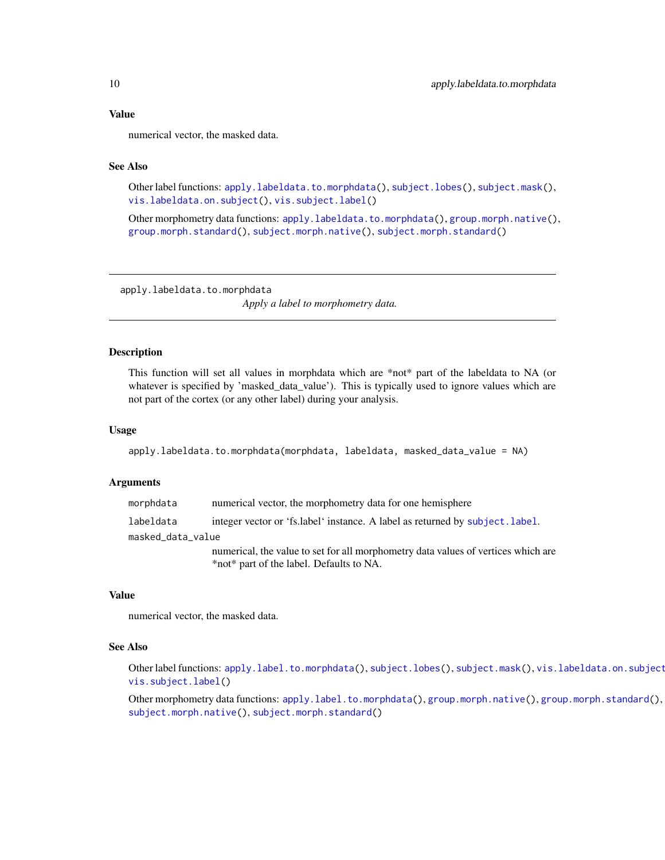#### <span id="page-9-0"></span>Value

numerical vector, the masked data.

#### See Also

Other label functions: [apply.labeldata.to.morphdata\(](#page-9-1)), [subject.lobes\(](#page-142-1)), [subject.mask\(](#page-143-1)), [vis.labeldata.on.subject\(](#page-174-1)), [vis.subject.label\(](#page-186-1))

Other morphometry data functions: [apply.labeldata.to.morphdata\(](#page-9-1)), [group.morph.native\(](#page-81-1)), [group.morph.standard\(](#page-82-1)), [subject.morph.native\(](#page-145-1)), [subject.morph.standard\(](#page-146-1))

<span id="page-9-1"></span>apply.labeldata.to.morphdata

*Apply a label to morphometry data.*

#### Description

This function will set all values in morphdata which are \*not\* part of the labeldata to NA (or whatever is specified by 'masked\_data\_value'). This is typically used to ignore values which are not part of the cortex (or any other label) during your analysis.

#### Usage

apply.labeldata.to.morphdata(morphdata, labeldata, masked\_data\_value = NA)

#### Arguments

morphdata numerical vector, the morphometry data for one hemisphere labeldata integer vector or 'fs.label' instance. A label as returned by [subject.label](#page-140-1). masked\_data\_value numerical, the value to set for all morphometry data values of vertices which are

\*not\* part of the label. Defaults to NA.

#### Value

numerical vector, the masked data.

#### See Also

Other label functions: [apply.label.to.morphdata\(](#page-8-1)), [subject.lobes\(](#page-142-1)), [subject.mask\(](#page-143-1)), vis.labeldata.on.subject [vis.subject.label\(](#page-186-1))

Other morphometry data functions: [apply.label.to.morphdata\(](#page-8-1)), [group.morph.native\(](#page-81-1)), [group.morph.standard\(](#page-82-1)), [subject.morph.native\(](#page-145-1)), [subject.morph.standard\(](#page-146-1))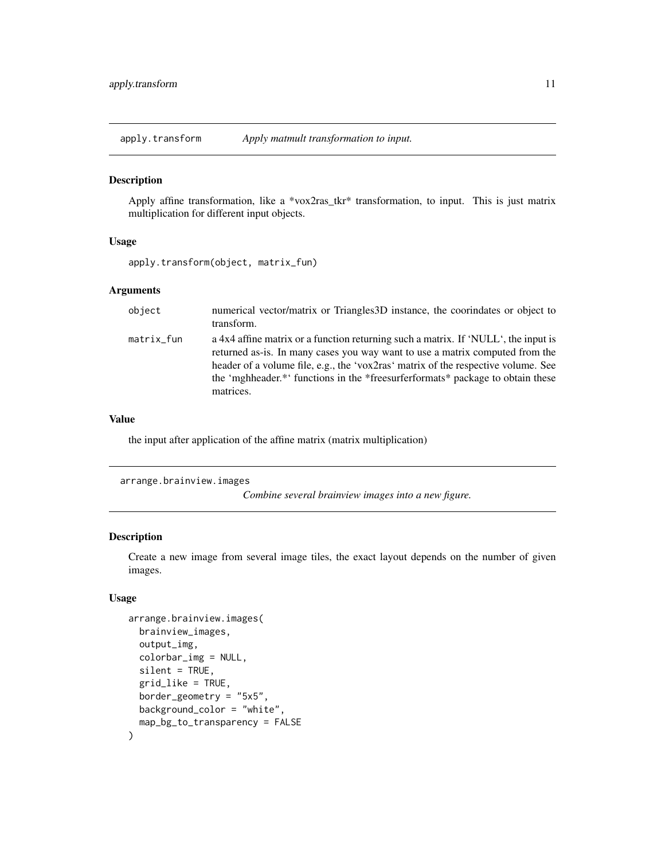<span id="page-10-0"></span>apply.transform *Apply matmult transformation to input.*

#### Description

Apply affine transformation, like a \*vox2ras\_tkr\* transformation, to input. This is just matrix multiplication for different input objects.

# Usage

```
apply.transform(object, matrix_fun)
```
# Arguments

| object     | numerical vector/matrix or Triangles 3D instance, the coorindates or object to<br>transform.                                                                                                                                                                                                                                                           |
|------------|--------------------------------------------------------------------------------------------------------------------------------------------------------------------------------------------------------------------------------------------------------------------------------------------------------------------------------------------------------|
| matrix_fun | a 4x4 affine matrix or a function returning such a matrix. If 'NULL', the input is<br>returned as-is. In many cases you way want to use a matrix computed from the<br>header of a volume file, e.g., the 'vox2ras' matrix of the respective volume. See<br>the 'mghheader.*' functions in the *freesurferformats* package to obtain these<br>matrices. |

#### Value

the input after application of the affine matrix (matrix multiplication)

```
arrange.brainview.images
```
*Combine several brainview images into a new figure.*

# Description

Create a new image from several image tiles, the exact layout depends on the number of given images.

```
arrange.brainview.images(
 brainview_images,
  output_img,
  colorbar_img = NULL,
  silent = TRUE,
  grid_like = TRUE,
 border_geometry = "5x5",
 background_color = "white",
 map_bg_to_transparency = FALSE
\mathcal{E}
```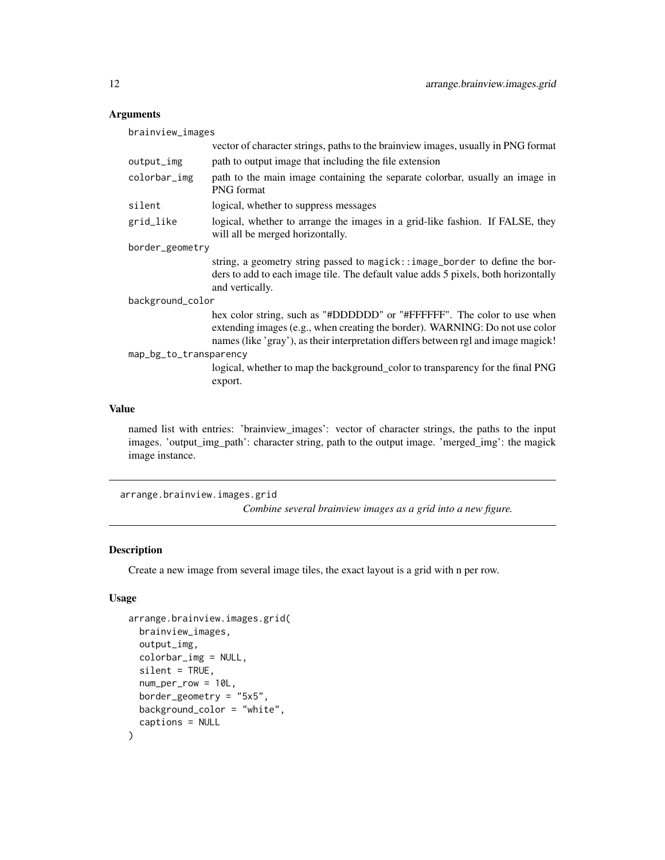# Arguments

brainview\_images

|                        | vector of character strings, paths to the brain view images, usually in PNG format                                                                                                                                                            |
|------------------------|-----------------------------------------------------------------------------------------------------------------------------------------------------------------------------------------------------------------------------------------------|
| output_img             | path to output image that including the file extension                                                                                                                                                                                        |
| colorbar_img           | path to the main image containing the separate colorbar, usually an image in<br><b>PNG</b> format                                                                                                                                             |
| silent                 | logical, whether to suppress messages                                                                                                                                                                                                         |
| grid_like              | logical, whether to arrange the images in a grid-like fashion. If FALSE, they<br>will all be merged horizontally.                                                                                                                             |
| border_geometry        |                                                                                                                                                                                                                                               |
|                        | string, a geometry string passed to magick::image_border to define the bor-<br>ders to add to each image tile. The default value adds 5 pixels, both horizontally<br>and vertically.                                                          |
| background_color       |                                                                                                                                                                                                                                               |
|                        | hex color string, such as "#DDDDDD" or "#FFFFFF". The color to use when<br>extending images (e.g., when creating the border). WARNING: Do not use color<br>names (like 'gray'), as their interpretation differs between rgl and image magick! |
| map_bg_to_transparency |                                                                                                                                                                                                                                               |
|                        | logical, whether to map the background_color to transparency for the final PNG<br>export.                                                                                                                                                     |
|                        |                                                                                                                                                                                                                                               |

# Value

named list with entries: 'brainview\_images': vector of character strings, the paths to the input images. 'output\_img\_path': character string, path to the output image. 'merged\_img': the magick image instance.

```
arrange.brainview.images.grid
```
*Combine several brainview images as a grid into a new figure.*

# Description

Create a new image from several image tiles, the exact layout is a grid with n per row.

```
arrange.brainview.images.grid(
 brainview_images,
 output_img,
 colorbar_img = NULL,
  silent = TRUE,
 num_per_row = 10L,
 border_geometry = "5x5",
 background_color = "white",
  captions = NULL
\mathcal{E}
```
<span id="page-11-0"></span>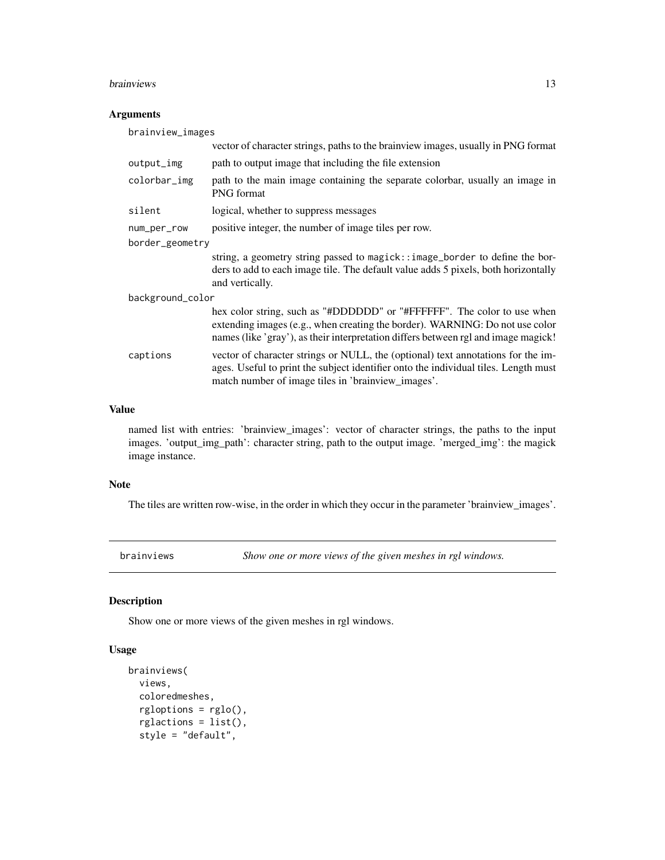#### <span id="page-12-0"></span>brainviews 13

# Arguments

| brainview_images |                                                                                                                                                                                                                                               |  |
|------------------|-----------------------------------------------------------------------------------------------------------------------------------------------------------------------------------------------------------------------------------------------|--|
|                  | vector of character strings, paths to the brainview images, usually in PNG format                                                                                                                                                             |  |
| output_img       | path to output image that including the file extension                                                                                                                                                                                        |  |
| colorbar_img     | path to the main image containing the separate colorbar, usually an image in<br><b>PNG</b> format                                                                                                                                             |  |
| silent           | logical, whether to suppress messages                                                                                                                                                                                                         |  |
| num_per_row      | positive integer, the number of image tiles per row.                                                                                                                                                                                          |  |
| border_geometry  |                                                                                                                                                                                                                                               |  |
|                  | string, a geometry string passed to magick: : image_border to define the bor-<br>ders to add to each image tile. The default value adds 5 pixels, both horizontally<br>and vertically.                                                        |  |
| background_color |                                                                                                                                                                                                                                               |  |
|                  | hex color string, such as "#DDDDDD" or "#FFFFFF". The color to use when<br>extending images (e.g., when creating the border). WARNING: Do not use color<br>names (like 'gray'), as their interpretation differs between rgl and image magick! |  |
| captions         | vector of character strings or NULL, the (optional) text annotations for the im-<br>ages. Useful to print the subject identifier onto the individual tiles. Length must<br>match number of image tiles in 'brainview_images'.                 |  |

# Value

named list with entries: 'brainview\_images': vector of character strings, the paths to the input images. 'output\_img\_path': character string, path to the output image. 'merged\_img': the magick image instance.

# Note

The tiles are written row-wise, in the order in which they occur in the parameter 'brainview\_images'.

brainviews *Show one or more views of the given meshes in rgl windows.*

# Description

Show one or more views of the given meshes in rgl windows.

```
brainviews(
  views,
  coloredmeshes,
  rgloptions = rglo(),
  rglactions = list(),
  style = "default",
```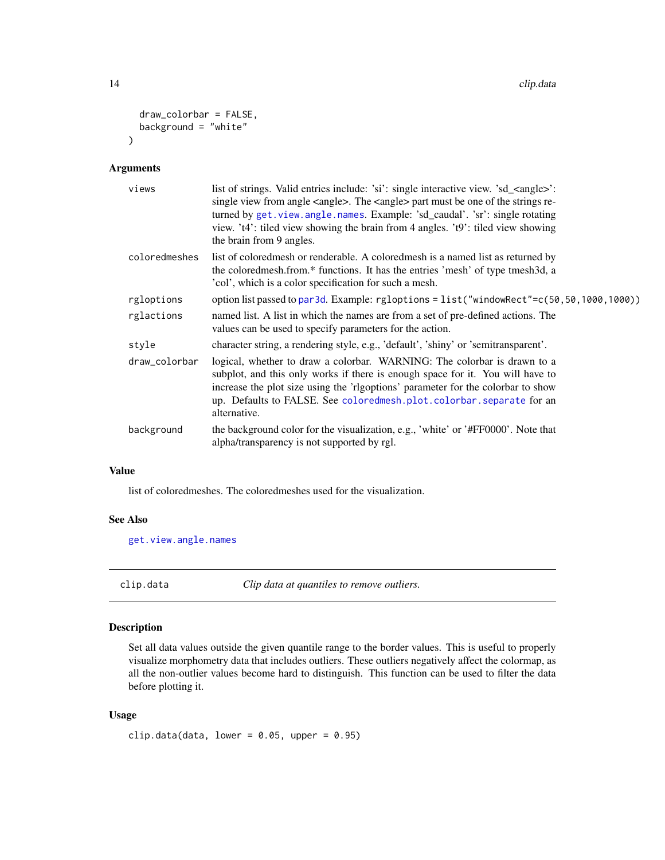```
draw_colorbar = FALSE,
 background = "white"\lambda
```
# Arguments

| views         | list of strings. Valid entries include: 'si': single interactive view. 'sd_ <angle>':<br/>single view from angle <angle>. The <angle> part must be one of the strings re-<br/>turned by get. view. angle. names. Example: 'sd_caudal'. 'sr': single rotating<br/>view. 't4': tiled view showing the brain from 4 angles. 't9': tiled view showing<br/>the brain from 9 angles.</angle></angle></angle> |
|---------------|--------------------------------------------------------------------------------------------------------------------------------------------------------------------------------------------------------------------------------------------------------------------------------------------------------------------------------------------------------------------------------------------------------|
| coloredmeshes | list of colored mesh or renderable. A colored mesh is a named list as returned by<br>the colored mesh. from.* functions. It has the entries 'mesh' of type tmesh 3d, a<br>'col', which is a color specification for such a mesh.                                                                                                                                                                       |
| rgloptions    | option list passed to par3d. Example: rgloptions = list("windowRect"=c(50,50,1000,1000))                                                                                                                                                                                                                                                                                                               |
| rglactions    | named list. A list in which the names are from a set of pre-defined actions. The<br>values can be used to specify parameters for the action.                                                                                                                                                                                                                                                           |
| style         | character string, a rendering style, e.g., 'default', 'shiny' or 'semitransparent'.                                                                                                                                                                                                                                                                                                                    |
| draw_colorbar | logical, whether to draw a colorbar. WARNING: The colorbar is drawn to a<br>subplot, and this only works if there is enough space for it. You will have to<br>increase the plot size using the 'rigoptions' parameter for the colorbar to show<br>up. Defaults to FALSE. See coloredmesh.plot.colorbar.separate for an<br>alternative.                                                                 |
| background    | the background color for the visualization, e.g., 'white' or '#FF0000'. Note that<br>alpha/transparency is not supported by rgl.                                                                                                                                                                                                                                                                       |

# Value

list of coloredmeshes. The coloredmeshes used for the visualization.

#### See Also

[get.view.angle.names](#page-65-1)

<span id="page-13-1"></span>clip.data *Clip data at quantiles to remove outliers.*

# Description

Set all data values outside the given quantile range to the border values. This is useful to properly visualize morphometry data that includes outliers. These outliers negatively affect the colormap, as all the non-outlier values become hard to distinguish. This function can be used to filter the data before plotting it.

```
clip.data(data, lower = 0.05, upper = 0.95)
```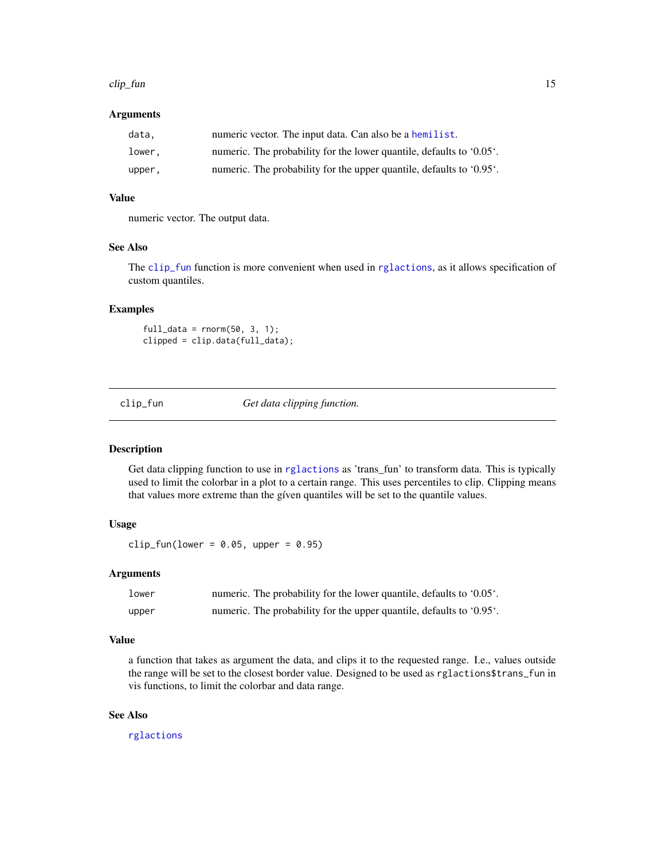#### <span id="page-14-0"></span>clip\_fun 15

#### **Arguments**

| data.  | numeric vector. The input data. Can also be a hemilist.              |
|--------|----------------------------------------------------------------------|
| lower, | numeric. The probability for the lower quantile, defaults to '0.05'. |
| upper, | numeric. The probability for the upper quantile, defaults to '0.95'. |

#### Value

numeric vector. The output data.

# See Also

The [clip\\_fun](#page-14-1) function is more convenient when used in [rglactions](#page-125-1), as it allows specification of custom quantiles.

#### Examples

 $full_data = rnorm(50, 3, 1);$ clipped = clip.data(full\_data);

<span id="page-14-1"></span>clip\_fun *Get data clipping function.*

#### Description

Get data clipping function to use in [rglactions](#page-125-1) as 'trans\_fun' to transform data. This is typically used to limit the colorbar in a plot to a certain range. This uses percentiles to clip. Clipping means that values more extreme than the gíven quantiles will be set to the quantile values.

#### Usage

clip\_fun(lower =  $0.05$ , upper =  $0.95$ )

# Arguments

| lower | numeric. The probability for the lower quantile, defaults to '0.05'. |  |
|-------|----------------------------------------------------------------------|--|
| upper | numeric. The probability for the upper quantile, defaults to '0.95'. |  |

# Value

a function that takes as argument the data, and clips it to the requested range. I.e., values outside the range will be set to the closest border value. Designed to be used as rglactions\$trans\_fun in vis functions, to limit the colorbar and data range.

#### See Also

[rglactions](#page-125-1)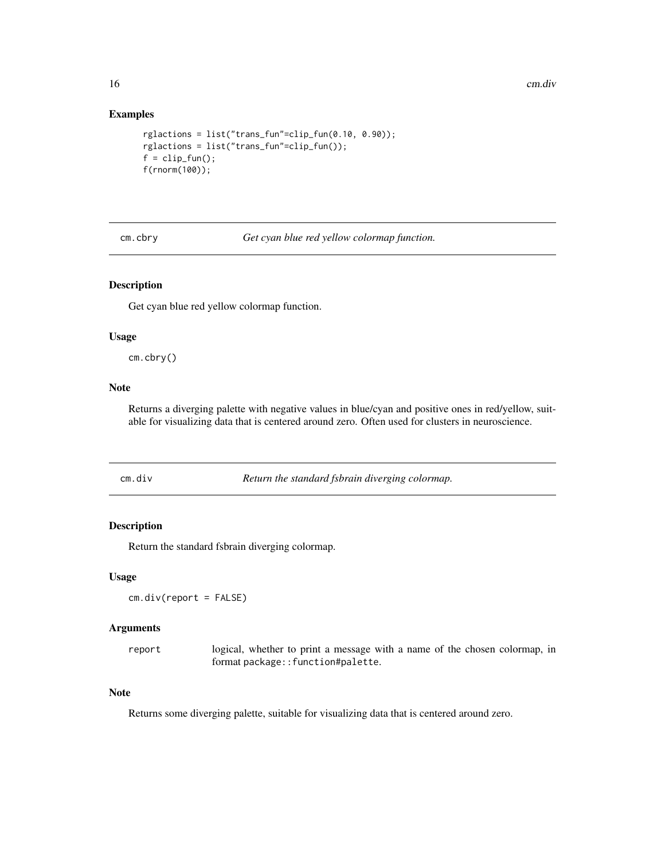<span id="page-15-0"></span>16 cm.div

# Examples

```
rglactions = list("trans_fun"=clip_fun(0.10, 0.90));
rglactions = list("trans_fun"=clip_fun());
f = clip_fun();f(rnorm(100));
```
cm.cbry *Get cyan blue red yellow colormap function.*

# Description

Get cyan blue red yellow colormap function.

#### Usage

cm.cbry()

# Note

Returns a diverging palette with negative values in blue/cyan and positive ones in red/yellow, suitable for visualizing data that is centered around zero. Often used for clusters in neuroscience.

cm.div *Return the standard fsbrain diverging colormap.*

# Description

Return the standard fsbrain diverging colormap.

#### Usage

cm.div(report = FALSE)

# Arguments

report logical, whether to print a message with a name of the chosen colormap, in format package::function#palette.

# Note

Returns some diverging palette, suitable for visualizing data that is centered around zero.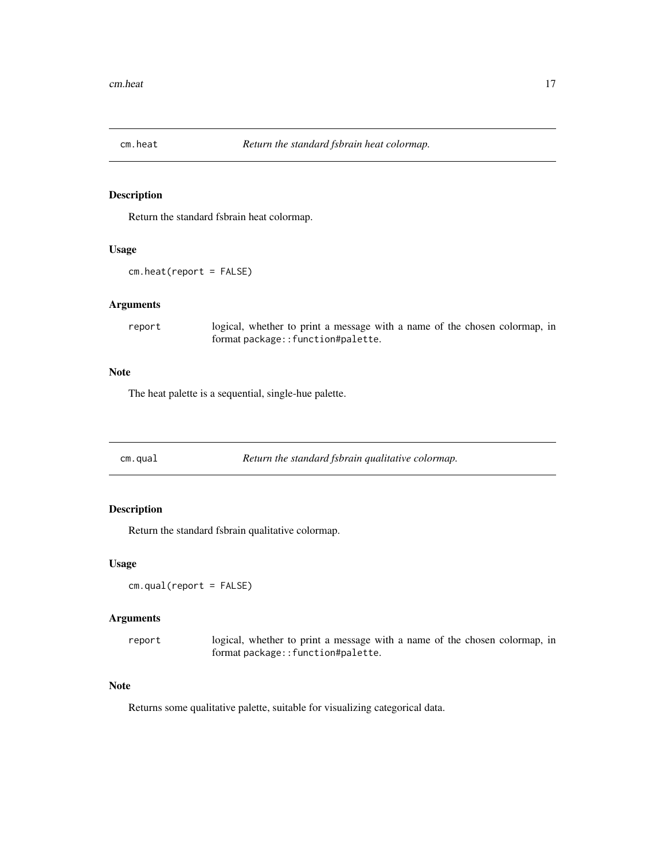<span id="page-16-0"></span>

# Description

Return the standard fsbrain heat colormap.

# Usage

cm.heat(report = FALSE)

# Arguments

report logical, whether to print a message with a name of the chosen colormap, in format package::function#palette.

# Note

The heat palette is a sequential, single-hue palette.

cm.qual *Return the standard fsbrain qualitative colormap.*

# Description

Return the standard fsbrain qualitative colormap.

#### Usage

```
cm.qual(report = FALSE)
```
#### Arguments

| report | logical, whether to print a message with a name of the chosen colormap, in |
|--------|----------------------------------------------------------------------------|
|        | format package::function#palette.                                          |

#### **Note**

Returns some qualitative palette, suitable for visualizing categorical data.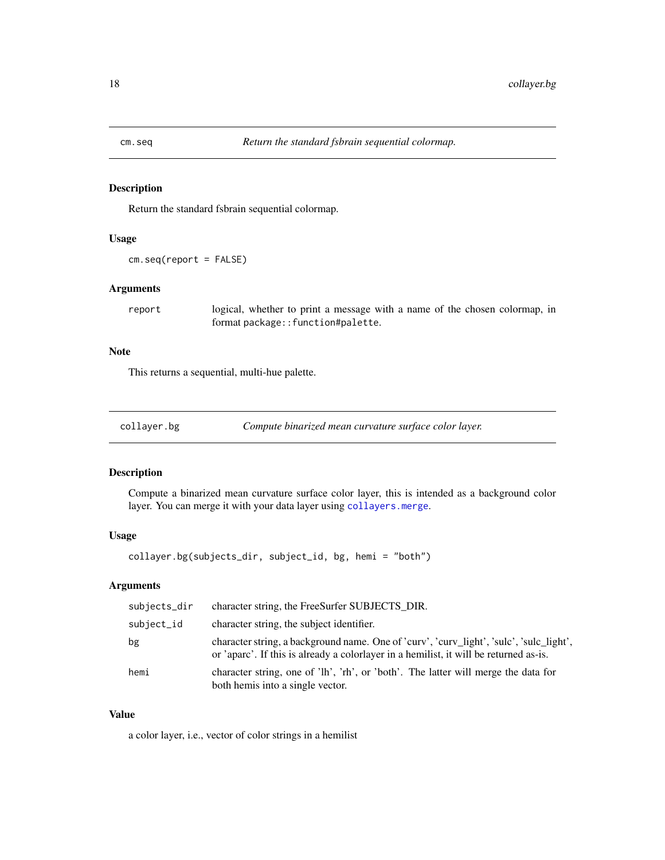<span id="page-17-0"></span>

#### Description

Return the standard fsbrain sequential colormap.

# Usage

```
cm.seq(report = FALSE)
```
# Arguments

report logical, whether to print a message with a name of the chosen colormap, in format package::function#palette.

# Note

This returns a sequential, multi-hue palette.

<span id="page-17-1"></span>

| collayer.bg | Compute binarized mean curvature surface color layer. |  |
|-------------|-------------------------------------------------------|--|
|             |                                                       |  |

# Description

Compute a binarized mean curvature surface color layer, this is intended as a background color layer. You can merge it with your data layer using [collayers.merge](#page-24-1).

#### Usage

collayer.bg(subjects\_dir, subject\_id, bg, hemi = "both")

# Arguments

| subjects_dir | character string, the FreeSurfer SUBJECTS_DIR.                                                                                                                               |
|--------------|------------------------------------------------------------------------------------------------------------------------------------------------------------------------------|
| subject_id   | character string, the subject identifier.                                                                                                                                    |
| bg           | character string, a background name. One of 'curv', 'curv_light', 'sulc', 'sulc_light',<br>or 'aparc'. If this is already a color all a hemilist, it will be returned as-is. |
| hemi         | character string, one of 'lh', 'rh', or 'both'. The latter will merge the data for<br>both hemis into a single vector.                                                       |

# Value

a color layer, i.e., vector of color strings in a hemilist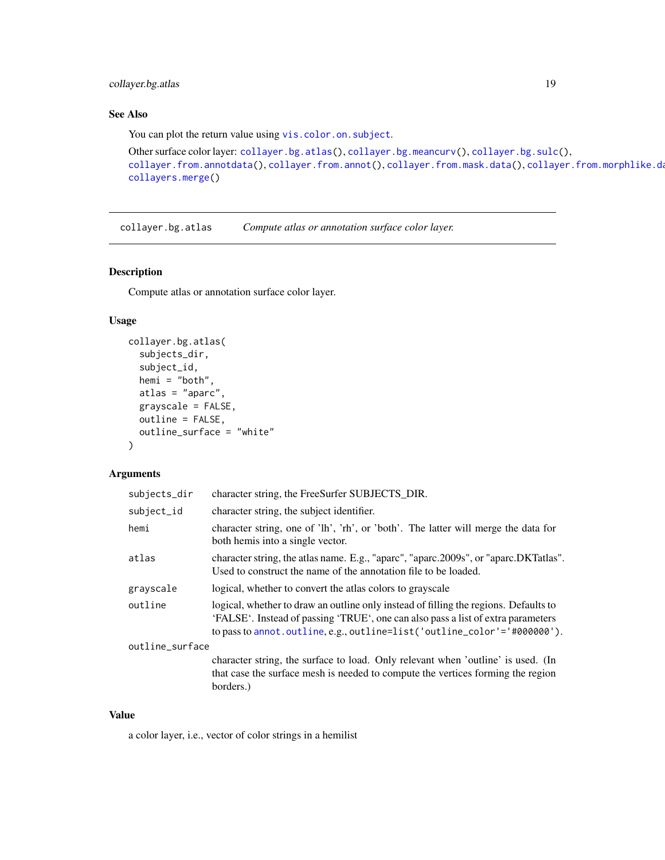# <span id="page-18-0"></span>collayer.bg.atlas 19

# See Also

You can plot the return value using [vis.color.on.subject](#page-154-1).

```
Other surface color layer: collayer.bg.atlas(), collayer.bg.meancurv(), collayer.bg.sulc(),
collayer.from.annotdata(collayer.from.annot(collayer.from.mask.data(), collayer.from.morphlike.da
collayers.merge()
```
<span id="page-18-1"></span>collayer.bg.atlas *Compute atlas or annotation surface color layer.*

#### Description

Compute atlas or annotation surface color layer.

#### Usage

```
collayer.bg.atlas(
  subjects_dir,
  subject_id,
  hemi = "both",
  atlas = "aparc",
  grayscale = FALSE,
  outline = FALSE,
  outline_surface = "white"
)
```
# Arguments

| subjects_dir    | character string, the FreeSurfer SUBJECTS DIR.                                                                                                                                                                                                             |
|-----------------|------------------------------------------------------------------------------------------------------------------------------------------------------------------------------------------------------------------------------------------------------------|
| subject_id      | character string, the subject identifier.                                                                                                                                                                                                                  |
| hemi            | character string, one of 'lh', 'rh', or 'both'. The latter will merge the data for<br>both hemis into a single vector.                                                                                                                                     |
| atlas           | character string, the atlas name. E.g., "aparc", "aparc.2009s", or "aparc.DKTatlas".<br>Used to construct the name of the annotation file to be loaded.                                                                                                    |
| grayscale       | logical, whether to convert the atlas colors to grayscale                                                                                                                                                                                                  |
| outline         | logical, whether to draw an outline only instead of filling the regions. Defaults to<br>'FALSE'. Instead of passing 'TRUE', one can also pass a list of extra parameters<br>to pass to annot. outline, e.g., outline= $list('outline\_color'='+0000000').$ |
| outline_surface |                                                                                                                                                                                                                                                            |
|                 | character string, the surface to load. Only relevant when 'outline' is used. (In                                                                                                                                                                           |
|                 | that case the surface mesh is needed to compute the vertices forming the region                                                                                                                                                                            |
|                 | borders.)                                                                                                                                                                                                                                                  |

#### Value

a color layer, i.e., vector of color strings in a hemilist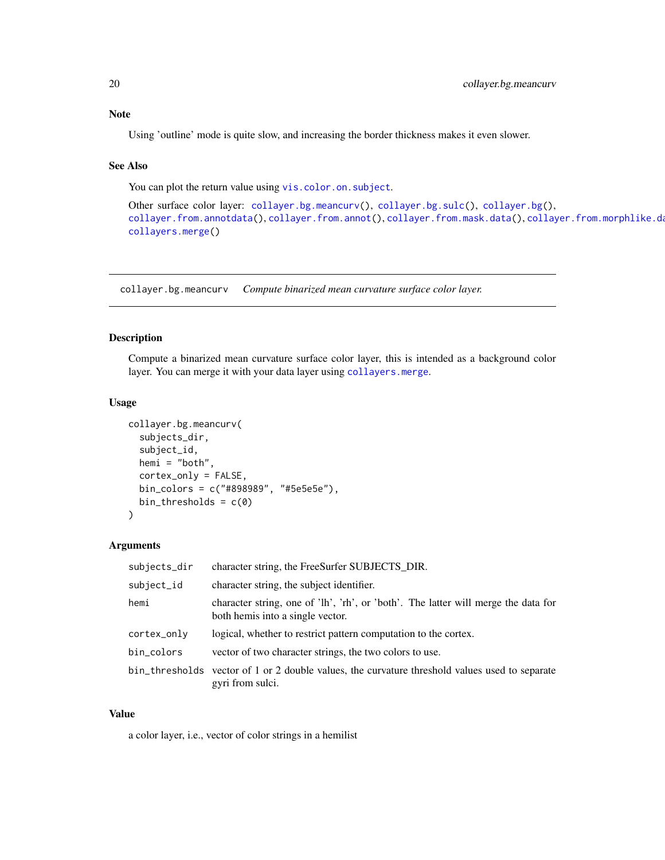# <span id="page-19-0"></span>Note

Using 'outline' mode is quite slow, and increasing the border thickness makes it even slower.

#### See Also

You can plot the return value using [vis.color.on.subject](#page-154-1).

```
Other surface color layer: collayer.bg.meancurv(), collayer.bg.sulc(), collayer.bg(),
collayer.from.annotdata(), collayer.from.annot(), collayer.from.mask.data(), collayer.from.morphlike.data(),
collayers.merge()
```
<span id="page-19-1"></span>collayer.bg.meancurv *Compute binarized mean curvature surface color layer.*

#### Description

Compute a binarized mean curvature surface color layer, this is intended as a background color layer. You can merge it with your data layer using [collayers.merge](#page-24-1).

#### Usage

```
collayer.bg.meancurv(
  subjects_dir,
  subject_id,
  hemi = "both",
  cortex_only = FALSE,
  bin_colors = c("#898989", "#5e5e5e"),
  bin_thresholds = c(\theta))
```
#### Arguments

| subjects_dir | character string, the FreeSurfer SUBJECTS_DIR.                                                                         |
|--------------|------------------------------------------------------------------------------------------------------------------------|
| subject_id   | character string, the subject identifier.                                                                              |
| hemi         | character string, one of 'lh', 'rh', or 'both'. The latter will merge the data for<br>both hemis into a single vector. |
| cortex_only  | logical, whether to restrict pattern computation to the cortex.                                                        |
| bin_colors   | vector of two character strings, the two colors to use.                                                                |
|              | bin_thresholds vector of 1 or 2 double values, the curvature threshold values used to separate<br>gyri from sulci.     |

#### Value

a color layer, i.e., vector of color strings in a hemilist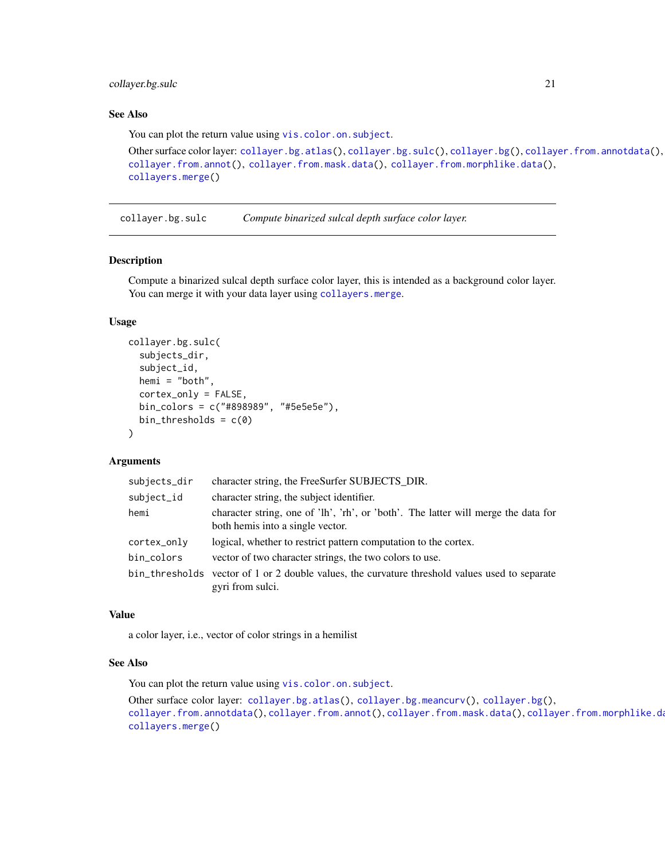# <span id="page-20-0"></span>collayer.bg.sulc 21

# See Also

You can plot the return value using [vis.color.on.subject](#page-154-1).

```
Other surface color layer: collayer.bg.atlas(), collayer.bg.sulc(), collayer.bg(), collayer.from.annotdata(),
collayer.from.annot(), collayer.from.mask.data(), collayer.from.morphlike.data(),
collayers.merge()
```
<span id="page-20-1"></span>collayer.bg.sulc *Compute binarized sulcal depth surface color layer.*

#### Description

Compute a binarized sulcal depth surface color layer, this is intended as a background color layer. You can merge it with your data layer using [collayers.merge](#page-24-1).

# Usage

```
collayer.bg.sulc(
  subjects_dir,
  subject_id,
  hemi = "both",
  cortex_only = FALSE,
  bin_colors = c("#898989", "#5e5e5e"),
 bin_thresholds = c(0)\lambda
```
### Arguments

| subjects_dir | character string, the FreeSurfer SUBJECTS_DIR.                                                                         |
|--------------|------------------------------------------------------------------------------------------------------------------------|
| subject_id   | character string, the subject identifier.                                                                              |
| hemi         | character string, one of 'lh', 'rh', or 'both'. The latter will merge the data for<br>both hemis into a single vector. |
| cortex_only  | logical, whether to restrict pattern computation to the cortex.                                                        |
| bin_colors   | vector of two character strings, the two colors to use.                                                                |
|              | bin_thresholds vector of 1 or 2 double values, the curvature threshold values used to separate<br>gyri from sulci.     |

# Value

a color layer, i.e., vector of color strings in a hemilist

## See Also

You can plot the return value using [vis.color.on.subject](#page-154-1).

```
Other surface color layer: collayer.bg.atlas(), collayer.bg.meancurv(), collayer.bg(),
collayer.from.annotdata(), collayer.from.annot(), collayer.from.mask.data(), collayer.from.morphlike.data(),
collayers.merge()
```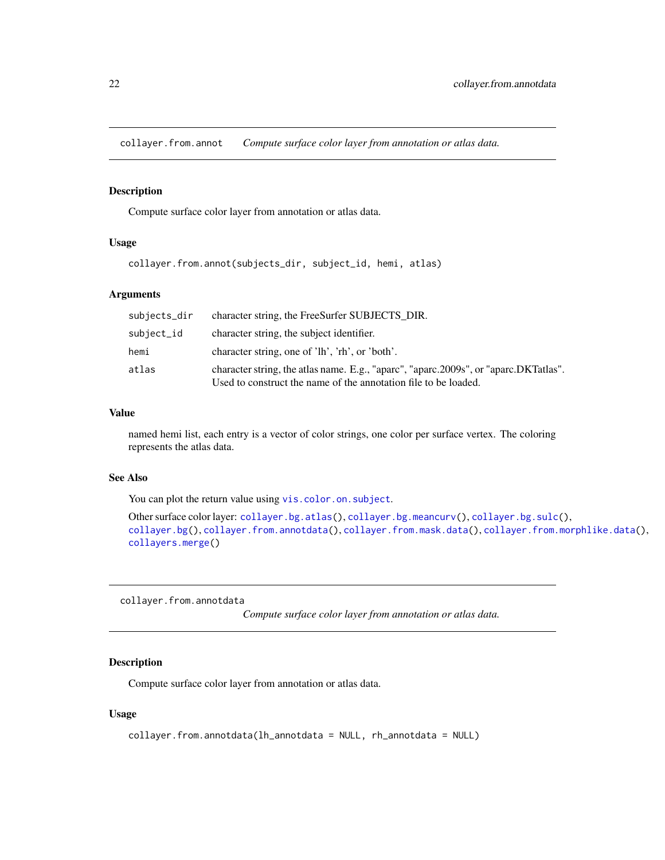<span id="page-21-2"></span><span id="page-21-0"></span>collayer.from.annot *Compute surface color layer from annotation or atlas data.*

# Description

Compute surface color layer from annotation or atlas data.

#### Usage

```
collayer.from.annot(subjects_dir, subject_id, hemi, atlas)
```
#### Arguments

| subjects_dir | character string, the FreeSurfer SUBJECTS DIR.                                                                                                          |
|--------------|---------------------------------------------------------------------------------------------------------------------------------------------------------|
| subject_id   | character string, the subject identifier.                                                                                                               |
| hemi         | character string, one of 'lh', 'rh', or 'both'.                                                                                                         |
| atlas        | character string, the atlas name. E.g., "aparc", "aparc.2009s", or "aparc.DKTatlas".<br>Used to construct the name of the annotation file to be loaded. |

# Value

named hemi list, each entry is a vector of color strings, one color per surface vertex. The coloring represents the atlas data.

# See Also

You can plot the return value using [vis.color.on.subject](#page-154-1).

```
Other surface color layer: collayer.bg.atlas(), collayer.bg.meancurv(), collayer.bg.sulc(),
collayer.bg(), collayer.from.annotdata(), collayer.from.mask.data(), collayer.from.morphlike.data(),
collayers.merge()
```
<span id="page-21-1"></span>collayer.from.annotdata

*Compute surface color layer from annotation or atlas data.*

# Description

Compute surface color layer from annotation or atlas data.

```
collayer.from.annotdata(lh_annotdata = NULL, rh_annotdata = NULL)
```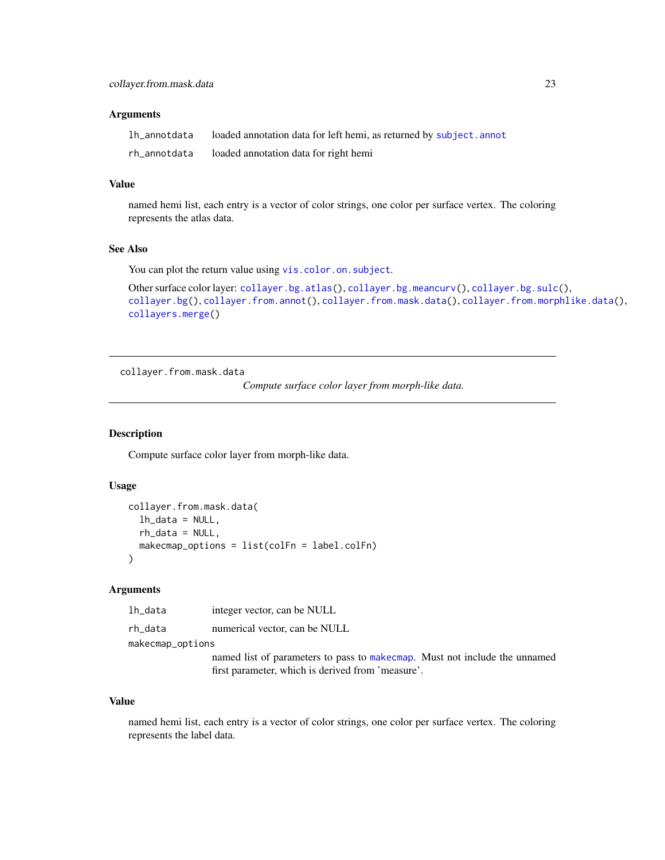#### <span id="page-22-0"></span>**Arguments**

| lh_annotdata | loaded annotation data for left hemi, as returned by subject. annot |
|--------------|---------------------------------------------------------------------|
| rh_annotdata | loaded annotation data for right hemi                               |

#### Value

named hemi list, each entry is a vector of color strings, one color per surface vertex. The coloring represents the atlas data.

#### See Also

You can plot the return value using [vis.color.on.subject](#page-154-1).

```
Other surface color layer: collayer.bg.atlas(), collayer.bg.meancurv(), collayer.bg.sulc(),
collayer.bg(), collayer.from.annot(), collayer.from.mask.data(), collayer.from.morphlike.data(),
collayers.merge()
```
<span id="page-22-1"></span>collayer.from.mask.data

*Compute surface color layer from morph-like data.*

#### Description

Compute surface color layer from morph-like data.

#### Usage

```
collayer.from.mask.data(
  lh_data = NULL,
 rh_data = NULL,
 makecmap_options = list(colFn = label.colFn)
)
```
#### Arguments

lh\_data integer vector, can be NULL

rh\_data numerical vector, can be NULL

makecmap\_options

named list of parameters to pass to [makecmap](#page-0-0). Must not include the unnamed first parameter, which is derived from 'measure'.

#### Value

named hemi list, each entry is a vector of color strings, one color per surface vertex. The coloring represents the label data.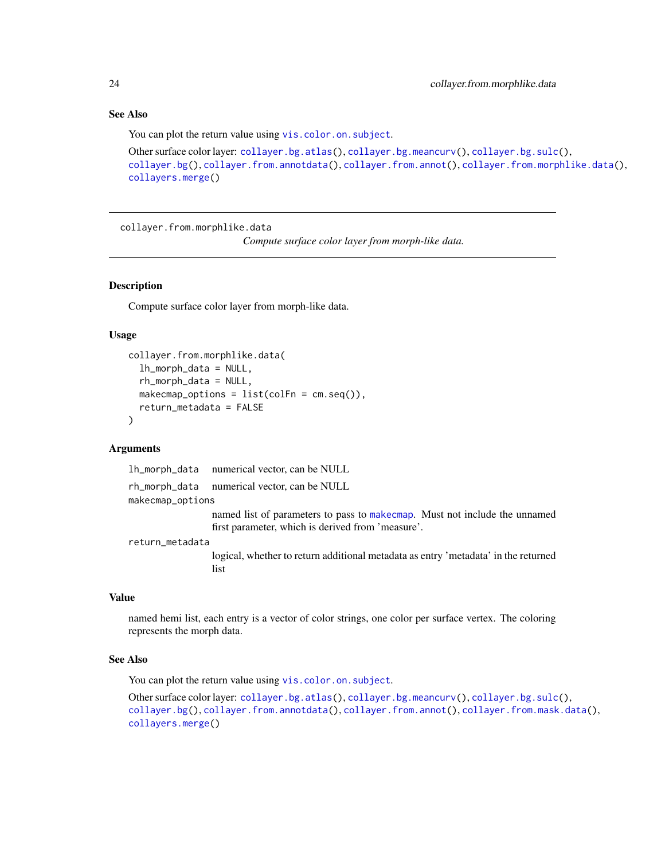# <span id="page-23-0"></span>See Also

You can plot the return value using [vis.color.on.subject](#page-154-1).

```
Other surface color layer: collayer.bg.atlas(), collayer.bg.meancurv(), collayer.bg.sulc(),
collayer.bg(), collayer.from.annotdata(), collayer.from.annot(), collayer.from.morphlike.data(),
collayers.merge()
```
<span id="page-23-1"></span>collayer.from.morphlike.data

*Compute surface color layer from morph-like data.*

# Description

Compute surface color layer from morph-like data.

#### Usage

```
collayer.from.morphlike.data(
  lh_morph_data = NULL,
  rh_morph_data = NULL,
  makecmap_options = list(colFn = cm.seq()),
  return_metadata = FALSE
)
```
# Arguments

lh\_morph\_data numerical vector, can be NULL

rh\_morph\_data numerical vector, can be NULL

makecmap\_options

named list of parameters to pass to [makecmap](#page-0-0). Must not include the unnamed first parameter, which is derived from 'measure'.

return\_metadata

logical, whether to return additional metadata as entry 'metadata' in the returned list

# Value

named hemi list, each entry is a vector of color strings, one color per surface vertex. The coloring represents the morph data.

#### See Also

You can plot the return value using [vis.color.on.subject](#page-154-1).

Other surface color layer: [collayer.bg.atlas\(](#page-18-1)), [collayer.bg.meancurv\(](#page-19-1)), [collayer.bg.sulc\(](#page-20-1)), [collayer.bg\(](#page-17-1)), [collayer.from.annotdata\(](#page-21-1)), [collayer.from.annot\(](#page-21-2)), [collayer.from.mask.data\(](#page-22-1)), [collayers.merge\(](#page-24-1))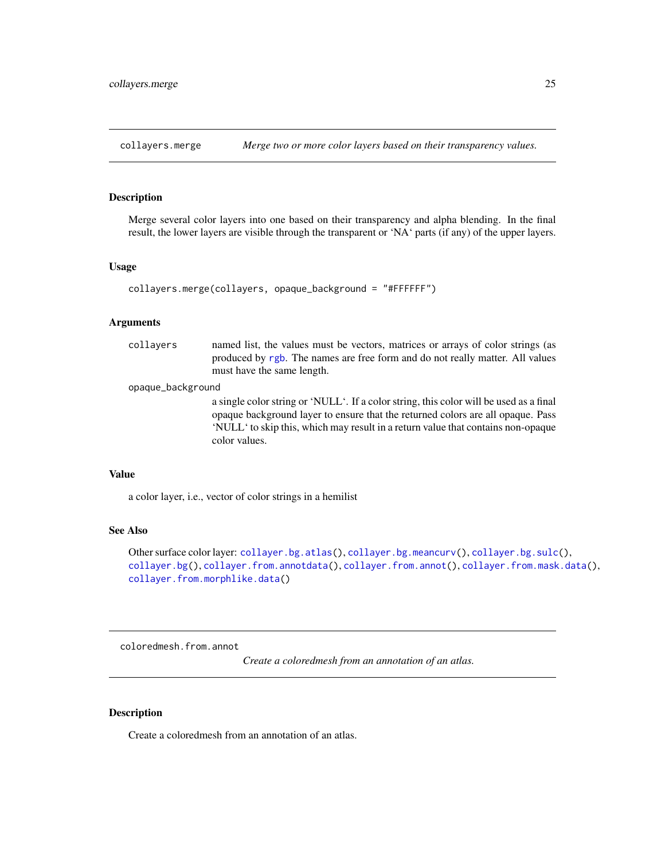<span id="page-24-1"></span><span id="page-24-0"></span>collayers.merge *Merge two or more color layers based on their transparency values.*

# Description

Merge several color layers into one based on their transparency and alpha blending. In the final result, the lower layers are visible through the transparent or 'NA' parts (if any) of the upper layers.

#### Usage

```
collayers.merge(collayers, opaque_background = "#FFFFFF")
```
#### Arguments

| collavers         | named list, the values must be vectors, matrices or arrays of color strings (as<br>produced by rgb. The names are free form and do not really matter. All values<br>must have the same length.                                                                                 |
|-------------------|--------------------------------------------------------------------------------------------------------------------------------------------------------------------------------------------------------------------------------------------------------------------------------|
| opaque_background |                                                                                                                                                                                                                                                                                |
|                   | a single color string or 'NULL'. If a color string, this color will be used as a final<br>opaque background layer to ensure that the returned colors are all opaque. Pass<br>'NULL' to skip this, which may result in a return value that contains non-opaque<br>color values. |

#### Value

a color layer, i.e., vector of color strings in a hemilist

# See Also

Other surface color layer: [collayer.bg.atlas\(](#page-18-1)), [collayer.bg.meancurv\(](#page-19-1)), [collayer.bg.sulc\(](#page-20-1)), [collayer.bg\(](#page-17-1)), [collayer.from.annotdata\(](#page-21-1)), [collayer.from.annot\(](#page-21-2)), [collayer.from.mask.data\(](#page-22-1)), [collayer.from.morphlike.data\(](#page-23-1))

<span id="page-24-2"></span>coloredmesh.from.annot

*Create a coloredmesh from an annotation of an atlas.*

#### Description

Create a coloredmesh from an annotation of an atlas.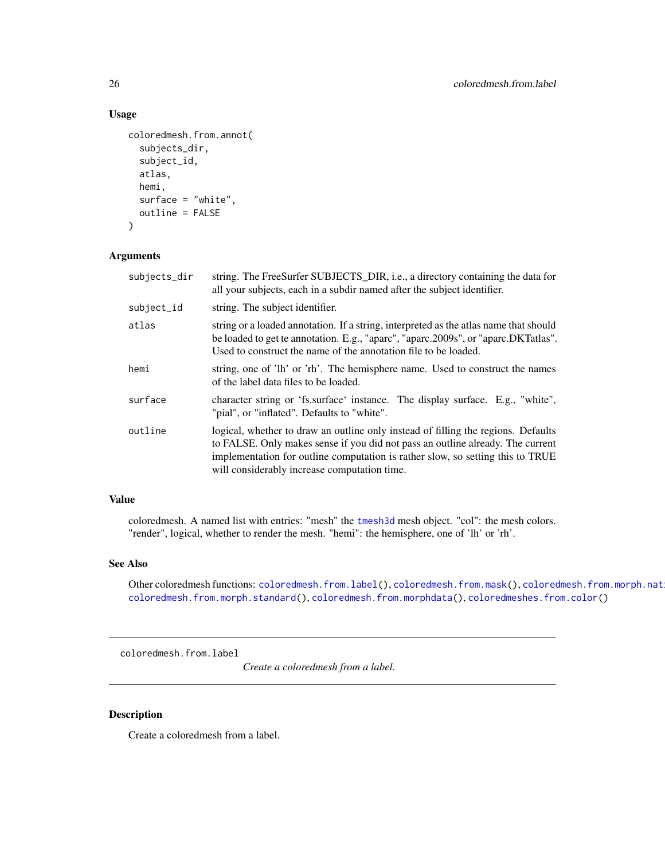```
coloredmesh.from.annot(
  subjects_dir,
  subject_id,
  atlas,
  hemi,
  surface = "white",outline = FALSE
)
```
# Arguments

| subjects_dir | string. The FreeSurfer SUBJECTS_DIR, i.e., a directory containing the data for<br>all your subjects, each in a subdir named after the subject identifier.                                                                                                                                             |
|--------------|-------------------------------------------------------------------------------------------------------------------------------------------------------------------------------------------------------------------------------------------------------------------------------------------------------|
| subject_id   | string. The subject identifier.                                                                                                                                                                                                                                                                       |
| atlas        | string or a loaded annotation. If a string, interpreted as the atlas name that should<br>be loaded to get te annotation. E.g., "aparc", "aparc.2009s", or "aparc.DKTatlas".<br>Used to construct the name of the annotation file to be loaded.                                                        |
| hemi         | string, one of 'lh' or 'rh'. The hemisphere name. Used to construct the names<br>of the label data files to be loaded.                                                                                                                                                                                |
| surface      | character string or 'fs.surface' instance. The display surface. E.g., "white",<br>"pial", or "inflated". Defaults to "white".                                                                                                                                                                         |
| outline      | logical, whether to draw an outline only instead of filling the regions. Defaults<br>to FALSE. Only makes sense if you did not pass an outline already. The current<br>implementation for outline computation is rather slow, so setting this to TRUE<br>will considerably increase computation time. |

# Value

coloredmesh. A named list with entries: "mesh" the [tmesh3d](#page-0-0) mesh object. "col": the mesh colors. "render", logical, whether to render the mesh. "hemi": the hemisphere, one of 'lh' or 'rh'.

#### See Also

Other coloredmesh functions: [coloredmesh.from.label\(](#page-25-1)), [coloredmesh.from.mask\(](#page-27-1)), coloredmesh.from.morph.nat [coloredmesh.from.morph.standard\(](#page-29-1)), [coloredmesh.from.morphdata\(](#page-30-1)), [coloredmeshes.from.color\(](#page-34-1))

<span id="page-25-1"></span>coloredmesh.from.label

*Create a coloredmesh from a label.*

# Description

Create a coloredmesh from a label.

<span id="page-25-0"></span>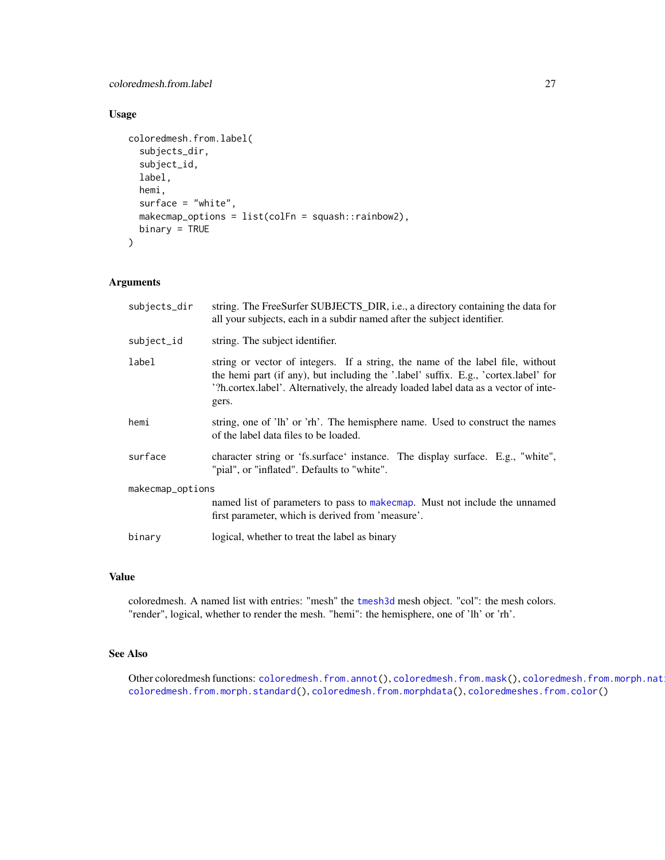coloredmesh.from.label 27

# Usage

```
coloredmesh.from.label(
  subjects_dir,
  subject_id,
  label,
 hemi,
  surface = "white",makecmap_options = list(colFn = squash::rainbow2),
  binary = TRUE
)
```
# Arguments

| subjects_dir     | string. The FreeSurfer SUBJECTS_DIR, i.e., a directory containing the data for<br>all your subjects, each in a subdir named after the subject identifier.                                                                                                              |
|------------------|------------------------------------------------------------------------------------------------------------------------------------------------------------------------------------------------------------------------------------------------------------------------|
| subject_id       | string. The subject identifier.                                                                                                                                                                                                                                        |
| label            | string or vector of integers. If a string, the name of the label file, without<br>the hemi part (if any), but including the '.label' suffix. E.g., 'cortex.label' for<br>'?h.cortex.label'. Alternatively, the already loaded label data as a vector of inte-<br>gers. |
| hemi             | string, one of 'lh' or 'rh'. The hemisphere name. Used to construct the names<br>of the label data files to be loaded.                                                                                                                                                 |
| surface          | character string or 'fs.surface' instance. The display surface. E.g., "white",<br>"pial", or "inflated". Defaults to "white".                                                                                                                                          |
| makecmap_options |                                                                                                                                                                                                                                                                        |
|                  | named list of parameters to pass to make cmap. Must not include the unnamed<br>first parameter, which is derived from 'measure'.                                                                                                                                       |
| binary           | logical, whether to treat the label as binary                                                                                                                                                                                                                          |

# Value

coloredmesh. A named list with entries: "mesh" the [tmesh3d](#page-0-0) mesh object. "col": the mesh colors. "render", logical, whether to render the mesh. "hemi": the hemisphere, one of 'lh' or 'rh'.

#### See Also

Other coloredmesh functions: [coloredmesh.from.annot\(](#page-24-2)), [coloredmesh.from.mask\(](#page-27-1)), coloredmesh.from.morph.nat [coloredmesh.from.morph.standard\(](#page-29-1)), [coloredmesh.from.morphdata\(](#page-30-1)), [coloredmeshes.from.color\(](#page-34-1))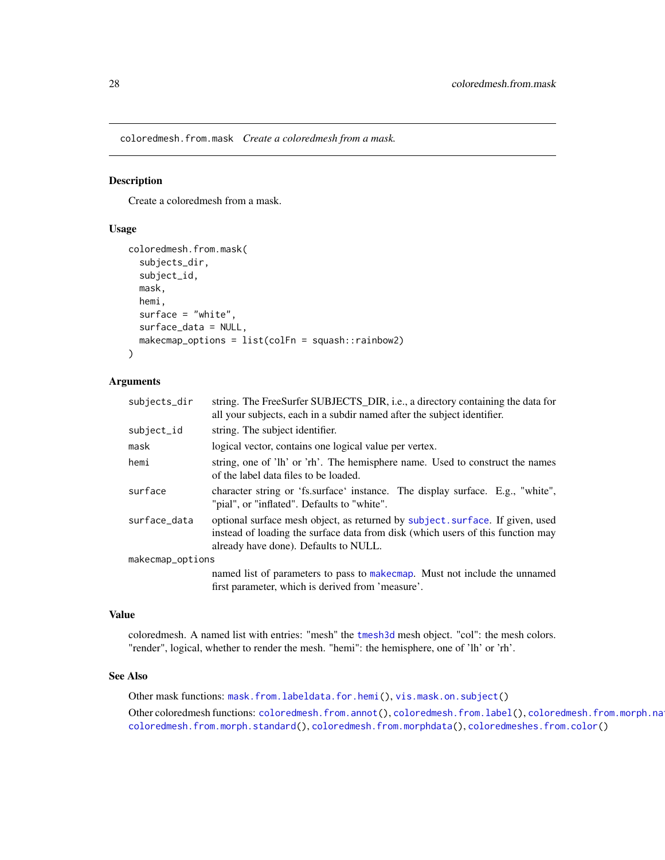<span id="page-27-1"></span><span id="page-27-0"></span>coloredmesh.from.mask *Create a coloredmesh from a mask.*

# Description

Create a coloredmesh from a mask.

#### Usage

```
coloredmesh.from.mask(
  subjects_dir,
  subject_id,
  mask,
  hemi,
  surface = "white",surface_data = NULL,
  makecmap_options = list(colFn = squash::rainbow2)
)
```
# Arguments

| string. The FreeSurfer SUBJECTS_DIR, i.e., a directory containing the data for<br>all your subjects, each in a subdir named after the subject identifier.                                                 |
|-----------------------------------------------------------------------------------------------------------------------------------------------------------------------------------------------------------|
| string. The subject identifier.                                                                                                                                                                           |
| logical vector, contains one logical value per vertex.                                                                                                                                                    |
| string, one of 'lh' or 'rh'. The hemisphere name. Used to construct the names<br>of the label data files to be loaded.                                                                                    |
| character string or 'fs.surface' instance. The display surface. E.g., "white",<br>"pial", or "inflated". Defaults to "white".                                                                             |
| optional surface mesh object, as returned by subject. surface. If given, used<br>instead of loading the surface data from disk (which users of this function may<br>already have done). Defaults to NULL. |
| makecmap_options                                                                                                                                                                                          |
| named list of parameters to pass to make cmap. Must not include the unnamed<br>first parameter, which is derived from 'measure'.                                                                          |
|                                                                                                                                                                                                           |

# Value

coloredmesh. A named list with entries: "mesh" the [tmesh3d](#page-0-0) mesh object. "col": the mesh colors. "render", logical, whether to render the mesh. "hemi": the hemisphere, one of 'lh' or 'rh'.

#### See Also

Other mask functions: [mask.from.labeldata.for.hemi\(](#page-109-1)), [vis.mask.on.subject\(](#page-176-1)) Other coloredmesh functions: [coloredmesh.from.annot\(](#page-24-2)), [coloredmesh.from.label\(](#page-25-1)), coloredmesh.from.morph.na [coloredmesh.from.morph.standard\(](#page-29-1)), [coloredmesh.from.morphdata\(](#page-30-1)), [coloredmeshes.from.color\(](#page-34-1))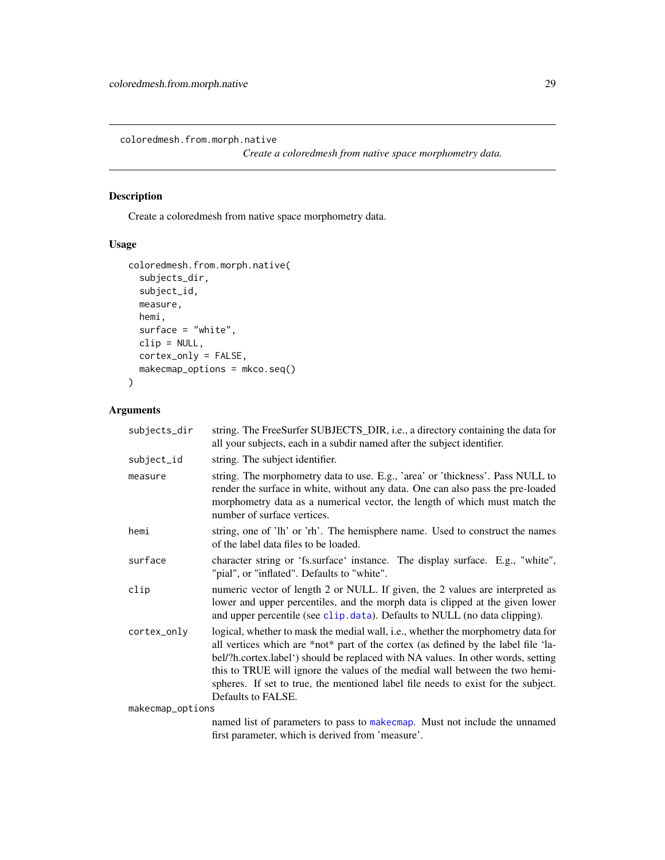<span id="page-28-1"></span><span id="page-28-0"></span>coloredmesh.from.morph.native

*Create a coloredmesh from native space morphometry data.*

# Description

Create a coloredmesh from native space morphometry data.

# Usage

```
coloredmesh.from.morph.native(
  subjects_dir,
  subject_id,
 measure,
 hemi,
 surface = "white",clip = NULL,
 cortex_only = FALSE,
 makecmap_options = mkco.seq()
)
```

| subjects_dir     | string. The FreeSurfer SUBJECTS_DIR, i.e., a directory containing the data for<br>all your subjects, each in a subdir named after the subject identifier.                                                                                                                                                                                                                                                                                             |
|------------------|-------------------------------------------------------------------------------------------------------------------------------------------------------------------------------------------------------------------------------------------------------------------------------------------------------------------------------------------------------------------------------------------------------------------------------------------------------|
| subject_id       | string. The subject identifier.                                                                                                                                                                                                                                                                                                                                                                                                                       |
| measure          | string. The morphometry data to use. E.g., 'area' or 'thickness'. Pass NULL to<br>render the surface in white, without any data. One can also pass the pre-loaded<br>morphometry data as a numerical vector, the length of which must match the<br>number of surface vertices.                                                                                                                                                                        |
| hemi             | string, one of 'lh' or 'rh'. The hemisphere name. Used to construct the names<br>of the label data files to be loaded.                                                                                                                                                                                                                                                                                                                                |
| surface          | character string or 'fs.surface' instance. The display surface. E.g., "white",<br>"pial", or "inflated". Defaults to "white".                                                                                                                                                                                                                                                                                                                         |
| clip             | numeric vector of length 2 or NULL. If given, the 2 values are interpreted as<br>lower and upper percentiles, and the morph data is clipped at the given lower<br>and upper percentile (see clip.data). Defaults to NULL (no data clipping).                                                                                                                                                                                                          |
| cortex_only      | logical, whether to mask the medial wall, i.e., whether the morphometry data for<br>all vertices which are *not* part of the cortex (as defined by the label file 'la-<br>bel/?h.cortex.label') should be replaced with NA values. In other words, setting<br>this to TRUE will ignore the values of the medial wall between the two hemi-<br>spheres. If set to true, the mentioned label file needs to exist for the subject.<br>Defaults to FALSE. |
| makecmap_options |                                                                                                                                                                                                                                                                                                                                                                                                                                                       |
|                  | named list of parameters to pass to makecmap. Must not include the unnamed                                                                                                                                                                                                                                                                                                                                                                            |
|                  | first parameter, which is derived from 'measure'.                                                                                                                                                                                                                                                                                                                                                                                                     |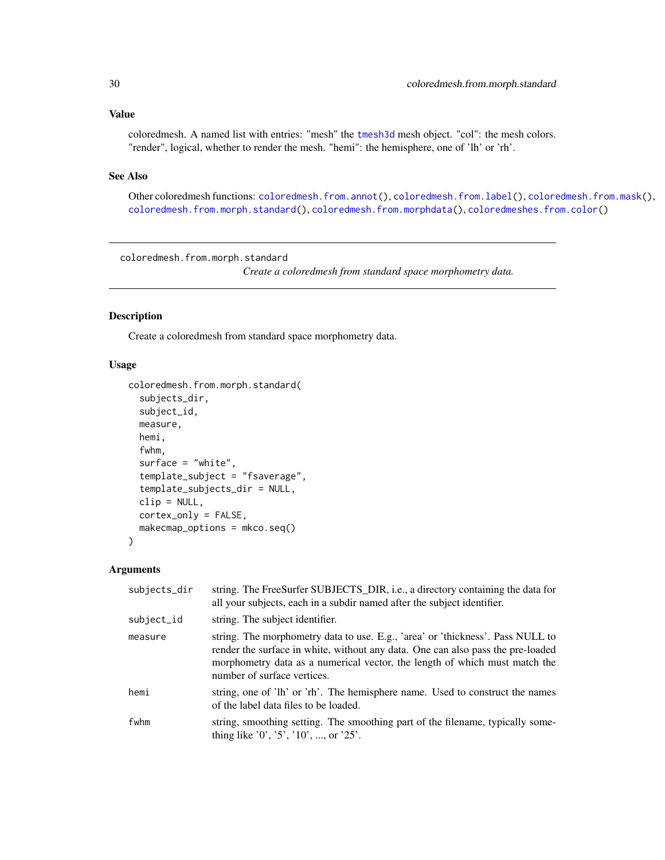#### <span id="page-29-0"></span>Value

coloredmesh. A named list with entries: "mesh" the [tmesh3d](#page-0-0) mesh object. "col": the mesh colors. "render", logical, whether to render the mesh. "hemi": the hemisphere, one of 'lh' or 'rh'.

# See Also

Other coloredmesh functions: [coloredmesh.from.annot\(](#page-24-2)), [coloredmesh.from.label\(](#page-25-1)), [coloredmesh.from.mask\(](#page-27-1)), [coloredmesh.from.morph.standard\(](#page-29-1)), [coloredmesh.from.morphdata\(](#page-30-1)), [coloredmeshes.from.color\(](#page-34-1))

<span id="page-29-1"></span>coloredmesh.from.morph.standard

*Create a coloredmesh from standard space morphometry data.*

# Description

Create a coloredmesh from standard space morphometry data.

# Usage

```
coloredmesh.from.morph.standard(
  subjects_dir,
  subject_id,
  measure,
  hemi,
  fwhm,
  surface = "white",template_subject = "fsaverage",
  template_subjects_dir = NULL,
  clip = NULL,
  cortex_only = FALSE,
  makecmap_options = mkco.seq()
)
```

| subjects_dir | string. The FreeSurfer SUBJECTS_DIR, i.e., a directory containing the data for<br>all your subjects, each in a subdir named after the subject identifier.                                                                                                                      |
|--------------|--------------------------------------------------------------------------------------------------------------------------------------------------------------------------------------------------------------------------------------------------------------------------------|
| subject_id   | string. The subject identifier.                                                                                                                                                                                                                                                |
| measure      | string. The morphometry data to use. E.g., 'area' or 'thickness'. Pass NULL to<br>render the surface in white, without any data. One can also pass the pre-loaded<br>morphometry data as a numerical vector, the length of which must match the<br>number of surface vertices. |
| hemi         | string, one of 'lh' or 'rh'. The hemisphere name. Used to construct the names<br>of the label data files to be loaded.                                                                                                                                                         |
| fwhm         | string, smoothing setting. The smoothing part of the filename, typically some-<br>thing like $'0', '5', '10', ,$ or $'25'.$                                                                                                                                                    |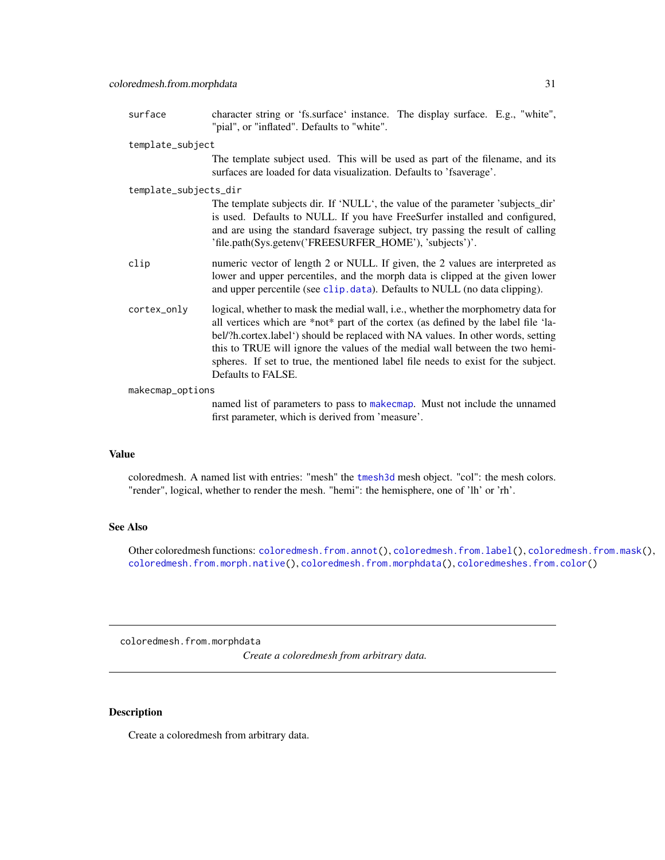<span id="page-30-0"></span>surface character string or 'fs.surface' instance. The display surface. E.g., "white", "pial", or "inflated". Defaults to "white".

#### template\_subject

The template subject used. This will be used as part of the filename, and its surfaces are loaded for data visualization. Defaults to 'fsaverage'.

#### template\_subjects\_dir

The template subjects dir. If 'NULL', the value of the parameter 'subjects\_dir' is used. Defaults to NULL. If you have FreeSurfer installed and configured, and are using the standard fsaverage subject, try passing the result of calling 'file.path(Sys.getenv('FREESURFER\_HOME'), 'subjects')'.

- clip numeric vector of length 2 or NULL. If given, the 2 values are interpreted as lower and upper percentiles, and the morph data is clipped at the given lower and upper percentile (see [clip.data](#page-13-1)). Defaults to NULL (no data clipping).
- cortex\_only logical, whether to mask the medial wall, i.e., whether the morphometry data for all vertices which are \*not\* part of the cortex (as defined by the label file 'label/?h.cortex.label') should be replaced with NA values. In other words, setting this to TRUE will ignore the values of the medial wall between the two hemispheres. If set to true, the mentioned label file needs to exist for the subject. Defaults to FALSE.

makecmap\_options

named list of parameters to pass to [makecmap](#page-0-0). Must not include the unnamed first parameter, which is derived from 'measure'.

# Value

coloredmesh. A named list with entries: "mesh" the [tmesh3d](#page-0-0) mesh object. "col": the mesh colors. "render", logical, whether to render the mesh. "hemi": the hemisphere, one of 'lh' or 'rh'.

#### See Also

Other coloredmesh functions: [coloredmesh.from.annot\(](#page-24-2)), [coloredmesh.from.label\(](#page-25-1)), [coloredmesh.from.mask\(](#page-27-1)), [coloredmesh.from.morph.native\(](#page-28-1)), [coloredmesh.from.morphdata\(](#page-30-1)), [coloredmeshes.from.color\(](#page-34-1))

<span id="page-30-1"></span>coloredmesh.from.morphdata

*Create a coloredmesh from arbitrary data.*

#### Description

Create a coloredmesh from arbitrary data.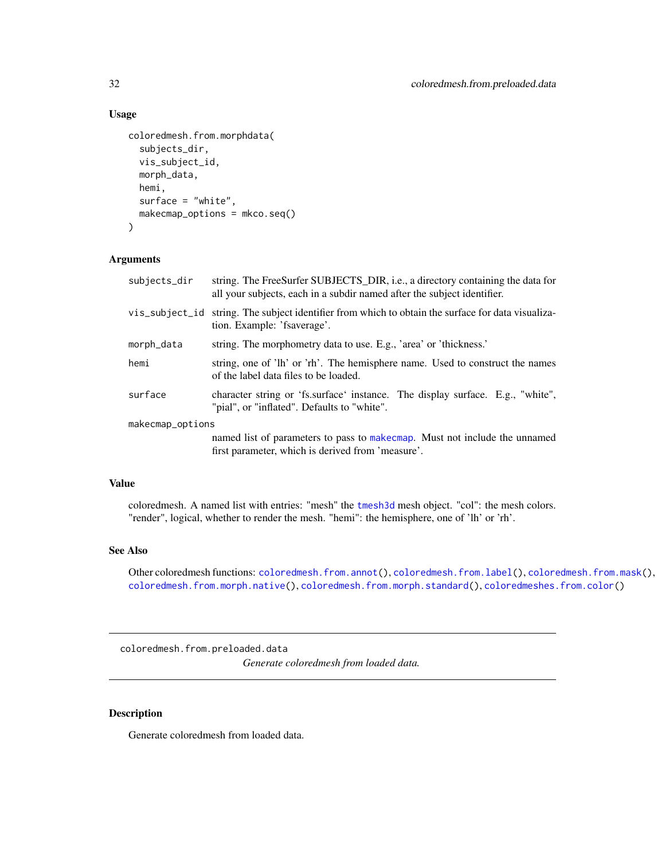```
coloredmesh.from.morphdata(
  subjects_dir,
  vis_subject_id,
  morph_data,
  hemi,
  surface = "white",
 makecmap_options = mkco.seq()
)
```
# Arguments

| subjects_dir     | string. The FreeSurfer SUBJECTS_DIR, i.e., a directory containing the data for<br>all your subjects, each in a subdir named after the subject identifier. |
|------------------|-----------------------------------------------------------------------------------------------------------------------------------------------------------|
| vis_subject_id   | string. The subject identifier from which to obtain the surface for data visualiza-<br>tion. Example: 'fsaverage'.                                        |
| morph_data       | string. The morphometry data to use. E.g., 'area' or 'thickness.'                                                                                         |
| hemi             | string, one of 'lh' or 'rh'. The hemisphere name. Used to construct the names<br>of the label data files to be loaded.                                    |
| surface          | character string or 'fs.surface' instance. The display surface. E.g., "white",<br>"pial", or "inflated". Defaults to "white".                             |
| makecmap_options |                                                                                                                                                           |
|                  | named list of parameters to pass to make cmap. Must not include the unnamed<br>first parameter, which is derived from 'measure'.                          |

# Value

coloredmesh. A named list with entries: "mesh" the [tmesh3d](#page-0-0) mesh object. "col": the mesh colors. "render", logical, whether to render the mesh. "hemi": the hemisphere, one of 'lh' or 'rh'.

# See Also

Other coloredmesh functions: [coloredmesh.from.annot\(](#page-24-2)), [coloredmesh.from.label\(](#page-25-1)), [coloredmesh.from.mask\(](#page-27-1)), [coloredmesh.from.morph.native\(](#page-28-1)), [coloredmesh.from.morph.standard\(](#page-29-1)), [coloredmeshes.from.color\(](#page-34-1))

coloredmesh.from.preloaded.data *Generate coloredmesh from loaded data.*

# Description

Generate coloredmesh from loaded data.

<span id="page-31-0"></span>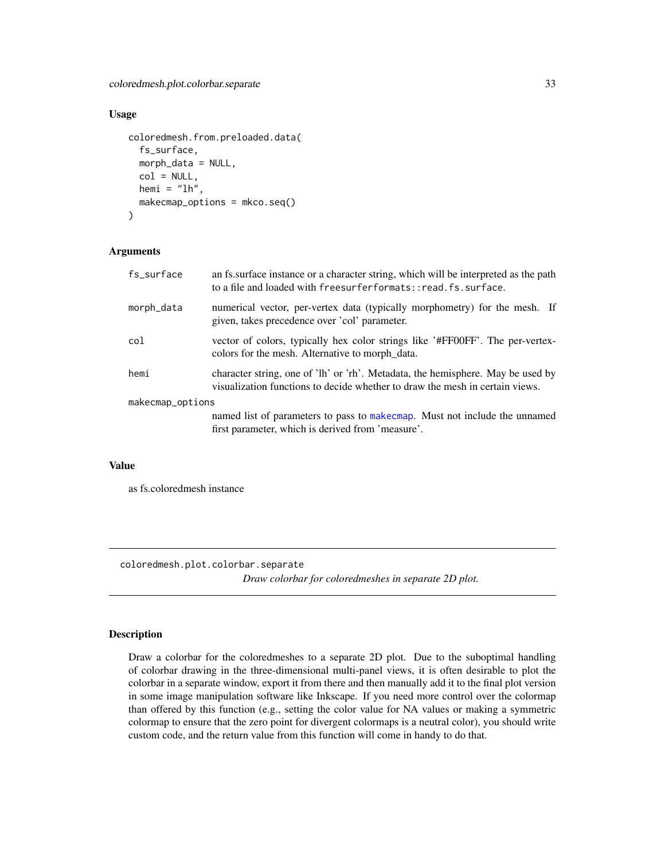```
coloredmesh.from.preloaded.data(
  fs_surface,
 morph_data = NULL,
 col = NULL,hemi = "lh"makecmap_options = mkco.seq()
)
```
# Arguments

| fs_surface       | an fs. surface instance or a character string, which will be interpreted as the path<br>to a file and loaded with freesurferformats::read.fs.surface.           |
|------------------|-----------------------------------------------------------------------------------------------------------------------------------------------------------------|
| morph_data       | numerical vector, per-vertex data (typically morphometry) for the mesh. If<br>given, takes precedence over 'col' parameter.                                     |
| col              | vector of colors, typically hex color strings like '#FF00FF'. The per-vertex-<br>colors for the mesh. Alternative to morph data.                                |
| hemi             | character string, one of 'lh' or 'rh'. Metadata, the hemisphere. May be used by<br>visualization functions to decide whether to draw the mesh in certain views. |
| makecmap_options |                                                                                                                                                                 |
|                  | named list of parameters to pass to make cmap. Must not include the unnamed<br>first parameter, which is derived from 'measure'.                                |

# Value

as fs.coloredmesh instance

<span id="page-32-1"></span>coloredmesh.plot.colorbar.separate

*Draw colorbar for coloredmeshes in separate 2D plot.*

# Description

Draw a colorbar for the coloredmeshes to a separate 2D plot. Due to the suboptimal handling of colorbar drawing in the three-dimensional multi-panel views, it is often desirable to plot the colorbar in a separate window, export it from there and then manually add it to the final plot version in some image manipulation software like Inkscape. If you need more control over the colormap than offered by this function (e.g., setting the color value for NA values or making a symmetric colormap to ensure that the zero point for divergent colormaps is a neutral color), you should write custom code, and the return value from this function will come in handy to do that.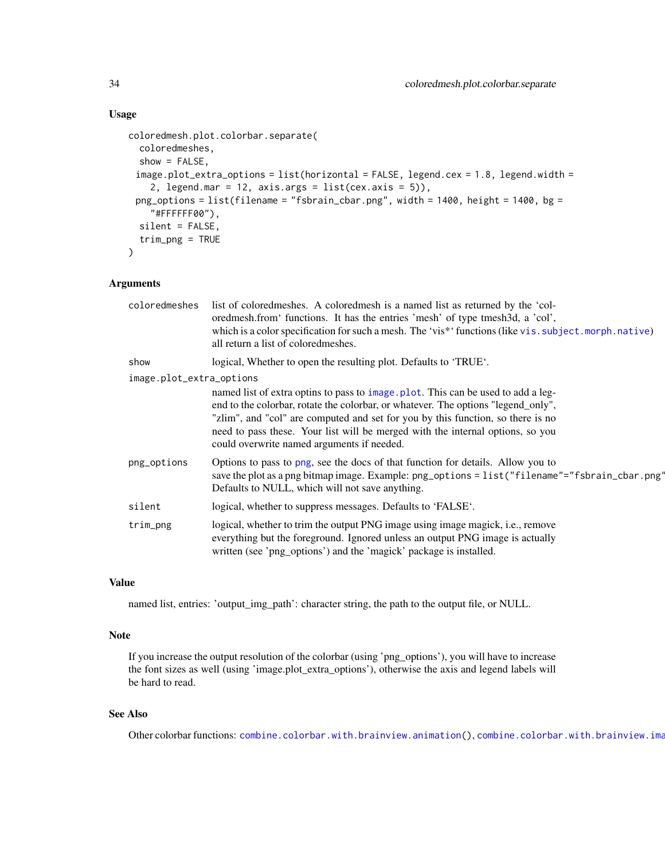```
coloredmesh.plot.colorbar.separate(
  coloredmeshes,
  show = FALSE,
 image.plot\_extra\_options = list(horizontal = FALSE, legend.cex = 1.8, legend.width =2, legend.mar = 12, axis.args = list(cex.axis = 5)),
 png\_options = list(filename = "fsbrain\_cbar.png", width = 1400, height = 1400, bg ="#FFFFFF00"),
  silent = FALSE,
  trim_png = TRUE
\lambda
```
# Arguments

| coloredmeshes            | list of colored meshes. A colored mesh is a named list as returned by the 'col-<br>oredmesh.from 'functions. It has the entries 'mesh' of type tmesh3d, a 'col',<br>which is a color specification for such a mesh. The 'vis*' functions (like vis. subject. morph. native)<br>all return a list of colored meshes.                                                                      |
|--------------------------|------------------------------------------------------------------------------------------------------------------------------------------------------------------------------------------------------------------------------------------------------------------------------------------------------------------------------------------------------------------------------------------|
| show                     | logical, Whether to open the resulting plot. Defaults to 'TRUE'.                                                                                                                                                                                                                                                                                                                         |
| image.plot_extra_options |                                                                                                                                                                                                                                                                                                                                                                                          |
|                          | named list of extra optins to pass to image plot. This can be used to add a leg-<br>end to the colorbar, rotate the colorbar, or whatever. The options "legend_only",<br>"zlim", and "col" are computed and set for you by this function, so there is no<br>need to pass these. Your list will be merged with the internal options, so you<br>could overwrite named arguments if needed. |
| png_options              | Options to pass to png, see the docs of that function for details. Allow you to<br>save the plot as a png bitmap image. Example: png_options = list("filename"="fsbrain_cbar.png"<br>Defaults to NULL, which will not save anything.                                                                                                                                                     |
| silent                   | logical, whether to suppress messages. Defaults to 'FALSE'.                                                                                                                                                                                                                                                                                                                              |
| trim_png                 | logical, whether to trim the output PNG image using image magick, i.e., remove<br>everything but the foreground. Ignored unless an output PNG image is actually<br>written (see 'png_options') and the 'magick' package is installed.                                                                                                                                                    |
|                          |                                                                                                                                                                                                                                                                                                                                                                                          |

## Value

named list, entries: 'output\_img\_path': character string, the path to the output file, or NULL.

#### Note

If you increase the output resolution of the colorbar (using 'png\_options'), you will have to increase the font sizes as well (using 'image.plot\_extra\_options'), otherwise the axis and legend labels will be hard to read.

#### See Also

Other colorbar functions: [combine.colorbar.with.brainview.animation\(](#page-37-1)), combine.colorbar.with.brainview.ima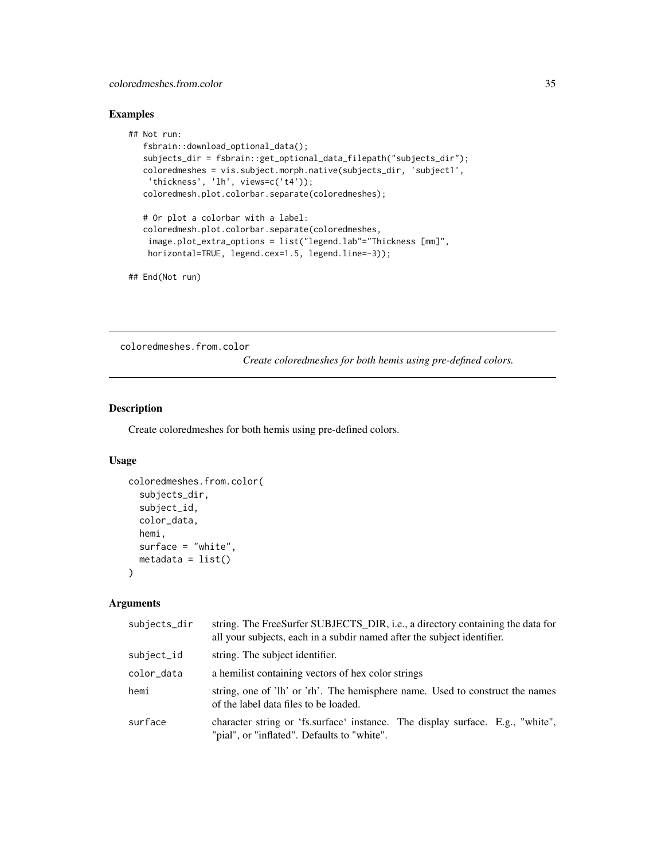# <span id="page-34-0"></span>coloredmeshes.from.color 35

# Examples

```
## Not run:
  fsbrain::download_optional_data();
  subjects_dir = fsbrain::get_optional_data_filepath("subjects_dir");
  coloredmeshes = vis.subject.morph.native(subjects_dir, 'subject1',
    'thickness', 'lh', views=c('t4'));
   coloredmesh.plot.colorbar.separate(coloredmeshes);
  # Or plot a colorbar with a label:
  coloredmesh.plot.colorbar.separate(coloredmeshes,
    image.plot_extra_options = list("legend.lab"="Thickness [mm]",
   horizontal=TRUE, legend.cex=1.5, legend.line=-3));
## End(Not run)
```
<span id="page-34-1"></span>coloredmeshes.from.color

*Create coloredmeshes for both hemis using pre-defined colors.*

# Description

Create coloredmeshes for both hemis using pre-defined colors.

# Usage

```
coloredmeshes.from.color(
  subjects_dir,
  subject_id,
  color_data,
  hemi,
  surface = "white",
 metadata = list())
```

| subjects_dir | string. The FreeSurfer SUBJECTS_DIR, i.e., a directory containing the data for<br>all your subjects, each in a subdir named after the subject identifier. |
|--------------|-----------------------------------------------------------------------------------------------------------------------------------------------------------|
| subject_id   | string. The subject identifier.                                                                                                                           |
| color data   | a hemilist containing vectors of hex color strings                                                                                                        |
| hemi         | string, one of 'lh' or 'rh'. The hemisphere name. Used to construct the names<br>of the label data files to be loaded.                                    |
| surface      | character string or 'fs.surface' instance. The display surface. E.g., "white",<br>"pial", or "inflated". Defaults to "white".                             |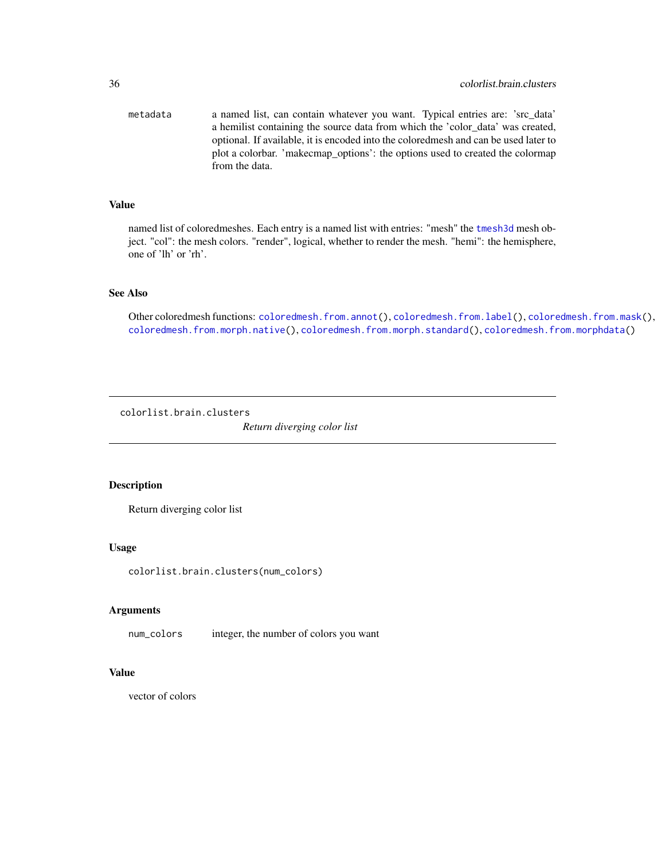<span id="page-35-0"></span>metadata a named list, can contain whatever you want. Typical entries are: 'src\_data' a hemilist containing the source data from which the 'color\_data' was created, optional. If available, it is encoded into the coloredmesh and can be used later to plot a colorbar. 'makecmap\_options': the options used to created the colormap from the data.

# Value

named list of coloredmeshes. Each entry is a named list with entries: "mesh" the [tmesh3d](#page-0-0) mesh object. "col": the mesh colors. "render", logical, whether to render the mesh. "hemi": the hemisphere, one of 'lh' or 'rh'.

# See Also

Other coloredmesh functions: [coloredmesh.from.annot\(](#page-24-2)), [coloredmesh.from.label\(](#page-25-1)), [coloredmesh.from.mask\(](#page-27-1)), [coloredmesh.from.morph.native\(](#page-28-1)), [coloredmesh.from.morph.standard\(](#page-29-1)), [coloredmesh.from.morphdata\(](#page-30-1))

colorlist.brain.clusters

*Return diverging color list*

# Description

Return diverging color list

#### Usage

colorlist.brain.clusters(num\_colors)

#### Arguments

num\_colors integer, the number of colors you want

# Value

vector of colors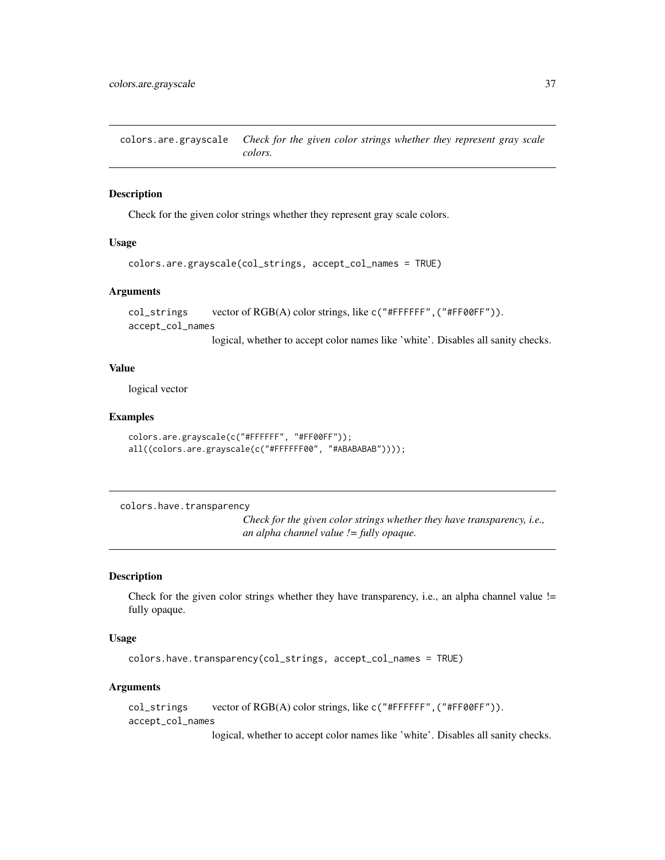colors.are.grayscale *Check for the given color strings whether they represent gray scale colors.*

### Description

Check for the given color strings whether they represent gray scale colors.

#### Usage

```
colors.are.grayscale(col_strings, accept_col_names = TRUE)
```
#### **Arguments**

col\_strings vector of RGB(A) color strings, like c("#FFFFFF",("#FF00FF")). accept\_col\_names

logical, whether to accept color names like 'white'. Disables all sanity checks.

### Value

logical vector

## Examples

```
colors.are.grayscale(c("#FFFFFF", "#FF00FF"));
all((colors.are.grayscale(c("#FFFFFF00", "#ABABABAB"))));
```

```
colors.have.transparency
```
*Check for the given color strings whether they have transparency, i.e., an alpha channel value != fully opaque.*

#### Description

Check for the given color strings whether they have transparency, i.e., an alpha channel value != fully opaque.

#### Usage

```
colors.have.transparency(col_strings, accept_col_names = TRUE)
```
#### Arguments

col\_strings vector of RGB(A) color strings, like c("#FFFFFF",("#FF00FF")). accept\_col\_names

logical, whether to accept color names like 'white'. Disables all sanity checks.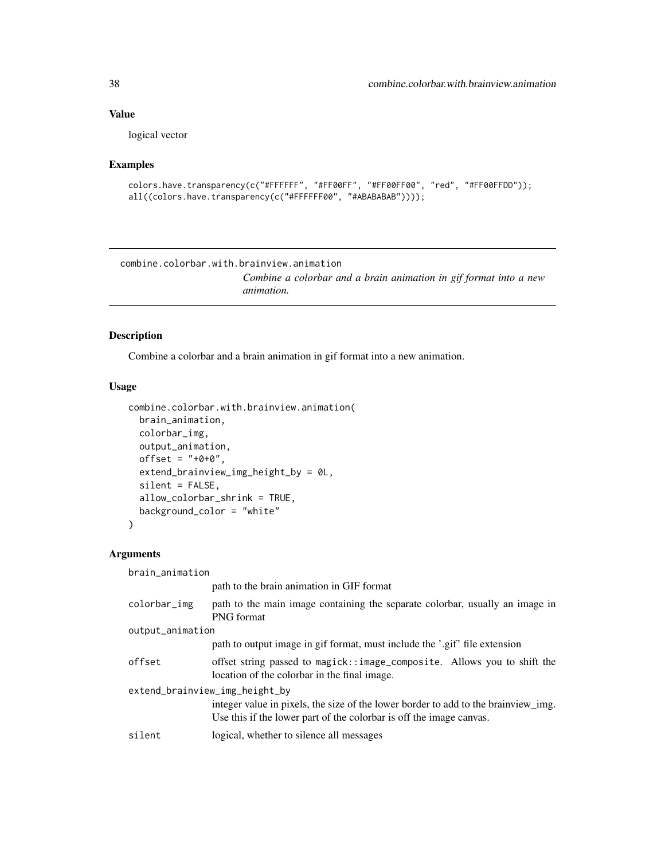### Value

logical vector

## Examples

```
colors.have.transparency(c("#FFFFFF", "#FF00FF", "#FF00FF00", "red", "#FF00FFDD"));
all((colors.have.transparency(c("#FFFFFF00", "#ABABABAB"))));
```
<span id="page-37-0"></span>combine.colorbar.with.brainview.animation *Combine a colorbar and a brain animation in gif format into a new animation.*

## Description

Combine a colorbar and a brain animation in gif format into a new animation.

#### Usage

```
combine.colorbar.with.brainview.animation(
 brain_animation,
  colorbar_img,
 output_animation,
 offset = "+0+0",extend_brainview_img_height_by = 0L,
 silent = FALSE,
 allow_colorbar_shrink = TRUE,
 background_color = "white"
)
```
## Arguments

brain\_animation

|                  | path to the brain animation in GIF format                                                                                                                 |
|------------------|-----------------------------------------------------------------------------------------------------------------------------------------------------------|
| colorbar_img     | path to the main image containing the separate colorbar, usually an image in<br><b>PNG</b> format                                                         |
| output_animation |                                                                                                                                                           |
|                  | path to output image in gif format, must include the '.gif' file extension                                                                                |
| offset           | offset string passed to magick::image_composite. Allows you to shift the<br>location of the colorbar in the final image.                                  |
|                  | extend_brainview_img_height_by                                                                                                                            |
|                  | integer value in pixels, the size of the lower border to add to the brainview_img.<br>Use this if the lower part of the colorbar is off the image canvas. |
| silent           | logical, whether to silence all messages                                                                                                                  |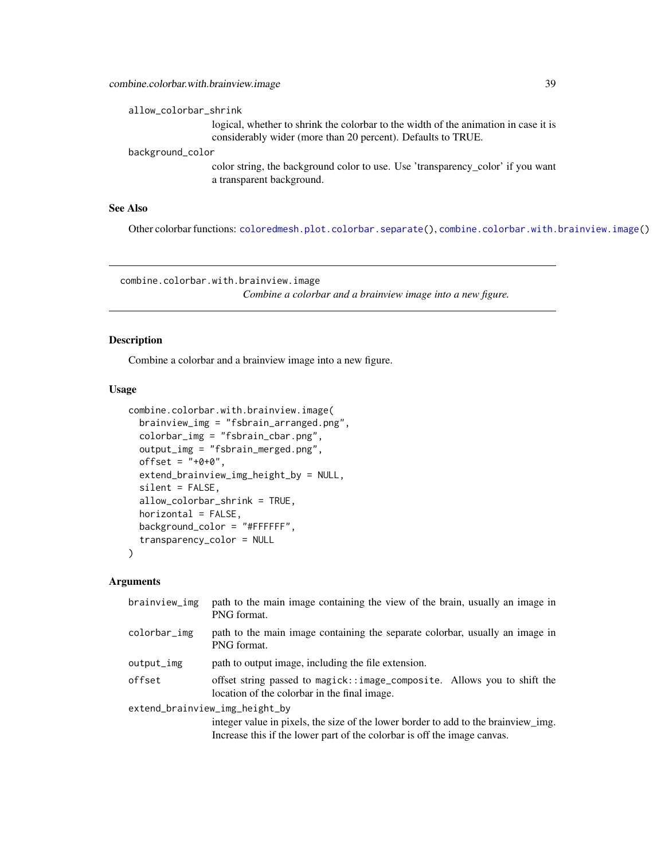allow\_colorbar\_shrink

logical, whether to shrink the colorbar to the width of the animation in case it is considerably wider (more than 20 percent). Defaults to TRUE.

background\_color

color string, the background color to use. Use 'transparency\_color' if you want a transparent background.

## See Also

Other colorbar functions: [coloredmesh.plot.colorbar.separate\(](#page-32-0)), [combine.colorbar.with.brainview.image\(](#page-38-0))

<span id="page-38-0"></span>combine.colorbar.with.brainview.image

*Combine a colorbar and a brainview image into a new figure.*

## Description

Combine a colorbar and a brainview image into a new figure.

#### Usage

```
combine.colorbar.with.brainview.image(
  brainview_img = "fsbrain_arranged.png",
  colorbar_img = "fsbrain_cbar.png",
  output_img = "fsbrain_merged.png",
  offset = "+0+0",extend_brainview_img_height_by = NULL,
  silent = FALSE,
  allow_colorbar_shrink = TRUE,
  horizontal = FALSE,
  background_color = "#FFFFFF",
  transparency_color = NULL
)
```

| brainview_img | path to the main image containing the view of the brain, usually an image in<br>PNG format.                              |
|---------------|--------------------------------------------------------------------------------------------------------------------------|
| colorbar_img  | path to the main image containing the separate colorbar, usually an image in<br>PNG format.                              |
| output_img    | path to output image, including the file extension.                                                                      |
| offset        | offset string passed to magick::image_composite. Allows you to shift the<br>location of the colorbar in the final image. |
|               | extend_brainview_img_height_by                                                                                           |
|               | integer value in pixels, the size of the lower border to add to the brainview_img.                                       |
|               | Increase this if the lower part of the colorbar is off the image canvas.                                                 |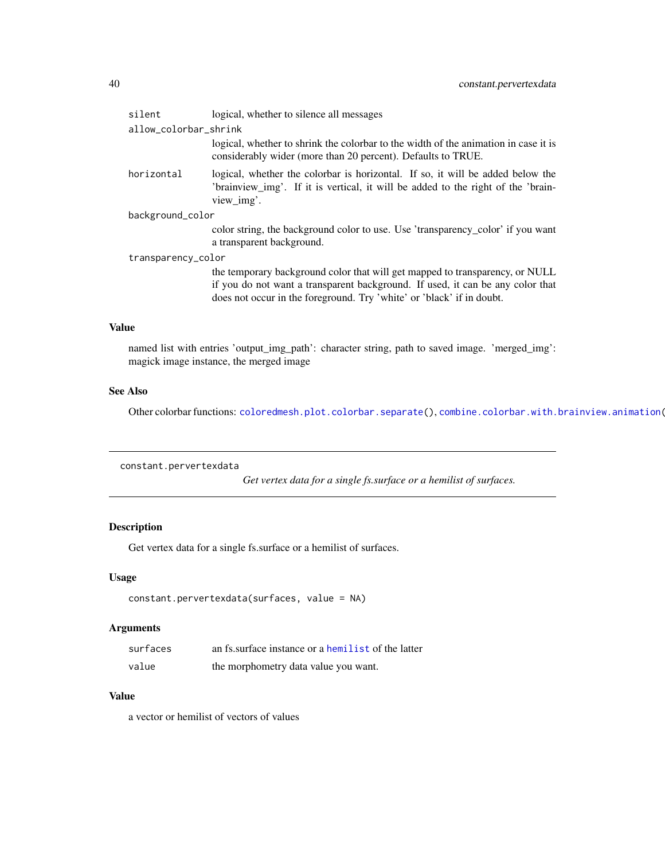| silent                | logical, whether to silence all messages                                                                                                                                                                                                |  |
|-----------------------|-----------------------------------------------------------------------------------------------------------------------------------------------------------------------------------------------------------------------------------------|--|
| allow_colorbar_shrink |                                                                                                                                                                                                                                         |  |
|                       | logical, whether to shrink the colorbar to the width of the animation in case it is<br>considerably wider (more than 20 percent). Defaults to TRUE.                                                                                     |  |
| horizontal            | logical, whether the colorbar is horizontal. If so, it will be added below the<br>'brainview_img'. If it is vertical, it will be added to the right of the 'brain-<br>view_img'.                                                        |  |
| background_color      |                                                                                                                                                                                                                                         |  |
|                       | color string, the background color to use. Use 'transparency_color' if you want<br>a transparent background.                                                                                                                            |  |
| transparency_color    |                                                                                                                                                                                                                                         |  |
|                       | the temporary background color that will get mapped to transparency, or NULL<br>if you do not want a transparent background. If used, it can be any color that<br>does not occur in the foreground. Try 'white' or 'black' if in doubt. |  |

### Value

named list with entries 'output\_img\_path': character string, path to saved image. 'merged\_img': magick image instance, the merged image

## See Also

Other colorbar functions: [coloredmesh.plot.colorbar.separate\(](#page-32-0)), [combine.colorbar.with.brainview.animation\(](#page-37-0)

constant.pervertexdata

*Get vertex data for a single fs.surface or a hemilist of surfaces.*

## Description

Get vertex data for a single fs.surface or a hemilist of surfaces.

## Usage

```
constant.pervertexdata(surfaces, value = NA)
```
## Arguments

| surfaces | an fs. surface instance or a hemilist of the latter |
|----------|-----------------------------------------------------|
| value    | the morphometry data value you want.                |

## Value

a vector or hemilist of vectors of values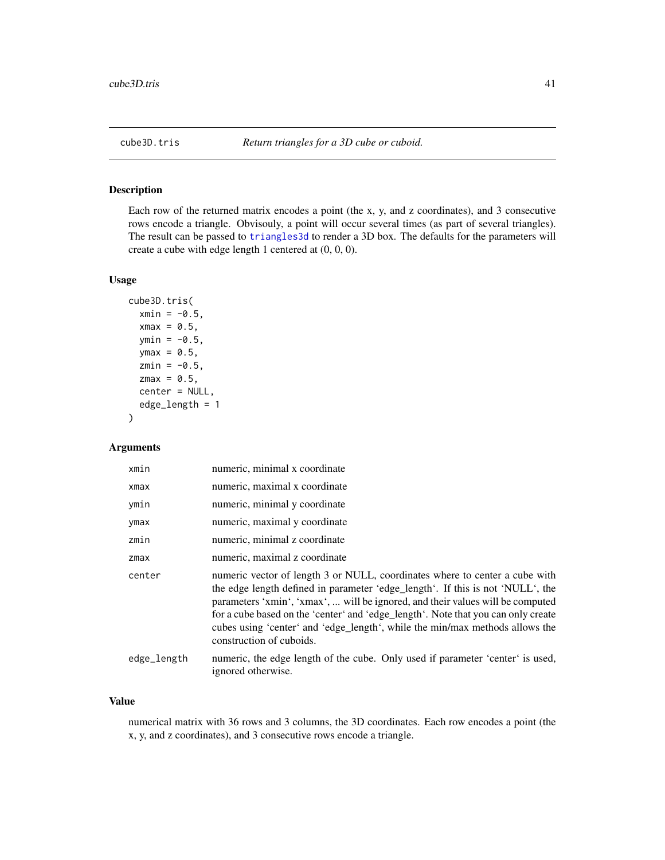<span id="page-40-0"></span>

### Description

Each row of the returned matrix encodes a point (the x, y, and z coordinates), and 3 consecutive rows encode a triangle. Obvisouly, a point will occur several times (as part of several triangles). The result can be passed to [triangles3d](#page-0-0) to render a 3D box. The defaults for the parameters will create a cube with edge length 1 centered at (0, 0, 0).

### Usage

```
cube3D.tris(
  xmin = -0.5,
  xmax = 0.5,
  ymin = -0.5,
  ymax = 0.5,
  zmin = -0.5,
  zmax = 0.5,
  center = NULL,
  edge_length = 1
\mathcal{E}
```
## Arguments

| xmin        | numeric, minimal x coordinate                                                                                                                                                                                                                                                                                                                                                                                                                    |
|-------------|--------------------------------------------------------------------------------------------------------------------------------------------------------------------------------------------------------------------------------------------------------------------------------------------------------------------------------------------------------------------------------------------------------------------------------------------------|
| xmax        | numeric, maximal x coordinate                                                                                                                                                                                                                                                                                                                                                                                                                    |
| ymin        | numeric, minimal y coordinate                                                                                                                                                                                                                                                                                                                                                                                                                    |
| ymax        | numeric, maximal y coordinate                                                                                                                                                                                                                                                                                                                                                                                                                    |
| zmin        | numeric, minimal z coordinate                                                                                                                                                                                                                                                                                                                                                                                                                    |
| zmax        | numeric, maximal z coordinate                                                                                                                                                                                                                                                                                                                                                                                                                    |
| center      | numeric vector of length 3 or NULL, coordinates where to center a cube with<br>the edge length defined in parameter 'edge_length'. If this is not 'NULL', the<br>parameters 'xmin', 'xmax',  will be ignored, and their values will be computed<br>for a cube based on the 'center' and 'edge_length'. Note that you can only create<br>cubes using 'center' and 'edge_length', while the min/max methods allows the<br>construction of cuboids. |
| edge_length | numeric, the edge length of the cube. Only used if parameter 'center' is used,<br>ignored otherwise.                                                                                                                                                                                                                                                                                                                                             |

#### Value

numerical matrix with 36 rows and 3 columns, the 3D coordinates. Each row encodes a point (the x, y, and z coordinates), and 3 consecutive rows encode a triangle.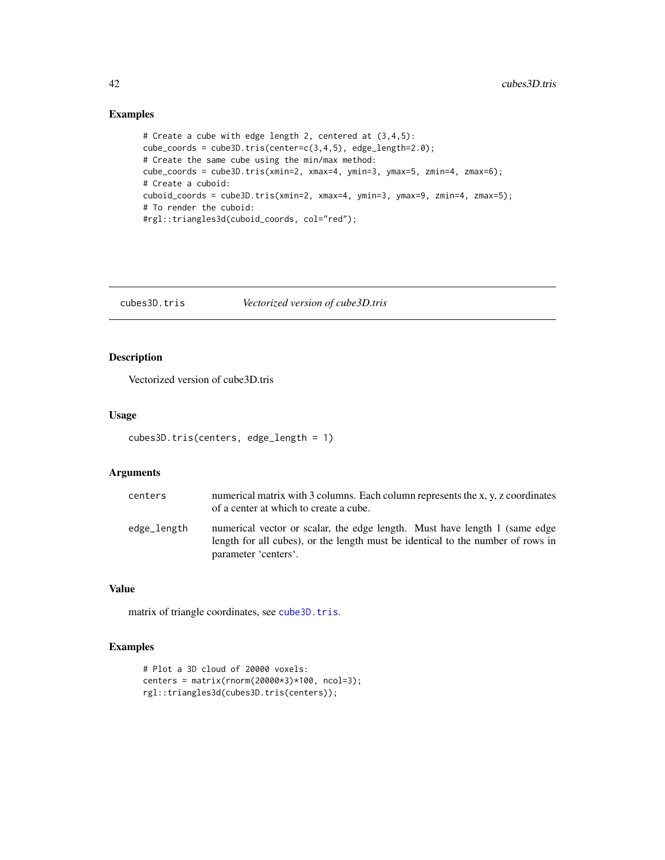## Examples

```
# Create a cube with edge length 2, centered at (3,4,5):
cube_coords = cube3D.tris(center=c(3,4,5), edge_length=2.0);
# Create the same cube using the min/max method:
cube_coords = cube3D.tris(xmin=2, xmax=4, ymin=3, ymax=5, zmin=4, zmax=6);
# Create a cuboid:
cuboid_coords = cube3D.tris(xmin=2, xmax=4, ymin=3, ymax=9, zmin=4, zmax=5);
# To render the cuboid:
#rgl::triangles3d(cuboid_coords, col="red");
```
cubes3D.tris *Vectorized version of cube3D.tris*

## Description

Vectorized version of cube3D.tris

#### Usage

```
cubes3D.tris(centers, edge_length = 1)
```
### Arguments

| centers     | numerical matrix with 3 columns. Each column represents the x, y, z coordinates<br>of a center at which to create a cube.                                                             |
|-------------|---------------------------------------------------------------------------------------------------------------------------------------------------------------------------------------|
| edge_length | numerical vector or scalar, the edge length. Must have length 1 (same edge<br>length for all cubes), or the length must be identical to the number of rows in<br>parameter 'centers'. |

#### Value

matrix of triangle coordinates, see [cube3D.tris](#page-40-0).

## Examples

```
# Plot a 3D cloud of 20000 voxels:
centers = matrix(rnorm(20000*3)*100, ncol=3);
rgl::triangles3d(cubes3D.tris(centers));
```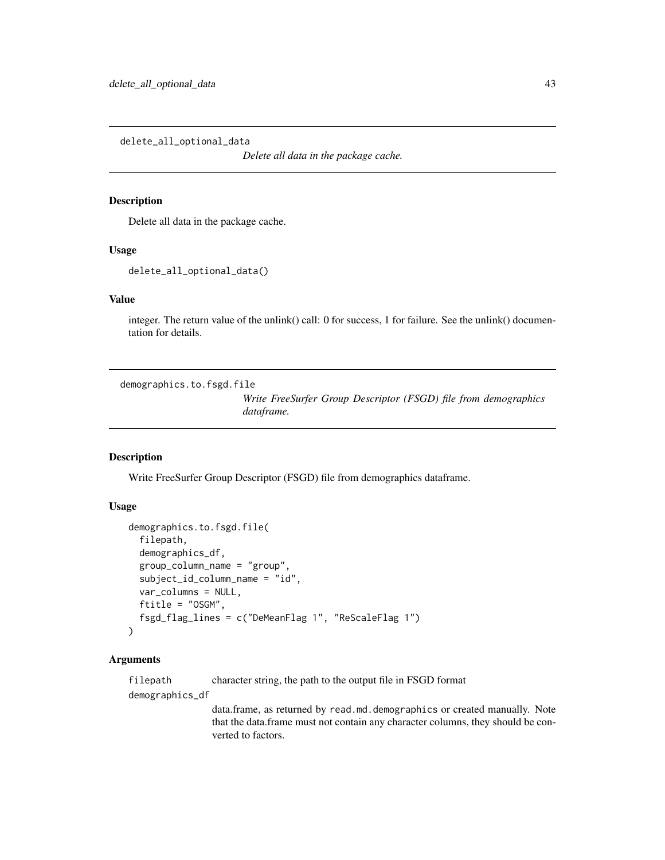delete\_all\_optional\_data

*Delete all data in the package cache.*

#### Description

Delete all data in the package cache.

### Usage

delete\_all\_optional\_data()

## Value

integer. The return value of the unlink() call: 0 for success, 1 for failure. See the unlink() documentation for details.

demographics.to.fsgd.file

*Write FreeSurfer Group Descriptor (FSGD) file from demographics dataframe.*

### Description

Write FreeSurfer Group Descriptor (FSGD) file from demographics dataframe.

## Usage

```
demographics.to.fsgd.file(
  filepath,
  demographics_df,
  group_column_name = "group",
  subject_id_column_name = "id",
  var_columns = NULL,
  ftitle = "OSGM",
  fsgd_flag_lines = c("DeMeanFlag 1", "ReScaleFlag 1")
)
```
#### Arguments

filepath character string, the path to the output file in FSGD format

demographics\_df

data.frame, as returned by read.md.demographics or created manually. Note that the data.frame must not contain any character columns, they should be converted to factors.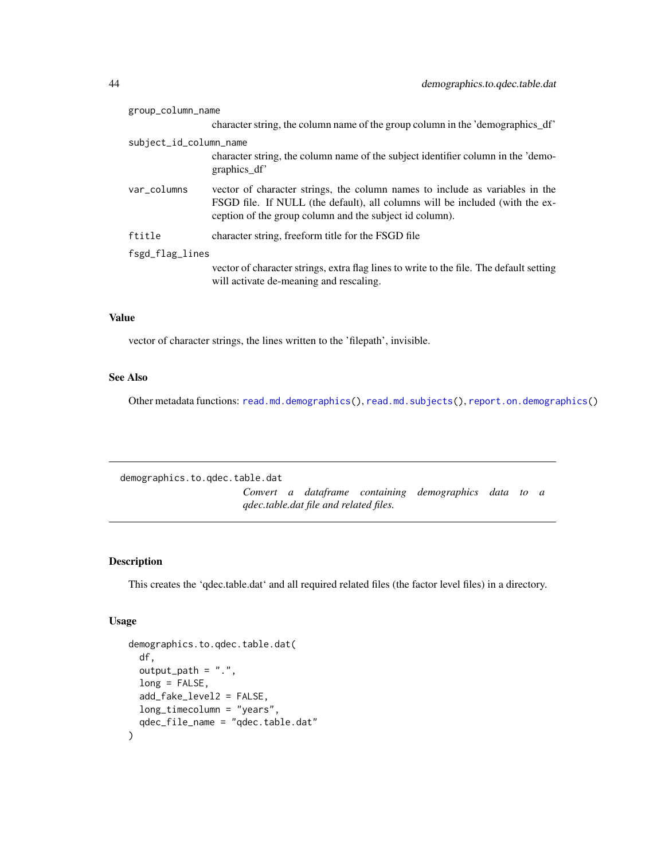| group_column_name      |                                                                                                                                                                                                                         |  |
|------------------------|-------------------------------------------------------------------------------------------------------------------------------------------------------------------------------------------------------------------------|--|
|                        | character string, the column name of the group column in the 'demographics df'                                                                                                                                          |  |
| subject_id_column_name |                                                                                                                                                                                                                         |  |
|                        | character string, the column name of the subject identifier column in the 'demo-<br>graphics_df'                                                                                                                        |  |
| var_columns            | vector of character strings, the column names to include as variables in the<br>FSGD file. If NULL (the default), all columns will be included (with the ex-<br>ception of the group column and the subject id column). |  |
| ftitle                 | character string, freeform title for the FSGD file                                                                                                                                                                      |  |
| fsgd_flag_lines        |                                                                                                                                                                                                                         |  |
|                        | vector of character strings, extra flag lines to write to the file. The default setting<br>will activate de-meaning and rescaling.                                                                                      |  |

## Value

vector of character strings, the lines written to the 'filepath', invisible.

## See Also

Other metadata functions: [read.md.demographics\(](#page-121-0)), [read.md.subjects\(](#page-122-0)), [report.on.demographics\(](#page-124-0))

demographics.to.qdec.table.dat

*Convert a dataframe containing demographics data to a qdec.table.dat file and related files.*

## Description

This creates the 'qdec.table.dat' and all required related files (the factor level files) in a directory.

## Usage

```
demographics.to.qdec.table.dat(
 df,
 output_path = ".",
 long = FALSE,
  add_fake_level2 = FALSE,
 long_timecolumn = "years",
  qdec_file_name = "qdec.table.dat"
\mathcal{E}
```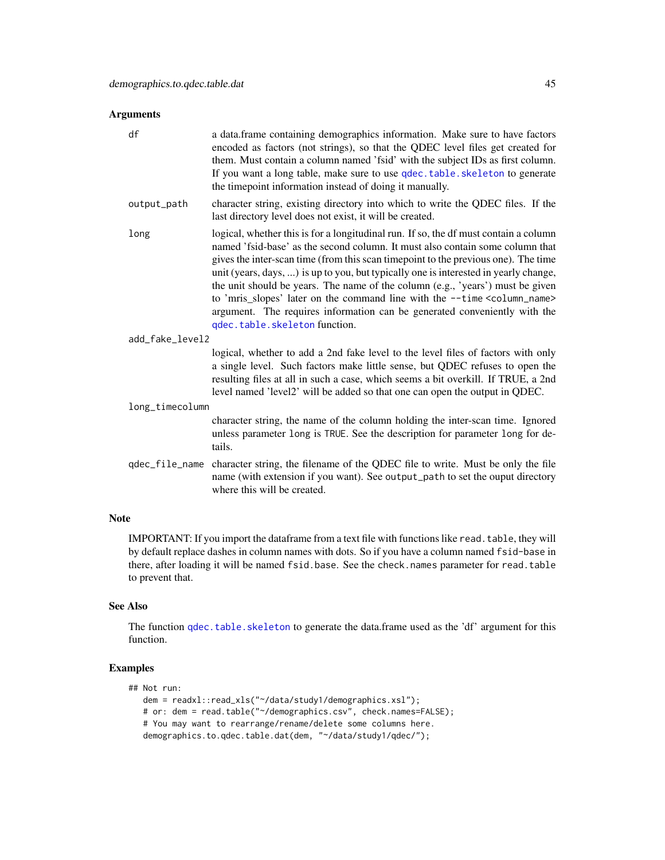### Arguments

| df              | a data.frame containing demographics information. Make sure to have factors<br>encoded as factors (not strings), so that the QDEC level files get created for<br>them. Must contain a column named 'fsid' with the subject IDs as first column.<br>If you want a long table, make sure to use qdec. table. skeleton to generate<br>the timepoint information instead of doing it manually.                                                                                                                                                                                                                                                      |
|-----------------|-------------------------------------------------------------------------------------------------------------------------------------------------------------------------------------------------------------------------------------------------------------------------------------------------------------------------------------------------------------------------------------------------------------------------------------------------------------------------------------------------------------------------------------------------------------------------------------------------------------------------------------------------|
| output_path     | character string, existing directory into which to write the QDEC files. If the<br>last directory level does not exist, it will be created.                                                                                                                                                                                                                                                                                                                                                                                                                                                                                                     |
| long            | logical, whether this is for a longitudinal run. If so, the df must contain a column<br>named 'fsid-base' as the second column. It must also contain some column that<br>gives the inter-scan time (from this scan timepoint to the previous one). The time<br>unit (years, days, ) is up to you, but typically one is interested in yearly change,<br>the unit should be years. The name of the column (e.g., 'years') must be given<br>to 'mris_slopes' later on the command line with the --time <column_name><br/>argument. The requires information can be generated conveniently with the<br/>qdec.table.skeleton function.</column_name> |
| add_fake_level2 |                                                                                                                                                                                                                                                                                                                                                                                                                                                                                                                                                                                                                                                 |
|                 | logical, whether to add a 2nd fake level to the level files of factors with only<br>a single level. Such factors make little sense, but QDEC refuses to open the<br>resulting files at all in such a case, which seems a bit overkill. If TRUE, a 2nd<br>level named 'level2' will be added so that one can open the output in QDEC.                                                                                                                                                                                                                                                                                                            |
| long_timecolumn |                                                                                                                                                                                                                                                                                                                                                                                                                                                                                                                                                                                                                                                 |
|                 | character string, the name of the column holding the inter-scan time. Ignored<br>unless parameter long is TRUE. See the description for parameter long for de-<br>tails.                                                                                                                                                                                                                                                                                                                                                                                                                                                                        |
|                 | qdec_file_name character string, the filename of the QDEC file to write. Must be only the file<br>name (with extension if you want). See output_path to set the ouput directory<br>where this will be created.                                                                                                                                                                                                                                                                                                                                                                                                                                  |
| <b>Note</b>     |                                                                                                                                                                                                                                                                                                                                                                                                                                                                                                                                                                                                                                                 |

IMPORTANT: If you import the dataframe from a text file with functions like read.table, they will by default replace dashes in column names with dots. So if you have a column named fsid-base in there, after loading it will be named fsid.base. See the check.names parameter for read.table to prevent that.

## See Also

The function [qdec.table.skeleton](#page-119-0) to generate the data.frame used as the 'df' argument for this function.

## Examples

```
## Not run:
  dem = readxl::read_xls("~/data/study1/demographics.xsl");
  # or: dem = read.table("~/demographics.csv", check.names=FALSE);
  # You may want to rearrange/rename/delete some columns here.
  demographics.to.qdec.table.dat(dem, "~/data/study1/qdec/");
```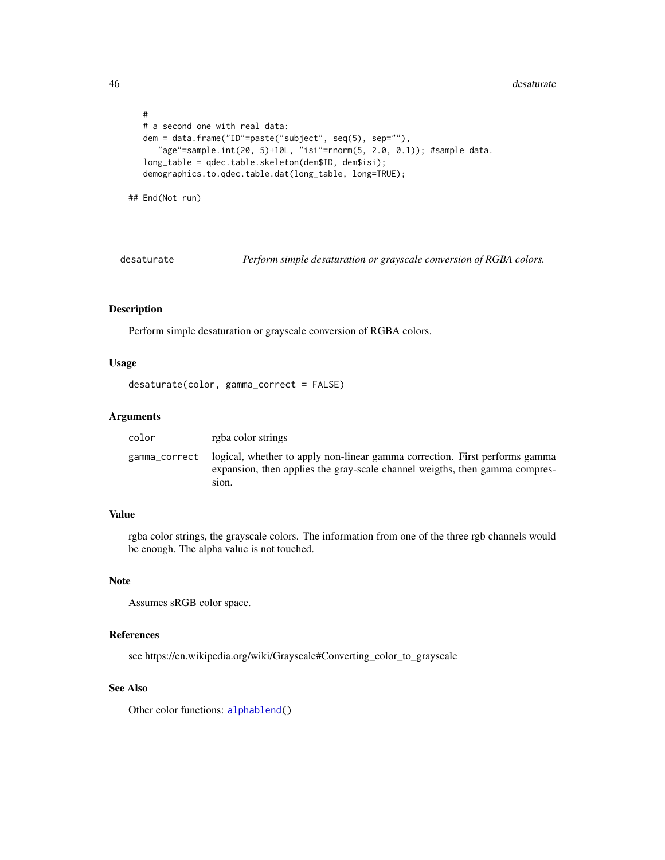46 desaturate desaturate de la contrada de la contrada de la contrada de la contrada de la contrada de la contrada de la contrada de la contrada de la contrada de la contrada de la contrada de la contrada de la contrada de

```
#
# a second one with real data:
dem = data.frame("ID"=paste("subject", seq(5), sep=""),
   "age"=sample.int(20, 5)+10L, "isi"=rnorm(5, 2.0, 0.1)); #sample data.
long_table = qdec.table.skeleton(dem$ID, dem$isi);
demographics.to.qdec.table.dat(long_table, long=TRUE);
```
## End(Not run)

desaturate *Perform simple desaturation or grayscale conversion of RGBA colors.*

#### Description

Perform simple desaturation or grayscale conversion of RGBA colors.

### Usage

```
desaturate(color, gamma_correct = FALSE)
```
#### Arguments

| color | rgba color strings                                                                                                                                                                |
|-------|-----------------------------------------------------------------------------------------------------------------------------------------------------------------------------------|
|       | gamma_correct logical, whether to apply non-linear gamma correction. First performs gamma<br>expansion, then applies the gray-scale channel weigths, then gamma compres-<br>sion. |

## Value

rgba color strings, the grayscale colors. The information from one of the three rgb channels would be enough. The alpha value is not touched.

### Note

Assumes sRGB color space.

## References

see https://en.wikipedia.org/wiki/Grayscale#Converting\_color\_to\_grayscale

### See Also

Other color functions: [alphablend\(](#page-5-0))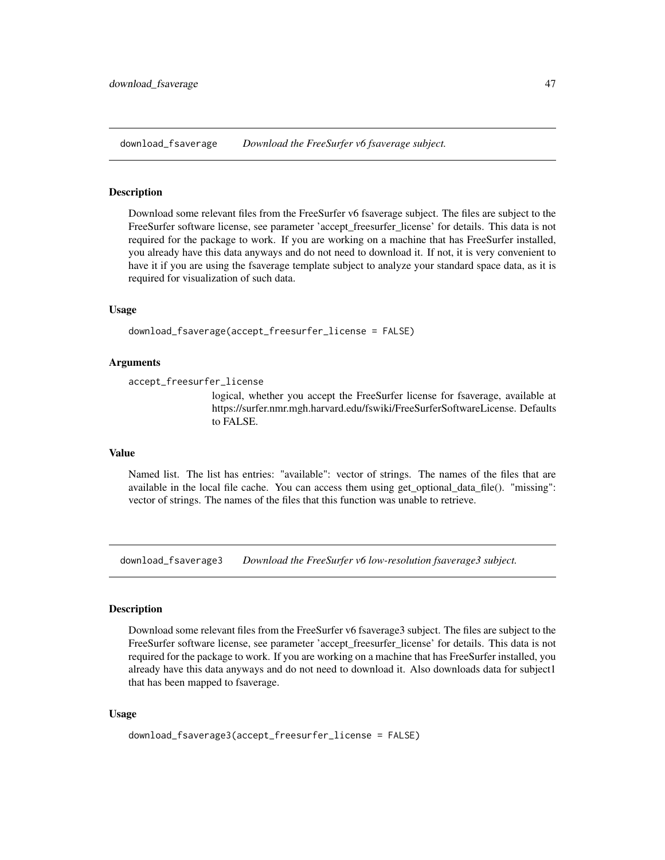<span id="page-46-0"></span>download\_fsaverage *Download the FreeSurfer v6 fsaverage subject.*

#### Description

Download some relevant files from the FreeSurfer v6 fsaverage subject. The files are subject to the FreeSurfer software license, see parameter 'accept\_freesurfer\_license' for details. This data is not required for the package to work. If you are working on a machine that has FreeSurfer installed, you already have this data anyways and do not need to download it. If not, it is very convenient to have it if you are using the fsaverage template subject to analyze your standard space data, as it is required for visualization of such data.

## Usage

download\_fsaverage(accept\_freesurfer\_license = FALSE)

### Arguments

accept\_freesurfer\_license

logical, whether you accept the FreeSurfer license for fsaverage, available at https://surfer.nmr.mgh.harvard.edu/fswiki/FreeSurferSoftwareLicense. Defaults to FALSE.

#### Value

Named list. The list has entries: "available": vector of strings. The names of the files that are available in the local file cache. You can access them using get\_optional\_data\_file(). "missing": vector of strings. The names of the files that this function was unable to retrieve.

download\_fsaverage3 *Download the FreeSurfer v6 low-resolution fsaverage3 subject.*

#### Description

Download some relevant files from the FreeSurfer v6 fsaverage3 subject. The files are subject to the FreeSurfer software license, see parameter 'accept\_freesurfer\_license' for details. This data is not required for the package to work. If you are working on a machine that has FreeSurfer installed, you already have this data anyways and do not need to download it. Also downloads data for subject1 that has been mapped to fsaverage.

#### Usage

download\_fsaverage3(accept\_freesurfer\_license = FALSE)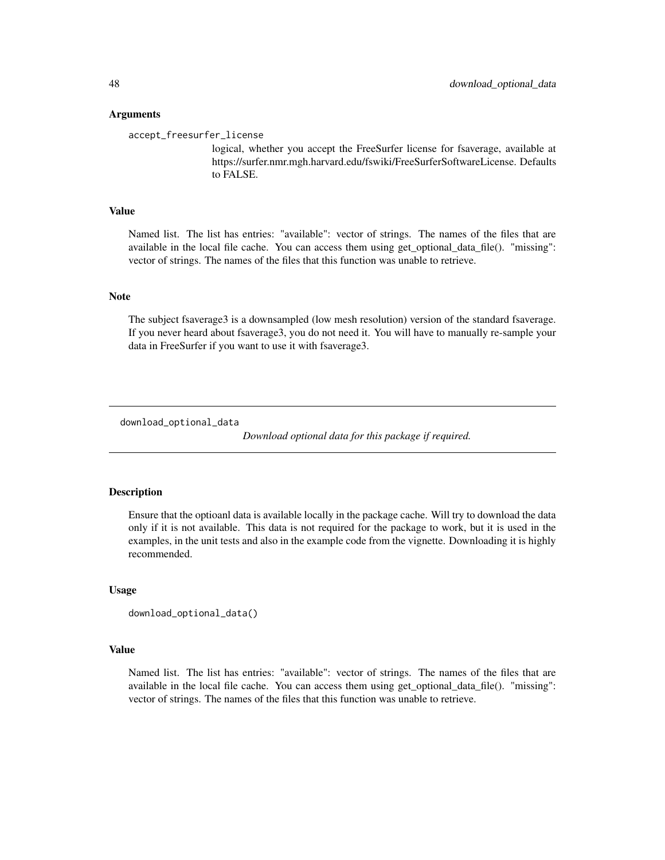#### Arguments

accept\_freesurfer\_license

logical, whether you accept the FreeSurfer license for fsaverage, available at https://surfer.nmr.mgh.harvard.edu/fswiki/FreeSurferSoftwareLicense. Defaults to FALSE.

#### Value

Named list. The list has entries: "available": vector of strings. The names of the files that are available in the local file cache. You can access them using get\_optional\_data\_file(). "missing": vector of strings. The names of the files that this function was unable to retrieve.

#### Note

The subject fsaverage3 is a downsampled (low mesh resolution) version of the standard fsaverage. If you never heard about fsaverage3, you do not need it. You will have to manually re-sample your data in FreeSurfer if you want to use it with fsaverage3.

download\_optional\_data

*Download optional data for this package if required.*

### Description

Ensure that the optioanl data is available locally in the package cache. Will try to download the data only if it is not available. This data is not required for the package to work, but it is used in the examples, in the unit tests and also in the example code from the vignette. Downloading it is highly recommended.

### Usage

```
download_optional_data()
```
### Value

Named list. The list has entries: "available": vector of strings. The names of the files that are available in the local file cache. You can access them using get\_optional\_data\_file(). "missing": vector of strings. The names of the files that this function was unable to retrieve.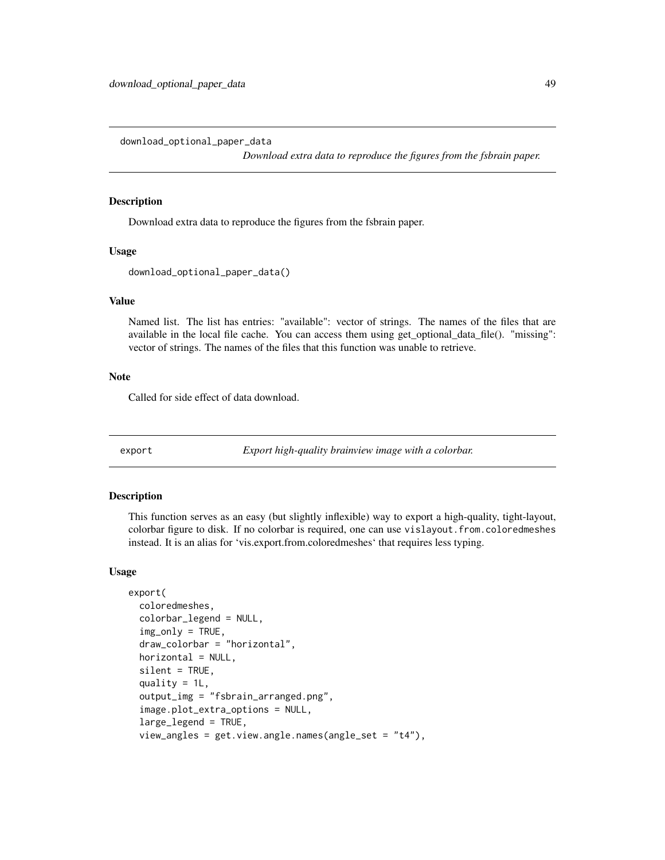download\_optional\_paper\_data

*Download extra data to reproduce the figures from the fsbrain paper.*

## Description

Download extra data to reproduce the figures from the fsbrain paper.

#### Usage

```
download_optional_paper_data()
```
#### Value

Named list. The list has entries: "available": vector of strings. The names of the files that are available in the local file cache. You can access them using get\_optional\_data\_file(). "missing": vector of strings. The names of the files that this function was unable to retrieve.

## Note

Called for side effect of data download.

export *Export high-quality brainview image with a colorbar.*

#### Description

This function serves as an easy (but slightly inflexible) way to export a high-quality, tight-layout, colorbar figure to disk. If no colorbar is required, one can use vislayout.from.coloredmeshes instead. It is an alias for 'vis.export.from.coloredmeshes' that requires less typing.

### Usage

```
export(
 coloredmeshes,
  colorbar_legend = NULL,
  img_only = TRUE,
  draw_colorbar = "horizontal",
  horizontal = NULL,
  silent = TRUE,
  quality = 1L,
  output_img = "fsbrain_arranged.png",
  image.plot_extra_options = NULL,
  large_legend = TRUE,
  view_angles = get.view.angle.names(angle_set = "t4"),
```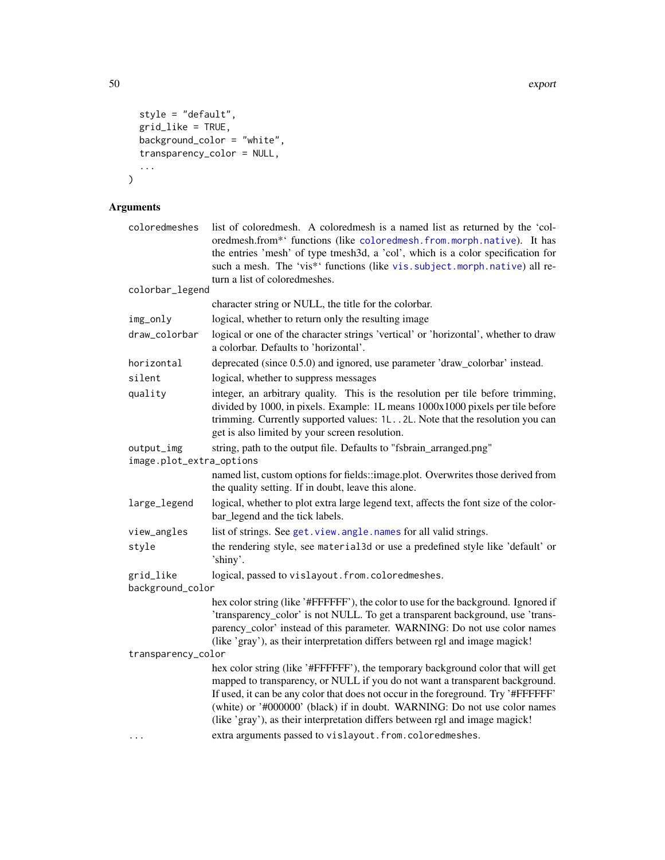```
style = "default",
  grid_like = TRUE,
  \overline{\phantom{a}}background_color = "white",
  transparency_color = NULL,
  ...
\mathcal{L}
```

| coloredmeshes            | list of colored mesh. A colored mesh is a named list as returned by the 'col-<br>oredmesh.from*' functions (like coloredmesh.from.morph.native). It has<br>the entries 'mesh' of type tmesh3d, a 'col', which is a color specification for<br>such a mesh. The 'vis*' functions (like vis. subject. morph. native) all re-<br>turn a list of coloredmeshes.                                                       |
|--------------------------|-------------------------------------------------------------------------------------------------------------------------------------------------------------------------------------------------------------------------------------------------------------------------------------------------------------------------------------------------------------------------------------------------------------------|
| colorbar_legend          |                                                                                                                                                                                                                                                                                                                                                                                                                   |
|                          | character string or NULL, the title for the colorbar.                                                                                                                                                                                                                                                                                                                                                             |
| img_only                 | logical, whether to return only the resulting image                                                                                                                                                                                                                                                                                                                                                               |
| draw_colorbar            | logical or one of the character strings 'vertical' or 'horizontal', whether to draw<br>a colorbar. Defaults to 'horizontal'.                                                                                                                                                                                                                                                                                      |
| horizontal               | deprecated (since 0.5.0) and ignored, use parameter 'draw_colorbar' instead.                                                                                                                                                                                                                                                                                                                                      |
| silent                   | logical, whether to suppress messages                                                                                                                                                                                                                                                                                                                                                                             |
| quality                  | integer, an arbitrary quality. This is the resolution per tile before trimming,<br>divided by 1000, in pixels. Example: 1L means 1000x1000 pixels per tile before<br>trimming. Currently supported values: 1L2L. Note that the resolution you can<br>get is also limited by your screen resolution.                                                                                                               |
| output_img               | string, path to the output file. Defaults to "fsbrain_arranged.png"                                                                                                                                                                                                                                                                                                                                               |
| image.plot_extra_options |                                                                                                                                                                                                                                                                                                                                                                                                                   |
|                          | named list, custom options for fields::image.plot. Overwrites those derived from<br>the quality setting. If in doubt, leave this alone.                                                                                                                                                                                                                                                                           |
| large_legend             | logical, whether to plot extra large legend text, affects the font size of the color-<br>bar_legend and the tick labels.                                                                                                                                                                                                                                                                                          |
| view_angles              | list of strings. See get. view. angle. names for all valid strings.                                                                                                                                                                                                                                                                                                                                               |
| style                    | the rendering style, see material3d or use a predefined style like 'default' or<br>'shiny'.                                                                                                                                                                                                                                                                                                                       |
| grid_like                | logical, passed to vislayout.from.coloredmeshes.                                                                                                                                                                                                                                                                                                                                                                  |
| background_color         |                                                                                                                                                                                                                                                                                                                                                                                                                   |
|                          | hex color string (like '#FFFFFF'), the color to use for the background. Ignored if<br>'transparency_color' is not NULL. To get a transparent background, use 'trans-<br>parency_color' instead of this parameter. WARNING: Do not use color names<br>(like 'gray'), as their interpretation differs between rgl and image magick!                                                                                 |
| transparency_color       |                                                                                                                                                                                                                                                                                                                                                                                                                   |
|                          | hex color string (like '#FFFFFF'), the temporary background color that will get<br>mapped to transparency, or NULL if you do not want a transparent background.<br>If used, it can be any color that does not occur in the foreground. Try '#FFFFFF'<br>(white) or '#000000' (black) if in doubt. WARNING: Do not use color names<br>(like 'gray'), as their interpretation differs between rgl and image magick! |
|                          | extra arguments passed to vislayout.from.coloredmeshes.                                                                                                                                                                                                                                                                                                                                                           |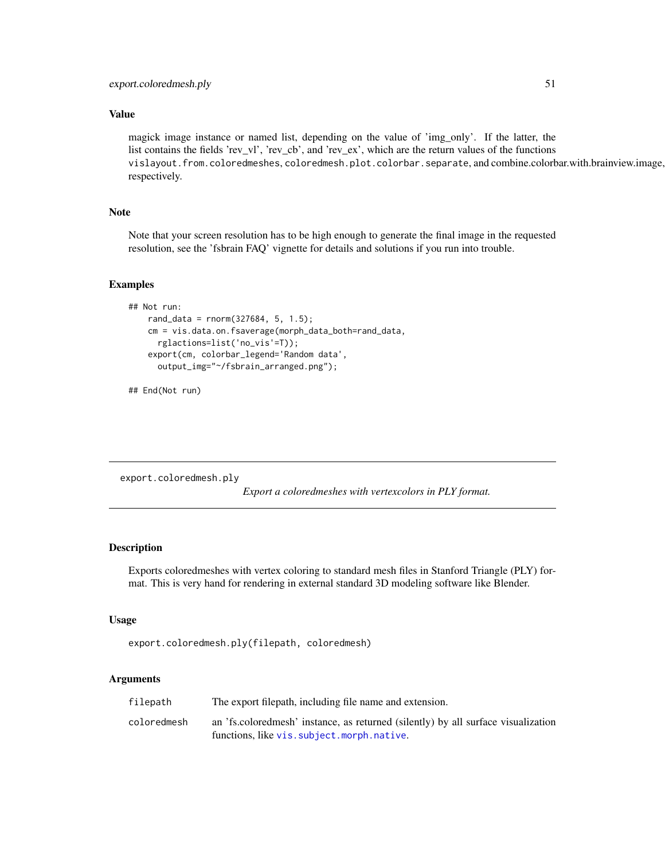### Value

magick image instance or named list, depending on the value of 'img\_only'. If the latter, the list contains the fields 'rev\_vl', 'rev\_cb', and 'rev\_ex', which are the return values of the functions vislayout.from.coloredmeshes, coloredmesh.plot.colorbar.separate, and combine.colorbar.with.brainview.image, respectively.

#### Note

Note that your screen resolution has to be high enough to generate the final image in the requested resolution, see the 'fsbrain FAQ' vignette for details and solutions if you run into trouble.

#### Examples

```
## Not run:
   rand_data = rnorm(327684, 5, 1.5);
   cm = vis.data.on.fsaverage(morph_data_both=rand_data,
     rglactions=list('no_vis'=T));
    export(cm, colorbar_legend='Random data',
     output_img="~/fsbrain_arranged.png");
```
## End(Not run)

export.coloredmesh.ply

*Export a coloredmeshes with vertexcolors in PLY format.*

### Description

Exports coloredmeshes with vertex coloring to standard mesh files in Stanford Triangle (PLY) format. This is very hand for rendering in external standard 3D modeling software like Blender.

#### Usage

```
export.coloredmesh.ply(filepath, coloredmesh)
```

| filepath    | The export filepath, including file name and extension.                           |
|-------------|-----------------------------------------------------------------------------------|
| coloredmesh | an 'fs.coloredmesh' instance, as returned (silently) by all surface visualization |
|             | functions, like vis. subject. morph. native.                                      |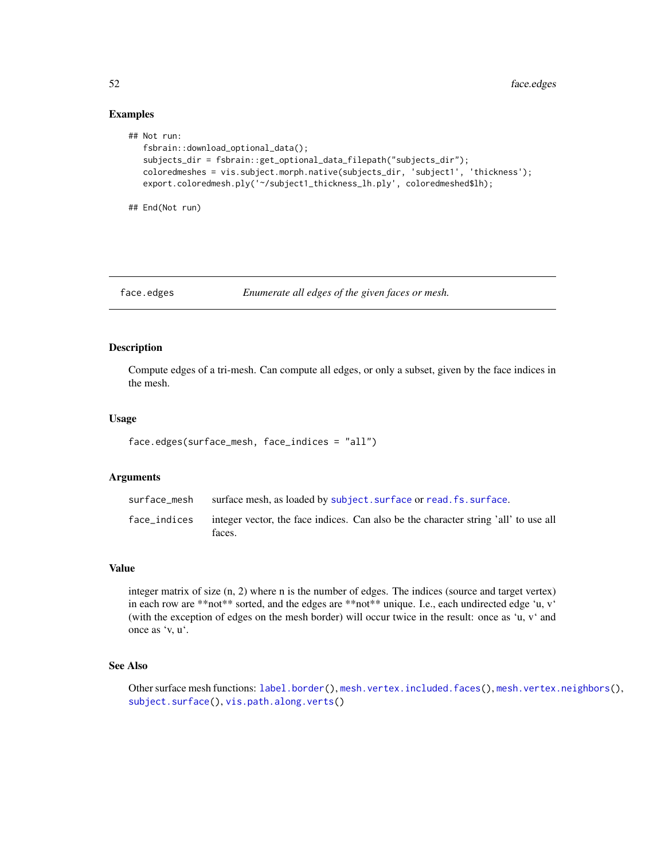## Examples

```
## Not run:
   fsbrain::download_optional_data();
   subjects_dir = fsbrain::get_optional_data_filepath("subjects_dir");
   coloredmeshes = vis.subject.morph.native(subjects_dir, 'subject1', 'thickness');
   export.coloredmesh.ply('~/subject1_thickness_lh.ply', coloredmeshed$lh);
```
## End(Not run)

face.edges *Enumerate all edges of the given faces or mesh.*

## Description

Compute edges of a tri-mesh. Can compute all edges, or only a subset, given by the face indices in the mesh.

## Usage

```
face.edges(surface_mesh, face_indices = "all")
```
### Arguments

| surface mesh | surface mesh, as loaded by subject. surface or read. fs. surface.                                          |
|--------------|------------------------------------------------------------------------------------------------------------|
|              | face indices integer vector, the face indices. Can also be the character string 'all' to use all<br>faces. |

### Value

integer matrix of size (n, 2) where n is the number of edges. The indices (source and target vertex) in each row are \*\*not\*\* sorted, and the edges are \*\*not\*\* unique. I.e., each undirected edge 'u, v' (with the exception of edges on the mesh border) will occur twice in the result: once as 'u, v' and once as 'v, u'.

### See Also

Other surface mesh functions: [label.border\(](#page-101-0)), [mesh.vertex.included.faces\(](#page-0-0)), [mesh.vertex.neighbors\(](#page-110-0)), [subject.surface\(](#page-148-0)), [vis.path.along.verts\(](#page-179-0))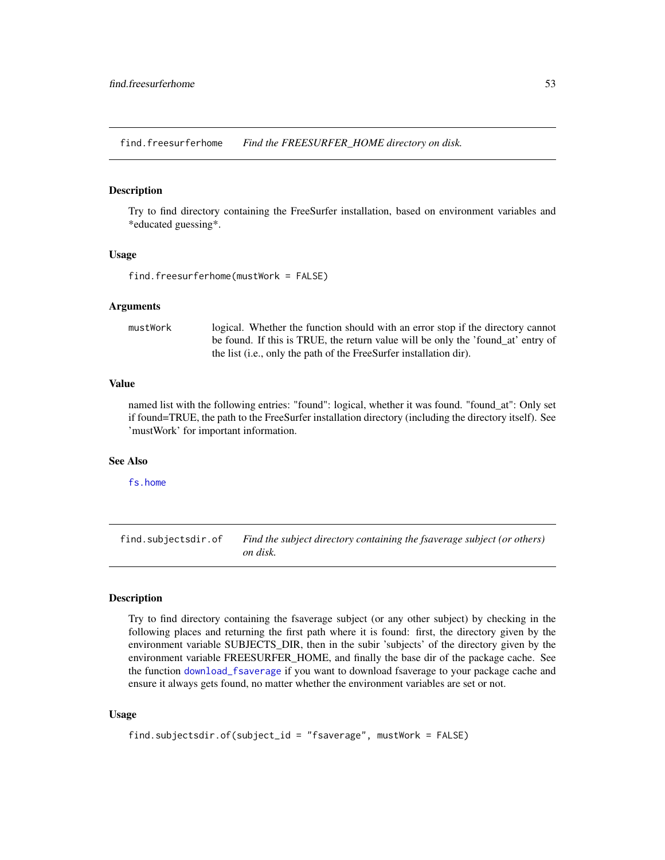find.freesurferhome *Find the FREESURFER\_HOME directory on disk.*

### Description

Try to find directory containing the FreeSurfer installation, based on environment variables and \*educated guessing\*.

### Usage

```
find.freesurferhome(mustWork = FALSE)
```
#### Arguments

mustWork logical. Whether the function should with an error stop if the directory cannot be found. If this is TRUE, the return value will be only the 'found\_at' entry of the list (i.e., only the path of the FreeSurfer installation dir).

#### Value

named list with the following entries: "found": logical, whether it was found. "found\_at": Only set if found=TRUE, the path to the FreeSurfer installation directory (including the directory itself). See 'mustWork' for important information.

### See Also

[fs.home](#page-54-0)

find.subjectsdir.of *Find the subject directory containing the fsaverage subject (or others) on disk.*

#### Description

Try to find directory containing the fsaverage subject (or any other subject) by checking in the following places and returning the first path where it is found: first, the directory given by the environment variable SUBJECTS\_DIR, then in the subir 'subjects' of the directory given by the environment variable FREESURFER\_HOME, and finally the base dir of the package cache. See the function [download\\_fsaverage](#page-46-0) if you want to download fsaverage to your package cache and ensure it always gets found, no matter whether the environment variables are set or not.

#### Usage

```
find.subjectsdir.of(subject_id = "fsaverage", mustWork = FALSE)
```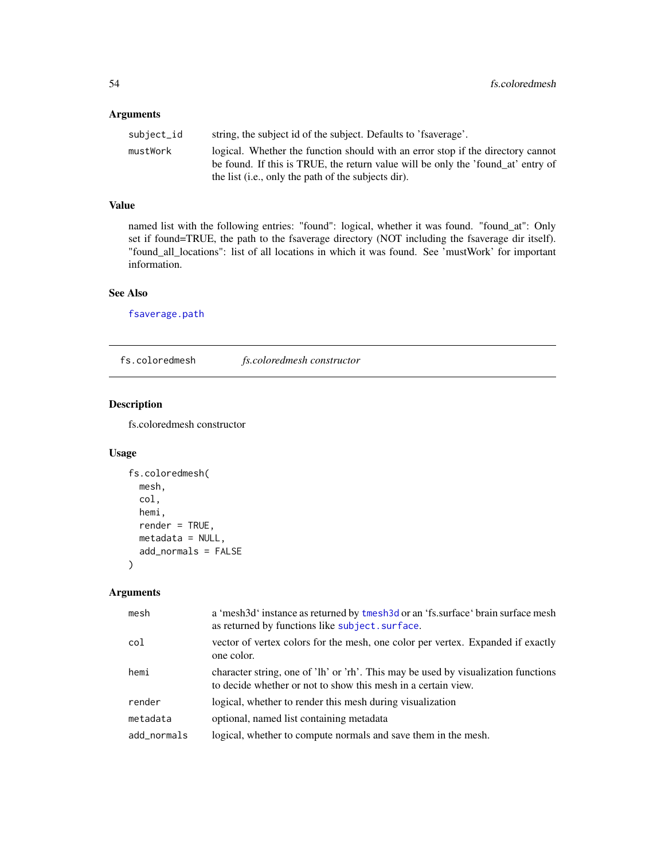### Arguments

| subject_id | string, the subject id of the subject. Defaults to 'fsaverage'.                                                                                                                                                            |
|------------|----------------------------------------------------------------------------------------------------------------------------------------------------------------------------------------------------------------------------|
| mustWork   | logical. Whether the function should with an error stop if the directory cannot<br>be found. If this is TRUE, the return value will be only the 'found_at' entry of<br>the list (i.e., only the path of the subjects dir). |
|            |                                                                                                                                                                                                                            |

### Value

named list with the following entries: "found": logical, whether it was found. "found\_at": Only set if found=TRUE, the path to the fsaverage directory (NOT including the fsaverage dir itself). "found\_all\_locations": list of all locations in which it was found. See 'mustWork' for important information.

### See Also

[fsaverage.path](#page-57-0)

fs.coloredmesh *fs.coloredmesh constructor*

## Description

fs.coloredmesh constructor

## Usage

```
fs.coloredmesh(
 mesh,
  col,
 hemi,
  render = TRUE,
 metadata = NULL,
  add_normals = FALSE
)
```

| mesh        | a 'mesh3d' instance as returned by tmesh3d or an 'fs.surface' brain surface mesh<br>as returned by functions like subject, surface.                 |
|-------------|-----------------------------------------------------------------------------------------------------------------------------------------------------|
| col         | vector of vertex colors for the mesh, one color per vertex. Expanded if exactly<br>one color.                                                       |
| hemi        | character string, one of 'lh' or 'rh'. This may be used by visualization functions<br>to decide whether or not to show this mesh in a certain view. |
| render      | logical, whether to render this mesh during visualization                                                                                           |
| metadata    | optional, named list containing metadata                                                                                                            |
| add_normals | logical, whether to compute normals and save them in the mesh.                                                                                      |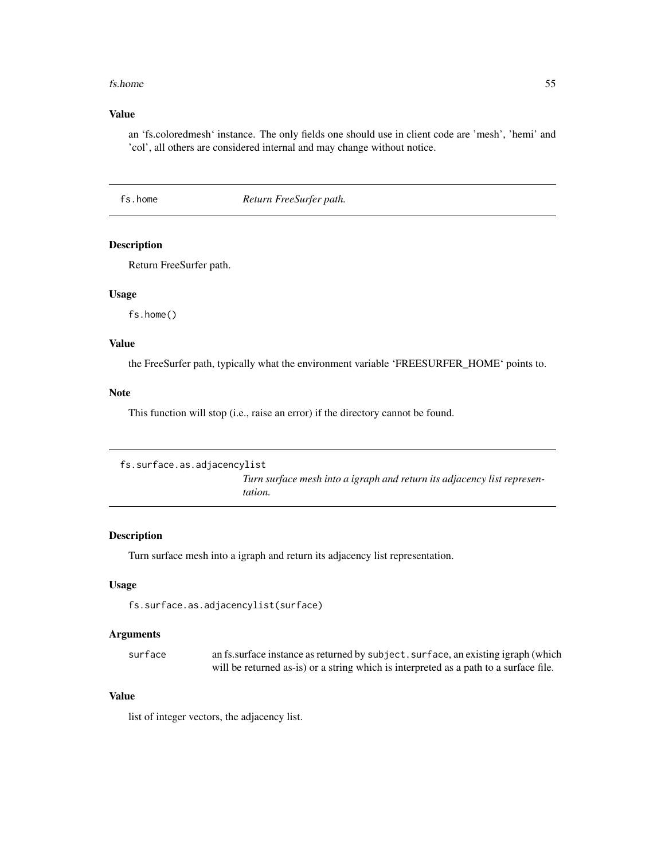#### fs.home 55

### Value

an 'fs.coloredmesh' instance. The only fields one should use in client code are 'mesh', 'hemi' and 'col', all others are considered internal and may change without notice.

<span id="page-54-0"></span>fs.home *Return FreeSurfer path.*

## Description

Return FreeSurfer path.

#### Usage

fs.home()

### Value

the FreeSurfer path, typically what the environment variable 'FREESURFER\_HOME' points to.

## Note

This function will stop (i.e., raise an error) if the directory cannot be found.

```
fs.surface.as.adjacencylist
                           Turn surface mesh into a igraph and return its adjacency list represen-
                           tation.
```
### Description

Turn surface mesh into a igraph and return its adjacency list representation.

### Usage

fs.surface.as.adjacencylist(surface)

## Arguments

surface an fs.surface instance as returned by subject. surface, an existing igraph (which will be returned as-is) or a string which is interpreted as a path to a surface file.

## Value

list of integer vectors, the adjacency list.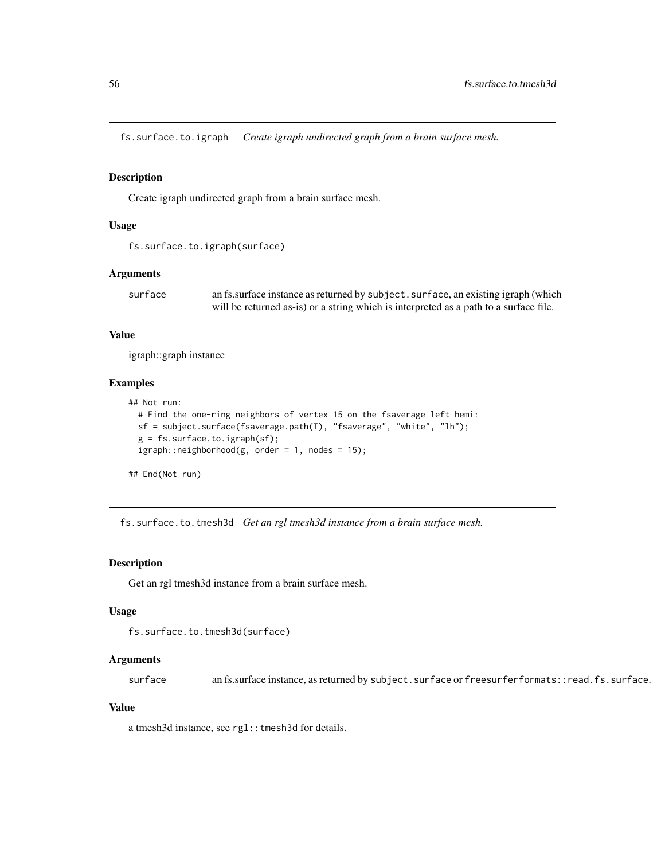fs.surface.to.igraph *Create igraph undirected graph from a brain surface mesh.*

#### **Description**

Create igraph undirected graph from a brain surface mesh.

### Usage

```
fs.surface.to.igraph(surface)
```
### Arguments

surface an fs.surface instance as returned by subject. surface, an existing igraph (which will be returned as-is) or a string which is interpreted as a path to a surface file.

### Value

igraph::graph instance

#### Examples

```
## Not run:
 # Find the one-ring neighbors of vertex 15 on the fsaverage left hemi:
 sf = subject.surface(fsaverage.path(T), "fsaverage", "white", "lh");
 g = fs.surface.to.igraph(sf);igraph::neighborhood(g, order = 1, nodes = 15);
```
## End(Not run)

fs.surface.to.tmesh3d *Get an rgl tmesh3d instance from a brain surface mesh.*

#### Description

Get an rgl tmesh3d instance from a brain surface mesh.

#### Usage

```
fs.surface.to.tmesh3d(surface)
```
#### Arguments

surface an fs.surface instance, as returned by subject.surface or freesurferformats::read.fs.surface.

#### Value

a tmesh3d instance, see rgl:: tmesh3d for details.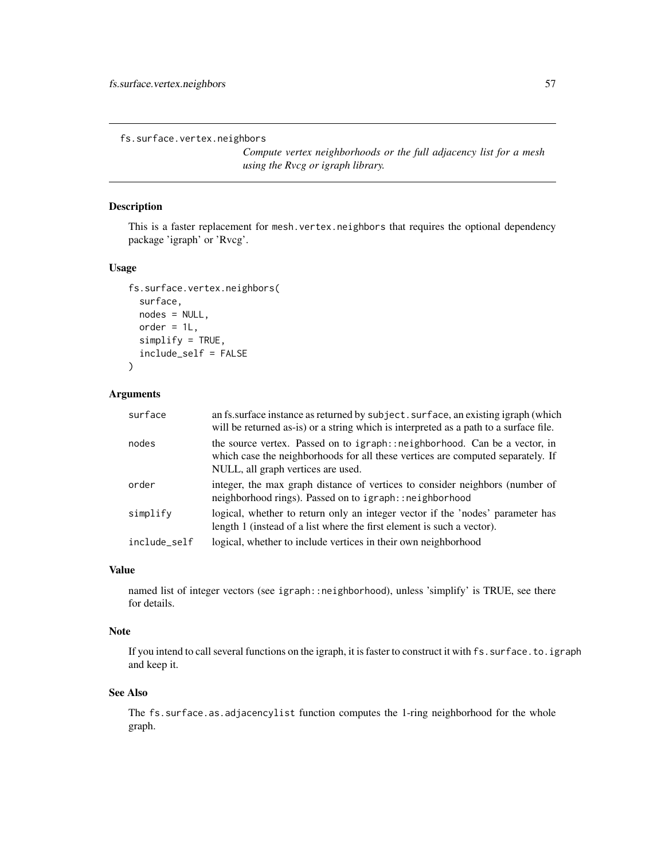fs.surface.vertex.neighbors

*Compute vertex neighborhoods or the full adjacency list for a mesh using the Rvcg or igraph library.*

### Description

This is a faster replacement for mesh.vertex.neighbors that requires the optional dependency package 'igraph' or 'Rvcg'.

## Usage

```
fs.surface.vertex.neighbors(
  surface,
  nodes = NULL,
  order = 1L,
  simplify = TRUE,
  include_self = FALSE
)
```
## Arguments

| surface      | an fs. surface instance as returned by subject. surface, an existing igraph (which<br>will be returned as-is) or a string which is interpreted as a path to a surface file.                         |
|--------------|-----------------------------------------------------------------------------------------------------------------------------------------------------------------------------------------------------|
| nodes        | the source vertex. Passed on to igraph:: neighborhood. Can be a vector, in<br>which case the neighborhoods for all these vertices are computed separately. If<br>NULL, all graph vertices are used. |
| order        | integer, the max graph distance of vertices to consider neighbors (number of<br>neighborhood rings). Passed on to igraph:: neighborhood                                                             |
| simplify     | logical, whether to return only an integer vector if the 'nodes' parameter has<br>length 1 (instead of a list where the first element is such a vector).                                            |
| include_self | logical, whether to include vertices in their own neighborhood                                                                                                                                      |

#### Value

named list of integer vectors (see igraph::neighborhood), unless 'simplify' is TRUE, see there for details.

#### Note

If you intend to call several functions on the igraph, it is faster to construct it with fs. surface.to.igraph and keep it.

## See Also

The fs.surface.as.adjacencylist function computes the 1-ring neighborhood for the whole graph.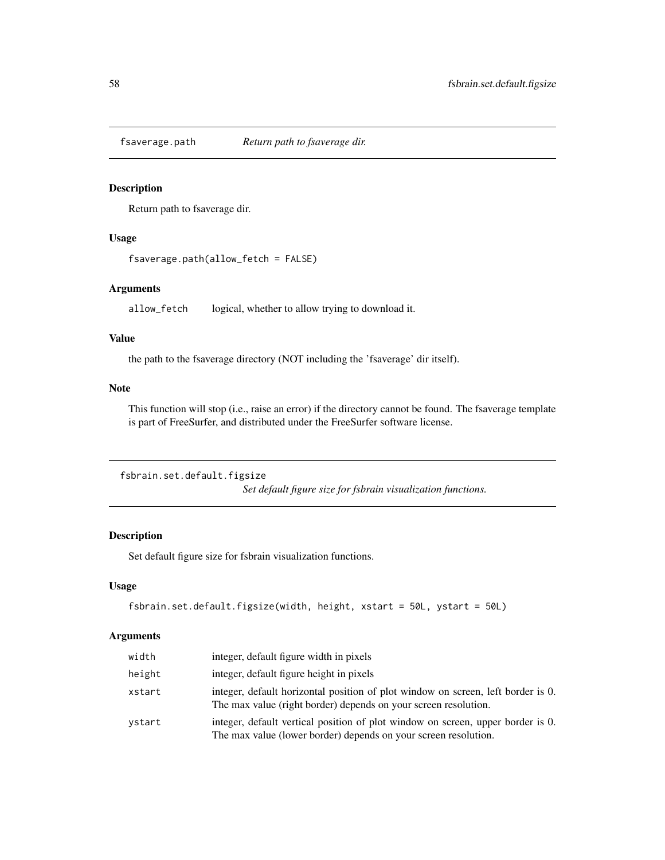<span id="page-57-0"></span>

#### Description

Return path to fsaverage dir.

## Usage

fsaverage.path(allow\_fetch = FALSE)

### Arguments

allow\_fetch logical, whether to allow trying to download it.

#### Value

the path to the fsaverage directory (NOT including the 'fsaverage' dir itself).

## Note

This function will stop (i.e., raise an error) if the directory cannot be found. The fsaverage template is part of FreeSurfer, and distributed under the FreeSurfer software license.

```
fsbrain.set.default.figsize
```
*Set default figure size for fsbrain visualization functions.*

## Description

Set default figure size for fsbrain visualization functions.

## Usage

```
fsbrain.set.default.figsize(width, height, xstart = 50L, ystart = 50L)
```

| width  | integer, default figure width in pixels                                                                                                             |
|--------|-----------------------------------------------------------------------------------------------------------------------------------------------------|
| height | integer, default figure height in pixels                                                                                                            |
| xstart | integer, default horizontal position of plot window on screen, left border is 0.<br>The max value (right border) depends on your screen resolution. |
| vstart | integer, default vertical position of plot window on screen, upper border is 0.<br>The max value (lower border) depends on your screen resolution.  |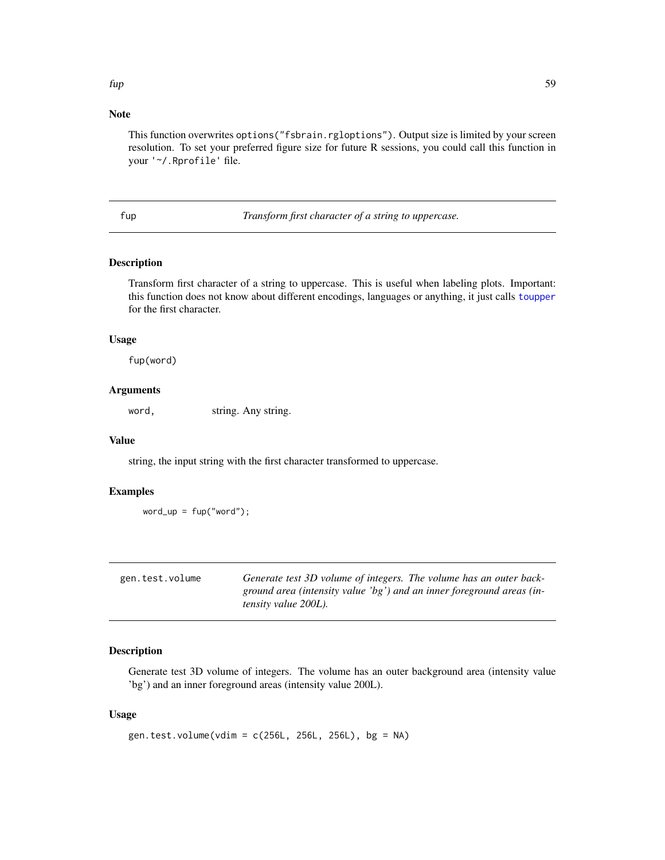## Note

This function overwrites options("fsbrain.rgloptions"). Output size is limited by your screen resolution. To set your preferred figure size for future R sessions, you could call this function in your '~/.Rprofile' file.

fup *Transform first character of a string to uppercase.*

## Description

Transform first character of a string to uppercase. This is useful when labeling plots. Important: this function does not know about different encodings, languages or anything, it just calls [toupper](#page-0-0) for the first character.

## Usage

fup(word)

### **Arguments**

word, string. Any string.

### Value

string, the input string with the first character transformed to uppercase.

#### Examples

```
word_up = fup("word");
```

| gen.test.volume | Generate test 3D volume of integers. The volume has an outer back-    |
|-----------------|-----------------------------------------------------------------------|
|                 | ground area (intensity value 'bg') and an inner foreground areas (in- |
|                 | <i>tensity value 200L).</i>                                           |

## Description

Generate test 3D volume of integers. The volume has an outer background area (intensity value 'bg') and an inner foreground areas (intensity value 200L).

#### Usage

```
gen.test.volume(vdim = c(256L, 256L, 256L), bg = NA)
```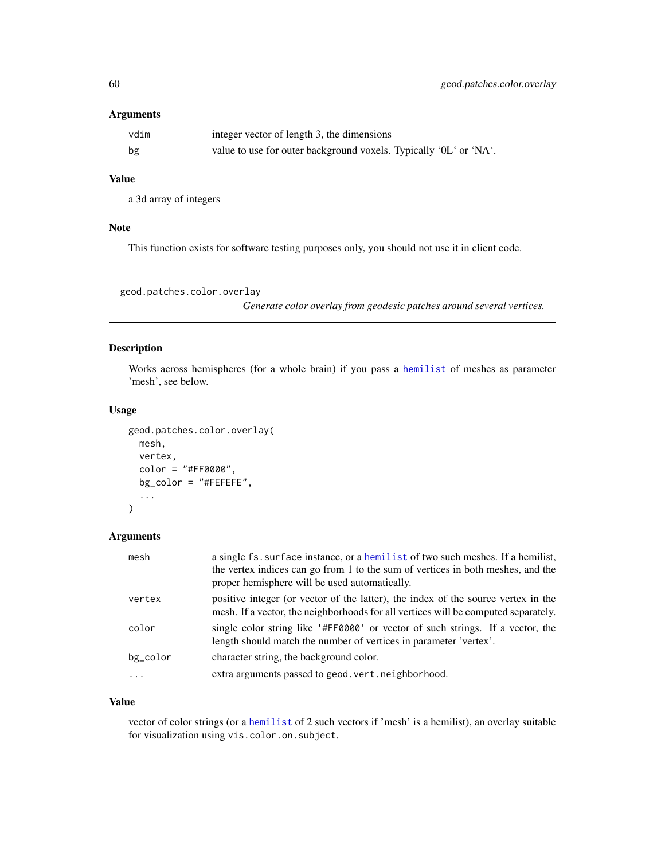## Arguments

| vdim | integer vector of length 3, the dimensions                        |
|------|-------------------------------------------------------------------|
| bg   | value to use for outer background voxels. Typically '0L' or 'NA'. |

## Value

a 3d array of integers

## Note

This function exists for software testing purposes only, you should not use it in client code.

```
geod.patches.color.overlay
```
*Generate color overlay from geodesic patches around several vertices.*

## Description

Works across hemispheres (for a whole brain) if you pass a [hemilist](#page-90-0) of meshes as parameter 'mesh', see below.

### Usage

```
geod.patches.color.overlay(
 mesh,
 vertex,
  color = "#FF0000",bg_color = "#FEFEFE",
  ...
)
```
## Arguments

| mesh     | a single fs. surface instance, or a hemilist of two such meshes. If a hemilist,<br>the vertex indices can go from 1 to the sum of vertices in both meshes, and the<br>proper hemisphere will be used automatically. |
|----------|---------------------------------------------------------------------------------------------------------------------------------------------------------------------------------------------------------------------|
| vertex   | positive integer (or vector of the latter), the index of the source vertex in the<br>mesh. If a vector, the neighborhoods for all vertices will be computed separately.                                             |
| color    | single color string like '#FF0000' or vector of such strings. If a vector, the<br>length should match the number of vertices in parameter 'vertex'.                                                                 |
| bg_color | character string, the background color.                                                                                                                                                                             |
|          | extra arguments passed to geod. vert. neighborhood.                                                                                                                                                                 |

#### Value

vector of color strings (or a [hemilist](#page-90-0) of 2 such vectors if 'mesh' is a hemilist), an overlay suitable for visualization using vis.color.on.subject.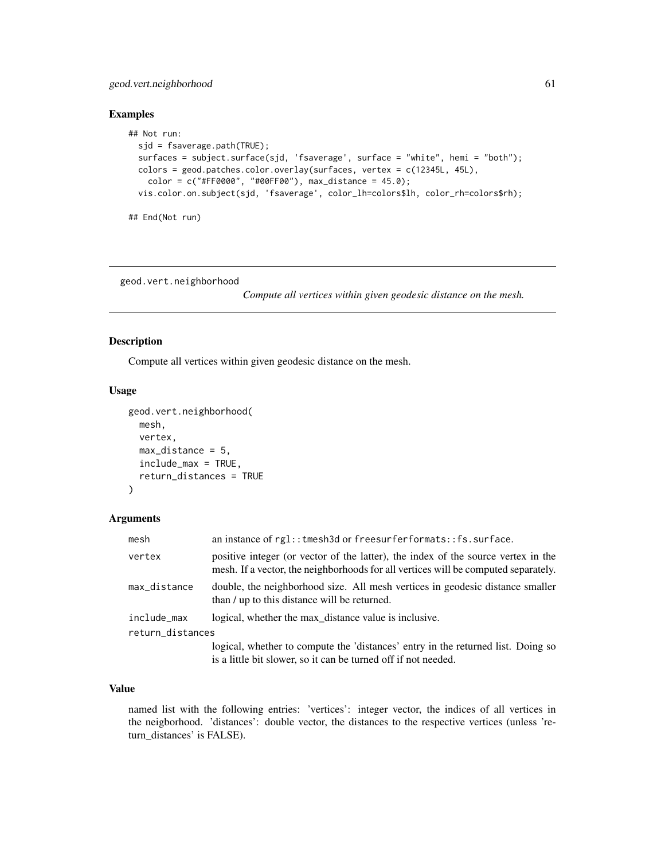## geod.vert.neighborhood 61

## Examples

```
## Not run:
 sjd = fsaverage.path(TRUE);
 surfaces = subject.surface(sjd, 'fsaverage', surface = "white", hemi = "both");
 colors = geod.patches.color.overlay(surfaces, vertex = c(12345L, 45L),
   color = c("#FF0000", "#00FF00"), max_distance = 45.0);vis.color.on.subject(sjd, 'fsaverage', color_lh=colors$lh, color_rh=colors$rh);
## End(Not run)
```
geod.vert.neighborhood

*Compute all vertices within given geodesic distance on the mesh.*

## Description

Compute all vertices within given geodesic distance on the mesh.

#### Usage

```
geod.vert.neighborhood(
  mesh,
  vertex,
 max\_distance = 5,
  include_max = TRUE,
  return_distances = TRUE
)
```
## Arguments

| mesh             | an instance of $rgl::tmesh3d$ or freesurferformats:: fs. surface.                                                                                                       |  |
|------------------|-------------------------------------------------------------------------------------------------------------------------------------------------------------------------|--|
| vertex           | positive integer (or vector of the latter), the index of the source vertex in the<br>mesh. If a vector, the neighborhoods for all vertices will be computed separately. |  |
| max_distance     | double, the neighborhood size. All mesh vertices in geodesic distance smaller<br>than / up to this distance will be returned.                                           |  |
| include_max      | logical, whether the max_distance value is inclusive.                                                                                                                   |  |
| return_distances |                                                                                                                                                                         |  |
|                  | logical, whether to compute the 'distances' entry in the returned list. Doing so<br>is a little bit slower, so it can be turned off if not needed.                      |  |

## Value

named list with the following entries: 'vertices': integer vector, the indices of all vertices in the neigborhood. 'distances': double vector, the distances to the respective vertices (unless 'return\_distances' is FALSE).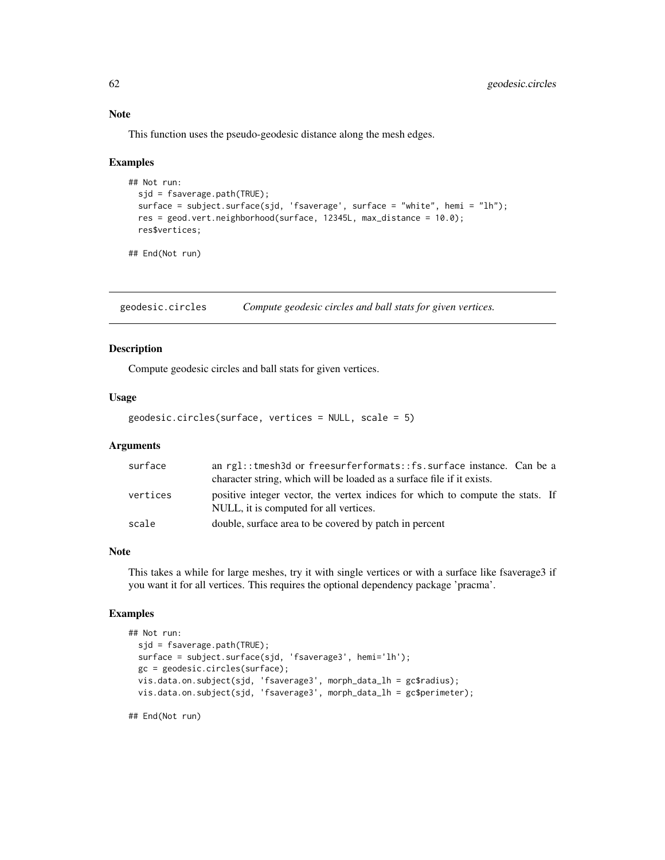This function uses the pseudo-geodesic distance along the mesh edges.

#### Examples

```
## Not run:
 sjd = fsaverage.path(TRUE);
 surface = subject.surface(sjd, 'fsaverage', surface = "white", hemi = "lh");
 res = geod.vert.neighborhood(surface, 12345L, max_distance = 10.0);
 res$vertices;
```
## End(Not run)

geodesic.circles *Compute geodesic circles and ball stats for given vertices.*

### Description

Compute geodesic circles and ball stats for given vertices.

### Usage

geodesic.circles(surface, vertices = NULL, scale = 5)

#### Arguments

| surface  | an rgl::tmesh3d or freesurferformats::fs.surface instance. Can be a                                                      |
|----------|--------------------------------------------------------------------------------------------------------------------------|
|          | character string, which will be loaded as a surface file if it exists.                                                   |
| vertices | positive integer vector, the vertex indices for which to compute the stats. If<br>NULL, it is computed for all vertices. |
| scale    | double, surface area to be covered by patch in percent                                                                   |

#### Note

This takes a while for large meshes, try it with single vertices or with a surface like fsaverage3 if you want it for all vertices. This requires the optional dependency package 'pracma'.

#### Examples

```
## Not run:
 sjd = fsaverage.path(TRUE);
 surface = subject.surface(sjd, 'fsaverage3', hemi='lh');
 gc = geodesic.circles(surface);
 vis.data.on.subject(sjd, 'fsaverage3', morph_data_lh = gc$radius);
 vis.data.on.subject(sjd, 'fsaverage3', morph_data_lh = gc$perimeter);
```
## End(Not run)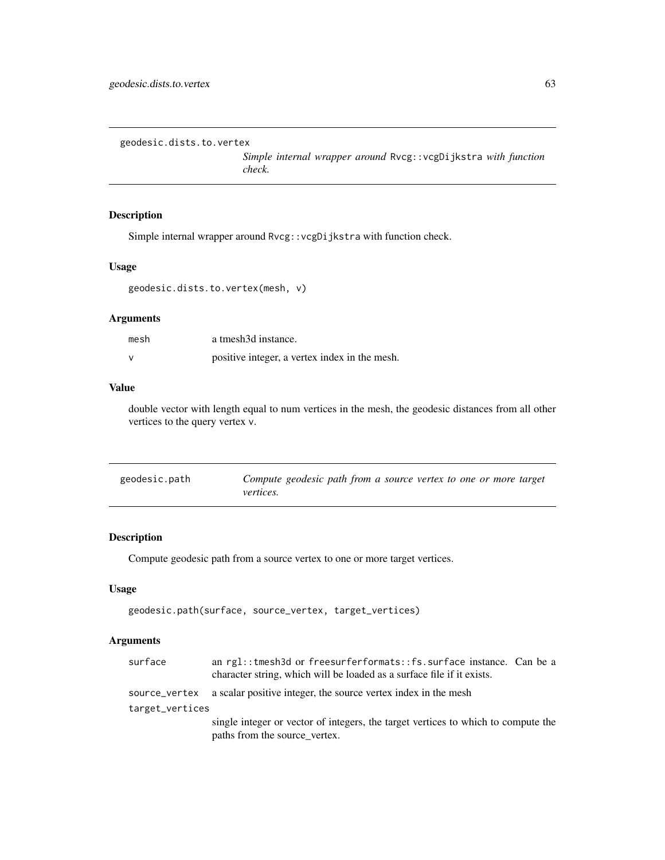```
geodesic.dists.to.vertex
```
*Simple internal wrapper around* Rvcg::vcgDijkstra *with function check.*

### Description

Simple internal wrapper around Rvcg::vcgDijkstra with function check.

### Usage

```
geodesic.dists.to.vertex(mesh, v)
```
## Arguments

| mesh | a tmesh3d instance.                           |
|------|-----------------------------------------------|
|      | positive integer, a vertex index in the mesh. |

## Value

double vector with length equal to num vertices in the mesh, the geodesic distances from all other vertices to the query vertex v.

| geodesic.path | Compute geodesic path from a source vertex to one or more target |
|---------------|------------------------------------------------------------------|
|               | <i>vertices.</i>                                                 |

## Description

Compute geodesic path from a source vertex to one or more target vertices.

### Usage

```
geodesic.path(surface, source_vertex, target_vertices)
```

| surface         | an rgl:: tmesh3d or freesurferformats:: fs. surface instance. Can be a<br>character string, which will be loaded as a surface file if it exists. |
|-----------------|--------------------------------------------------------------------------------------------------------------------------------------------------|
|                 | source_vertex a scalar positive integer, the source vertex index in the mesh                                                                     |
| target_vertices |                                                                                                                                                  |
|                 | single integer or vector of integers, the target vertices to which to compute the                                                                |
|                 | paths from the source_vertex.                                                                                                                    |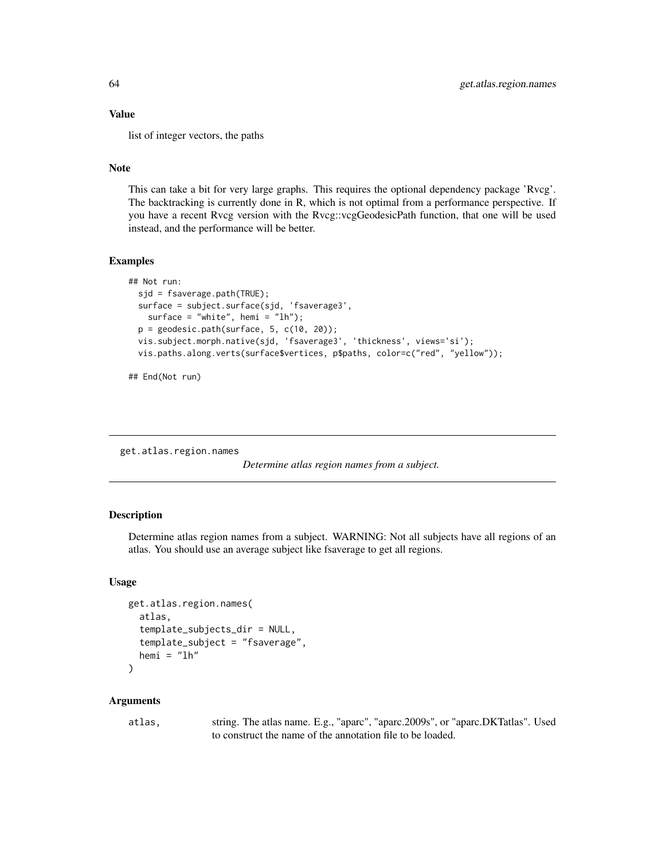## Value

list of integer vectors, the paths

## Note

This can take a bit for very large graphs. This requires the optional dependency package 'Rvcg'. The backtracking is currently done in R, which is not optimal from a performance perspective. If you have a recent Rvcg version with the Rvcg::vcgGeodesicPath function, that one will be used instead, and the performance will be better.

### Examples

```
## Not run:
 sjd = fsaverage.path(TRUE);
 surface = subject.surface(sjd, 'fsaverage3',
   surface = "white", hemi = "lh");
 p = geodesic.path(surface, 5, c(10, 20));vis.subject.morph.native(sjd, 'fsaverage3', 'thickness', views='si');
 vis.paths.along.verts(surface$vertices, p$paths, color=c("red", "yellow"));
```
## End(Not run)

<span id="page-63-0"></span>get.atlas.region.names

*Determine atlas region names from a subject.*

### **Description**

Determine atlas region names from a subject. WARNING: Not all subjects have all regions of an atlas. You should use an average subject like fsaverage to get all regions.

#### Usage

```
get.atlas.region.names(
  atlas,
  template_subjects_dir = NULL,
  template_subject = "fsaverage",
  hemi = "lh"\mathcal{L}
```
### Arguments

atlas, string. The atlas name. E.g., "aparc", "aparc.2009s", or "aparc.DKTatlas". Used to construct the name of the annotation file to be loaded.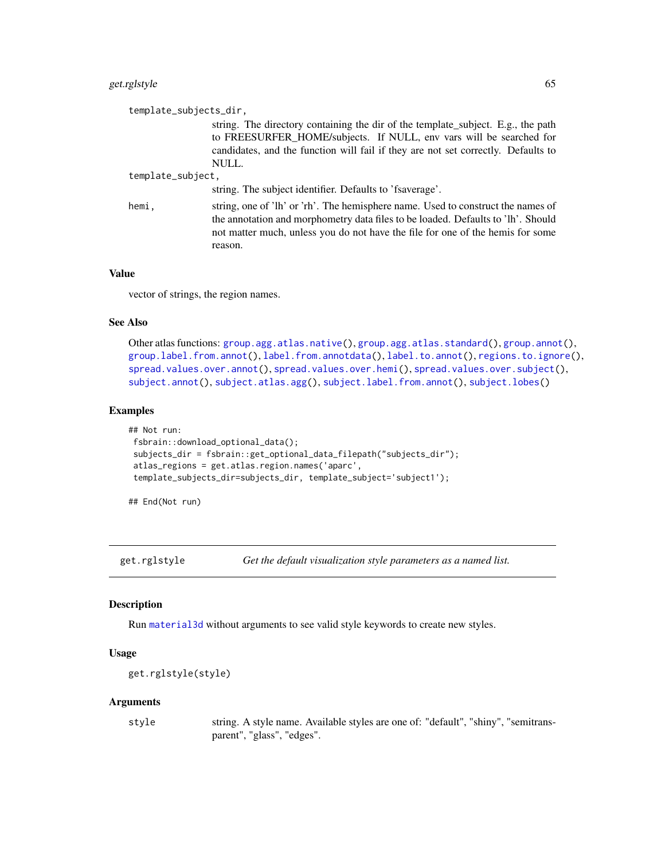## get.rglstyle 65

| template_subjects_dir,                                                                                                                                                                                                                                            |
|-------------------------------------------------------------------------------------------------------------------------------------------------------------------------------------------------------------------------------------------------------------------|
| string. The directory containing the dir of the template_subject. E.g., the path<br>to FREESURFER_HOME/subjects. If NULL, env vars will be searched for<br>candidates, and the function will fail if they are not set correctly. Defaults to<br>NULL.             |
| template_subject,                                                                                                                                                                                                                                                 |
| string. The subject identifier. Defaults to 'fsaverage'.                                                                                                                                                                                                          |
| string, one of 'lh' or 'rh'. The hemisphere name. Used to construct the names of<br>the annotation and morphometry data files to be loaded. Defaults to 'lh'. Should<br>not matter much, unless you do not have the file for one of the hemis for some<br>reason. |
|                                                                                                                                                                                                                                                                   |

### Value

vector of strings, the region names.

#### See Also

```
Other atlas functions: group.agg.atlas.native(), group.agg.atlas.standard(), group.annot(),
group.label.from.annot(), label.from.annotdata(), label.to.annot(), regions.to.ignore(),
spread.values.over.annot(), spread.values.over.hemi(), spread.values.over.subject(),
subject.annot(), subject.atlas.agg(), subject.label.from.annot(), subject.lobes()
```
#### Examples

```
## Not run:
fsbrain::download_optional_data();
subjects_dir = fsbrain::get_optional_data_filepath("subjects_dir");
atlas_regions = get.atlas.region.names('aparc',
template_subjects_dir=subjects_dir, template_subject='subject1');
```
## End(Not run)

get.rglstyle *Get the default visualization style parameters as a named list.*

### Description

Run [material3d](#page-0-0) without arguments to see valid style keywords to create new styles.

#### Usage

```
get.rglstyle(style)
```
#### Arguments

style string. A style name. Available styles are one of: "default", "shiny", "semitransparent", "glass", "edges".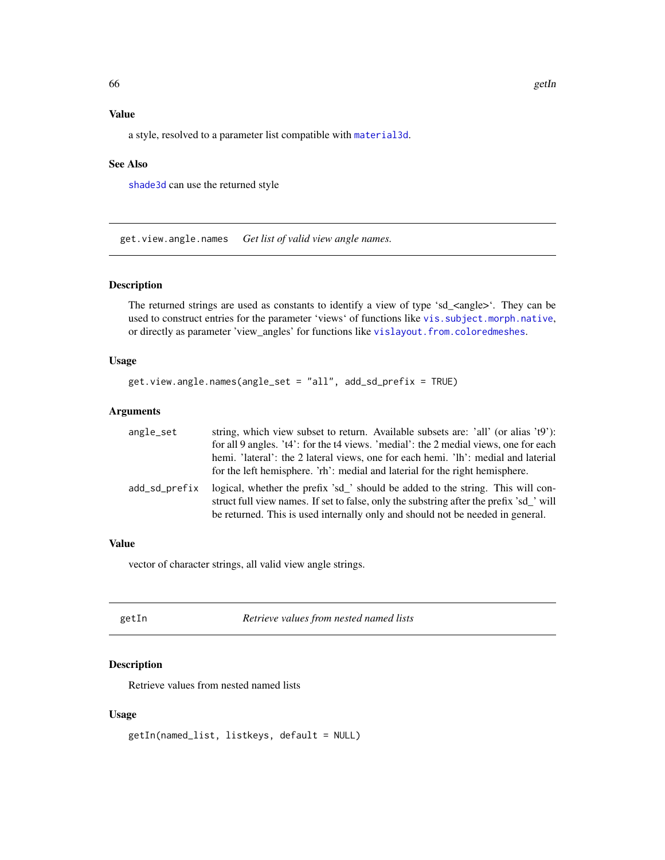## Value

a style, resolved to a parameter list compatible with [material3d](#page-0-0).

## See Also

[shade3d](#page-0-0) can use the returned style

<span id="page-65-0"></span>get.view.angle.names *Get list of valid view angle names.*

## Description

The returned strings are used as constants to identify a view of type 'sd\_ $\langle$ angle $\rangle$ '. They can be used to construct entries for the parameter 'views' of functions like [vis.subject.morph.native](#page-188-0), or directly as parameter 'view\_angles' for functions like [vislayout.from.coloredmeshes](#page-196-0).

### Usage

```
get.view.angle.names(angle_set = "all", add_sd_prefix = TRUE)
```
### Arguments

| angle_set     | string, which view subset to return. Available subsets are: 'all' (or alias 't9'):                                                                                                                                                                           |
|---------------|--------------------------------------------------------------------------------------------------------------------------------------------------------------------------------------------------------------------------------------------------------------|
|               | for all 9 angles. 't4': for the t4 views. 'medial': the 2 medial views, one for each                                                                                                                                                                         |
|               | hemi. 'lateral': the 2 lateral views, one for each hemi. 'lh': medial and laterial                                                                                                                                                                           |
|               | for the left hemisphere. 'rh': medial and laterial for the right hemisphere.                                                                                                                                                                                 |
| add_sd_prefix | logical, whether the prefix 'sd_' should be added to the string. This will con-<br>struct full view names. If set to false, only the substring after the prefix 'sd_' will<br>be returned. This is used internally only and should not be needed in general. |

## Value

vector of character strings, all valid view angle strings.

| getIn | Retrieve values from nested named lists |
|-------|-----------------------------------------|
|       |                                         |

## Description

Retrieve values from nested named lists

#### Usage

getIn(named\_list, listkeys, default = NULL)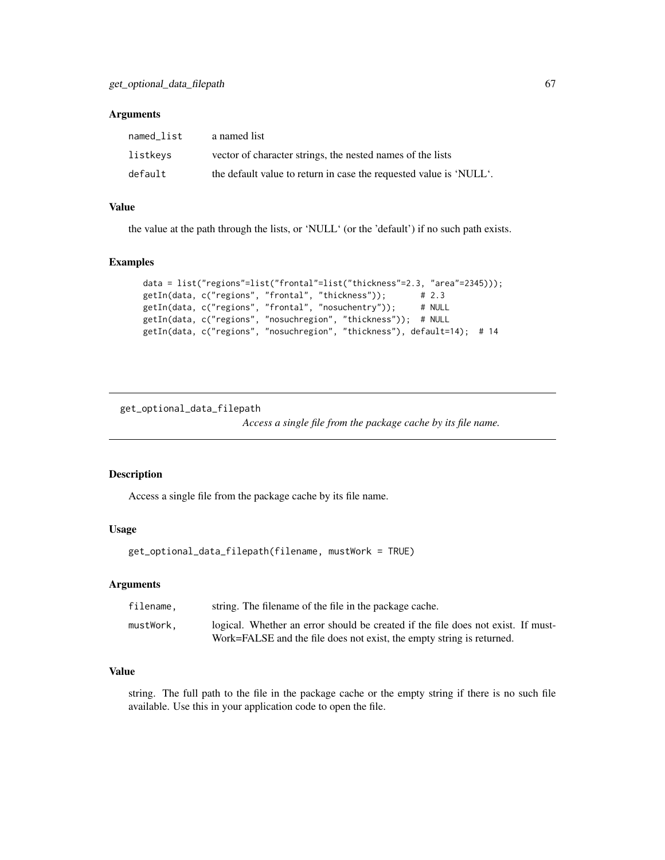## Arguments

| named list | a named list                                                       |
|------------|--------------------------------------------------------------------|
| listkeys   | vector of character strings, the nested names of the lists         |
| default    | the default value to return in case the requested value is 'NULL'. |

## Value

the value at the path through the lists, or 'NULL' (or the 'default') if no such path exists.

### Examples

```
data = list("regions"=list("frontal"=list("thickness"=2.3, "area"=2345)));
getIn(data, c("regions", "frontal", "thickness")); # 2.3
getIn(data, c("regions", "frontal", "nosuchentry")); # NULL
getIn(data, c("regions", "nosuchregion", "thickness")); # NULL
getIn(data, c("regions", "nosuchregion", "thickness"), default=14); # 14
```
get\_optional\_data\_filepath

*Access a single file from the package cache by its file name.*

### Description

Access a single file from the package cache by its file name.

### Usage

```
get_optional_data_filepath(filename, mustWork = TRUE)
```
## Arguments

| filename. | string. The filename of the file in the package cache.                           |
|-----------|----------------------------------------------------------------------------------|
| mustWork. | logical. Whether an error should be created if the file does not exist. If must- |
|           | Work=FALSE and the file does not exist, the empty string is returned.            |

## Value

string. The full path to the file in the package cache or the empty string if there is no such file available. Use this in your application code to open the file.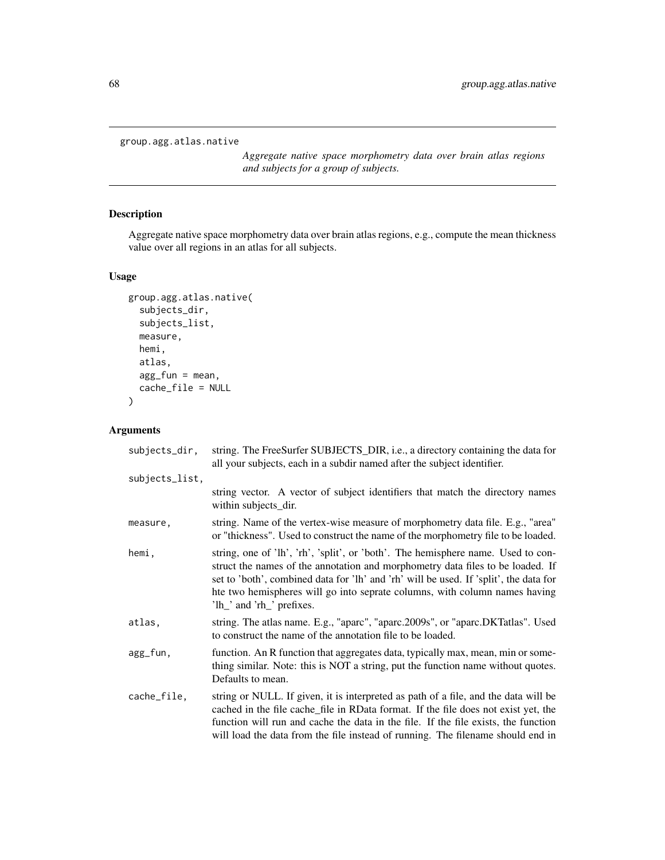```
group.agg.atlas.native
```
*Aggregate native space morphometry data over brain atlas regions and subjects for a group of subjects.*

## Description

Aggregate native space morphometry data over brain atlas regions, e.g., compute the mean thickness value over all regions in an atlas for all subjects.

## Usage

```
group.agg.atlas.native(
  subjects_dir,
  subjects_list,
 measure,
 hemi,
  atlas,
  agg_fun = mean,
  cache_file = NULL
)
```

| subjects_dir,  | string. The FreeSurfer SUBJECTS_DIR, i.e., a directory containing the data for<br>all your subjects, each in a subdir named after the subject identifier.                                                                                                                                                                                                              |
|----------------|------------------------------------------------------------------------------------------------------------------------------------------------------------------------------------------------------------------------------------------------------------------------------------------------------------------------------------------------------------------------|
| subjects_list, |                                                                                                                                                                                                                                                                                                                                                                        |
|                | string vector. A vector of subject identifiers that match the directory names<br>within subjects_dir.                                                                                                                                                                                                                                                                  |
| measure,       | string. Name of the vertex-wise measure of morphometry data file. E.g., "area"<br>or "thickness". Used to construct the name of the morphometry file to be loaded.                                                                                                                                                                                                     |
| hemi.          | string, one of 'lh', 'rh', 'split', or 'both'. The hemisphere name. Used to con-<br>struct the names of the annotation and morphometry data files to be loaded. If<br>set to 'both', combined data for 'lh' and 'rh' will be used. If 'split', the data for<br>hte two hemispheres will go into seprate columns, with column names having<br>'lh_' and 'rh_' prefixes. |
| atlas,         | string. The atlas name. E.g., "aparc", "aparc.2009s", or "aparc.DKTatlas". Used<br>to construct the name of the annotation file to be loaded.                                                                                                                                                                                                                          |
| agg_fun,       | function. An R function that aggregates data, typically max, mean, min or some-<br>thing similar. Note: this is NOT a string, put the function name without quotes.<br>Defaults to mean.                                                                                                                                                                               |
| cache_file,    | string or NULL. If given, it is interpreted as path of a file, and the data will be<br>cached in the file cache_file in RData format. If the file does not exist yet, the<br>function will run and cache the data in the file. If the file exists, the function<br>will load the data from the file instead of running. The filename should end in                     |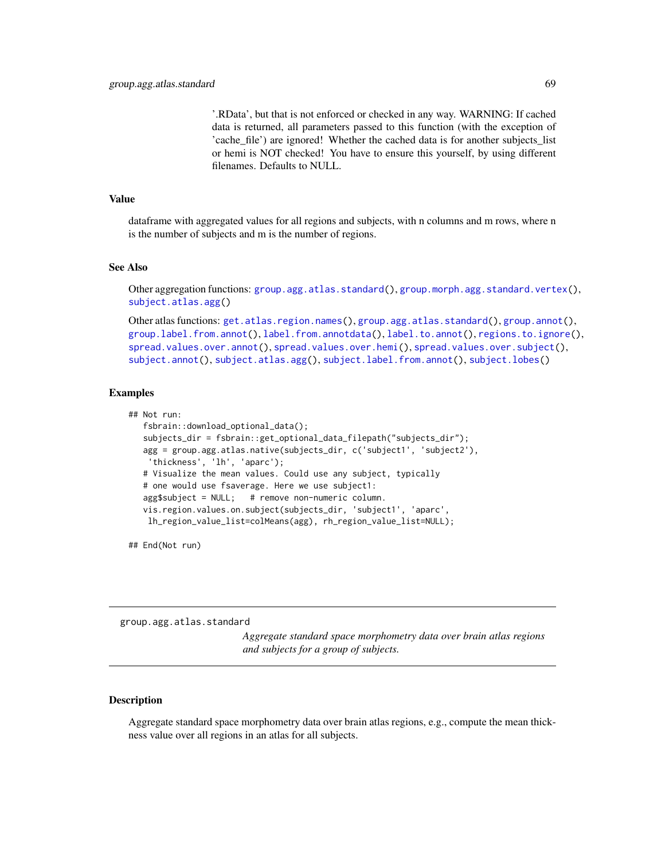'.RData', but that is not enforced or checked in any way. WARNING: If cached data is returned, all parameters passed to this function (with the exception of 'cache file') are ignored! Whether the cached data is for another subjects list or hemi is NOT checked! You have to ensure this yourself, by using different filenames. Defaults to NULL.

#### Value

dataframe with aggregated values for all regions and subjects, with n columns and m rows, where n is the number of subjects and m is the number of regions.

## See Also

Other aggregation functions: [group.agg.atlas.standard\(](#page-68-0)), [group.morph.agg.standard.vertex\(](#page-79-0)), [subject.atlas.agg\(](#page-137-0))

Other atlas functions: [get.atlas.region.names\(](#page-63-0)), [group.agg.atlas.standard\(](#page-68-0)), [group.annot\(](#page-70-0)), [group.label.from.annot\(](#page-75-0)), [label.from.annotdata\(](#page-103-0)), [label.to.annot\(](#page-104-0)), [regions.to.ignore\(](#page-124-1)), [spread.values.over.annot\(](#page-131-0)), [spread.values.over.hemi\(](#page-132-0)), [spread.values.over.subject\(](#page-133-0)), [subject.annot\(](#page-135-0)), [subject.atlas.agg\(](#page-137-0)), [subject.label.from.annot\(](#page-141-0)), [subject.lobes\(](#page-142-0))

## Examples

```
## Not run:
  fsbrain::download_optional_data();
   subjects_dir = fsbrain::get_optional_data_filepath("subjects_dir");
   agg = group.agg.atlas.native(subjects_dir, c('subject1', 'subject2'),
    'thickness', 'lh', 'aparc');
   # Visualize the mean values. Could use any subject, typically
   # one would use fsaverage. Here we use subject1:
   agg$subject = NULL; # remove non-numeric column.
  vis.region.values.on.subject(subjects_dir, 'subject1', 'aparc',
    lh_region_value_list=colMeans(agg), rh_region_value_list=NULL);
```
## End(Not run)

<span id="page-68-0"></span>group.agg.atlas.standard

*Aggregate standard space morphometry data over brain atlas regions and subjects for a group of subjects.*

#### **Description**

Aggregate standard space morphometry data over brain atlas regions, e.g., compute the mean thickness value over all regions in an atlas for all subjects.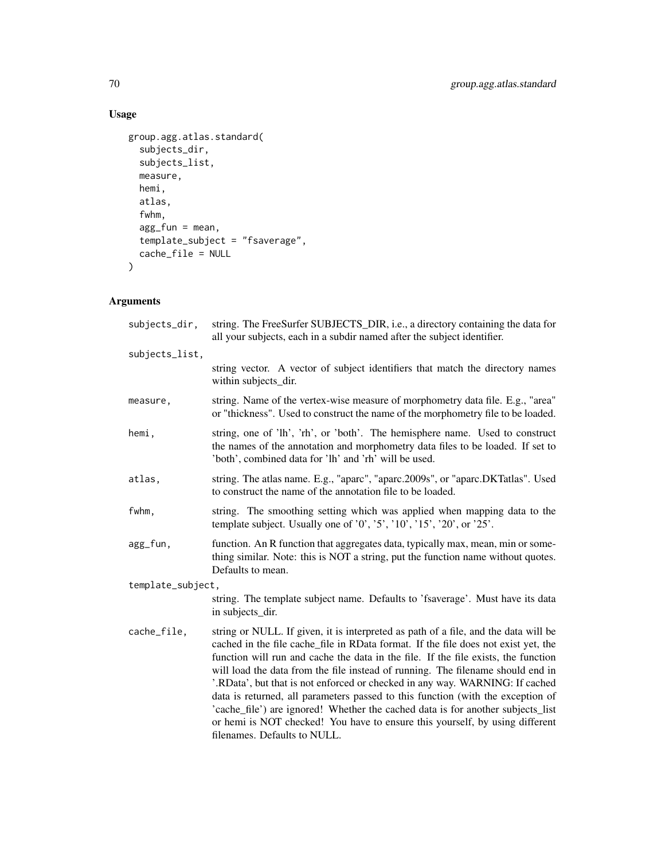## Usage

```
group.agg.atlas.standard(
  subjects_dir,
  subjects_list,
  measure,
  hemi,
  atlas,
  fwhm,
  agg_fun = mean,
  template_subject = "fsaverage",
  cache_file = NULL
\mathcal{L}
```

| string. The FreeSurfer SUBJECTS_DIR, i.e., a directory containing the data for<br>all your subjects, each in a subdir named after the subject identifier.                                                                                                                                                                                                                                                                                                                                                                                                                                                                                                                                                                |  |
|--------------------------------------------------------------------------------------------------------------------------------------------------------------------------------------------------------------------------------------------------------------------------------------------------------------------------------------------------------------------------------------------------------------------------------------------------------------------------------------------------------------------------------------------------------------------------------------------------------------------------------------------------------------------------------------------------------------------------|--|
|                                                                                                                                                                                                                                                                                                                                                                                                                                                                                                                                                                                                                                                                                                                          |  |
| string vector. A vector of subject identifiers that match the directory names<br>within subjects_dir.                                                                                                                                                                                                                                                                                                                                                                                                                                                                                                                                                                                                                    |  |
| string. Name of the vertex-wise measure of morphometry data file. E.g., "area"<br>or "thickness". Used to construct the name of the morphometry file to be loaded.                                                                                                                                                                                                                                                                                                                                                                                                                                                                                                                                                       |  |
| string, one of 'lh', 'rh', or 'both'. The hemisphere name. Used to construct<br>the names of the annotation and morphometry data files to be loaded. If set to<br>'both', combined data for 'lh' and 'rh' will be used.                                                                                                                                                                                                                                                                                                                                                                                                                                                                                                  |  |
| string. The atlas name. E.g., "aparc", "aparc.2009s", or "aparc.DKTatlas". Used<br>to construct the name of the annotation file to be loaded.                                                                                                                                                                                                                                                                                                                                                                                                                                                                                                                                                                            |  |
| string. The smoothing setting which was applied when mapping data to the<br>template subject. Usually one of $'0', '5', '10', '15', '20',$ or $'25'.$                                                                                                                                                                                                                                                                                                                                                                                                                                                                                                                                                                    |  |
| function. An R function that aggregates data, typically max, mean, min or some-<br>thing similar. Note: this is NOT a string, put the function name without quotes.<br>Defaults to mean.                                                                                                                                                                                                                                                                                                                                                                                                                                                                                                                                 |  |
| template_subject,                                                                                                                                                                                                                                                                                                                                                                                                                                                                                                                                                                                                                                                                                                        |  |
| string. The template subject name. Defaults to 'fsaverage'. Must have its data<br>in subjects_dir.                                                                                                                                                                                                                                                                                                                                                                                                                                                                                                                                                                                                                       |  |
| string or NULL. If given, it is interpreted as path of a file, and the data will be<br>cached in the file cache_file in RData format. If the file does not exist yet, the<br>function will run and cache the data in the file. If the file exists, the function<br>will load the data from the file instead of running. The filename should end in<br>'.RData', but that is not enforced or checked in any way. WARNING: If cached<br>data is returned, all parameters passed to this function (with the exception of<br>'cache_file') are ignored! Whether the cached data is for another subjects_list<br>or hemi is NOT checked! You have to ensure this yourself, by using different<br>filenames. Defaults to NULL. |  |
|                                                                                                                                                                                                                                                                                                                                                                                                                                                                                                                                                                                                                                                                                                                          |  |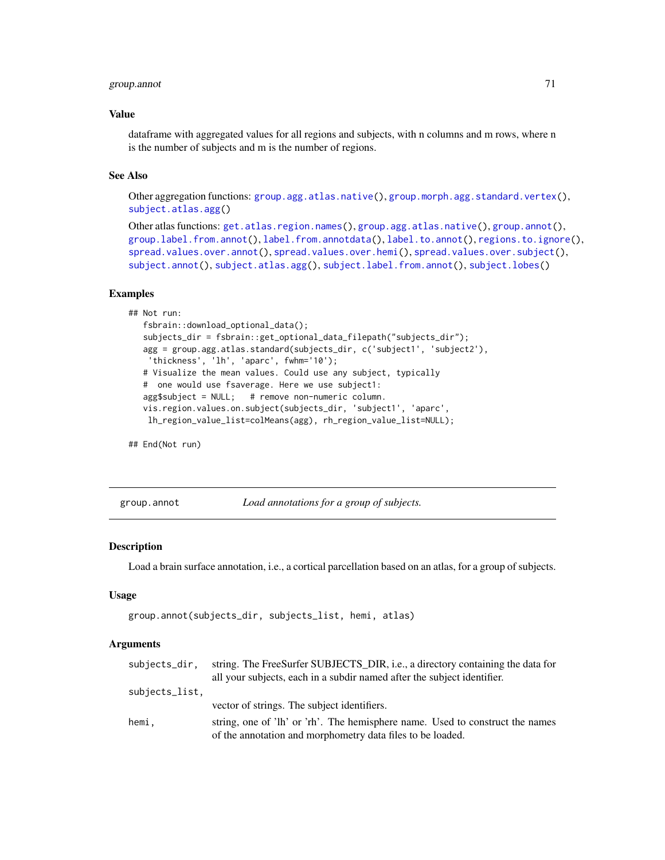## group.annot 71

### Value

dataframe with aggregated values for all regions and subjects, with n columns and m rows, where n is the number of subjects and m is the number of regions.

### See Also

Other aggregation functions: [group.agg.atlas.native\(](#page-67-0)), [group.morph.agg.standard.vertex\(](#page-79-0)), [subject.atlas.agg\(](#page-137-0))

```
Other atlas functions: get.atlas.region.names(), group.agg.atlas.native(), group.annot(),
group.label.from.annot(), label.from.annotdata(), label.to.annot(), regions.to.ignore(),
spread.values.over.annot(spread.values.over.hemi(spread.values.over.subject(),
subject.annot(), subject.atlas.agg(), subject.label.from.annot(), subject.lobes()
```
### Examples

```
## Not run:
   fsbrain::download_optional_data();
   subjects_dir = fsbrain::get_optional_data_filepath("subjects_dir");
   agg = group.agg.atlas.standard(subjects_dir, c('subject1', 'subject2'),
   'thickness', 'lh', 'aparc', fwhm='10');
   # Visualize the mean values. Could use any subject, typically
   # one would use fsaverage. Here we use subject1:
  agg$subject = NULL; # remove non-numeric column.
  vis.region.values.on.subject(subjects_dir, 'subject1', 'aparc',
   lh_region_value_list=colMeans(agg), rh_region_value_list=NULL);
```
## End(Not run)

<span id="page-70-0"></span>group.annot *Load annotations for a group of subjects.*

### **Description**

Load a brain surface annotation, i.e., a cortical parcellation based on an atlas, for a group of subjects.

### Usage

```
group.annot(subjects_dir, subjects_list, hemi, atlas)
```

| subjects_dir.  | string. The FreeSurfer SUBJECTS_DIR, i.e., a directory containing the data for |
|----------------|--------------------------------------------------------------------------------|
|                | all your subjects, each in a subdir named after the subject identifier.        |
| subjects_list. |                                                                                |
|                | vector of strings. The subject identifiers.                                    |
| hemi.          | string, one of 'lh' or 'rh'. The hemisphere name. Used to construct the names  |
|                | of the annotation and morphometry data files to be loaded.                     |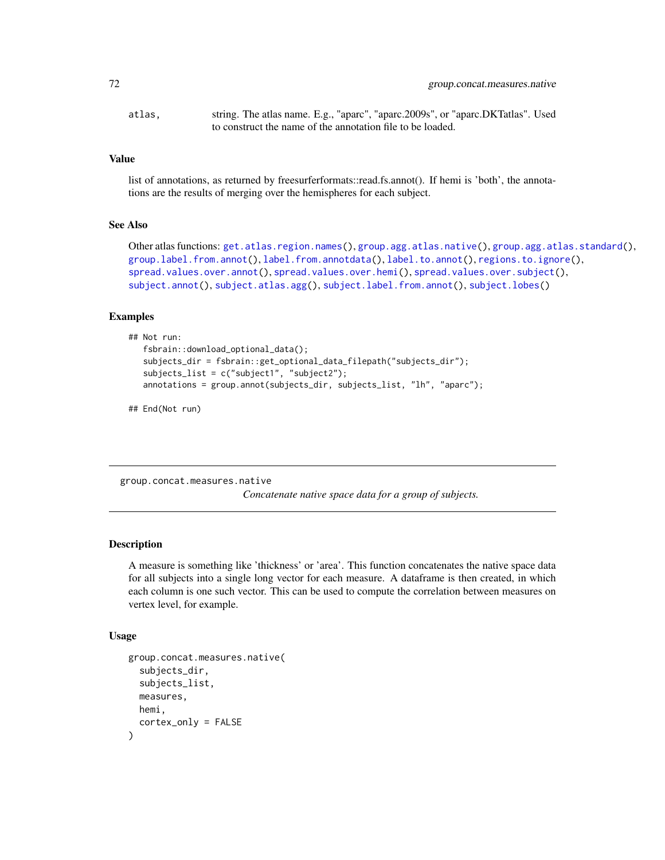```
atlas, string. The atlas name. E.g., "aparc", "aparc.2009s", or "aparc.DKTatlas". Used
                  to construct the name of the annotation file to be loaded.
```
#### Value

list of annotations, as returned by freesurferformats::read.fs.annot(). If hemi is 'both', the annotations are the results of merging over the hemispheres for each subject.

#### See Also

```
Other atlas functions: get.atlas.region.names(), group.agg.atlas.native(), group.agg.atlas.standard(),
group.label.from.annot(), label.from.annotdata(), label.to.annot(), regions.to.ignore(),
spread.values.over.annot(spread.values.over.hemi(spread.values.over.subject(),
subject.annot(), subject.atlas.agg(), subject.label.from.annot(), subject.lobes()
```
## Examples

```
## Not run:
   fsbrain::download_optional_data();
   subjects_dir = fsbrain::get_optional_data_filepath("subjects_dir");
   subjects_list = c("subject1", "subject2");
   annotations = group.annot(subjects_dir, subjects_list, "lh", "aparc");
```
## End(Not run)

group.concat.measures.native

*Concatenate native space data for a group of subjects.*

### Description

A measure is something like 'thickness' or 'area'. This function concatenates the native space data for all subjects into a single long vector for each measure. A dataframe is then created, in which each column is one such vector. This can be used to compute the correlation between measures on vertex level, for example.

#### Usage

```
group.concat.measures.native(
  subjects_dir,
  subjects_list,
  measures,
 hemi,
  cortex_only = FALSE
)
```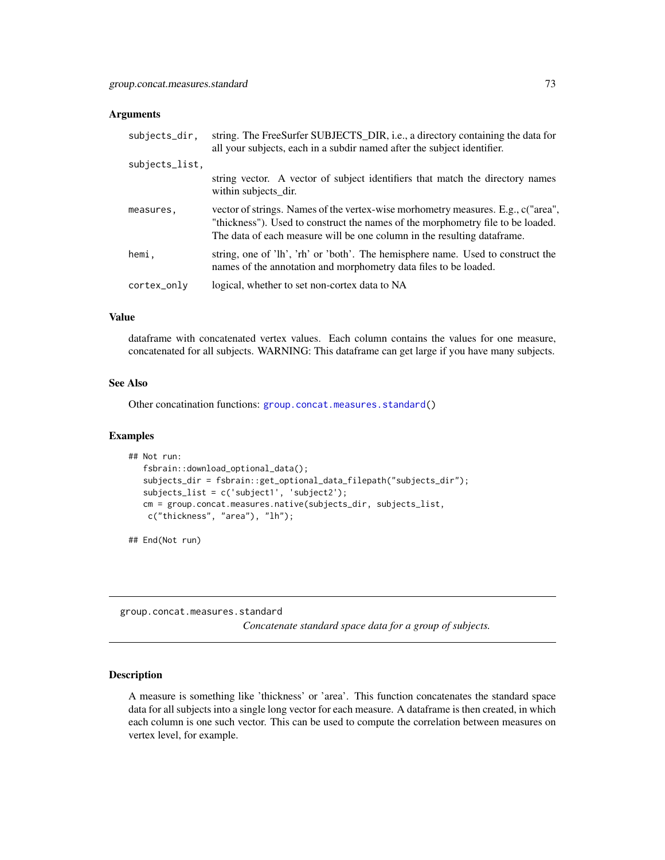#### **Arguments**

| subjects_dir,  | string. The FreeSurfer SUBJECTS_DIR, i.e., a directory containing the data for<br>all your subjects, each in a subdir named after the subject identifier.                                                                                       |
|----------------|-------------------------------------------------------------------------------------------------------------------------------------------------------------------------------------------------------------------------------------------------|
| subjects_list, |                                                                                                                                                                                                                                                 |
|                | string vector. A vector of subject identifiers that match the directory names<br>within subjects_dir.                                                                                                                                           |
| measures,      | vector of strings. Names of the vertex-wise morhometry measures. E.g., c("area",<br>"thickness"). Used to construct the names of the morphometry file to be loaded.<br>The data of each measure will be one column in the resulting data frame. |
| hemi,          | string, one of 'lh', 'rh' or 'both'. The hemisphere name. Used to construct the<br>names of the annotation and morphometry data files to be loaded.                                                                                             |
| cortex_only    | logical, whether to set non-cortex data to NA                                                                                                                                                                                                   |

## Value

dataframe with concatenated vertex values. Each column contains the values for one measure, concatenated for all subjects. WARNING: This dataframe can get large if you have many subjects.

#### See Also

Other concatination functions: [group.concat.measures.standard\(](#page-72-0))

## Examples

```
## Not run:
  fsbrain::download_optional_data();
  subjects_dir = fsbrain::get_optional_data_filepath("subjects_dir");
  subjects_list = c('subject1', 'subject2');
  cm = group.concat.measures.native(subjects_dir, subjects_list,
   c("thickness", "area"), "lh");
```
## End(Not run)

<span id="page-72-0"></span>group.concat.measures.standard

*Concatenate standard space data for a group of subjects.*

## Description

A measure is something like 'thickness' or 'area'. This function concatenates the standard space data for all subjects into a single long vector for each measure. A dataframe is then created, in which each column is one such vector. This can be used to compute the correlation between measures on vertex level, for example.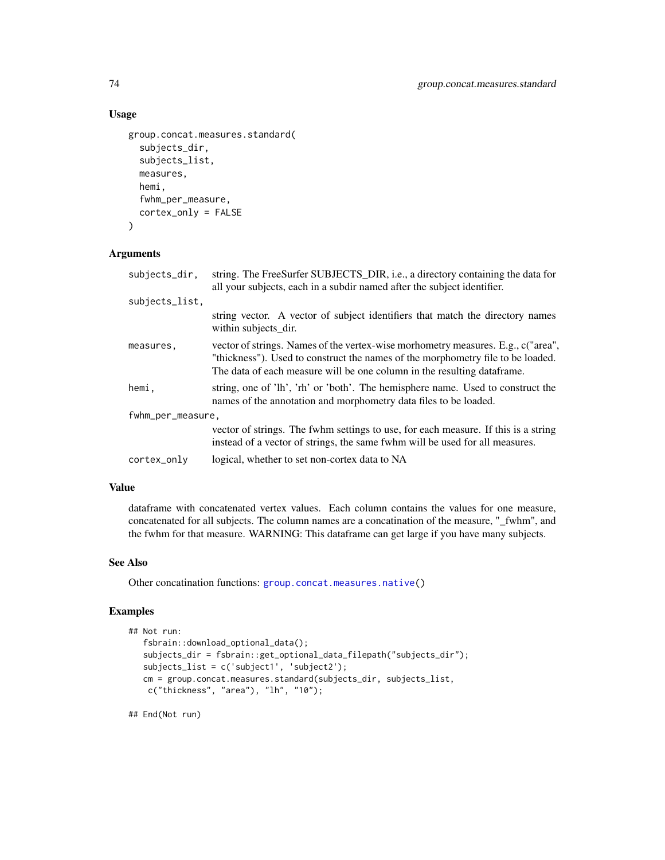# Usage

```
group.concat.measures.standard(
  subjects_dir,
  subjects_list,
  measures,
  hemi,
  fwhm_per_measure,
  cortex_only = FALSE
\lambda
```
## Arguments

| subjects_dir.     | string. The FreeSurfer SUBJECTS_DIR, i.e., a directory containing the data for<br>all your subjects, each in a subdir named after the subject identifier.                                                                                       |
|-------------------|-------------------------------------------------------------------------------------------------------------------------------------------------------------------------------------------------------------------------------------------------|
| subjects_list,    |                                                                                                                                                                                                                                                 |
|                   | string vector. A vector of subject identifiers that match the directory names<br>within subjects dir.                                                                                                                                           |
| measures,         | vector of strings. Names of the vertex-wise morhometry measures. E.g., c("area",<br>"thickness"). Used to construct the names of the morphometry file to be loaded.<br>The data of each measure will be one column in the resulting data frame. |
| hemi,             | string, one of 'lh', 'rh' or 'both'. The hemisphere name. Used to construct the<br>names of the annotation and morphometry data files to be loaded.                                                                                             |
| fwhm_per_measure, |                                                                                                                                                                                                                                                 |
|                   | vector of strings. The fwhm settings to use, for each measure. If this is a string<br>instead of a vector of strings, the same fwhm will be used for all measures.                                                                              |
| cortex_only       | logical, whether to set non-cortex data to NA                                                                                                                                                                                                   |

#### Value

dataframe with concatenated vertex values. Each column contains the values for one measure, concatenated for all subjects. The column names are a concatination of the measure, "\_fwhm", and the fwhm for that measure. WARNING: This dataframe can get large if you have many subjects.

## See Also

Other concatination functions: [group.concat.measures.native\(](#page-71-0))

## Examples

```
## Not run:
   fsbrain::download_optional_data();
   subjects_dir = fsbrain::get_optional_data_filepath("subjects_dir");
   subjects_list = c('subject1', 'subject2');
   cm = group.concat.measures.standard(subjects_dir, subjects_list,
   c("thickness", "area"), "lh", "10");
```
## End(Not run)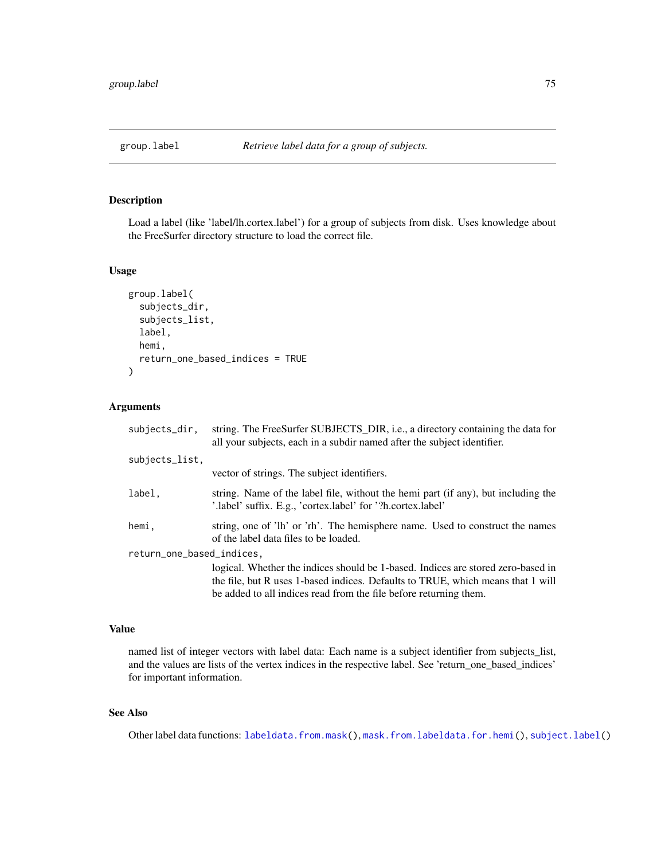<span id="page-74-0"></span>

# Description

Load a label (like 'label/lh.cortex.label') for a group of subjects from disk. Uses knowledge about the FreeSurfer directory structure to load the correct file.

## Usage

```
group.label(
  subjects_dir,
  subjects_list,
  label,
  hemi,
  return_one_based_indices = TRUE
\mathcal{L}
```
# Arguments

| subjects_dir,             | string. The FreeSurfer SUBJECTS_DIR, i.e., a directory containing the data for<br>all your subjects, each in a subdir named after the subject identifier. |  |
|---------------------------|-----------------------------------------------------------------------------------------------------------------------------------------------------------|--|
| subjects_list,            |                                                                                                                                                           |  |
|                           | vector of strings. The subject identifiers.                                                                                                               |  |
| label,                    | string. Name of the label file, without the hemi part (if any), but including the<br>'.label' suffix. E.g., 'cortex.label' for '?h.cortex.label'          |  |
| hemi,                     | string, one of 'lh' or 'rh'. The hemisphere name. Used to construct the names<br>of the label data files to be loaded.                                    |  |
| return_one_based_indices, |                                                                                                                                                           |  |
|                           | logical. Whether the indices should be 1-based. Indices are stored zero-based in                                                                          |  |
|                           | the file, but R uses 1-based indices. Defaults to TRUE, which means that 1 will                                                                           |  |
|                           | be added to all indices read from the file before returning them.                                                                                         |  |

# Value

named list of integer vectors with label data: Each name is a subject identifier from subjects\_list, and the values are lists of the vertex indices in the respective label. See 'return\_one\_based\_indices' for important information.

# See Also

Other label data functions: [labeldata.from.mask\(](#page-105-0)), [mask.from.labeldata.for.hemi\(](#page-109-0)), [subject.label\(](#page-140-0))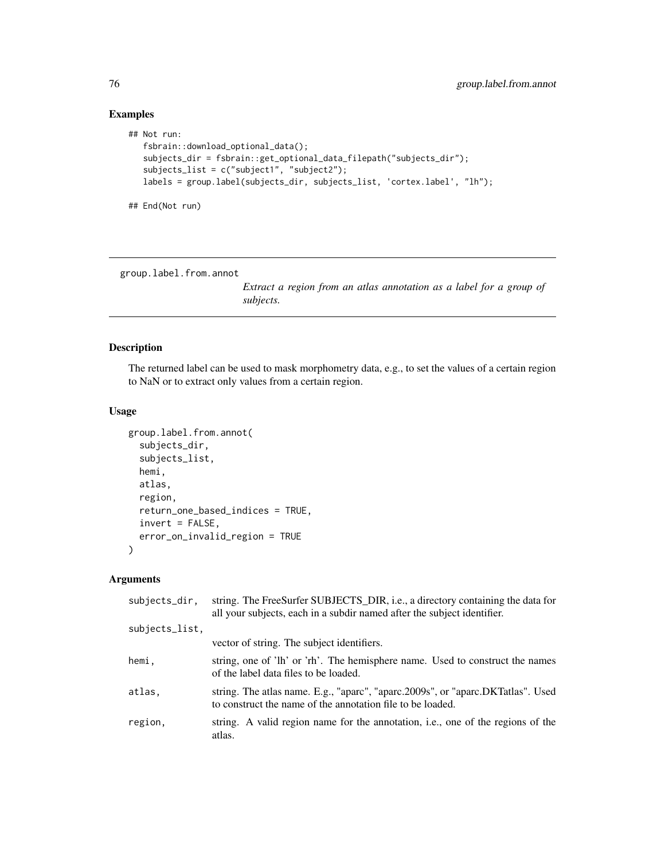# Examples

```
## Not run:
  fsbrain::download_optional_data();
  subjects_dir = fsbrain::get_optional_data_filepath("subjects_dir");
  subjects_list = c("subject1", "subject2");
  labels = group.label(subjects_dir, subjects_list, 'cortex.label', "lh");
## End(Not run)
```
<span id="page-75-0"></span>group.label.from.annot

*Extract a region from an atlas annotation as a label for a group of subjects.*

# Description

The returned label can be used to mask morphometry data, e.g., to set the values of a certain region to NaN or to extract only values from a certain region.

# Usage

```
group.label.from.annot(
  subjects_dir,
  subjects_list,
  hemi,
  atlas,
  region,
  return_one_based_indices = TRUE,
  invert = FALSE,error_on_invalid_region = TRUE
)
```
## Arguments

| subjects_dir.  | string. The FreeSurfer SUBJECTS_DIR, i.e., a directory containing the data for<br>all your subjects, each in a subdir named after the subject identifier. |
|----------------|-----------------------------------------------------------------------------------------------------------------------------------------------------------|
| subjects_list, |                                                                                                                                                           |
|                | vector of string. The subject identifiers.                                                                                                                |
| hemi.          | string, one of 'lh' or 'rh'. The hemisphere name. Used to construct the names<br>of the label data files to be loaded.                                    |
| atlas.         | string. The atlas name. E.g., "aparc", "aparc.2009s", or "aparc.DKTatlas". Used<br>to construct the name of the annotation file to be loaded.             |
| region.        | string. A valid region name for the annotation, i.e., one of the regions of the<br>atlas.                                                                 |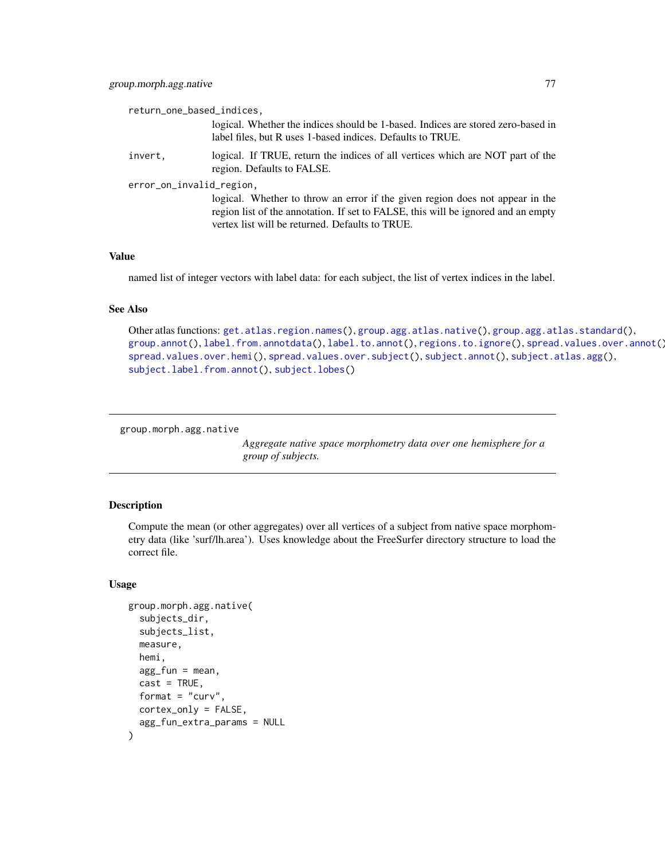| return_one_based_indices, |                                                                                                                                                                                                                       |  |
|---------------------------|-----------------------------------------------------------------------------------------------------------------------------------------------------------------------------------------------------------------------|--|
|                           | logical. Whether the indices should be 1-based. Indices are stored zero-based in<br>label files, but R uses 1-based indices. Defaults to TRUE.                                                                        |  |
| invert,                   | logical. If TRUE, return the indices of all vertices which are NOT part of the<br>region. Defaults to FALSE.                                                                                                          |  |
| error_on_invalid_region,  |                                                                                                                                                                                                                       |  |
|                           | logical. Whether to throw an error if the given region does not appear in the<br>region list of the annotation. If set to FALSE, this will be ignored and an empty<br>vertex list will be returned. Defaults to TRUE. |  |

## Value

named list of integer vectors with label data: for each subject, the list of vertex indices in the label.

#### See Also

```
Other atlas functions: get.atlas.region.names(), group.agg.atlas.native(), group.agg.atlas.standard(),
group.annot(), label.from.annotdata(), label.to.annot(), regions.to.ignore(), spread.values.over.annot(),
spread.values.over.hemi(), spread.values.over.subject(), subject.annot(), subject.atlas.agg(),
subject.label.from.annot(), subject.lobes()
```

```
group.morph.agg.native
```
*Aggregate native space morphometry data over one hemisphere for a group of subjects.*

#### Description

Compute the mean (or other aggregates) over all vertices of a subject from native space morphometry data (like 'surf/lh.area'). Uses knowledge about the FreeSurfer directory structure to load the correct file.

#### Usage

```
group.morph.agg.native(
  subjects_dir,
  subjects_list,
  measure,
  hemi,
  agg_fun = mean,
  cast = TRUE,format = "curv",
  cortex_only = FALSE,
  agg_fun_extra_params = NULL
)
```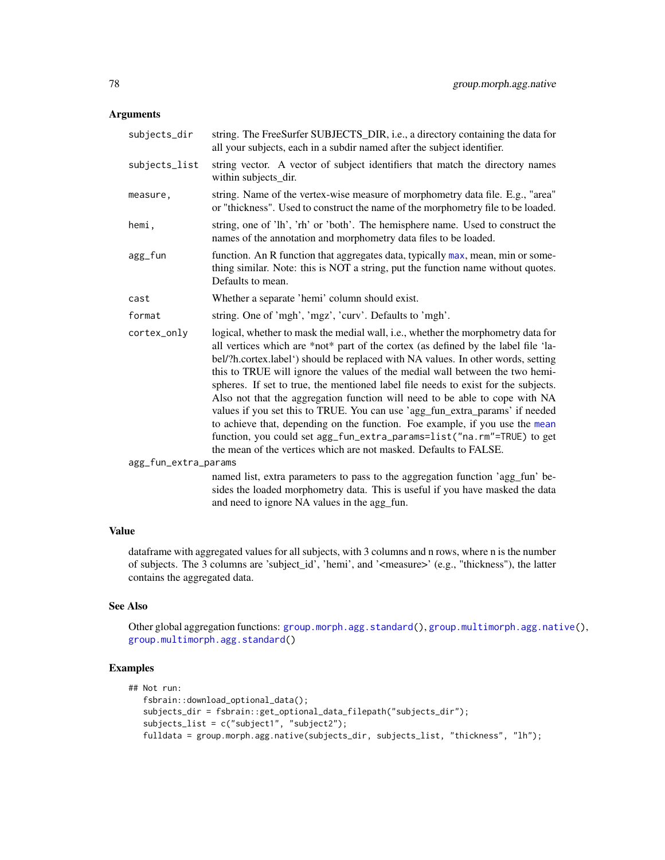## Arguments

| subjects_dir         | string. The FreeSurfer SUBJECTS_DIR, i.e., a directory containing the data for<br>all your subjects, each in a subdir named after the subject identifier.                                                                                                                                                                                                                                                                                                                                                                                                                                                                                                                                                                                                                                                                      |
|----------------------|--------------------------------------------------------------------------------------------------------------------------------------------------------------------------------------------------------------------------------------------------------------------------------------------------------------------------------------------------------------------------------------------------------------------------------------------------------------------------------------------------------------------------------------------------------------------------------------------------------------------------------------------------------------------------------------------------------------------------------------------------------------------------------------------------------------------------------|
| subjects_list        | string vector. A vector of subject identifiers that match the directory names<br>within subjects_dir.                                                                                                                                                                                                                                                                                                                                                                                                                                                                                                                                                                                                                                                                                                                          |
| measure,             | string. Name of the vertex-wise measure of morphometry data file. E.g., "area"<br>or "thickness". Used to construct the name of the morphometry file to be loaded.                                                                                                                                                                                                                                                                                                                                                                                                                                                                                                                                                                                                                                                             |
| hemi,                | string, one of 'lh', 'rh' or 'both'. The hemisphere name. Used to construct the<br>names of the annotation and morphometry data files to be loaded.                                                                                                                                                                                                                                                                                                                                                                                                                                                                                                                                                                                                                                                                            |
| agg_fun              | function. An R function that aggregates data, typically max, mean, min or some-<br>thing similar. Note: this is NOT a string, put the function name without quotes.<br>Defaults to mean.                                                                                                                                                                                                                                                                                                                                                                                                                                                                                                                                                                                                                                       |
| cast                 | Whether a separate 'hemi' column should exist.                                                                                                                                                                                                                                                                                                                                                                                                                                                                                                                                                                                                                                                                                                                                                                                 |
| format               | string. One of 'mgh', 'mgz', 'curv'. Defaults to 'mgh'.                                                                                                                                                                                                                                                                                                                                                                                                                                                                                                                                                                                                                                                                                                                                                                        |
| cortex_only          | logical, whether to mask the medial wall, i.e., whether the morphometry data for<br>all vertices which are *not* part of the cortex (as defined by the label file 'la-<br>bel/?h.cortex.label') should be replaced with NA values. In other words, setting<br>this to TRUE will ignore the values of the medial wall between the two hemi-<br>spheres. If set to true, the mentioned label file needs to exist for the subjects.<br>Also not that the aggregation function will need to be able to cope with NA<br>values if you set this to TRUE. You can use 'agg_fun_extra_params' if needed<br>to achieve that, depending on the function. Foe example, if you use the mean<br>function, you could set agg_fun_extra_params=list("na.rm"=TRUE) to get<br>the mean of the vertices which are not masked. Defaults to FALSE. |
| agg_fun_extra_params |                                                                                                                                                                                                                                                                                                                                                                                                                                                                                                                                                                                                                                                                                                                                                                                                                                |
|                      | named list, extra parameters to pass to the aggregation function 'agg_fun' be-<br>sides the loaded morphometry data. This is useful if you have masked the data                                                                                                                                                                                                                                                                                                                                                                                                                                                                                                                                                                                                                                                                |

# Value

dataframe with aggregated values for all subjects, with 3 columns and n rows, where n is the number of subjects. The 3 columns are 'subject\_id', 'hemi', and '<measure>' (e.g., "thickness"), the latter contains the aggregated data.

and need to ignore NA values in the agg\_fun.

## See Also

Other global aggregation functions: [group.morph.agg.standard\(](#page-78-0)), [group.multimorph.agg.native\(](#page-84-0)), [group.multimorph.agg.standard\(](#page-86-0))

# Examples

```
## Not run:
  fsbrain::download_optional_data();
  subjects_dir = fsbrain::get_optional_data_filepath("subjects_dir");
  subjects_list = c("subject1", "subject2");
  fulldata = group.morph.agg.native(subjects_dir, subjects_list, "thickness", "lh");
```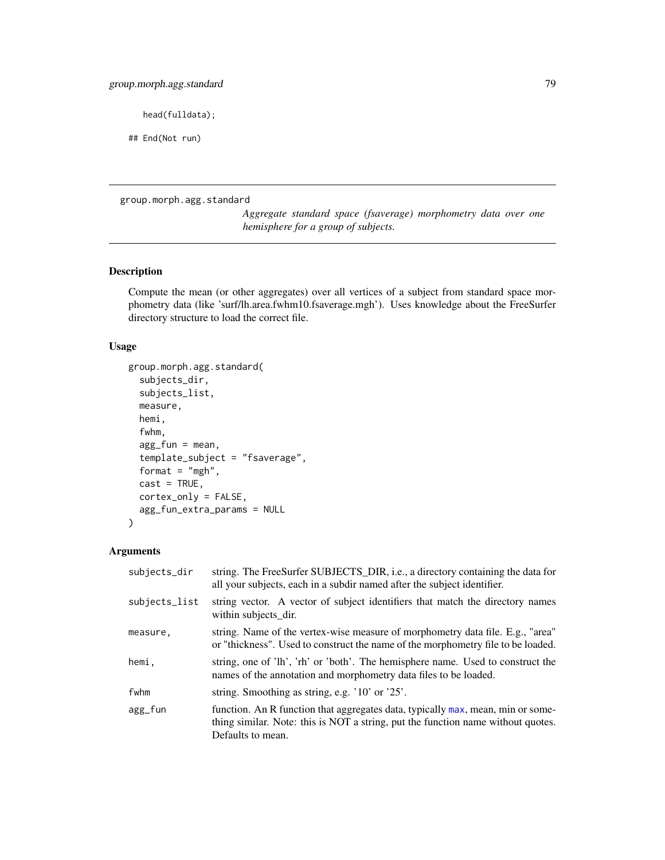head(fulldata);

## End(Not run)

<span id="page-78-0"></span>group.morph.agg.standard

*Aggregate standard space (fsaverage) morphometry data over one hemisphere for a group of subjects.*

# Description

Compute the mean (or other aggregates) over all vertices of a subject from standard space morphometry data (like 'surf/lh.area.fwhm10.fsaverage.mgh'). Uses knowledge about the FreeSurfer directory structure to load the correct file.

## Usage

```
group.morph.agg.standard(
  subjects_dir,
  subjects_list,
 measure,
  hemi,
  fwhm,
  agg_fun = mean,template_subject = "fsaverage",
  format = "mgh",
  cast = TRUE,cortex_only = FALSE,
  agg_fun_extra_params = NULL
)
```
# Arguments

| subjects_dir  | string. The FreeSurfer SUBJECTS_DIR, i.e., a directory containing the data for<br>all your subjects, each in a subdir named after the subject identifier.                                |
|---------------|------------------------------------------------------------------------------------------------------------------------------------------------------------------------------------------|
| subjects_list | string vector. A vector of subject identifiers that match the directory names<br>within subjects_dir.                                                                                    |
| measure,      | string. Name of the vertex-wise measure of morphometry data file. E.g., "area"<br>or "thickness". Used to construct the name of the morphometry file to be loaded.                       |
| hemi,         | string, one of 'lh', 'rh' or 'both'. The hemisphere name. Used to construct the<br>names of the annotation and morphometry data files to be loaded.                                      |
| fwhm          | string. Smoothing as string, e.g. '10' or '25'.                                                                                                                                          |
| agg_fun       | function. An R function that aggregates data, typically max, mean, min or some-<br>thing similar. Note: this is NOT a string, put the function name without quotes.<br>Defaults to mean. |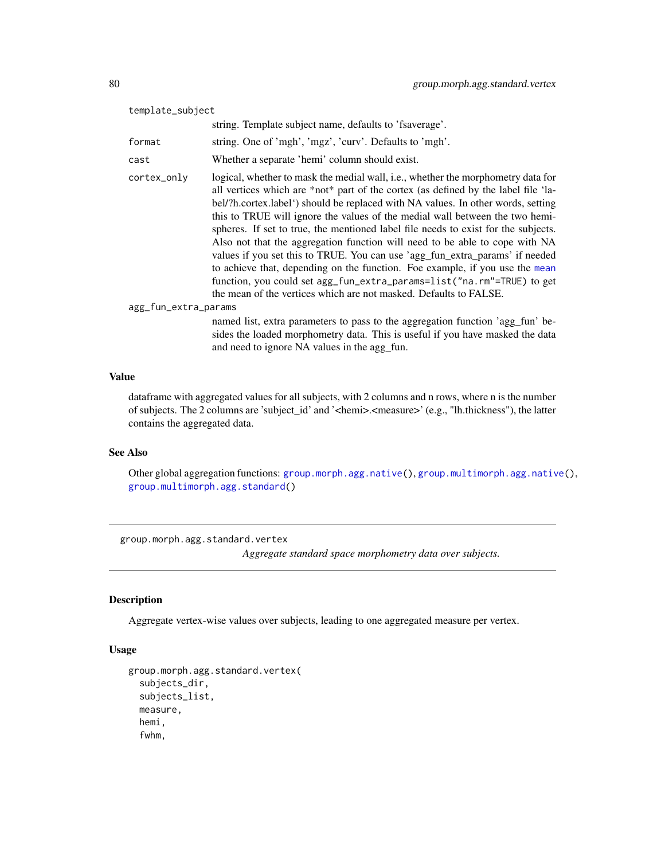| template_subject     |                                                                                                                                                                                                                                                                                                                                                                                                                                                                                                                                                                                                                                                                                                                                                                                                                                |  |
|----------------------|--------------------------------------------------------------------------------------------------------------------------------------------------------------------------------------------------------------------------------------------------------------------------------------------------------------------------------------------------------------------------------------------------------------------------------------------------------------------------------------------------------------------------------------------------------------------------------------------------------------------------------------------------------------------------------------------------------------------------------------------------------------------------------------------------------------------------------|--|
|                      | string. Template subject name, defaults to 'fsaverage'.                                                                                                                                                                                                                                                                                                                                                                                                                                                                                                                                                                                                                                                                                                                                                                        |  |
| format               | string. One of 'mgh', 'mgz', 'curv'. Defaults to 'mgh'.                                                                                                                                                                                                                                                                                                                                                                                                                                                                                                                                                                                                                                                                                                                                                                        |  |
| cast                 | Whether a separate 'hemi' column should exist.                                                                                                                                                                                                                                                                                                                                                                                                                                                                                                                                                                                                                                                                                                                                                                                 |  |
| cortex_only          | logical, whether to mask the medial wall, i.e., whether the morphometry data for<br>all vertices which are *not* part of the cortex (as defined by the label file 'la-<br>bel/?h.cortex.label') should be replaced with NA values. In other words, setting<br>this to TRUE will ignore the values of the medial wall between the two hemi-<br>spheres. If set to true, the mentioned label file needs to exist for the subjects.<br>Also not that the aggregation function will need to be able to cope with NA<br>values if you set this to TRUE. You can use 'agg_fun_extra_params' if needed<br>to achieve that, depending on the function. Foe example, if you use the mean<br>function, you could set agg_fun_extra_params=list("na.rm"=TRUE) to get<br>the mean of the vertices which are not masked. Defaults to FALSE. |  |
| agg_fun_extra_params |                                                                                                                                                                                                                                                                                                                                                                                                                                                                                                                                                                                                                                                                                                                                                                                                                                |  |
|                      | named list, extra parameters to pass to the aggregation function 'agg_fun' be-<br>sides the loaded morphometry data. This is useful if you have masked the data<br>and need to ignore NA values in the agg_fun.                                                                                                                                                                                                                                                                                                                                                                                                                                                                                                                                                                                                                |  |

# Value

dataframe with aggregated values for all subjects, with 2 columns and n rows, where n is the number of subjects. The 2 columns are 'subject\_id' and '<hemi>.<measure>' (e.g., "lh.thickness"), the latter contains the aggregated data.

#### See Also

Other global aggregation functions: [group.morph.agg.native\(](#page-76-0)), [group.multimorph.agg.native\(](#page-84-0)), [group.multimorph.agg.standard\(](#page-86-0))

group.morph.agg.standard.vertex

*Aggregate standard space morphometry data over subjects.*

# Description

Aggregate vertex-wise values over subjects, leading to one aggregated measure per vertex.

## Usage

```
group.morph.agg.standard.vertex(
  subjects_dir,
  subjects_list,
  measure,
  hemi,
  fwhm,
```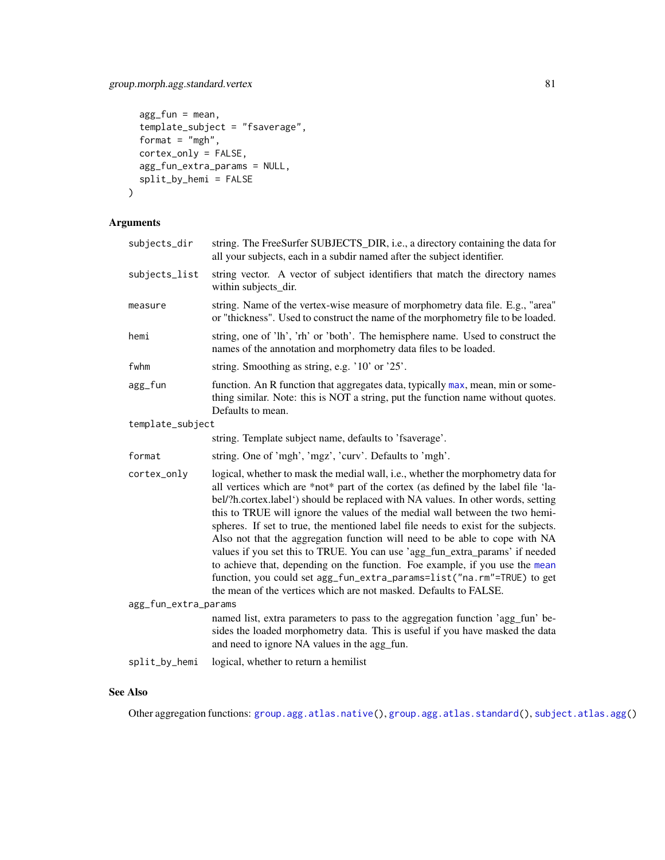# group.morph.agg.standard.vertex 81

```
agg_fun = mean,template_subject = "fsaverage",
 format = "mgh",
 cortex_only = FALSE,
 agg_fun_extra_params = NULL,
 split_by_hemi = FALSE
\mathcal{L}
```
# Arguments

| subjects_dir         | string. The FreeSurfer SUBJECTS_DIR, i.e., a directory containing the data for<br>all your subjects, each in a subdir named after the subject identifier.                                                                                                                                                                                                                                                                                                                                                                                                                                                                                                                                                                                                                                                                      |  |
|----------------------|--------------------------------------------------------------------------------------------------------------------------------------------------------------------------------------------------------------------------------------------------------------------------------------------------------------------------------------------------------------------------------------------------------------------------------------------------------------------------------------------------------------------------------------------------------------------------------------------------------------------------------------------------------------------------------------------------------------------------------------------------------------------------------------------------------------------------------|--|
| subjects_list        | string vector. A vector of subject identifiers that match the directory names<br>within subjects_dir.                                                                                                                                                                                                                                                                                                                                                                                                                                                                                                                                                                                                                                                                                                                          |  |
| measure              | string. Name of the vertex-wise measure of morphometry data file. E.g., "area"<br>or "thickness". Used to construct the name of the morphometry file to be loaded.                                                                                                                                                                                                                                                                                                                                                                                                                                                                                                                                                                                                                                                             |  |
| hemi                 | string, one of 'lh', 'rh' or 'both'. The hemisphere name. Used to construct the<br>names of the annotation and morphometry data files to be loaded.                                                                                                                                                                                                                                                                                                                                                                                                                                                                                                                                                                                                                                                                            |  |
| fwhm                 | string. Smoothing as string, e.g. '10' or '25'.                                                                                                                                                                                                                                                                                                                                                                                                                                                                                                                                                                                                                                                                                                                                                                                |  |
| agg_fun              | function. An R function that aggregates data, typically max, mean, min or some-<br>thing similar. Note: this is NOT a string, put the function name without quotes.<br>Defaults to mean.                                                                                                                                                                                                                                                                                                                                                                                                                                                                                                                                                                                                                                       |  |
| template_subject     |                                                                                                                                                                                                                                                                                                                                                                                                                                                                                                                                                                                                                                                                                                                                                                                                                                |  |
|                      | string. Template subject name, defaults to 'fsaverage'.                                                                                                                                                                                                                                                                                                                                                                                                                                                                                                                                                                                                                                                                                                                                                                        |  |
| format               | string. One of 'mgh', 'mgz', 'curv'. Defaults to 'mgh'.                                                                                                                                                                                                                                                                                                                                                                                                                                                                                                                                                                                                                                                                                                                                                                        |  |
| cortex_only          | logical, whether to mask the medial wall, i.e., whether the morphometry data for<br>all vertices which are *not* part of the cortex (as defined by the label file 'la-<br>bel/?h.cortex.label') should be replaced with NA values. In other words, setting<br>this to TRUE will ignore the values of the medial wall between the two hemi-<br>spheres. If set to true, the mentioned label file needs to exist for the subjects.<br>Also not that the aggregation function will need to be able to cope with NA<br>values if you set this to TRUE. You can use 'agg_fun_extra_params' if needed<br>to achieve that, depending on the function. Foe example, if you use the mean<br>function, you could set agg_fun_extra_params=list("na.rm"=TRUE) to get<br>the mean of the vertices which are not masked. Defaults to FALSE. |  |
| agg_fun_extra_params |                                                                                                                                                                                                                                                                                                                                                                                                                                                                                                                                                                                                                                                                                                                                                                                                                                |  |
|                      | named list, extra parameters to pass to the aggregation function 'agg_fun' be-<br>sides the loaded morphometry data. This is useful if you have masked the data<br>and need to ignore NA values in the agg_fun.                                                                                                                                                                                                                                                                                                                                                                                                                                                                                                                                                                                                                |  |
| split_by_hemi        | logical, whether to return a hemilist                                                                                                                                                                                                                                                                                                                                                                                                                                                                                                                                                                                                                                                                                                                                                                                          |  |
|                      |                                                                                                                                                                                                                                                                                                                                                                                                                                                                                                                                                                                                                                                                                                                                                                                                                                |  |

# See Also

Other aggregation functions: [group.agg.atlas.native\(](#page-67-0)), [group.agg.atlas.standard\(](#page-68-0)), [subject.atlas.agg\(](#page-137-0))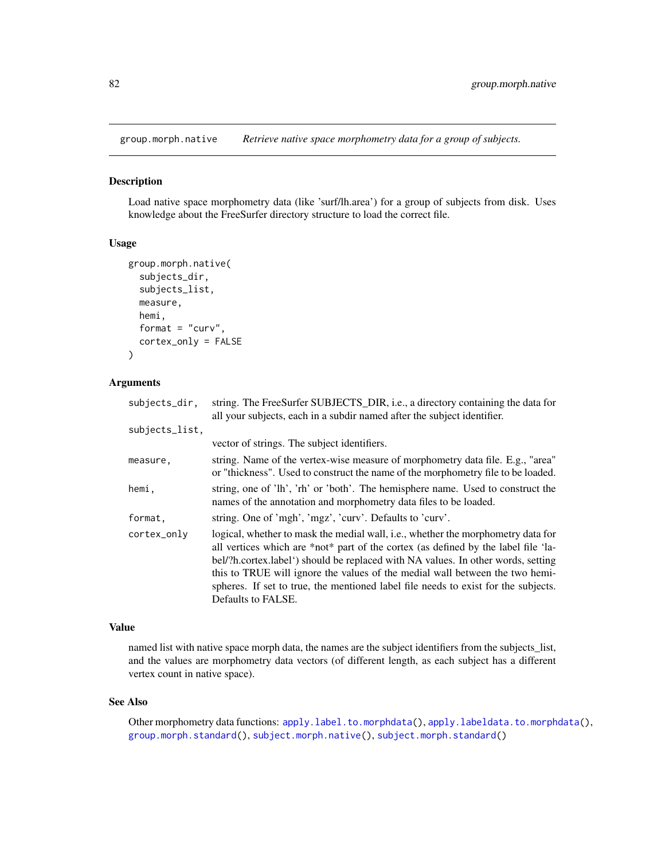<span id="page-81-0"></span>group.morph.native *Retrieve native space morphometry data for a group of subjects.*

#### Description

Load native space morphometry data (like 'surf/lh.area') for a group of subjects from disk. Uses knowledge about the FreeSurfer directory structure to load the correct file.

#### Usage

```
group.morph.native(
  subjects_dir,
  subjects_list,
 measure,
 hemi,
  format = "curv",cortex_only = FALSE
)
```
## Arguments

| subjects_dir,  | string. The FreeSurfer SUBJECTS_DIR, i.e., a directory containing the data for<br>all your subjects, each in a subdir named after the subject identifier.                                                                                                                                                                                                                                                                                              |
|----------------|--------------------------------------------------------------------------------------------------------------------------------------------------------------------------------------------------------------------------------------------------------------------------------------------------------------------------------------------------------------------------------------------------------------------------------------------------------|
| subjects_list, |                                                                                                                                                                                                                                                                                                                                                                                                                                                        |
|                | vector of strings. The subject identifiers.                                                                                                                                                                                                                                                                                                                                                                                                            |
| measure.       | string. Name of the vertex-wise measure of morphometry data file. E.g., "area"<br>or "thickness". Used to construct the name of the morphometry file to be loaded.                                                                                                                                                                                                                                                                                     |
| hemi,          | string, one of 'lh', 'rh' or 'both'. The hemisphere name. Used to construct the<br>names of the annotation and morphometry data files to be loaded.                                                                                                                                                                                                                                                                                                    |
| format.        | string. One of 'mgh', 'mgz', 'curv'. Defaults to 'curv'.                                                                                                                                                                                                                                                                                                                                                                                               |
| cortex_only    | logical, whether to mask the medial wall, i.e., whether the morphometry data for<br>all vertices which are *not* part of the cortex (as defined by the label file 'la-<br>bel/?h.cortex.label') should be replaced with NA values. In other words, setting<br>this to TRUE will ignore the values of the medial wall between the two hemi-<br>spheres. If set to true, the mentioned label file needs to exist for the subjects.<br>Defaults to FALSE. |

### Value

named list with native space morph data, the names are the subject identifiers from the subjects\_list, and the values are morphometry data vectors (of different length, as each subject has a different vertex count in native space).

#### See Also

Other morphometry data functions: [apply.label.to.morphdata\(](#page-8-0)), [apply.labeldata.to.morphdata\(](#page-9-0)), [group.morph.standard\(](#page-82-0)), [subject.morph.native\(](#page-145-0)), [subject.morph.standard\(](#page-146-0))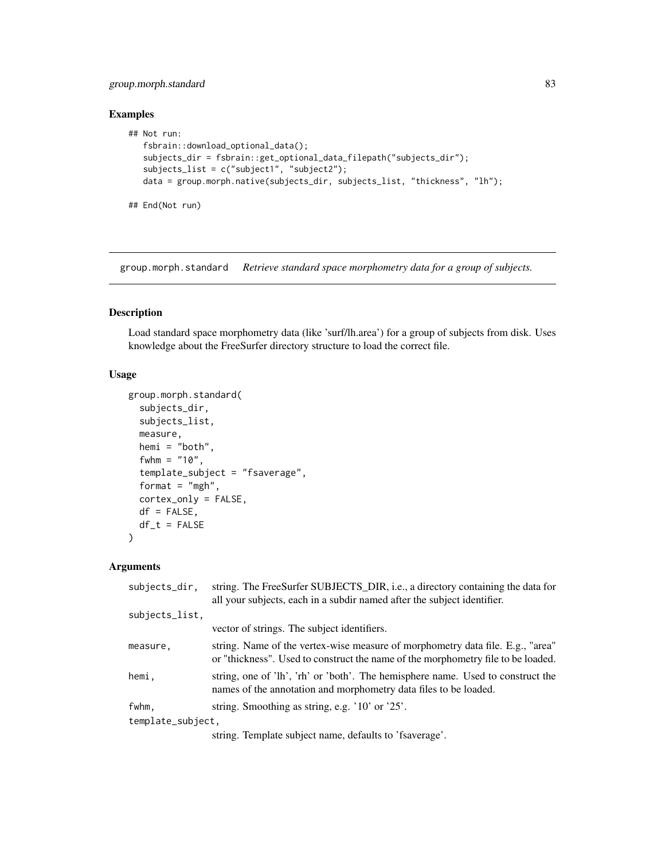## group.morph.standard 83

## Examples

```
## Not run:
  fsbrain::download_optional_data();
  subjects_dir = fsbrain::get_optional_data_filepath("subjects_dir");
  subjects_list = c("subject1", "subject2");
  data = group.morph.native(subjects_dir, subjects_list, "thickness", "lh");
## End(Not run)
```
<span id="page-82-0"></span>group.morph.standard *Retrieve standard space morphometry data for a group of subjects.*

## Description

Load standard space morphometry data (like 'surf/lh.area') for a group of subjects from disk. Uses knowledge about the FreeSurfer directory structure to load the correct file.

## Usage

```
group.morph.standard(
  subjects_dir,
  subjects_list,
 measure,
  hemi = "both",
  fwhm = "10",
  template_subject = "fsaverage",
  format = "mgh",
  cortex_only = FALSE,
  df = FALSE,df_t = FALSE)
```
#### Arguments

| subjects_dir,     | string. The FreeSurfer SUBJECTS_DIR, i.e., a directory containing the data for<br>all your subjects, each in a subdir named after the subject identifier.          |
|-------------------|--------------------------------------------------------------------------------------------------------------------------------------------------------------------|
| subjects_list,    |                                                                                                                                                                    |
|                   | vector of strings. The subject identifiers.                                                                                                                        |
| measure.          | string. Name of the vertex-wise measure of morphometry data file. E.g., "area"<br>or "thickness". Used to construct the name of the morphometry file to be loaded. |
| hemi.             | string, one of 'lh', 'rh' or 'both'. The hemisphere name. Used to construct the<br>names of the annotation and morphometry data files to be loaded.                |
| fwhm,             | string. Smoothing as string, e.g. '10' or '25'.                                                                                                                    |
| template_subject, |                                                                                                                                                                    |
|                   | string. Template subject name, defaults to 'fsaverage'.                                                                                                            |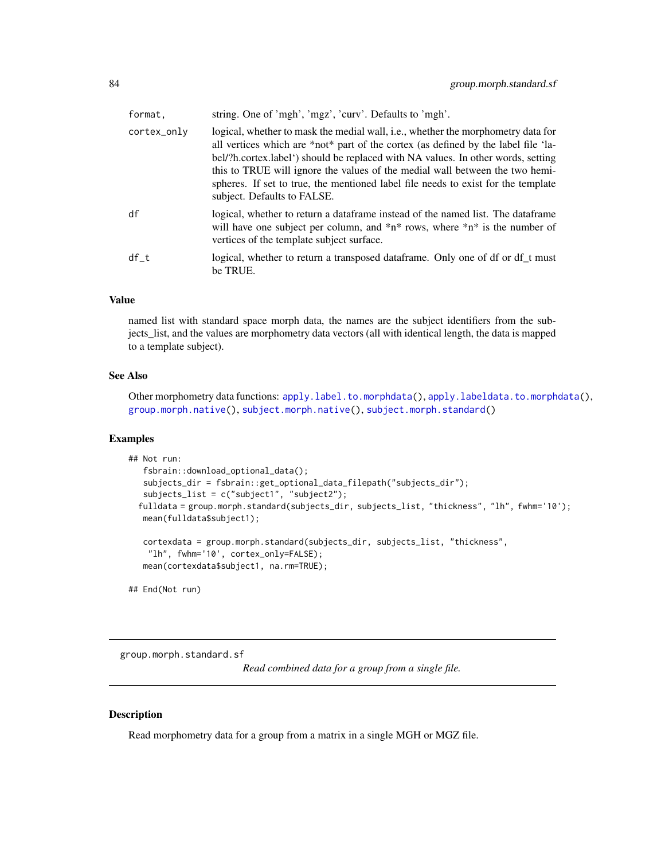| format,     | string. One of 'mgh', 'mgz', 'curv'. Defaults to 'mgh'.                                                                                                                                                                                                                                                                                                                                                                                                        |
|-------------|----------------------------------------------------------------------------------------------------------------------------------------------------------------------------------------------------------------------------------------------------------------------------------------------------------------------------------------------------------------------------------------------------------------------------------------------------------------|
| cortex_only | logical, whether to mask the medial wall, i.e., whether the morphometry data for<br>all vertices which are *not* part of the cortex (as defined by the label file 'la-<br>bel/?h.cortex.label') should be replaced with NA values. In other words, setting<br>this to TRUE will ignore the values of the medial wall between the two hemi-<br>spheres. If set to true, the mentioned label file needs to exist for the template<br>subject. Defaults to FALSE. |
| df          | logical, whether to return a data frame instead of the named list. The data frame<br>will have one subject per column, and $\pi^*$ rows, where $\pi^*$ is the number of<br>vertices of the template subject surface.                                                                                                                                                                                                                                           |
| df t        | logical, whether to return a transposed dataframe. Only one of df or df_t must<br>be TRUE.                                                                                                                                                                                                                                                                                                                                                                     |

#### Value

named list with standard space morph data, the names are the subject identifiers from the subjects\_list, and the values are morphometry data vectors (all with identical length, the data is mapped to a template subject).

## See Also

Other morphometry data functions: [apply.label.to.morphdata\(](#page-8-0)), [apply.labeldata.to.morphdata\(](#page-9-0)), [group.morph.native\(](#page-81-0)), [subject.morph.native\(](#page-145-0)), [subject.morph.standard\(](#page-146-0))

#### Examples

```
## Not run:
  fsbrain::download_optional_data();
  subjects_dir = fsbrain::get_optional_data_filepath("subjects_dir");
  subjects_list = c("subject1", "subject2");
  fulldata = group.morph.standard(subjects_dir, subjects_list, "thickness", "lh", fwhm='10');
  mean(fulldata$subject1);
  cortexdata = group.morph.standard(subjects_dir, subjects_list, "thickness",
    "lh", fwhm='10', cortex_only=FALSE);
  mean(cortexdata$subject1, na.rm=TRUE);
```
## End(Not run)

group.morph.standard.sf

*Read combined data for a group from a single file.*

## Description

Read morphometry data for a group from a matrix in a single MGH or MGZ file.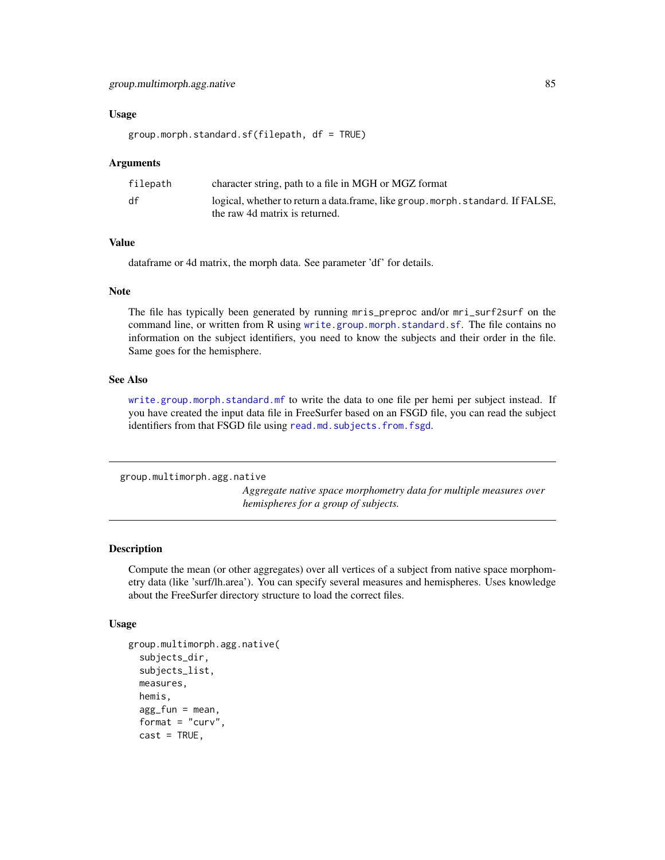## group.multimorph.agg.native 85

#### Usage

```
group.morph.standard.sf(filepath, df = TRUE)
```
#### Arguments

| character string, path to a file in MGH or MGZ format                                                           |
|-----------------------------------------------------------------------------------------------------------------|
| logical, whether to return a data.frame, like group morph.standard. If FALSE,<br>the raw 4d matrix is returned. |
|                                                                                                                 |

## Value

dataframe or 4d matrix, the morph data. See parameter 'df' for details.

#### Note

The file has typically been generated by running mris\_preproc and/or mri\_surf2surf on the command line, or written from R using [write.group.morph.standard.sf](#page-215-0). The file contains no information on the subject identifiers, you need to know the subjects and their order in the file. Same goes for the hemisphere.

#### See Also

[write.group.morph.standard.mf](#page-214-0) to write the data to one file per hemi per subject instead. If you have created the input data file in FreeSurfer based on an FSGD file, you can read the subject identifiers from that FSGD file using [read.md.subjects.from.fsgd](#page-123-0).

```
group.multimorph.agg.native
```
*Aggregate native space morphometry data for multiple measures over hemispheres for a group of subjects.*

## Description

Compute the mean (or other aggregates) over all vertices of a subject from native space morphometry data (like 'surf/lh.area'). You can specify several measures and hemispheres. Uses knowledge about the FreeSurfer directory structure to load the correct files.

## Usage

```
group.multimorph.agg.native(
  subjects_dir,
  subjects_list,
 measures,
 hemis,
  agg_fun = mean,format = "curv",cast = TRUE,
```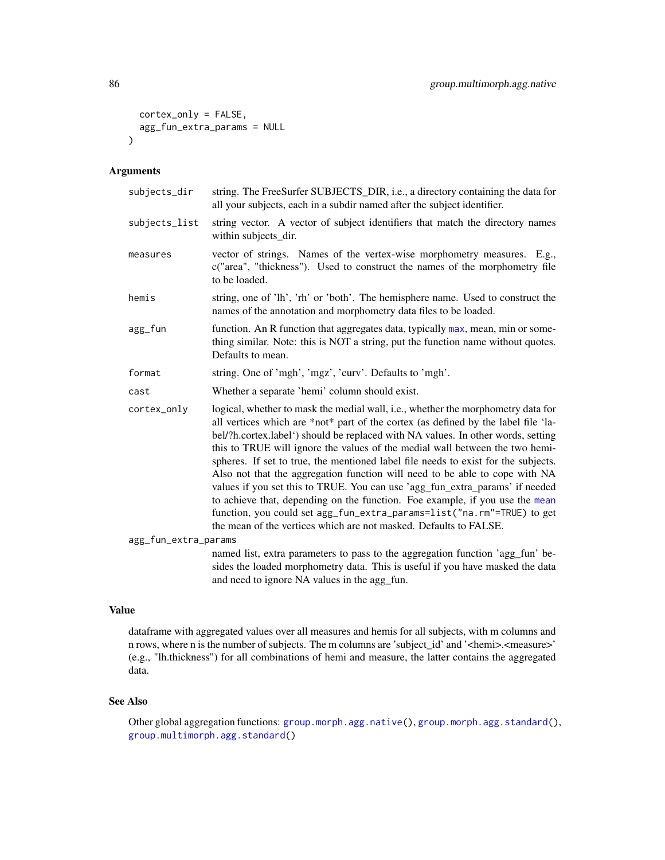```
cortex_only = FALSE,
 agg_fun_extra_params = NULL
\lambda
```
## Arguments

| subjects_dir         | string. The FreeSurfer SUBJECTS_DIR, i.e., a directory containing the data for<br>all your subjects, each in a subdir named after the subject identifier.                                                                                                                                                                                                                                                                                                                                                                                                                                                                                                                                                                                                                                                                      |
|----------------------|--------------------------------------------------------------------------------------------------------------------------------------------------------------------------------------------------------------------------------------------------------------------------------------------------------------------------------------------------------------------------------------------------------------------------------------------------------------------------------------------------------------------------------------------------------------------------------------------------------------------------------------------------------------------------------------------------------------------------------------------------------------------------------------------------------------------------------|
| subjects_list        | string vector. A vector of subject identifiers that match the directory names<br>within subjects_dir.                                                                                                                                                                                                                                                                                                                                                                                                                                                                                                                                                                                                                                                                                                                          |
| measures             | vector of strings. Names of the vertex-wise morphometry measures. E.g.,<br>c("area", "thickness"). Used to construct the names of the morphometry file<br>to be loaded.                                                                                                                                                                                                                                                                                                                                                                                                                                                                                                                                                                                                                                                        |
| hemis                | string, one of 'lh', 'rh' or 'both'. The hemisphere name. Used to construct the<br>names of the annotation and morphometry data files to be loaded.                                                                                                                                                                                                                                                                                                                                                                                                                                                                                                                                                                                                                                                                            |
| agg_fun              | function. An R function that aggregates data, typically max, mean, min or some-<br>thing similar. Note: this is NOT a string, put the function name without quotes.<br>Defaults to mean.                                                                                                                                                                                                                                                                                                                                                                                                                                                                                                                                                                                                                                       |
| format               | string. One of 'mgh', 'mgz', 'curv'. Defaults to 'mgh'.                                                                                                                                                                                                                                                                                                                                                                                                                                                                                                                                                                                                                                                                                                                                                                        |
| cast                 | Whether a separate 'hemi' column should exist.                                                                                                                                                                                                                                                                                                                                                                                                                                                                                                                                                                                                                                                                                                                                                                                 |
| cortex_only          | logical, whether to mask the medial wall, i.e., whether the morphometry data for<br>all vertices which are *not* part of the cortex (as defined by the label file 'la-<br>bel/?h.cortex.label') should be replaced with NA values. In other words, setting<br>this to TRUE will ignore the values of the medial wall between the two hemi-<br>spheres. If set to true, the mentioned label file needs to exist for the subjects.<br>Also not that the aggregation function will need to be able to cope with NA<br>values if you set this to TRUE. You can use 'agg_fun_extra_params' if needed<br>to achieve that, depending on the function. Foe example, if you use the mean<br>function, you could set agg_fun_extra_params=list("na.rm"=TRUE) to get<br>the mean of the vertices which are not masked. Defaults to FALSE. |
| agg_fun_extra_params |                                                                                                                                                                                                                                                                                                                                                                                                                                                                                                                                                                                                                                                                                                                                                                                                                                |
|                      | named list, extra parameters to pass to the aggregation function 'agg_fun' be-                                                                                                                                                                                                                                                                                                                                                                                                                                                                                                                                                                                                                                                                                                                                                 |

sides the loaded morphometry data. This is useful if you have masked the data and need to ignore NA values in the agg\_fun.

## Value

dataframe with aggregated values over all measures and hemis for all subjects, with m columns and n rows, where n is the number of subjects. The m columns are 'subject\_id' and '<hemi>.<measure>' (e.g., "lh.thickness") for all combinations of hemi and measure, the latter contains the aggregated data.

## See Also

Other global aggregation functions: [group.morph.agg.native\(](#page-76-0)), [group.morph.agg.standard\(](#page-78-0)), [group.multimorph.agg.standard\(](#page-86-0))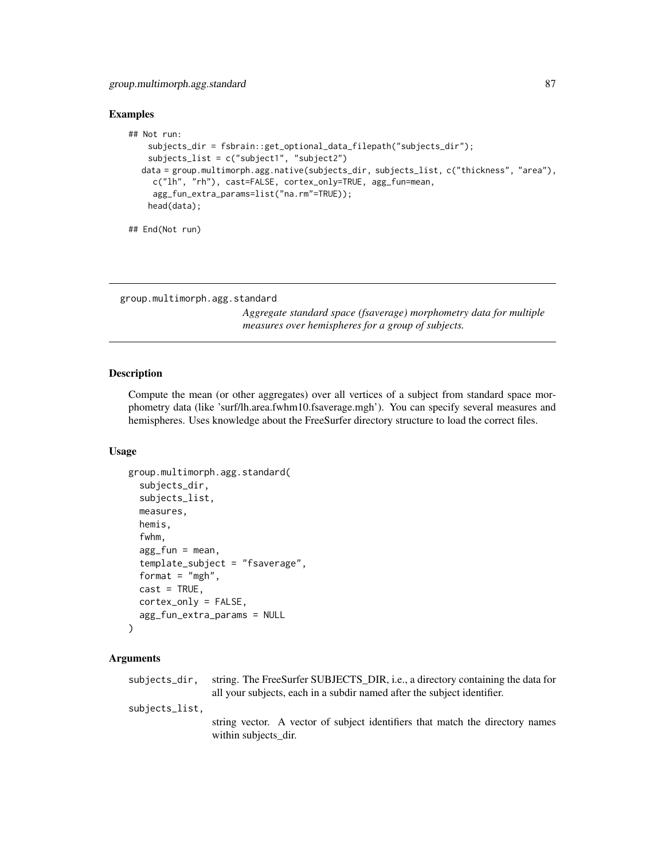## Examples

```
## Not run:
    subjects_dir = fsbrain::get_optional_data_filepath("subjects_dir");
   subjects_list = c("subject1", "subject2")
  data = group.multimorph.agg.native(subjects_dir, subjects_list, c("thickness", "area"),
    c("lh", "rh"), cast=FALSE, cortex_only=TRUE, agg_fun=mean,
     agg_fun_extra_params=list("na.rm"=TRUE));
   head(data);
## End(Not run)
```

```
group.multimorph.agg.standard
```
*Aggregate standard space (fsaverage) morphometry data for multiple measures over hemispheres for a group of subjects.*

## Description

Compute the mean (or other aggregates) over all vertices of a subject from standard space morphometry data (like 'surf/lh.area.fwhm10.fsaverage.mgh'). You can specify several measures and hemispheres. Uses knowledge about the FreeSurfer directory structure to load the correct files.

#### Usage

```
group.multimorph.agg.standard(
  subjects_dir,
  subjects_list,
  measures,
  hemis,
  fwhm,
  agg_fun = mean,template_subject = "fsaverage",
  format = "mgh",
  cast = TRUE,cortex_only = FALSE,
  agg_fun_extra_params = NULL
)
```
## Arguments

| subjects_dir.  | string. The FreeSurfer SUBJECTS_DIR, i.e., a directory containing the data for                        |
|----------------|-------------------------------------------------------------------------------------------------------|
|                | all your subjects, each in a subdir named after the subject identifier.                               |
| subjects_list. |                                                                                                       |
|                | string vector. A vector of subject identifiers that match the directory names<br>within subjects dir. |
|                |                                                                                                       |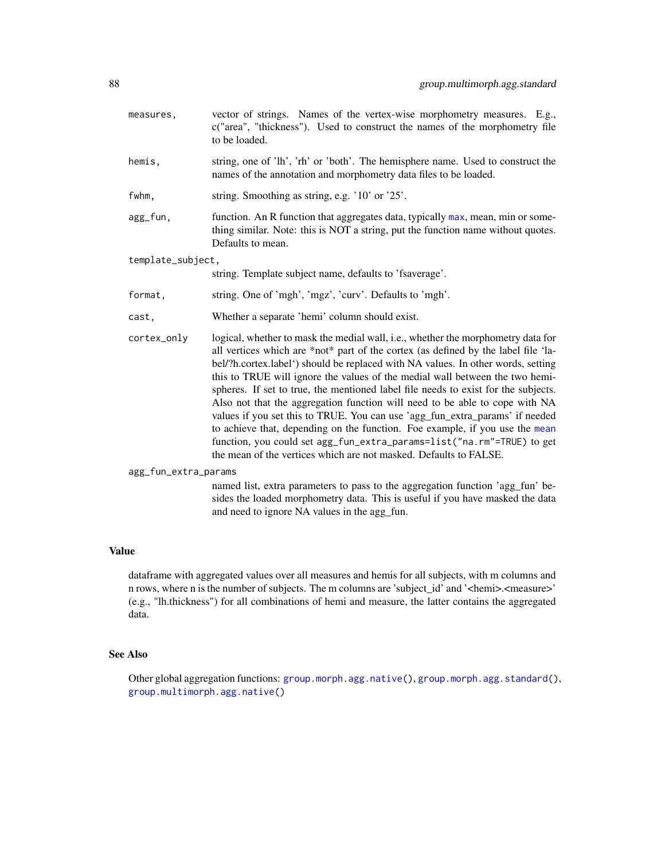measures, vector of strings. Names of the vertex-wise morphometry measures. E.g., c("area", "thickness"). Used to construct the names of the morphometry file to be loaded. hemis, string, one of 'lh', 'rh' or 'both'. The hemisphere name. Used to construct the names of the annotation and morphometry data files to be loaded. fwhm, string. Smoothing as string, e.g. '10' or '25'. agg\_fun, function. An R function that aggregates data, typically [max](#page-0-0), mean, min or something similar. Note: this is NOT a string, put the function name without quotes. Defaults to mean. template\_subject, string. Template subject name, defaults to 'fsaverage'. format, string. One of 'mgh', 'mgz', 'curv'. Defaults to 'mgh'. cast, Whether a separate 'hemi' column should exist. cortex\_only logical, whether to mask the medial wall, i.e., whether the morphometry data for all vertices which are \*not\* part of the cortex (as defined by the label file 'label/?h.cortex.label') should be replaced with NA values. In other words, setting this to TRUE will ignore the values of the medial wall between the two hemispheres. If set to true, the mentioned label file needs to exist for the subjects. Also not that the aggregation function will need to be able to cope with NA values if you set this to TRUE. You can use 'agg\_fun\_extra\_params' if needed to achieve that, depending on the function. Foe example, if you use the [mean](#page-0-0) function, you could set agg\_fun\_extra\_params=list("na.rm"=TRUE) to get the mean of the vertices which are not masked. Defaults to FALSE. agg\_fun\_extra\_params

named list, extra parameters to pass to the aggregation function 'agg\_fun' besides the loaded morphometry data. This is useful if you have masked the data and need to ignore NA values in the agg\_fun.

## Value

dataframe with aggregated values over all measures and hemis for all subjects, with m columns and n rows, where n is the number of subjects. The m columns are 'subject\_id' and '<hemi>.<measure>' (e.g., "lh.thickness") for all combinations of hemi and measure, the latter contains the aggregated data.

#### See Also

Other global aggregation functions: [group.morph.agg.native\(](#page-76-0)), [group.morph.agg.standard\(](#page-78-0)), [group.multimorph.agg.native\(](#page-84-0))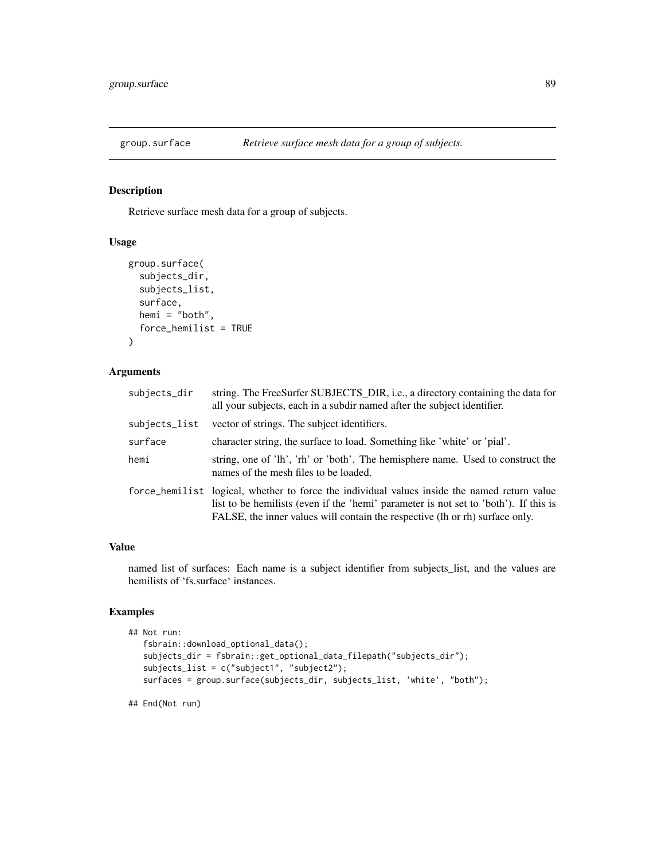## Description

Retrieve surface mesh data for a group of subjects.

## Usage

```
group.surface(
  subjects_dir,
  subjects_list,
  surface,
 hemi = "both",
  force_hemilist = TRUE
)
```
### Arguments

| subjects_dir  | string. The FreeSurfer SUBJECTS_DIR, i.e., a directory containing the data for<br>all your subjects, each in a subdir named after the subject identifier.                                                                                                            |
|---------------|----------------------------------------------------------------------------------------------------------------------------------------------------------------------------------------------------------------------------------------------------------------------|
| subjects_list | vector of strings. The subject identifiers.                                                                                                                                                                                                                          |
| surface       | character string, the surface to load. Something like 'white' or 'pial'.                                                                                                                                                                                             |
| hemi          | string, one of 'lh', 'rh' or 'both'. The hemisphere name. Used to construct the<br>names of the mesh files to be loaded.                                                                                                                                             |
|               | force_hemilist logical, whether to force the individual values inside the named return value<br>list to be hemilists (even if the 'hemi' parameter is not set to 'both'). If this is<br>FALSE, the inner values will contain the respective (lh or rh) surface only. |

#### Value

named list of surfaces: Each name is a subject identifier from subjects\_list, and the values are hemilists of 'fs.surface' instances.

## Examples

```
## Not run:
  fsbrain::download_optional_data();
   subjects_dir = fsbrain::get_optional_data_filepath("subjects_dir");
  subjects_list = c("subject1", "subject2");
  surfaces = group.surface(subjects_dir, subjects_list, 'white', "both");
```
## End(Not run)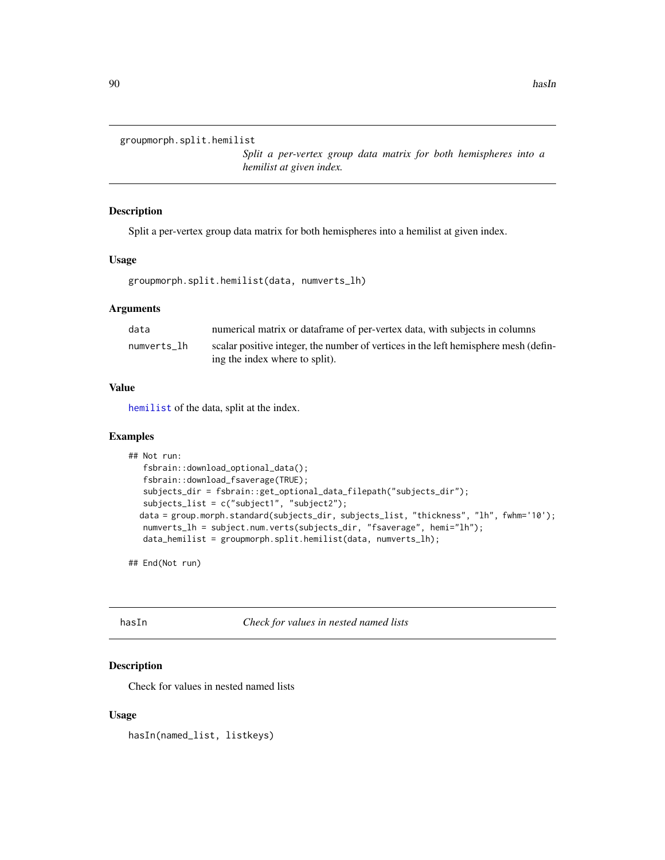```
groupmorph.split.hemilist
```
*Split a per-vertex group data matrix for both hemispheres into a hemilist at given index.*

#### Description

Split a per-vertex group data matrix for both hemispheres into a hemilist at given index.

#### Usage

```
groupmorph.split.hemilist(data, numverts_lh)
```
#### Arguments

| data        | numerical matrix or data frame of per-vertex data, with subjects in columns         |
|-------------|-------------------------------------------------------------------------------------|
| numverts lh | scalar positive integer, the number of vertices in the left hemisphere mesh (defin- |
|             | ing the index where to split).                                                      |

## Value

[hemilist](#page-90-0) of the data, split at the index.

## Examples

```
## Not run:
  fsbrain::download_optional_data();
  fsbrain::download_fsaverage(TRUE);
  subjects_dir = fsbrain::get_optional_data_filepath("subjects_dir");
  subjects_list = c("subject1", "subject2");
  data = group.morph.standard(subjects_dir, subjects_list, "thickness", "lh", fwhm='10');
  numverts_lh = subject.num.verts(subjects_dir, "fsaverage", hemi="lh");
  data_hemilist = groupmorph.split.hemilist(data, numverts_lh);
```
## End(Not run)

hasIn *Check for values in nested named lists*

# Description

Check for values in nested named lists

#### Usage

hasIn(named\_list, listkeys)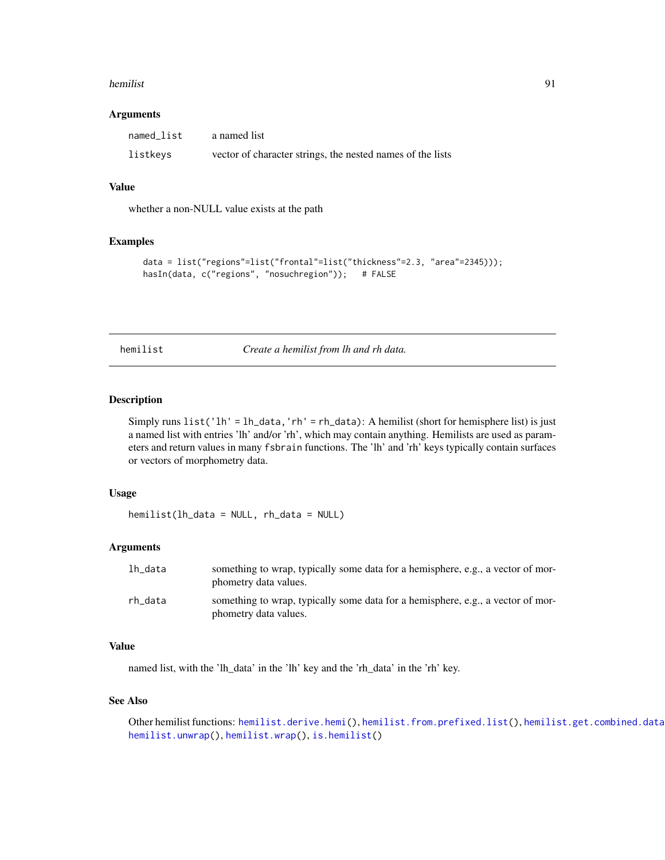#### hemilist 91

#### **Arguments**

| named list | a named list                                               |
|------------|------------------------------------------------------------|
| listkeys   | vector of character strings, the nested names of the lists |

## Value

whether a non-NULL value exists at the path

## Examples

```
data = list("regions"=list("frontal"=list("thickness"=2.3, "area"=2345)));
hasIn(data, c("regions", "nosuchregion")); # FALSE
```
<span id="page-90-0"></span>hemilist *Create a hemilist from lh and rh data.*

## Description

Simply runs list('lh' = lh\_data,'rh' = rh\_data): A hemilist (short for hemisphere list) is just a named list with entries 'lh' and/or 'rh', which may contain anything. Hemilists are used as parameters and return values in many fsbrain functions. The 'lh' and 'rh' keys typically contain surfaces or vectors of morphometry data.

#### Usage

hemilist(lh\_data = NULL, rh\_data = NULL)

#### Arguments

| lh data | something to wrap, typically some data for a hemisphere, e.g., a vector of mor-<br>phometry data values. |
|---------|----------------------------------------------------------------------------------------------------------|
| rh data | something to wrap, typically some data for a hemisphere, e.g., a vector of mor-<br>phometry data values. |

## Value

named list, with the 'lh\_data' in the 'lh' key and the 'rh\_data' in the 'rh' key.

#### See Also

```
hemilist.derive.hemi(hemilist.from.prefixed.list(), hemilist.get.combined.data
hemilist.unwrap(), hemilist.wrap(), is.hemilist()
```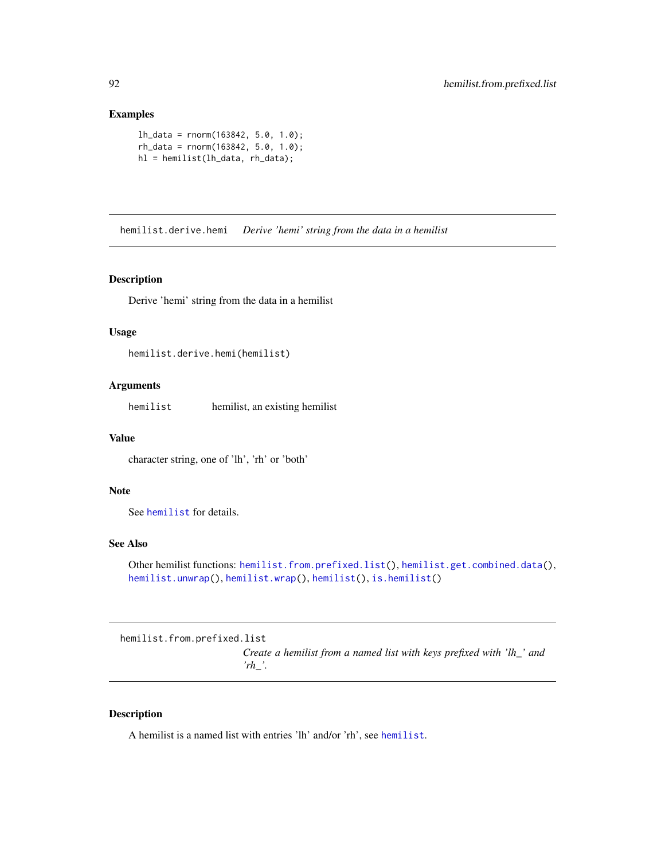## Examples

```
lh_data = rnorm(163842, 5.0, 1.0);
rh_data = rnorm(163842, 5.0, 1.0);
hl = hemilist(lh_data, rh_data);
```
<span id="page-91-0"></span>hemilist.derive.hemi *Derive 'hemi' string from the data in a hemilist*

## Description

Derive 'hemi' string from the data in a hemilist

#### Usage

hemilist.derive.hemi(hemilist)

# Arguments

hemilist hemilist, an existing hemilist

## Value

character string, one of 'lh', 'rh' or 'both'

## Note

See [hemilist](#page-90-0) for details.

## See Also

```
Other hemilist functions: hemilist.from.prefixed.list(), hemilist.get.combined.data(),
hemilist.unwrap(), hemilist.wrap(), hemilist(), is.hemilist()
```
<span id="page-91-1"></span>hemilist.from.prefixed.list

*Create a hemilist from a named list with keys prefixed with 'lh\_' and 'rh\_'.*

#### Description

A hemilist is a named list with entries 'lh' and/or 'rh', see [hemilist](#page-90-0).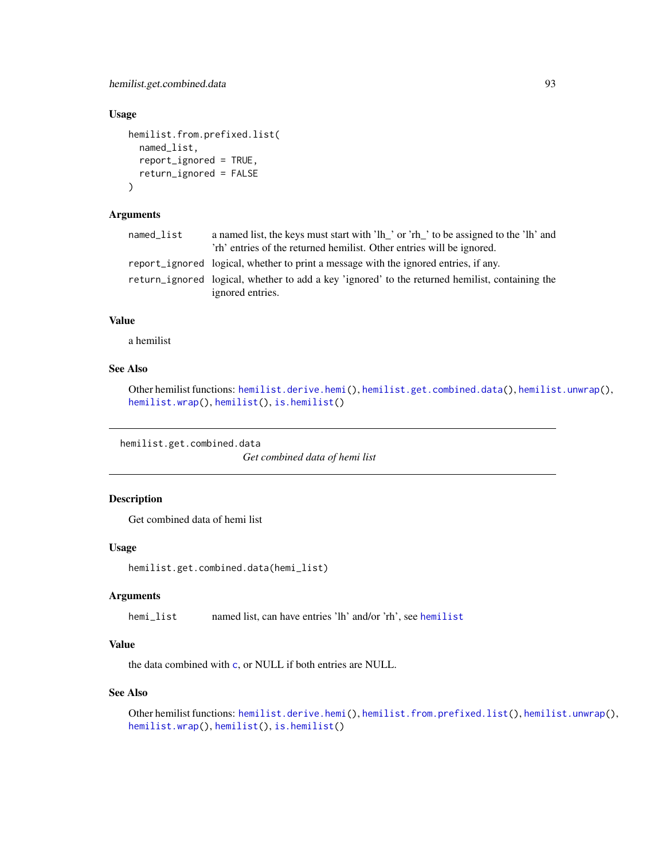## Usage

```
hemilist.from.prefixed.list(
 named_list,
  report_ignored = TRUE,
  return_ignored = FALSE
\lambda
```
# Arguments

| named_list | a named list, the keys must start with 'lh_' or 'rh_' to be assigned to the 'lh' and            |
|------------|-------------------------------------------------------------------------------------------------|
|            | 'rh' entries of the returned hemilist. Other entries will be ignored.                           |
|            | report_ignored logical, whether to print a message with the ignored entries, if any.            |
|            | return_ignored logical, whether to add a key 'ignored' to the returned hemilist, containing the |
|            | ignored entries.                                                                                |

#### Value

a hemilist

# See Also

```
Other hemilist functions: hemilist.derive.hemi(), hemilist.get.combined.data(), hemilist.unwrap(),
hemilist.wrap(), hemilist(), is.hemilist()
```
<span id="page-92-0"></span>hemilist.get.combined.data

*Get combined data of hemi list*

## Description

Get combined data of hemi list

## Usage

```
hemilist.get.combined.data(hemi_list)
```
#### Arguments

hemi\_list named list, can have entries 'lh' and/or 'rh', see [hemilist](#page-90-0)

## Value

the data combined with [c](#page-0-0), or NULL if both entries are NULL.

# See Also

Other hemilist functions: [hemilist.derive.hemi\(](#page-91-0)), [hemilist.from.prefixed.list\(](#page-91-1)), [hemilist.unwrap\(](#page-93-0)), [hemilist.wrap\(](#page-93-1)), [hemilist\(](#page-90-0)), [is.hemilist\(](#page-101-0))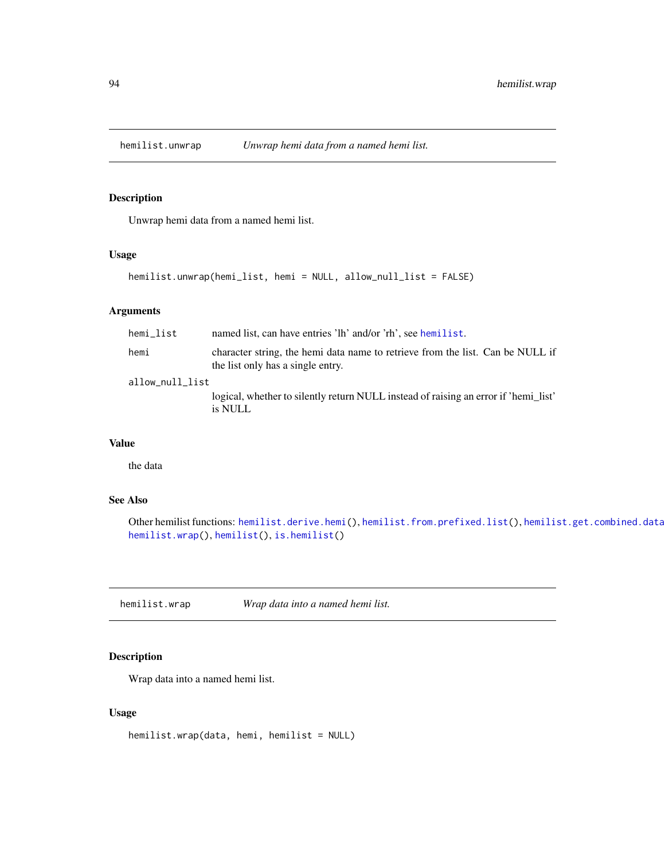<span id="page-93-0"></span>

## Description

Unwrap hemi data from a named hemi list.

#### Usage

```
hemilist.unwrap(hemi_list, hemi = NULL, allow_null_list = FALSE)
```
## Arguments

| hemi list       | named list, can have entries 'lh' and/or 'rh', see hemilist.                                                        |
|-----------------|---------------------------------------------------------------------------------------------------------------------|
| hemi            | character string, the hemi data name to retrieve from the list. Can be NULL if<br>the list only has a single entry. |
| allow_null_list |                                                                                                                     |
|                 | logical, whether to silently return NULL instead of raising an error if 'hemi list'<br>is NULL                      |

# Value

the data

## See Also

Other hemilist functions: [hemilist.derive.hemi\(](#page-91-0)), [hemilist.from.prefixed.list\(](#page-91-1)), hemilist.get.combined.data [hemilist.wrap\(](#page-93-1)), [hemilist\(](#page-90-0)), [is.hemilist\(](#page-101-0))

<span id="page-93-1"></span>hemilist.wrap *Wrap data into a named hemi list.*

# Description

Wrap data into a named hemi list.

#### Usage

hemilist.wrap(data, hemi, hemilist = NULL)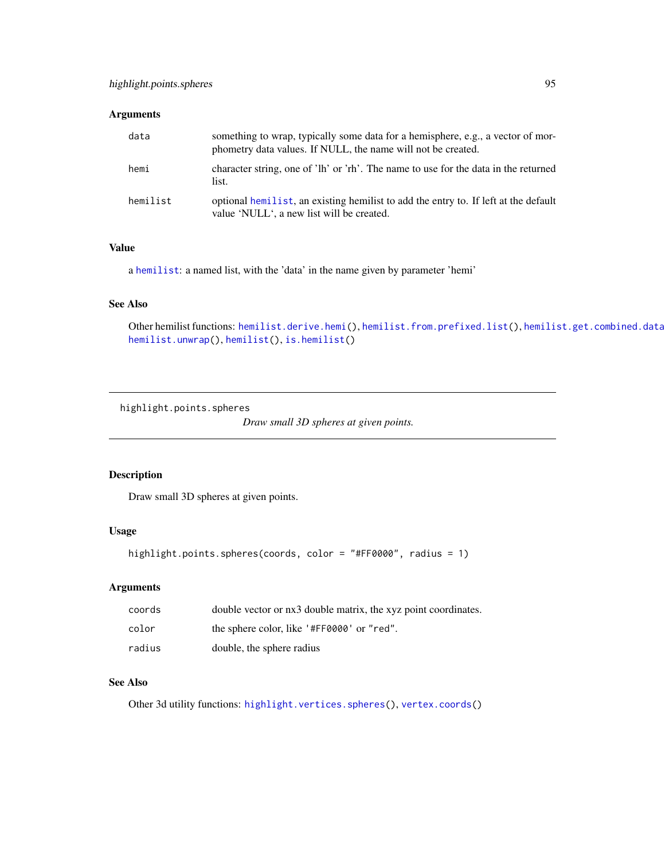## Arguments

| data     | something to wrap, typically some data for a hemisphere, e.g., a vector of mor-<br>phometry data values. If NULL, the name will not be created. |
|----------|-------------------------------------------------------------------------------------------------------------------------------------------------|
| hemi     | character string, one of 'lh' or 'rh'. The name to use for the data in the returned<br>list.                                                    |
| hemilist | optional hemilist, an existing hemilist to add the entry to. If left at the default<br>value 'NULL', a new list will be created.                |

## Value

a [hemilist](#page-90-0): a named list, with the 'data' in the name given by parameter 'hemi'

#### See Also

Other hemilist functions: [hemilist.derive.hemi\(](#page-91-0)), [hemilist.from.prefixed.list\(](#page-91-1)), hemilist.get.combined.data [hemilist.unwrap\(](#page-93-0)), [hemilist\(](#page-90-0)), [is.hemilist\(](#page-101-0))

<span id="page-94-0"></span>highlight.points.spheres

*Draw small 3D spheres at given points.*

## Description

Draw small 3D spheres at given points.

## Usage

```
highlight.points.spheres(coords, color = "#FF0000", radius = 1)
```
## Arguments

| coords | double vector or nx3 double matrix, the xyz point coordinates. |
|--------|----------------------------------------------------------------|
| color  | the sphere color, like '#FF0000' or "red".                     |
| radius | double, the sphere radius                                      |

# See Also

Other 3d utility functions: [highlight.vertices.spheres\(](#page-98-0)), [vertex.coords\(](#page-153-0))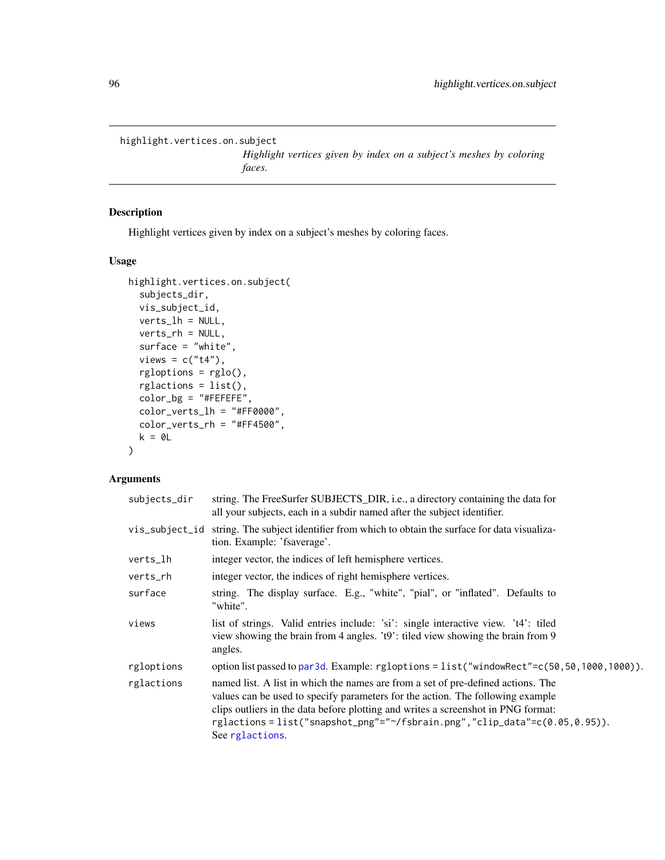<span id="page-95-0"></span>highlight.vertices.on.subject

*Highlight vertices given by index on a subject's meshes by coloring faces.*

## Description

Highlight vertices given by index on a subject's meshes by coloring faces.

## Usage

```
highlight.vertices.on.subject(
  subjects_dir,
  vis_subject_id,
  verts_lh = NULL,
  verts_rh = NULL,
  surface = "white",
  views = c("t4"),
  rgloptions = rglo(),
  rglactions = list(),
  color_bg = "#FEFEFE",
  color_verts_lh = "#FF0000",
  color_verts_rh = "#FF4500",
  k = 0L
\mathcal{L}
```
# Arguments

| subjects_dir | string. The FreeSurfer SUBJECTS_DIR, i.e., a directory containing the data for<br>all your subjects, each in a subdir named after the subject identifier.                                                                                                                                                                                                         |
|--------------|-------------------------------------------------------------------------------------------------------------------------------------------------------------------------------------------------------------------------------------------------------------------------------------------------------------------------------------------------------------------|
|              | vis_subject_id string. The subject identifier from which to obtain the surface for data visualiza-<br>tion. Example: 'fsaverage'.                                                                                                                                                                                                                                 |
| verts_lh     | integer vector, the indices of left hemisphere vertices.                                                                                                                                                                                                                                                                                                          |
| verts_rh     | integer vector, the indices of right hemisphere vertices.                                                                                                                                                                                                                                                                                                         |
| surface      | string. The display surface. E.g., "white", "pial", or "inflated". Defaults to<br>"white".                                                                                                                                                                                                                                                                        |
| views        | list of strings. Valid entries include: 'si': single interactive view. 't4': tiled<br>view showing the brain from 4 angles. 't9': tiled view showing the brain from 9<br>angles.                                                                                                                                                                                  |
| rgloptions   | option list passed to par3d. Example: rgloptions = list("windowRect"=c(50,50,1000,1000)).                                                                                                                                                                                                                                                                         |
| rglactions   | named list. A list in which the names are from a set of pre-defined actions. The<br>values can be used to specify parameters for the action. The following example<br>clips outliers in the data before plotting and writes a screenshot in PNG format:<br>rglactions = $list("snapshot_png" = "*/fsbrain.png", "clip_data" = c(0.05, 0.95)).$<br>See rglactions. |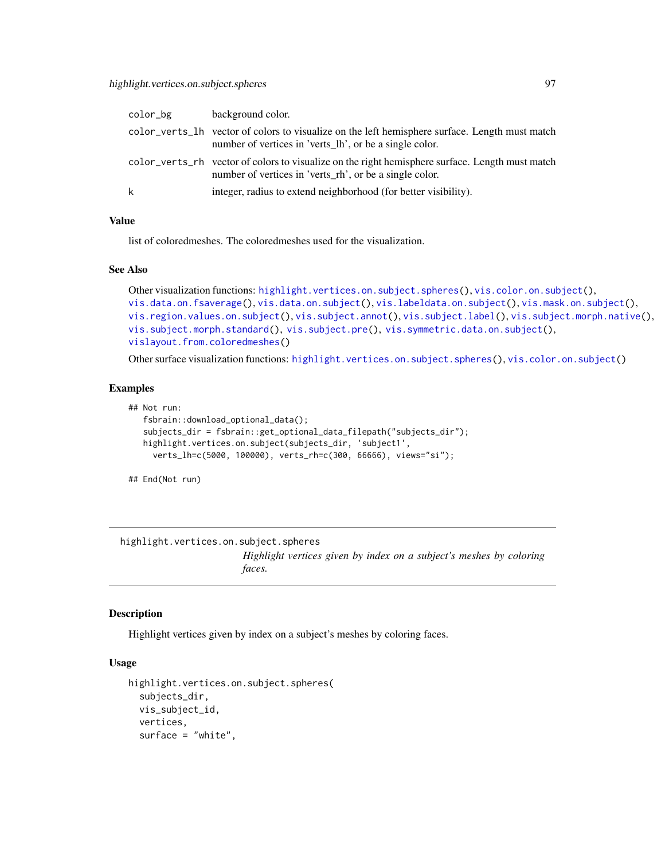| color_bg | background color.                                                                                                                                          |
|----------|------------------------------------------------------------------------------------------------------------------------------------------------------------|
|          | color_verts_lh vector of colors to visualize on the left hemisphere surface. Length must match<br>number of vertices in 'verts_lh', or be a single color.  |
|          | color_verts_rh vector of colors to visualize on the right hemisphere surface. Length must match<br>number of vertices in 'verts_rh', or be a single color. |
| k        | integer, radius to extend neighborhood (for better visibility).                                                                                            |

#### Value

list of coloredmeshes. The coloredmeshes used for the visualization.

## See Also

```
highlight.vertices.on.subject.spheres(vis.color.on.subject(),
vis.data.on.fsaverage(), vis.data.on.subject(), vis.labeldata.on.subject(), vis.mask.on.subject(),
vis.region.values.on.subject(), vis.subject.annot(), vis.subject.label(), vis.subject.morph.native(),
vis.subject.morph.standard(), vis.subject.pre(), vis.symmetric.data.on.subject(),
vislayout.from.coloredmeshes()
```
Other surface visualization functions: [highlight.vertices.on.subject.spheres\(](#page-96-0)), [vis.color.on.subject\(](#page-154-0))

## Examples

```
## Not run:
   fsbrain::download_optional_data();
   subjects_dir = fsbrain::get_optional_data_filepath("subjects_dir");
  highlight.vertices.on.subject(subjects_dir, 'subject1',
     verts_lh=c(5000, 100000), verts_rh=c(300, 66666), views="si");
```
## End(Not run)

<span id="page-96-0"></span>highlight.vertices.on.subject.spheres *Highlight vertices given by index on a subject's meshes by coloring faces.*

### Description

Highlight vertices given by index on a subject's meshes by coloring faces.

## Usage

```
highlight.vertices.on.subject.spheres(
  subjects_dir,
  vis_subject_id,
  vertices,
  surface = "white",
```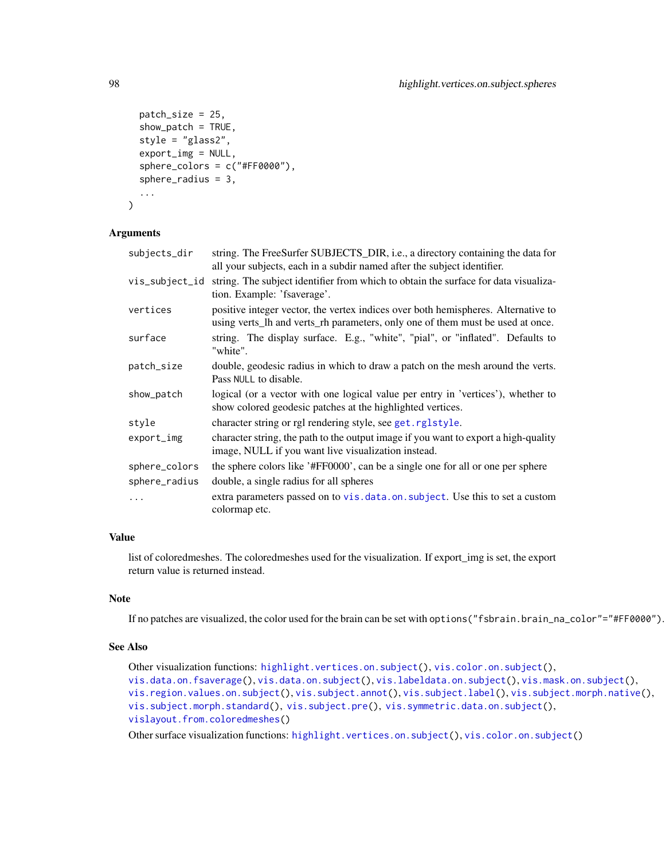```
patch_size = 25,
  show_patch = TRUE,
  style = "glass2",
  export_img = NULL,
  sphere_colors = c("#FF0000"),
  sphere_radius = 3,
  ...
)
```
## Arguments

| subjects_dir   | string. The FreeSurfer SUBJECTS_DIR, i.e., a directory containing the data for<br>all your subjects, each in a subdir named after the subject identifier.           |
|----------------|---------------------------------------------------------------------------------------------------------------------------------------------------------------------|
| vis_subject_id | string. The subject identifier from which to obtain the surface for data visualiza-<br>tion. Example: 'fsaverage'.                                                  |
| vertices       | positive integer vector, the vertex indices over both hemispheres. Alternative to<br>using verts_lh and verts_rh parameters, only one of them must be used at once. |
| surface        | string. The display surface. E.g., "white", "pial", or "inflated". Defaults to<br>"white".                                                                          |
| patch_size     | double, geodesic radius in which to draw a patch on the mesh around the verts.<br>Pass NULL to disable.                                                             |
| show_patch     | logical (or a vector with one logical value per entry in 'vertices'), whether to<br>show colored geodesic patches at the highlighted vertices.                      |
| style          | character string or rgl rendering style, see get.rglstyle.                                                                                                          |
| export_img     | character string, the path to the output image if you want to export a high-quality<br>image, NULL if you want live visualization instead.                          |
| sphere_colors  | the sphere colors like '#FF0000', can be a single one for all or one per sphere                                                                                     |
| sphere_radius  | double, a single radius for all spheres                                                                                                                             |
| .              | extra parameters passed on to vis. data. on. subject. Use this to set a custom<br>colormap etc.                                                                     |

# Value

list of coloredmeshes. The coloredmeshes used for the visualization. If export\_img is set, the export return value is returned instead.

## Note

If no patches are visualized, the color used for the brain can be set with options("fsbrain.brain\_na\_color"="#FF0000").

## See Also

```
Other visualization functions: highlight.vertices.on.subject(), vis.color.on.subject(),
vis.data.on.fsaverage(), vis.data.on.subject(), vis.labeldata.on.subject(), vis.mask.on.subject(),
vis.region.values.on.subject(), vis.subject.annot(), vis.subject.label(), vis.subject.morph.native(),
vis.subject.morph.standard(), vis.subject.pre(), vis.symmetric.data.on.subject(),
vislayout.from.coloredmeshes()
```
Other surface visualization functions: [highlight.vertices.on.subject\(](#page-95-0)), [vis.color.on.subject\(](#page-154-0))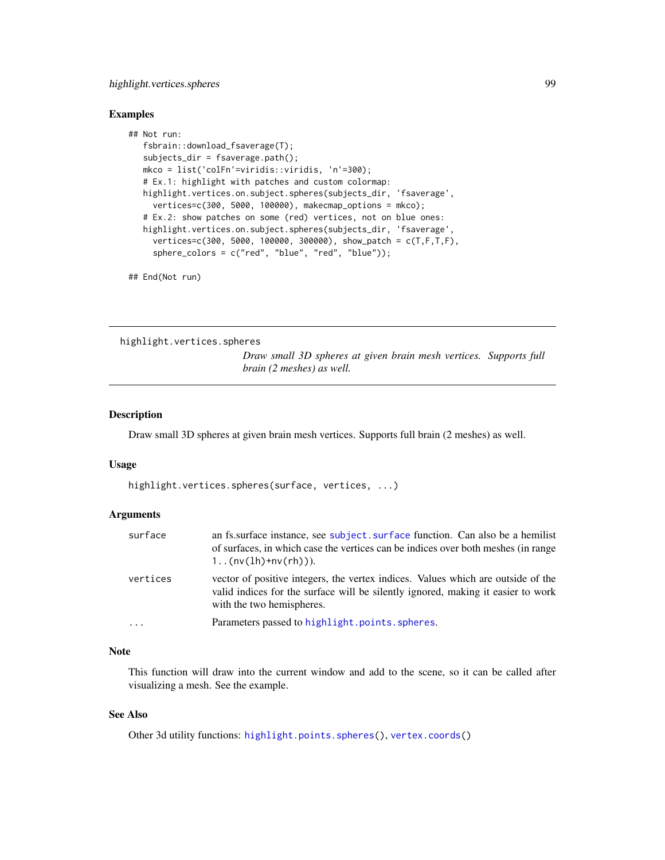## highlight.vertices.spheres 99

#### Examples

```
## Not run:
  fsbrain::download_fsaverage(T);
  subjects_dir = fsaverage.path();
  mkco = list('colFn'=viridis::viridis, 'n'=300);
  # Ex.1: highlight with patches and custom colormap:
  highlight.vertices.on.subject.spheres(subjects_dir, 'fsaverage',
     vertices=c(300, 5000, 100000), makecmap_options = mkco);
  # Ex.2: show patches on some (red) vertices, not on blue ones:
  highlight.vertices.on.subject.spheres(subjects_dir, 'fsaverage',
     vertices=c(300, 5000, 100000, 300000), show_patch = c(T,F,T,F),
     sphere_colors = c("red", "blue", "red", "blue"));
```
## End(Not run)

<span id="page-98-0"></span>highlight.vertices.spheres

*Draw small 3D spheres at given brain mesh vertices. Supports full brain (2 meshes) as well.*

#### Description

Draw small 3D spheres at given brain mesh vertices. Supports full brain (2 meshes) as well.

#### Usage

highlight.vertices.spheres(surface, vertices, ...)

## Arguments

| surface    | an fs. surface instance, see subject. surface function. Can also be a hemilist<br>of surfaces, in which case the vertices can be indices over both meshes (in range<br>$1(nv(lh)+nv(rh))).$       |
|------------|---------------------------------------------------------------------------------------------------------------------------------------------------------------------------------------------------|
| vertices   | vector of positive integers, the vertex indices. Values which are outside of the<br>valid indices for the surface will be silently ignored, making it easier to work<br>with the two hemispheres. |
| $\ddots$ . | Parameters passed to highlight.points.spheres.                                                                                                                                                    |

## Note

This function will draw into the current window and add to the scene, so it can be called after visualizing a mesh. See the example.

#### See Also

Other 3d utility functions: [highlight.points.spheres\(](#page-94-0)), [vertex.coords\(](#page-153-0))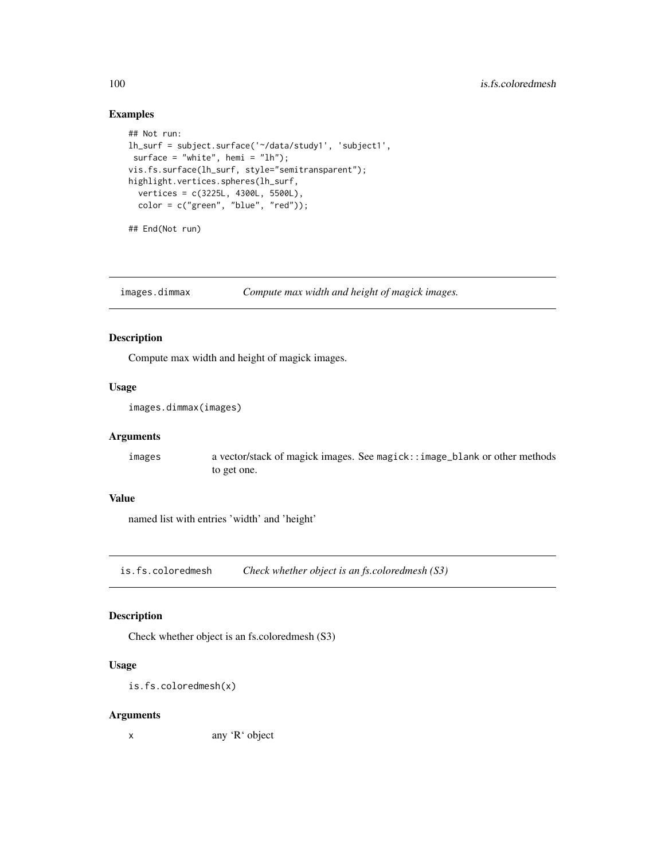# Examples

```
## Not run:
lh_surf = subject.surface('~/data/study1', 'subject1',
surface = "white", hemi = "lh");
vis.fs.surface(lh_surf, style="semitransparent");
highlight.vertices.spheres(lh_surf,
  vertices = c(3225L, 4300L, 5500L),
  color = c("green", "blue", "red"));## End(Not run)
```
images.dimmax *Compute max width and height of magick images.*

#### Description

Compute max width and height of magick images.

## Usage

```
images.dimmax(images)
```
## Arguments

images a vector/stack of magick images. See magick::image\_blank or other methods to get one.

#### Value

named list with entries 'width' and 'height'

is.fs.coloredmesh *Check whether object is an fs.coloredmesh (S3)*

# Description

Check whether object is an fs.coloredmesh (S3)

#### Usage

is.fs.coloredmesh(x)

#### Arguments

x any 'R' object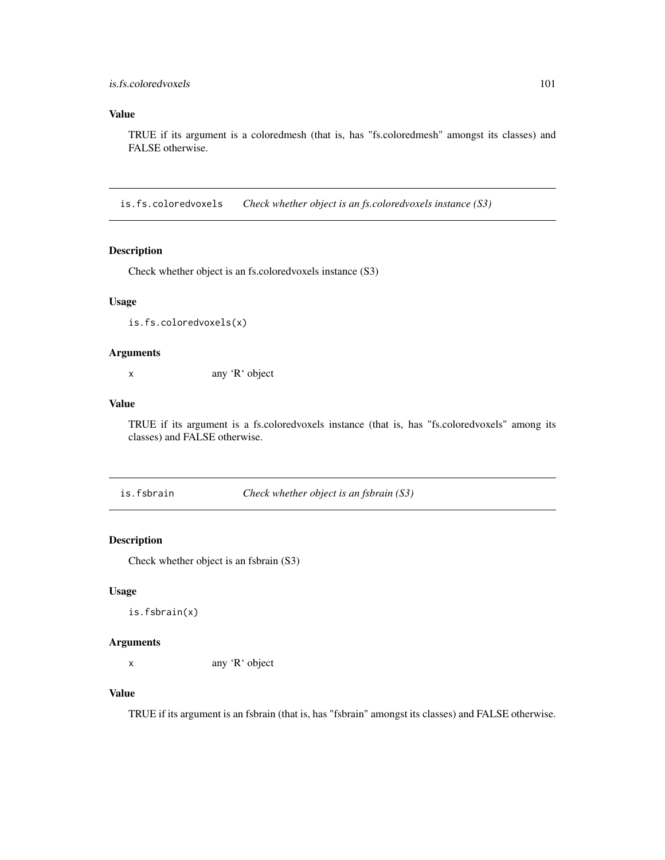## is.fs.coloredvoxels 101

# Value

TRUE if its argument is a coloredmesh (that is, has "fs.coloredmesh" amongst its classes) and FALSE otherwise.

is.fs.coloredvoxels *Check whether object is an fs.coloredvoxels instance (S3)*

## Description

Check whether object is an fs.coloredvoxels instance (S3)

## Usage

is.fs.coloredvoxels(x)

# Arguments

x any 'R' object

#### Value

TRUE if its argument is a fs.coloredvoxels instance (that is, has "fs.coloredvoxels" among its classes) and FALSE otherwise.

is.fsbrain *Check whether object is an fsbrain (S3)*

## Description

Check whether object is an fsbrain (S3)

## Usage

is.fsbrain(x)

#### Arguments

x any 'R' object

# Value

TRUE if its argument is an fsbrain (that is, has "fsbrain" amongst its classes) and FALSE otherwise.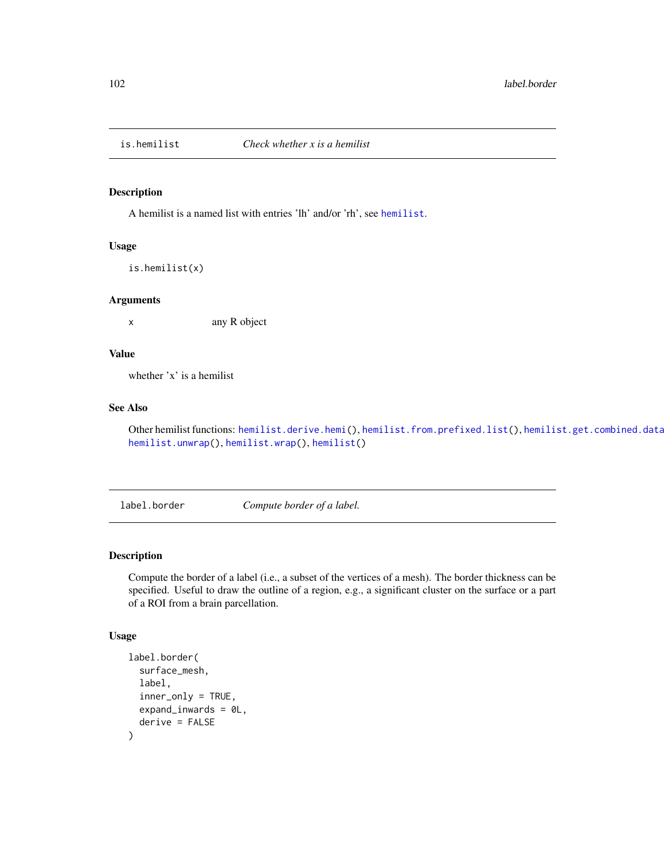<span id="page-101-0"></span>

## Description

A hemilist is a named list with entries 'lh' and/or 'rh', see [hemilist](#page-90-0).

#### Usage

is.hemilist(x)

#### Arguments

x any R object

# Value

whether 'x' is a hemilist

## See Also

Other hemilist functions: [hemilist.derive.hemi\(](#page-91-0)), [hemilist.from.prefixed.list\(](#page-91-1)), hemilist.get.combined.data [hemilist.unwrap\(](#page-93-0)), [hemilist.wrap\(](#page-93-1)), [hemilist\(](#page-90-0))

label.border *Compute border of a label.*

## Description

Compute the border of a label (i.e., a subset of the vertices of a mesh). The border thickness can be specified. Useful to draw the outline of a region, e.g., a significant cluster on the surface or a part of a ROI from a brain parcellation.

#### Usage

```
label.border(
  surface_mesh,
  label,
  inner_only = TRUE,
  expand_inwards = 0L,
  derive = FALSE
)
```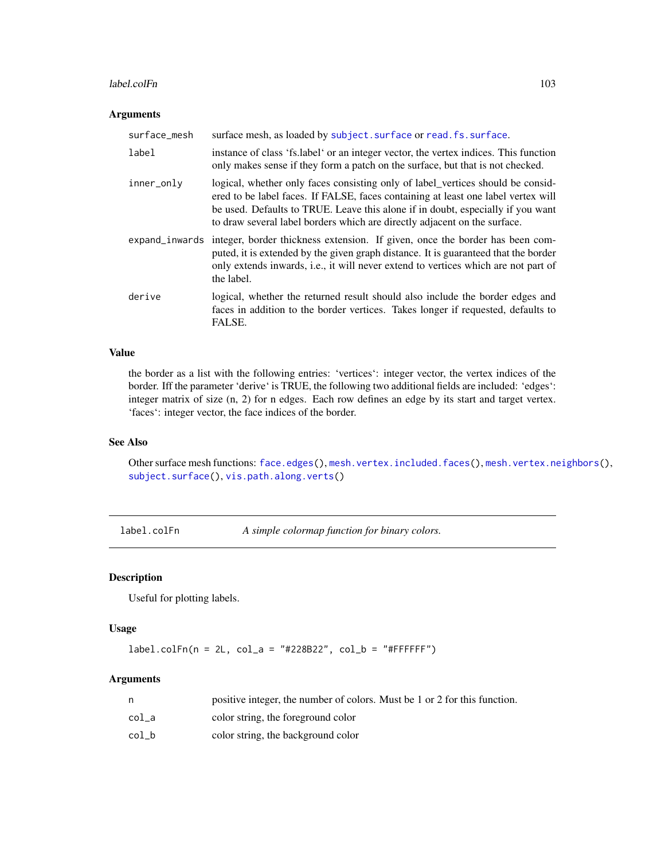#### $label. \text{col} \text{Fn}$  103

## Arguments

| surface_mesh | surface mesh, as loaded by subject. surface or read. fs. surface.                                                                                                                                                                                                                                                                       |
|--------------|-----------------------------------------------------------------------------------------------------------------------------------------------------------------------------------------------------------------------------------------------------------------------------------------------------------------------------------------|
| label        | instance of class 'fs.label' or an integer vector, the vertex indices. This function<br>only makes sense if they form a patch on the surface, but that is not checked.                                                                                                                                                                  |
| inner_only   | logical, whether only faces consisting only of label_vertices should be considered<br>ered to be label faces. If FALSE, faces containing at least one label vertex will<br>be used. Defaults to TRUE. Leave this alone if in doubt, especially if you want<br>to draw several label borders which are directly adjacent on the surface. |
|              | expand_inwards integer, border thickness extension. If given, once the border has been com-<br>puted, it is extended by the given graph distance. It is guaranteed that the border<br>only extends inwards, i.e., it will never extend to vertices which are not part of<br>the label.                                                  |
| derive       | logical, whether the returned result should also include the border edges and<br>faces in addition to the border vertices. Takes longer if requested, defaults to<br>FALSE.                                                                                                                                                             |

# Value

the border as a list with the following entries: 'vertices': integer vector, the vertex indices of the border. Iff the parameter 'derive' is TRUE, the following two additional fields are included: 'edges': integer matrix of size (n, 2) for n edges. Each row defines an edge by its start and target vertex. 'faces': integer vector, the face indices of the border.

## See Also

Other surface mesh functions: [face.edges\(](#page-51-0)), [mesh.vertex.included.faces\(](#page-0-0)), [mesh.vertex.neighbors\(](#page-110-0)), [subject.surface\(](#page-148-0)), [vis.path.along.verts\(](#page-179-0))

label.colFn *A simple colormap function for binary colors.*

## Description

Useful for plotting labels.

# Usage

 $label.colfn(n = 2L, col_a = "#228B22", col_b = "#FFFFFF")$ 

#### Arguments

|       | positive integer, the number of colors. Must be 1 or 2 for this function. |
|-------|---------------------------------------------------------------------------|
| col a | color string, the foreground color                                        |
| col b | color string, the background color                                        |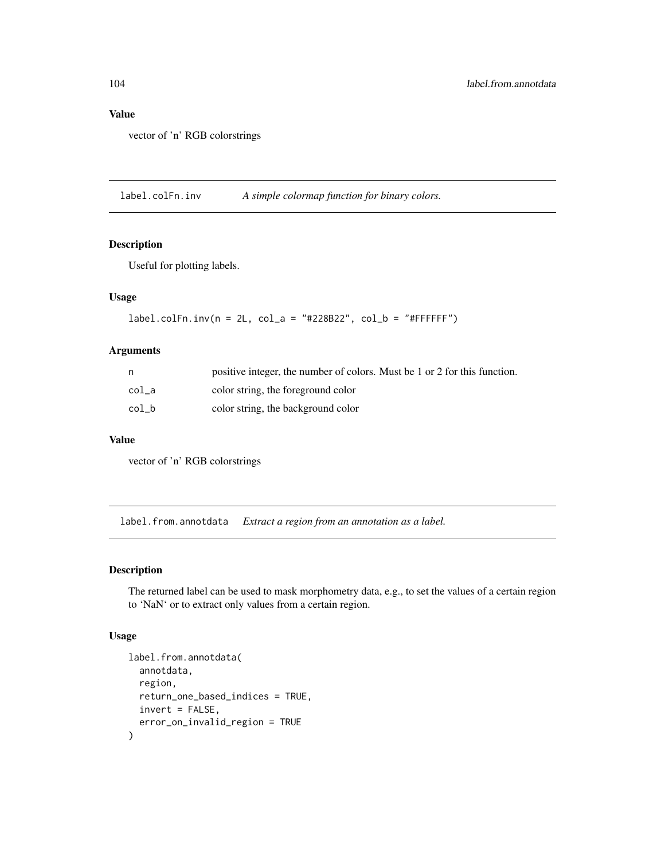# Value

vector of 'n' RGB colorstrings

label.colFn.inv *A simple colormap function for binary colors.*

# Description

Useful for plotting labels.

# Usage

 $label.colfn.inv(n = 2L, col_a = "#228B22", col_b = "#FFFFFF")$ 

#### Arguments

|       | positive integer, the number of colors. Must be 1 or 2 for this function. |
|-------|---------------------------------------------------------------------------|
| col a | color string, the foreground color                                        |
| col b | color string, the background color                                        |

#### Value

vector of 'n' RGB colorstrings

<span id="page-103-0"></span>label.from.annotdata *Extract a region from an annotation as a label.*

## Description

The returned label can be used to mask morphometry data, e.g., to set the values of a certain region to 'NaN' or to extract only values from a certain region.

#### Usage

```
label.from.annotdata(
 annotdata,
 region,
 return_one_based_indices = TRUE,
 invert = FALSE,error_on_invalid_region = TRUE
)
```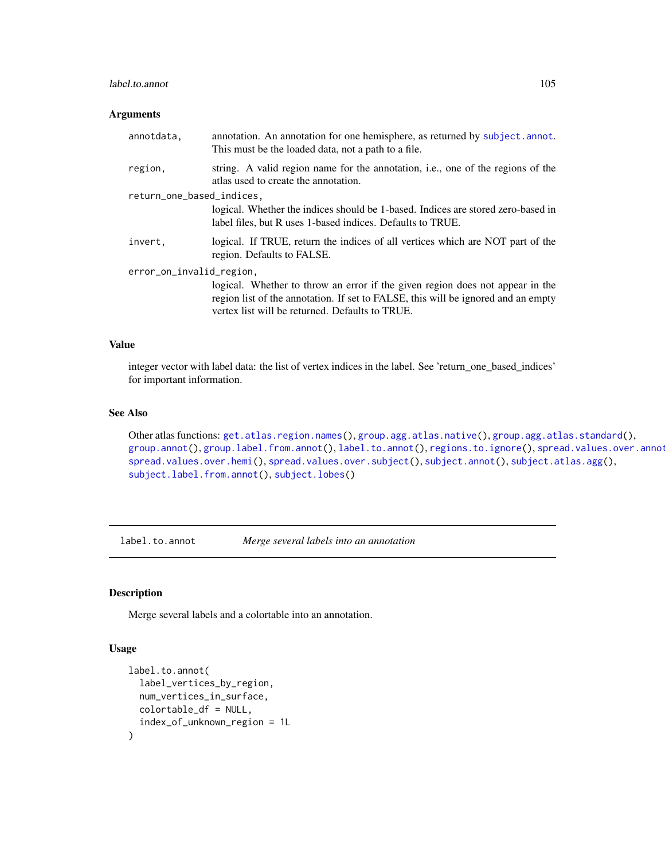## label.to.annot 105

## Arguments

| annotdata.                | annotation. An annotation for one hemisphere, as returned by subject. annot.<br>This must be the loaded data, not a path to a file.                                                                                   |
|---------------------------|-----------------------------------------------------------------------------------------------------------------------------------------------------------------------------------------------------------------------|
| region.                   | string. A valid region name for the annotation, i.e., one of the regions of the<br>atlas used to create the annotation.                                                                                               |
| return_one_based_indices, |                                                                                                                                                                                                                       |
|                           | logical. Whether the indices should be 1-based. Indices are stored zero-based in<br>label files, but R uses 1-based indices. Defaults to TRUE.                                                                        |
| invert.                   | logical. If TRUE, return the indices of all vertices which are NOT part of the<br>region. Defaults to FALSE.                                                                                                          |
| error_on_invalid_region,  |                                                                                                                                                                                                                       |
|                           | logical. Whether to throw an error if the given region does not appear in the<br>region list of the annotation. If set to FALSE, this will be ignored and an empty<br>vertex list will be returned. Defaults to TRUE. |

## Value

integer vector with label data: the list of vertex indices in the label. See 'return\_one\_based\_indices' for important information.

## See Also

```
Other atlas functions: get.atlas.region.names(), group.agg.atlas.native(), group.agg.atlas.standard(),
group.annot(group.label.from.annot(label.to.annot(regions.to.ignore(), spread.values.over.annot
spread.values.over.hemi(), spread.values.over.subject(), subject.annot(), subject.atlas.agg(),
subject.label.from.annot(), subject.lobes()
```
<span id="page-104-0"></span>label.to.annot *Merge several labels into an annotation*

## Description

Merge several labels and a colortable into an annotation.

#### Usage

```
label.to.annot(
  label_vertices_by_region,
  num_vertices_in_surface,
  colortable_df = NULL,
  index_of_unknown_region = 1L
\mathcal{E}
```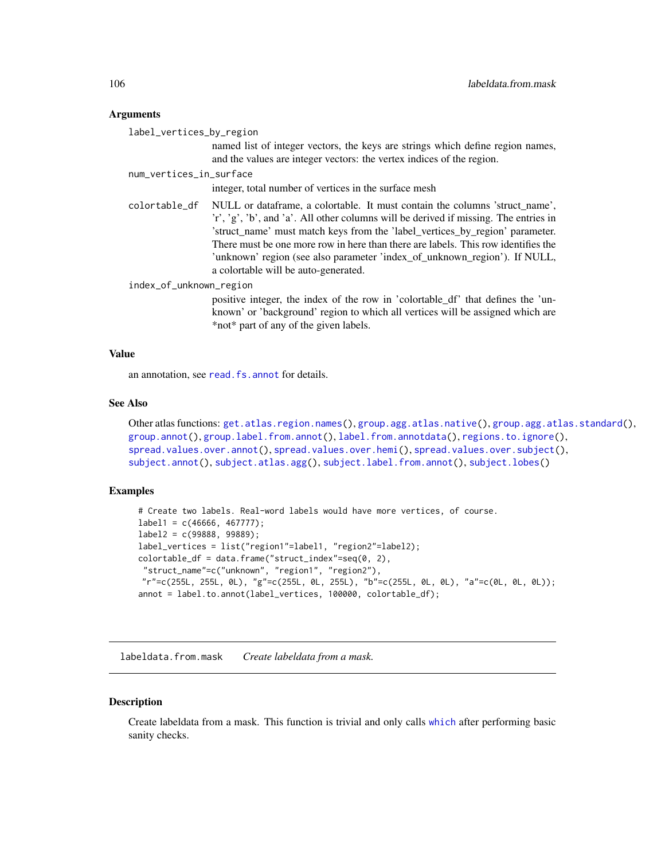## Arguments

label\_vertices\_by\_region

named list of integer vectors, the keys are strings which define region names, and the values are integer vectors: the vertex indices of the region.

#### num\_vertices\_in\_surface

integer, total number of vertices in the surface mesh

colortable\_df NULL or dataframe, a colortable. It must contain the columns 'struct\_name', 'r', 'g', 'b', and 'a'. All other columns will be derived if missing. The entries in 'struct\_name' must match keys from the 'label\_vertices\_by\_region' parameter. There must be one more row in here than there are labels. This row identifies the 'unknown' region (see also parameter 'index\_of\_unknown\_region'). If NULL, a colortable will be auto-generated.

## index\_of\_unknown\_region

positive integer, the index of the row in 'colortable\_df' that defines the 'unknown' or 'background' region to which all vertices will be assigned which are \*not\* part of any of the given labels.

## Value

an annotation, see [read.fs.annot](#page-0-0) for details.

#### See Also

```
Other atlas functions: get.atlas.region.names(), group.agg.atlas.native(), group.agg.atlas.standard(),
group.annot(), group.label.from.annot(), label.from.annotdata(), regions.to.ignore(),
spread.values.over.annot(), spread.values.over.hemi(), spread.values.over.subject(),
subject.annot(), subject.atlas.agg(), subject.label.from.annot(), subject.lobes()
```
#### Examples

```
# Create two labels. Real-word labels would have more vertices, of course.
label1 = c(46666, 467777);label2 = c(99888, 99889);label_vertices = list("region1"=label1, "region2"=label2);
colorable_df = data frame("struct_index" = seq(0, 2),"struct_name"=c("unknown", "region1", "region2"),
"r"=c(255L, 255L, 0L), "g"=c(255L, 0L, 255L), "b"=c(255L, 0L, 0L), "a"=c(0L, 0L, 0L));
annot = label.to.annot(label_vertices, 100000, colortable_df);
```
<span id="page-105-0"></span>labeldata.from.mask *Create labeldata from a mask.*

#### **Description**

Create labeldata from a mask. This function is trivial and only calls [which](#page-0-0) after performing basic sanity checks.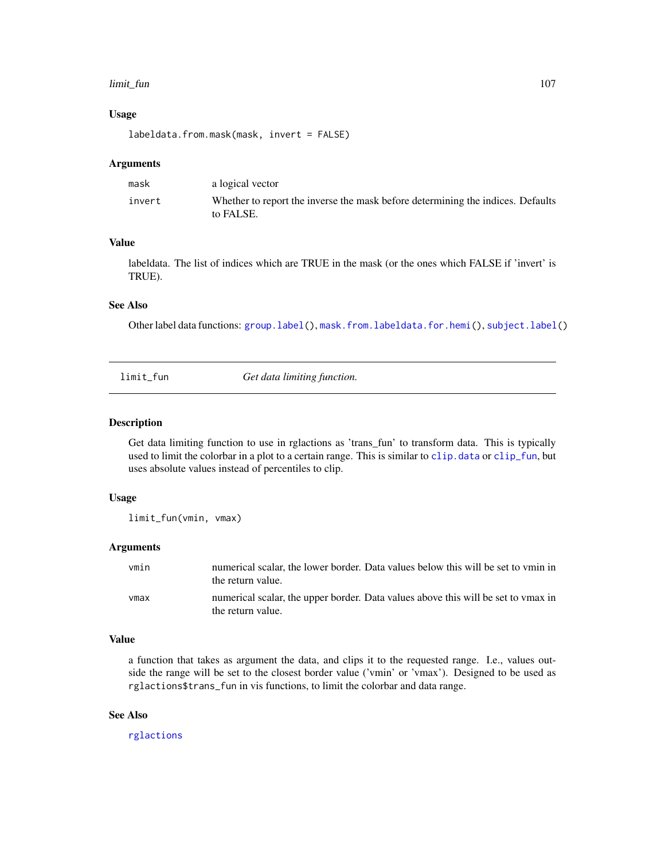#### limit\_fun 107

#### Usage

labeldata.from.mask(mask, invert = FALSE)

#### Arguments

| mask   | a logical vector                                                                             |
|--------|----------------------------------------------------------------------------------------------|
| invert | Whether to report the inverse the mask before determining the indices. Defaults<br>to FALSE. |

#### Value

labeldata. The list of indices which are TRUE in the mask (or the ones which FALSE if 'invert' is TRUE).

# See Also

Other label data functions: [group.label\(](#page-74-0)), [mask.from.labeldata.for.hemi\(](#page-109-0)), [subject.label\(](#page-140-0))

limit\_fun *Get data limiting function.*

## Description

Get data limiting function to use in rglactions as 'trans\_fun' to transform data. This is typically used to limit the colorbar in a plot to a certain range. This is similar to [clip.data](#page-13-0) or [clip\\_fun](#page-14-0), but uses absolute values instead of percentiles to clip.

#### Usage

limit\_fun(vmin, vmax)

#### Arguments

| vmin | numerical scalar, the lower border. Data values below this will be set to ymin in<br>the return value. |
|------|--------------------------------------------------------------------------------------------------------|
| vmax | numerical scalar, the upper border. Data values above this will be set to ymax in<br>the return value. |

#### Value

a function that takes as argument the data, and clips it to the requested range. I.e., values outside the range will be set to the closest border value ('vmin' or 'vmax'). Designed to be used as rglactions\$trans\_fun in vis functions, to limit the colorbar and data range.

## See Also

[rglactions](#page-125-0)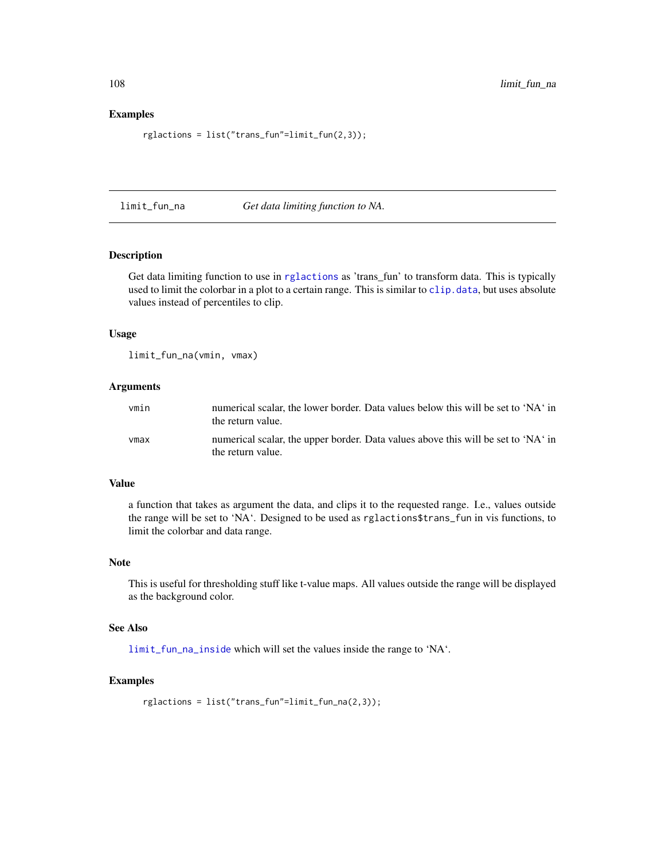#### Examples

rglactions = list("trans\_fun"=limit\_fun(2,3));

limit\_fun\_na *Get data limiting function to NA.*

#### Description

Get data limiting function to use in [rglactions](#page-125-0) as 'trans\_fun' to transform data. This is typically used to limit the colorbar in a plot to a certain range. This is similar to [clip.data](#page-13-0), but uses absolute values instead of percentiles to clip.

## Usage

limit\_fun\_na(vmin, vmax)

#### Arguments

| vmin | numerical scalar, the lower border. Data values below this will be set to 'NA' in<br>the return value. |
|------|--------------------------------------------------------------------------------------------------------|
| vmax | numerical scalar, the upper border. Data values above this will be set to 'NA' in<br>the return value. |

## Value

a function that takes as argument the data, and clips it to the requested range. I.e., values outside the range will be set to 'NA'. Designed to be used as rglactions\$trans\_fun in vis functions, to limit the colorbar and data range.

## Note

This is useful for thresholding stuff like t-value maps. All values outside the range will be displayed as the background color.

## See Also

[limit\\_fun\\_na\\_inside](#page-108-0) which will set the values inside the range to 'NA'.

## Examples

```
rglactions = list("trans_fun"=limit_fun_na(2,3));
```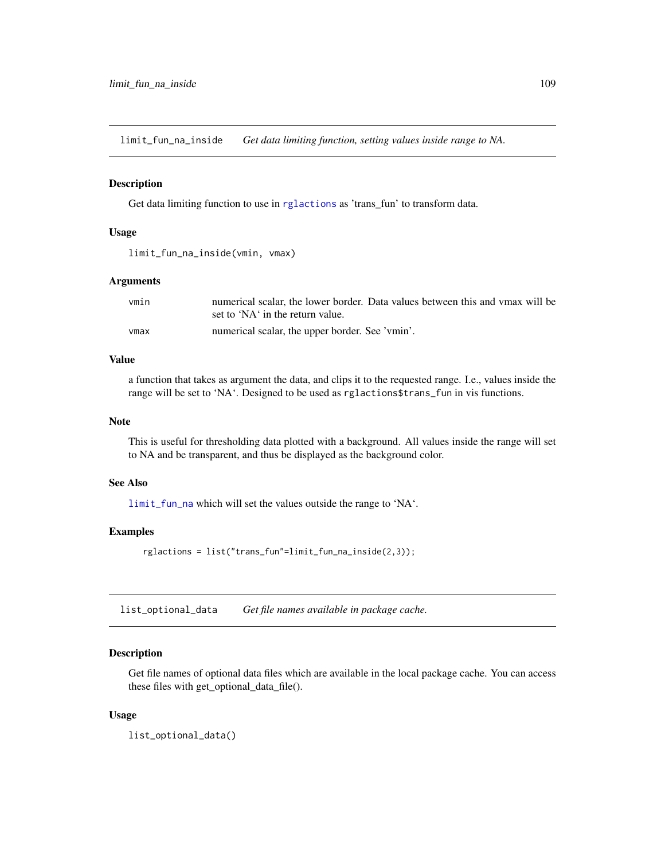limit\_fun\_na\_inside *Get data limiting function, setting values inside range to NA.*

#### Description

Get data limiting function to use in [rglactions](#page-125-0) as 'trans\_fun' to transform data.

# Usage

```
limit_fun_na_inside(vmin, vmax)
```
# Arguments

| vmin | numerical scalar, the lower border. Data values between this and ymax will be |
|------|-------------------------------------------------------------------------------|
|      | set to 'NA' in the return value.                                              |
| vmax | numerical scalar, the upper border. See 'vmin'.                               |

## Value

a function that takes as argument the data, and clips it to the requested range. I.e., values inside the range will be set to 'NA'. Designed to be used as rglactions\$trans\_fun in vis functions.

#### Note

This is useful for thresholding data plotted with a background. All values inside the range will set to NA and be transparent, and thus be displayed as the background color.

#### See Also

[limit\\_fun\\_na](#page-107-0) which will set the values outside the range to 'NA'.

### Examples

rglactions = list("trans\_fun"=limit\_fun\_na\_inside(2,3));

list\_optional\_data *Get file names available in package cache.*

#### Description

Get file names of optional data files which are available in the local package cache. You can access these files with get\_optional\_data\_file().

#### Usage

list\_optional\_data()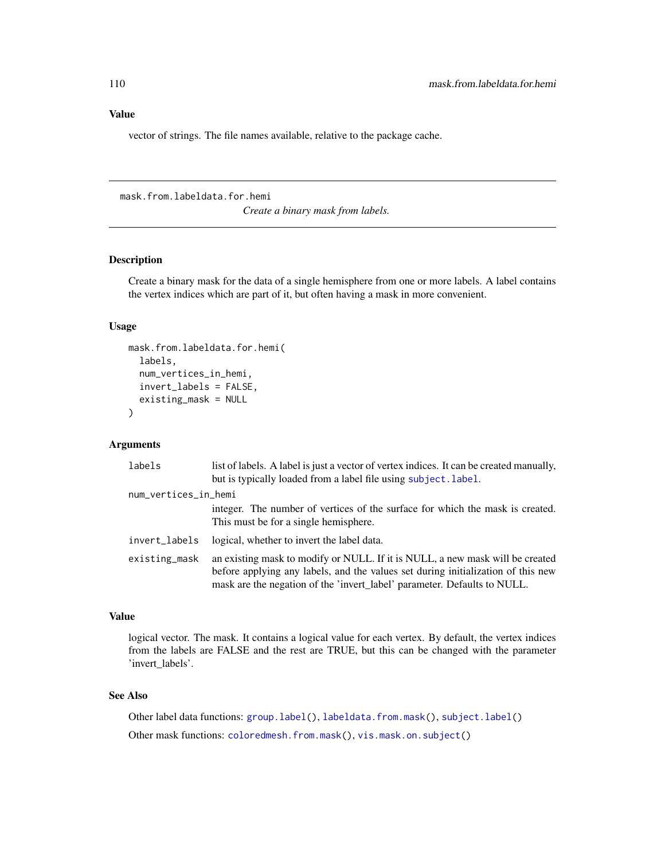# Value

vector of strings. The file names available, relative to the package cache.

<span id="page-109-0"></span>mask.from.labeldata.for.hemi

*Create a binary mask from labels.*

### Description

Create a binary mask for the data of a single hemisphere from one or more labels. A label contains the vertex indices which are part of it, but often having a mask in more convenient.

### Usage

```
mask.from.labeldata.for.hemi(
  labels,
  num_vertices_in_hemi,
  invert_labels = FALSE,
  existing_mask = NULL
)
```
#### Arguments

| labels               | list of labels. A label is just a vector of vertex indices. It can be created manually,<br>but is typically loaded from a label file using subject. label.                                                                                    |
|----------------------|-----------------------------------------------------------------------------------------------------------------------------------------------------------------------------------------------------------------------------------------------|
| num_vertices_in_hemi |                                                                                                                                                                                                                                               |
|                      | integer. The number of vertices of the surface for which the mask is created.<br>This must be for a single hemisphere.                                                                                                                        |
| invert_labels        | logical, whether to invert the label data.                                                                                                                                                                                                    |
| existing_mask        | an existing mask to modify or NULL. If it is NULL, a new mask will be created<br>before applying any labels, and the values set during initialization of this new<br>mask are the negation of the 'invert_label' parameter. Defaults to NULL. |

## Value

logical vector. The mask. It contains a logical value for each vertex. By default, the vertex indices from the labels are FALSE and the rest are TRUE, but this can be changed with the parameter 'invert\_labels'.

# See Also

Other label data functions: [group.label\(](#page-74-0)), [labeldata.from.mask\(](#page-105-0)), [subject.label\(](#page-140-0)) Other mask functions: [coloredmesh.from.mask\(](#page-27-0)), [vis.mask.on.subject\(](#page-176-0))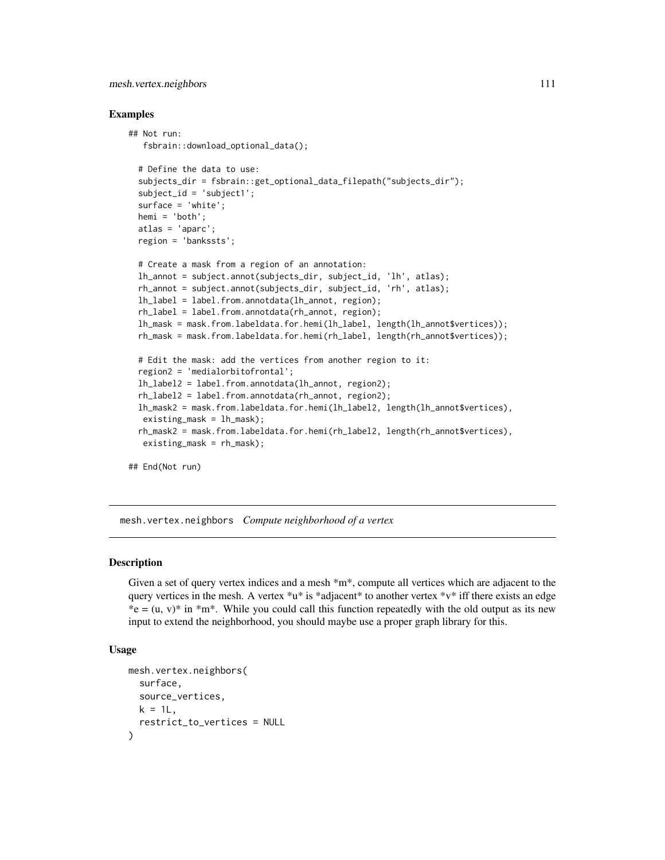## mesh.vertex.neighbors 111

### Examples

```
## Not run:
   fsbrain::download_optional_data();
 # Define the data to use:
 subjects_dir = fsbrain::get_optional_data_filepath("subjects_dir");
 subject_id = 'subject1';
 surface = 'white';
 hemi = 'both';
 atlas = 'aparc';
 region = 'bankssts';
 # Create a mask from a region of an annotation:
 lh_annot = subject.annot(subjects_dir, subject_id, 'lh', atlas);
 rh_annot = subject.annot(subjects_dir, subject_id, 'rh', atlas);
 lh_label = label.from.annotdata(lh_annot, region);
 rh_label = label.from.annotdata(rh_annot, region);
 lh_mask = mask.from.labeldata.for.hemi(lh_label, length(lh_annot$vertices));
 rh_mask = mask.from.labeldata.for.hemi(rh_label, length(rh_annot$vertices));
 # Edit the mask: add the vertices from another region to it:
 region2 = 'medialorbitofrontal';
 lh_label2 = label.from.annotdata(lh_annot, region2);
 rh_label2 = label.from.annotdata(rh_annot, region2);
 lh_mask2 = mask.from.labeldata.for.hemi(lh_label2, length(lh_annot$vertices),
  existing_mask = lh_mask);
 rh_mask2 = mask.from.labeldata.for.hemi(rh_label2, length(rh_annot$vertices),
  existing_mask = rh_mask);
```
## End(Not run)

mesh.vertex.neighbors *Compute neighborhood of a vertex*

# **Description**

Given a set of query vertex indices and a mesh  $*m*$ , compute all vertices which are adjacent to the query vertices in the mesh. A vertex  $\alpha$ <sup>\*</sup>u\* is \*adjacent\* to another vertex \*v\* iff there exists an edge  $*e = (u, v) * in *m*.$  While you could call this function repeatedly with the old output as its new input to extend the neighborhood, you should maybe use a proper graph library for this.

### Usage

```
mesh.vertex.neighbors(
  surface,
 source_vertices,
 k = 1L,
  restrict_to_vertices = NULL
)
```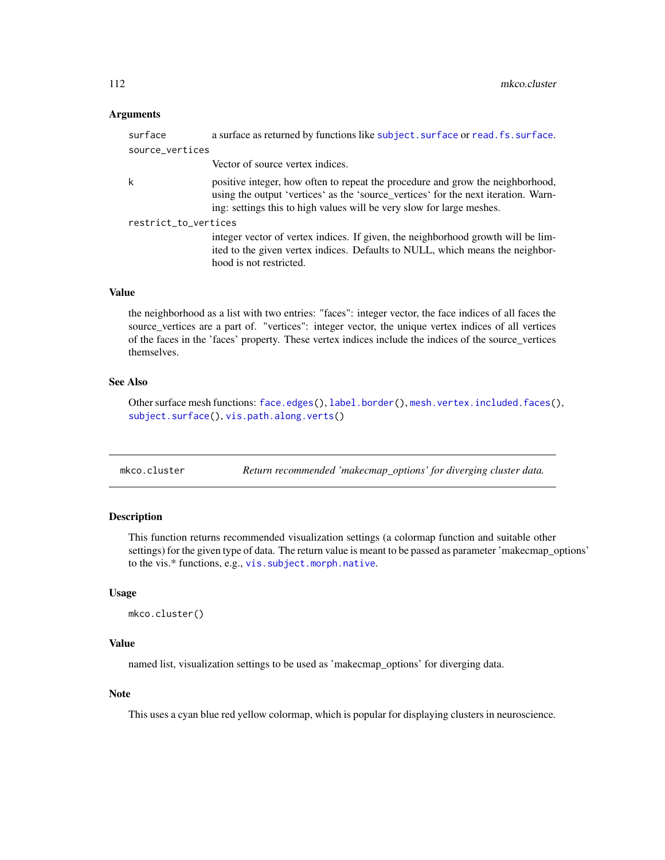### **Arguments**

| surface              | a surface as returned by functions like subject. surface or read. fs. surface.                                                                                                                                                                |
|----------------------|-----------------------------------------------------------------------------------------------------------------------------------------------------------------------------------------------------------------------------------------------|
| source_vertices      |                                                                                                                                                                                                                                               |
|                      | Vector of source vertex indices.                                                                                                                                                                                                              |
| k                    | positive integer, how often to repeat the procedure and grow the neighborhood,<br>using the output 'vertices' as the 'source_vertices' for the next iteration. Warn-<br>ing: settings this to high values will be very slow for large meshes. |
| restrict_to_vertices |                                                                                                                                                                                                                                               |
|                      | integer vector of vertex indices. If given, the neighborhood growth will be lim-<br>ited to the given vertex indices. Defaults to NULL, which means the neighbor-<br>hood is not restricted.                                                  |
|                      |                                                                                                                                                                                                                                               |

# Value

the neighborhood as a list with two entries: "faces": integer vector, the face indices of all faces the source\_vertices are a part of. "vertices": integer vector, the unique vertex indices of all vertices of the faces in the 'faces' property. These vertex indices include the indices of the source\_vertices themselves.

# See Also

Other surface mesh functions: [face.edges\(](#page-51-0)), [label.border\(](#page-101-0)), [mesh.vertex.included.faces\(](#page-0-0)), [subject.surface\(](#page-148-0)), [vis.path.along.verts\(](#page-179-0))

# Description

This function returns recommended visualization settings (a colormap function and suitable other settings) for the given type of data. The return value is meant to be passed as parameter 'makecmap\_options' to the vis.\* functions, e.g., [vis.subject.morph.native](#page-188-0).

#### Usage

```
mkco.cluster()
```
# Value

named list, visualization settings to be used as 'makecmap\_options' for diverging data.

## Note

This uses a cyan blue red yellow colormap, which is popular for displaying clusters in neuroscience.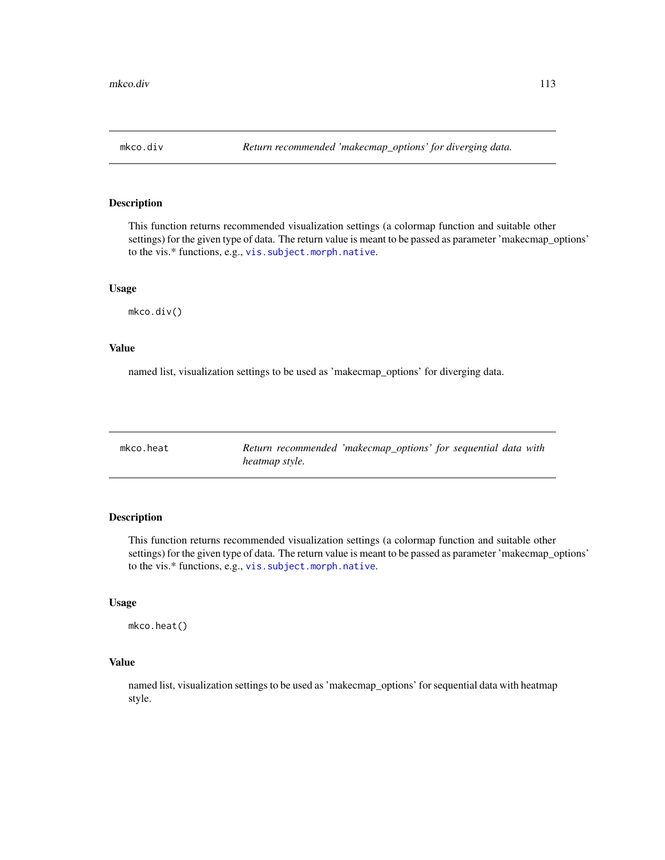This function returns recommended visualization settings (a colormap function and suitable other settings) for the given type of data. The return value is meant to be passed as parameter 'makecmap\_options' to the vis.\* functions, e.g., [vis.subject.morph.native](#page-188-0).

#### Usage

mkco.div()

### Value

named list, visualization settings to be used as 'makecmap\_options' for diverging data.

| mkco.heat |                | Return recommended 'makecmap_options' for sequential data with |  |  |  |
|-----------|----------------|----------------------------------------------------------------|--|--|--|
|           | heatmap style. |                                                                |  |  |  |

# Description

This function returns recommended visualization settings (a colormap function and suitable other settings) for the given type of data. The return value is meant to be passed as parameter 'makecmap\_options' to the vis.\* functions, e.g., [vis.subject.morph.native](#page-188-0).

# Usage

mkco.heat()

### Value

named list, visualization settings to be used as 'makecmap\_options' for sequential data with heatmap style.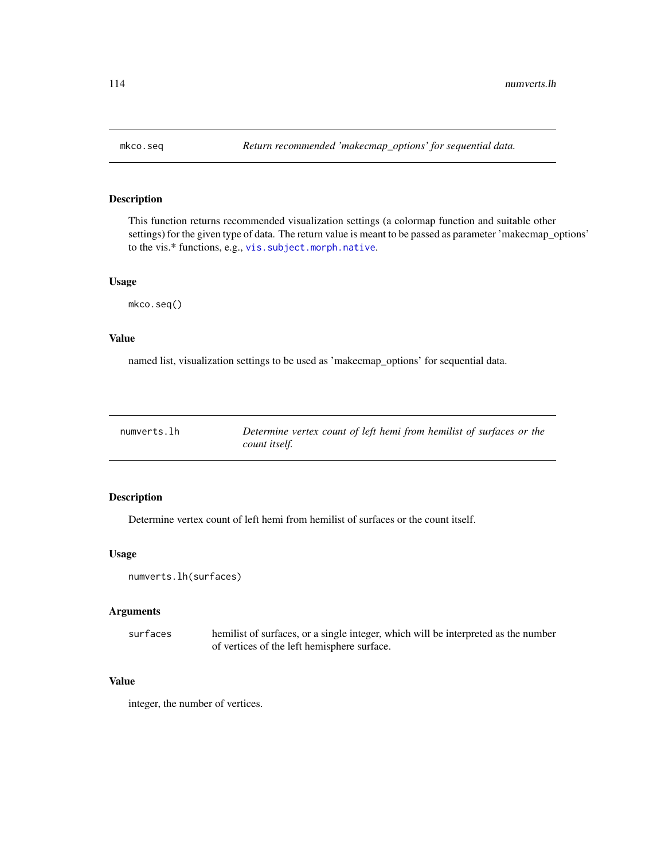This function returns recommended visualization settings (a colormap function and suitable other settings) for the given type of data. The return value is meant to be passed as parameter 'makecmap\_options' to the vis.\* functions, e.g., [vis.subject.morph.native](#page-188-0).

# Usage

mkco.seq()

#### Value

named list, visualization settings to be used as 'makecmap\_options' for sequential data.

| numverts.lh | Determine vertex count of left hemi from hemilist of surfaces or the |
|-------------|----------------------------------------------------------------------|
|             | count itself.                                                        |

# Description

Determine vertex count of left hemi from hemilist of surfaces or the count itself.

# Usage

numverts.lh(surfaces)

### Arguments

surfaces hemilist of surfaces, or a single integer, which will be interpreted as the number of vertices of the left hemisphere surface.

## Value

integer, the number of vertices.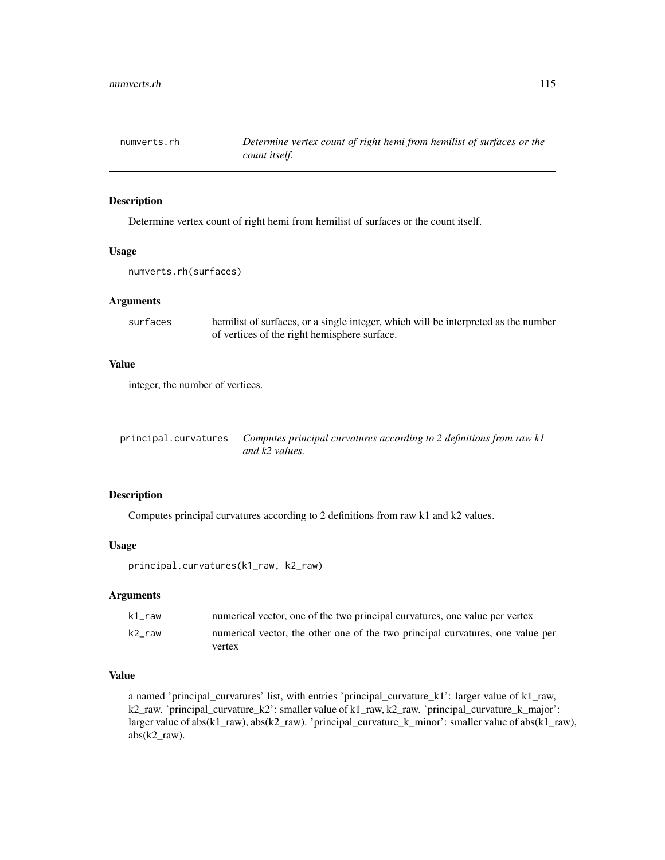Determine vertex count of right hemi from hemilist of surfaces or the count itself.

#### Usage

numverts.rh(surfaces)

#### Arguments

| surfaces | hemilist of surfaces, or a single integer, which will be interpreted as the number |
|----------|------------------------------------------------------------------------------------|
|          | of vertices of the right hemisphere surface.                                       |

### Value

integer, the number of vertices.

<span id="page-114-0"></span>

| principal.curvatures Computes principal curvatures according to 2 definitions from raw kl |
|-------------------------------------------------------------------------------------------|
| and k2 values.                                                                            |

# Description

Computes principal curvatures according to 2 definitions from raw k1 and k2 values.

#### Usage

principal.curvatures(k1\_raw, k2\_raw)

### Arguments

| k1 raw | numerical vector, one of the two principal curvatures, one value per vertex    |
|--------|--------------------------------------------------------------------------------|
| k2 raw | numerical vector, the other one of the two principal curvatures, one value per |
|        | vertex                                                                         |

# Value

a named 'principal\_curvatures' list, with entries 'principal\_curvature\_k1': larger value of k1\_raw, k2\_raw. 'principal\_curvature\_k2': smaller value of k1\_raw, k2\_raw. 'principal\_curvature\_k\_major': larger value of abs(k1\_raw), abs(k2\_raw). 'principal\_curvature\_k\_minor': smaller value of abs(k1\_raw), abs(k2\_raw).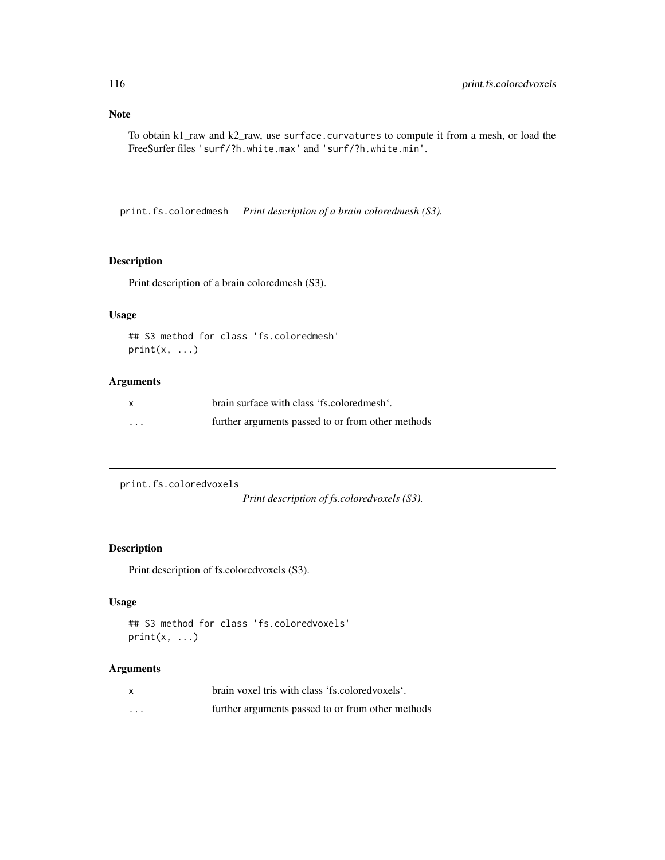# Note

To obtain k1\_raw and k2\_raw, use surface.curvatures to compute it from a mesh, or load the FreeSurfer files 'surf/?h.white.max' and 'surf/?h.white.min'.

print.fs.coloredmesh *Print description of a brain coloredmesh (S3).*

# Description

Print description of a brain coloredmesh (S3).

### Usage

```
## S3 method for class 'fs.coloredmesh'
print(x, \ldots)
```
# Arguments

| $\mathsf{x}$            | brain surface with class 'fs.colored mesh'.       |
|-------------------------|---------------------------------------------------|
| $\cdot$ $\cdot$ $\cdot$ | further arguments passed to or from other methods |

```
print.fs.coloredvoxels
```
*Print description of fs.coloredvoxels (S3).*

# Description

Print description of fs.coloredvoxels (S3).

## Usage

```
## S3 method for class 'fs.coloredvoxels'
print(x, \ldots)
```
# Arguments

|   | brain voxel tris with class 'fs.colored voxels'.  |
|---|---------------------------------------------------|
| . | further arguments passed to or from other methods |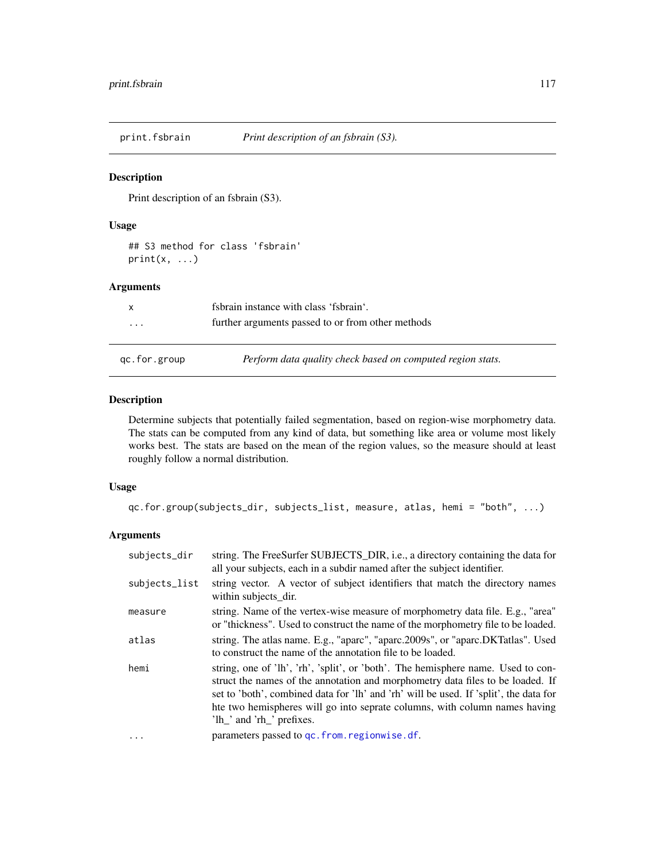Print description of an fsbrain (S3).

#### Usage

## S3 method for class 'fsbrain'  $print(x, \ldots)$ 

# Arguments

<span id="page-116-0"></span>

| x            | fsbrain instance with class 'fsbrain'.                     |
|--------------|------------------------------------------------------------|
| $\cdot$      | further arguments passed to or from other methods          |
|              |                                                            |
| qc.for.group | Perform data quality check based on computed region stats. |

# Description

Determine subjects that potentially failed segmentation, based on region-wise morphometry data. The stats can be computed from any kind of data, but something like area or volume most likely works best. The stats are based on the mean of the region values, so the measure should at least roughly follow a normal distribution.

### Usage

```
qc.for.group(subjects_dir, subjects_list, measure, atlas, hemi = "both", ...)
```
# Arguments

| subjects_dir  | string. The FreeSurfer SUBJECTS_DIR, i.e., a directory containing the data for<br>all your subjects, each in a subdir named after the subject identifier.                                                                                                                                                                                                              |
|---------------|------------------------------------------------------------------------------------------------------------------------------------------------------------------------------------------------------------------------------------------------------------------------------------------------------------------------------------------------------------------------|
| subjects_list | string vector. A vector of subject identifiers that match the directory names<br>within subjects_dir.                                                                                                                                                                                                                                                                  |
| measure       | string. Name of the vertex-wise measure of morphometry data file. E.g., "area"<br>or "thickness". Used to construct the name of the morphometry file to be loaded.                                                                                                                                                                                                     |
| atlas         | string. The atlas name. E.g., "aparc", "aparc.2009s", or "aparc.DKTatlas". Used<br>to construct the name of the annotation file to be loaded.                                                                                                                                                                                                                          |
| hemi          | string, one of 'lh', 'rh', 'split', or 'both'. The hemisphere name. Used to con-<br>struct the names of the annotation and morphometry data files to be loaded. If<br>set to 'both', combined data for 'lh' and 'rh' will be used. If 'split', the data for<br>hte two hemispheres will go into seprate columns, with column names having<br>'lh_' and 'rh_' prefixes. |
| .             | parameters passed to qc. from. regionwise. df.                                                                                                                                                                                                                                                                                                                         |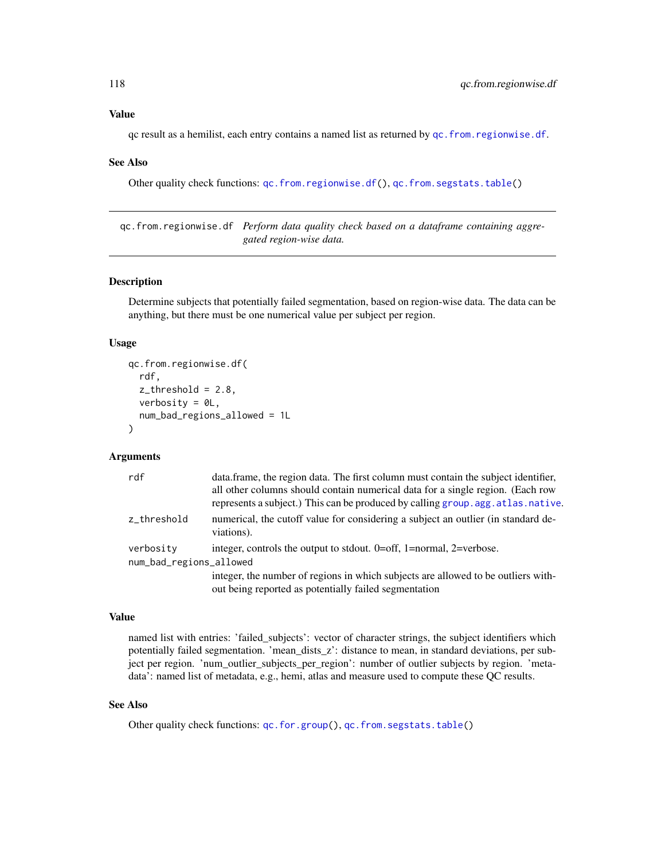qc result as a hemilist, each entry contains a named list as returned by  $qc$ . from. regionwise. df.

#### See Also

Other quality check functions: [qc.from.regionwise.df\(](#page-117-0)), [qc.from.segstats.table\(](#page-0-0))

<span id="page-117-0"></span>qc.from.regionwise.df *Perform data quality check based on a dataframe containing aggregated region-wise data.*

# Description

Determine subjects that potentially failed segmentation, based on region-wise data. The data can be anything, but there must be one numerical value per subject per region.

#### Usage

```
qc.from.regionwise.df(
  rdf,
  z_{\text{-}threshold} = 2.8,
  verbosity = OL,
  num_bad_regions_allowed = 1L
\lambda
```
### Arguments

| rdf                                  | data.frame, the region data. The first column must contain the subject identifier,<br>all other columns should contain numerical data for a single region. (Each row<br>represents a subject.) This can be produced by calling group. agg. at las. native. |
|--------------------------------------|------------------------------------------------------------------------------------------------------------------------------------------------------------------------------------------------------------------------------------------------------------|
| z_threshold                          | numerical, the cutoff value for considering a subject an outlier (in standard de-<br>viations).                                                                                                                                                            |
| verbosity<br>num_bad_regions_allowed | integer, controls the output to stdout. $0=$ off, 1=normal, 2=verbose.                                                                                                                                                                                     |
|                                      | integer, the number of regions in which subjects are allowed to be outliers with-<br>out being reported as potentially failed segmentation                                                                                                                 |

### Value

named list with entries: 'failed\_subjects': vector of character strings, the subject identifiers which potentially failed segmentation. 'mean\_dists\_z': distance to mean, in standard deviations, per subject per region. 'num\_outlier\_subjects\_per\_region': number of outlier subjects by region. 'metadata': named list of metadata, e.g., hemi, atlas and measure used to compute these QC results.

### See Also

Other quality check functions: [qc.for.group\(](#page-116-0)), [qc.from.segstats.table\(](#page-0-0))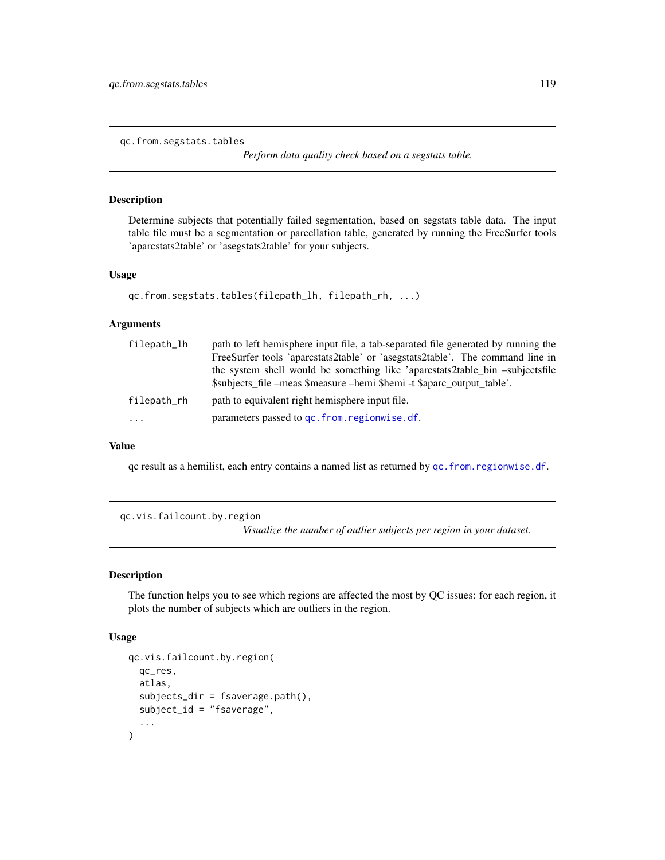<span id="page-118-0"></span>qc.from.segstats.tables

*Perform data quality check based on a segstats table.*

#### Description

Determine subjects that potentially failed segmentation, based on segstats table data. The input table file must be a segmentation or parcellation table, generated by running the FreeSurfer tools 'aparcstats2table' or 'asegstats2table' for your subjects.

### Usage

```
qc.from.segstats.tables(filepath_lh, filepath_rh, ...)
```
#### Arguments

| filepath_lh | path to left hemisphere input file, a tab-separated file generated by running the |
|-------------|-----------------------------------------------------------------------------------|
|             | FreeSurfer tools 'aparcstats2table' or 'asegstats2table'. The command line in     |
|             | the system shell would be something like 'aparcstats2table_bin -subjectsfile      |
|             | \$subjects_file -meas \$measure -hemi \$hemi -t \$aparc_output_table'.            |
| filepath_rh | path to equivalent right hemisphere input file.                                   |
| $\cdots$    | parameters passed to gc. from. regionwise. df.                                    |

# Value

qc result as a hemilist, each entry contains a named list as returned by [qc.from.regionwise.df](#page-117-0).

qc.vis.failcount.by.region

*Visualize the number of outlier subjects per region in your dataset.*

## Description

The function helps you to see which regions are affected the most by QC issues: for each region, it plots the number of subjects which are outliers in the region.

### Usage

```
qc.vis.failcount.by.region(
  qc_res,
  atlas,
  subjects_dir = fsaverage.path(),
  subject_id = "fsaverage",
  ...
\mathcal{E}
```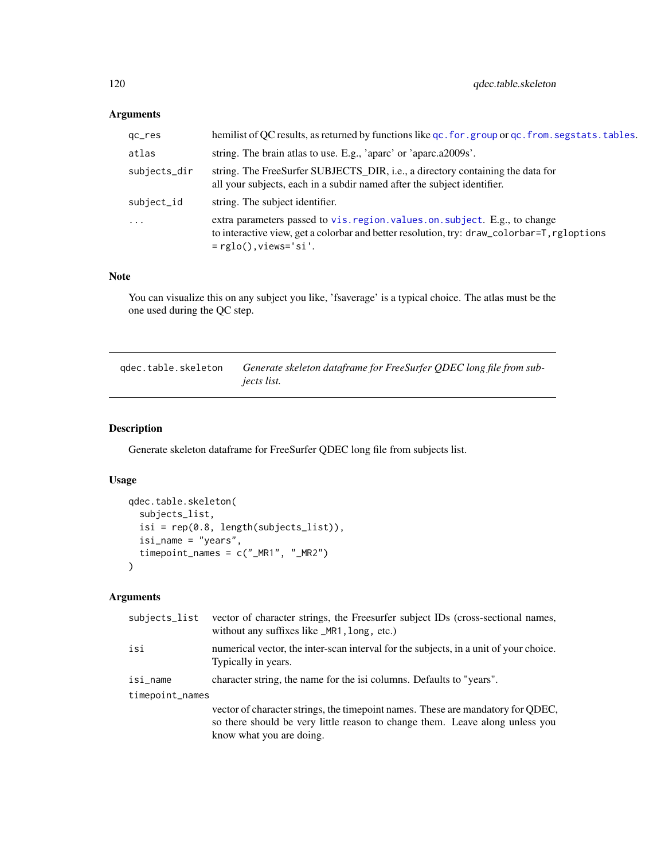# Arguments

| qc_res       | hemilist of QC results, as returned by functions like qc. for. group or qc. from. segstats. tables.                                                                                                    |
|--------------|--------------------------------------------------------------------------------------------------------------------------------------------------------------------------------------------------------|
| atlas        | string. The brain atlas to use. E.g., 'aparc' or 'aparc.a2009s'.                                                                                                                                       |
| subjects_dir | string. The FreeSurfer SUBJECTS_DIR, i.e., a directory containing the data for<br>all your subjects, each in a subdir named after the subject identifier.                                              |
| subject_id   | string. The subject identifier.                                                                                                                                                                        |
| $\ddots$ .   | extra parameters passed to vis. region. values. on. subject. E.g., to change<br>to interactive view, get a colorbar and better resolution, try: draw_colorbar=T, rgloptions<br>$=$ rglo(), views='si'. |

## Note

You can visualize this on any subject you like, 'fsaverage' is a typical choice. The atlas must be the one used during the QC step.

qdec.table.skeleton *Generate skeleton dataframe for FreeSurfer QDEC long file from subjects list.*

# Description

Generate skeleton dataframe for FreeSurfer QDEC long file from subjects list.

# Usage

```
qdec.table.skeleton(
  subjects_list,
  isi = rep(0.8, length(subjects_list)),
  isi_name = "years",
  timepoint_names = c("_MR1", "_MR2")
\mathcal{L}
```
# Arguments

| subjects_list   | vector of character strings, the Freesurfer subject IDs (cross-sectional names,<br>without any suffixes like _MR1, long, etc.)                                                              |  |
|-----------------|---------------------------------------------------------------------------------------------------------------------------------------------------------------------------------------------|--|
| isi             | numerical vector, the inter-scan interval for the subjects, in a unit of your choice.<br>Typically in years.                                                                                |  |
| isi_name        | character string, the name for the isi columns. Defaults to "years".                                                                                                                        |  |
| timepoint_names |                                                                                                                                                                                             |  |
|                 | vector of character strings, the timepoint names. These are mandatory for QDEC,<br>so there should be very little reason to change them. Leave along unless you<br>know what you are doing. |  |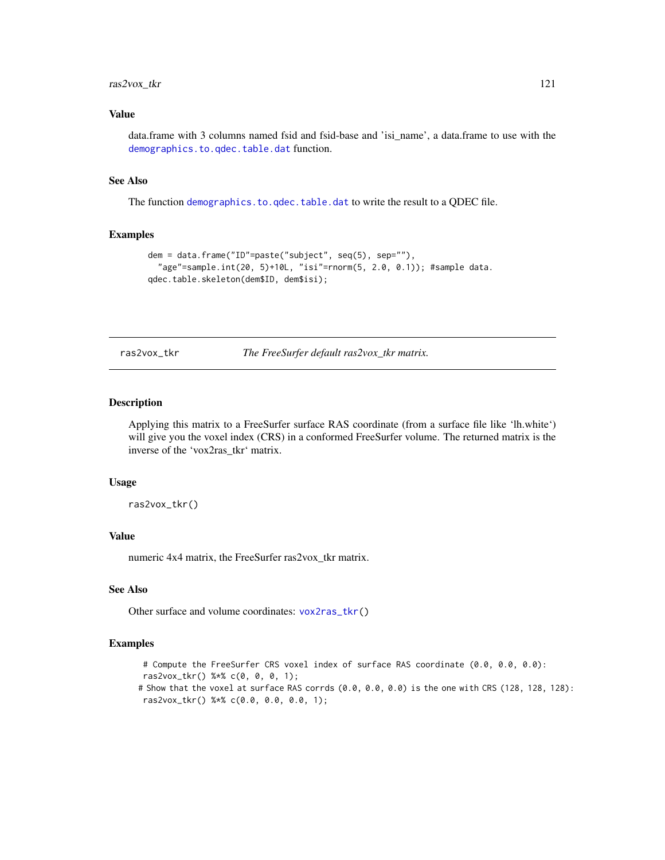# ras2vox\_tkr 121

### Value

data.frame with 3 columns named fsid and fsid-base and 'isi\_name', a data.frame to use with the [demographics.to.qdec.table.dat](#page-43-0) function.

#### See Also

The function [demographics.to.qdec.table.dat](#page-43-0) to write the result to a QDEC file.

#### Examples

```
dem = data.frame("ID"=paste("subject", seq(5), sep=""),
  "age"=sample.int(20, 5)+10L, "isi"=rnorm(5, 2.0, 0.1)); #sample data.
qdec.table.skeleton(dem$ID, dem$isi);
```
ras2vox\_tkr *The FreeSurfer default ras2vox\_tkr matrix.*

#### Description

Applying this matrix to a FreeSurfer surface RAS coordinate (from a surface file like 'lh.white') will give you the voxel index (CRS) in a conformed FreeSurfer volume. The returned matrix is the inverse of the 'vox2ras\_tkr' matrix.

#### Usage

ras2vox\_tkr()

### Value

numeric 4x4 matrix, the FreeSurfer ras2vox\_tkr matrix.

#### See Also

Other surface and volume coordinates: [vox2ras\\_tkr\(](#page-212-0))

#### Examples

# Compute the FreeSurfer CRS voxel index of surface RAS coordinate (0.0, 0.0, 0.0):

ras2vox\_tkr() %\*% c(0, 0, 0, 1);

# Show that the voxel at surface RAS corrds (0.0, 0.0, 0.0) is the one with CRS (128, 128, 128): ras2vox\_tkr() %\*% c(0.0, 0.0, 0.0, 1);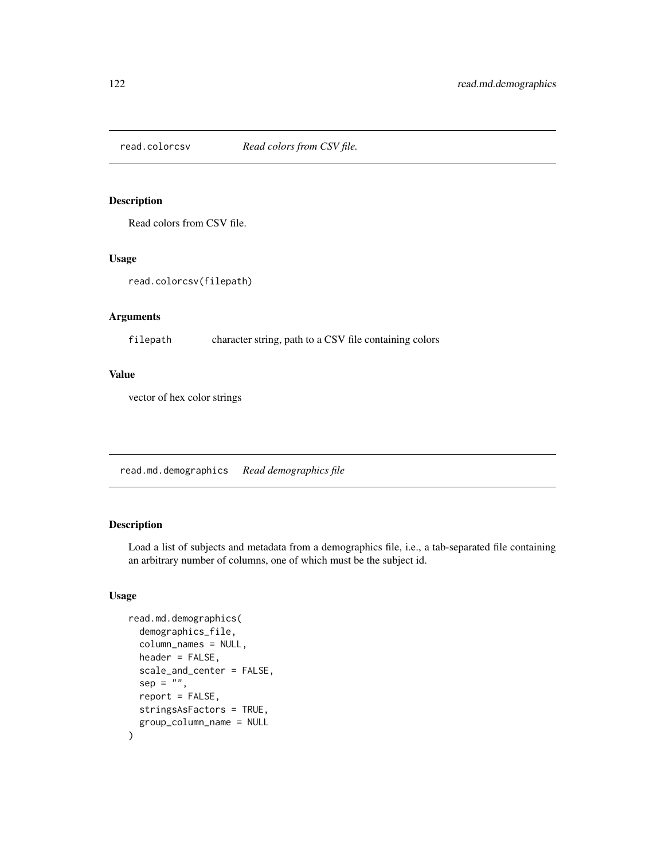Read colors from CSV file.

### Usage

```
read.colorcsv(filepath)
```
# Arguments

filepath character string, path to a CSV file containing colors

### Value

vector of hex color strings

<span id="page-121-0"></span>read.md.demographics *Read demographics file*

# Description

Load a list of subjects and metadata from a demographics file, i.e., a tab-separated file containing an arbitrary number of columns, one of which must be the subject id.

### Usage

```
read.md.demographics(
  demographics_file,
  column_names = NULL,
  header = FALSE,
  scale_and_center = FALSE,
  sep = "",report = FALSE,stringsAsFactors = TRUE,
  group_column_name = NULL
\mathcal{E}
```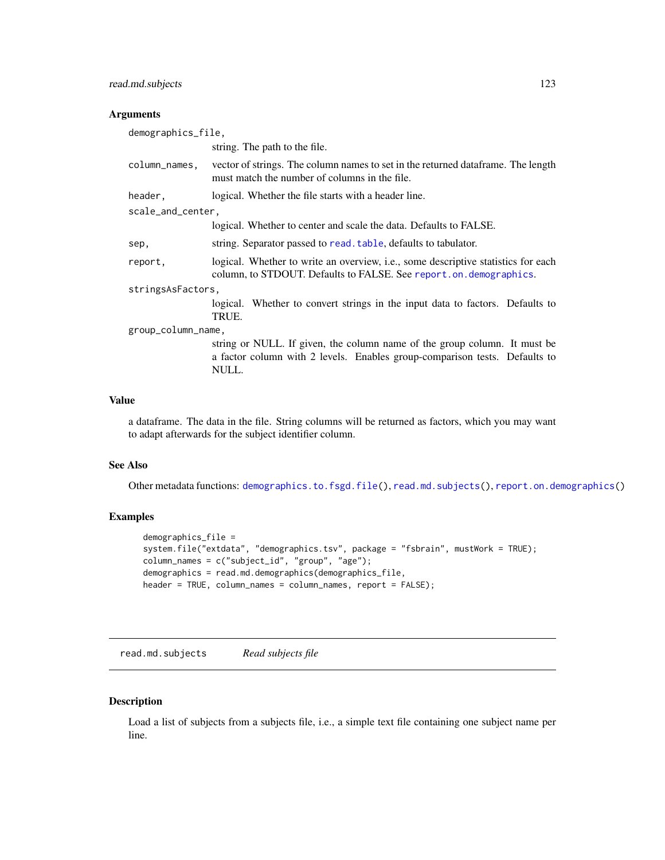# read.md.subjects 123

# Arguments

| demographics_file, |                                                                                                                                                         |  |
|--------------------|---------------------------------------------------------------------------------------------------------------------------------------------------------|--|
|                    | string. The path to the file.                                                                                                                           |  |
| column_names,      | vector of strings. The column names to set in the returned dataframe. The length<br>must match the number of columns in the file.                       |  |
| header,            | logical. Whether the file starts with a header line.                                                                                                    |  |
| scale_and_center,  |                                                                                                                                                         |  |
|                    | logical. Whether to center and scale the data. Defaults to FALSE.                                                                                       |  |
| sep,               | string. Separator passed to read. table, defaults to tabulator.                                                                                         |  |
| report,            | logical. Whether to write an overview, i.e., some descriptive statistics for each<br>column, to STDOUT. Defaults to FALSE. See report.on. demographics. |  |
| stringsAsFactors,  |                                                                                                                                                         |  |
|                    | logical. Whether to convert strings in the input data to factors. Defaults to<br>TRUE.                                                                  |  |
| group_column_name, |                                                                                                                                                         |  |
|                    | string or NULL. If given, the column name of the group column. It must be<br>a factor column with 2 levels. Enables group-comparison tests. Defaults to |  |

### Value

a dataframe. The data in the file. String columns will be returned as factors, which you may want to adapt afterwards for the subject identifier column.

### See Also

Other metadata functions: [demographics.to.fsgd.file\(](#page-42-0)), [read.md.subjects\(](#page-122-0)), [report.on.demographics\(](#page-124-0))

# Examples

```
demographics_file =
system.file("extdata", "demographics.tsv", package = "fsbrain", mustWork = TRUE);
column_names = c("subject_id", "group", "age");
demographics = read.md.demographics(demographics_file,
header = TRUE, column_names = column_names, report = FALSE);
```
<span id="page-122-0"></span>read.md.subjects *Read subjects file*

NULL.

### Description

Load a list of subjects from a subjects file, i.e., a simple text file containing one subject name per line.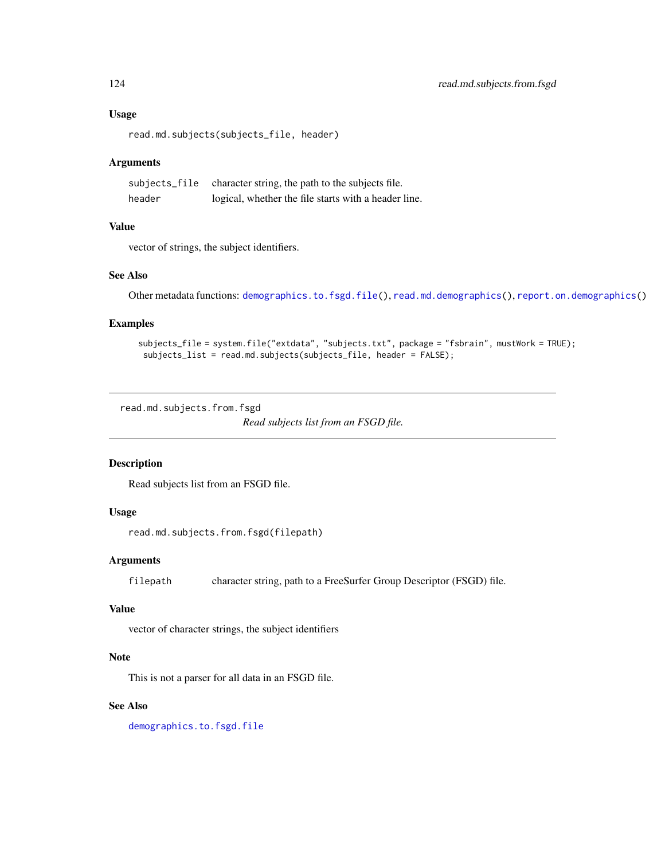#### Usage

read.md.subjects(subjects\_file, header)

### Arguments

|        | subjects_file character string, the path to the subjects file. |
|--------|----------------------------------------------------------------|
| header | logical, whether the file starts with a header line.           |

# Value

vector of strings, the subject identifiers.

### See Also

Other metadata functions: [demographics.to.fsgd.file\(](#page-42-0)), [read.md.demographics\(](#page-121-0)), [report.on.demographics\(](#page-124-0))

#### Examples

```
subjects_file = system.file("extdata", "subjects.txt", package = "fsbrain", mustWork = TRUE);
 subjects_list = read.md.subjects(subjects_file, header = FALSE);
```
read.md.subjects.from.fsgd

*Read subjects list from an FSGD file.*

#### Description

Read subjects list from an FSGD file.

# Usage

read.md.subjects.from.fsgd(filepath)

## Arguments

filepath character string, path to a FreeSurfer Group Descriptor (FSGD) file.

# Value

vector of character strings, the subject identifiers

### Note

This is not a parser for all data in an FSGD file.

# See Also

[demographics.to.fsgd.file](#page-42-0)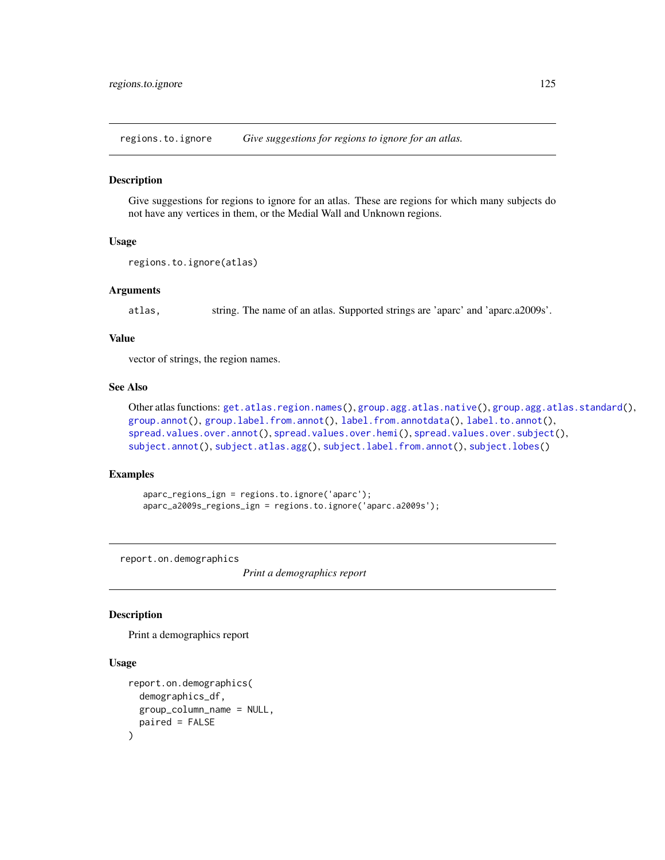<span id="page-124-1"></span>regions.to.ignore *Give suggestions for regions to ignore for an atlas.*

#### **Description**

Give suggestions for regions to ignore for an atlas. These are regions for which many subjects do not have any vertices in them, or the Medial Wall and Unknown regions.

#### Usage

```
regions.to.ignore(atlas)
```
### Arguments

atlas, string. The name of an atlas. Supported strings are 'aparc' and 'aparc.a2009s'.

#### Value

vector of strings, the region names.

## See Also

```
Other atlas functions: get.atlas.region.names(), group.agg.atlas.native(), group.agg.atlas.standard(),
group.annot(), group.label.from.annot(), label.from.annotdata(), label.to.annot(),
spread.values.over.annot(), spread.values.over.hemi(), spread.values.over.subject(),
subject.annot(), subject.atlas.agg(), subject.label.from.annot(), subject.lobes()
```
### Examples

```
aparc_regions_ign = regions.to.ignore('aparc');
aparc_a2009s_regions_ign = regions.to.ignore('aparc.a2009s');
```
<span id="page-124-0"></span>report.on.demographics

*Print a demographics report*

# **Description**

Print a demographics report

# Usage

```
report.on.demographics(
  demographics_df,
  group_column_name = NULL,
 paired = FALSE
)
```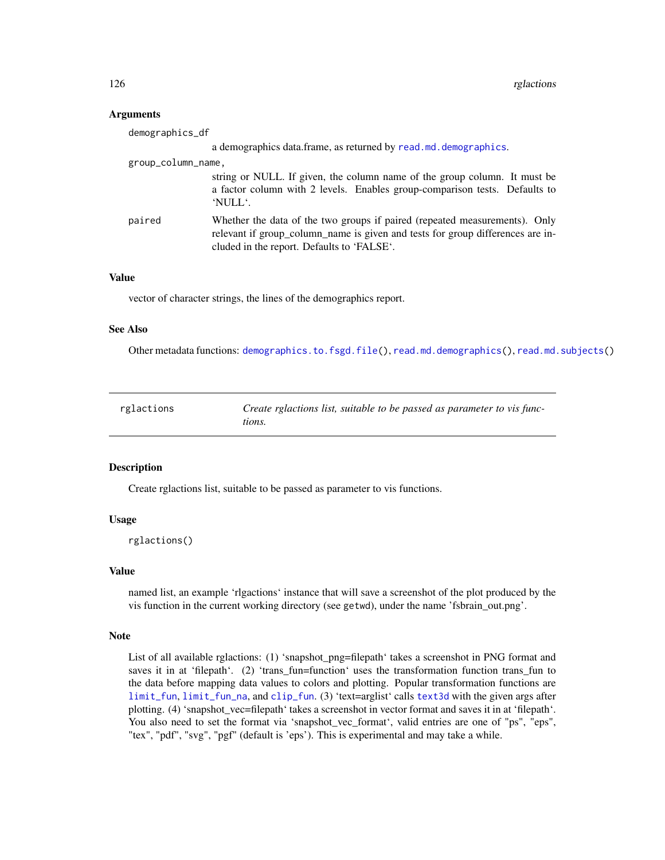### Arguments

| demographics_df    |                                                                                                                                                                                                            |
|--------------------|------------------------------------------------------------------------------------------------------------------------------------------------------------------------------------------------------------|
|                    | a demographics data.frame, as returned by read .md. demographics.                                                                                                                                          |
| group_column_name, |                                                                                                                                                                                                            |
|                    | string or NULL. If given, the column name of the group column. It must be<br>a factor column with 2 levels. Enables group-comparison tests. Defaults to<br>'NULL'.                                         |
| paired             | Whether the data of the two groups if paired (repeated measurements). Only<br>relevant if group_column_name is given and tests for group differences are in-<br>cluded in the report. Defaults to 'FALSE'. |

#### Value

vector of character strings, the lines of the demographics report.

### See Also

Other metadata functions: [demographics.to.fsgd.file\(](#page-42-0)), [read.md.demographics\(](#page-121-0)), [read.md.subjects\(](#page-122-0))

<span id="page-125-0"></span>

| rglactions | Create rglactions list, suitable to be passed as parameter to vis func- |
|------------|-------------------------------------------------------------------------|
|            | tions.                                                                  |

## Description

Create rglactions list, suitable to be passed as parameter to vis functions.

# Usage

```
rglactions()
```
#### Value

named list, an example 'rlgactions' instance that will save a screenshot of the plot produced by the vis function in the current working directory (see getwd), under the name 'fsbrain\_out.png'.

#### Note

List of all available rglactions: (1) 'snapshot\_png=filepath' takes a screenshot in PNG format and saves it in at 'filepath'. (2) 'trans fun=function' uses the transformation function trans fun to the data before mapping data values to colors and plotting. Popular transformation functions are [limit\\_fun](#page-106-0), [limit\\_fun\\_na](#page-107-0), and [clip\\_fun](#page-14-0). (3) 'text=arglist' calls [text3d](#page-0-0) with the given args after plotting. (4) 'snapshot\_vec=filepath' takes a screenshot in vector format and saves it in at 'filepath'. You also need to set the format via 'snapshot\_vec\_format', valid entries are one of "ps", "eps", "tex", "pdf", "svg", "pgf" (default is 'eps'). This is experimental and may take a while.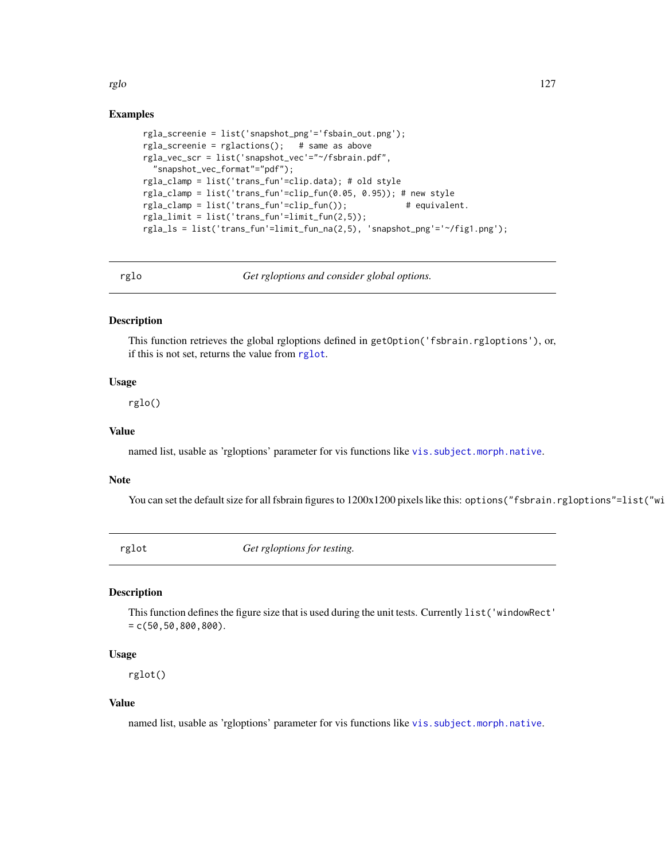rglo 127

### Examples

```
rgla_screenie = list('snapshot_png'='fsbain_out.png');
rgla_screenie = rglactions(); # same as above
rgla_vec_scr = list('snapshot_vec'="~/fsbrain.pdf",
  "snapshot_vec_format"="pdf");
rgla_clamp = list('trans_fun'=clip.data); # old style
rgla_clamp = list('trans_fun'=clip_fun(0.05, 0.95)); # new style
rgla_clamp = list('trans_fun'=clip_fun()); # equivalent.
rgla_limit = list('trans_fun'=limit_fun(2,5));
rgla_ls = list('trans_fun'=limit_fun_na(2,5), 'snapshot_png'='~/fig1.png');
```
rglo *Get rgloptions and consider global options.*

#### Description

This function retrieves the global rgloptions defined in getOption('fsbrain.rgloptions'), or, if this is not set, returns the value from [rglot](#page-126-0).

### Usage

rglo()

# Value

named list, usable as 'rgloptions' parameter for vis functions like [vis.subject.morph.native](#page-188-0).

### Note

You can set the default size for all fsbrain figures to 1200x1200 pixels like this: options("fsbrain.rgloptions"=list("wi

<span id="page-126-0"></span>

rglot *Get rgloptions for testing.*

#### Description

This function defines the figure size that is used during the unit tests. Currently list('windowRect'  $= c(50, 50, 800, 800).$ 

#### Usage

rglot()

#### Value

named list, usable as 'rgloptions' parameter for vis functions like [vis.subject.morph.native](#page-188-0).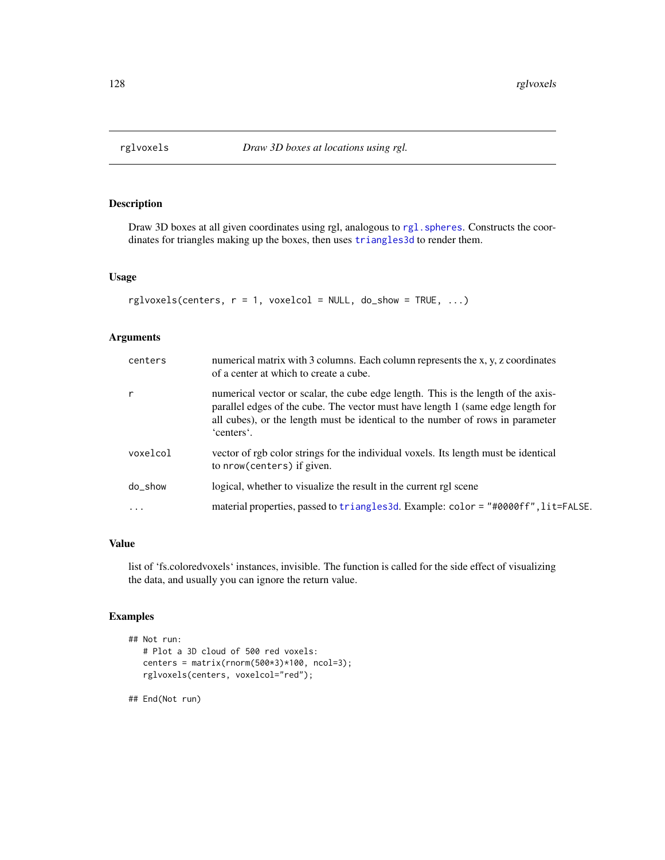Draw 3D boxes at all given coordinates using rgl, analogous to rgl. spheres. Constructs the coordinates for triangles making up the boxes, then uses [triangles3d](#page-0-0) to render them.

#### Usage

```
rglvoxels(centers, r = 1, voxelcol = NULL, do.show = TRUE, ...)
```
#### Arguments

| centers   | numerical matrix with 3 columns. Each column represents the x, y, z coordinates<br>of a center at which to create a cube.                                                                                                                                            |
|-----------|----------------------------------------------------------------------------------------------------------------------------------------------------------------------------------------------------------------------------------------------------------------------|
| r         | numerical vector or scalar, the cube edge length. This is the length of the axis-<br>parallel edges of the cube. The vector must have length 1 (same edge length for<br>all cubes), or the length must be identical to the number of rows in parameter<br>'centers'. |
| voxelcol  | vector of rgb color strings for the individual voxels. Its length must be identical<br>to nrow(centers) if given.                                                                                                                                                    |
| do_show   | logical, whether to visualize the result in the current rgl scene                                                                                                                                                                                                    |
| $\ddotsc$ | material properties, passed to triangles 3d. Example: color = "#0000ff", lit=FALSE.                                                                                                                                                                                  |
|           |                                                                                                                                                                                                                                                                      |

### Value

list of 'fs.coloredvoxels' instances, invisible. The function is called for the side effect of visualizing the data, and usually you can ignore the return value.

### Examples

```
## Not run:
  # Plot a 3D cloud of 500 red voxels:
  centers = matrix(rnorm(500*3)*100, ncol=3);
  rglvoxels(centers, voxelcol="red");
```
## End(Not run)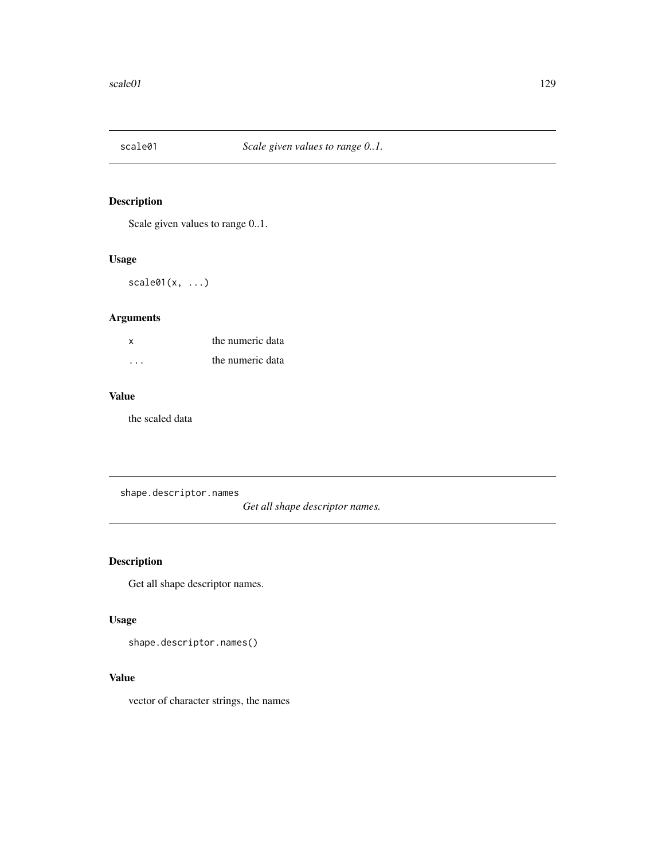Scale given values to range 0..1.

# Usage

 $scale@1(x, ...)$ 

# Arguments

| x        | the numeric data |
|----------|------------------|
| $\cdots$ | the numeric data |

# Value

the scaled data

<span id="page-128-0"></span>shape.descriptor.names

*Get all shape descriptor names.*

# Description

Get all shape descriptor names.

# Usage

shape.descriptor.names()

# Value

vector of character strings, the names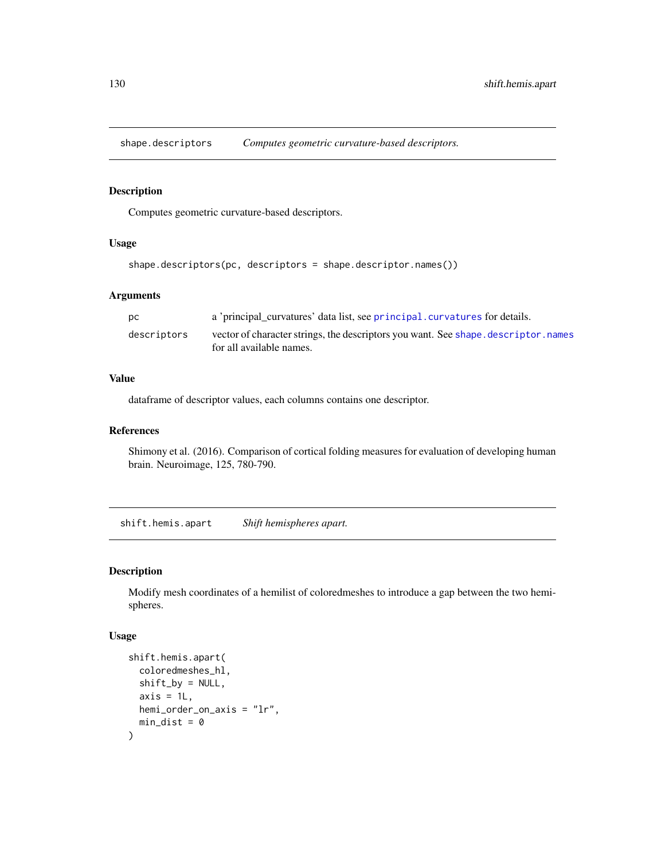shape.descriptors *Computes geometric curvature-based descriptors.*

# Description

Computes geometric curvature-based descriptors.

#### Usage

```
shape.descriptors(pc, descriptors = shape.descriptor.names())
```
### Arguments

| DC.         | a 'principal curvatures' data list, see principal curvatures for details.           |
|-------------|-------------------------------------------------------------------------------------|
| descriptors | vector of character strings, the descriptors you want. See shape, descriptor, names |
|             | for all available names.                                                            |

### Value

dataframe of descriptor values, each columns contains one descriptor.

### References

Shimony et al. (2016). Comparison of cortical folding measures for evaluation of developing human brain. Neuroimage, 125, 780-790.

shift.hemis.apart *Shift hemispheres apart.*

### Description

Modify mesh coordinates of a hemilist of coloredmeshes to introduce a gap between the two hemispheres.

#### Usage

```
shift.hemis.apart(
  coloredmeshes_hl,
 shift_by = NULL,
 axis = 1L,
 hemi_order_on_axis = "lr",
 min\_dist = 0)
```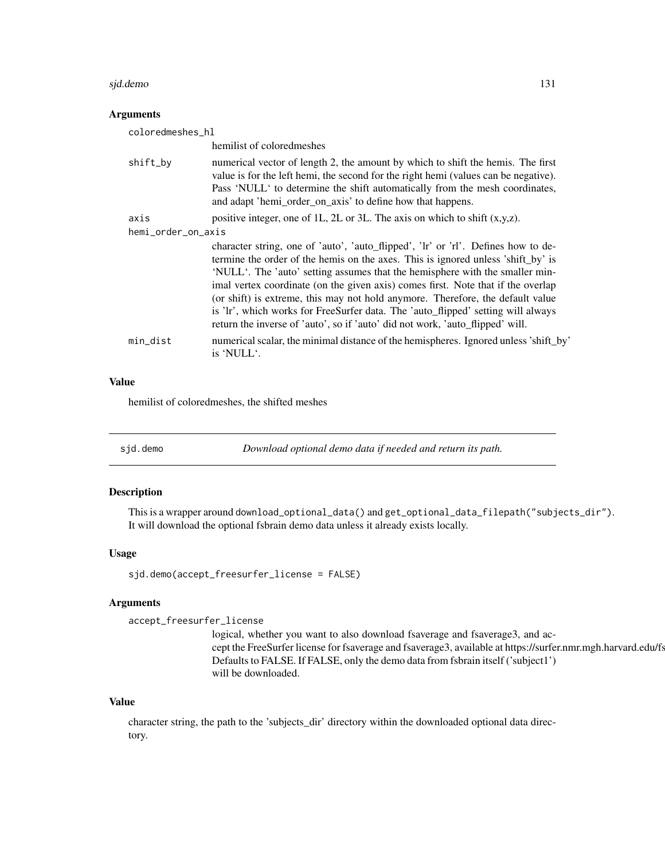#### sjd.demo 131

### **Arguments**

| coloredmeshes_hl   |                                                                                                                                                                                                                                                                                                                                                                                                                                                                                                                                                                                                  |  |
|--------------------|--------------------------------------------------------------------------------------------------------------------------------------------------------------------------------------------------------------------------------------------------------------------------------------------------------------------------------------------------------------------------------------------------------------------------------------------------------------------------------------------------------------------------------------------------------------------------------------------------|--|
|                    | hemilist of colored meshes                                                                                                                                                                                                                                                                                                                                                                                                                                                                                                                                                                       |  |
| shift_by           | numerical vector of length 2, the amount by which to shift the hemis. The first<br>value is for the left hemi, the second for the right hemi (values can be negative).<br>Pass 'NULL' to determine the shift automatically from the mesh coordinates,<br>and adapt 'hemi_order_on_axis' to define how that happens.                                                                                                                                                                                                                                                                              |  |
| axis               | positive integer, one of 1L, 2L or 3L. The axis on which to shift $(x,y,z)$ .                                                                                                                                                                                                                                                                                                                                                                                                                                                                                                                    |  |
| hemi_order_on_axis |                                                                                                                                                                                                                                                                                                                                                                                                                                                                                                                                                                                                  |  |
|                    | character string, one of 'auto', 'auto_flipped', 'lr' or 'rl'. Defines how to de-<br>termine the order of the hemis on the axes. This is ignored unless 'shift_by' is<br>'NULL'. The 'auto' setting assumes that the hemisphere with the smaller min-<br>imal vertex coordinate (on the given axis) comes first. Note that if the overlap<br>(or shift) is extreme, this may not hold anymore. Therefore, the default value<br>is 'lr', which works for FreeSurfer data. The 'auto_flipped' setting will always<br>return the inverse of 'auto', so if 'auto' did not work, 'auto_flipped' will. |  |
| min_dist           | numerical scalar, the minimal distance of the hemispheres. Ignored unless 'shift_by'<br>is 'NULL'.                                                                                                                                                                                                                                                                                                                                                                                                                                                                                               |  |

# Value

hemilist of coloredmeshes, the shifted meshes

sjd.demo *Download optional demo data if needed and return its path.*

# Description

This is a wrapper around download\_optional\_data() and get\_optional\_data\_filepath("subjects\_dir"). It will download the optional fsbrain demo data unless it already exists locally.

### Usage

```
sjd.demo(accept_freesurfer_license = FALSE)
```
# Arguments

accept\_freesurfer\_license

logical, whether you want to also download fsaverage and fsaverage3, and accept the FreeSurfer license for fsaverage and fsaverage3, available at https://surfer.nmr.mgh.harvard.edu/fs Defaults to FALSE. If FALSE, only the demo data from fsbrain itself ('subject1') will be downloaded.

### Value

character string, the path to the 'subjects\_dir' directory within the downloaded optional data directory.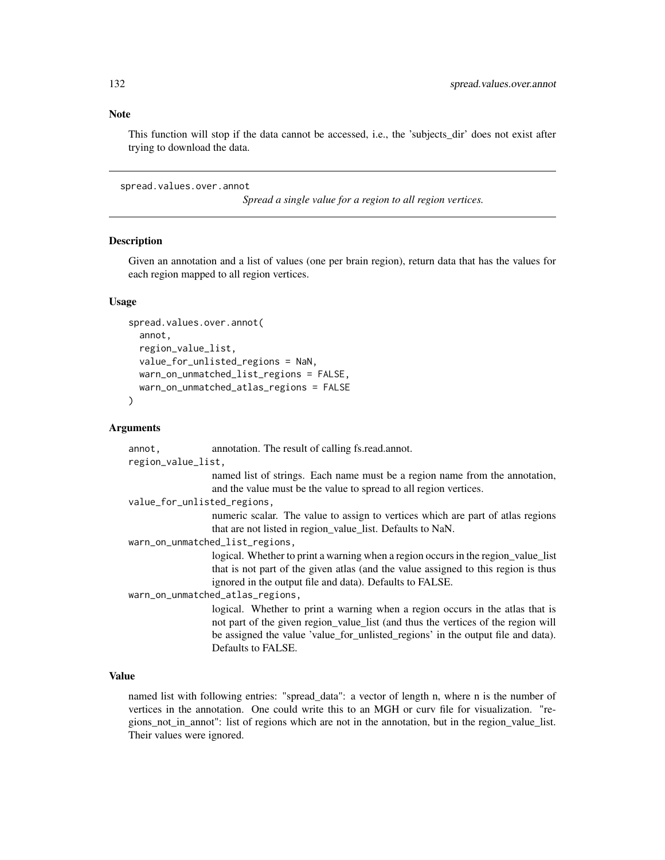### Note

This function will stop if the data cannot be accessed, i.e., the 'subjects\_dir' does not exist after trying to download the data.

<span id="page-131-0"></span>spread.values.over.annot

*Spread a single value for a region to all region vertices.*

#### **Description**

Given an annotation and a list of values (one per brain region), return data that has the values for each region mapped to all region vertices.

#### Usage

```
spread.values.over.annot(
  annot,
  region_value_list,
  value_for_unlisted_regions = NaN,
 warn_on_unmatched_list_regions = FALSE,
 warn_on_unmatched_atlas_regions = FALSE
)
```
### Arguments

annot, annotation. The result of calling fs.read.annot. region\_value\_list, named list of strings. Each name must be a region name from the annotation, and the value must be the value to spread to all region vertices. value\_for\_unlisted\_regions, numeric scalar. The value to assign to vertices which are part of atlas regions that are not listed in region\_value\_list. Defaults to NaN. warn\_on\_unmatched\_list\_regions, logical. Whether to print a warning when a region occurs in the region\_value\_list that is not part of the given atlas (and the value assigned to this region is thus ignored in the output file and data). Defaults to FALSE. warn\_on\_unmatched\_atlas\_regions, logical. Whether to print a warning when a region occurs in the atlas that is not part of the given region\_value\_list (and thus the vertices of the region will be assigned the value 'value\_for\_unlisted\_regions' in the output file and data). Defaults to FALSE.

### Value

named list with following entries: "spread\_data": a vector of length n, where n is the number of vertices in the annotation. One could write this to an MGH or curv file for visualization. "regions\_not\_in\_annot": list of regions which are not in the annotation, but in the region\_value\_list. Their values were ignored.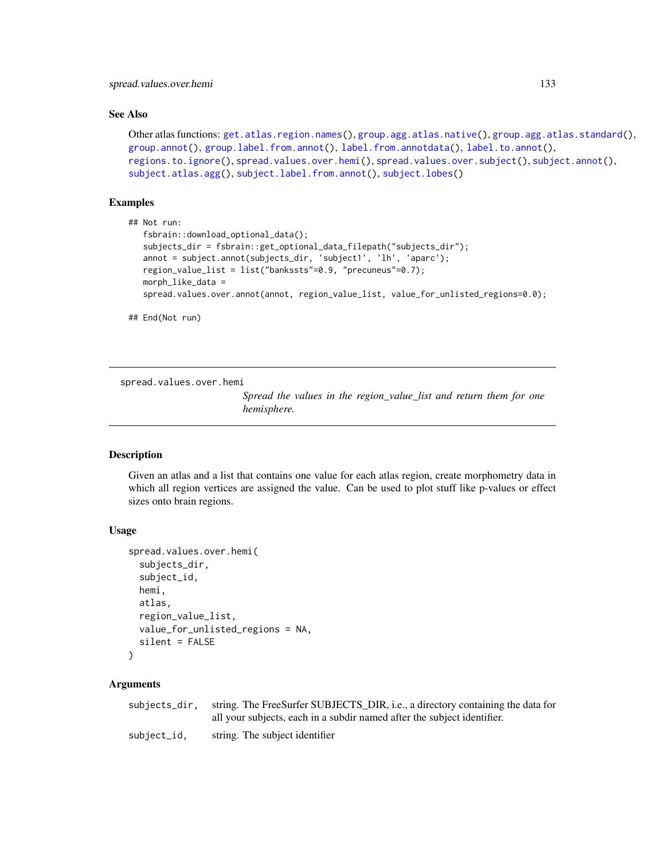### See Also

```
Other atlas functions: get.atlas.region.names(), group.agg.atlas.native(), group.agg.atlas.standard(),
group.annot(), group.label.from.annot(), label.from.annotdata(), label.to.annot(),
regions.to.ignore(), spread.values.over.hemi(), spread.values.over.subject(), subject.annot(),
subject.atlas.agg(), subject.label.from.annot(), subject.lobes()
```
## Examples

```
## Not run:
   fsbrain::download_optional_data();
   subjects_dir = fsbrain::get_optional_data_filepath("subjects_dir");
   annot = subject.annot(subjects_dir, 'subject1', 'lh', 'aparc');
  region_value_list = list("bankssts"=0.9, "precuneus"=0.7);
  morph_like_data =
   spread.values.over.annot(annot, region_value_list, value_for_unlisted_regions=0.0);
```

```
## End(Not run)
```
<span id="page-132-0"></span>spread.values.over.hemi

*Spread the values in the region\_value\_list and return them for one hemisphere.*

### **Description**

Given an atlas and a list that contains one value for each atlas region, create morphometry data in which all region vertices are assigned the value. Can be used to plot stuff like p-values or effect sizes onto brain regions.

### Usage

```
spread.values.over.hemi(
  subjects_dir,
  subject_id,
  hemi,
  atlas,
  region_value_list,
  value_for_unlisted_regions = NA,
  silent = FALSE
)
```
#### Arguments

| subjects_dir. | string. The FreeSurfer SUBJECTS_DIR, i.e., a directory containing the data for |
|---------------|--------------------------------------------------------------------------------|
|               | all your subjects, each in a subdir named after the subject identifier.        |
| subject_id.   | string. The subject identifier                                                 |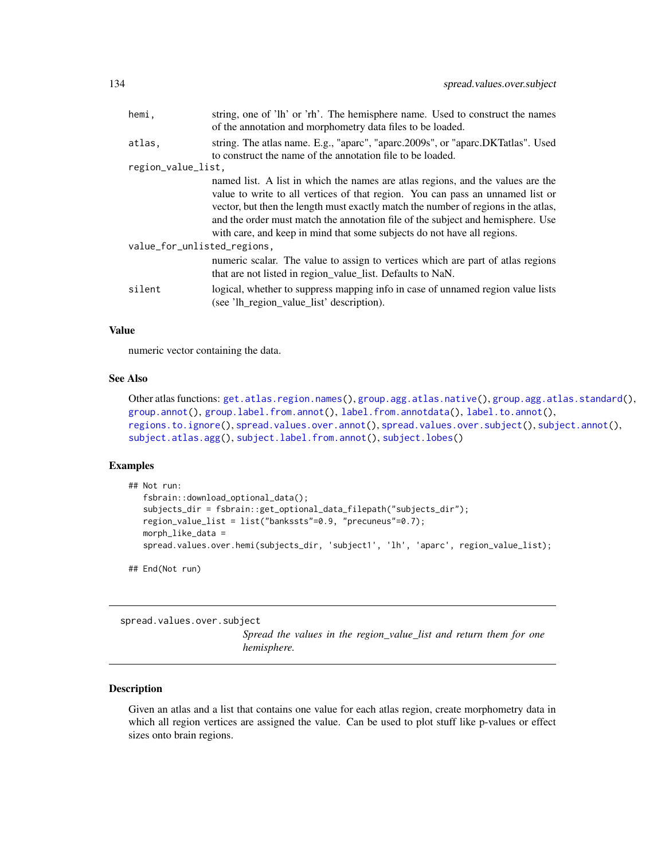| hemi,                       | string, one of 'lh' or 'rh'. The hemisphere name. Used to construct the names<br>of the annotation and morphometry data files to be loaded.                                                                                                                                                                                                                                                                           |  |
|-----------------------------|-----------------------------------------------------------------------------------------------------------------------------------------------------------------------------------------------------------------------------------------------------------------------------------------------------------------------------------------------------------------------------------------------------------------------|--|
| atlas,                      | string. The atlas name. E.g., "aparc", "aparc.2009s", or "aparc.DKTatlas". Used<br>to construct the name of the annotation file to be loaded.                                                                                                                                                                                                                                                                         |  |
| region_value_list,          |                                                                                                                                                                                                                                                                                                                                                                                                                       |  |
|                             | named list. A list in which the names are atlas regions, and the values are the<br>value to write to all vertices of that region. You can pass an unnamed list or<br>vector, but then the length must exactly match the number of regions in the atlas,<br>and the order must match the annotation file of the subject and hemisphere. Use<br>with care, and keep in mind that some subjects do not have all regions. |  |
| value_for_unlisted_regions, |                                                                                                                                                                                                                                                                                                                                                                                                                       |  |
|                             | numeric scalar. The value to assign to vertices which are part of atlas regions<br>that are not listed in region_value_list. Defaults to NaN.                                                                                                                                                                                                                                                                         |  |
| silent                      | logical, whether to suppress mapping info in case of unnamed region value lists<br>(see 'lh_region_value_list' description).                                                                                                                                                                                                                                                                                          |  |

## Value

numeric vector containing the data.

#### See Also

Other atlas functions: [get.atlas.region.names\(](#page-63-0)), [group.agg.atlas.native\(](#page-67-0)), [group.agg.atlas.standard\(](#page-68-0)), [group.annot\(](#page-70-0)), [group.label.from.annot\(](#page-75-0)), [label.from.annotdata\(](#page-103-0)), [label.to.annot\(](#page-104-0)), [regions.to.ignore\(](#page-124-1)), [spread.values.over.annot\(](#page-131-0)), [spread.values.over.subject\(](#page-133-0)), [subject.annot\(](#page-135-0)), [subject.atlas.agg\(](#page-137-0)), [subject.label.from.annot\(](#page-141-0)), [subject.lobes\(](#page-142-0))

# Examples

```
## Not run:
  fsbrain::download_optional_data();
   subjects_dir = fsbrain::get_optional_data_filepath("subjects_dir");
   region_value_list = list("bankssts"=0.9, "precuneus"=0.7);
  morph_like_data =
   spread.values.over.hemi(subjects_dir, 'subject1', 'lh', 'aparc', region_value_list);
```
## End(Not run)

<span id="page-133-0"></span>spread.values.over.subject

*Spread the values in the region\_value\_list and return them for one hemisphere.*

### Description

Given an atlas and a list that contains one value for each atlas region, create morphometry data in which all region vertices are assigned the value. Can be used to plot stuff like p-values or effect sizes onto brain regions.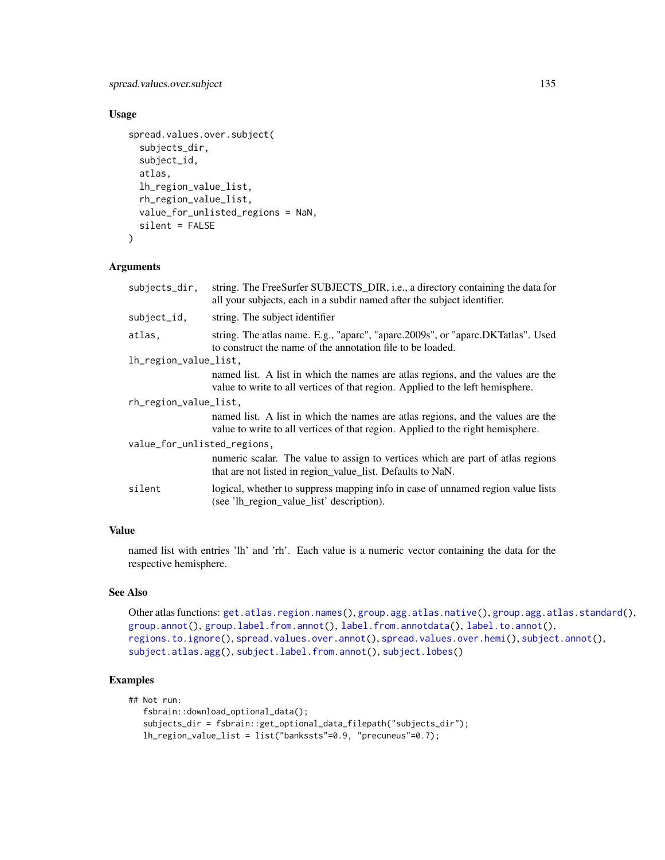# spread.values.over.subject 135

# Usage

```
spread.values.over.subject(
  subjects_dir,
  subject_id,
  atlas,
  lh_region_value_list,
  rh_region_value_list,
  value_for_unlisted_regions = NaN,
  silent = FALSE
)
```
### Arguments

| subjects_dir,               | string. The FreeSurfer SUBJECTS_DIR, i.e., a directory containing the data for<br>all your subjects, each in a subdir named after the subject identifier.          |  |
|-----------------------------|--------------------------------------------------------------------------------------------------------------------------------------------------------------------|--|
| subject_id,                 | string. The subject identifier                                                                                                                                     |  |
| atlas,                      | string. The atlas name. E.g., "aparc", "aparc.2009s", or "aparc.DKTatlas". Used<br>to construct the name of the annotation file to be loaded.                      |  |
| lh_region_value_list,       |                                                                                                                                                                    |  |
|                             | named list. A list in which the names are atlas regions, and the values are the<br>value to write to all vertices of that region. Applied to the left hemisphere.  |  |
| rh_region_value_list,       |                                                                                                                                                                    |  |
|                             | named list. A list in which the names are atlas regions, and the values are the<br>value to write to all vertices of that region. Applied to the right hemisphere. |  |
| value_for_unlisted_regions, |                                                                                                                                                                    |  |
|                             | numeric scalar. The value to assign to vertices which are part of atlas regions<br>that are not listed in region_value_list. Defaults to NaN.                      |  |
| silent                      | logical, whether to suppress mapping info in case of unnamed region value lists<br>(see 'lh_region_value_list' description).                                       |  |

### Value

named list with entries 'lh' and 'rh'. Each value is a numeric vector containing the data for the respective hemisphere.

# See Also

Other atlas functions: [get.atlas.region.names\(](#page-63-0)), [group.agg.atlas.native\(](#page-67-0)), [group.agg.atlas.standard\(](#page-68-0)), [group.annot\(](#page-70-0)), [group.label.from.annot\(](#page-75-0)), [label.from.annotdata\(](#page-103-0)), [label.to.annot\(](#page-104-0)), [regions.to.ignore\(](#page-124-1)), [spread.values.over.annot\(](#page-131-0)), [spread.values.over.hemi\(](#page-132-0)), [subject.annot\(](#page-135-0)), [subject.atlas.agg\(](#page-137-0)), [subject.label.from.annot\(](#page-141-0)), [subject.lobes\(](#page-142-0))

# Examples

```
## Not run:
   fsbrain::download_optional_data();
   subjects_dir = fsbrain::get_optional_data_filepath("subjects_dir");
  lh_region_value_list = list("bankssts"=0.9, "precuneus"=0.7);
```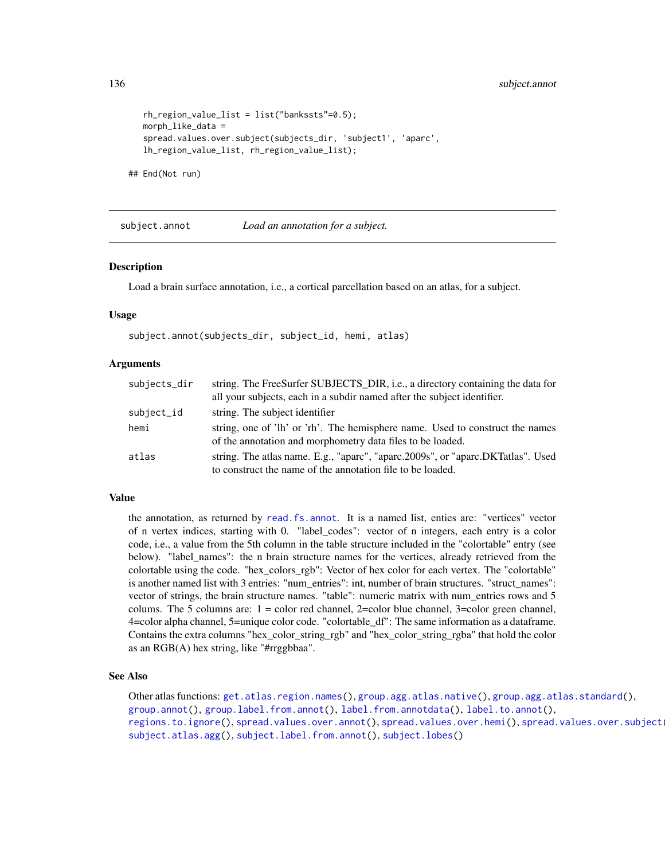```
rh_region_value_list = list("bankssts"=0.5);
morph_like_data =
spread.values.over.subject(subjects_dir, 'subject1', 'aparc',
lh_region_value_list, rh_region_value_list);
```
## End(Not run)

<span id="page-135-0"></span>

subject.annot *Load an annotation for a subject.*

#### **Description**

Load a brain surface annotation, i.e., a cortical parcellation based on an atlas, for a subject.

### Usage

```
subject.annot(subjects_dir, subject_id, hemi, atlas)
```
### Arguments

| subjects_dir | string. The FreeSurfer SUBJECTS_DIR, i.e., a directory containing the data for<br>all your subjects, each in a subdir named after the subject identifier. |
|--------------|-----------------------------------------------------------------------------------------------------------------------------------------------------------|
| subject_id   | string. The subject identifier                                                                                                                            |
| hemi         | string, one of 'lh' or 'rh'. The hemisphere name. Used to construct the names<br>of the annotation and morphometry data files to be loaded.               |
| atlas        | string. The atlas name. E.g., "aparc", "aparc.2009s", or "aparc.DKTatlas". Used<br>to construct the name of the annotation file to be loaded.             |

#### Value

the annotation, as returned by [read.fs.annot](#page-0-0). It is a named list, enties are: "vertices" vector of n vertex indices, starting with 0. "label\_codes": vector of n integers, each entry is a color code, i.e., a value from the 5th column in the table structure included in the "colortable" entry (see below). "label\_names": the n brain structure names for the vertices, already retrieved from the colortable using the code. "hex\_colors\_rgb": Vector of hex color for each vertex. The "colortable" is another named list with 3 entries: "num\_entries": int, number of brain structures. "struct\_names": vector of strings, the brain structure names. "table": numeric matrix with num\_entries rows and 5 colums. The 5 columns are: 1 = color red channel, 2=color blue channel, 3=color green channel, 4=color alpha channel, 5=unique color code. "colortable\_df": The same information as a dataframe. Contains the extra columns "hex\_color\_string\_rgb" and "hex\_color\_string\_rgba" that hold the color as an RGB(A) hex string, like "#rrggbbaa".

#### See Also

Other atlas functions: [get.atlas.region.names\(](#page-63-0)), [group.agg.atlas.native\(](#page-67-0)), [group.agg.atlas.standard\(](#page-68-0)), [group.annot\(](#page-70-0)), [group.label.from.annot\(](#page-75-0)), [label.from.annotdata\(](#page-103-0)), [label.to.annot\(](#page-104-0)), [regions.to.ignore\(](#page-124-1)), [spread.values.over.annot\(](#page-131-0)), [spread.values.over.hemi\(](#page-132-0)), spread.values.over.subject [subject.atlas.agg\(](#page-137-0)), [subject.label.from.annot\(](#page-141-0)), [subject.lobes\(](#page-142-0))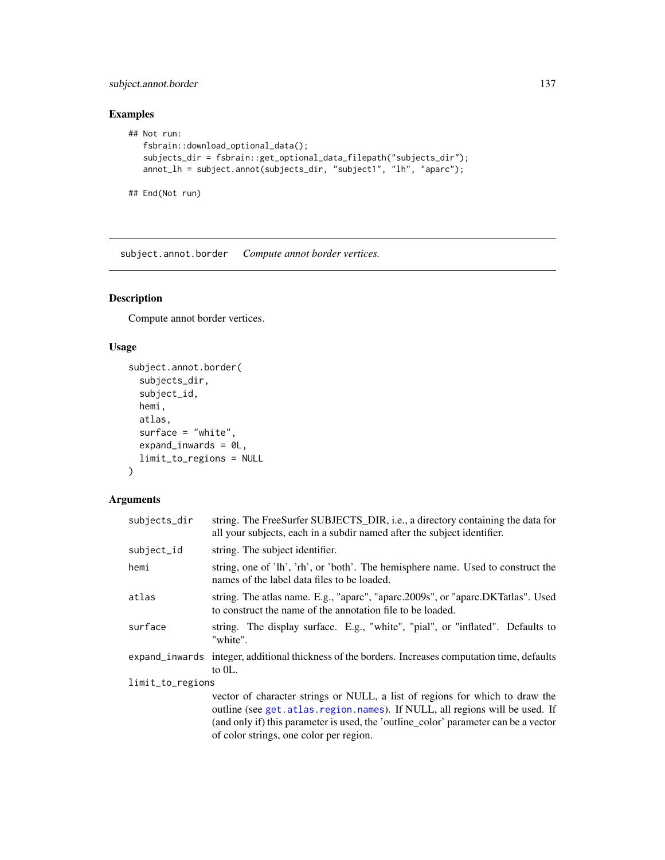# subject.annot.border 137

# Examples

```
## Not run:
  fsbrain::download_optional_data();
   subjects_dir = fsbrain::get_optional_data_filepath("subjects_dir");
  annot_lh = subject.annot(subjects_dir, "subject1", "lh", "aparc");
```

```
## End(Not run)
```
subject.annot.border *Compute annot border vertices.*

# Description

Compute annot border vertices.

# Usage

```
subject.annot.border(
  subjects_dir,
  subject_id,
 hemi,
 atlas,
  surface = "white",expand_inwards = 0L,
  limit_to_regions = NULL
\mathcal{L}
```
# Arguments

| subjects_dir     | string. The FreeSurfer SUBJECTS_DIR, i.e., a directory containing the data for<br>all your subjects, each in a subdir named after the subject identifier.                                                                                                                                        |  |
|------------------|--------------------------------------------------------------------------------------------------------------------------------------------------------------------------------------------------------------------------------------------------------------------------------------------------|--|
| subject_id       | string. The subject identifier.                                                                                                                                                                                                                                                                  |  |
| hemi             | string, one of 'lh', 'rh', or 'both'. The hemisphere name. Used to construct the<br>names of the label data files to be loaded.                                                                                                                                                                  |  |
| atlas            | string. The atlas name. E.g., "aparc", "aparc.2009s", or "aparc.DKTatlas". Used<br>to construct the name of the annotation file to be loaded.                                                                                                                                                    |  |
| surface          | string. The display surface. E.g., "white", "pial", or "inflated". Defaults to<br>"white".                                                                                                                                                                                                       |  |
|                  | expand_inwards integer, additional thickness of the borders. Increases computation time, defaults<br>to $0L$ .                                                                                                                                                                                   |  |
| limit_to_regions |                                                                                                                                                                                                                                                                                                  |  |
|                  | vector of character strings or NULL, a list of regions for which to draw the<br>outline (see get. atlas. region. names). If NULL, all regions will be used. If<br>(and only if) this parameter is used, the 'outline_color' parameter can be a vector<br>of color strings, one color per region. |  |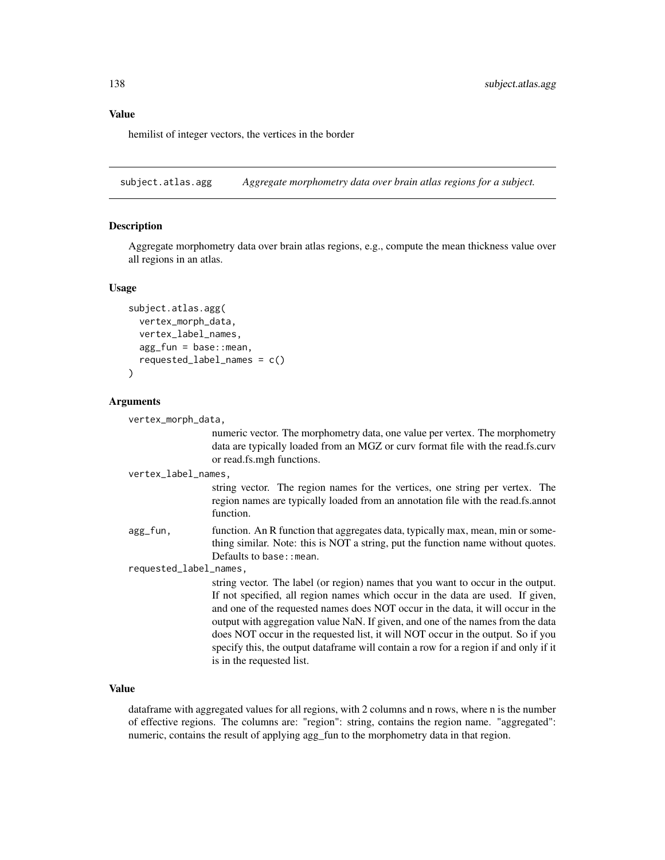#### Value

hemilist of integer vectors, the vertices in the border

<span id="page-137-0"></span>subject.atlas.agg *Aggregate morphometry data over brain atlas regions for a subject.*

#### Description

Aggregate morphometry data over brain atlas regions, e.g., compute the mean thickness value over all regions in an atlas.

#### Usage

```
subject.atlas.agg(
  vertex_morph_data,
  vertex_label_names,
  agg_fun = base::mean,requested_label_names = c()
)
```
#### Arguments

vertex\_morph\_data,

numeric vector. The morphometry data, one value per vertex. The morphometry data are typically loaded from an MGZ or curv format file with the read.fs.curv or read.fs.mgh functions.

vertex\_label\_names,

string vector. The region names for the vertices, one string per vertex. The region names are typically loaded from an annotation file with the read.fs.annot function.

agg\_fun, function. An R function that aggregates data, typically max, mean, min or something similar. Note: this is NOT a string, put the function name without quotes. Defaults to base: : mean.

requested\_label\_names,

string vector. The label (or region) names that you want to occur in the output. If not specified, all region names which occur in the data are used. If given, and one of the requested names does NOT occur in the data, it will occur in the output with aggregation value NaN. If given, and one of the names from the data does NOT occur in the requested list, it will NOT occur in the output. So if you specify this, the output dataframe will contain a row for a region if and only if it is in the requested list.

### Value

dataframe with aggregated values for all regions, with 2 columns and n rows, where n is the number of effective regions. The columns are: "region": string, contains the region name. "aggregated": numeric, contains the result of applying agg\_fun to the morphometry data in that region.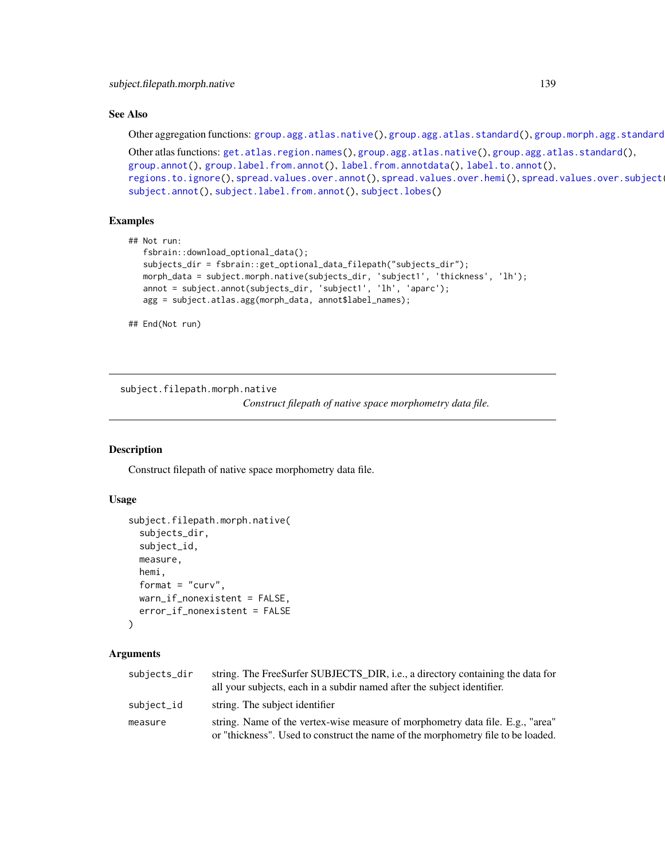# See Also

Other aggregation functions: [group.agg.atlas.native\(](#page-67-0)), [group.agg.atlas.standard\(](#page-68-0)), group.morph.agg.standard

Other atlas functions: [get.atlas.region.names\(](#page-63-0)), [group.agg.atlas.native\(](#page-67-0)), [group.agg.atlas.standard\(](#page-68-0)), [group.annot\(](#page-70-0)), [group.label.from.annot\(](#page-75-0)), [label.from.annotdata\(](#page-103-0)), [label.to.annot\(](#page-104-0)), [regions.to.ignore\(](#page-124-1)), [spread.values.over.annot\(](#page-131-0)), [spread.values.over.hemi\(](#page-132-0)), spread.values.over.subject [subject.annot\(](#page-135-0)), [subject.label.from.annot\(](#page-141-0)), [subject.lobes\(](#page-142-0))

### Examples

```
## Not run:
   fsbrain::download_optional_data();
   subjects_dir = fsbrain::get_optional_data_filepath("subjects_dir");
  morph_data = subject.morph.native(subjects_dir, 'subject1', 'thickness', 'lh');
  annot = subject.annot(subjects_dir, 'subject1', 'lh', 'aparc');
  agg = subject.atlas.agg(morph_data, annot$label_names);
```
## End(Not run)

subject.filepath.morph.native

*Construct filepath of native space morphometry data file.*

#### Description

Construct filepath of native space morphometry data file.

#### Usage

```
subject.filepath.morph.native(
  subjects_dir,
  subject_id,
 measure,
 hemi,
  format = "curv",
 warn_if_nonexistent = FALSE,
  error_if_nonexistent = FALSE
)
```
### Arguments

| subjects_dir | string. The FreeSurfer SUBJECTS_DIR, i.e., a directory containing the data for<br>all your subjects, each in a subdir named after the subject identifier.          |
|--------------|--------------------------------------------------------------------------------------------------------------------------------------------------------------------|
| subject_id   | string. The subject identifier                                                                                                                                     |
| measure      | string. Name of the vertex-wise measure of morphometry data file. E.g., "area"<br>or "thickness". Used to construct the name of the morphometry file to be loaded. |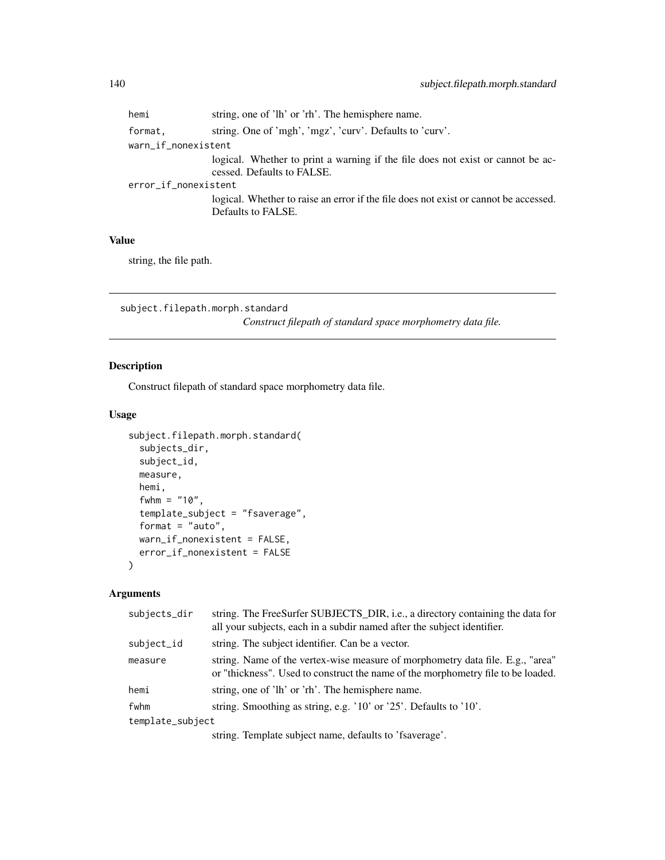| string, one of 'lh' or 'rh'. The hemisphere name.                                                             |  |  |
|---------------------------------------------------------------------------------------------------------------|--|--|
| string. One of 'mgh', 'mgz', 'curv'. Defaults to 'curv'.                                                      |  |  |
| warn_if_nonexistent                                                                                           |  |  |
| logical. Whether to print a warning if the file does not exist or cannot be ac-<br>cessed. Defaults to FALSE. |  |  |
| error_if_nonexistent                                                                                          |  |  |
| logical. Whether to raise an error if the file does not exist or cannot be accessed.<br>Defaults to FALSE.    |  |  |
|                                                                                                               |  |  |

### Value

string, the file path.

subject.filepath.morph.standard

*Construct filepath of standard space morphometry data file.*

# Description

Construct filepath of standard space morphometry data file.

# Usage

```
subject.filepath.morph.standard(
  subjects_dir,
 subject_id,
 measure,
 hemi,
 fwhm = "10",
  template_subject = "fsaverage",
 format = "auto",warn_if_nonexistent = FALSE,
 error_if_nonexistent = FALSE
\mathcal{L}
```
# Arguments

| subjects_dir     | string. The FreeSurfer SUBJECTS DIR, <i>i.e.</i> , a directory containing the data for<br>all your subjects, each in a subdir named after the subject identifier.  |
|------------------|--------------------------------------------------------------------------------------------------------------------------------------------------------------------|
| subject_id       | string. The subject identifier. Can be a vector.                                                                                                                   |
| measure          | string. Name of the vertex-wise measure of morphometry data file. E.g., "area"<br>or "thickness". Used to construct the name of the morphometry file to be loaded. |
| hemi             | string, one of 'lh' or 'rh'. The hemisphere name.                                                                                                                  |
| fwhm             | string. Smoothing as string, e.g. '10' or '25'. Defaults to '10'.                                                                                                  |
| template_subject |                                                                                                                                                                    |
|                  | $\mathbf{r}$ , and $\mathbf{r}$ , and $\mathbf{r}$ , and $\mathbf{r}$ , and $\mathbf{r}$ , and $\mathbf{r}$ , and $\mathbf{r}$                                     |

string. Template subject name, defaults to 'fsaverage'.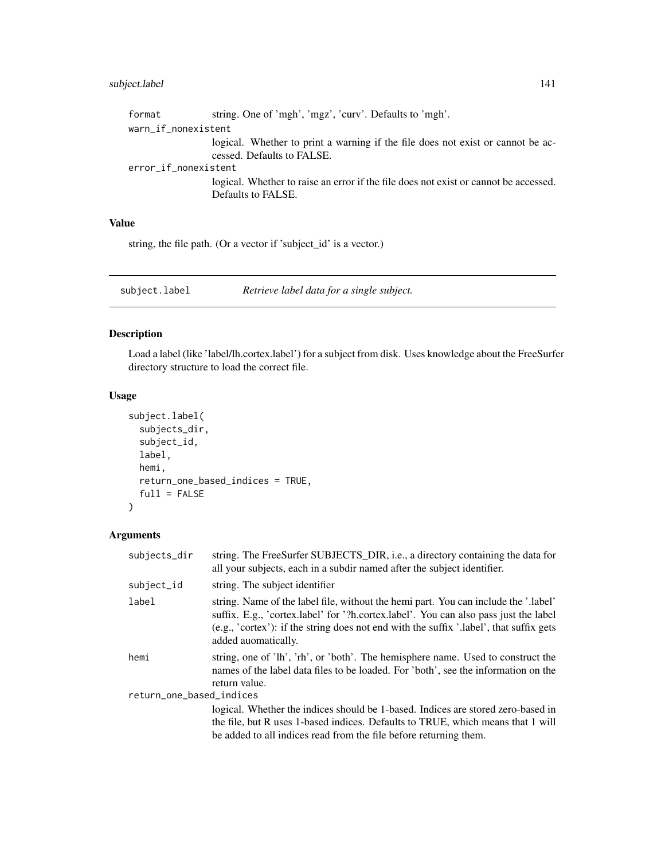# subject.label 141

| format               | string. One of 'mgh', 'mgz', 'curv'. Defaults to 'mgh'.                                                       |  |
|----------------------|---------------------------------------------------------------------------------------------------------------|--|
| warn_if_nonexistent  |                                                                                                               |  |
|                      | logical. Whether to print a warning if the file does not exist or cannot be ac-<br>cessed. Defaults to FALSE. |  |
| error_if_nonexistent |                                                                                                               |  |
|                      | logical. Whether to raise an error if the file does not exist or cannot be accessed.<br>Defaults to FALSE.    |  |

# Value

string, the file path. (Or a vector if 'subject\_id' is a vector.)

<span id="page-140-0"></span>subject.label *Retrieve label data for a single subject.*

# Description

Load a label (like 'label/lh.cortex.label') for a subject from disk. Uses knowledge about the FreeSurfer directory structure to load the correct file.

# Usage

```
subject.label(
  subjects_dir,
  subject_id,
 label,
 hemi,
 return_one_based_indices = TRUE,
 full = FALSE)
```
# Arguments

| subjects_dir             | string. The FreeSurfer SUBJECTS_DIR, i.e., a directory containing the data for<br>all your subjects, each in a subdir named after the subject identifier.                                                                                                                                        |  |
|--------------------------|--------------------------------------------------------------------------------------------------------------------------------------------------------------------------------------------------------------------------------------------------------------------------------------------------|--|
| subject_id               | string. The subject identifier                                                                                                                                                                                                                                                                   |  |
| label                    | string. Name of the label file, without the hemi part. You can include the '.label'<br>suffix. E.g., 'cortex.label' for '?h.cortex.label'. You can also pass just the label<br>$(e.g., 'cortex')$ : if the string does not end with the suffix '.label', that suffix gets<br>added auomatically. |  |
| hemi                     | string, one of 'lh', 'rh', or 'both'. The hemisphere name. Used to construct the<br>names of the label data files to be loaded. For 'both', see the information on the<br>return value.                                                                                                          |  |
| return_one_based_indices |                                                                                                                                                                                                                                                                                                  |  |
|                          | logical. Whether the indices should be 1-based. Indices are stored zero-based in<br>the file, but R uses 1-based indices. Defaults to TRUE, which means that 1 will<br>be added to all indices read from the file before returning them.                                                         |  |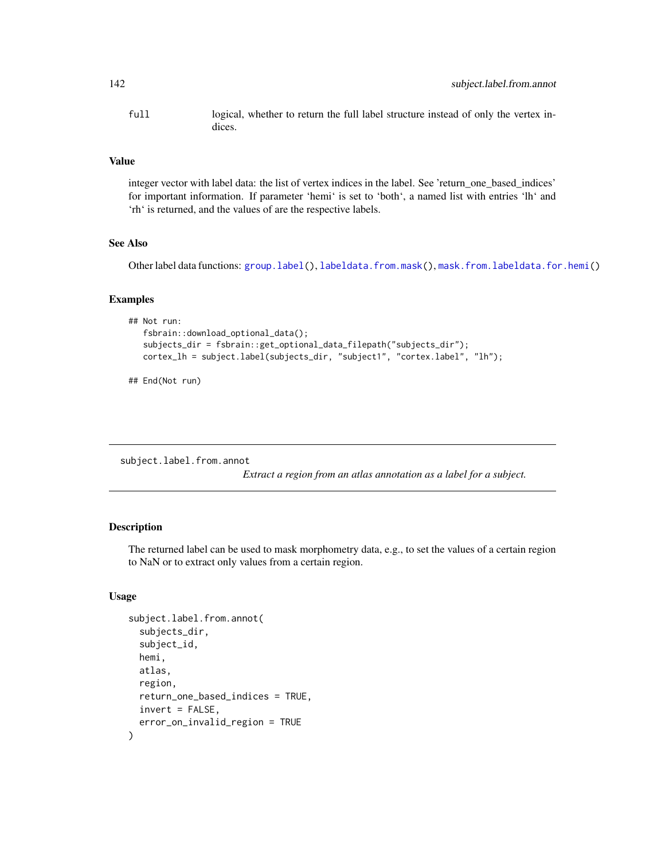full logical, whether to return the full label structure instead of only the vertex indices.

#### Value

integer vector with label data: the list of vertex indices in the label. See 'return\_one\_based\_indices' for important information. If parameter 'hemi' is set to 'both', a named list with entries 'lh' and 'rh' is returned, and the values of are the respective labels.

#### See Also

Other label data functions: [group.label\(](#page-74-0)), [labeldata.from.mask\(](#page-105-0)), [mask.from.labeldata.for.hemi\(](#page-109-0))

### Examples

```
## Not run:
   fsbrain::download_optional_data();
   subjects_dir = fsbrain::get_optional_data_filepath("subjects_dir");
  cortex_lh = subject.label(subjects_dir, "subject1", "cortex.label", "lh");
```

```
## End(Not run)
```
<span id="page-141-0"></span>subject.label.from.annot

*Extract a region from an atlas annotation as a label for a subject.*

### Description

The returned label can be used to mask morphometry data, e.g., to set the values of a certain region to NaN or to extract only values from a certain region.

# Usage

```
subject.label.from.annot(
  subjects_dir,
  subject_id,
  hemi,
  atlas,
  region,
  return_one_based_indices = TRUE,
  invert = FALSE,error_on_invalid_region = TRUE
)
```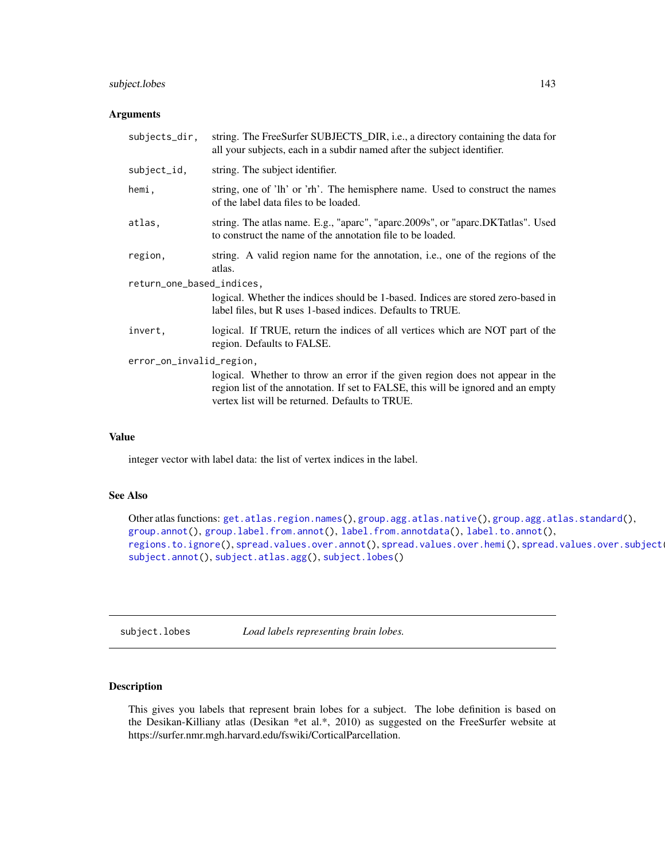# subject.lobes 143

#### **Arguments**

| subjects_dir,             | string. The FreeSurfer SUBJECTS_DIR, i.e., a directory containing the data for<br>all your subjects, each in a subdir named after the subject identifier.                                                             |  |
|---------------------------|-----------------------------------------------------------------------------------------------------------------------------------------------------------------------------------------------------------------------|--|
| subject_id,               | string. The subject identifier.                                                                                                                                                                                       |  |
| hemi.                     | string, one of 'lh' or 'rh'. The hemisphere name. Used to construct the names<br>of the label data files to be loaded.                                                                                                |  |
| atlas,                    | string. The atlas name. E.g., "aparc", "aparc.2009s", or "aparc.DKTatlas". Used<br>to construct the name of the annotation file to be loaded.                                                                         |  |
| region,                   | string. A valid region name for the annotation, i.e., one of the regions of the<br>atlas.                                                                                                                             |  |
| return_one_based_indices, |                                                                                                                                                                                                                       |  |
|                           | logical. Whether the indices should be 1-based. Indices are stored zero-based in<br>label files, but R uses 1-based indices. Defaults to TRUE.                                                                        |  |
| invert,                   | logical. If TRUE, return the indices of all vertices which are NOT part of the<br>region. Defaults to FALSE.                                                                                                          |  |
| error_on_invalid_region,  |                                                                                                                                                                                                                       |  |
|                           | logical. Whether to throw an error if the given region does not appear in the<br>region list of the annotation. If set to FALSE, this will be ignored and an empty<br>vertex list will be returned. Defaults to TRUE. |  |

# Value

integer vector with label data: the list of vertex indices in the label.

#### See Also

Other atlas functions: [get.atlas.region.names\(](#page-63-0)), [group.agg.atlas.native\(](#page-67-0)), [group.agg.atlas.standard\(](#page-68-0)), [group.annot\(](#page-70-0)), [group.label.from.annot\(](#page-75-0)), [label.from.annotdata\(](#page-103-0)), [label.to.annot\(](#page-104-0)), [regions.to.ignore\(](#page-124-1)), [spread.values.over.annot\(](#page-131-0)), [spread.values.over.hemi\(](#page-132-0)), spread.values.over.subject [subject.annot\(](#page-135-0)), [subject.atlas.agg\(](#page-137-0)), [subject.lobes\(](#page-142-0))

<span id="page-142-0"></span>subject.lobes *Load labels representing brain lobes.*

# Description

This gives you labels that represent brain lobes for a subject. The lobe definition is based on the Desikan-Killiany atlas (Desikan \*et al.\*, 2010) as suggested on the FreeSurfer website at https://surfer.nmr.mgh.harvard.edu/fswiki/CorticalParcellation.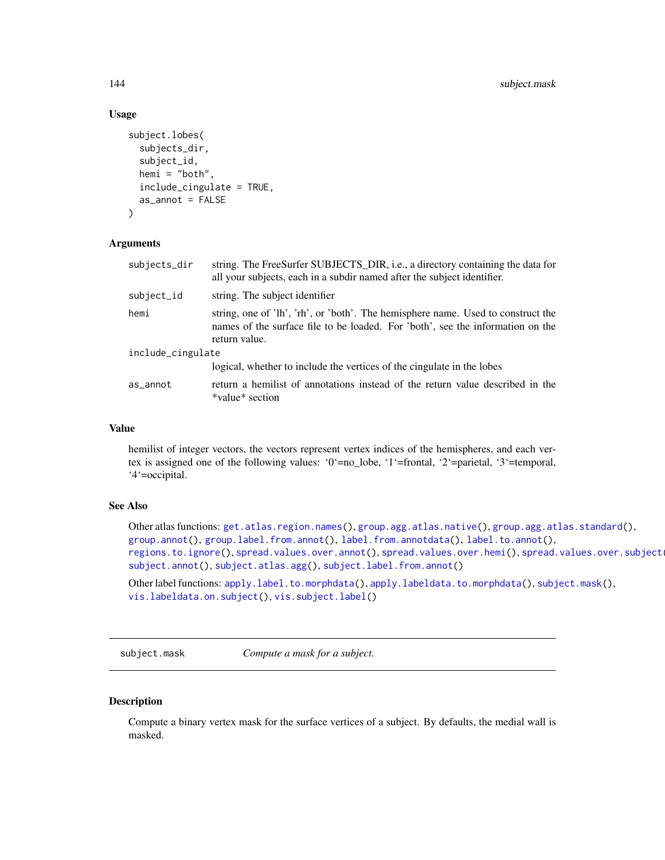### Usage

```
subject.lobes(
  subjects_dir,
  subject_id,
  hemi = "both",
  include_cingulate = TRUE,
  as_annot = FALSE
)
```
# Arguments

| subjects_dir      | string. The FreeSurfer SUBJECTS_DIR, i.e., a directory containing the data for<br>all your subjects, each in a subdir named after the subject identifier.                           |
|-------------------|-------------------------------------------------------------------------------------------------------------------------------------------------------------------------------------|
| subject_id        | string. The subject identifier                                                                                                                                                      |
| hemi              | string, one of 'lh', 'rh', or 'both'. The hemisphere name. Used to construct the<br>names of the surface file to be loaded. For 'both', see the information on the<br>return value. |
| include_cingulate |                                                                                                                                                                                     |
|                   | logical, whether to include the vertices of the cingulate in the lobes                                                                                                              |
| as_annot          | return a hemilist of annotations instead of the return value described in the<br>*value* section                                                                                    |

#### Value

hemilist of integer vectors, the vectors represent vertex indices of the hemispheres, and each vertex is assigned one of the following values: '0'=no\_lobe, '1'=frontal, '2'=parietal, '3'=temporal, '4'=occipital.

### See Also

Other atlas functions: [get.atlas.region.names\(](#page-63-0)), [group.agg.atlas.native\(](#page-67-0)), [group.agg.atlas.standard\(](#page-68-0)), [group.annot\(](#page-70-0)), [group.label.from.annot\(](#page-75-0)), [label.from.annotdata\(](#page-103-0)), [label.to.annot\(](#page-104-0)), [regions.to.ignore\(](#page-124-1)), [spread.values.over.annot\(](#page-131-0)), [spread.values.over.hemi\(](#page-132-0)), spread.values.over.subject [subject.annot\(](#page-135-0)), [subject.atlas.agg\(](#page-137-0)), [subject.label.from.annot\(](#page-141-0))

Other label functions: [apply.label.to.morphdata\(](#page-8-0)), [apply.labeldata.to.morphdata\(](#page-9-0)), [subject.mask\(](#page-143-0)), [vis.labeldata.on.subject\(](#page-174-0)), [vis.subject.label\(](#page-186-0))

<span id="page-143-0"></span>subject.mask *Compute a mask for a subject.*

#### Description

Compute a binary vertex mask for the surface vertices of a subject. By defaults, the medial wall is masked.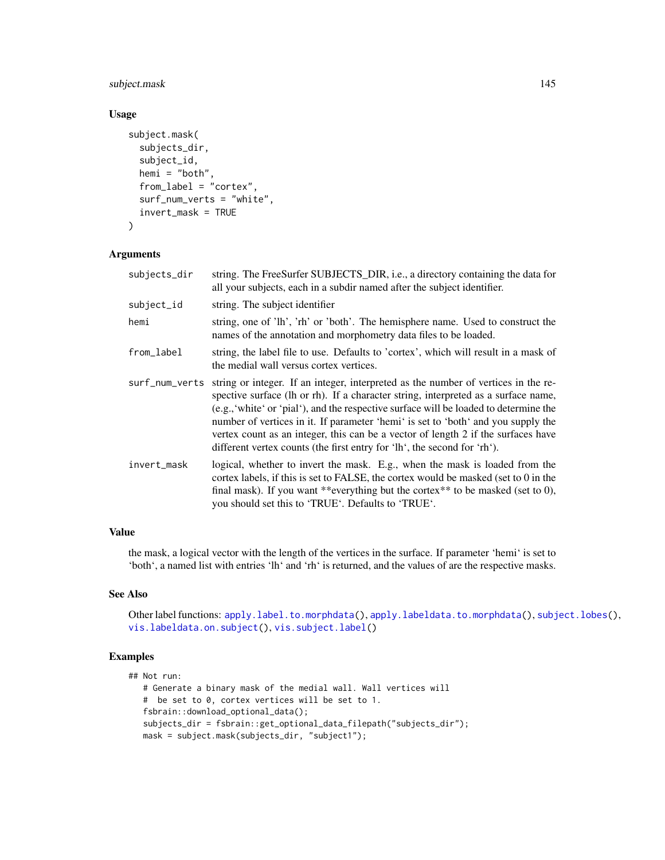# subject.mask 145

# Usage

```
subject.mask(
  subjects_dir,
  subject_id,
  hemi = "both",
  from_label = "cortex",
  surf_num_verts = "white",
  invert_mask = TRUE
)
```
# Arguments

| subjects_dir   | string. The FreeSurfer SUBJECTS_DIR, i.e., a directory containing the data for<br>all your subjects, each in a subdir named after the subject identifier.                                                                                                                                                                                                                                                                                                                                                               |
|----------------|-------------------------------------------------------------------------------------------------------------------------------------------------------------------------------------------------------------------------------------------------------------------------------------------------------------------------------------------------------------------------------------------------------------------------------------------------------------------------------------------------------------------------|
| subject_id     | string. The subject identifier                                                                                                                                                                                                                                                                                                                                                                                                                                                                                          |
| hemi           | string, one of 'lh', 'rh' or 'both'. The hemisphere name. Used to construct the<br>names of the annotation and morphometry data files to be loaded.                                                                                                                                                                                                                                                                                                                                                                     |
| from_label     | string, the label file to use. Defaults to 'cortex', which will result in a mask of<br>the medial wall versus cortex vertices.                                                                                                                                                                                                                                                                                                                                                                                          |
| surf_num_verts | string or integer. If an integer, interpreted as the number of vertices in the re-<br>spective surface (lh or rh). If a character string, interpreted as a surface name,<br>(e.g., 'white' or 'pial'), and the respective surface will be loaded to determine the<br>number of vertices in it. If parameter 'hemi' is set to 'both' and you supply the<br>vertex count as an integer, this can be a vector of length 2 if the surfaces have<br>different vertex counts (the first entry for 'lh', the second for 'rh'). |
| invert_mask    | logical, whether to invert the mask. E.g., when the mask is loaded from the<br>cortex labels, if this is set to FALSE, the cortex would be masked (set to 0 in the<br>final mask). If you want **everything but the cortex** to be masked (set to 0),<br>you should set this to 'TRUE'. Defaults to 'TRUE'.                                                                                                                                                                                                             |

# Value

the mask, a logical vector with the length of the vertices in the surface. If parameter 'hemi' is set to 'both', a named list with entries 'lh' and 'rh' is returned, and the values of are the respective masks.

# See Also

Other label functions: [apply.label.to.morphdata\(](#page-8-0)), [apply.labeldata.to.morphdata\(](#page-9-0)), [subject.lobes\(](#page-142-0)), [vis.labeldata.on.subject\(](#page-174-0)), [vis.subject.label\(](#page-186-0))

## Examples

```
## Not run:
  # Generate a binary mask of the medial wall. Wall vertices will
   # be set to 0, cortex vertices will be set to 1.
  fsbrain::download_optional_data();
  subjects_dir = fsbrain::get_optional_data_filepath("subjects_dir");
  mask = subject.mask(subjects_dir, "subject1");
```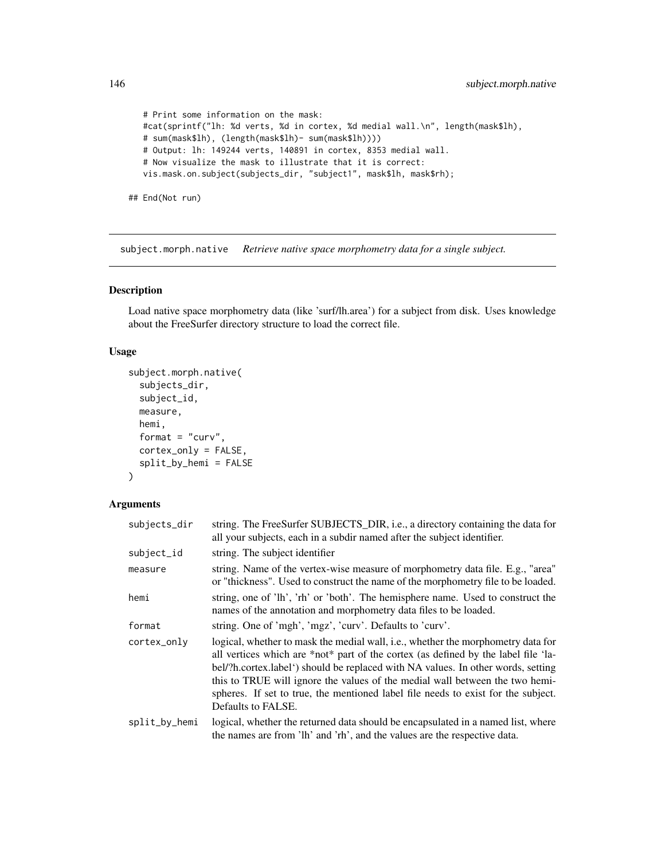```
# Print some information on the mask:
  #cat(sprintf("lh: %d verts, %d in cortex, %d medial wall.\n", length(mask$lh),
  # sum(mask$lh), (length(mask$lh)- sum(mask$lh))))
  # Output: lh: 149244 verts, 140891 in cortex, 8353 medial wall.
  # Now visualize the mask to illustrate that it is correct:
  vis.mask.on.subject(subjects_dir, "subject1", mask$lh, mask$rh);
## End(Not run)
```
<span id="page-145-0"></span>subject.morph.native *Retrieve native space morphometry data for a single subject.*

# Description

Load native space morphometry data (like 'surf/lh.area') for a subject from disk. Uses knowledge about the FreeSurfer directory structure to load the correct file.

## Usage

```
subject.morph.native(
  subjects_dir,
  subject_id,
 measure,
 hemi,
  format = "curv",cortex_only = FALSE,
  split_by_hemi = FALSE
\lambda
```

| subjects_dir  | string. The FreeSurfer SUBJECTS_DIR, i.e., a directory containing the data for<br>all your subjects, each in a subdir named after the subject identifier.                                                                                                                                                                                                                                                                                             |
|---------------|-------------------------------------------------------------------------------------------------------------------------------------------------------------------------------------------------------------------------------------------------------------------------------------------------------------------------------------------------------------------------------------------------------------------------------------------------------|
| subject_id    | string. The subject identifier                                                                                                                                                                                                                                                                                                                                                                                                                        |
| measure       | string. Name of the vertex-wise measure of morphometry data file. E.g., "area"<br>or "thickness". Used to construct the name of the morphometry file to be loaded.                                                                                                                                                                                                                                                                                    |
| hemi          | string, one of 'lh', 'rh' or 'both'. The hemisphere name. Used to construct the<br>names of the annotation and morphometry data files to be loaded.                                                                                                                                                                                                                                                                                                   |
| format        | string. One of 'mgh', 'mgz', 'curv'. Defaults to 'curv'.                                                                                                                                                                                                                                                                                                                                                                                              |
| cortex_only   | logical, whether to mask the medial wall, i.e., whether the morphometry data for<br>all vertices which are *not* part of the cortex (as defined by the label file 'la-<br>bel/?h.cortex.label') should be replaced with NA values. In other words, setting<br>this to TRUE will ignore the values of the medial wall between the two hemi-<br>spheres. If set to true, the mentioned label file needs to exist for the subject.<br>Defaults to FALSE. |
| split_by_hemi | logical, whether the returned data should be encapsulated in a named list, where<br>the names are from 'lh' and 'rh', and the values are the respective data.                                                                                                                                                                                                                                                                                         |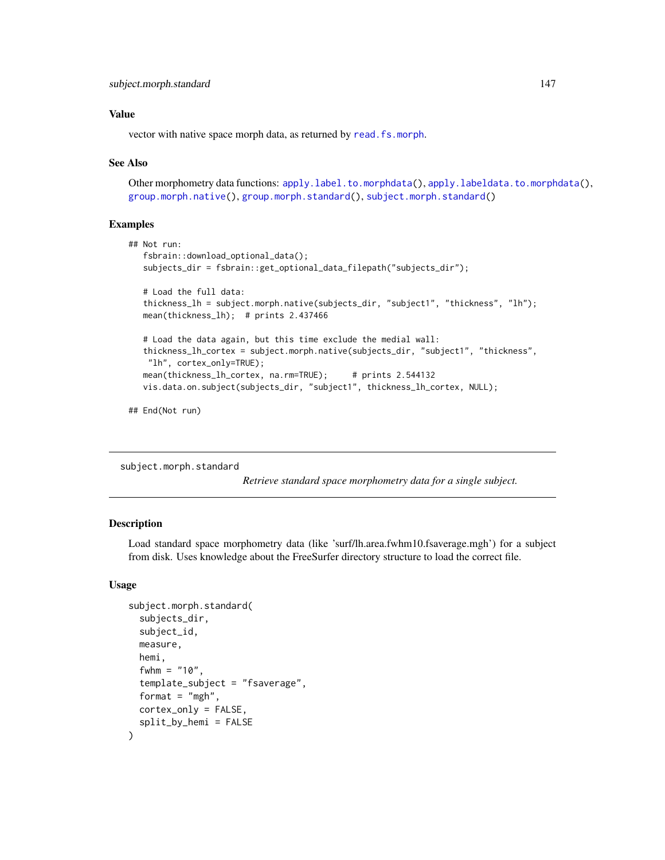vector with native space morph data, as returned by [read.fs.morph](#page-0-0).

#### See Also

Other morphometry data functions: [apply.label.to.morphdata\(](#page-8-0)), [apply.labeldata.to.morphdata\(](#page-9-0)), [group.morph.native\(](#page-81-0)), [group.morph.standard\(](#page-82-0)), [subject.morph.standard\(](#page-146-0))

## Examples

```
## Not run:
   fsbrain::download_optional_data();
   subjects_dir = fsbrain::get_optional_data_filepath("subjects_dir");
   # Load the full data:
   thickness_lh = subject.morph.native(subjects_dir, "subject1", "thickness", "lh");
  mean(thickness_lh); # prints 2.437466
   # Load the data again, but this time exclude the medial wall:
   thickness_lh_cortex = subject.morph.native(subjects_dir, "subject1", "thickness",
   "lh", cortex_only=TRUE);
  mean(thickness_lh_cortex, na.rm=TRUE); # prints 2.544132
  vis.data.on.subject(subjects_dir, "subject1", thickness_lh_cortex, NULL);
```
## End(Not run)

<span id="page-146-0"></span>subject.morph.standard

*Retrieve standard space morphometry data for a single subject.*

#### Description

Load standard space morphometry data (like 'surf/lh.area.fwhm10.fsaverage.mgh') for a subject from disk. Uses knowledge about the FreeSurfer directory structure to load the correct file.

#### Usage

```
subject.morph.standard(
  subjects_dir,
  subject_id,
  measure,
  hemi,
  fwhm = "10",
  template_subject = "fsaverage",
  format = "mgh",
  cortex_only = FALSE,
  split_by_hemi = FALSE
)
```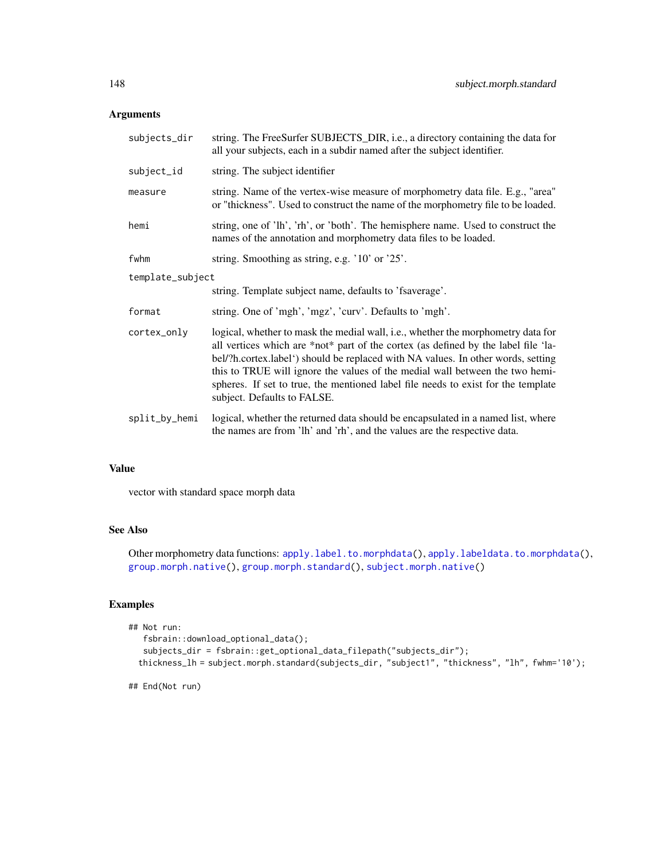## Arguments

| subjects_dir     | string. The FreeSurfer SUBJECTS_DIR, i.e., a directory containing the data for<br>all your subjects, each in a subdir named after the subject identifier.                                                                                                                                                                                                                                                                                                      |
|------------------|----------------------------------------------------------------------------------------------------------------------------------------------------------------------------------------------------------------------------------------------------------------------------------------------------------------------------------------------------------------------------------------------------------------------------------------------------------------|
| subject_id       | string. The subject identifier                                                                                                                                                                                                                                                                                                                                                                                                                                 |
| measure          | string. Name of the vertex-wise measure of morphometry data file. E.g., "area"<br>or "thickness". Used to construct the name of the morphometry file to be loaded.                                                                                                                                                                                                                                                                                             |
| hemi             | string, one of 'lh', 'rh', or 'both'. The hemisphere name. Used to construct the<br>names of the annotation and morphometry data files to be loaded.                                                                                                                                                                                                                                                                                                           |
| fwhm             | string. Smoothing as string, e.g. '10' or '25'.                                                                                                                                                                                                                                                                                                                                                                                                                |
| template_subject |                                                                                                                                                                                                                                                                                                                                                                                                                                                                |
|                  | string. Template subject name, defaults to 'fsaverage'.                                                                                                                                                                                                                                                                                                                                                                                                        |
| format           | string. One of 'mgh', 'mgz', 'curv'. Defaults to 'mgh'.                                                                                                                                                                                                                                                                                                                                                                                                        |
| cortex_only      | logical, whether to mask the medial wall, i.e., whether the morphometry data for<br>all vertices which are *not* part of the cortex (as defined by the label file 'la-<br>bel/?h.cortex.label') should be replaced with NA values. In other words, setting<br>this to TRUE will ignore the values of the medial wall between the two hemi-<br>spheres. If set to true, the mentioned label file needs to exist for the template<br>subject. Defaults to FALSE. |
| split_by_hemi    | logical, whether the returned data should be encapsulated in a named list, where<br>the names are from 'lh' and 'rh', and the values are the respective data.                                                                                                                                                                                                                                                                                                  |

# Value

vector with standard space morph data

# See Also

Other morphometry data functions: [apply.label.to.morphdata\(](#page-8-0)), [apply.labeldata.to.morphdata\(](#page-9-0)), [group.morph.native\(](#page-81-0)), [group.morph.standard\(](#page-82-0)), [subject.morph.native\(](#page-145-0))

# Examples

```
## Not run:
  fsbrain::download_optional_data();
  subjects_dir = fsbrain::get_optional_data_filepath("subjects_dir");
 thickness_lh = subject.morph.standard(subjects_dir, "subject1", "thickness", "lh", fwhm='10');
```
## End(Not run)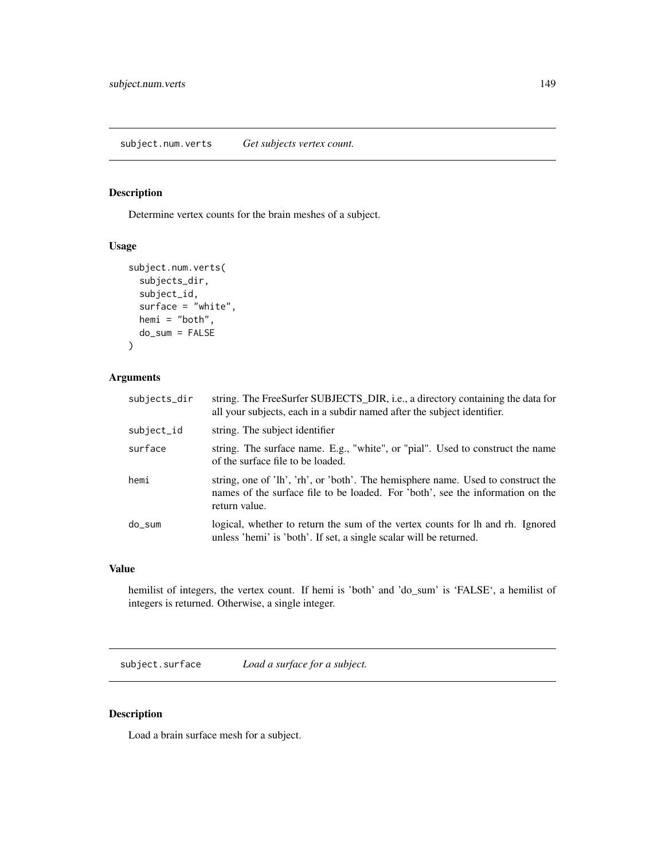subject.num.verts *Get subjects vertex count.*

# Description

Determine vertex counts for the brain meshes of a subject.

## Usage

```
subject.num.verts(
  subjects_dir,
  subject_id,
  surface = "white",
 hemi = "both",
 do_sum = FALSE
)
```
# Arguments

| subjects_dir | string. The FreeSurfer SUBJECTS_DIR, i.e., a directory containing the data for<br>all your subjects, each in a subdir named after the subject identifier.                           |
|--------------|-------------------------------------------------------------------------------------------------------------------------------------------------------------------------------------|
| subject_id   | string. The subject identifier                                                                                                                                                      |
| surface      | string. The surface name. E.g., "white", or "pial". Used to construct the name<br>of the surface file to be loaded.                                                                 |
| hemi         | string, one of 'lh', 'rh', or 'both'. The hemisphere name. Used to construct the<br>names of the surface file to be loaded. For 'both', see the information on the<br>return value. |
| do sum       | logical, whether to return the sum of the vertex counts for lh and rh. Ignored<br>unless 'hemi' is 'both'. If set, a single scalar will be returned.                                |

# Value

hemilist of integers, the vertex count. If hemi is 'both' and 'do\_sum' is 'FALSE', a hemilist of integers is returned. Otherwise, a single integer.

<span id="page-148-0"></span>subject.surface *Load a surface for a subject.*

# Description

Load a brain surface mesh for a subject.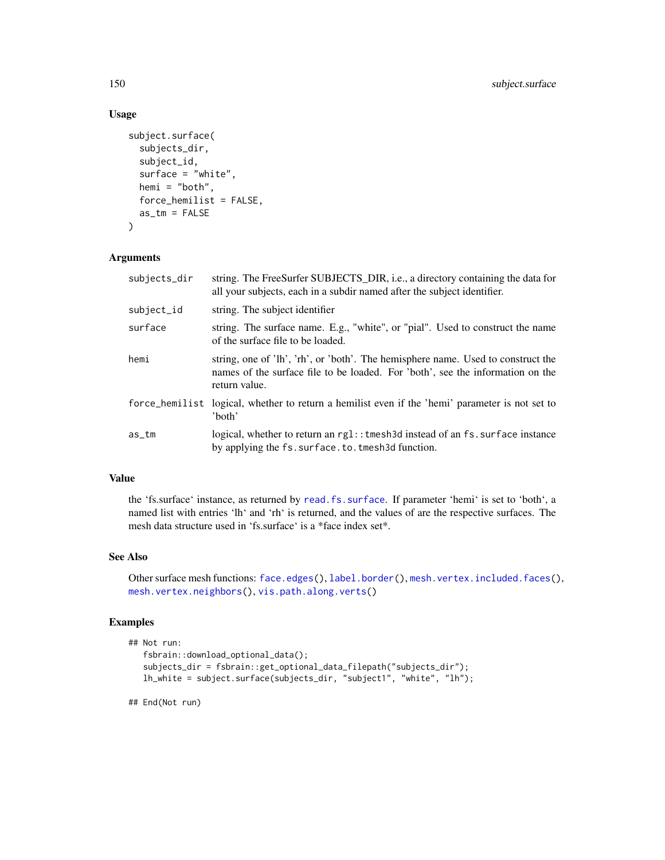# Usage

```
subject.surface(
  subjects_dir,
  subject_id,
  surface = "white",hemi = "both",
  force_hemilist = FALSE,
  as\_tm = FALSE\lambda
```
## Arguments

| subjects_dir | string. The FreeSurfer SUBJECTS_DIR, i.e., a directory containing the data for<br>all your subjects, each in a subdir named after the subject identifier.                           |
|--------------|-------------------------------------------------------------------------------------------------------------------------------------------------------------------------------------|
| subject_id   | string. The subject identifier                                                                                                                                                      |
| surface      | string. The surface name. E.g., "white", or "pial". Used to construct the name<br>of the surface file to be loaded.                                                                 |
| hemi         | string, one of 'lh', 'rh', or 'both'. The hemisphere name. Used to construct the<br>names of the surface file to be loaded. For 'both', see the information on the<br>return value. |
|              | force_hemilist logical, whether to return a hemilist even if the 'hemi' parameter is not set to<br>'both'                                                                           |
| as_tm        | logical, whether to return an $rgl:$ : tmesh 3d instead of an fs. surface instance<br>by applying the fs. surface. to. tmesh3d function.                                            |

# Value

the 'fs.surface' instance, as returned by [read.fs.surface](#page-0-0). If parameter 'hemi' is set to 'both', a named list with entries 'lh' and 'rh' is returned, and the values of are the respective surfaces. The mesh data structure used in 'fs.surface' is a \*face index set\*.

# See Also

Other surface mesh functions: [face.edges\(](#page-51-0)), [label.border\(](#page-101-0)), [mesh.vertex.included.faces\(](#page-0-0)), [mesh.vertex.neighbors\(](#page-110-0)), [vis.path.along.verts\(](#page-179-0))

# Examples

```
## Not run:
  fsbrain::download_optional_data();
  subjects_dir = fsbrain::get_optional_data_filepath("subjects_dir");
  lh_white = subject.surface(subjects_dir, "subject1", "white", "lh");
```
## End(Not run)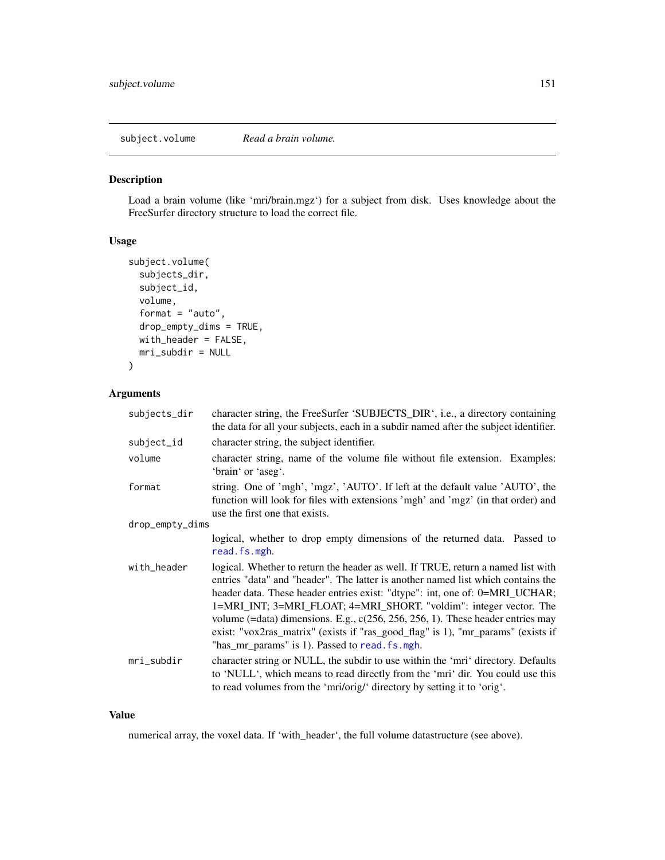subject.volume *Read a brain volume.*

# Description

Load a brain volume (like 'mri/brain.mgz') for a subject from disk. Uses knowledge about the FreeSurfer directory structure to load the correct file.

# Usage

```
subject.volume(
  subjects_dir,
  subject_id,
  volume,
  format = "auto",drop_empty_dims = TRUE,
 with_header = FALSE,
 mri_subdir = NULL
)
```
# Arguments

| subjects_dir    | character string, the FreeSurfer 'SUBJECTS_DIR', i.e., a directory containing<br>the data for all your subjects, each in a subdir named after the subject identifier.                                                                                                                                                                                                                                                                                                                                                                                 |
|-----------------|-------------------------------------------------------------------------------------------------------------------------------------------------------------------------------------------------------------------------------------------------------------------------------------------------------------------------------------------------------------------------------------------------------------------------------------------------------------------------------------------------------------------------------------------------------|
| subject_id      | character string, the subject identifier.                                                                                                                                                                                                                                                                                                                                                                                                                                                                                                             |
| volume          | character string, name of the volume file without file extension. Examples:<br>'brain' or 'aseg'.                                                                                                                                                                                                                                                                                                                                                                                                                                                     |
| format          | string. One of 'mgh', 'mgz', 'AUTO'. If left at the default value 'AUTO', the<br>function will look for files with extensions 'mgh' and 'mgz' (in that order) and<br>use the first one that exists.                                                                                                                                                                                                                                                                                                                                                   |
| drop_empty_dims |                                                                                                                                                                                                                                                                                                                                                                                                                                                                                                                                                       |
|                 | logical, whether to drop empty dimensions of the returned data. Passed to<br>read.fs.mgh.                                                                                                                                                                                                                                                                                                                                                                                                                                                             |
| with_header     | logical. Whether to return the header as well. If TRUE, return a named list with<br>entries "data" and "header". The latter is another named list which contains the<br>header data. These header entries exist: "dtype": int, one of: 0=MRI_UCHAR;<br>1=MRI_INT; 3=MRI_FLOAT; 4=MRI_SHORT. "voldim": integer vector. The<br>volume (=data) dimensions. E.g., $c(256, 256, 256, 1)$ . These header entries may<br>exist: "vox2ras_matrix" (exists if "ras_good_flag" is 1), "mr_params" (exists if<br>"has_mr_params" is 1). Passed to read. fs. mgh. |
| mri_subdir      | character string or NULL, the subdir to use within the 'mri' directory. Defaults<br>to 'NULL', which means to read directly from the 'mri' dir. You could use this<br>to read volumes from the 'mri/orig/' directory by setting it to 'orig'.                                                                                                                                                                                                                                                                                                         |

### Value

numerical array, the voxel data. If 'with\_header', the full volume datastructure (see above).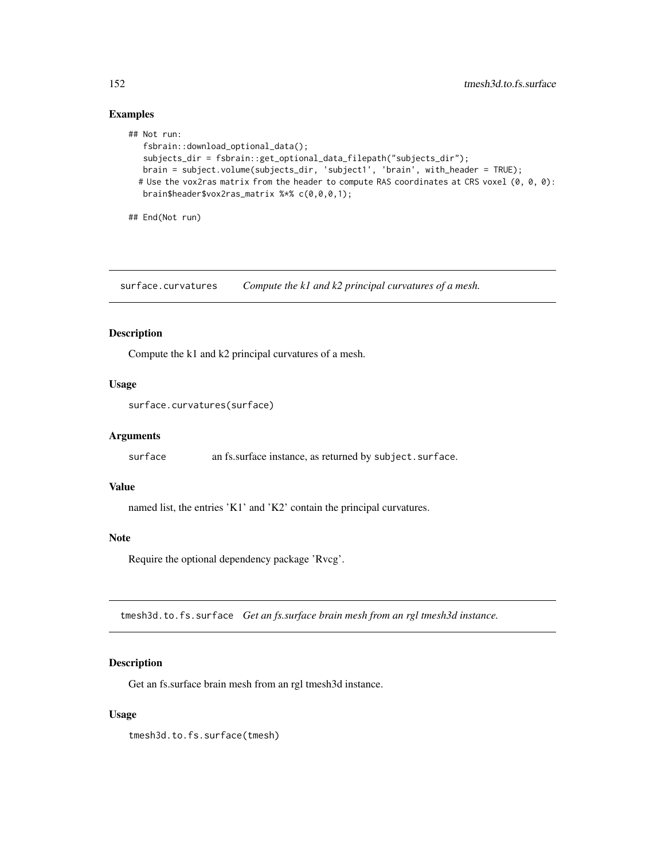# Examples

```
## Not run:
  fsbrain::download_optional_data();
  subjects_dir = fsbrain::get_optional_data_filepath("subjects_dir");
  brain = subject.volume(subjects_dir, 'subject1', 'brain', with_header = TRUE);
 # Use the vox2ras matrix from the header to compute RAS coordinates at CRS voxel (0, 0, 0):
  brain$header$vox2ras_matrix %*% c(0,0,0,1);
```
## End(Not run)

surface.curvatures *Compute the k1 and k2 principal curvatures of a mesh.*

## Description

Compute the k1 and k2 principal curvatures of a mesh.

### Usage

```
surface.curvatures(surface)
```
# Arguments

surface an fs.surface instance, as returned by subject.surface.

#### Value

named list, the entries 'K1' and 'K2' contain the principal curvatures.

#### Note

Require the optional dependency package 'Rvcg'.

tmesh3d.to.fs.surface *Get an fs.surface brain mesh from an rgl tmesh3d instance.*

# Description

Get an fs.surface brain mesh from an rgl tmesh3d instance.

### Usage

tmesh3d.to.fs.surface(tmesh)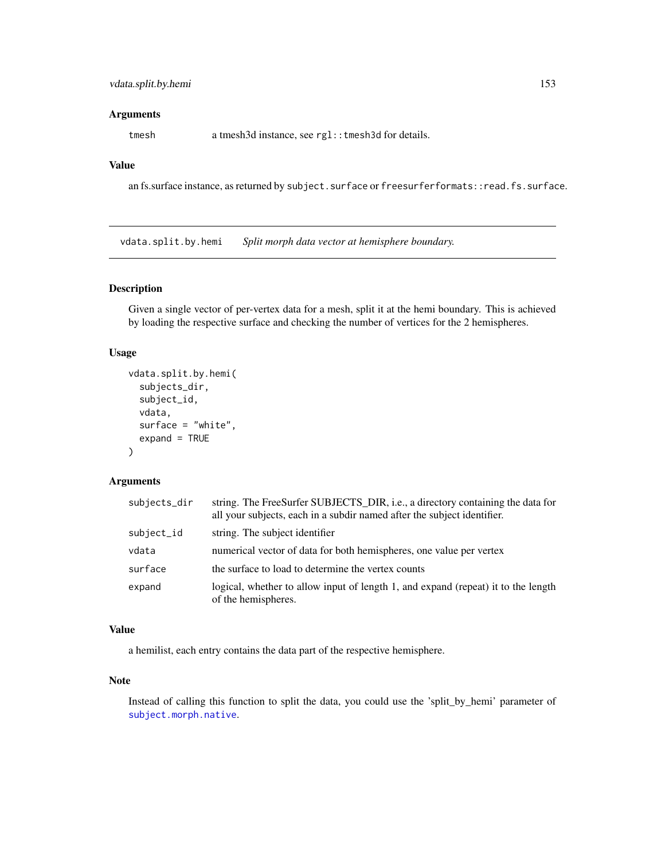#### **Arguments**

tmesh a tmesh3d instance, see rgl::tmesh3d for details.

# Value

an fs.surface instance, as returned by subject.surface or freesurferformats::read.fs.surface.

vdata.split.by.hemi *Split morph data vector at hemisphere boundary.*

## Description

Given a single vector of per-vertex data for a mesh, split it at the hemi boundary. This is achieved by loading the respective surface and checking the number of vertices for the 2 hemispheres.

## Usage

```
vdata.split.by.hemi(
  subjects_dir,
  subject_id,
  vdata,
  surface = "white",
  expand = TRUE
\lambda
```
#### Arguments

| subjects_dir | string. The FreeSurfer SUBJECTS_DIR, i.e., a directory containing the data for<br>all your subjects, each in a subdir named after the subject identifier. |
|--------------|-----------------------------------------------------------------------------------------------------------------------------------------------------------|
| subject_id   | string. The subject identifier                                                                                                                            |
| vdata        | numerical vector of data for both hemispheres, one value per vertex                                                                                       |
| surface      | the surface to load to determine the vertex counts                                                                                                        |
| expand       | logical, whether to allow input of length 1, and expand (repeat) it to the length<br>of the hemispheres.                                                  |

## Value

a hemilist, each entry contains the data part of the respective hemisphere.

# Note

Instead of calling this function to split the data, you could use the 'split\_by\_hemi' parameter of [subject.morph.native](#page-145-0).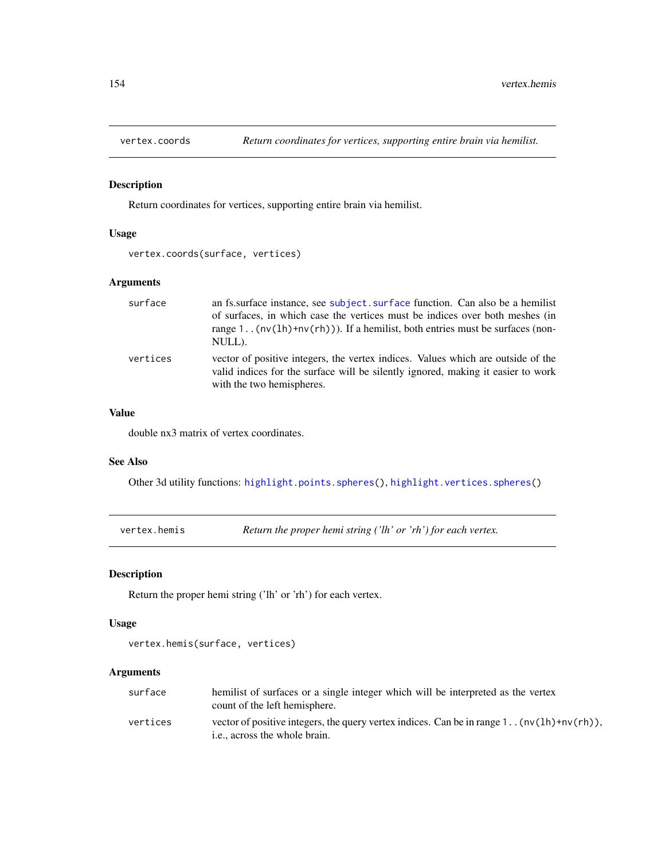# Description

Return coordinates for vertices, supporting entire brain via hemilist.

## Usage

```
vertex.coords(surface, vertices)
```
# Arguments

| surface  | an fs. surface instance, see subject. surface function. Can also be a hemilist<br>of surfaces, in which case the vertices must be indices over both meshes (in<br>range 1 $(nv(1h)+nv(rh))$ . If a hemilist, both entries must be surfaces (non-<br>NULL). |
|----------|------------------------------------------------------------------------------------------------------------------------------------------------------------------------------------------------------------------------------------------------------------|
| vertices | vector of positive integers, the vertex indices. Values which are outside of the<br>valid indices for the surface will be silently ignored, making it easier to work<br>with the two hemispheres.                                                          |

## Value

double nx3 matrix of vertex coordinates.

#### See Also

Other 3d utility functions: [highlight.points.spheres\(](#page-94-0)), [highlight.vertices.spheres\(](#page-98-0))

vertex.hemis *Return the proper hemi string ('lh' or 'rh') for each vertex.*

#### Description

Return the proper hemi string ('lh' or 'rh') for each vertex.

## Usage

```
vertex.hemis(surface, vertices)
```

| surface  | hemilist of surfaces or a single integer which will be interpreted as the vertex<br>count of the left hemisphere.              |
|----------|--------------------------------------------------------------------------------------------------------------------------------|
| vertices | vector of positive integers, the query vertex indices. Can be in range 1. $(nv(1h)+nv(rh))$ ,<br>i.e., across the whole brain. |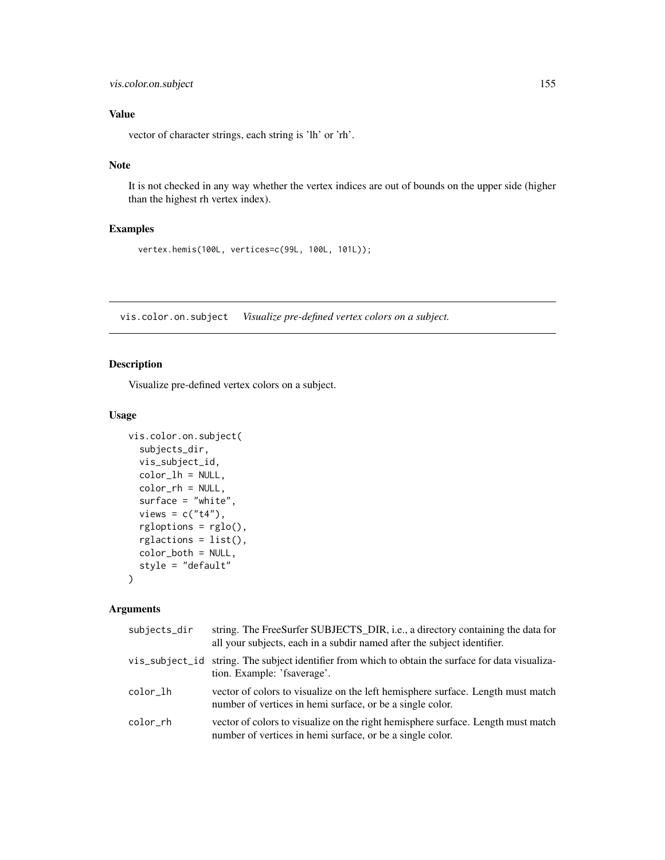vector of character strings, each string is 'lh' or 'rh'.

# Note

It is not checked in any way whether the vertex indices are out of bounds on the upper side (higher than the highest rh vertex index).

# Examples

vertex.hemis(100L, vertices=c(99L, 100L, 101L));

<span id="page-154-0"></span>vis.color.on.subject *Visualize pre-defined vertex colors on a subject.*

# Description

Visualize pre-defined vertex colors on a subject.

#### Usage

```
vis.color.on.subject(
  subjects_dir,
 vis_subject_id,
  color_lh = NULL,
  color_rh = NULL,
  surface = "white",
  views = c("t4"),rgloptions = rglo(),
  rglactions = list(),
 color_both = NULL,
  style = "default"
)
```

| subjects_dir | string. The FreeSurfer SUBJECTS_DIR, i.e., a directory containing the data for<br>all your subjects, each in a subdir named after the subject identifier. |
|--------------|-----------------------------------------------------------------------------------------------------------------------------------------------------------|
|              | vis_subject_id string. The subject identifier from which to obtain the surface for data visualiza-<br>tion. Example: 'fsaverage'.                         |
| color lh     | vector of colors to visualize on the left hemisphere surface. Length must match<br>number of vertices in hemi surface, or be a single color.              |
| color rh     | vector of colors to visualize on the right hemisphere surface. Length must match<br>number of vertices in hemi surface, or be a single color.             |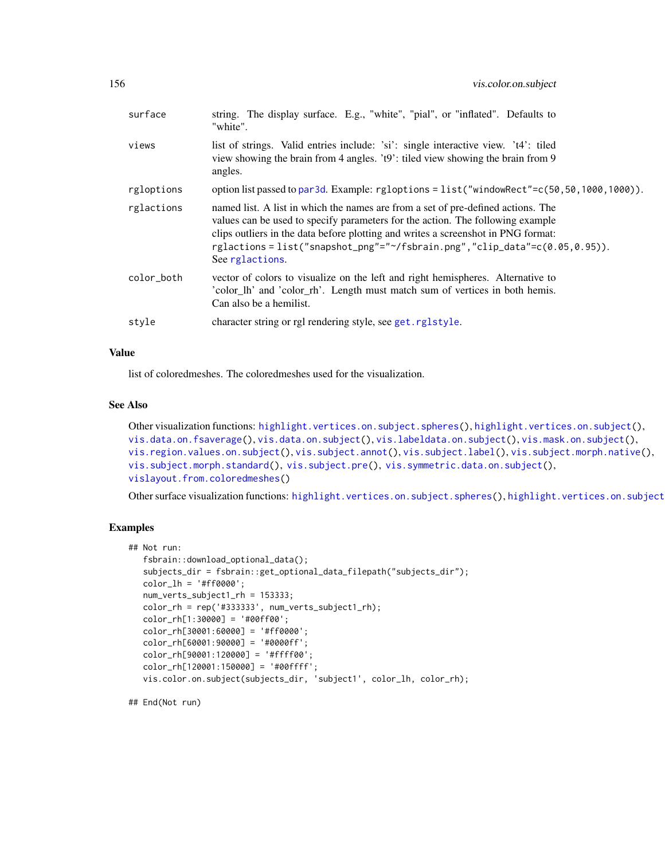| surface    | string. The display surface. E.g., "white", "pial", or "inflated". Defaults to<br>"white".                                                                                                                                                                                                                                                              |
|------------|---------------------------------------------------------------------------------------------------------------------------------------------------------------------------------------------------------------------------------------------------------------------------------------------------------------------------------------------------------|
| views      | list of strings. Valid entries include: 'si': single interactive view. 't4': tiled<br>view showing the brain from 4 angles. 't9': tiled view showing the brain from 9<br>angles.                                                                                                                                                                        |
| rgloptions | option list passed to par3d. Example: rgloptions = list("windowRect"=c(50,50,1000,1000)).                                                                                                                                                                                                                                                               |
| rglactions | named list. A list in which the names are from a set of pre-defined actions. The<br>values can be used to specify parameters for the action. The following example<br>clips outliers in the data before plotting and writes a screenshot in PNG format:<br>rglactions=list("snapshot_png"="~/fsbrain.png","clip_data"=c(0.05,0.95)).<br>See rglactions. |
| color_both | vector of colors to visualize on the left and right hemispheres. Alternative to<br>'color_lh' and 'color_rh'. Length must match sum of vertices in both hemis.<br>Can also be a hemilist.                                                                                                                                                               |
| style      | character string or rgl rendering style, see get.rglstyle.                                                                                                                                                                                                                                                                                              |
|            |                                                                                                                                                                                                                                                                                                                                                         |

list of coloredmeshes. The coloredmeshes used for the visualization.

### See Also

```
Other visualization functions: highlight.vertices.on.subject.spheres(), highlight.vertices.on.subject(),
vis.data.on.fsaverage(), vis.data.on.subject(), vis.labeldata.on.subject(), vis.mask.on.subject(),
vis.region.values.on.subject(), vis.subject.annot(), vis.subject.label(), vis.subject.morph.native(),
vis.subject.morph.standard(), vis.subject.pre(), vis.symmetric.data.on.subject(),
vislayout.from.coloredmeshes()
```
Other surface visualization functions: [highlight.vertices.on.subject.spheres\(](#page-96-0)), highlight.vertices.on.subject

## Examples

```
## Not run:
  fsbrain::download_optional_data();
  subjects_dir = fsbrain::get_optional_data_filepath("subjects_dir");
  color_lh = '#ff0000';
  num_verts_subject1_rh = 153333;
  color_rh = rep('#333333', num_verts_subject1_rh);
  color_rh[1:30000] = '#00ff00';
  color_rh[30001:60000] = '#ff0000';
  color_rh[60001:90000] = '#0000ff';
  color_rh[90001:120000] = '#ffff00';
  color_rh[120001:150000] = '#00ffff';
  vis.color.on.subject(subjects_dir, 'subject1', color_lh, color_rh);
```
## End(Not run)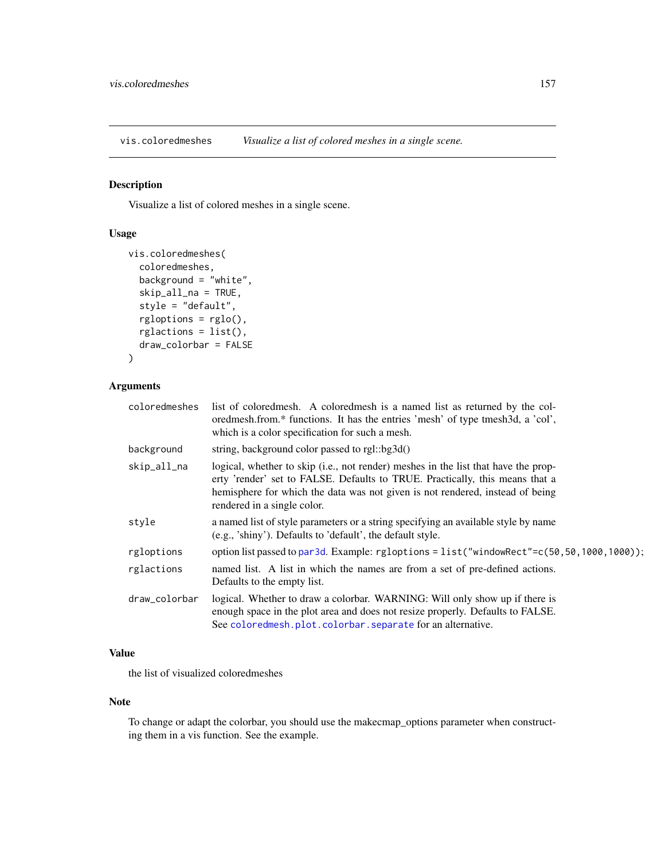<span id="page-156-0"></span>vis.coloredmeshes *Visualize a list of colored meshes in a single scene.*

# Description

Visualize a list of colored meshes in a single scene.

# Usage

```
vis.coloredmeshes(
  coloredmeshes,
 background = "white",
  skip_all_na = TRUE,
  style = "default",
  rgloptions = rglo(),
  rglactions = list(),
  draw_colorbar = FALSE
)
```
# Arguments

| coloredmeshes | list of coloredmesh. A coloredmesh is a named list as returned by the col-<br>oredmesh.from.* functions. It has the entries 'mesh' of type tmesh3d, a 'col',<br>which is a color specification for such a mesh.                                                                    |
|---------------|------------------------------------------------------------------------------------------------------------------------------------------------------------------------------------------------------------------------------------------------------------------------------------|
| background    | string, background color passed to rgl::bg3d()                                                                                                                                                                                                                                     |
| skip_all_na   | logical, whether to skip (i.e., not render) meshes in the list that have the prop-<br>erty 'render' set to FALSE. Defaults to TRUE. Practically, this means that a<br>hemisphere for which the data was not given is not rendered, instead of being<br>rendered in a single color. |
| style         | a named list of style parameters or a string specifying an available style by name<br>(e.g., 'shiny'). Defaults to 'default', the default style.                                                                                                                                   |
| rgloptions    | option list passed to par3d. Example: rgloptions = list("windowRect"=c(50,50,1000,1000));                                                                                                                                                                                          |
| rglactions    | named list. A list in which the names are from a set of pre-defined actions.<br>Defaults to the empty list.                                                                                                                                                                        |
| draw_colorbar | logical. Whether to draw a colorbar. WARNING: Will only show up if there is<br>enough space in the plot area and does not resize properly. Defaults to FALSE.<br>See colored mesh.plot.colorbar.separate for an alternative.                                                       |
|               |                                                                                                                                                                                                                                                                                    |

# Value

the list of visualized coloredmeshes

#### Note

To change or adapt the colorbar, you should use the makecmap\_options parameter when constructing them in a vis function. See the example.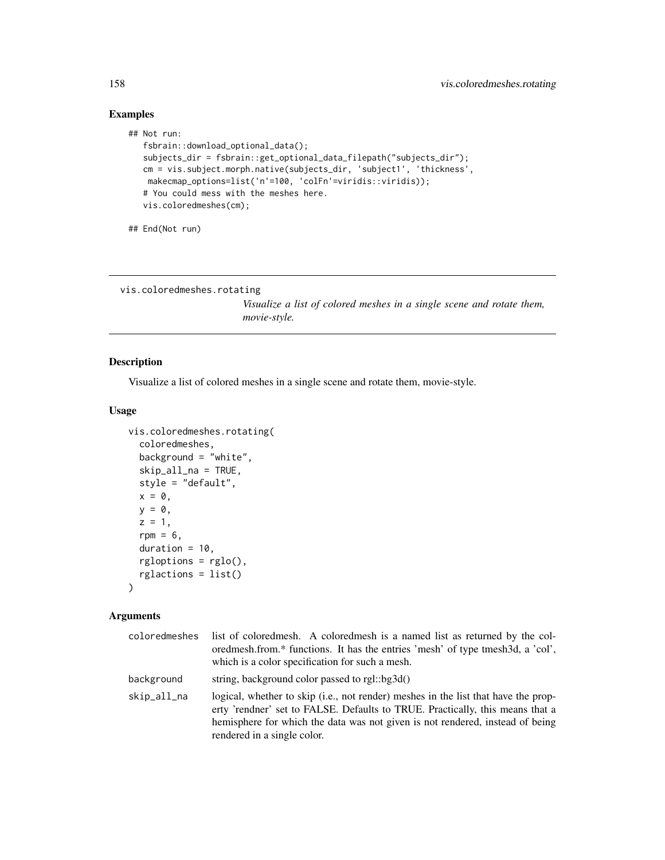# Examples

```
## Not run:
  fsbrain::download_optional_data();
  subjects_dir = fsbrain::get_optional_data_filepath("subjects_dir");
  cm = vis.subject.morph.native(subjects_dir, 'subject1', 'thickness',
   makecmap_options=list('n'=100, 'colFn'=viridis::viridis));
  # You could mess with the meshes here.
  vis.coloredmeshes(cm);
```

```
## End(Not run)
```

```
vis.coloredmeshes.rotating
```
*Visualize a list of colored meshes in a single scene and rotate them, movie-style.*

# Description

Visualize a list of colored meshes in a single scene and rotate them, movie-style.

# Usage

```
vis.coloredmeshes.rotating(
  coloredmeshes,
  background = "white",
  skip_all_na = TRUE,
  style = "default",
 x = 0,
 y = 0,
  z = 1,
  rpm = 6,
  duration = 10,
  rgloptions = rglo(),
  rglactions = list()
\lambda
```

| coloredmeshes | list of colored mesh. A colored mesh is a named list as returned by the col-<br>oredmesh.from.* functions. It has the entries 'mesh' of type tmesh3d, a 'col',<br>which is a color specification for such a mesh.                                                                   |
|---------------|-------------------------------------------------------------------------------------------------------------------------------------------------------------------------------------------------------------------------------------------------------------------------------------|
| background    | string, background color passed to rgl::bg3d()                                                                                                                                                                                                                                      |
| skip_all_na   | logical, whether to skip (i.e., not render) meshes in the list that have the prop-<br>erty 'rendner' set to FALSE. Defaults to TRUE. Practically, this means that a<br>hemisphere for which the data was not given is not rendered, instead of being<br>rendered in a single color. |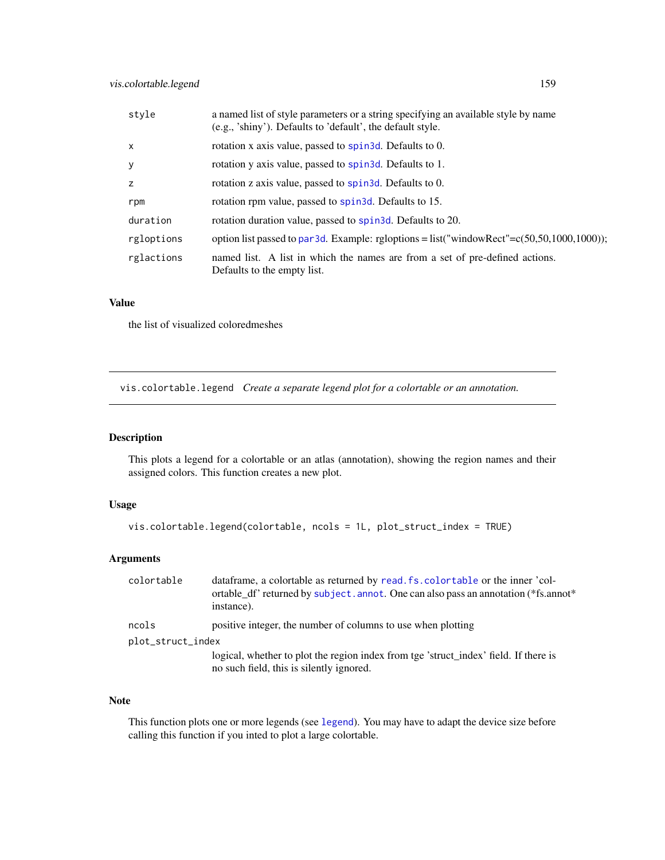| style      | a named list of style parameters or a string specifying an available style by name<br>(e.g., 'shiny'). Defaults to 'default', the default style. |
|------------|--------------------------------------------------------------------------------------------------------------------------------------------------|
| $\times$   | rotation x axis value, passed to spin3d. Defaults to 0.                                                                                          |
| У          | rotation y axis value, passed to spin3d. Defaults to 1.                                                                                          |
| z          | rotation z axis value, passed to spin3d. Defaults to 0.                                                                                          |
| rpm        | rotation rpm value, passed to spin3d. Defaults to 15.                                                                                            |
| duration   | rotation duration value, passed to spin3d. Defaults to 20.                                                                                       |
| rgloptions | option list passed to par3d. Example: rgloptions = list("windowRect"= $c(50,50,1000,1000)$ );                                                    |
| rglactions | named list. A list in which the names are from a set of pre-defined actions.<br>Defaults to the empty list.                                      |

the list of visualized coloredmeshes

vis.colortable.legend *Create a separate legend plot for a colortable or an annotation.*

# Description

This plots a legend for a colortable or an atlas (annotation), showing the region names and their assigned colors. This function creates a new plot.

#### Usage

```
vis.colortable.legend(colortable, ncols = 1L, plot_struct_index = TRUE)
```
# Arguments

| colortable        | data frame, a colortable as returned by read. fs. colortable or the inner 'col-<br>ortable_df' returned by subject. annot. One can also pass an annotation (*fs.annot*<br>instance). |
|-------------------|--------------------------------------------------------------------------------------------------------------------------------------------------------------------------------------|
| ncols             | positive integer, the number of columns to use when plotting                                                                                                                         |
| plot_struct_index |                                                                                                                                                                                      |
|                   | logical, whether to plot the region index from tge 'struct_index' field. If there is<br>no such field, this is silently ignored.                                                     |

# Note

This function plots one or more legends (see [legend](#page-0-0)). You may have to adapt the device size before calling this function if you inted to plot a large colortable.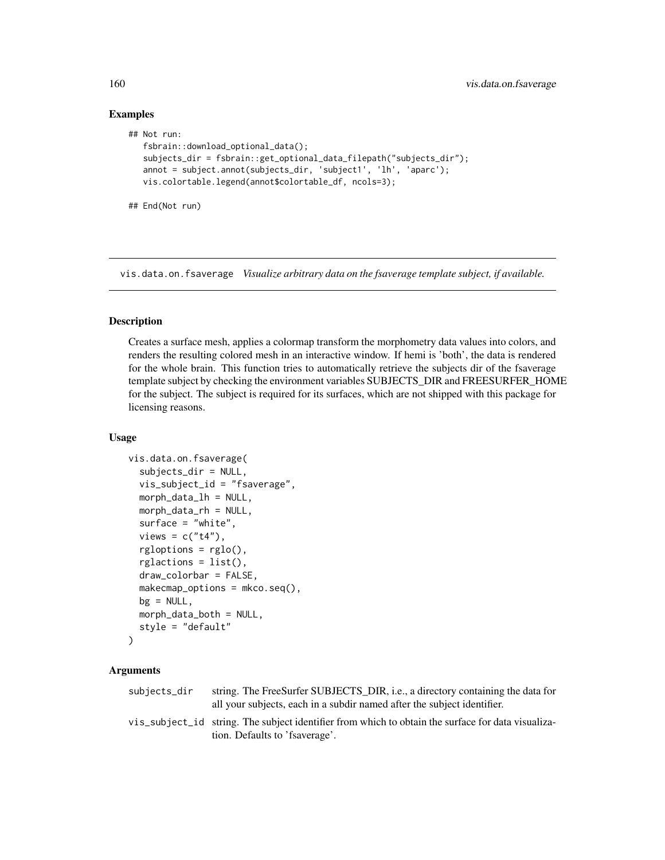#### Examples

## End(Not run)

```
## Not run:
   fsbrain::download_optional_data();
   subjects_dir = fsbrain::get_optional_data_filepath("subjects_dir");
  annot = subject.annot(subjects_dir, 'subject1', 'lh', 'aparc');
  vis.colortable.legend(annot$colortable_df, ncols=3);
```
<span id="page-159-0"></span>

vis.data.on.fsaverage *Visualize arbitrary data on the fsaverage template subject, if available.*

# Description

Creates a surface mesh, applies a colormap transform the morphometry data values into colors, and renders the resulting colored mesh in an interactive window. If hemi is 'both', the data is rendered for the whole brain. This function tries to automatically retrieve the subjects dir of the fsaverage template subject by checking the environment variables SUBJECTS\_DIR and FREESURFER\_HOME for the subject. The subject is required for its surfaces, which are not shipped with this package for licensing reasons.

#### Usage

```
vis.data.on.fsaverage(
  subjects_dir = NULL,
  vis_subject_id = "fsaverage",
  morph_data_lh = NULL,
  morph_data_rh = NULL,
  surface = "white",
  views = c("t4"),
  rgloptions = rglo(),
  rglactions = list(),draw_colorbar = FALSE,
  makemap_<sub>options</sub> = <sub>mkco.seq()</sub>,</sub>
  bg = NULL,morph_data_both = NULL,
  style = "default"
\lambda
```

| subjects_dir | string. The FreeSurfer SUBJECTS_DIR, <i>i.e.</i> , a directory containing the data for<br>all your subjects, each in a subdir named after the subject identifier. |
|--------------|-------------------------------------------------------------------------------------------------------------------------------------------------------------------|
|              | vis_subject_id string. The subject identifier from which to obtain the surface for data visualiza-<br>tion. Defaults to 'fsaverage'.                              |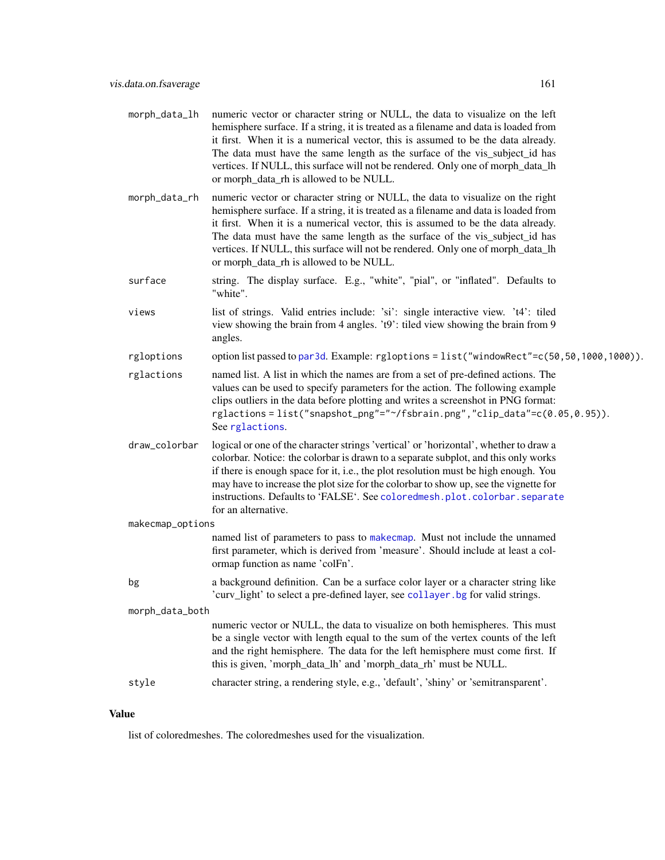| morph_data_lh    | numeric vector or character string or NULL, the data to visualize on the left<br>hemisphere surface. If a string, it is treated as a filename and data is loaded from<br>it first. When it is a numerical vector, this is assumed to be the data already.<br>The data must have the same length as the surface of the vis_subject_id has<br>vertices. If NULL, this surface will not be rendered. Only one of morph_data_lh<br>or morph_data_rh is allowed to be NULL.  |  |
|------------------|-------------------------------------------------------------------------------------------------------------------------------------------------------------------------------------------------------------------------------------------------------------------------------------------------------------------------------------------------------------------------------------------------------------------------------------------------------------------------|--|
| morph_data_rh    | numeric vector or character string or NULL, the data to visualize on the right<br>hemisphere surface. If a string, it is treated as a filename and data is loaded from<br>it first. When it is a numerical vector, this is assumed to be the data already.<br>The data must have the same length as the surface of the vis_subject_id has<br>vertices. If NULL, this surface will not be rendered. Only one of morph_data_lh<br>or morph_data_rh is allowed to be NULL. |  |
| surface          | string. The display surface. E.g., "white", "pial", or "inflated". Defaults to<br>"white".                                                                                                                                                                                                                                                                                                                                                                              |  |
| views            | list of strings. Valid entries include: 'si': single interactive view. 't4': tiled<br>view showing the brain from 4 angles. 't9': tiled view showing the brain from 9<br>angles.                                                                                                                                                                                                                                                                                        |  |
| rgloptions       | option list passed to par3d. Example: rgloptions = list("windowRect"=c(50,50,1000,1000)).                                                                                                                                                                                                                                                                                                                                                                               |  |
| rglactions       | named list. A list in which the names are from a set of pre-defined actions. The<br>values can be used to specify parameters for the action. The following example<br>clips outliers in the data before plotting and writes a screenshot in PNG format:<br>rglactions=list("snapshot_png"="~/fsbrain.png","clip_data"=c(0.05,0.95)).<br>See rglactions.                                                                                                                 |  |
| draw_colorbar    | logical or one of the character strings 'vertical' or 'horizontal', whether to draw a<br>colorbar. Notice: the colorbar is drawn to a separate subplot, and this only works<br>if there is enough space for it, i.e., the plot resolution must be high enough. You<br>may have to increase the plot size for the colorbar to show up, see the vignette for<br>instructions. Defaults to 'FALSE'. See coloredmesh.plot.colorbar.separate<br>for an alternative.          |  |
| makecmap_options |                                                                                                                                                                                                                                                                                                                                                                                                                                                                         |  |
|                  | named list of parameters to pass to makecmap. Must not include the unnamed<br>first parameter, which is derived from 'measure'. Should include at least a col-<br>ormap function as name 'colFn'.                                                                                                                                                                                                                                                                       |  |
| bg               | a background definition. Can be a surface color layer or a character string like<br>curv_light' to select a pre-defined layer, see collayer. bg for valid strings.                                                                                                                                                                                                                                                                                                      |  |
| morph_data_both  |                                                                                                                                                                                                                                                                                                                                                                                                                                                                         |  |
|                  | numeric vector or NULL, the data to visualize on both hemispheres. This must<br>be a single vector with length equal to the sum of the vertex counts of the left<br>and the right hemisphere. The data for the left hemisphere must come first. If<br>this is given, 'morph_data_lh' and 'morph_data_rh' must be NULL.                                                                                                                                                  |  |
| style            | character string, a rendering style, e.g., 'default', 'shiny' or 'semitransparent'.                                                                                                                                                                                                                                                                                                                                                                                     |  |

list of coloredmeshes. The coloredmeshes used for the visualization.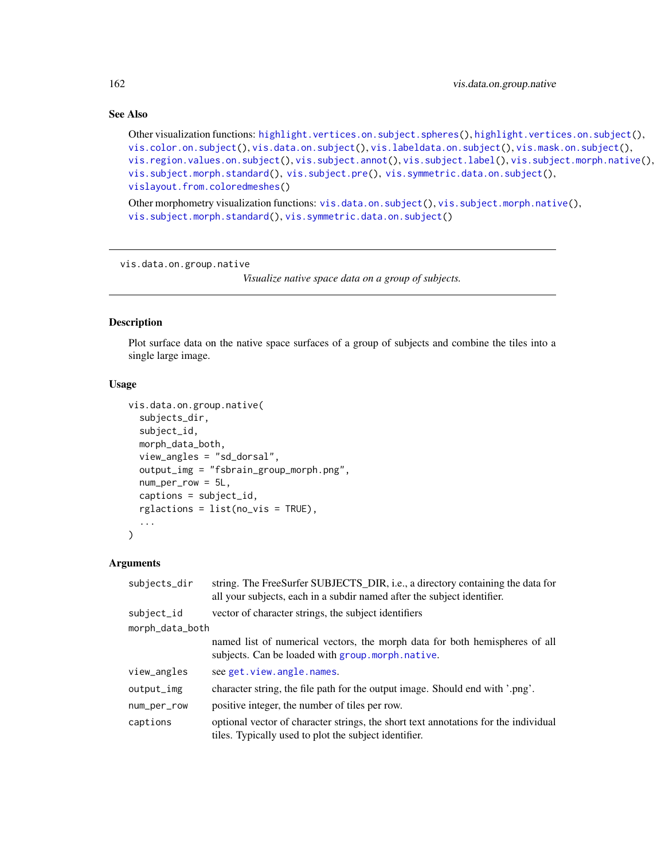# See Also

```
highlight.vertices.on.subject.spheres(highlight.vertices.on.subject(),
vis.color.on.subject(), vis.data.on.subject(), vis.labeldata.on.subject(), vis.mask.on.subject(),
vis.region.values.on.subject(), vis.subject.annot(), vis.subject.label(), vis.subject.morph.native(),
vis.subject.morph.standard(), vis.subject.pre(), vis.symmetric.data.on.subject(),
vislayout.from.coloredmeshes()
```
Other morphometry visualization functions: [vis.data.on.subject\(](#page-163-0)), [vis.subject.morph.native\(](#page-188-0)), [vis.subject.morph.standard\(](#page-190-0)), [vis.symmetric.data.on.subject\(](#page-194-0))

<span id="page-161-0"></span>vis.data.on.group.native

*Visualize native space data on a group of subjects.*

# Description

Plot surface data on the native space surfaces of a group of subjects and combine the tiles into a single large image.

#### Usage

```
vis.data.on.group.native(
  subjects_dir,
  subject_id,
  morph_data_both,
  view_angles = "sd_dorsal",
  output_img = "fsbrain_group_morph.png",
  num_per_row = 5L,
  captions = subject_id,
  rglactions = list(no_vis = TRUE),
  ...
)
```

| subjects_dir    | string. The FreeSurfer SUBJECTS_DIR, i.e., a directory containing the data for<br>all your subjects, each in a subdir named after the subject identifier. |
|-----------------|-----------------------------------------------------------------------------------------------------------------------------------------------------------|
| subject_id      | vector of character strings, the subject identifiers                                                                                                      |
| morph_data_both |                                                                                                                                                           |
|                 | named list of numerical vectors, the morph data for both hemispheres of all<br>subjects. Can be loaded with group. morph. native.                         |
| view_angles     | see get. view. angle. names.                                                                                                                              |
| output_img      | character string, the file path for the output image. Should end with '.png'.                                                                             |
| num_per_row     | positive integer, the number of tiles per row.                                                                                                            |
| captions        | optional vector of character strings, the short text annotations for the individual<br>tiles. Typically used to plot the subject identifier.              |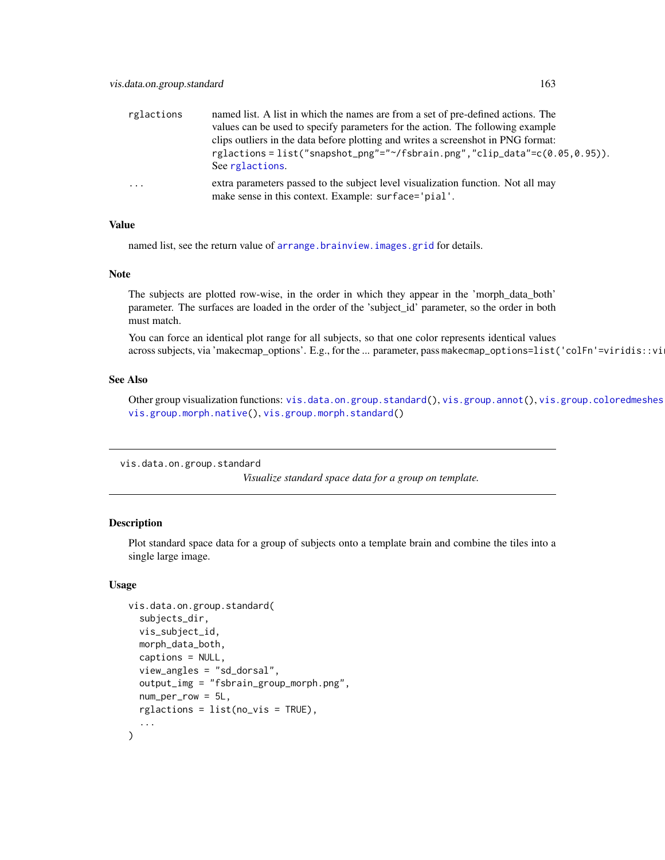| rglactions              | named list. A list in which the names are from a set of pre-defined actions. The                                                         |
|-------------------------|------------------------------------------------------------------------------------------------------------------------------------------|
|                         | values can be used to specify parameters for the action. The following example                                                           |
|                         | clips outliers in the data before plotting and writes a screenshot in PNG format:                                                        |
|                         | rglactions = list("snapshot_png"=" $\gamma$ fsbrain.png","clip_data"=c(0.05,0.95)).<br>See rglactions.                                   |
| $\cdot$ $\cdot$ $\cdot$ | extra parameters passed to the subject level visualization function. Not all may<br>make sense in this context. Example: surface='pial'. |

named list, see the return value of [arrange.brainview.images.grid](#page-11-0) for details.

## Note

The subjects are plotted row-wise, in the order in which they appear in the 'morph\_data\_both' parameter. The surfaces are loaded in the order of the 'subject\_id' parameter, so the order in both must match.

You can force an identical plot range for all subjects, so that one color represents identical values across subjects, via 'makecmap\_options'. E.g., for the ... parameter, pass makecmap\_options=list('colFn'=viridis::vi

#### See Also

Other group visualization functions: [vis.data.on.group.standard\(](#page-162-0)), [vis.group.annot\(](#page-170-0)), vis.group.coloredmeshes [vis.group.morph.native\(](#page-172-0)), [vis.group.morph.standard\(](#page-173-0))

<span id="page-162-0"></span>vis.data.on.group.standard

*Visualize standard space data for a group on template.*

#### Description

Plot standard space data for a group of subjects onto a template brain and combine the tiles into a single large image.

#### Usage

```
vis.data.on.group.standard(
  subjects_dir,
  vis_subject_id,
  morph_data_both,
  captions = NULL,
  view_angles = "sd_dorsal",
  output_img = "fsbrain_group_morph.png",
  num\_per\_row = 5L,
  rglactions = list(no_vis = TRUE),
  ...
)
```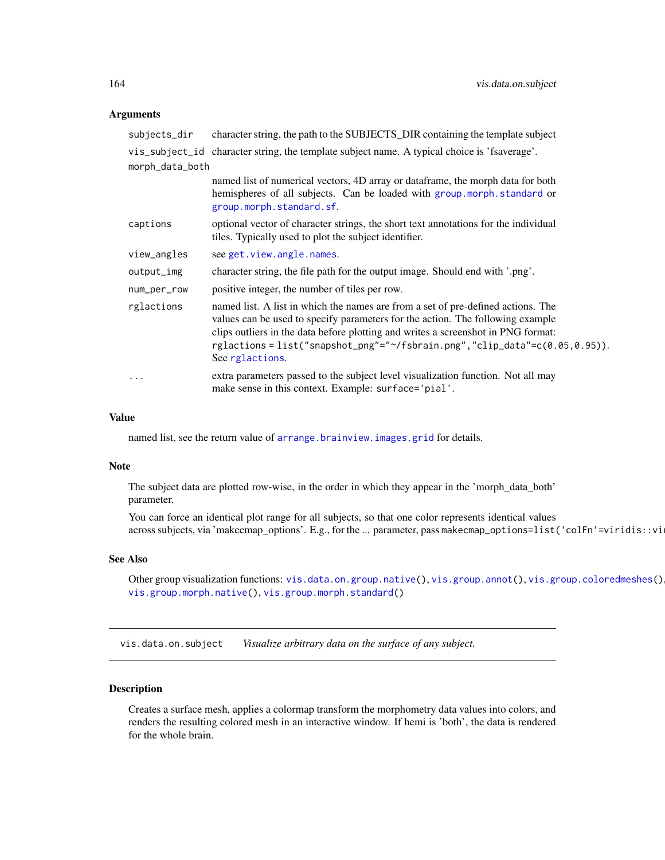#### **Arguments**

| subjects_dir    | character string, the path to the SUBJECTS_DIR containing the template subject                                                                                                                                                                                                                                                                          |
|-----------------|---------------------------------------------------------------------------------------------------------------------------------------------------------------------------------------------------------------------------------------------------------------------------------------------------------------------------------------------------------|
|                 | vis_subject_id character string, the template subject name. A typical choice is 'fsaverage'.                                                                                                                                                                                                                                                            |
| morph_data_both |                                                                                                                                                                                                                                                                                                                                                         |
|                 | named list of numerical vectors, 4D array or dataframe, the morph data for both<br>hemispheres of all subjects. Can be loaded with group morph standard or<br>group.morph.standard.sf.                                                                                                                                                                  |
| captions        | optional vector of character strings, the short text annotations for the individual<br>tiles. Typically used to plot the subject identifier.                                                                                                                                                                                                            |
| view_angles     | see get.view.angle.names.                                                                                                                                                                                                                                                                                                                               |
| output_img      | character string, the file path for the output image. Should end with '.png'.                                                                                                                                                                                                                                                                           |
| num_per_row     | positive integer, the number of tiles per row.                                                                                                                                                                                                                                                                                                          |
| rglactions      | named list. A list in which the names are from a set of pre-defined actions. The<br>values can be used to specify parameters for the action. The following example<br>clips outliers in the data before plotting and writes a screenshot in PNG format:<br>rglactions=list("snapshot_png"="~/fsbrain.png","clip_data"=c(0.05,0.95)).<br>See rglactions. |
| $\cdots$        | extra parameters passed to the subject level visualization function. Not all may<br>make sense in this context. Example: surface='pial'.                                                                                                                                                                                                                |

#### Value

named list, see the return value of [arrange.brainview.images.grid](#page-11-0) for details.

# Note

The subject data are plotted row-wise, in the order in which they appear in the 'morph\_data\_both' parameter.

You can force an identical plot range for all subjects, so that one color represents identical values across subjects, via 'makecmap\_options'. E.g., for the ... parameter, pass makecmap\_options=list('colFn'=viridis::vi

#### See Also

```
vis.data.on.group.native(vis.group.annot(vis.group.coloredmeshes()
vis.group.morph.native(), vis.group.morph.standard()
```
<span id="page-163-0"></span>vis.data.on.subject *Visualize arbitrary data on the surface of any subject.*

# Description

Creates a surface mesh, applies a colormap transform the morphometry data values into colors, and renders the resulting colored mesh in an interactive window. If hemi is 'both', the data is rendered for the whole brain.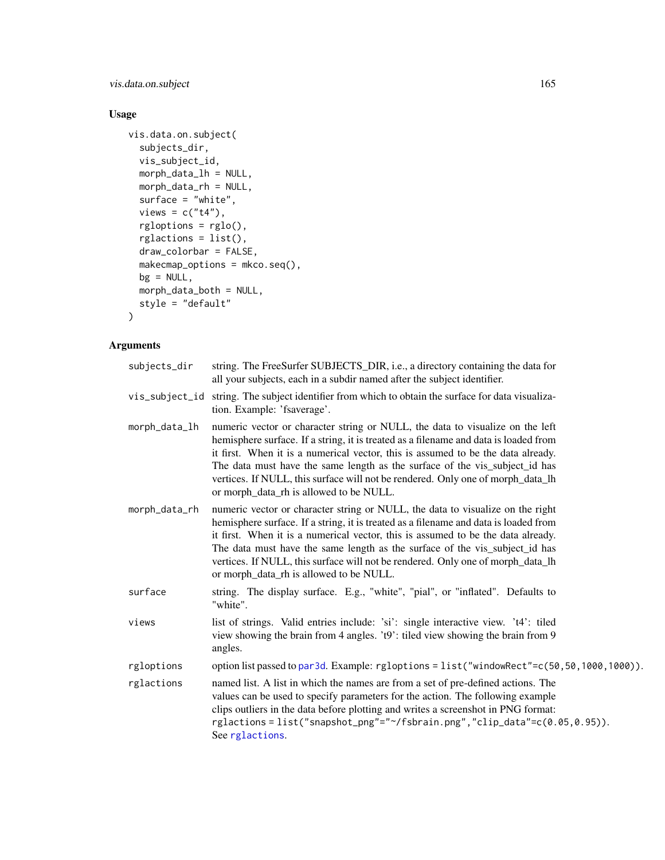vis.data.on.subject 165

# Usage

```
vis.data.on.subject(
 subjects_dir,
 vis_subject_id,
 morph_data_lh = NULL,
 morph_data_rh = NULL,
  surface = "white",views = c("t4"),
  rgloptions = rglo(),
  rglactions = list(),
  draw_colorbar = FALSE,
 makecmap_options = mkco.seq(),
 bg = NULL,morph_data_both = NULL,
  style = "default"
)
```

| subjects_dir  | string. The FreeSurfer SUBJECTS_DIR, i.e., a directory containing the data for<br>all your subjects, each in a subdir named after the subject identifier.                                                                                                                                                                                                                                                                                                               |
|---------------|-------------------------------------------------------------------------------------------------------------------------------------------------------------------------------------------------------------------------------------------------------------------------------------------------------------------------------------------------------------------------------------------------------------------------------------------------------------------------|
|               | vis_subject_id string. The subject identifier from which to obtain the surface for data visualiza-<br>tion. Example: 'fsaverage'.                                                                                                                                                                                                                                                                                                                                       |
| morph_data_lh | numeric vector or character string or NULL, the data to visualize on the left<br>hemisphere surface. If a string, it is treated as a filename and data is loaded from<br>it first. When it is a numerical vector, this is assumed to be the data already.<br>The data must have the same length as the surface of the vis_subject_id has<br>vertices. If NULL, this surface will not be rendered. Only one of morph_data_lh<br>or morph_data_rh is allowed to be NULL.  |
| morph_data_rh | numeric vector or character string or NULL, the data to visualize on the right<br>hemisphere surface. If a string, it is treated as a filename and data is loaded from<br>it first. When it is a numerical vector, this is assumed to be the data already.<br>The data must have the same length as the surface of the vis_subject_id has<br>vertices. If NULL, this surface will not be rendered. Only one of morph_data_lh<br>or morph_data_rh is allowed to be NULL. |
| surface       | string. The display surface. E.g., "white", "pial", or "inflated". Defaults to<br>"white".                                                                                                                                                                                                                                                                                                                                                                              |
| views         | list of strings. Valid entries include: 'si': single interactive view. 't4': tiled<br>view showing the brain from 4 angles. 't9': tiled view showing the brain from 9<br>angles.                                                                                                                                                                                                                                                                                        |
| rgloptions    | option list passed to par3d. Example: rgloptions = list("windowRect"=c(50,50,1000,1000)).                                                                                                                                                                                                                                                                                                                                                                               |
| rglactions    | named list. A list in which the names are from a set of pre-defined actions. The<br>values can be used to specify parameters for the action. The following example<br>clips outliers in the data before plotting and writes a screenshot in PNG format:<br>rglactions=list("snapshot_png"="~/fsbrain.png","clip_data"=c(0.05,0.95)).<br>See rglactions.                                                                                                                 |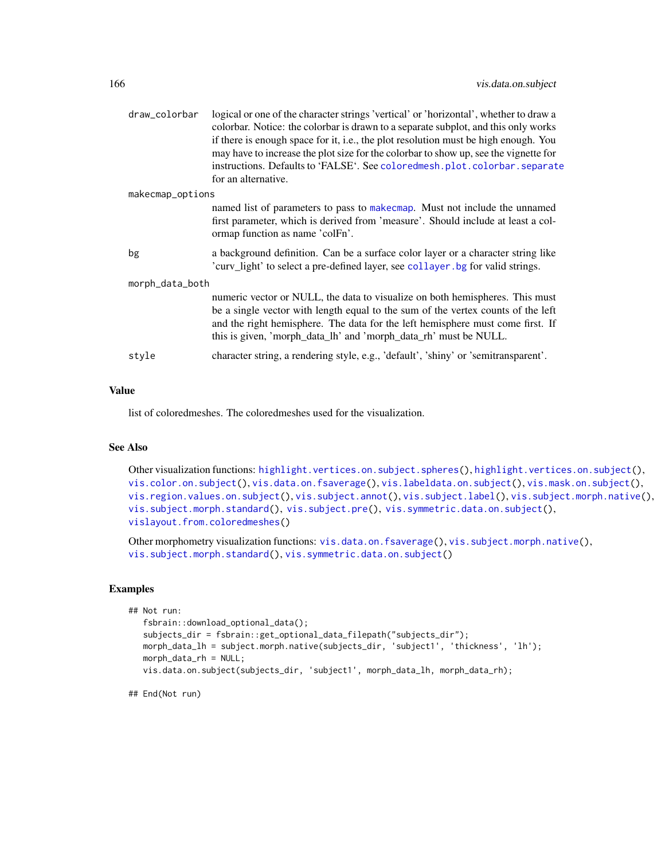| draw_colorbar    | logical or one of the character strings 'vertical' or 'horizontal', whether to draw a<br>colorbar. Notice: the colorbar is drawn to a separate subplot, and this only works<br>if there is enough space for it, i.e., the plot resolution must be high enough. You<br>may have to increase the plot size for the colorbar to show up, see the vignette for<br>instructions. Defaults to 'FALSE'. See coloredmesh.plot.colorbar.separate<br>for an alternative. |  |
|------------------|----------------------------------------------------------------------------------------------------------------------------------------------------------------------------------------------------------------------------------------------------------------------------------------------------------------------------------------------------------------------------------------------------------------------------------------------------------------|--|
| makecmap_options |                                                                                                                                                                                                                                                                                                                                                                                                                                                                |  |
|                  | named list of parameters to pass to make cmap. Must not include the unnamed<br>first parameter, which is derived from 'measure'. Should include at least a col-<br>ormap function as name 'colFn'.                                                                                                                                                                                                                                                             |  |
| bg               | a background definition. Can be a surface color layer or a character string like<br>'curv_light' to select a pre-defined layer, see collayer. bg for valid strings.                                                                                                                                                                                                                                                                                            |  |
| morph_data_both  |                                                                                                                                                                                                                                                                                                                                                                                                                                                                |  |
|                  | numeric vector or NULL, the data to visualize on both hemispheres. This must<br>be a single vector with length equal to the sum of the vertex counts of the left<br>and the right hemisphere. The data for the left hemisphere must come first. If<br>this is given, 'morph_data_lh' and 'morph_data_rh' must be NULL.                                                                                                                                         |  |
| style            | character string, a rendering style, e.g., 'default', 'shiny' or 'semitransparent'.                                                                                                                                                                                                                                                                                                                                                                            |  |

list of coloredmeshes. The coloredmeshes used for the visualization.

## See Also

Other visualization functions: [highlight.vertices.on.subject.spheres\(](#page-96-0)), [highlight.vertices.on.subject\(](#page-95-0)), [vis.color.on.subject\(](#page-154-0)), [vis.data.on.fsaverage\(](#page-159-0)), [vis.labeldata.on.subject\(](#page-174-0)), [vis.mask.on.subject\(](#page-176-0)), [vis.region.values.on.subject\(](#page-181-0)), [vis.subject.annot\(](#page-184-0)), [vis.subject.label\(](#page-186-0)), [vis.subject.morph.native\(](#page-188-0)), [vis.subject.morph.standard\(](#page-190-0)), [vis.subject.pre\(](#page-192-0)), [vis.symmetric.data.on.subject\(](#page-194-0)), [vislayout.from.coloredmeshes\(](#page-196-0))

Other morphometry visualization functions: [vis.data.on.fsaverage\(](#page-159-0)), [vis.subject.morph.native\(](#page-188-0)), [vis.subject.morph.standard\(](#page-190-0)), [vis.symmetric.data.on.subject\(](#page-194-0))

#### Examples

```
## Not run:
   fsbrain::download_optional_data();
   subjects_dir = fsbrain::get_optional_data_filepath("subjects_dir");
  morph_data_lh = subject.morph.native(subjects_dir, 'subject1', 'thickness', 'lh');
  morph_data_rh = NULL;
  vis.data.on.subject(subjects_dir, 'subject1', morph_data_lh, morph_data_rh);
```
## End(Not run)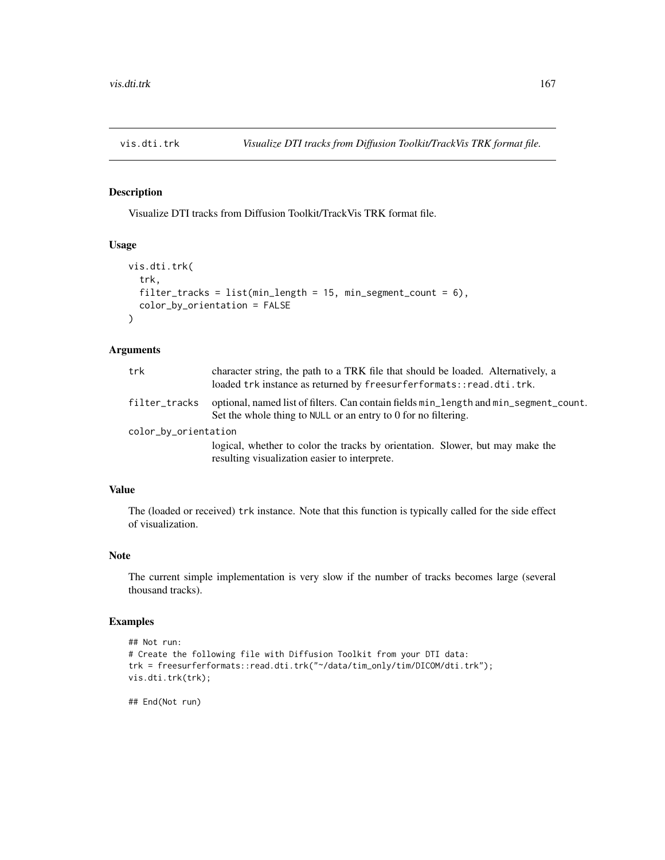## Description

Visualize DTI tracks from Diffusion Toolkit/TrackVis TRK format file.

## Usage

```
vis.dti.trk(
  trk,
  filter_tracks = list(min_length = 15, min_segment_count = 6),
  color_by_orientation = FALSE
\lambda
```
#### Arguments

| trk                  | character string, the path to a TRK file that should be loaded. Alternatively, a<br>loaded trk instance as returned by freesurferformats::read.dti.trk.       |  |
|----------------------|---------------------------------------------------------------------------------------------------------------------------------------------------------------|--|
| filter_tracks        | optional, named list of filters. Can contain fields $min$ _length and $min$ _segment_count.<br>Set the whole thing to NULL or an entry to 0 for no filtering. |  |
| color_by_orientation |                                                                                                                                                               |  |
|                      | logical, whether to color the tracks by orientation. Slower, but may make the<br>resulting visualization easier to interprete.                                |  |

# Value

The (loaded or received) trk instance. Note that this function is typically called for the side effect of visualization.

## Note

The current simple implementation is very slow if the number of tracks becomes large (several thousand tracks).

# Examples

```
## Not run:
# Create the following file with Diffusion Toolkit from your DTI data:
trk = freesurferformats::read.dti.trk("~/data/tim_only/tim/DICOM/dti.trk");
vis.dti.trk(trk);
```
## End(Not run)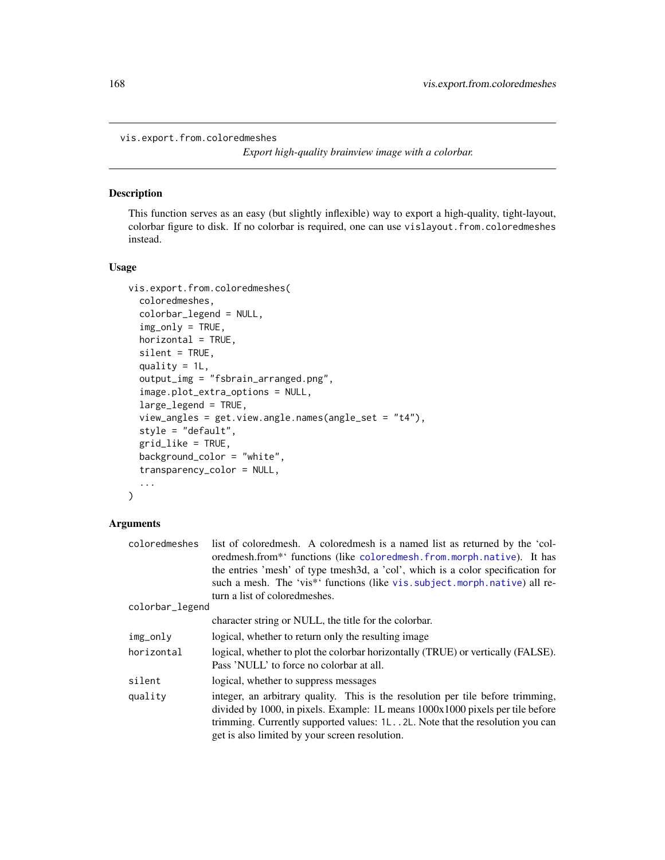vis.export.from.coloredmeshes

*Export high-quality brainview image with a colorbar.*

#### Description

This function serves as an easy (but slightly inflexible) way to export a high-quality, tight-layout, colorbar figure to disk. If no colorbar is required, one can use vislayout.from.coloredmeshes instead.

#### Usage

```
vis.export.from.coloredmeshes(
  coloredmeshes,
  colorbar_legend = NULL,
  img_only = TRUE,
  horizontal = TRUE,
  silent = TRUE,
  quality = 1L,
  output_img = "fsbrain_arranged.png",
  image.plot_extra_options = NULL,
  large_legend = TRUE,
  view_angles = get.view.angle.names(angle_set = "t4"),
  style = "default",
  grid_like = TRUE,
 background_color = "white",
  transparency_color = NULL,
  ...
\mathcal{L}
```

| coloredmeshes   | list of coloredmesh. A coloredmesh is a named list as returned by the 'col-<br>oredmesh.from <sup>**</sup> functions (like coloredmesh.from.morph.native). It has<br>the entries 'mesh' of type tmesh3d, a 'col', which is a color specification for                                                   |
|-----------------|--------------------------------------------------------------------------------------------------------------------------------------------------------------------------------------------------------------------------------------------------------------------------------------------------------|
|                 | such a mesh. The 'vis*' functions (like vis. subject. morph. native) all re-                                                                                                                                                                                                                           |
|                 | turn a list of colored meshes.                                                                                                                                                                                                                                                                         |
| colorbar_legend |                                                                                                                                                                                                                                                                                                        |
|                 | character string or NULL, the title for the colorbar.                                                                                                                                                                                                                                                  |
| img_only        | logical, whether to return only the resulting image                                                                                                                                                                                                                                                    |
| horizontal      | logical, whether to plot the colorbar horizontally (TRUE) or vertically (FALSE).<br>Pass 'NULL' to force no colorbar at all.                                                                                                                                                                           |
| silent          | logical, whether to suppress messages                                                                                                                                                                                                                                                                  |
| quality         | integer, an arbitrary quality. This is the resolution per tile before trimming,<br>divided by 1000, in pixels. Example: 1L means $1000x1000$ pixels per tile before<br>trimming. Currently supported values: 1L 2L. Note that the resolution you can<br>get is also limited by your screen resolution. |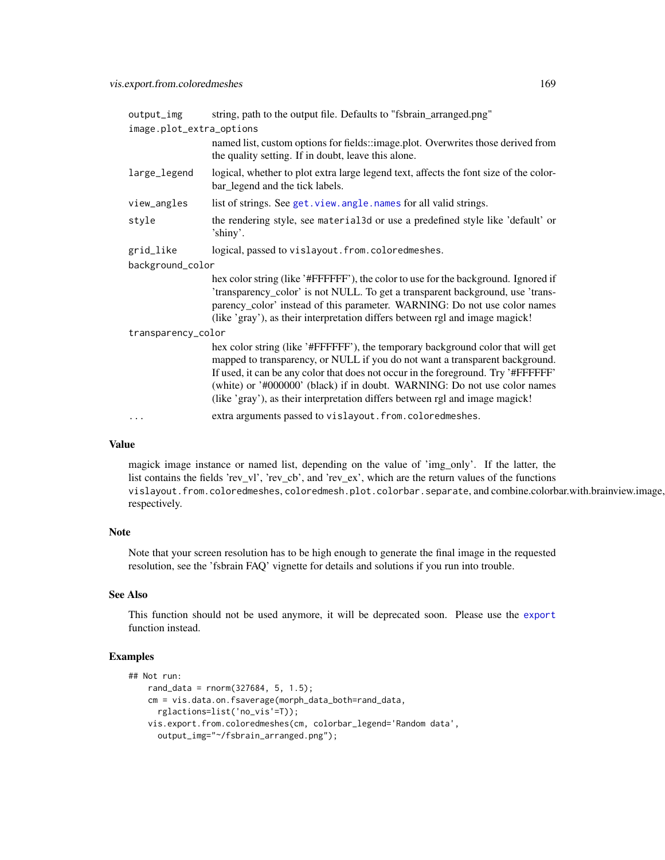| output_img               | string, path to the output file. Defaults to "fsbrain_arranged.png"                                                                                                                                                                                                                                                                                                                                               |  |
|--------------------------|-------------------------------------------------------------------------------------------------------------------------------------------------------------------------------------------------------------------------------------------------------------------------------------------------------------------------------------------------------------------------------------------------------------------|--|
| image.plot_extra_options |                                                                                                                                                                                                                                                                                                                                                                                                                   |  |
|                          | named list, custom options for fields::image.plot. Overwrites those derived from                                                                                                                                                                                                                                                                                                                                  |  |
|                          | the quality setting. If in doubt, leave this alone.                                                                                                                                                                                                                                                                                                                                                               |  |
| large_legend             | logical, whether to plot extra large legend text, affects the font size of the color-<br>bar_legend and the tick labels.                                                                                                                                                                                                                                                                                          |  |
| view_angles              | list of strings. See get. view. angle. names for all valid strings.                                                                                                                                                                                                                                                                                                                                               |  |
| style                    | the rendering style, see material 3d or use a predefined style like 'default' or<br>'shiny'.                                                                                                                                                                                                                                                                                                                      |  |
| grid_like                | logical, passed to vislayout.from.coloredmeshes.                                                                                                                                                                                                                                                                                                                                                                  |  |
| background_color         |                                                                                                                                                                                                                                                                                                                                                                                                                   |  |
|                          | hex color string (like '#FFFFFF'), the color to use for the background. Ignored if<br>'transparency_color' is not NULL. To get a transparent background, use 'trans-<br>parency_color' instead of this parameter. WARNING: Do not use color names<br>(like 'gray'), as their interpretation differs between rgl and image magick!                                                                                 |  |
| transparency_color       |                                                                                                                                                                                                                                                                                                                                                                                                                   |  |
|                          | hex color string (like '#FFFFFF'), the temporary background color that will get<br>mapped to transparency, or NULL if you do not want a transparent background.<br>If used, it can be any color that does not occur in the foreground. Try '#FFFFFF'<br>(white) or '#000000' (black) if in doubt. WARNING: Do not use color names<br>(like 'gray'), as their interpretation differs between rgl and image magick! |  |
|                          | extra arguments passed to vislayout.from.coloredmeshes.                                                                                                                                                                                                                                                                                                                                                           |  |

magick image instance or named list, depending on the value of 'img\_only'. If the latter, the list contains the fields 'rev\_vl', 'rev\_cb', and 'rev\_ex', which are the return values of the functions vislayout.from.coloredmeshes, coloredmesh.plot.colorbar.separate, and combine.colorbar.with.brainview.image, respectively.

# Note

Note that your screen resolution has to be high enough to generate the final image in the requested resolution, see the 'fsbrain FAQ' vignette for details and solutions if you run into trouble.

## See Also

This function should not be used anymore, it will be deprecated soon. Please use the [export](#page-48-0) function instead.

## Examples

```
## Not run:
   rand_data = rnorm(327684, 5, 1.5);cm = vis.data.on.fsaverage(morph_data_both=rand_data,
     rglactions=list('no_vis'=T));
   vis.export.from.coloredmeshes(cm, colorbar_legend='Random data',
     output_img="~/fsbrain_arranged.png");
```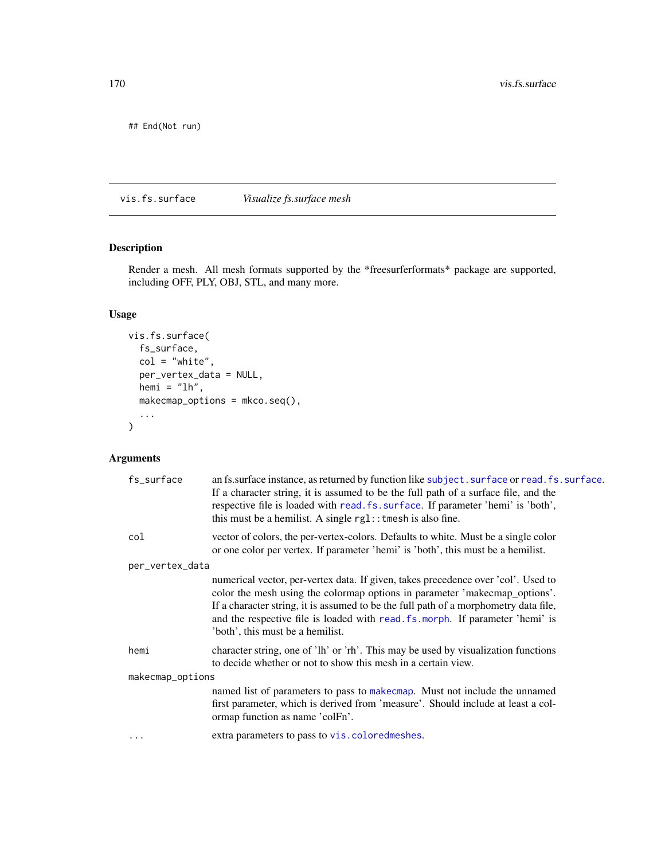## End(Not run)

vis.fs.surface *Visualize fs.surface mesh*

# Description

Render a mesh. All mesh formats supported by the \*freesurferformats\* package are supported, including OFF, PLY, OBJ, STL, and many more.

# Usage

```
vis.fs.surface(
  fs_surface,
  col = "white",per_vertex_data = NULL,
  hemi = "lh",makecmap_options = mkco.seq(),
  ...
\mathcal{L}
```

| fs_surface       | an fs.surface instance, as returned by function like subject. surface or read. fs. surface.<br>If a character string, it is assumed to be the full path of a surface file, and the<br>respective file is loaded with read. fs. surface. If parameter 'hemi' is 'both',<br>this must be a hemilist. A single $rgl$ : tmesh is also fine.                                       |  |
|------------------|-------------------------------------------------------------------------------------------------------------------------------------------------------------------------------------------------------------------------------------------------------------------------------------------------------------------------------------------------------------------------------|--|
| col              | vector of colors, the per-vertex-colors. Defaults to white. Must be a single color<br>or one color per vertex. If parameter 'hemi' is 'both', this must be a hemilist.                                                                                                                                                                                                        |  |
| per_vertex_data  |                                                                                                                                                                                                                                                                                                                                                                               |  |
|                  | numerical vector, per-vertex data. If given, takes precedence over 'col'. Used to<br>color the mesh using the colormap options in parameter 'makecmap_options'.<br>If a character string, it is assumed to be the full path of a morphometry data file,<br>and the respective file is loaded with read. fs. morph. If parameter 'hemi' is<br>'both', this must be a hemilist. |  |
| hemi             | character string, one of 'lh' or 'rh'. This may be used by visualization functions<br>to decide whether or not to show this mesh in a certain view.                                                                                                                                                                                                                           |  |
| makecmap_options |                                                                                                                                                                                                                                                                                                                                                                               |  |
|                  | named list of parameters to pass to make cmap. Must not include the unnamed<br>first parameter, which is derived from 'measure'. Should include at least a col-<br>ormap function as name 'colFn'.                                                                                                                                                                            |  |
|                  | extra parameters to pass to vis.coloredmeshes.                                                                                                                                                                                                                                                                                                                                |  |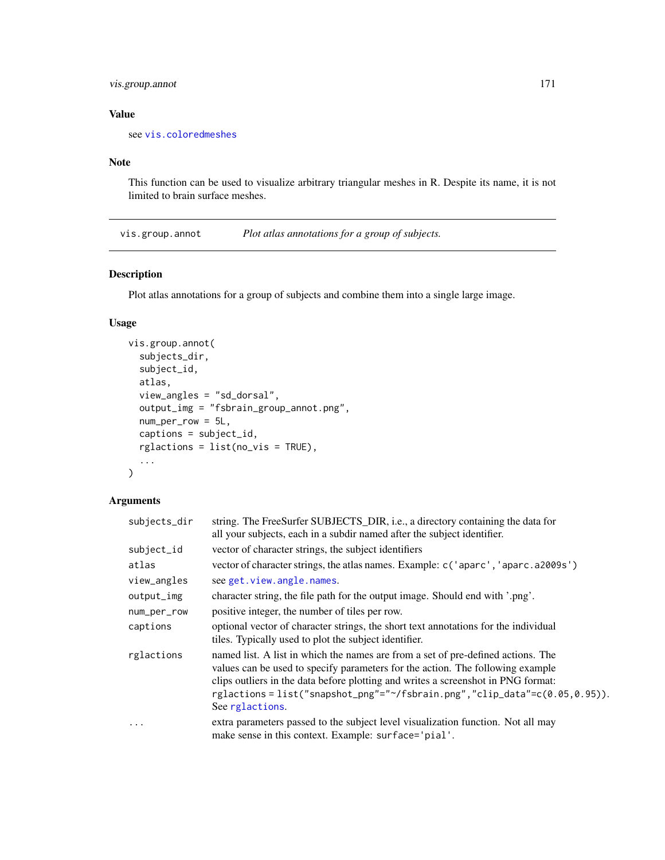# vis.group.annot 171

# Value

see [vis.coloredmeshes](#page-156-0)

# Note

This function can be used to visualize arbitrary triangular meshes in R. Despite its name, it is not limited to brain surface meshes.

<span id="page-170-0"></span>vis.group.annot *Plot atlas annotations for a group of subjects.*

# Description

Plot atlas annotations for a group of subjects and combine them into a single large image.

# Usage

```
vis.group.annot(
  subjects_dir,
  subject_id,
  atlas,
  view_angles = "sd_dorsal",
  output_img = "fsbrain_group_annot.png",
  num\_per\_row = 5L,
  captions = subject_id,
  rglactions = list(no_vis = TRUE),
  ...
\mathcal{L}
```

| subjects_dir | string. The FreeSurfer SUBJECTS_DIR, i.e., a directory containing the data for<br>all your subjects, each in a subdir named after the subject identifier.                                                                                                                                                                                               |
|--------------|---------------------------------------------------------------------------------------------------------------------------------------------------------------------------------------------------------------------------------------------------------------------------------------------------------------------------------------------------------|
| subject_id   | vector of character strings, the subject identifiers                                                                                                                                                                                                                                                                                                    |
| atlas        | vector of character strings, the atlas names. Example: c('aparc', 'aparc.a2009s')                                                                                                                                                                                                                                                                       |
| view_angles  | see get. view. angle. names.                                                                                                                                                                                                                                                                                                                            |
| output_img   | character string, the file path for the output image. Should end with '.png'.                                                                                                                                                                                                                                                                           |
| num_per_row  | positive integer, the number of tiles per row.                                                                                                                                                                                                                                                                                                          |
| captions     | optional vector of character strings, the short text annotations for the individual<br>tiles. Typically used to plot the subject identifier.                                                                                                                                                                                                            |
| rglactions   | named list. A list in which the names are from a set of pre-defined actions. The<br>values can be used to specify parameters for the action. The following example<br>clips outliers in the data before plotting and writes a screenshot in PNG format:<br>rglactions=list("snapshot_png"="~/fsbrain.png","clip_data"=c(0.05,0.95)).<br>See rglactions. |
| .            | extra parameters passed to the subject level visualization function. Not all may<br>make sense in this context. Example: surface='pial'.                                                                                                                                                                                                                |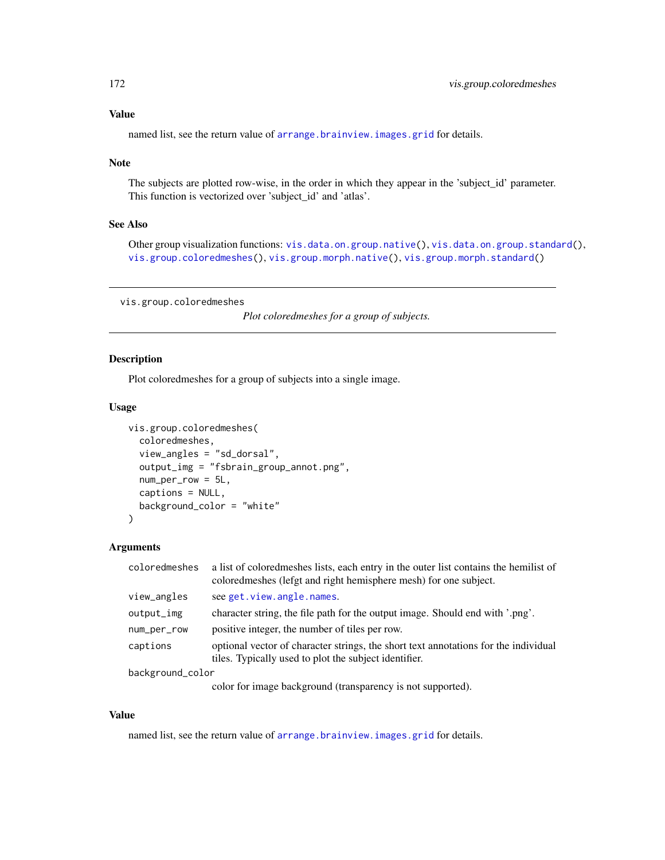named list, see the return value of [arrange.brainview.images.grid](#page-11-0) for details.

#### Note

The subjects are plotted row-wise, in the order in which they appear in the 'subject\_id' parameter. This function is vectorized over 'subject\_id' and 'atlas'.

# See Also

Other group visualization functions: [vis.data.on.group.native\(](#page-161-0)), [vis.data.on.group.standard\(](#page-162-0)), [vis.group.coloredmeshes\(](#page-171-0)), [vis.group.morph.native\(](#page-172-0)), [vis.group.morph.standard\(](#page-173-0))

<span id="page-171-0"></span>vis.group.coloredmeshes

*Plot coloredmeshes for a group of subjects.*

# Description

Plot coloredmeshes for a group of subjects into a single image.

#### Usage

```
vis.group.coloredmeshes(
  coloredmeshes,
  view_angles = "sd_dorsal",
  output_img = "fsbrain_group_annot.png",
  num_per_row = 5L,
  captions = NULL,
  background_color = "white"
\lambda
```
#### Arguments

| coloredmeshes    | a list of colored meshes lists, each entry in the outer list contains the hemilist of<br>colored meshes (lefgt and right hemisphere mesh) for one subject. |
|------------------|------------------------------------------------------------------------------------------------------------------------------------------------------------|
| view_angles      | see get. view. angle. names.                                                                                                                               |
| $output_$ img    | character string, the file path for the output image. Should end with '.png'.                                                                              |
| num_per_row      | positive integer, the number of tiles per row.                                                                                                             |
| captions         | optional vector of character strings, the short text annotations for the individual<br>tiles. Typically used to plot the subject identifier.               |
| background_color |                                                                                                                                                            |
|                  |                                                                                                                                                            |

color for image background (transparency is not supported).

# Value

named list, see the return value of [arrange.brainview.images.grid](#page-11-0) for details.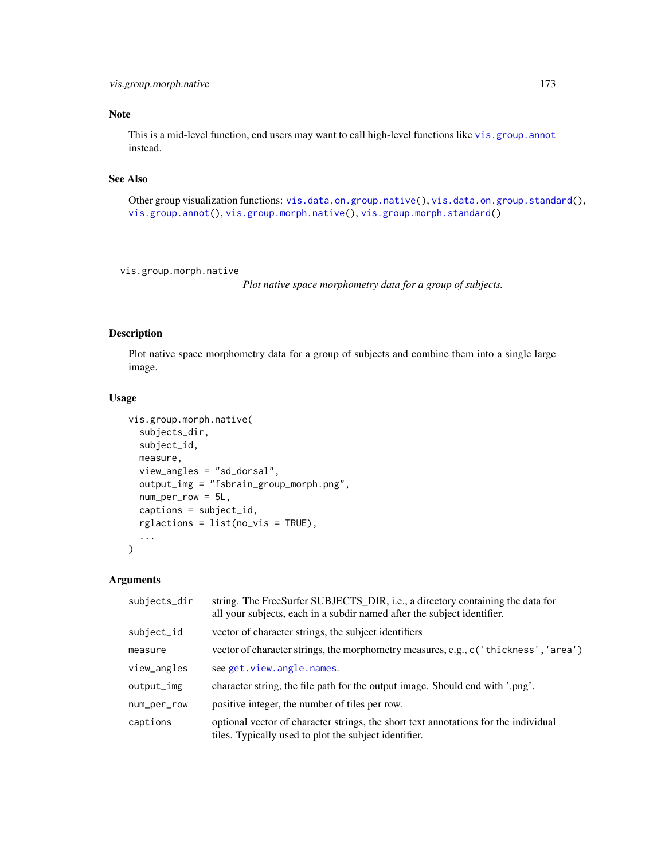# Note

This is a mid-level function, end users may want to call high-level functions like [vis.group.annot](#page-170-0) instead.

# See Also

Other group visualization functions: [vis.data.on.group.native\(](#page-161-0)), [vis.data.on.group.standard\(](#page-162-0)), [vis.group.annot\(](#page-170-0)), [vis.group.morph.native\(](#page-172-0)), [vis.group.morph.standard\(](#page-173-0))

<span id="page-172-0"></span>vis.group.morph.native

*Plot native space morphometry data for a group of subjects.*

# Description

Plot native space morphometry data for a group of subjects and combine them into a single large image.

#### Usage

```
vis.group.morph.native(
  subjects_dir,
  subject_id,
  measure,
  view_angles = "sd_dorsal",
  output_img = "fsbrain_group_morph.png",
  num_per_row = 5L,
  captions = subject_id,
  rglactions = list(no_vis = TRUE),
  ...
\mathcal{L}
```

| subjects_dir | string. The FreeSurfer SUBJECTS_DIR, i.e., a directory containing the data for<br>all your subjects, each in a subdir named after the subject identifier. |
|--------------|-----------------------------------------------------------------------------------------------------------------------------------------------------------|
| subject_id   | vector of character strings, the subject identifiers                                                                                                      |
| measure      | vector of character strings, the morphometry measures, e.g., c ('thickness', 'area')                                                                      |
| view_angles  | see get. view. angle. names.                                                                                                                              |
| output_img   | character string, the file path for the output image. Should end with '.png'.                                                                             |
| num_per_row  | positive integer, the number of tiles per row.                                                                                                            |
| captions     | optional vector of character strings, the short text annotations for the individual<br>tiles. Typically used to plot the subject identifier.              |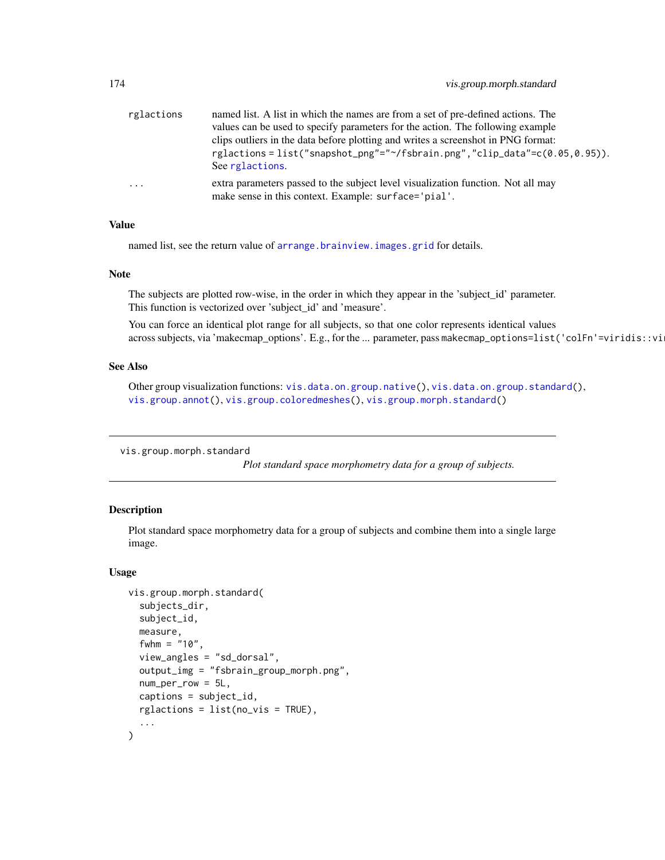| rglactions | named list. A list in which the names are from a set of pre-defined actions. The<br>values can be used to specify parameters for the action. The following example |
|------------|--------------------------------------------------------------------------------------------------------------------------------------------------------------------|
|            | clips outliers in the data before plotting and writes a screenshot in PNG format:                                                                                  |
|            | rglactions = list("snapshot_png"="~/fsbrain.png","clip_data"= $c(0.05, 0.95)$ ).<br>See rglactions.                                                                |
| $\cdots$   | extra parameters passed to the subject level visualization function. Not all may<br>make sense in this context. Example: surface='pial'.                           |

named list, see the return value of [arrange.brainview.images.grid](#page-11-0) for details.

#### Note

The subjects are plotted row-wise, in the order in which they appear in the 'subject\_id' parameter. This function is vectorized over 'subject\_id' and 'measure'.

You can force an identical plot range for all subjects, so that one color represents identical values across subjects, via 'makecmap\_options'. E.g., for the ... parameter, pass makecmap\_options=list('colFn'=viridis::vi

#### See Also

Other group visualization functions: [vis.data.on.group.native\(](#page-161-0)), [vis.data.on.group.standard\(](#page-162-0)), [vis.group.annot\(](#page-170-0)), [vis.group.coloredmeshes\(](#page-171-0)), [vis.group.morph.standard\(](#page-173-0))

<span id="page-173-0"></span>vis.group.morph.standard

*Plot standard space morphometry data for a group of subjects.*

#### Description

Plot standard space morphometry data for a group of subjects and combine them into a single large image.

#### Usage

```
vis.group.morph.standard(
  subjects_dir,
  subject_id,
 measure,
  fwhm = "10",
  view_angles = "sd_dorsal",
  output_img = "fsbrain_group_morph.png",
 num_per_row = 5L,
  captions = subject_id,
  rglactions = list(no_vis = TRUE),
  ...
)
```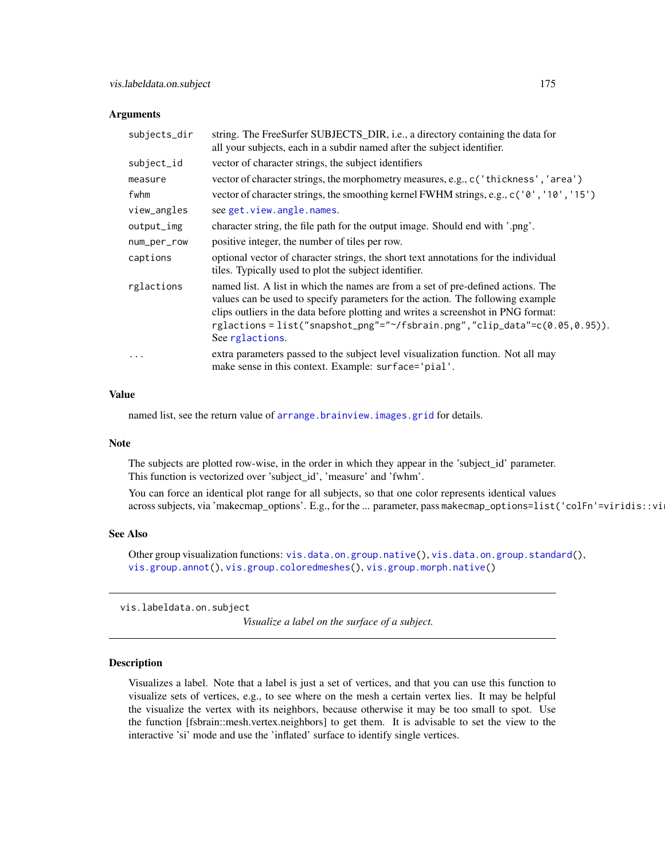#### **Arguments**

| subjects_dir | string. The FreeSurfer SUBJECTS_DIR, i.e., a directory containing the data for<br>all your subjects, each in a subdir named after the subject identifier.                                                                                                                                                                                               |
|--------------|---------------------------------------------------------------------------------------------------------------------------------------------------------------------------------------------------------------------------------------------------------------------------------------------------------------------------------------------------------|
| subject_id   | vector of character strings, the subject identifiers                                                                                                                                                                                                                                                                                                    |
| measure      | vector of character strings, the morphometry measures, e.g., c('thickness', 'area')                                                                                                                                                                                                                                                                     |
| fwhm         | vector of character strings, the smoothing kernel FWHM strings, e.g., c('0', '10', '15')                                                                                                                                                                                                                                                                |
| view_angles  | see get. view. angle. names.                                                                                                                                                                                                                                                                                                                            |
| output_img   | character string, the file path for the output image. Should end with '.png'.                                                                                                                                                                                                                                                                           |
| num_per_row  | positive integer, the number of tiles per row.                                                                                                                                                                                                                                                                                                          |
| captions     | optional vector of character strings, the short text annotations for the individual<br>tiles. Typically used to plot the subject identifier.                                                                                                                                                                                                            |
| rglactions   | named list. A list in which the names are from a set of pre-defined actions. The<br>values can be used to specify parameters for the action. The following example<br>clips outliers in the data before plotting and writes a screenshot in PNG format:<br>rglactions=list("snapshot_png"="~/fsbrain.png","clip_data"=c(0.05,0.95)).<br>See rglactions. |
| $\ddotsc$    | extra parameters passed to the subject level visualization function. Not all may<br>make sense in this context. Example: surface='pial'.                                                                                                                                                                                                                |

# Value

named list, see the return value of [arrange.brainview.images.grid](#page-11-0) for details.

#### Note

The subjects are plotted row-wise, in the order in which they appear in the 'subject\_id' parameter. This function is vectorized over 'subject\_id', 'measure' and 'fwhm'.

You can force an identical plot range for all subjects, so that one color represents identical values across subjects, via 'makecmap\_options'. E.g., for the ... parameter, pass makecmap\_options=list('colFn'=viridis::vi

## See Also

Other group visualization functions: [vis.data.on.group.native\(](#page-161-0)), [vis.data.on.group.standard\(](#page-162-0)), [vis.group.annot\(](#page-170-0)), [vis.group.coloredmeshes\(](#page-171-0)), [vis.group.morph.native\(](#page-172-0))

<span id="page-174-0"></span>vis.labeldata.on.subject

*Visualize a label on the surface of a subject.*

# **Description**

Visualizes a label. Note that a label is just a set of vertices, and that you can use this function to visualize sets of vertices, e.g., to see where on the mesh a certain vertex lies. It may be helpful the visualize the vertex with its neighbors, because otherwise it may be too small to spot. Use the function [fsbrain::mesh.vertex.neighbors] to get them. It is advisable to set the view to the interactive 'si' mode and use the 'inflated' surface to identify single vertices.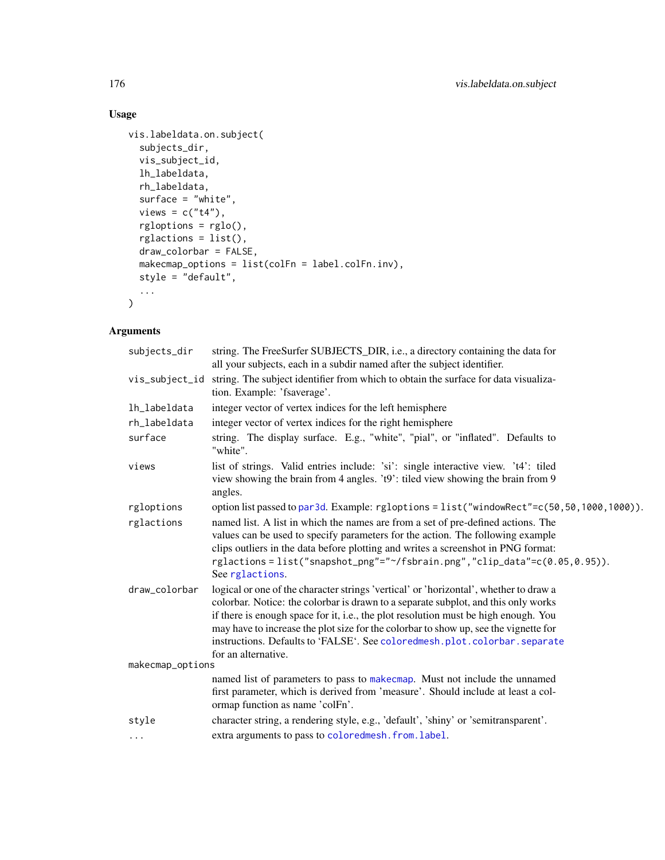# Usage

```
vis.labeldata.on.subject(
  subjects_dir,
  vis_subject_id,
  lh_labeldata,
  rh_labeldata,
  surface = "white",views = c("t4"),
  rgloptions = rglo(),
  rglactions = list(),
  draw_colorbar = FALSE,
  makecmap_options = list(colFn = label.colFn.inv),
  style = "default",
  ...
\mathcal{L}
```

| subjects_dir     | string. The FreeSurfer SUBJECTS_DIR, i.e., a directory containing the data for                                                                                                                                                                                                                                                                                                                                                                                 |  |
|------------------|----------------------------------------------------------------------------------------------------------------------------------------------------------------------------------------------------------------------------------------------------------------------------------------------------------------------------------------------------------------------------------------------------------------------------------------------------------------|--|
|                  | all your subjects, each in a subdir named after the subject identifier.                                                                                                                                                                                                                                                                                                                                                                                        |  |
| vis_subject_id   | string. The subject identifier from which to obtain the surface for data visualiza-<br>tion. Example: 'fsaverage'.                                                                                                                                                                                                                                                                                                                                             |  |
| lh_labeldata     | integer vector of vertex indices for the left hemisphere                                                                                                                                                                                                                                                                                                                                                                                                       |  |
| rh_labeldata     | integer vector of vertex indices for the right hemisphere                                                                                                                                                                                                                                                                                                                                                                                                      |  |
| surface          | string. The display surface. E.g., "white", "pial", or "inflated". Defaults to<br>"white".                                                                                                                                                                                                                                                                                                                                                                     |  |
| views            | list of strings. Valid entries include: 'si': single interactive view. 't4': tiled<br>view showing the brain from 4 angles. 't9': tiled view showing the brain from 9<br>angles.                                                                                                                                                                                                                                                                               |  |
| rgloptions       | option list passed to par3d. Example: rgloptions = list("windowRect"=c(50,50,1000,1000)).                                                                                                                                                                                                                                                                                                                                                                      |  |
| rglactions       | named list. A list in which the names are from a set of pre-defined actions. The<br>values can be used to specify parameters for the action. The following example<br>clips outliers in the data before plotting and writes a screenshot in PNG format:<br>rglactions=list("snapshot_png"="~/fsbrain.png","clip_data"=c(0.05,0.95)).<br>See rglactions.                                                                                                        |  |
| draw_colorbar    | logical or one of the character strings 'vertical' or 'horizontal', whether to draw a<br>colorbar. Notice: the colorbar is drawn to a separate subplot, and this only works<br>if there is enough space for it, i.e., the plot resolution must be high enough. You<br>may have to increase the plot size for the colorbar to show up, see the vignette for<br>instructions. Defaults to 'FALSE'. See coloredmesh.plot.colorbar.separate<br>for an alternative. |  |
| makecmap_options |                                                                                                                                                                                                                                                                                                                                                                                                                                                                |  |
|                  | named list of parameters to pass to makecmap. Must not include the unnamed<br>first parameter, which is derived from 'measure'. Should include at least a col-<br>ormap function as name 'colFn'.                                                                                                                                                                                                                                                              |  |
| style            | character string, a rendering style, e.g., 'default', 'shiny' or 'semitransparent'.                                                                                                                                                                                                                                                                                                                                                                            |  |
| $\cdots$         | extra arguments to pass to coloredmesh. from. label.                                                                                                                                                                                                                                                                                                                                                                                                           |  |
|                  |                                                                                                                                                                                                                                                                                                                                                                                                                                                                |  |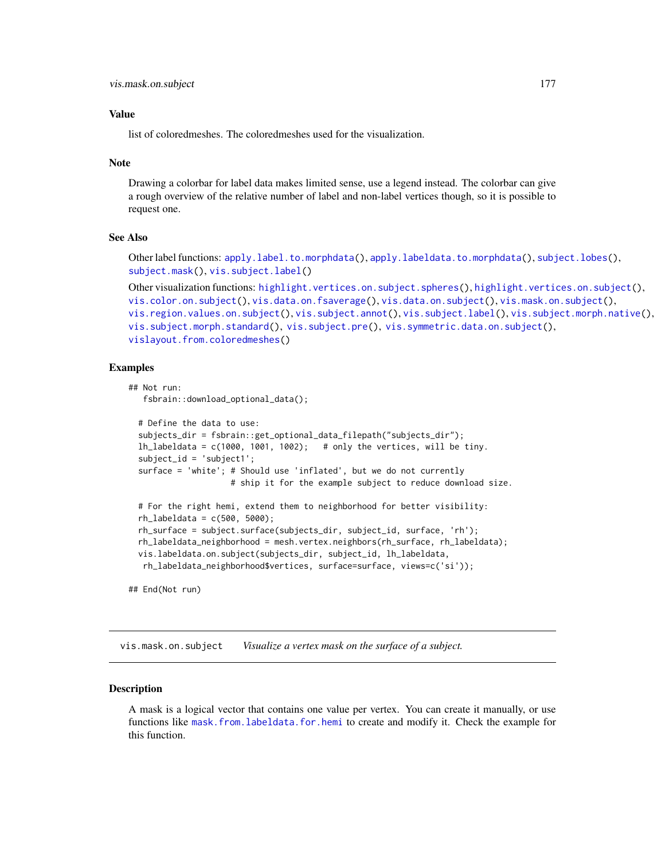list of coloredmeshes. The coloredmeshes used for the visualization.

#### Note

Drawing a colorbar for label data makes limited sense, use a legend instead. The colorbar can give a rough overview of the relative number of label and non-label vertices though, so it is possible to request one.

# See Also

Other label functions: [apply.label.to.morphdata\(](#page-8-0)), [apply.labeldata.to.morphdata\(](#page-9-0)), [subject.lobes\(](#page-142-0)), [subject.mask\(](#page-143-0)), [vis.subject.label\(](#page-186-0))

```
highlight.vertices.on.subject.spheres(highlight.vertices.on.subject(),
vis.color.on.subject(), vis.data.on.fsaverage(), vis.data.on.subject(), vis.mask.on.subject(),
vis.region.values.on.subject(), vis.subject.annot(), vis.subject.label(), vis.subject.morph.native(),
vis.subject.morph.standard(), vis.subject.pre(), vis.symmetric.data.on.subject(),
vislayout.from.coloredmeshes()
```
#### Examples

```
## Not run:
  fsbrain::download_optional_data();
 # Define the data to use:
 subjects_dir = fsbrain::get_optional_data_filepath("subjects_dir");
 lh_labeldata = c(1000, 1001, 1002); # only the vertices, will be tiny.
 subject_id = 'subject1';
 surface = 'white'; # Should use 'inflated', but we do not currently
                     # ship it for the example subject to reduce download size.
 # For the right hemi, extend them to neighborhood for better visibility:
 rh_{\text{labeldata}} = c(500, 5000);rh_surface = subject.surface(subjects_dir, subject_id, surface, 'rh');
 rh_labeldata_neighborhood = mesh.vertex.neighbors(rh_surface, rh_labeldata);
 vis.labeldata.on.subject(subjects_dir, subject_id, lh_labeldata,
  rh_labeldata_neighborhood$vertices, surface=surface, views=c('si'));
## End(Not run)
```
<span id="page-176-0"></span>vis.mask.on.subject *Visualize a vertex mask on the surface of a subject.*

#### Description

A mask is a logical vector that contains one value per vertex. You can create it manually, or use functions like [mask.from.labeldata.for.hemi](#page-109-0) to create and modify it. Check the example for this function.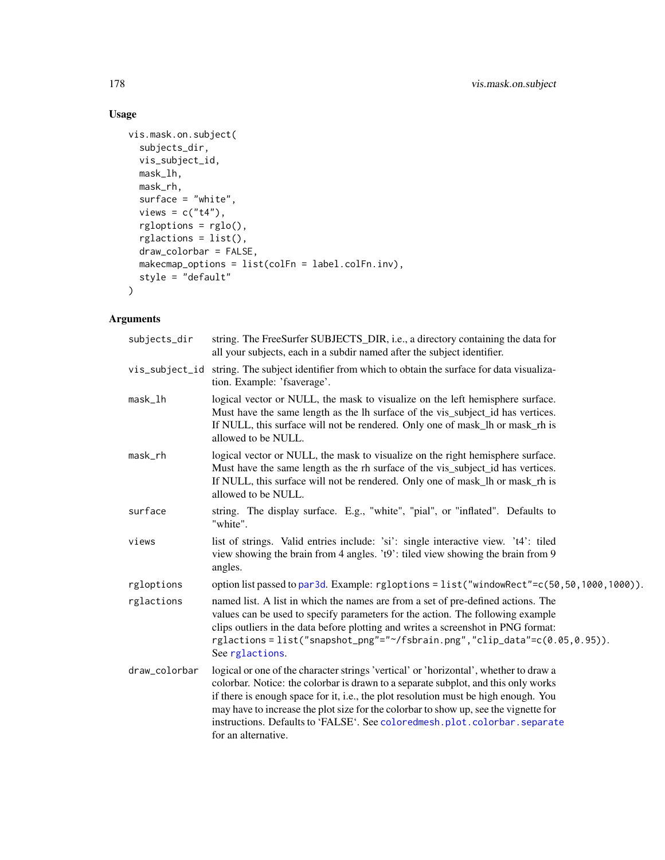# Usage

```
vis.mask.on.subject(
  subjects_dir,
 vis_subject_id,
 mask_lh,
 mask_rh,
 surface = "white",views = c("t4"),
  rgloptions = rglo(),
  rglactions = list(),
 draw_colorbar = FALSE,
 makecmap_options = list(colFn = label.colFn.inv),
 style = "default"
)
```

| subjects_dir  | string. The FreeSurfer SUBJECTS_DIR, i.e., a directory containing the data for<br>all your subjects, each in a subdir named after the subject identifier.                                                                                                                                                                                                                                                                                                      |
|---------------|----------------------------------------------------------------------------------------------------------------------------------------------------------------------------------------------------------------------------------------------------------------------------------------------------------------------------------------------------------------------------------------------------------------------------------------------------------------|
|               | vis_subject_id string. The subject identifier from which to obtain the surface for data visualiza-<br>tion. Example: 'fsaverage'.                                                                                                                                                                                                                                                                                                                              |
| mask_lh       | logical vector or NULL, the mask to visualize on the left hemisphere surface.<br>Must have the same length as the lh surface of the vis_subject_id has vertices.<br>If NULL, this surface will not be rendered. Only one of mask_lh or mask_rh is<br>allowed to be NULL.                                                                                                                                                                                       |
| mask_rh       | logical vector or NULL, the mask to visualize on the right hemisphere surface.<br>Must have the same length as the rh surface of the vis_subject_id has vertices.<br>If NULL, this surface will not be rendered. Only one of mask_lh or mask_rh is<br>allowed to be NULL.                                                                                                                                                                                      |
| surface       | string. The display surface. E.g., "white", "pial", or "inflated". Defaults to<br>"white".                                                                                                                                                                                                                                                                                                                                                                     |
| views         | list of strings. Valid entries include: 'si': single interactive view. 't4': tiled<br>view showing the brain from 4 angles. 't9': tiled view showing the brain from 9<br>angles.                                                                                                                                                                                                                                                                               |
| rgloptions    | option list passed to par3d. Example: rgloptions = list("windowRect"=c(50,50,1000,1000)).                                                                                                                                                                                                                                                                                                                                                                      |
| rglactions    | named list. A list in which the names are from a set of pre-defined actions. The<br>values can be used to specify parameters for the action. The following example<br>clips outliers in the data before plotting and writes a screenshot in PNG format:<br>rglactions=list("snapshot_png"="~/fsbrain.png","clip_data"=c(0.05,0.95)).<br>See rglactions.                                                                                                        |
| draw_colorbar | logical or one of the character strings 'vertical' or 'horizontal', whether to draw a<br>colorbar. Notice: the colorbar is drawn to a separate subplot, and this only works<br>if there is enough space for it, i.e., the plot resolution must be high enough. You<br>may have to increase the plot size for the colorbar to show up, see the vignette for<br>instructions. Defaults to 'FALSE'. See coloredmesh.plot.colorbar.separate<br>for an alternative. |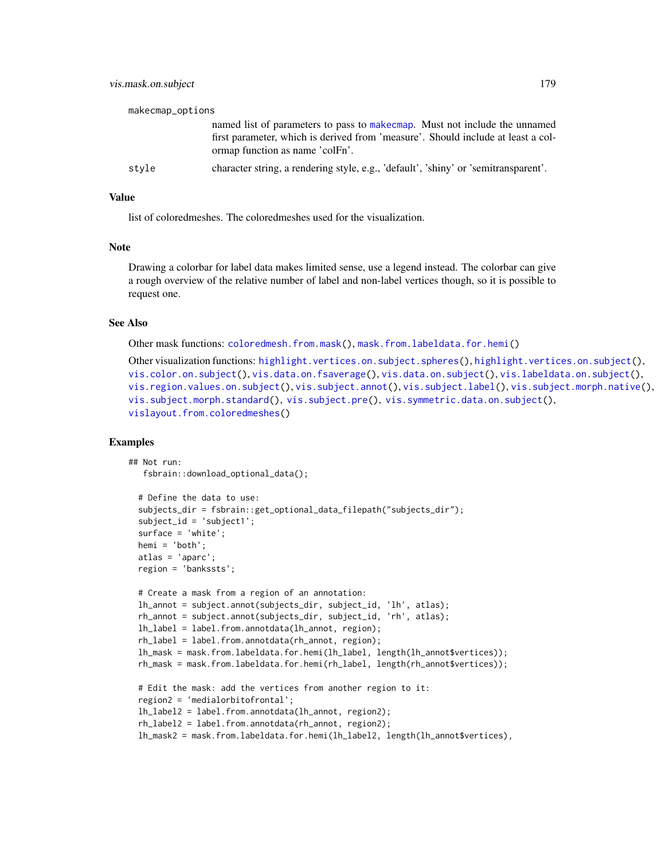| makecmap_options |                                                                                                                                                                                                    |
|------------------|----------------------------------------------------------------------------------------------------------------------------------------------------------------------------------------------------|
|                  | named list of parameters to pass to make cmap. Must not include the unnamed<br>first parameter, which is derived from 'measure'. Should include at least a col-<br>ormap function as name 'colFn'. |
| style            | character string, a rendering style, e.g., 'default', 'shiny' or 'semitransparent'.                                                                                                                |

list of coloredmeshes. The coloredmeshes used for the visualization.

#### Note

Drawing a colorbar for label data makes limited sense, use a legend instead. The colorbar can give a rough overview of the relative number of label and non-label vertices though, so it is possible to request one.

#### See Also

Other mask functions: [coloredmesh.from.mask\(](#page-27-0)), [mask.from.labeldata.for.hemi\(](#page-109-0))

```
highlight.vertices.on.subject.spheres(highlight.vertices.on.subject(),
vis.color.on.subject(), vis.data.on.fsaverage(), vis.data.on.subject(), vis.labeldata.on.subject(),
vis.region.values.on.subject(), vis.subject.annot(), vis.subject.label(), vis.subject.morph.native(),
vis.subject.morph.standard(), vis.subject.pre(), vis.symmetric.data.on.subject(),
vislayout.from.coloredmeshes()
```
#### Examples

```
## Not run:
  fsbrain::download_optional_data();
```

```
# Define the data to use:
subjects_dir = fsbrain::get_optional_data_filepath("subjects_dir");
subject_id = 'subject1';
surface = 'white';
hemi = 'both';
atlas = 'aparc';
region = 'bankssts';
# Create a mask from a region of an annotation:
lh_annot = subject.annot(subjects_dir, subject_id, 'lh', atlas);
rh_annot = subject.annot(subjects_dir, subject_id, 'rh', atlas);
lh_label = label.from.annotdata(lh_annot, region);
rh_label = label.from.annotdata(rh_annot, region);
lh_mask = mask.from.labeldata.for.hemi(lh_label, length(lh_annot$vertices));
rh_mask = mask.from.labeldata.for.hemi(rh_label, length(rh_annot$vertices));
# Edit the mask: add the vertices from another region to it:
region2 = 'medialorbitofrontal';
lh_label2 = label.from.annotdata(lh_annot, region2);
rh_label2 = label.from.annotdata(rh_annot, region2);
```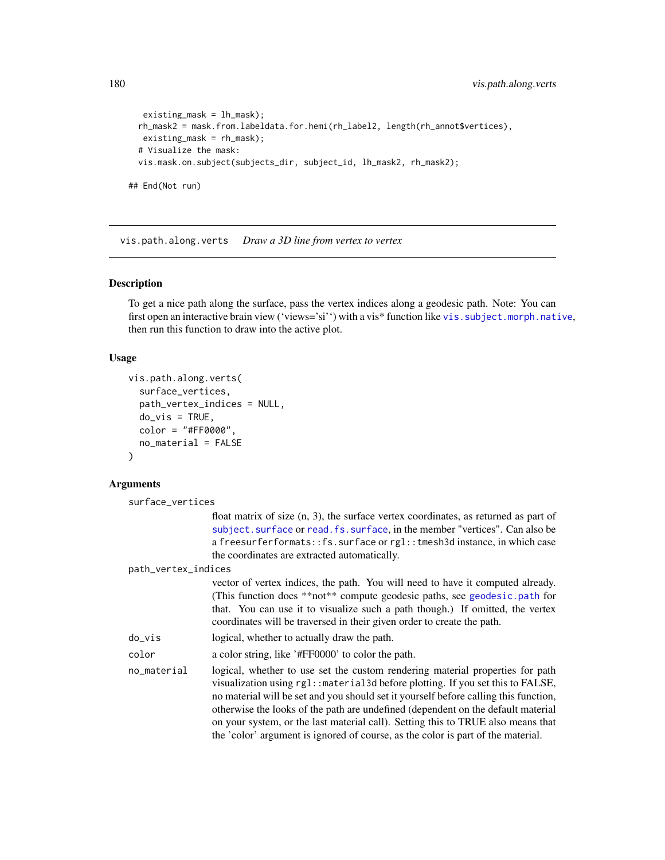```
existing_mask = lh_mask);
 rh_mask2 = mask.from.labeldata.for.hemi(rh_label2, length(rh_annot$vertices),
  existing_mask = rh_mask);
 # Visualize the mask:
 vis.mask.on.subject(subjects_dir, subject_id, lh_mask2, rh_mask2);
## End(Not run)
```
<span id="page-179-0"></span>vis.path.along.verts *Draw a 3D line from vertex to vertex*

#### Description

To get a nice path along the surface, pass the vertex indices along a geodesic path. Note: You can first open an interactive brain view ('views='si'') with a vis\* function like [vis.subject.morph.native](#page-188-0), then run this function to draw into the active plot.

## Usage

```
vis.path.along.verts(
  surface_vertices,
  path_vertex_indices = NULL,
  do\_vis = TRUE,color = "#FF0000",
  no_material = FALSE
)
```
# Ar

|                  | guments             |                                                                                                                                                                                                                                                                                                                                                                                                                                                                                                                         |
|------------------|---------------------|-------------------------------------------------------------------------------------------------------------------------------------------------------------------------------------------------------------------------------------------------------------------------------------------------------------------------------------------------------------------------------------------------------------------------------------------------------------------------------------------------------------------------|
| surface_vertices |                     |                                                                                                                                                                                                                                                                                                                                                                                                                                                                                                                         |
|                  |                     | float matrix of size $(n, 3)$ , the surface vertex coordinates, as returned as part of<br>subject. surface or read. fs. surface, in the member "vertices". Can also be<br>a freesurferformats:: fs. surface or rgl:: tmesh3d instance, in which case<br>the coordinates are extracted automatically.                                                                                                                                                                                                                    |
|                  | path_vertex_indices |                                                                                                                                                                                                                                                                                                                                                                                                                                                                                                                         |
|                  |                     | vector of vertex indices, the path. You will need to have it computed already.<br>(This function does **not** compute geodesic paths, see geodesic.path for<br>that. You can use it to visualize such a path though.) If omitted, the vertex<br>coordinates will be traversed in their given order to create the path.                                                                                                                                                                                                  |
|                  | do_vis              | logical, whether to actually draw the path.                                                                                                                                                                                                                                                                                                                                                                                                                                                                             |
|                  | color               | a color string, like '#FF0000' to color the path.                                                                                                                                                                                                                                                                                                                                                                                                                                                                       |
|                  | no_material         | logical, whether to use set the custom rendering material properties for path<br>visualization using $rgl$ : $materal3d$ before plotting. If you set this to FALSE,<br>no material will be set and you should set it yourself before calling this function,<br>otherwise the looks of the path are undefined (dependent on the default material<br>on your system, or the last material call). Setting this to TRUE also means that<br>the 'color' argument is ignored of course, as the color is part of the material. |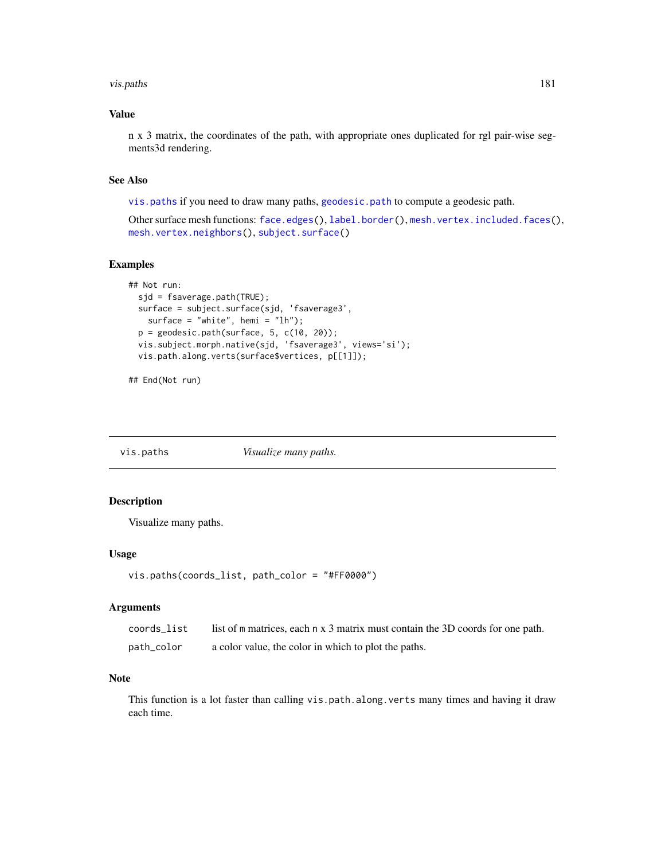#### vis.paths 181

## Value

n x 3 matrix, the coordinates of the path, with appropriate ones duplicated for rgl pair-wise segments3d rendering.

## See Also

[vis.paths](#page-180-0) if you need to draw many paths, [geodesic.path](#page-62-0) to compute a geodesic path.

Other surface mesh functions: [face.edges\(](#page-51-0)), [label.border\(](#page-101-0)), [mesh.vertex.included.faces\(](#page-0-0)), [mesh.vertex.neighbors\(](#page-110-0)), [subject.surface\(](#page-148-0))

## Examples

```
## Not run:
 sjd = fsaverage.path(TRUE);
 surface = subject.surface(sjd, 'fsaverage3',
   surface = "white", hemi = "lh");
 p = geodesic.path(surface, 5, c(10, 20));vis.subject.morph.native(sjd, 'fsaverage3', views='si');
 vis.path.along.verts(surface$vertices, p[[1]]);
```
## End(Not run)

<span id="page-180-0"></span>vis.paths *Visualize many paths.*

## Description

Visualize many paths.

## Usage

```
vis.paths(coords_list, path_color = "#FF0000")
```
#### Arguments

| coords_list | list of m matrices, each n x 3 matrix must contain the 3D coords for one path. |
|-------------|--------------------------------------------------------------------------------|
| path_color  | a color value, the color in which to plot the paths.                           |

#### Note

This function is a lot faster than calling vis.path.along.verts many times and having it draw each time.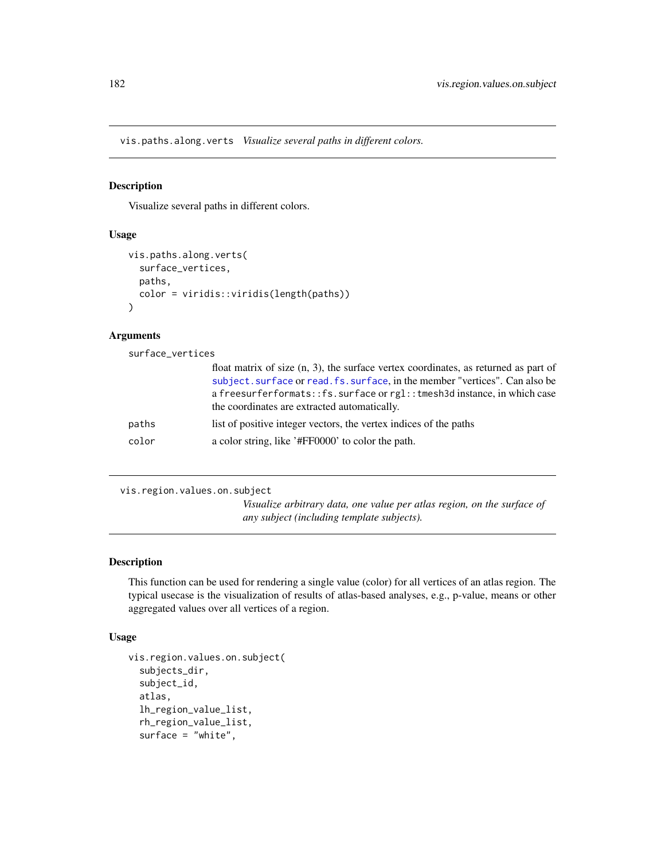vis.paths.along.verts *Visualize several paths in different colors.*

## Description

Visualize several paths in different colors.

#### Usage

```
vis.paths.along.verts(
  surface_vertices,
 paths,
  color = viridis::viridis(length(paths))
\lambda
```
## Arguments

| surface_vertices |                                                                                                                                                                                                                                                                                                   |
|------------------|---------------------------------------------------------------------------------------------------------------------------------------------------------------------------------------------------------------------------------------------------------------------------------------------------|
|                  | float matrix of size $(n, 3)$ , the surface vertex coordinates, as returned as part of<br>subject. surface or read. fs. surface, in the member "vertices". Can also be<br>a freesurferformats::fs.surface or rgl::tmesh3d instance, in which case<br>the coordinates are extracted automatically. |
| paths            | list of positive integer vectors, the vertex indices of the paths                                                                                                                                                                                                                                 |
| color            | a color string, like '#FF0000' to color the path.                                                                                                                                                                                                                                                 |
|                  |                                                                                                                                                                                                                                                                                                   |

<span id="page-181-0"></span>vis.region.values.on.subject

*Visualize arbitrary data, one value per atlas region, on the surface of any subject (including template subjects).*

## Description

This function can be used for rendering a single value (color) for all vertices of an atlas region. The typical usecase is the visualization of results of atlas-based analyses, e.g., p-value, means or other aggregated values over all vertices of a region.

```
vis.region.values.on.subject(
  subjects_dir,
  subject_id,
  atlas,
  lh_region_value_list,
  rh_region_value_list,
  surface = "white",
```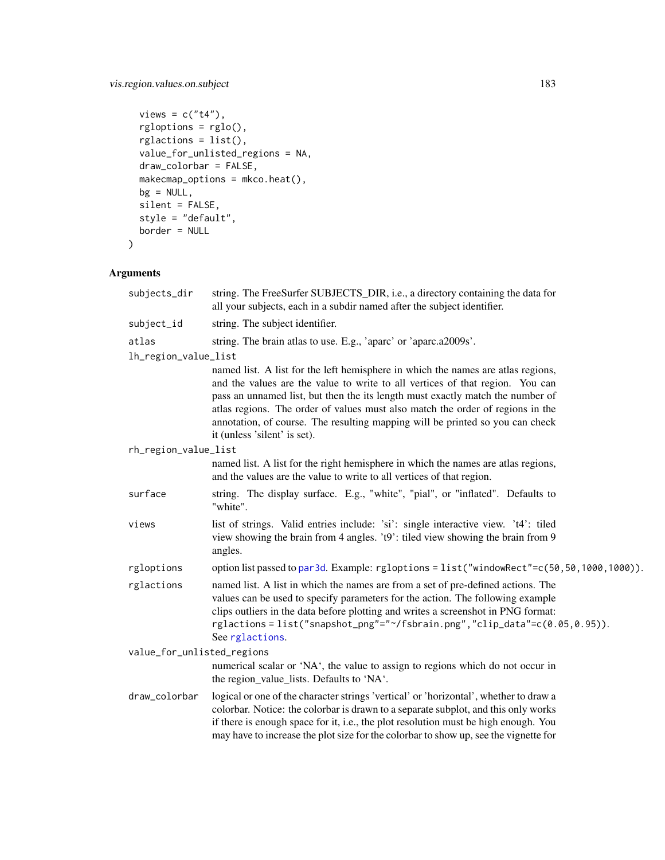# vis.region.values.on.subject 183

```
views = c("t4"),
 rgloptions = rglo(),
 rglactions = list(),value_for_unlisted_regions = NA,
 draw_colorbar = FALSE,
 makecmap_options = mkco.heat(),
 bg = NULL,silent = FALSE,
 style = "default",
 border = NULL
\mathcal{L}
```

| subjects_dir               | string. The FreeSurfer SUBJECTS_DIR, i.e., a directory containing the data for<br>all your subjects, each in a subdir named after the subject identifier.                                                                                                                                                                                                                                                                                              |
|----------------------------|--------------------------------------------------------------------------------------------------------------------------------------------------------------------------------------------------------------------------------------------------------------------------------------------------------------------------------------------------------------------------------------------------------------------------------------------------------|
| subject_id                 | string. The subject identifier.                                                                                                                                                                                                                                                                                                                                                                                                                        |
| atlas                      | string. The brain atlas to use. E.g., 'aparc' or 'aparc.a2009s'.                                                                                                                                                                                                                                                                                                                                                                                       |
| lh_region_value_list       |                                                                                                                                                                                                                                                                                                                                                                                                                                                        |
|                            | named list. A list for the left hemisphere in which the names are atlas regions,<br>and the values are the value to write to all vertices of that region. You can<br>pass an unnamed list, but then the its length must exactly match the number of<br>atlas regions. The order of values must also match the order of regions in the<br>annotation, of course. The resulting mapping will be printed so you can check<br>it (unless 'silent' is set). |
| rh_region_value_list       |                                                                                                                                                                                                                                                                                                                                                                                                                                                        |
|                            | named list. A list for the right hemisphere in which the names are atlas regions,<br>and the values are the value to write to all vertices of that region.                                                                                                                                                                                                                                                                                             |
| surface                    | string. The display surface. E.g., "white", "pial", or "inflated". Defaults to<br>"white".                                                                                                                                                                                                                                                                                                                                                             |
| views                      | list of strings. Valid entries include: 'si': single interactive view. 't4': tiled<br>view showing the brain from 4 angles. 't9': tiled view showing the brain from 9<br>angles.                                                                                                                                                                                                                                                                       |
| rgloptions                 | option list passed to par3d. Example: rgloptions = list("windowRect"=c(50,50,1000,1000)).                                                                                                                                                                                                                                                                                                                                                              |
| rglactions                 | named list. A list in which the names are from a set of pre-defined actions. The<br>values can be used to specify parameters for the action. The following example<br>clips outliers in the data before plotting and writes a screenshot in PNG format:<br>rglactions=list("snapshot_png"="~/fsbrain.png","clip_data"=c(0.05,0.95)).<br>See rglactions.                                                                                                |
| value_for_unlisted_regions |                                                                                                                                                                                                                                                                                                                                                                                                                                                        |
|                            | numerical scalar or 'NA', the value to assign to regions which do not occur in<br>the region_value_lists. Defaults to 'NA'.                                                                                                                                                                                                                                                                                                                            |
| draw_colorbar              | logical or one of the character strings 'vertical' or 'horizontal', whether to draw a<br>colorbar. Notice: the colorbar is drawn to a separate subplot, and this only works<br>if there is enough space for it, i.e., the plot resolution must be high enough. You<br>may have to increase the plot size for the colorbar to show up, see the vignette for                                                                                             |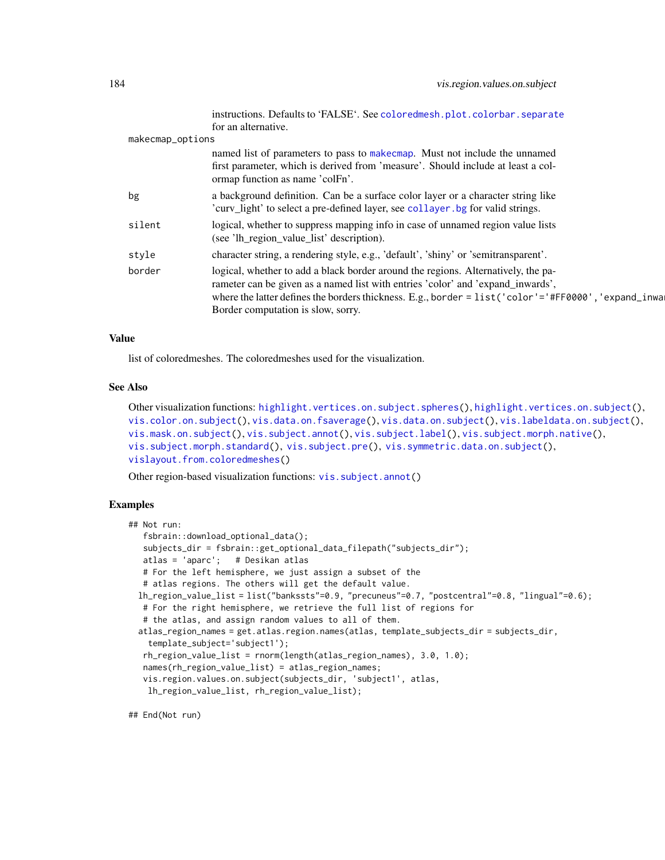|                  | instructions. Defaults to 'FALSE'. See colored mesh.plot.colorbar.separate<br>for an alternative.                                                                                                                                                                                                                 |
|------------------|-------------------------------------------------------------------------------------------------------------------------------------------------------------------------------------------------------------------------------------------------------------------------------------------------------------------|
| makecmap_options |                                                                                                                                                                                                                                                                                                                   |
|                  | named list of parameters to pass to make cmap. Must not include the unnamed<br>first parameter, which is derived from 'measure'. Should include at least a col-<br>ormap function as name 'colFn'.                                                                                                                |
| bg               | a background definition. Can be a surface color layer or a character string like<br>'curv_light' to select a pre-defined layer, see collayer. bg for valid strings.                                                                                                                                               |
| silent           | logical, whether to suppress mapping info in case of unnamed region value lists<br>(see 'lh_region_value_list' description).                                                                                                                                                                                      |
| style            | character string, a rendering style, e.g., 'default', 'shiny' or 'semitransparent'.                                                                                                                                                                                                                               |
| border           | logical, whether to add a black border around the regions. Alternatively, the pa-<br>rameter can be given as a named list with entries 'color' and 'expand_inwards',<br>where the latter defines the borders thickness. E.g., border = list('color'='#FF0000', 'expand_inwa<br>Border computation is slow, sorry. |
|                  |                                                                                                                                                                                                                                                                                                                   |

#### Value

list of coloredmeshes. The coloredmeshes used for the visualization.

## See Also

```
highlight.vertices.on.subject.spheres(highlight.vertices.on.subject(),
vis.color.on.subject(), vis.data.on.fsaverage(), vis.data.on.subject(), vis.labeldata.on.subject(),
vis.mask.on.subject(), vis.subject.annot(), vis.subject.label(), vis.subject.morph.native(),
vis.subject.morph.standard(), vis.subject.pre(), vis.symmetric.data.on.subject(),
vislayout.from.coloredmeshes()
```
Other region-based visualization functions: [vis.subject.annot\(](#page-184-0))

#### Examples

```
## Not run:
   fsbrain::download_optional_data();
   subjects_dir = fsbrain::get_optional_data_filepath("subjects_dir");
  atlas = 'aparc'; # Desikan atlas
  # For the left hemisphere, we just assign a subset of the
  # atlas regions. The others will get the default value.
 lh_region_value_list = list("bankssts"=0.9, "precuneus"=0.7, "postcentral"=0.8, "lingual"=0.6);
  # For the right hemisphere, we retrieve the full list of regions for
   # the atlas, and assign random values to all of them.
 atlas_region_names = get.atlas.region.names(atlas, template_subjects_dir = subjects_dir,
   template_subject='subject1');
   rh_region_value_list = rnorm(length(atlas_region_names), 3.0, 1.0);
  names(rh_region_value_list) = atlas_region_names;
  vis.region.values.on.subject(subjects_dir, 'subject1', atlas,
   lh_region_value_list, rh_region_value_list);
```
## End(Not run)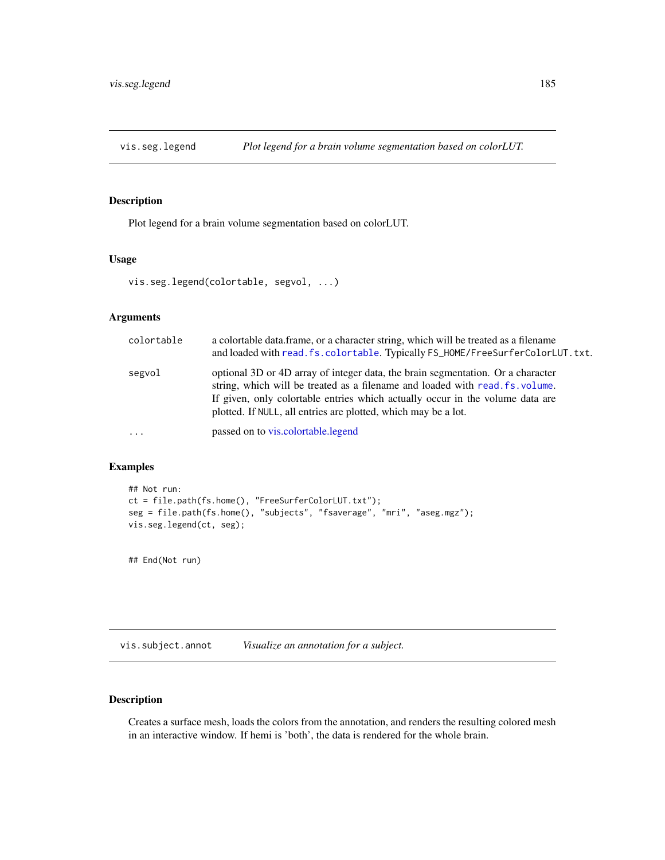## Description

Plot legend for a brain volume segmentation based on colorLUT.

## Usage

```
vis.seg.legend(colortable, segvol, ...)
```
## Arguments

| colortable | a colortable data.frame, or a character string, which will be treated as a filename<br>and loaded with read. fs. colortable. Typically FS_HOME/FreeSurferColorLUT. txt.                                                                                                                                            |
|------------|--------------------------------------------------------------------------------------------------------------------------------------------------------------------------------------------------------------------------------------------------------------------------------------------------------------------|
| segvol     | optional 3D or 4D array of integer data, the brain segmentation. Or a character<br>string, which will be treated as a filename and loaded with read. fs. volume.<br>If given, only colorable entries which actually occur in the volume data are<br>plotted. If NULL, all entries are plotted, which may be a lot. |
| $\ddots$ . | passed on to vis.colortable.legend                                                                                                                                                                                                                                                                                 |

## Examples

```
## Not run:
ct = file.path(fs.home(), "FreeSurferColorLUT.txt");
seg = file.path(fs.home(), "subjects", "fsaverage", "mri", "aseg.mgz");
vis.seg.legend(ct, seg);
```
## End(Not run)

<span id="page-184-0"></span>vis.subject.annot *Visualize an annotation for a subject.*

## Description

Creates a surface mesh, loads the colors from the annotation, and renders the resulting colored mesh in an interactive window. If hemi is 'both', the data is rendered for the whole brain.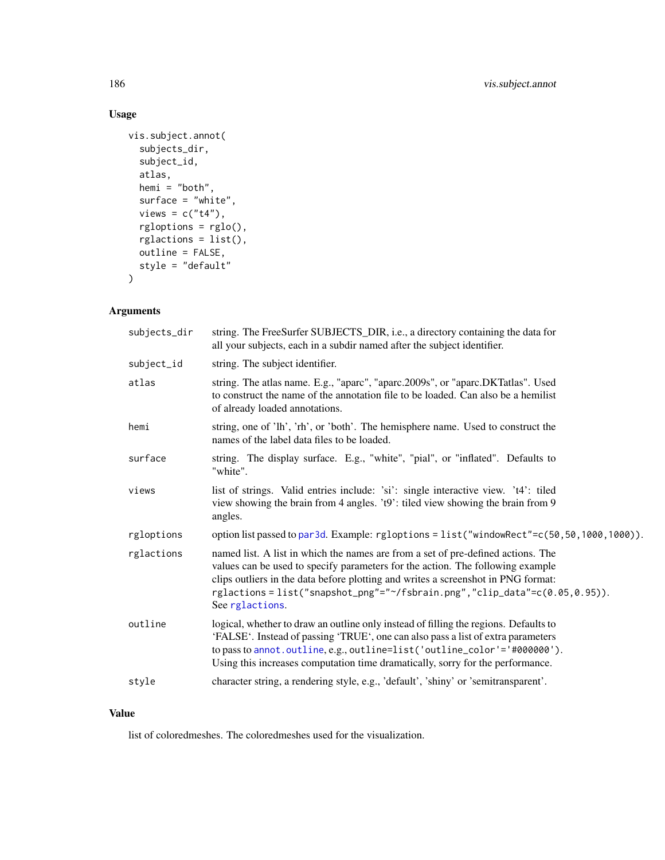# Usage

```
vis.subject.annot(
  subjects_dir,
  subject_id,
  atlas,
  hemi = "both",
  surface = "white",
  views = c("t4"),
  rgloptions = rglo(),
  rglactions = list(),
  outline = FALSE,
  style = "default"
\mathcal{L}
```
# Arguments

| subjects_dir | string. The FreeSurfer SUBJECTS_DIR, i.e., a directory containing the data for<br>all your subjects, each in a subdir named after the subject identifier.                                                                                                                                                                                               |
|--------------|---------------------------------------------------------------------------------------------------------------------------------------------------------------------------------------------------------------------------------------------------------------------------------------------------------------------------------------------------------|
| subject_id   | string. The subject identifier.                                                                                                                                                                                                                                                                                                                         |
| atlas        | string. The atlas name. E.g., "aparc", "aparc.2009s", or "aparc.DKTatlas". Used<br>to construct the name of the annotation file to be loaded. Can also be a hemilist<br>of already loaded annotations.                                                                                                                                                  |
| hemi         | string, one of 'lh', 'rh', or 'both'. The hemisphere name. Used to construct the<br>names of the label data files to be loaded.                                                                                                                                                                                                                         |
| surface      | string. The display surface. E.g., "white", "pial", or "inflated". Defaults to<br>"white".                                                                                                                                                                                                                                                              |
| views        | list of strings. Valid entries include: 'si': single interactive view. 't4': tiled<br>view showing the brain from 4 angles. 't9': tiled view showing the brain from 9<br>angles.                                                                                                                                                                        |
| rgloptions   | option list passed to par3d. Example: rgloptions = list("windowRect"=c(50,50,1000,1000)).                                                                                                                                                                                                                                                               |
| rglactions   | named list. A list in which the names are from a set of pre-defined actions. The<br>values can be used to specify parameters for the action. The following example<br>clips outliers in the data before plotting and writes a screenshot in PNG format:<br>rglactions=list("snapshot_png"="~/fsbrain.png","clip_data"=c(0.05,0.95)).<br>See rglactions. |
| outline      | logical, whether to draw an outline only instead of filling the regions. Defaults to<br>'FALSE'. Instead of passing 'TRUE', one can also pass a list of extra parameters<br>to pass to annot.outline, e.g., outline=list('outline_color'='#000000').<br>Using this increases computation time dramatically, sorry for the performance.                  |
| style        | character string, a rendering style, e.g., 'default', 'shiny' or 'semitransparent'.                                                                                                                                                                                                                                                                     |
|              |                                                                                                                                                                                                                                                                                                                                                         |

## Value

list of coloredmeshes. The coloredmeshes used for the visualization.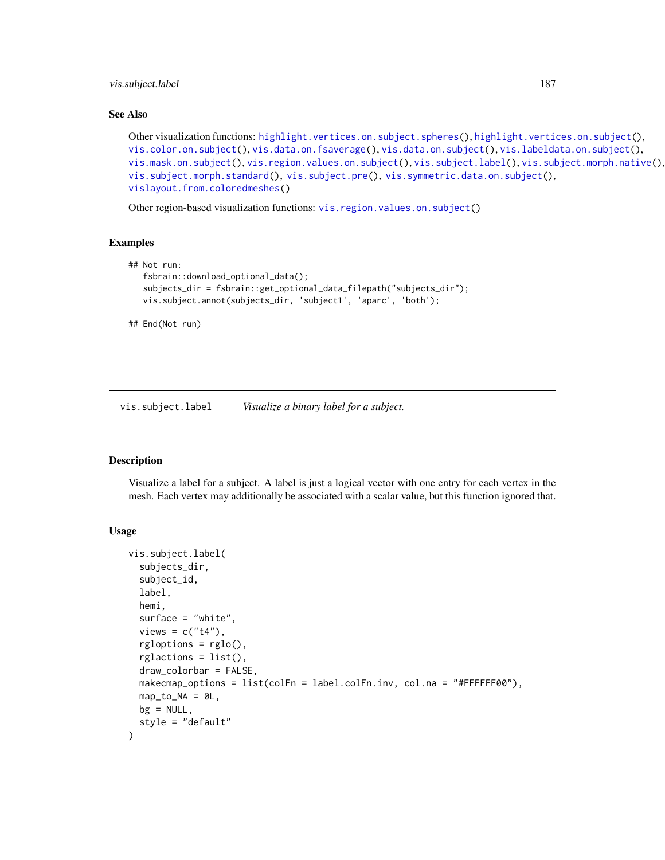## vis.subject.label 187

#### See Also

```
highlight.vertices.on.subject.spheres(highlight.vertices.on.subject(),
vis.color.on.subject(), vis.data.on.fsaverage(), vis.data.on.subject(), vis.labeldata.on.subject(),
vis.mask.on.subject(), vis.region.values.on.subject(), vis.subject.label(), vis.subject.morph.native(),
vis.subject.morph.standard(), vis.subject.pre(), vis.symmetric.data.on.subject(),
vislayout.from.coloredmeshes()
```
Other region-based visualization functions: [vis.region.values.on.subject\(](#page-181-0))

#### Examples

```
## Not run:
   fsbrain::download_optional_data();
   subjects_dir = fsbrain::get_optional_data_filepath("subjects_dir");
  vis.subject.annot(subjects_dir, 'subject1', 'aparc', 'both');
```
## End(Not run)

<span id="page-186-0"></span>vis.subject.label *Visualize a binary label for a subject.*

#### Description

Visualize a label for a subject. A label is just a logical vector with one entry for each vertex in the mesh. Each vertex may additionally be associated with a scalar value, but this function ignored that.

```
vis.subject.label(
  subjects_dir,
  subject_id,
  label,
  hemi,
  surface = "white",
  views = c("t4"),
  rgloptions = rglo(),
  rglactions = list(),
  draw_colorbar = FALSE,
 makecmap_options = list(colFn = label.colFn.inv, col.na = "#FFFFFF00"),
 map_to_NA = 0L,
 bg = NULL,style = "default"
)
```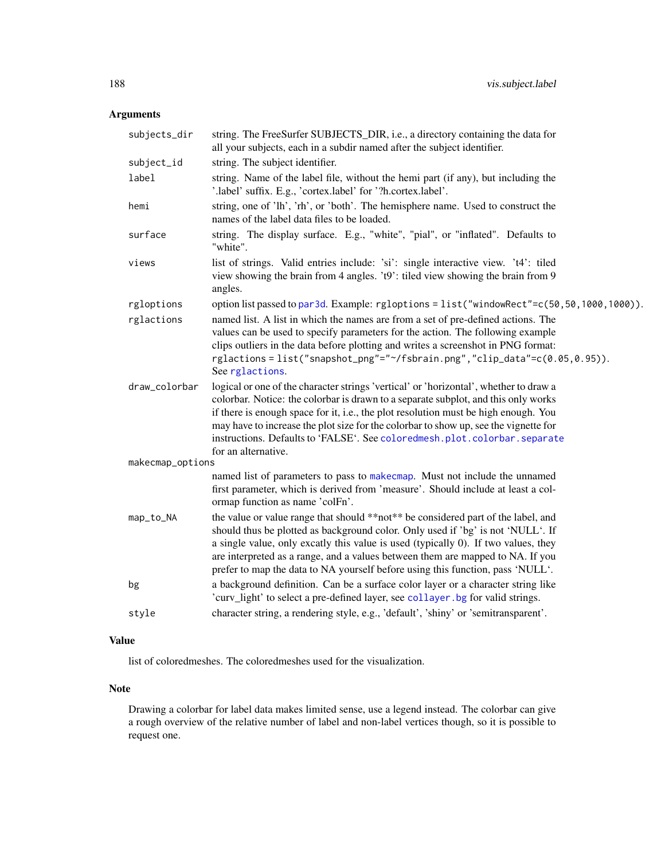# Arguments

| subjects_dir     | string. The FreeSurfer SUBJECTS_DIR, i.e., a directory containing the data for<br>all your subjects, each in a subdir named after the subject identifier.                                                                                                                                                                                                                                                                                                      |
|------------------|----------------------------------------------------------------------------------------------------------------------------------------------------------------------------------------------------------------------------------------------------------------------------------------------------------------------------------------------------------------------------------------------------------------------------------------------------------------|
| subject_id       | string. The subject identifier.                                                                                                                                                                                                                                                                                                                                                                                                                                |
| label            | string. Name of the label file, without the hemi part (if any), but including the<br>'.label' suffix. E.g., 'cortex.label' for '?h.cortex.label'.                                                                                                                                                                                                                                                                                                              |
| hemi             | string, one of 'lh', 'rh', or 'both'. The hemisphere name. Used to construct the<br>names of the label data files to be loaded.                                                                                                                                                                                                                                                                                                                                |
| surface          | string. The display surface. E.g., "white", "pial", or "inflated". Defaults to<br>"white".                                                                                                                                                                                                                                                                                                                                                                     |
| views            | list of strings. Valid entries include: 'si': single interactive view. 't4': tiled<br>view showing the brain from 4 angles. 't9': tiled view showing the brain from 9<br>angles.                                                                                                                                                                                                                                                                               |
| rgloptions       | option list passed to par3d. Example: rgloptions = list("windowRect"=c(50,50,1000,1000)).                                                                                                                                                                                                                                                                                                                                                                      |
| rglactions       | named list. A list in which the names are from a set of pre-defined actions. The<br>values can be used to specify parameters for the action. The following example<br>clips outliers in the data before plotting and writes a screenshot in PNG format:<br>rglactions=list("snapshot_png"="~/fsbrain.png","clip_data"=c(0.05,0.95)).<br>See rglactions.                                                                                                        |
| draw_colorbar    | logical or one of the character strings 'vertical' or 'horizontal', whether to draw a<br>colorbar. Notice: the colorbar is drawn to a separate subplot, and this only works<br>if there is enough space for it, i.e., the plot resolution must be high enough. You<br>may have to increase the plot size for the colorbar to show up, see the vignette for<br>instructions. Defaults to 'FALSE'. See coloredmesh.plot.colorbar.separate<br>for an alternative. |
| makecmap_options |                                                                                                                                                                                                                                                                                                                                                                                                                                                                |
|                  | named list of parameters to pass to makecmap. Must not include the unnamed<br>first parameter, which is derived from 'measure'. Should include at least a col-<br>ormap function as name 'colFn'.                                                                                                                                                                                                                                                              |
| map_to_NA        | the value or value range that should **not** be considered part of the label, and<br>should thus be plotted as background color. Only used if 'bg' is not 'NULL'. If<br>a single value, only excatly this value is used (typically 0). If two values, they<br>are interpreted as a range, and a values between them are mapped to NA. If you<br>prefer to map the data to NA yourself before using this function, pass 'NULL'.                                 |
| bg               | a background definition. Can be a surface color layer or a character string like<br>'curv_light' to select a pre-defined layer, see collayer. bg for valid strings.                                                                                                                                                                                                                                                                                            |
| style            | character string, a rendering style, e.g., 'default', 'shiny' or 'semitransparent'.                                                                                                                                                                                                                                                                                                                                                                            |
|                  |                                                                                                                                                                                                                                                                                                                                                                                                                                                                |

# Value

list of coloredmeshes. The coloredmeshes used for the visualization.

## Note

Drawing a colorbar for label data makes limited sense, use a legend instead. The colorbar can give a rough overview of the relative number of label and non-label vertices though, so it is possible to request one.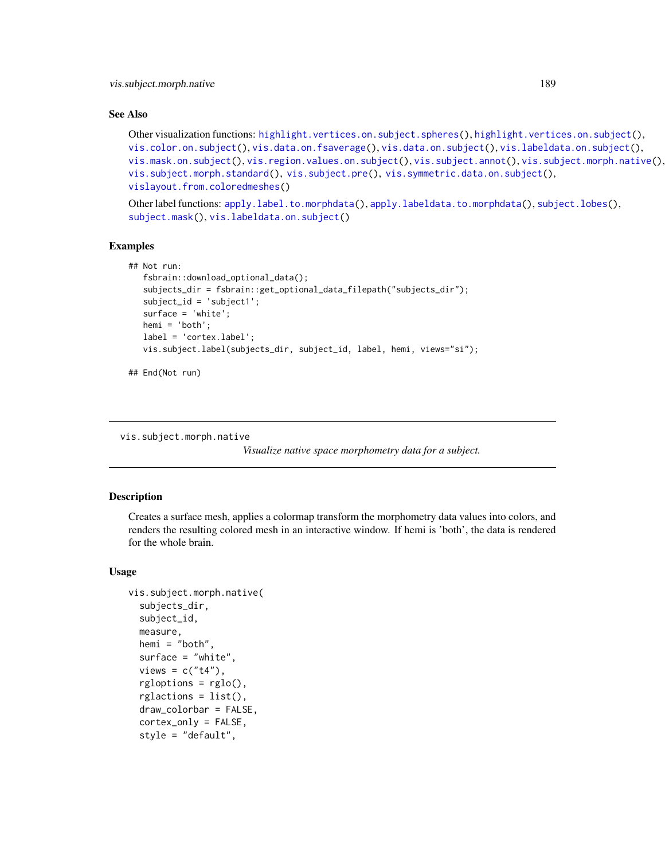#### See Also

```
highlight.vertices.on.subject.spheres(highlight.vertices.on.subject(),
vis.color.on.subject(), vis.data.on.fsaverage(), vis.data.on.subject(), vis.labeldata.on.subject(),
vis.mask.on.subject(), vis.region.values.on.subject(), vis.subject.annot(), vis.subject.morph.native(),
vis.subject.morph.standard(), vis.subject.pre(), vis.symmetric.data.on.subject(),
vislayout.from.coloredmeshes()
```
Other label functions: [apply.label.to.morphdata\(](#page-8-0)), [apply.labeldata.to.morphdata\(](#page-9-0)), [subject.lobes\(](#page-142-0)), [subject.mask\(](#page-143-0)), [vis.labeldata.on.subject\(](#page-174-0))

#### Examples

```
## Not run:
   fsbrain::download_optional_data();
   subjects_dir = fsbrain::get_optional_data_filepath("subjects_dir");
  subject_id = 'subject1';
   surface = 'white';
  hemi = 'both';
  label = 'cortex.label';
  vis.subject.label(subjects_dir, subject_id, label, hemi, views="si");
```

```
## End(Not run)
```
<span id="page-188-0"></span>vis.subject.morph.native

*Visualize native space morphometry data for a subject.*

#### Description

Creates a surface mesh, applies a colormap transform the morphometry data values into colors, and renders the resulting colored mesh in an interactive window. If hemi is 'both', the data is rendered for the whole brain.

```
vis.subject.morph.native(
  subjects_dir,
  subject_id,
  measure,
  hemi = "both",surface = "white",
  views = c("t4").rgbptions = rglo();rglactions = list(),
  draw_colorbar = FALSE,
  cortex_only = FALSE,
  style = "default",
```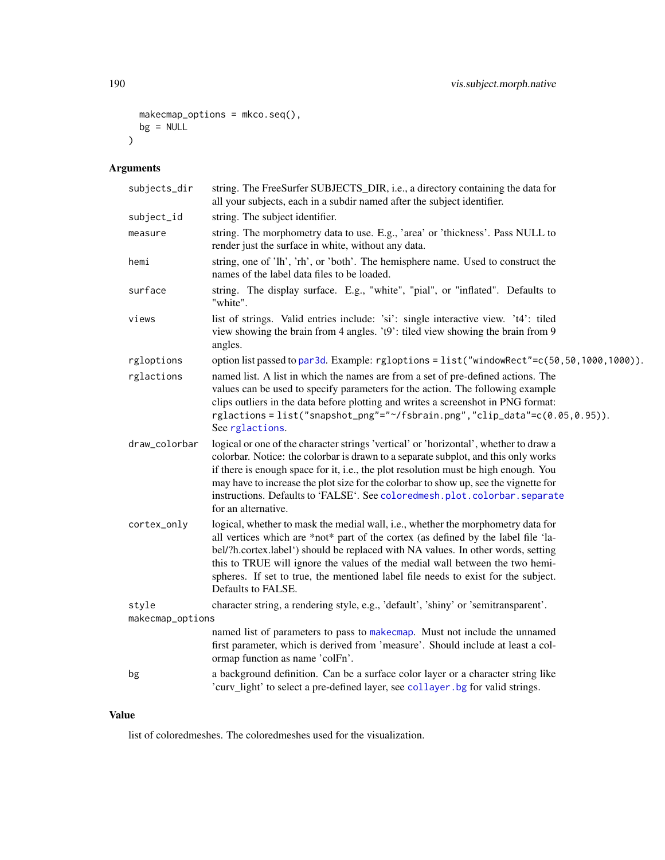```
makecmap_options = mkco.seq(),
  bg = NULL\mathcal{L}
```
# Arguments

| subjects_dir     | string. The FreeSurfer SUBJECTS_DIR, i.e., a directory containing the data for<br>all your subjects, each in a subdir named after the subject identifier.                                                                                                                                                                                                                                                                                                      |
|------------------|----------------------------------------------------------------------------------------------------------------------------------------------------------------------------------------------------------------------------------------------------------------------------------------------------------------------------------------------------------------------------------------------------------------------------------------------------------------|
| subject_id       | string. The subject identifier.                                                                                                                                                                                                                                                                                                                                                                                                                                |
| measure          | string. The morphometry data to use. E.g., 'area' or 'thickness'. Pass NULL to<br>render just the surface in white, without any data.                                                                                                                                                                                                                                                                                                                          |
| hemi             | string, one of 'lh', 'rh', or 'both'. The hemisphere name. Used to construct the<br>names of the label data files to be loaded.                                                                                                                                                                                                                                                                                                                                |
| surface          | string. The display surface. E.g., "white", "pial", or "inflated". Defaults to<br>"white".                                                                                                                                                                                                                                                                                                                                                                     |
| views            | list of strings. Valid entries include: 'si': single interactive view. 't4': tiled<br>view showing the brain from 4 angles. 't9': tiled view showing the brain from 9<br>angles.                                                                                                                                                                                                                                                                               |
| rgloptions       | option list passed to par3d. Example: rgloptions = list("windowRect"=c(50,50,1000,1000)).                                                                                                                                                                                                                                                                                                                                                                      |
| rglactions       | named list. A list in which the names are from a set of pre-defined actions. The<br>values can be used to specify parameters for the action. The following example<br>clips outliers in the data before plotting and writes a screenshot in PNG format:<br>rglactions=list("snapshot_png"="~/fsbrain.png","clip_data"=c(0.05,0.95)).<br>See rglactions.                                                                                                        |
| draw_colorbar    | logical or one of the character strings 'vertical' or 'horizontal', whether to draw a<br>colorbar. Notice: the colorbar is drawn to a separate subplot, and this only works<br>if there is enough space for it, i.e., the plot resolution must be high enough. You<br>may have to increase the plot size for the colorbar to show up, see the vignette for<br>instructions. Defaults to 'FALSE'. See coloredmesh.plot.colorbar.separate<br>for an alternative. |
| cortex_only      | logical, whether to mask the medial wall, i.e., whether the morphometry data for<br>all vertices which are *not* part of the cortex (as defined by the label file 'la-<br>bel/?h.cortex.label') should be replaced with NA values. In other words, setting<br>this to TRUE will ignore the values of the medial wall between the two hemi-<br>spheres. If set to true, the mentioned label file needs to exist for the subject.<br>Defaults to FALSE.          |
| style            | character string, a rendering style, e.g., 'default', 'shiny' or 'semitransparent'.                                                                                                                                                                                                                                                                                                                                                                            |
| makecmap_options |                                                                                                                                                                                                                                                                                                                                                                                                                                                                |
|                  | named list of parameters to pass to makecmap. Must not include the unnamed<br>first parameter, which is derived from 'measure'. Should include at least a col-<br>ormap function as name 'colFn'.                                                                                                                                                                                                                                                              |
| bg               | a background definition. Can be a surface color layer or a character string like<br>'curv_light' to select a pre-defined layer, see collayer. bg for valid strings.                                                                                                                                                                                                                                                                                            |

## Value

list of coloredmeshes. The coloredmeshes used for the visualization.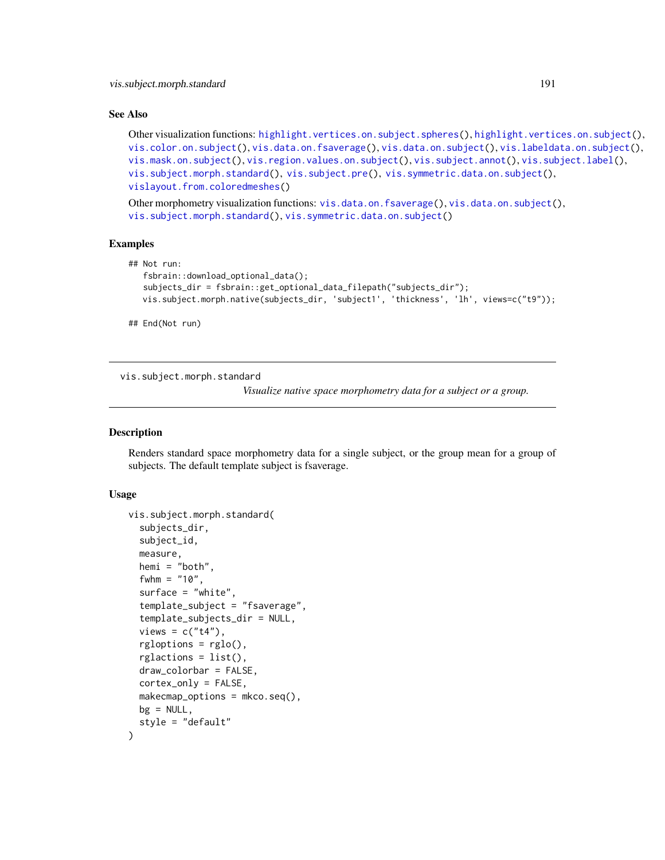#### See Also

```
highlight.vertices.on.subject.spheres(highlight.vertices.on.subject(),
vis.color.on.subject(), vis.data.on.fsaverage(), vis.data.on.subject(), vis.labeldata.on.subject(),
vis.mask.on.subject(), vis.region.values.on.subject(), vis.subject.annot(), vis.subject.label(),
vis.subject.morph.standard(), vis.subject.pre(), vis.symmetric.data.on.subject(),
vislayout.from.coloredmeshes()
```
Other morphometry visualization functions: [vis.data.on.fsaverage\(](#page-159-0)), [vis.data.on.subject\(](#page-163-0)), [vis.subject.morph.standard\(](#page-190-0)), [vis.symmetric.data.on.subject\(](#page-194-0))

#### Examples

```
## Not run:
   fsbrain::download_optional_data();
   subjects_dir = fsbrain::get_optional_data_filepath("subjects_dir");
  vis.subject.morph.native(subjects_dir, 'subject1', 'thickness', 'lh', views=c("t9"));
```
## End(Not run)

<span id="page-190-0"></span>vis.subject.morph.standard

*Visualize native space morphometry data for a subject or a group.*

#### Description

Renders standard space morphometry data for a single subject, or the group mean for a group of subjects. The default template subject is fsaverage.

```
vis.subject.morph.standard(
  subjects_dir,
  subject_id,
  measure,
  hemi = "both",
  fwhm = "10",
  surface = "white",
  template_subject = "fsaverage",
  template_subjects_dir = NULL,
  views = c("t4"),
  rgbptions = rglo();rglactions = list(),
  draw_colorbar = FALSE,
  cortex_only = FALSE,
  makemap_ options = mkco.seq(),
 bg = NULL,style = "default"
)
```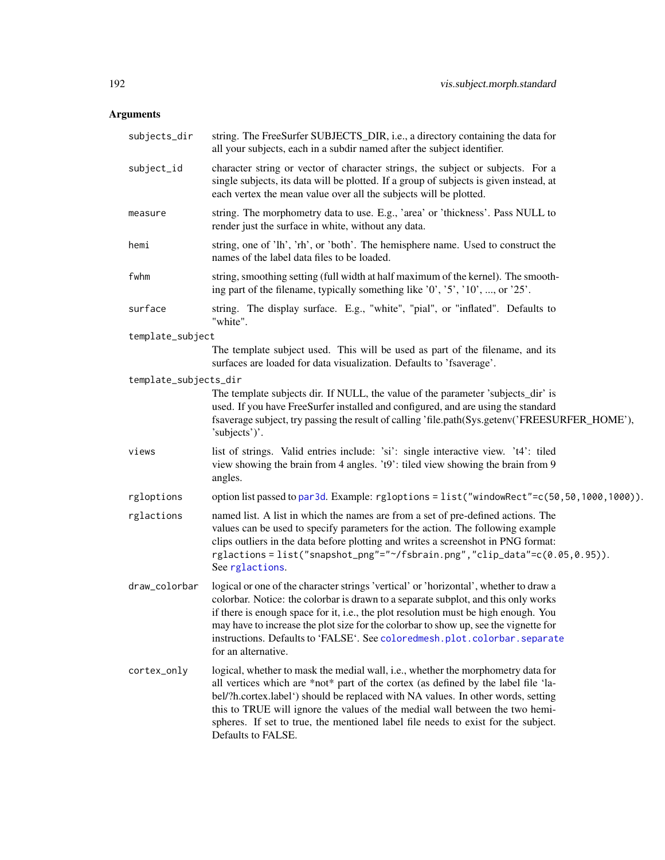| subjects_dir          | string. The FreeSurfer SUBJECTS_DIR, i.e., a directory containing the data for<br>all your subjects, each in a subdir named after the subject identifier.                                                                                                                                                                                                                                                                                                      |
|-----------------------|----------------------------------------------------------------------------------------------------------------------------------------------------------------------------------------------------------------------------------------------------------------------------------------------------------------------------------------------------------------------------------------------------------------------------------------------------------------|
| subject_id            | character string or vector of character strings, the subject or subjects. For a<br>single subjects, its data will be plotted. If a group of subjects is given instead, at<br>each vertex the mean value over all the subjects will be plotted.                                                                                                                                                                                                                 |
| measure               | string. The morphometry data to use. E.g., 'area' or 'thickness'. Pass NULL to<br>render just the surface in white, without any data.                                                                                                                                                                                                                                                                                                                          |
| hemi                  | string, one of 'lh', 'rh', or 'both'. The hemisphere name. Used to construct the<br>names of the label data files to be loaded.                                                                                                                                                                                                                                                                                                                                |
| fwhm                  | string, smoothing setting (full width at half maximum of the kernel). The smooth-<br>ing part of the filename, typically something like '0', '5', '10', , or '25'.                                                                                                                                                                                                                                                                                             |
| surface               | string. The display surface. E.g., "white", "pial", or "inflated". Defaults to<br>"white".                                                                                                                                                                                                                                                                                                                                                                     |
| template_subject      |                                                                                                                                                                                                                                                                                                                                                                                                                                                                |
|                       | The template subject used. This will be used as part of the filename, and its<br>surfaces are loaded for data visualization. Defaults to 'fsaverage'.                                                                                                                                                                                                                                                                                                          |
| template_subjects_dir |                                                                                                                                                                                                                                                                                                                                                                                                                                                                |
|                       | The template subjects dir. If NULL, the value of the parameter 'subjects_dir' is<br>used. If you have FreeSurfer installed and configured, and are using the standard<br>fsaverage subject, try passing the result of calling 'file.path(Sys.getenv('FREESURFER_HOME'),<br>'subjects')'.                                                                                                                                                                       |
| views                 | list of strings. Valid entries include: 'si': single interactive view. 't4': tiled<br>view showing the brain from 4 angles. 't9': tiled view showing the brain from 9<br>angles.                                                                                                                                                                                                                                                                               |
| rgloptions            | option list passed to par3d. Example: rgloptions = list("windowRect"=c(50,50,1000,1000)).                                                                                                                                                                                                                                                                                                                                                                      |
| rglactions            | named list. A list in which the names are from a set of pre-defined actions. The<br>values can be used to specify parameters for the action. The following example<br>clips outliers in the data before plotting and writes a screenshot in PNG format:<br>rglactions=list("snapshot_png"="~/fsbrain.png","clip_data"=c(0.05,0.95)).<br>See rglactions.                                                                                                        |
| draw_colorbar         | logical or one of the character strings 'vertical' or 'horizontal', whether to draw a<br>colorbar. Notice: the colorbar is drawn to a separate subplot, and this only works<br>if there is enough space for it, i.e., the plot resolution must be high enough. You<br>may have to increase the plot size for the colorbar to show up, see the vignette for<br>instructions. Defaults to 'FALSE'. See coloredmesh.plot.colorbar.separate<br>for an alternative. |
| cortex_only           | logical, whether to mask the medial wall, i.e., whether the morphometry data for<br>all vertices which are *not* part of the cortex (as defined by the label file 'la-<br>bel/?h.cortex.label') should be replaced with NA values. In other words, setting<br>this to TRUE will ignore the values of the medial wall between the two hemi-<br>spheres. If set to true, the mentioned label file needs to exist for the subject.<br>Defaults to FALSE.          |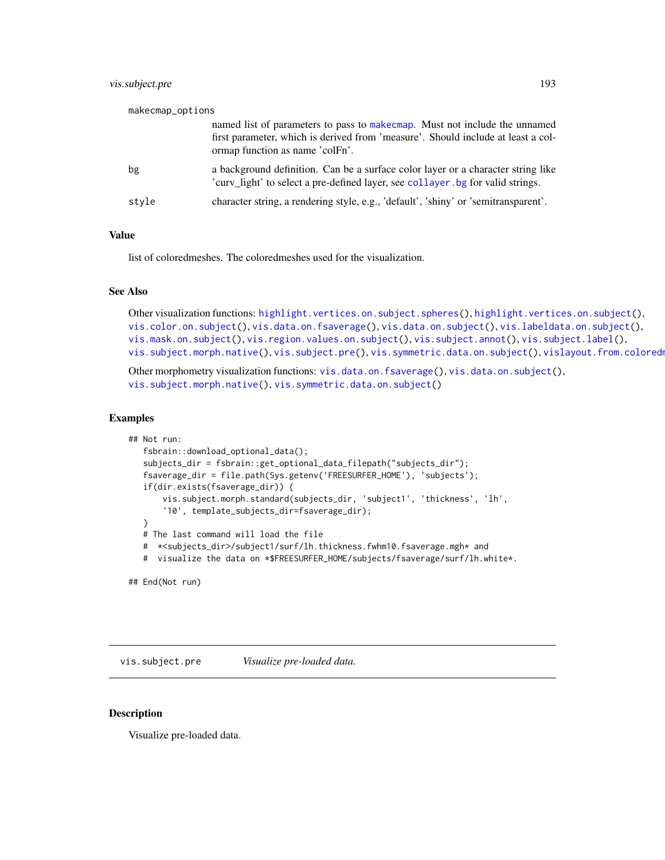## vis.subject.pre 193

| makecmap_options |                                                                                                                                                                                                    |
|------------------|----------------------------------------------------------------------------------------------------------------------------------------------------------------------------------------------------|
|                  | named list of parameters to pass to make cmap. Must not include the unnamed<br>first parameter, which is derived from 'measure'. Should include at least a col-<br>ormap function as name 'colFn'. |
| bg               | a background definition. Can be a surface color layer or a character string like<br>'curv_light' to select a pre-defined layer, see collayer. bg for valid strings.                                |
| style            | character string, a rendering style, e.g., 'default', 'shiny' or 'semitransparent'.                                                                                                                |

#### Value

list of coloredmeshes. The coloredmeshes used for the visualization.

#### See Also

```
highlight.vertices.on.subject.spheres(highlight.vertices.on.subject(),
vis.color.on.subject(), vis.data.on.fsaverage(), vis.data.on.subject(), vis.labeldata.on.subject(),
vis.mask.on.subject(), vis.region.values.on.subject(), vis.subject.annot(), vis.subject.label(),
vis.subject.morph.native(vis.subject.pre(vis.symmetric.data.on.subject(), vislayout.from.coloredmeshines
```

```
Other morphometry visualization functions: vis.data.on.fsaverage(), vis.data.on.subject(),
vis.subject.morph.native(), vis.symmetric.data.on.subject()
```
#### Examples

```
## Not run:
   fsbrain::download_optional_data();
   subjects_dir = fsbrain::get_optional_data_filepath("subjects_dir");
   fsaverage_dir = file.path(Sys.getenv('FREESURFER_HOME'), 'subjects');
   if(dir.exists(fsaverage_dir)) {
      vis.subject.morph.standard(subjects_dir, 'subject1', 'thickness', 'lh',
       '10', template_subjects_dir=fsaverage_dir);
   }
  # The last command will load the file
   # *<subjects_dir>/subject1/surf/lh.thickness.fwhm10.fsaverage.mgh* and
  # visualize the data on *$FREESURFER_HOME/subjects/fsaverage/surf/lh.white*.
```
## End(Not run)

<span id="page-192-0"></span>vis.subject.pre *Visualize pre-loaded data.*

#### Description

Visualize pre-loaded data.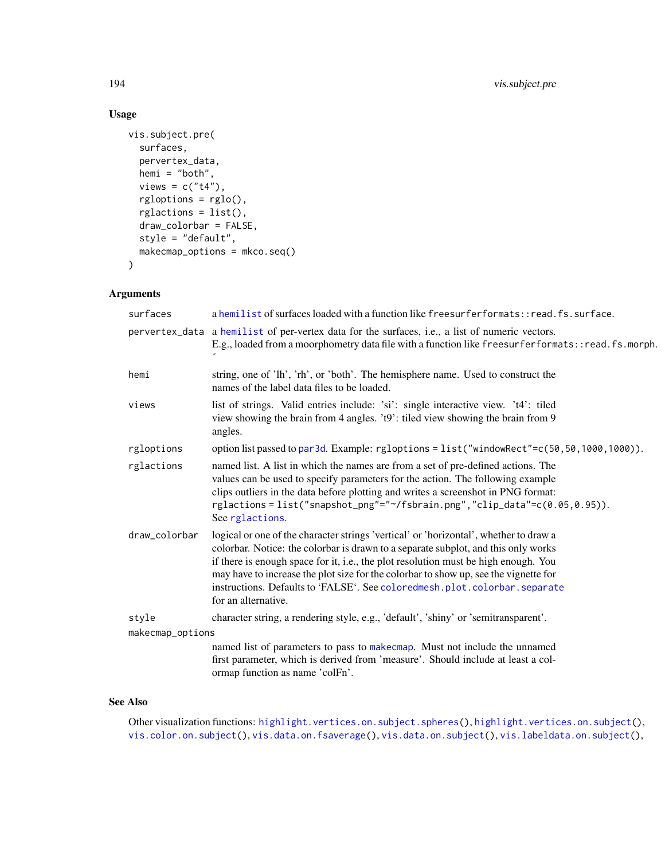# Usage

```
vis.subject.pre(
  surfaces,
  pervertex_data,
  hemi = "both",
  views = c("t4"),
  rgloptions = rglo(),
  rglactions = list(),
  draw_colorbar = FALSE,
  style = "default",
  makecmap_options = mkco.seq()
\mathcal{L}
```
## Arguments

| surfaces         | a hemilist of surfaces loaded with a function like freesurferformats::read.fs.surface.                                                                                                                                                                                                                                                                                                                                                                         |
|------------------|----------------------------------------------------------------------------------------------------------------------------------------------------------------------------------------------------------------------------------------------------------------------------------------------------------------------------------------------------------------------------------------------------------------------------------------------------------------|
|                  | pervertex_data a hemilist of per-vertex data for the surfaces, i.e., a list of numeric vectors.<br>E.g., loaded from a moorphometry data file with a function like freesurferformats::read.fs.morph.                                                                                                                                                                                                                                                           |
| hemi             | string, one of 'lh', 'rh', or 'both'. The hemisphere name. Used to construct the<br>names of the label data files to be loaded.                                                                                                                                                                                                                                                                                                                                |
| views            | list of strings. Valid entries include: 'si': single interactive view. 't4': tiled<br>view showing the brain from 4 angles. 't9': tiled view showing the brain from 9<br>angles.                                                                                                                                                                                                                                                                               |
| rgloptions       | option list passed to par3d. Example: rgloptions = list("windowRect"=c(50,50,1000,1000)).                                                                                                                                                                                                                                                                                                                                                                      |
| rglactions       | named list. A list in which the names are from a set of pre-defined actions. The<br>values can be used to specify parameters for the action. The following example<br>clips outliers in the data before plotting and writes a screenshot in PNG format:<br>rglactions=list("snapshot_png"="~/fsbrain.png","clip_data"=c(0.05,0.95)).<br>See rglactions.                                                                                                        |
| draw_colorbar    | logical or one of the character strings 'vertical' or 'horizontal', whether to draw a<br>colorbar. Notice: the colorbar is drawn to a separate subplot, and this only works<br>if there is enough space for it, i.e., the plot resolution must be high enough. You<br>may have to increase the plot size for the colorbar to show up, see the vignette for<br>instructions. Defaults to 'FALSE'. See coloredmesh.plot.colorbar.separate<br>for an alternative. |
| style            | character string, a rendering style, e.g., 'default', 'shiny' or 'semitransparent'.                                                                                                                                                                                                                                                                                                                                                                            |
| makecmap_options |                                                                                                                                                                                                                                                                                                                                                                                                                                                                |
|                  | named list of parameters to pass to makecmap. Must not include the unnamed<br>first parameter, which is derived from 'measure'. Should include at least a col-<br>ormap function as name 'colFn'.                                                                                                                                                                                                                                                              |

## See Also

Other visualization functions: [highlight.vertices.on.subject.spheres\(](#page-96-0)), [highlight.vertices.on.subject\(](#page-95-0)), [vis.color.on.subject\(](#page-154-0)), [vis.data.on.fsaverage\(](#page-159-0)), [vis.data.on.subject\(](#page-163-0)), [vis.labeldata.on.subject\(](#page-174-0)),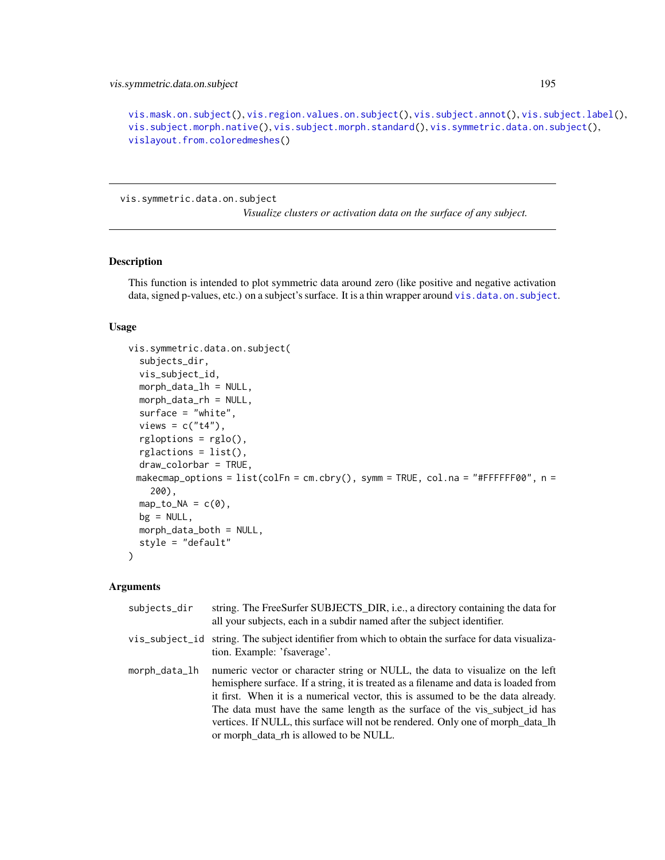```
vis.mask.on.subject(), vis.region.values.on.subject(), vis.subject.annot(), vis.subject.label(),
vis.subject.morph.native(), vis.subject.morph.standard(), vis.symmetric.data.on.subject(),
vislayout.from.coloredmeshes()
```
<span id="page-194-0"></span>vis.symmetric.data.on.subject

*Visualize clusters or activation data on the surface of any subject.*

#### Description

This function is intended to plot symmetric data around zero (like positive and negative activation data, signed p-values, etc.) on a subject's surface. It is a thin wrapper around [vis.data.on.subject](#page-163-0).

## Usage

```
vis.symmetric.data.on.subject(
  subjects_dir,
 vis_subject_id,
 morph_data_lh = NULL,
 morph_data_rh = NULL,
  surface = "white",views = c("t4"),rgloptions = rglo(),
  rglactions = list(),draw_colorbar = TRUE,
 makecmap_options = list(colFn = cm.cbry(), symm = TRUE, col.na = "#FFFFFF00", n =
    200),
 map_to_NA = c(0),
 bg = NULL,morph_data_both = NULL,
  style = "default"
)
```

| subjects_dir  | string. The FreeSurfer SUBJECTS_DIR, i.e., a directory containing the data for<br>all your subjects, each in a subdir named after the subject identifier.                                                                                                                                                                                                                                                                                                              |
|---------------|------------------------------------------------------------------------------------------------------------------------------------------------------------------------------------------------------------------------------------------------------------------------------------------------------------------------------------------------------------------------------------------------------------------------------------------------------------------------|
|               | vis_subject_id string. The subject identifier from which to obtain the surface for data visualiza-<br>tion. Example: 'fsaverage'.                                                                                                                                                                                                                                                                                                                                      |
| morph_data_lh | numeric vector or character string or NULL, the data to visualize on the left<br>hemisphere surface. If a string, it is treated as a filename and data is loaded from<br>it first. When it is a numerical vector, this is assumed to be the data already.<br>The data must have the same length as the surface of the vis_subject_id has<br>vertices. If NULL, this surface will not be rendered. Only one of morph_data_lh<br>or morph_data_rh is allowed to be NULL. |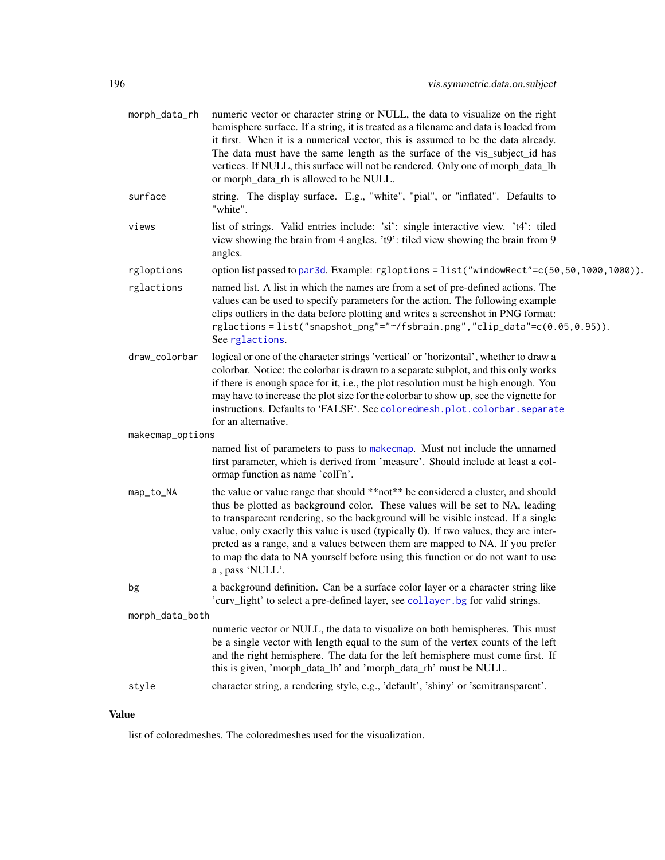| morph_data_rh    | numeric vector or character string or NULL, the data to visualize on the right<br>hemisphere surface. If a string, it is treated as a filename and data is loaded from<br>it first. When it is a numerical vector, this is assumed to be the data already.<br>The data must have the same length as the surface of the vis_subject_id has<br>vertices. If NULL, this surface will not be rendered. Only one of morph_data_lh<br>or morph_data_rh is allowed to be NULL.                                                             |
|------------------|-------------------------------------------------------------------------------------------------------------------------------------------------------------------------------------------------------------------------------------------------------------------------------------------------------------------------------------------------------------------------------------------------------------------------------------------------------------------------------------------------------------------------------------|
| surface          | string. The display surface. E.g., "white", "pial", or "inflated". Defaults to<br>"white".                                                                                                                                                                                                                                                                                                                                                                                                                                          |
| views            | list of strings. Valid entries include: 'si': single interactive view. 't4': tiled<br>view showing the brain from 4 angles. 't9': tiled view showing the brain from 9<br>angles.                                                                                                                                                                                                                                                                                                                                                    |
| rgloptions       | option list passed to par3d. Example: rgloptions = list("windowRect"=c(50,50,1000,1000)).                                                                                                                                                                                                                                                                                                                                                                                                                                           |
| rglactions       | named list. A list in which the names are from a set of pre-defined actions. The<br>values can be used to specify parameters for the action. The following example<br>clips outliers in the data before plotting and writes a screenshot in PNG format:<br>rglactions=list("snapshot_png"="~/fsbrain.png","clip_data"=c(0.05,0.95)).<br>See rglactions.                                                                                                                                                                             |
| draw_colorbar    | logical or one of the character strings 'vertical' or 'horizontal', whether to draw a<br>colorbar. Notice: the colorbar is drawn to a separate subplot, and this only works<br>if there is enough space for it, i.e., the plot resolution must be high enough. You<br>may have to increase the plot size for the colorbar to show up, see the vignette for<br>instructions. Defaults to 'FALSE'. See coloredmesh.plot.colorbar.separate<br>for an alternative.                                                                      |
| makecmap_options |                                                                                                                                                                                                                                                                                                                                                                                                                                                                                                                                     |
|                  | named list of parameters to pass to makecmap. Must not include the unnamed<br>first parameter, which is derived from 'measure'. Should include at least a col-<br>ormap function as name 'colFn'.                                                                                                                                                                                                                                                                                                                                   |
| map_to_NA        | the value or value range that should **not** be considered a cluster, and should<br>thus be plotted as background color. These values will be set to NA, leading<br>to transparcent rendering, so the background will be visible instead. If a single<br>value, only exactly this value is used (typically 0). If two values, they are inter-<br>preted as a range, and a values between them are mapped to NA. If you prefer<br>to map the data to NA yourself before using this function or do not want to use<br>a, pass 'NULL'. |
| bg               | a background definition. Can be a surface color layer or a character string like<br>'curv_light' to select a pre-defined layer, see collayer. bg for valid strings.                                                                                                                                                                                                                                                                                                                                                                 |
| morph_data_both  |                                                                                                                                                                                                                                                                                                                                                                                                                                                                                                                                     |
|                  | numeric vector or NULL, the data to visualize on both hemispheres. This must<br>be a single vector with length equal to the sum of the vertex counts of the left<br>and the right hemisphere. The data for the left hemisphere must come first. If<br>this is given, 'morph_data_lh' and 'morph_data_rh' must be NULL.                                                                                                                                                                                                              |
| style            | character string, a rendering style, e.g., 'default', 'shiny' or 'semitransparent'.                                                                                                                                                                                                                                                                                                                                                                                                                                                 |
|                  |                                                                                                                                                                                                                                                                                                                                                                                                                                                                                                                                     |

# Value

list of coloredmeshes. The coloredmeshes used for the visualization.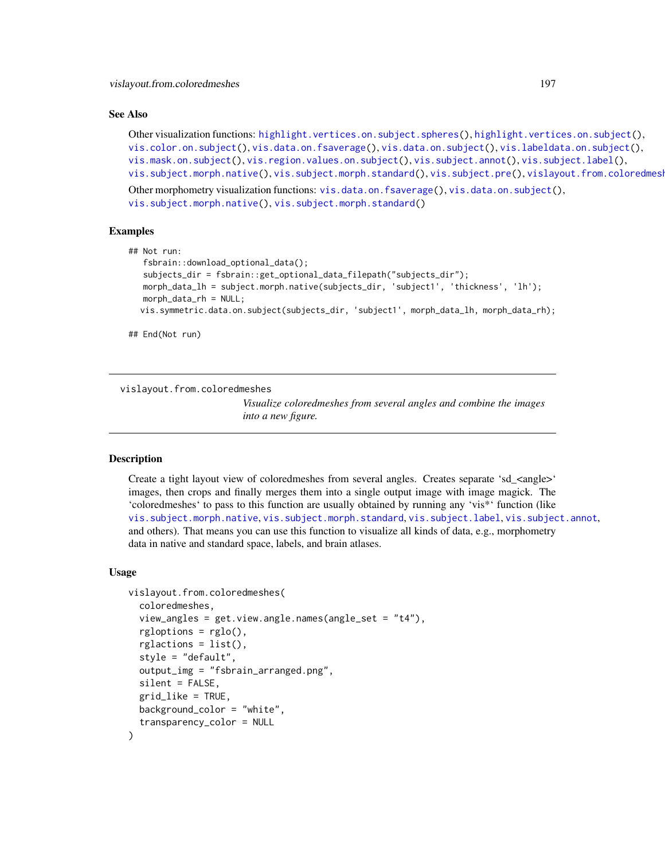#### See Also

```
highlight.vertices.on.subject.spheres(highlight.vertices.on.subject(),
vis.color.on.subject(), vis.data.on.fsaverage(), vis.data.on.subject(), vis.labeldata.on.subject(),
vis.mask.on.subject(), vis.region.values.on.subject(), vis.subject.annot(), vis.subject.label(),
vis.subject.morph.native(vis.subject.morph.standard(vis.subject.pre(), vislayout.from.coloredmesh
```
Other morphometry visualization functions: [vis.data.on.fsaverage\(](#page-159-0)), [vis.data.on.subject\(](#page-163-0)), [vis.subject.morph.native\(](#page-188-0)), [vis.subject.morph.standard\(](#page-190-0))

## Examples

```
## Not run:
  fsbrain::download_optional_data();
   subjects_dir = fsbrain::get_optional_data_filepath("subjects_dir");
  morph_data_lh = subject.morph.native(subjects_dir, 'subject1', 'thickness', 'lh');
  morph_data_rh = NULL;
  vis.symmetric.data.on.subject(subjects_dir, 'subject1', morph_data_lh, morph_data_rh);
```
## End(Not run)

<span id="page-196-0"></span>vislayout.from.coloredmeshes

*Visualize coloredmeshes from several angles and combine the images into a new figure.*

#### Description

Create a tight layout view of coloredmeshes from several angles. Creates separate 'sd\_<angle>' images, then crops and finally merges them into a single output image with image magick. The 'coloredmeshes' to pass to this function are usually obtained by running any 'vis\*' function (like [vis.subject.morph.native](#page-188-0), [vis.subject.morph.standard](#page-190-0), [vis.subject.label](#page-186-0), [vis.subject.annot](#page-184-0), and others). That means you can use this function to visualize all kinds of data, e.g., morphometry data in native and standard space, labels, and brain atlases.

```
vislayout.from.coloredmeshes(
  coloredmeshes,
  view_angles = get.view.angle.names(angle_set = "t4"),
  rgloptions = rglo(),
  rglactions = list(),
  style = "default",
  output_img = "fsbrain_arranged.png",
  silent = FALSE,
  grid_like = TRUE,
 background_color = "white",
  transparency_color = NULL
)
```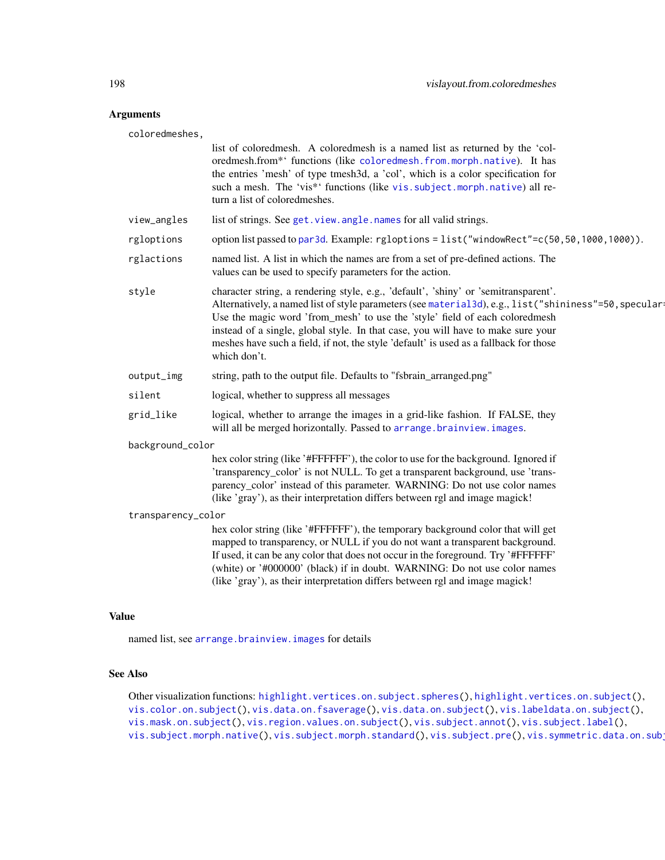## Arguments

coloredmeshes,

|                    | list of coloredmesh. A coloredmesh is a named list as returned by the 'col-<br>oredmesh.from*' functions (like coloredmesh.from.morph.native). It has<br>the entries 'mesh' of type tmesh3d, a 'col', which is a color specification for<br>such a mesh. The 'vis*' functions (like vis. subject. morph. native) all re-<br>turn a list of coloredmeshes.                                                                                                                   |
|--------------------|-----------------------------------------------------------------------------------------------------------------------------------------------------------------------------------------------------------------------------------------------------------------------------------------------------------------------------------------------------------------------------------------------------------------------------------------------------------------------------|
| view_angles        | list of strings. See get. view. angle. names for all valid strings.                                                                                                                                                                                                                                                                                                                                                                                                         |
| rgloptions         | option list passed to par3d. Example: rgloptions = list("windowRect"=c(50,50,1000,1000)).                                                                                                                                                                                                                                                                                                                                                                                   |
| rglactions         | named list. A list in which the names are from a set of pre-defined actions. The<br>values can be used to specify parameters for the action.                                                                                                                                                                                                                                                                                                                                |
| style              | character string, a rendering style, e.g., 'default', 'shiny' or 'semitransparent'.<br>Alternatively, a named list of style parameters (see material 3d), e.g., list ("shininess"=50, speculari<br>Use the magic word 'from_mesh' to use the 'style' field of each coloredmesh<br>instead of a single, global style. In that case, you will have to make sure your<br>meshes have such a field, if not, the style 'default' is used as a fallback for those<br>which don't. |
| output_img         | string, path to the output file. Defaults to "fsbrain_arranged.png"                                                                                                                                                                                                                                                                                                                                                                                                         |
| silent             | logical, whether to suppress all messages                                                                                                                                                                                                                                                                                                                                                                                                                                   |
| grid_like          | logical, whether to arrange the images in a grid-like fashion. If FALSE, they<br>will all be merged horizontally. Passed to arrange.brainview.images.                                                                                                                                                                                                                                                                                                                       |
| background_color   |                                                                                                                                                                                                                                                                                                                                                                                                                                                                             |
|                    | hex color string (like '#FFFFFF'), the color to use for the background. Ignored if<br>'transparency_color' is not NULL. To get a transparent background, use 'trans-<br>parency_color' instead of this parameter. WARNING: Do not use color names<br>(like 'gray'), as their interpretation differs between rgl and image magick!                                                                                                                                           |
| transparency_color |                                                                                                                                                                                                                                                                                                                                                                                                                                                                             |
|                    | hex color string (like '#FFFFFF'), the temporary background color that will get<br>mapped to transparency, or NULL if you do not want a transparent background.<br>If used, it can be any color that does not occur in the foreground. Try '#FFFFFF'<br>(white) or '#000000' (black) if in doubt. WARNING: Do not use color names<br>(like 'gray'), as their interpretation differs between rgl and image magick!                                                           |
|                    |                                                                                                                                                                                                                                                                                                                                                                                                                                                                             |

# Value

named list, see [arrange.brainview.images](#page-10-0) for details

## See Also

Other visualization functions: [highlight.vertices.on.subject.spheres\(](#page-96-0)), [highlight.vertices.on.subject\(](#page-95-0)), [vis.color.on.subject\(](#page-154-0)), [vis.data.on.fsaverage\(](#page-159-0)), [vis.data.on.subject\(](#page-163-0)), [vis.labeldata.on.subject\(](#page-174-0)), [vis.mask.on.subject\(](#page-176-0)), [vis.region.values.on.subject\(](#page-181-0)), [vis.subject.annot\(](#page-184-0)), [vis.subject.label\(](#page-186-0)), [vis.subject.morph.native\(](#page-188-0)), [vis.subject.morph.standard\(](#page-190-0)), [vis.subject.pre\(](#page-192-0)), vis.symmetric.data.on.sub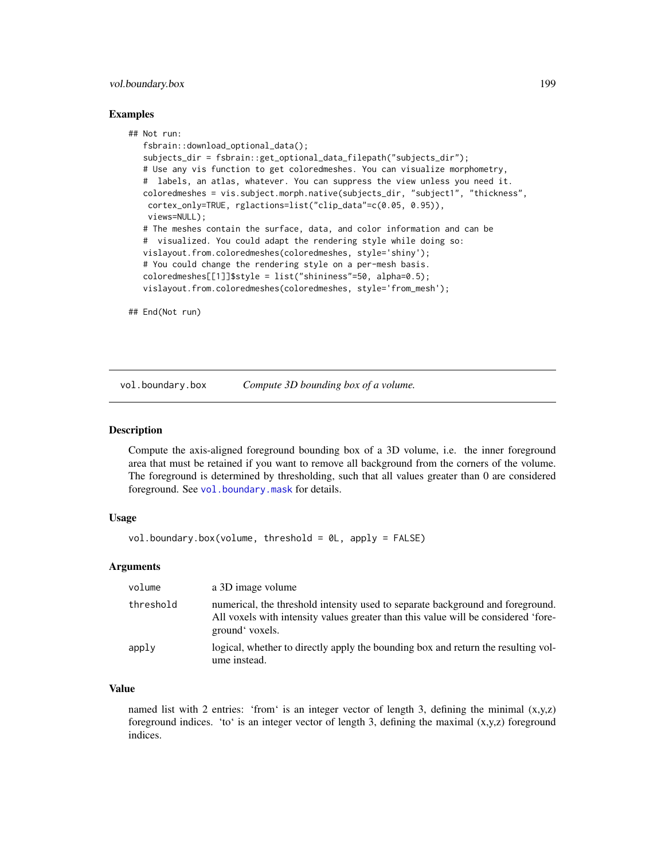## vol.boundary.box 199

#### Examples

```
## Not run:
  fsbrain::download_optional_data();
   subjects_dir = fsbrain::get_optional_data_filepath("subjects_dir");
  # Use any vis function to get coloredmeshes. You can visualize morphometry,
   # labels, an atlas, whatever. You can suppress the view unless you need it.
  coloredmeshes = vis.subject.morph.native(subjects_dir, "subject1", "thickness",
   cortex_only=TRUE, rglactions=list("clip_data"=c(0.05, 0.95)),
   views=NULL);
   # The meshes contain the surface, data, and color information and can be
   # visualized. You could adapt the rendering style while doing so:
  vislayout.from.coloredmeshes(coloredmeshes, style='shiny');
   # You could change the rendering style on a per-mesh basis.
  coloredmeshes[[1]]$style = list("shininess"=50, alpha=0.5);
  vislayout.from.coloredmeshes(coloredmeshes, style='from_mesh');
```
## End(Not run)

<span id="page-198-0"></span>vol.boundary.box *Compute 3D bounding box of a volume.*

#### Description

Compute the axis-aligned foreground bounding box of a 3D volume, i.e. the inner foreground area that must be retained if you want to remove all background from the corners of the volume. The foreground is determined by thresholding, such that all values greater than 0 are considered foreground. See [vol.boundary.mask](#page-0-0) for details.

#### Usage

```
vol.boundary.box(volume, threshold = 0L, apply = FALSE)
```
#### Arguments

| volume    | a 3D image volume                                                                                                                                                                       |
|-----------|-----------------------------------------------------------------------------------------------------------------------------------------------------------------------------------------|
| threshold | numerical, the threshold intensity used to separate background and foreground.<br>All voxels with intensity values greater than this value will be considered 'fore-<br>ground' voxels. |
| apply     | logical, whether to directly apply the bounding box and return the resulting vol-<br>ume instead.                                                                                       |

## Value

named list with 2 entries: 'from' is an integer vector of length 3, defining the minimal  $(x,y,z)$ foreground indices. 'to' is an integer vector of length 3, defining the maximal  $(x,y,z)$  foreground indices.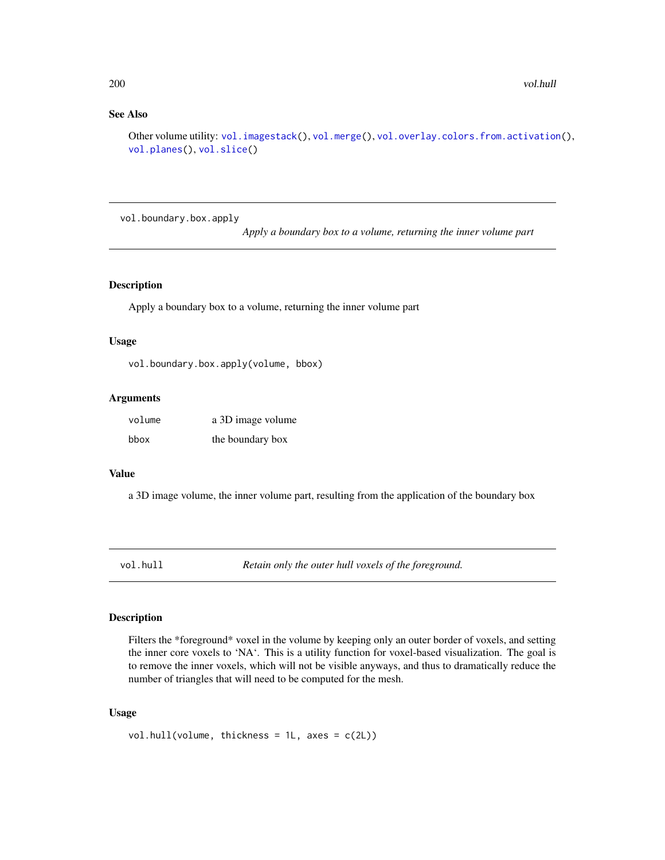## See Also

Other volume utility: [vol.imagestack\(](#page-200-0)), [vol.merge\(](#page-202-0)), [vol.overlay.colors.from.activation\(](#page-203-0)), [vol.planes\(](#page-205-0)), [vol.slice\(](#page-205-1))

vol.boundary.box.apply

*Apply a boundary box to a volume, returning the inner volume part*

## Description

Apply a boundary box to a volume, returning the inner volume part

## Usage

vol.boundary.box.apply(volume, bbox)

#### Arguments

| volume | a 3D image volume |
|--------|-------------------|
| bbox   | the boundary box  |

## Value

a 3D image volume, the inner volume part, resulting from the application of the boundary box

vol.hull *Retain only the outer hull voxels of the foreground.*

#### Description

Filters the \*foreground\* voxel in the volume by keeping only an outer border of voxels, and setting the inner core voxels to 'NA'. This is a utility function for voxel-based visualization. The goal is to remove the inner voxels, which will not be visible anyways, and thus to dramatically reduce the number of triangles that will need to be computed for the mesh.

```
vol.hull(volume, thickness = 1L, axes = c(2L))
```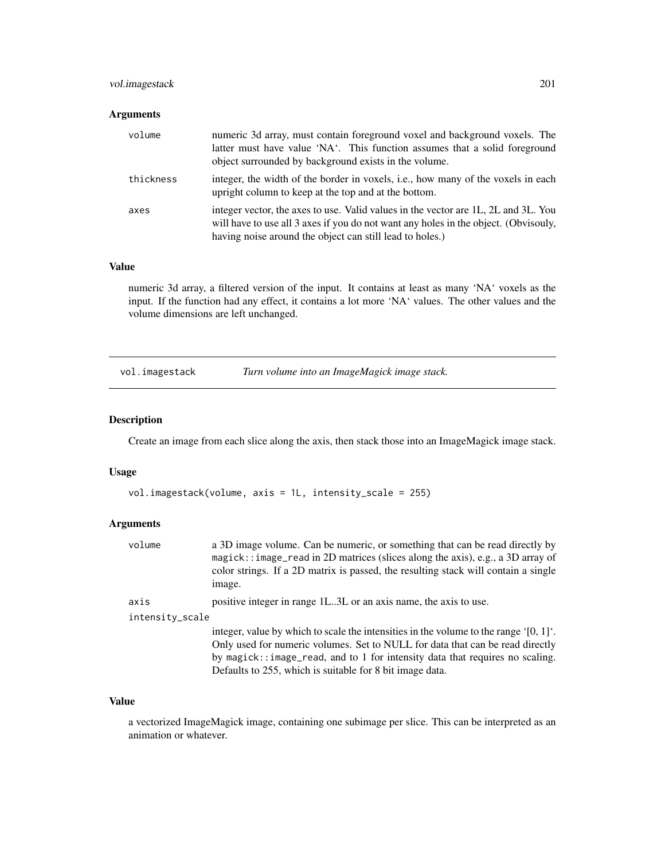## vol.imagestack 201

## Arguments

| volume    | numeric 3d array, must contain foreground voxel and background voxels. The<br>latter must have value 'NA'. This function assumes that a solid foreground<br>object surrounded by background exists in the volume.                     |
|-----------|---------------------------------------------------------------------------------------------------------------------------------------------------------------------------------------------------------------------------------------|
| thickness | integer, the width of the border in voxels, i.e., how many of the voxels in each<br>upright column to keep at the top and at the bottom.                                                                                              |
| axes      | integer vector, the axes to use. Valid values in the vector are 1L, 2L and 3L. You<br>will have to use all 3 axes if you do not want any holes in the object. (Obvisouly,<br>having noise around the object can still lead to holes.) |

#### Value

numeric 3d array, a filtered version of the input. It contains at least as many 'NA' voxels as the input. If the function had any effect, it contains a lot more 'NA' values. The other values and the volume dimensions are left unchanged.

<span id="page-200-0"></span>vol.imagestack *Turn volume into an ImageMagick image stack.*

## Description

Create an image from each slice along the axis, then stack those into an ImageMagick image stack.

#### Usage

```
vol.imagestack(volume, axis = 1L, intensity_scale = 255)
```
## Arguments

| volume          | a 3D image volume. Can be numeric, or something that can be read directly by           |
|-----------------|----------------------------------------------------------------------------------------|
|                 | magick:: image_read in 2D matrices (slices along the axis), e.g., a 3D array of        |
|                 | color strings. If a 2D matrix is passed, the resulting stack will contain a single     |
|                 | image.                                                                                 |
| axis            | positive integer in range 1L3L or an axis name, the axis to use.                       |
| intensity_scale |                                                                                        |
|                 | integer, value by which to scale the intensities in the volume to the range $[0, 1]$ . |
|                 | Only used for numeric volumes. Set to NULL for data that can be read directly          |
|                 | by magick::image_read, and to 1 for intensity data that requires no scaling.           |
|                 | Defaults to 255, which is suitable for 8 bit image data.                               |
|                 |                                                                                        |

#### Value

a vectorized ImageMagick image, containing one subimage per slice. This can be interpreted as an animation or whatever.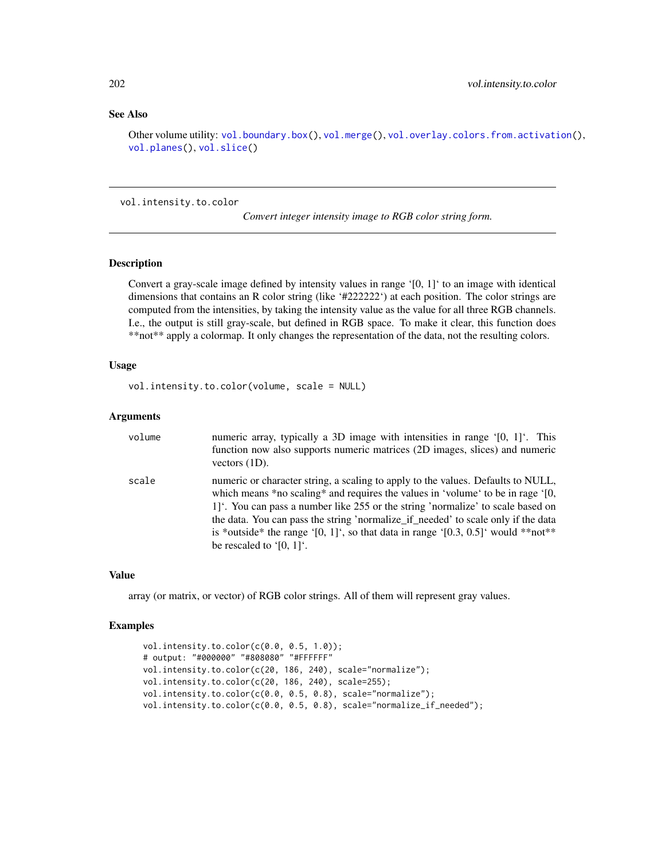## See Also

Other volume utility: [vol.boundary.box\(](#page-198-0)), [vol.merge\(](#page-202-0)), [vol.overlay.colors.from.activation\(](#page-203-0)), [vol.planes\(](#page-205-0)), [vol.slice\(](#page-205-1))

vol.intensity.to.color

*Convert integer intensity image to RGB color string form.*

## Description

Convert a gray-scale image defined by intensity values in range  $[0, 1]$  to an image with identical dimensions that contains an R color string (like '#222222') at each position. The color strings are computed from the intensities, by taking the intensity value as the value for all three RGB channels. I.e., the output is still gray-scale, but defined in RGB space. To make it clear, this function does \*\*not\*\* apply a colormap. It only changes the representation of the data, not the resulting colors.

#### Usage

```
vol.intensity.to.color(volume, scale = NULL)
```
## Arguments

| volume | numeric array, typically a 3D image with intensities in range '[0, 1]'. This<br>function now also supports numeric matrices (2D images, slices) and numeric<br>vectors $(1D)$ .                                                                                                                                                                                                                                                                             |
|--------|-------------------------------------------------------------------------------------------------------------------------------------------------------------------------------------------------------------------------------------------------------------------------------------------------------------------------------------------------------------------------------------------------------------------------------------------------------------|
| scale  | numeric or character string, a scaling to apply to the values. Defaults to NULL,<br>which means *no scaling* and requires the values in 'volume' to be in rage '[0,<br>1. You can pass a number like 255 or the string 'normalize' to scale based on<br>the data. You can pass the string 'normalize_if_needed' to scale only if the data<br>is *outside* the range '[0, 1]', so that data in range '[0.3, 0.5]' would **not**<br>be rescaled to $[0, 1]$ . |

#### Value

array (or matrix, or vector) of RGB color strings. All of them will represent gray values.

## Examples

```
vol.intensity.to.color(c(0.0, 0.5, 1.0));
# output: "#000000" "#808080" "#FFFFFF"
vol.intensity.to.color(c(20, 186, 240), scale="normalize");
vol.intensity.to.color(c(20, 186, 240), scale=255);
vol.intensity.to.color(c(0.0, 0.5, 0.8), scale="normalize");
vol.intensity.to.color(c(0.0, 0.5, 0.8), scale="normalize_if_needed");
```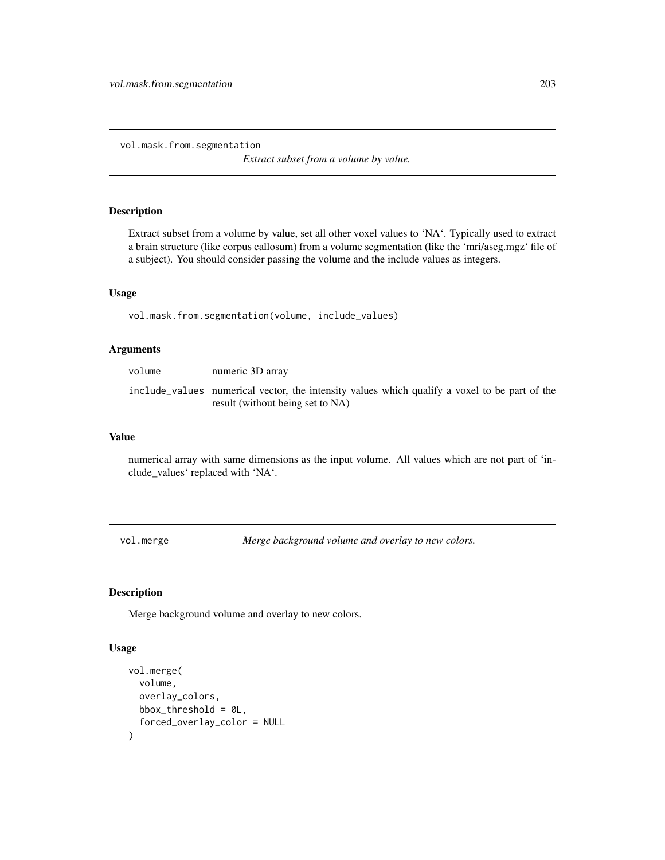vol.mask.from.segmentation

*Extract subset from a volume by value.*

## Description

Extract subset from a volume by value, set all other voxel values to 'NA'. Typically used to extract a brain structure (like corpus callosum) from a volume segmentation (like the 'mri/aseg.mgz' file of a subject). You should consider passing the volume and the include values as integers.

## Usage

vol.mask.from.segmentation(volume, include\_values)

## Arguments

| volume | numeric 3D array                                                                                                                  |
|--------|-----------------------------------------------------------------------------------------------------------------------------------|
|        | include_values numerical vector, the intensity values which qualify a voxel to be part of the<br>result (without being set to NA) |

#### Value

numerical array with same dimensions as the input volume. All values which are not part of 'include\_values' replaced with 'NA'.

<span id="page-202-0"></span>vol.merge *Merge background volume and overlay to new colors.*

## Description

Merge background volume and overlay to new colors.

```
vol.merge(
  volume,
  overlay_colors,
  bbox_threshold = \thetaL,
  forced_overlay_color = NULL
\mathcal{E}
```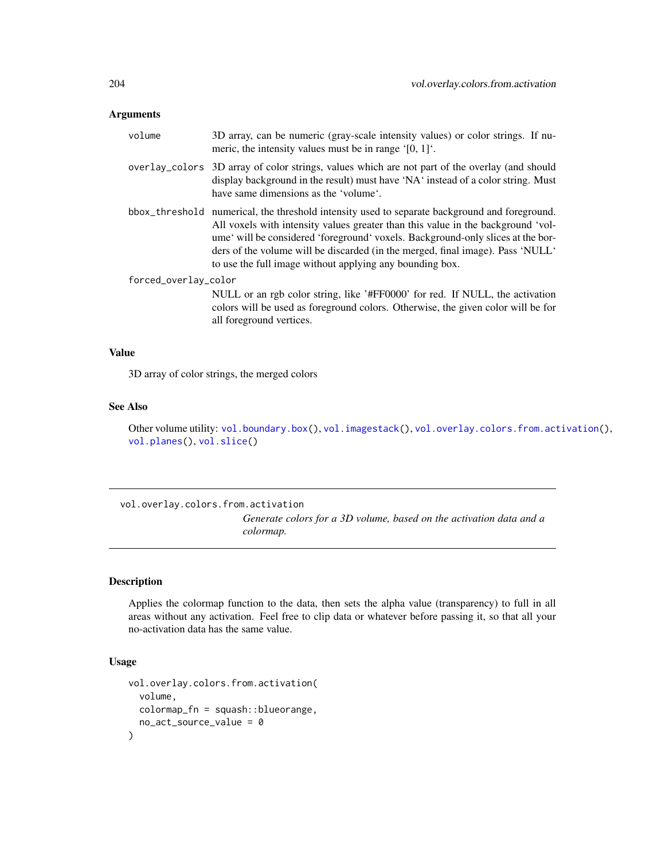## Arguments

| volume               | 3D array, can be numeric (gray-scale intensity values) or color strings. If nu-<br>meric, the intensity values must be in range $[0, 1]$ .                                                                                                                                                                                                                                                                        |  |
|----------------------|-------------------------------------------------------------------------------------------------------------------------------------------------------------------------------------------------------------------------------------------------------------------------------------------------------------------------------------------------------------------------------------------------------------------|--|
|                      | overlay_colors 3D array of color strings, values which are not part of the overlay (and should<br>display background in the result) must have 'NA' instead of a color string. Must<br>have same dimensions as the 'volume'.                                                                                                                                                                                       |  |
|                      | bbox_threshold numerical, the threshold intensity used to separate background and foreground.<br>All voxels with intensity values greater than this value in the background 'vol-<br>ume will be considered 'foreground' voxels. Background-only slices at the bor-<br>ders of the volume will be discarded (in the merged, final image). Pass 'NULL'<br>to use the full image without applying any bounding box. |  |
| forced_overlay_color |                                                                                                                                                                                                                                                                                                                                                                                                                   |  |
|                      | NULL or an rgb color string, like '#FF0000' for red. If NULL, the activation<br>colors will be used as foreground colors. Otherwise, the given color will be for<br>all foreground vertices.                                                                                                                                                                                                                      |  |

#### Value

3D array of color strings, the merged colors

## See Also

Other volume utility: [vol.boundary.box\(](#page-198-0)), [vol.imagestack\(](#page-200-0)), [vol.overlay.colors.from.activation\(](#page-203-0)), [vol.planes\(](#page-205-0)), [vol.slice\(](#page-205-1))

<span id="page-203-0"></span>vol.overlay.colors.from.activation *Generate colors for a 3D volume, based on the activation data and a colormap.*

## Description

Applies the colormap function to the data, then sets the alpha value (transparency) to full in all areas without any activation. Feel free to clip data or whatever before passing it, so that all your no-activation data has the same value.

```
vol.overlay.colors.from.activation(
  volume,
  colormap_fn = squash::blueorange,
  no_act_source_value = 0
\mathcal{E}
```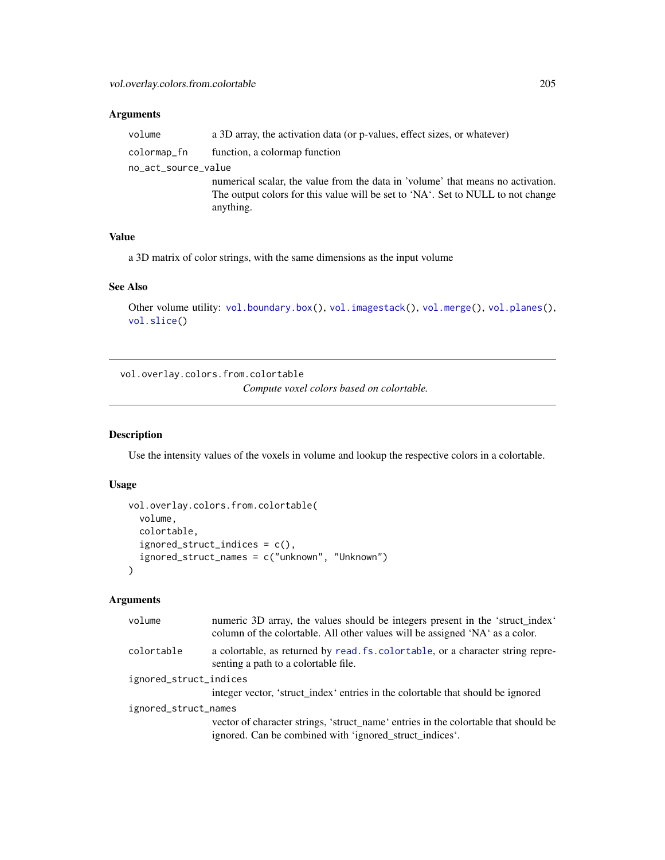## Arguments

| volume              | a 3D array, the activation data (or p-values, effect sizes, or whatever)        |
|---------------------|---------------------------------------------------------------------------------|
| colormap_fn         | function, a colormap function                                                   |
| no_act_source_value |                                                                                 |
|                     | numerical scalar, the value from the data in 'volume' that means no activation. |
|                     | The output colors for this value will be set to 'NA'. Set to NULL to not change |
|                     | anything.                                                                       |

## Value

a 3D matrix of color strings, with the same dimensions as the input volume

## See Also

```
vol.boundary.box(vol.imagestack(vol.merge(vol.planes(),
vol.slice()
```
vol.overlay.colors.from.colortable *Compute voxel colors based on colortable.*

## Description

Use the intensity values of the voxels in volume and lookup the respective colors in a colortable.

## Usage

```
vol.overlay.colors.from.colortable(
  volume,
  colortable,
  ignored_struct_indices = c(),
  ignored_struct_names = c("unknown", "Unknown")
\lambda
```

| volume                 | numeric 3D array, the values should be integers present in the 'struct_index'<br>column of the colortable. All other values will be assigned 'NA' as a color. |  |
|------------------------|---------------------------------------------------------------------------------------------------------------------------------------------------------------|--|
| colortable             | a colortable, as returned by read. fs. colortable, or a character string repre-<br>senting a path to a colortable file.                                       |  |
| ignored_struct_indices |                                                                                                                                                               |  |
|                        | integer vector, 'struct_index' entries in the colorable that should be ignored                                                                                |  |
| ignored_struct_names   |                                                                                                                                                               |  |
|                        | vector of character strings, 'struct_name' entries in the colortable that should be<br>ignored. Can be combined with 'ignored_struct_indices'.                |  |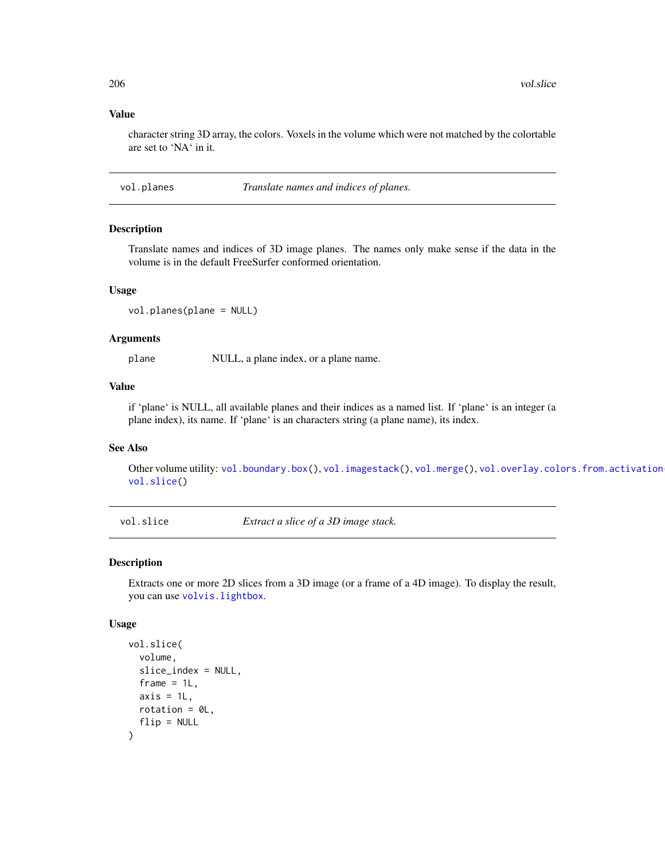#### Value

character string 3D array, the colors. Voxels in the volume which were not matched by the colortable are set to 'NA' in it.

<span id="page-205-0"></span>vol.planes *Translate names and indices of planes.*

#### Description

Translate names and indices of 3D image planes. The names only make sense if the data in the volume is in the default FreeSurfer conformed orientation.

#### Usage

```
vol.planes(plane = NULL)
```
#### Arguments

plane NULL, a plane index, or a plane name.

#### Value

if 'plane' is NULL, all available planes and their indices as a named list. If 'plane' is an integer (a plane index), its name. If 'plane' is an characters string (a plane name), its index.

## See Also

Other volume utility: [vol.boundary.box\(](#page-198-0)), [vol.imagestack\(](#page-200-0)), [vol.merge\(](#page-202-0)), vol.overlay.colors.from.activation [vol.slice\(](#page-205-1))

<span id="page-205-1"></span>vol.slice *Extract a slice of a 3D image stack.*

## Description

Extracts one or more 2D slices from a 3D image (or a frame of a 4D image). To display the result, you can use [volvis.lightbox](#page-210-0).

```
vol.slice(
  volume,
  slice_index = NULL,
  frame = 1L,
  axis = 1L,
  rotation = OL,
  flip = NULL)
```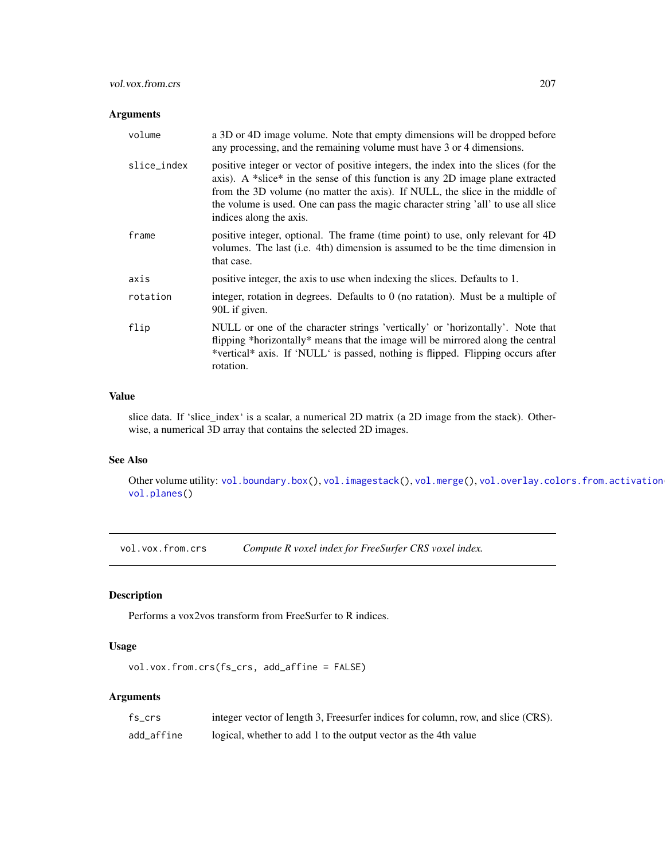## vol.vox.from.crs 207

## Arguments

| volume      | a 3D or 4D image volume. Note that empty dimensions will be dropped before<br>any processing, and the remaining volume must have 3 or 4 dimensions.                                                                                                                                                                                                                    |
|-------------|------------------------------------------------------------------------------------------------------------------------------------------------------------------------------------------------------------------------------------------------------------------------------------------------------------------------------------------------------------------------|
| slice_index | positive integer or vector of positive integers, the index into the slices (for the<br>axis). A *slice* in the sense of this function is any 2D image plane extracted<br>from the 3D volume (no matter the axis). If NULL, the slice in the middle of<br>the volume is used. One can pass the magic character string 'all' to use all slice<br>indices along the axis. |
| frame       | positive integer, optional. The frame (time point) to use, only relevant for 4D<br>volumes. The last (i.e. 4th) dimension is assumed to be the time dimension in<br>that case.                                                                                                                                                                                         |
| axis        | positive integer, the axis to use when indexing the slices. Defaults to 1.                                                                                                                                                                                                                                                                                             |
| rotation    | integer, rotation in degrees. Defaults to $0$ (no ratation). Must be a multiple of<br>90L if given.                                                                                                                                                                                                                                                                    |
| flip        | NULL or one of the character strings 'vertically' or 'horizontally'. Note that<br>flipping *horizontally* means that the image will be mirrored along the central<br>*vertical* axis. If 'NULL' is passed, nothing is flipped. Flipping occurs after<br>rotation.                                                                                                      |

## Value

slice data. If 'slice\_index' is a scalar, a numerical 2D matrix (a 2D image from the stack). Otherwise, a numerical 3D array that contains the selected 2D images.

# See Also

Other volume utility: [vol.boundary.box\(](#page-198-0)), [vol.imagestack\(](#page-200-0)), [vol.merge\(](#page-202-0)), vol.overlay.colors.from.activation [vol.planes\(](#page-205-0))

vol.vox.from.crs *Compute R voxel index for FreeSurfer CRS voxel index.*

## **Description**

Performs a vox2vos transform from FreeSurfer to R indices.

## Usage

```
vol.vox.from.crs(fs_crs, add_affine = FALSE)
```

| fs crs     | integer vector of length 3, Freesurfer indices for column, row, and slice (CRS). |
|------------|----------------------------------------------------------------------------------|
| add_affine | logical, whether to add 1 to the output vector as the 4th value                  |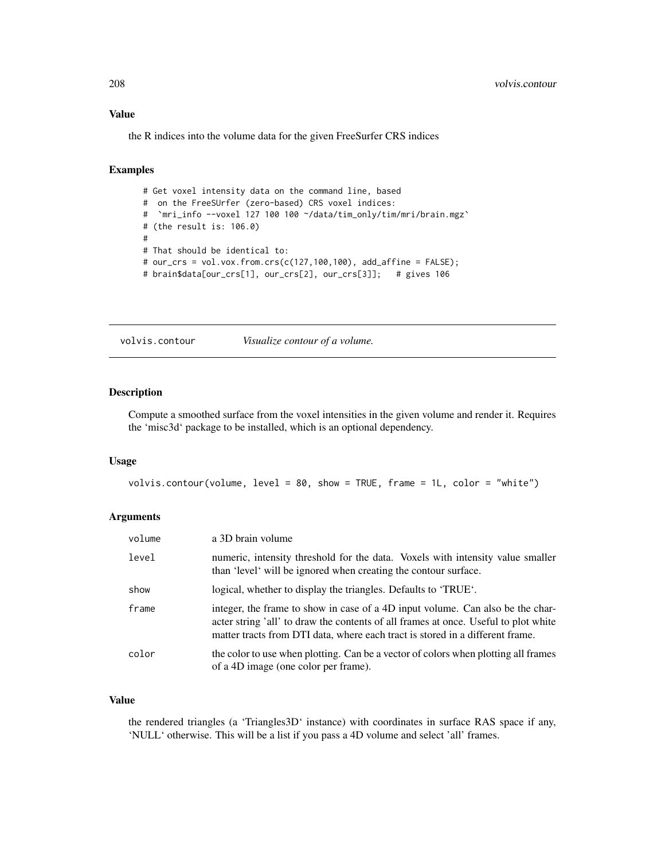the R indices into the volume data for the given FreeSurfer CRS indices

## Examples

```
# Get voxel intensity data on the command line, based
# on the FreeSUrfer (zero-based) CRS voxel indices:
# `mri_info --voxel 127 100 100 ~/data/tim_only/tim/mri/brain.mgz`
# (the result is: 106.0)
#
# That should be identical to:
# our_crs = vol.vox.from.crs(c(127,100,100), add_affine = FALSE);
# brain$data[our_crs[1], our_crs[2], our_crs[3]]; # gives 106
```
volvis.contour *Visualize contour of a volume.*

#### Description

Compute a smoothed surface from the voxel intensities in the given volume and render it. Requires the 'misc3d' package to be installed, which is an optional dependency.

#### Usage

```
volvis.contour(volume, level = 80, show = TRUE, frame = 1L, color = "white")
```
## Arguments

| volume | a 3D brain volume                                                                                                                                                                                                                                      |
|--------|--------------------------------------------------------------------------------------------------------------------------------------------------------------------------------------------------------------------------------------------------------|
| level  | numeric, intensity threshold for the data. Voxels with intensity value smaller<br>than 'level' will be ignored when creating the contour surface.                                                                                                      |
| show   | logical, whether to display the triangles. Defaults to 'TRUE'.                                                                                                                                                                                         |
| frame  | integer, the frame to show in case of a 4D input volume. Can also be the char-<br>acter string 'all' to draw the contents of all frames at once. Useful to plot white<br>matter tracts from DTI data, where each tract is stored in a different frame. |
| color  | the color to use when plotting. Can be a vector of colors when plotting all frames<br>of a 4D image (one color per frame).                                                                                                                             |

## Value

the rendered triangles (a 'Triangles3D' instance) with coordinates in surface RAS space if any, 'NULL' otherwise. This will be a list if you pass a 4D volume and select 'all' frames.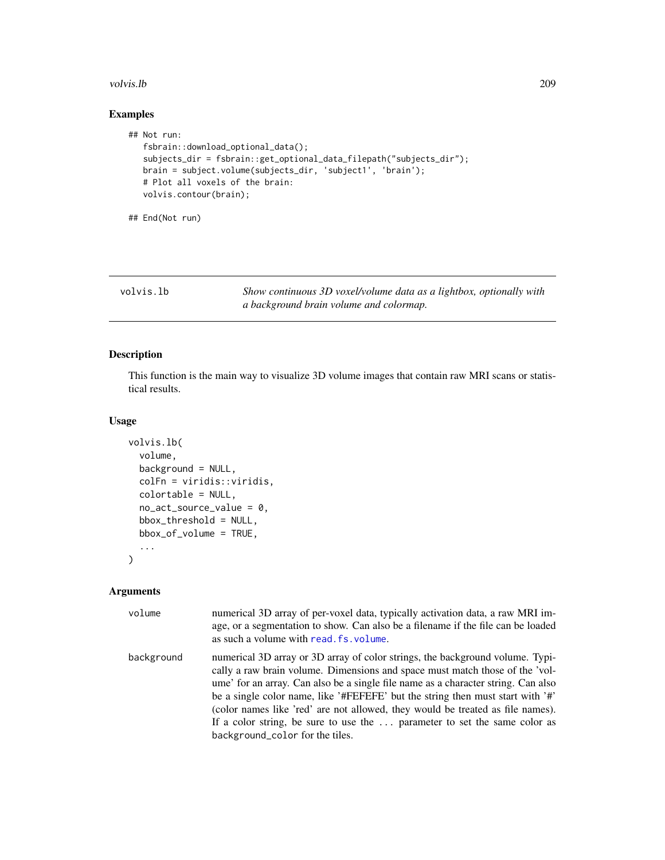#### volvis.lb 209

## Examples

```
## Not run:
  fsbrain::download_optional_data();
  subjects_dir = fsbrain::get_optional_data_filepath("subjects_dir");
  brain = subject.volume(subjects_dir, 'subject1', 'brain');
  # Plot all voxels of the brain:
  volvis.contour(brain);
```

```
## End(Not run)
```
<span id="page-208-0"></span>volvis.lb *Show continuous 3D voxel/volume data as a lightbox, optionally with a background brain volume and colormap.*

## Description

This function is the main way to visualize 3D volume images that contain raw MRI scans or statistical results.

## Usage

```
volvis.lb(
  volume,
 background = NULL,
  colFn = viridis::viridis,
  colortable = NULL,
  no_act_source_value = 0,
  bbox_threshold = NULL,
  bbox_of_volume = TRUE,
  ...
)
```

| volume     | numerical 3D array of per-voxel data, typically activation data, a raw MRI im-<br>age, or a segmentation to show. Can also be a filename if the file can be loaded<br>as such a volume with read. fs. volume.                                                                                                                                                                                                                                                                                                                          |
|------------|----------------------------------------------------------------------------------------------------------------------------------------------------------------------------------------------------------------------------------------------------------------------------------------------------------------------------------------------------------------------------------------------------------------------------------------------------------------------------------------------------------------------------------------|
| background | numerical 3D array or 3D array of color strings, the background volume. Typi-<br>cally a raw brain volume. Dimensions and space must match those of the 'vol-<br>ume' for an array. Can also be a single file name as a character string. Can also<br>be a single color name, like '#FEFEFE' but the string then must start with '#'<br>(color names like 'red' are not allowed, they would be treated as file names).<br>If a color string, be sure to use the  parameter to set the same color as<br>background_color for the tiles. |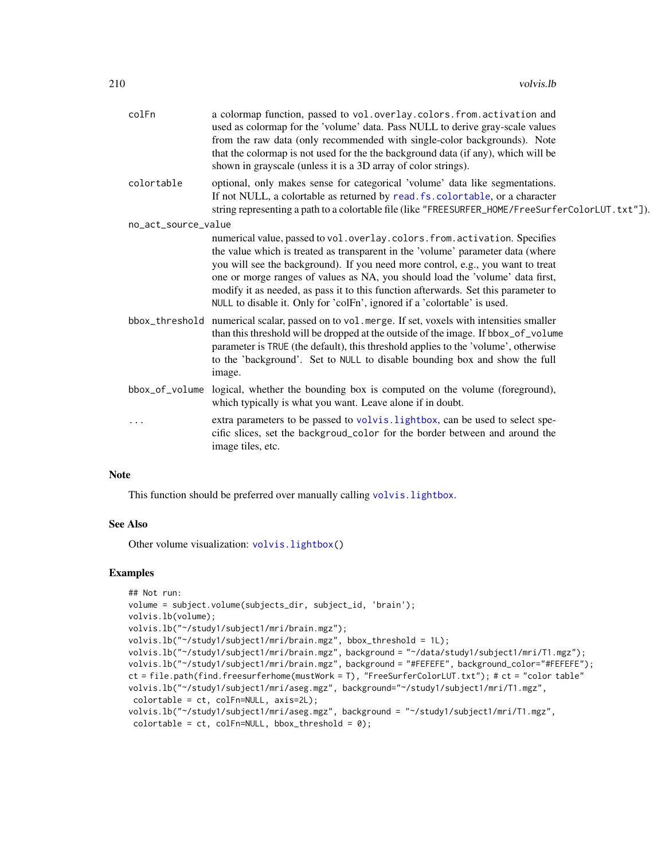| colFn               | a colormap function, passed to vol.overlay.colors.from.activation and<br>used as colormap for the 'volume' data. Pass NULL to derive gray-scale values<br>from the raw data (only recommended with single-color backgrounds). Note<br>that the colormap is not used for the the background data (if any), which will be<br>shown in grayscale (unless it is a 3D array of color strings).                                                                                                             |
|---------------------|-------------------------------------------------------------------------------------------------------------------------------------------------------------------------------------------------------------------------------------------------------------------------------------------------------------------------------------------------------------------------------------------------------------------------------------------------------------------------------------------------------|
| colortable          | optional, only makes sense for categorical 'volume' data like segmentations.<br>If not NULL, a colortable as returned by read. fs. colortable, or a character<br>string representing a path to a colortable file (like "FREESURFER_HOME/FreeSurferColorLUT.txt"]).                                                                                                                                                                                                                                    |
| no_act_source_value |                                                                                                                                                                                                                                                                                                                                                                                                                                                                                                       |
|                     | numerical value, passed to vol. overlay. colors. from. activation. Specifies<br>the value which is treated as transparent in the 'volume' parameter data (where<br>you will see the background). If you need more control, e.g., you want to treat<br>one or morge ranges of values as NA, you should load the 'volume' data first,<br>modify it as needed, as pass it to this function afterwards. Set this parameter to<br>NULL to disable it. Only for 'colFn', ignored if a 'colortable' is used. |
|                     | bbox_threshold numerical scalar, passed on to vol.merge. If set, voxels with intensities smaller<br>than this threshold will be dropped at the outside of the image. If bbox_of_volume<br>parameter is TRUE (the default), this threshold applies to the 'volume', otherwise<br>to the 'background'. Set to NULL to disable bounding box and show the full<br>image.                                                                                                                                  |
| bbox_of_volume      | logical, whether the bounding box is computed on the volume (foreground),<br>which typically is what you want. Leave alone if in doubt.                                                                                                                                                                                                                                                                                                                                                               |
|                     | extra parameters to be passed to volvis. lightbox, can be used to select spe-<br>cific slices, set the backgroud_color for the border between and around the<br>image tiles, etc.                                                                                                                                                                                                                                                                                                                     |
|                     |                                                                                                                                                                                                                                                                                                                                                                                                                                                                                                       |

## Note

This function should be preferred over manually calling [volvis.lightbox](#page-210-0).

#### See Also

Other volume visualization: [volvis.lightbox\(](#page-210-0))

## Examples

```
## Not run:
volume = subject.volume(subjects_dir, subject_id, 'brain');
volvis.lb(volume);
volvis.lb("~/study1/subject1/mri/brain.mgz");
volvis.lb("~/study1/subject1/mri/brain.mgz", bbox_threshold = 1L);
volvis.lb("~/study1/subject1/mri/brain.mgz", background = "~/data/study1/subject1/mri/T1.mgz");
volvis.lb("~/study1/subject1/mri/brain.mgz", background = "#FEFEFE", background_color="#FEFEFE");
ct = file.path(find.freesurferhome(mustWork = T), "FreeSurferColorLUT.txt"); # ct = "color table"
volvis.lb("~/study1/subject1/mri/aseg.mgz", background="~/study1/subject1/mri/T1.mgz",
 colortable = ct, colFn=NULL, axis=2L);
volvis.lb("~/study1/subject1/mri/aseg.mgz", background = "~/study1/subject1/mri/T1.mgz",
 colortable = ct, colFn=NULL, bbox_threshold = 0);
```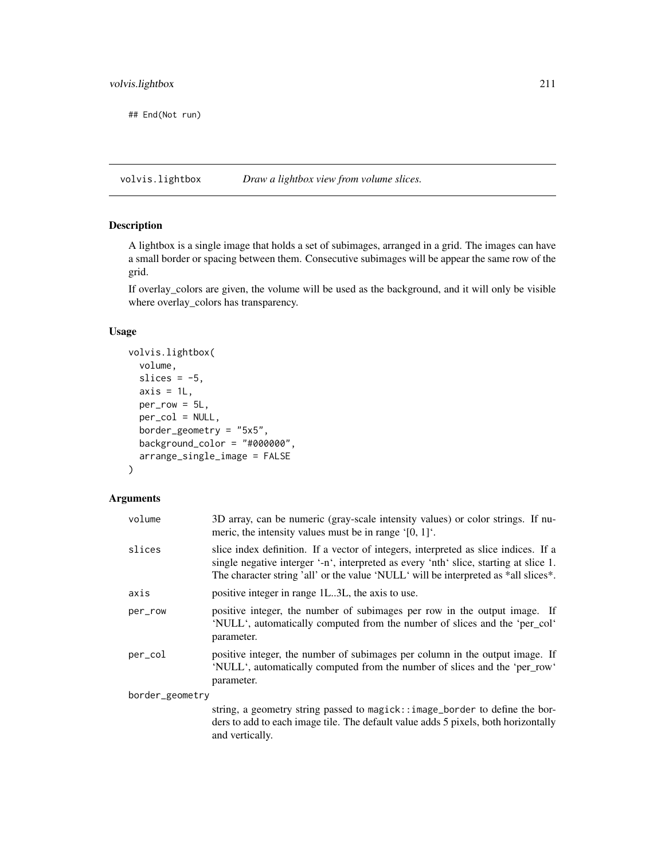## End(Not run)

<span id="page-210-0"></span>volvis.lightbox *Draw a lightbox view from volume slices.*

## Description

A lightbox is a single image that holds a set of subimages, arranged in a grid. The images can have a small border or spacing between them. Consecutive subimages will be appear the same row of the grid.

If overlay\_colors are given, the volume will be used as the background, and it will only be visible where overlay\_colors has transparency.

## Usage

```
volvis.lightbox(
  volume,
  slices = -5,
  axis = 1L,
 per_row = 5L,
 per_col = NULL,
  border_geometry = "5x5",
 background_color = "#000000",
  arrange_single_image = FALSE
)
```

| volume          | 3D array, can be numeric (gray-scale intensity values) or color strings. If nu-<br>meric, the intensity values must be in range $[0, 1]$ .                                                                                                                          |
|-----------------|---------------------------------------------------------------------------------------------------------------------------------------------------------------------------------------------------------------------------------------------------------------------|
| slices          | slice index definition. If a vector of integers, interpreted as slice indices. If a<br>single negative interger '-n', interpreted as every 'nth' slice, starting at slice 1.<br>The character string 'all' or the value 'NULL' will be interpreted as *all slices*. |
| axis            | positive integer in range 1L.3L, the axis to use.                                                                                                                                                                                                                   |
| per_row         | positive integer, the number of subimages per row in the output image. If<br>'NULL', automatically computed from the number of slices and the 'per_col'<br>parameter.                                                                                               |
| per_col         | positive integer, the number of subimages per column in the output image. If<br>'NULL', automatically computed from the number of slices and the 'per_row'<br>parameter.                                                                                            |
| border_geometry |                                                                                                                                                                                                                                                                     |
|                 | string, a geometry string passed to magick:: image_border to define the bor-<br>ders to add to each image tile. The default value adds 5 pixels, both horizontally<br>and vertically.                                                                               |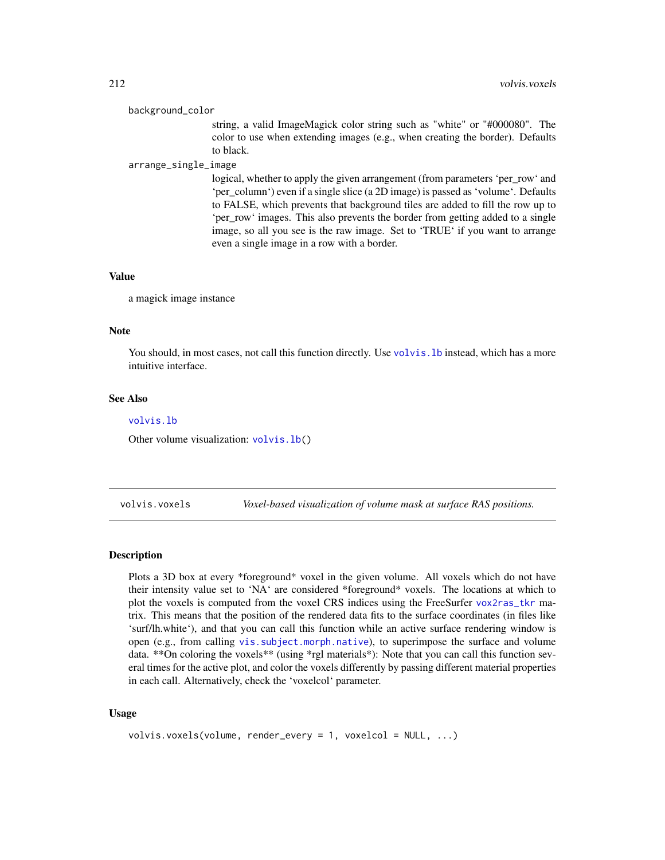#### background\_color

string, a valid ImageMagick color string such as "white" or "#000080". The color to use when extending images (e.g., when creating the border). Defaults to black.

#### arrange\_single\_image

logical, whether to apply the given arrangement (from parameters 'per\_row' and 'per\_column') even if a single slice (a 2D image) is passed as 'volume'. Defaults to FALSE, which prevents that background tiles are added to fill the row up to 'per\_row' images. This also prevents the border from getting added to a single image, so all you see is the raw image. Set to 'TRUE' if you want to arrange even a single image in a row with a border.

#### Value

a magick image instance

## Note

You should, in most cases, not call this function directly. Use volvis. 1b instead, which has a more intuitive interface.

### See Also

#### [volvis.lb](#page-208-0)

Other volume visualization: [volvis.lb\(](#page-208-0))

volvis.voxels *Voxel-based visualization of volume mask at surface RAS positions.*

## **Description**

Plots a 3D box at every \*foreground\* voxel in the given volume. All voxels which do not have their intensity value set to 'NA' are considered \*foreground\* voxels. The locations at which to plot the voxels is computed from the voxel CRS indices using the FreeSurfer [vox2ras\\_tkr](#page-212-0) matrix. This means that the position of the rendered data fits to the surface coordinates (in files like 'surf/lh.white'), and that you can call this function while an active surface rendering window is open (e.g., from calling [vis.subject.morph.native](#page-188-0)), to superimpose the surface and volume data. \*\*On coloring the voxels\*\* (using \*rgl materials\*): Note that you can call this function several times for the active plot, and color the voxels differently by passing different material properties in each call. Alternatively, check the 'voxelcol' parameter.

```
volvis.voxels(volume, render_every = 1, voxelcol = NULL, ...)
```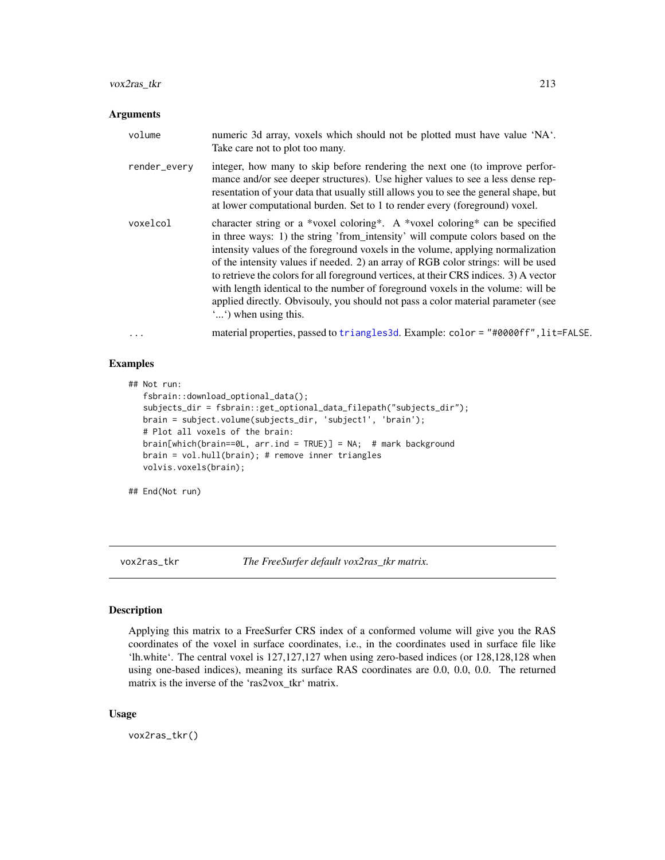## vox2ras\_tkr 213

#### Arguments

| volume       | numeric 3d array, voxels which should not be plotted must have value 'NA'.<br>Take care not to plot too many.                                                                                                                                                                                                                                                                                                                                                                                                                                                                                                                 |
|--------------|-------------------------------------------------------------------------------------------------------------------------------------------------------------------------------------------------------------------------------------------------------------------------------------------------------------------------------------------------------------------------------------------------------------------------------------------------------------------------------------------------------------------------------------------------------------------------------------------------------------------------------|
| render_every | integer, how many to skip before rendering the next one (to improve perfor-<br>mance and/or see deeper structures). Use higher values to see a less dense rep-<br>resentation of your data that usually still allows you to see the general shape, but<br>at lower computational burden. Set to 1 to render every (foreground) voxel.                                                                                                                                                                                                                                                                                         |
| voxelcol     | character string or a *voxel coloring*. A *voxel coloring* can be specified<br>in three ways: 1) the string 'from_intensity' will compute colors based on the<br>intensity values of the foreground voxels in the volume, applying normalization<br>of the intensity values if needed. 2) an array of RGB color strings: will be used<br>to retrieve the colors for all foreground vertices, at their CRS indices. 3) A vector<br>with length identical to the number of foreground voxels in the volume: will be<br>applied directly. Obvisouly, you should not pass a color material parameter (see<br>"") when using this. |
| $\cdots$     | material properties, passed to triangles3d. Example: color = "#0000ff", lit=FALSE.                                                                                                                                                                                                                                                                                                                                                                                                                                                                                                                                            |

## Examples

```
## Not run:
   fsbrain::download_optional_data();
   subjects_dir = fsbrain::get_optional_data_filepath("subjects_dir");
  brain = subject.volume(subjects_dir, 'subject1', 'brain');
  # Plot all voxels of the brain:
  brain[which(brain==0L, arr.ind = TRUE)] = NA; # mark background
  brain = vol.hull(brain); # remove inner triangles
  volvis.voxels(brain);
```
## End(Not run)

<span id="page-212-0"></span>vox2ras\_tkr *The FreeSurfer default vox2ras\_tkr matrix.*

## Description

Applying this matrix to a FreeSurfer CRS index of a conformed volume will give you the RAS coordinates of the voxel in surface coordinates, i.e., in the coordinates used in surface file like 'lh.white'. The central voxel is 127,127,127 when using zero-based indices (or 128,128,128 when using one-based indices), meaning its surface RAS coordinates are 0.0, 0.0, 0.0. The returned matrix is the inverse of the 'ras2vox\_tkr' matrix.

#### Usage

vox2ras\_tkr()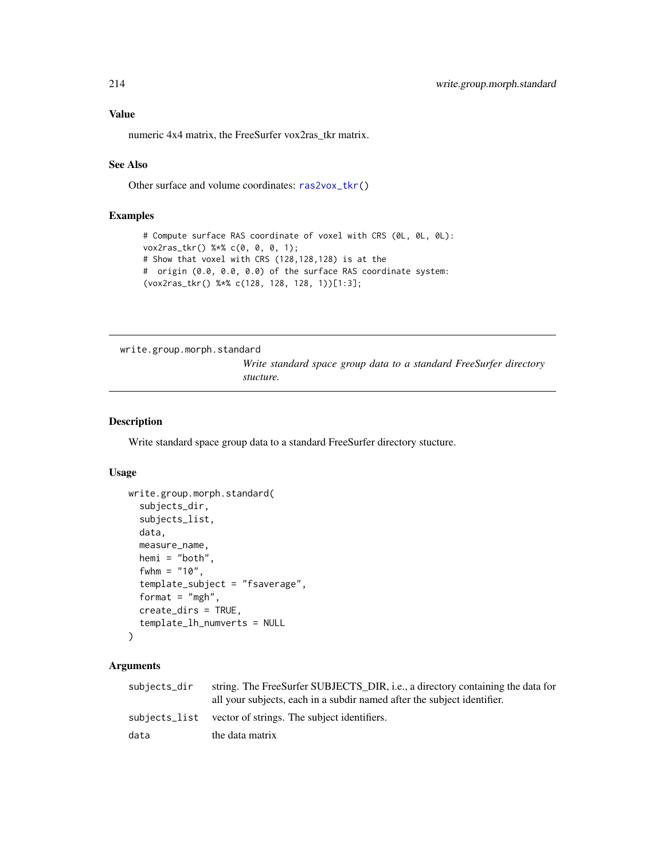numeric 4x4 matrix, the FreeSurfer vox2ras\_tkr matrix.

#### See Also

Other surface and volume coordinates: [ras2vox\\_tkr\(](#page-120-0))

## Examples

```
# Compute surface RAS coordinate of voxel with CRS (0L, 0L, 0L):
vox2ras_tkr() %*% c(0, 0, 0, 1);
# Show that voxel with CRS (128,128,128) is at the
# origin (0.0, 0.0, 0.0) of the surface RAS coordinate system:
(vox2ras_tkr() %*% c(128, 128, 128, 1))[1:3];
```
write.group.morph.standard

*Write standard space group data to a standard FreeSurfer directory stucture.*

#### Description

Write standard space group data to a standard FreeSurfer directory stucture.

#### Usage

```
write.group.morph.standard(
  subjects_dir,
  subjects_list,
  data,
 measure_name,
  hemi = "both",
  fwhm = "10",
  template_subject = "fsaverage",
  format = "mgh",
  create_dirs = TRUE,
  template_lh_numverts = NULL
\lambda
```

| subjects_dir | string. The FreeSurfer SUBJECTS_DIR, i.e., a directory containing the data for<br>all your subjects, each in a subdir named after the subject identifier. |
|--------------|-----------------------------------------------------------------------------------------------------------------------------------------------------------|
|              | subjects_list vector of strings. The subject identifiers.                                                                                                 |
| data         | the data matrix                                                                                                                                           |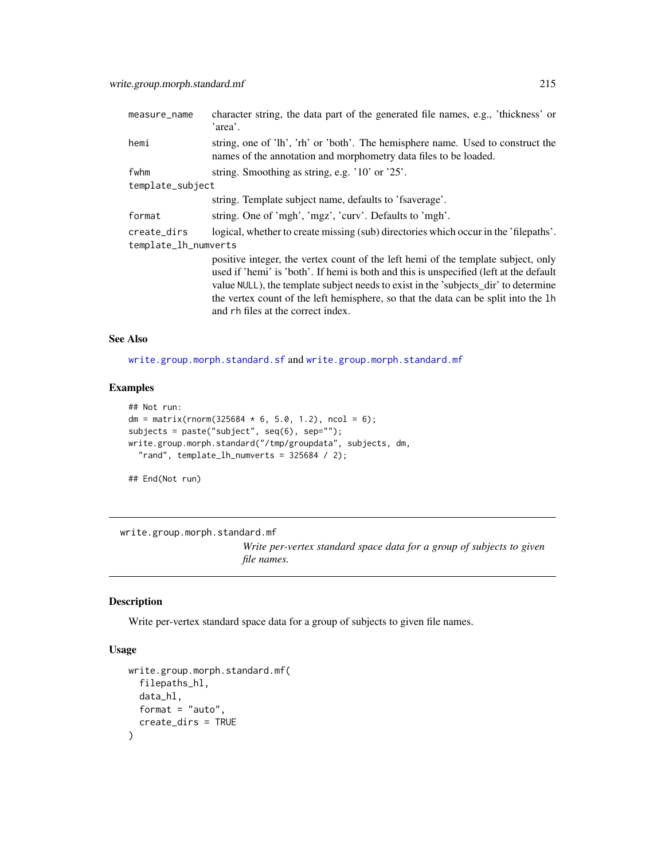| measure_name         | character string, the data part of the generated file names, e.g., 'thickness' or<br>'area'.                                                                                                                                                                                                                                                                                                   |
|----------------------|------------------------------------------------------------------------------------------------------------------------------------------------------------------------------------------------------------------------------------------------------------------------------------------------------------------------------------------------------------------------------------------------|
| hemi                 | string, one of 'lh', 'rh' or 'both'. The hemisphere name. Used to construct the<br>names of the annotation and morphometry data files to be loaded.                                                                                                                                                                                                                                            |
| fwhm                 | string. Smoothing as string, e.g. '10' or '25'.                                                                                                                                                                                                                                                                                                                                                |
| template_subject     |                                                                                                                                                                                                                                                                                                                                                                                                |
|                      | string. Template subject name, defaults to 'fsaverage'.                                                                                                                                                                                                                                                                                                                                        |
| format               | string. One of 'mgh', 'mgz', 'curv'. Defaults to 'mgh'.                                                                                                                                                                                                                                                                                                                                        |
| create_dirs          | logical, whether to create missing (sub) directories which occur in the 'filepaths'.                                                                                                                                                                                                                                                                                                           |
| template_lh_numverts |                                                                                                                                                                                                                                                                                                                                                                                                |
|                      | positive integer, the vertex count of the left hemi of the template subject, only<br>used if 'hemi' is 'both'. If hemi is both and this is unspecified (left at the default<br>value NULL), the template subject needs to exist in the 'subjects_dir' to determine<br>the vertex count of the left hemisphere, so that the data can be split into the 1h<br>and rh files at the correct index. |

#### See Also

[write.group.morph.standard.sf](#page-215-0) and [write.group.morph.standard.mf](#page-214-0)

## Examples

```
## Not run:
dm = matrix(rnorm(325684 * 6, 5.0, 1.2), ncol = 6);
subjects = paste("subject", seq(6), sep="");
write.group.morph.standard("/tmp/groupdata", subjects, dm,
  "rand", template_lh_numverts = 325684 / 2);
```
## End(Not run)

<span id="page-214-0"></span>write.group.morph.standard.mf

*Write per-vertex standard space data for a group of subjects to given file names.*

## Description

Write per-vertex standard space data for a group of subjects to given file names.

```
write.group.morph.standard.mf(
  filepaths_hl,
  data_hl,
  format = "auto",
  create_dirs = TRUE
\mathcal{E}
```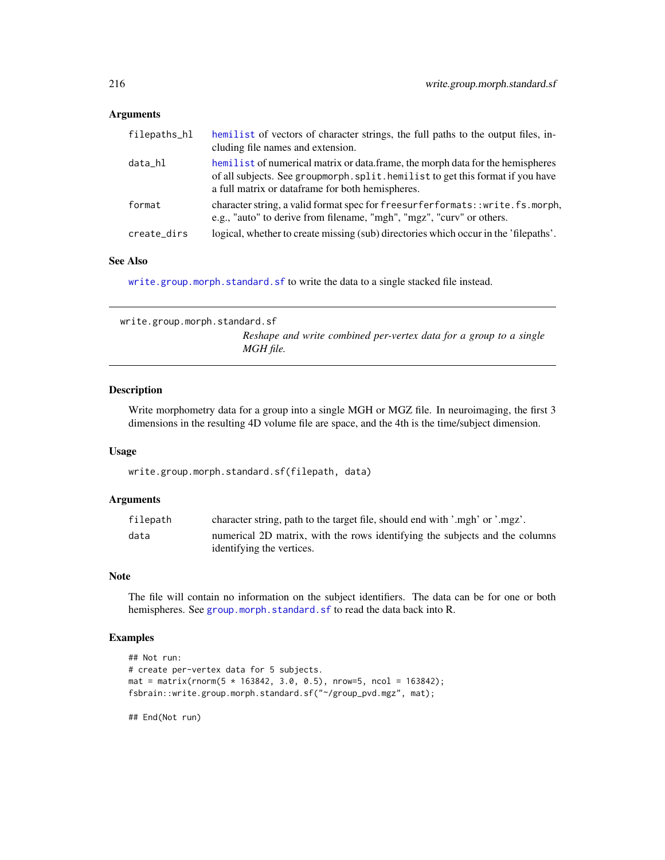## Arguments

| filepaths_hl | hemilist of vectors of character strings, the full paths to the output files, in-<br>cluding file names and extension.                                                                                                 |
|--------------|------------------------------------------------------------------------------------------------------------------------------------------------------------------------------------------------------------------------|
| data_hl      | hemilist of numerical matrix or data.frame, the morph data for the hemispheres<br>of all subjects. See group morph, split, hemilist to get this format if you have<br>a full matrix or dataframe for both hemispheres. |
| format       | character string, a valid format spec for freesurferformats: : write. fs. morph,<br>e.g., "auto" to derive from filename, "mgh", "mgz", "curv" or others.                                                              |
| create_dirs  | logical, whether to create missing (sub) directories which occur in the 'filepaths'.                                                                                                                                   |

#### See Also

[write.group.morph.standard.sf](#page-215-0) to write the data to a single stacked file instead.

<span id="page-215-0"></span>write.group.morph.standard.sf *Reshape and write combined per-vertex data for a group to a single MGH file.*

#### Description

Write morphometry data for a group into a single MGH or MGZ file. In neuroimaging, the first 3 dimensions in the resulting 4D volume file are space, and the 4th is the time/subject dimension.

#### Usage

write.group.morph.standard.sf(filepath, data)

#### Arguments

| filepath | character string, path to the target file, should end with '.mgh' or '.mgz'. |
|----------|------------------------------------------------------------------------------|
| data     | numerical 2D matrix, with the rows identifying the subjects and the columns  |
|          | identifying the vertices.                                                    |

#### Note

The file will contain no information on the subject identifiers. The data can be for one or both hemispheres. See [group.morph.standard.sf](#page-83-0) to read the data back into R.

## Examples

```
## Not run:
# create per-vertex data for 5 subjects.
mat = matrix(rnorm(5 * 163842, 3.0, 0.5), nrow=5, ncol = 163842);fsbrain::write.group.morph.standard.sf("~/group_pvd.mgz", mat);
```
## End(Not run)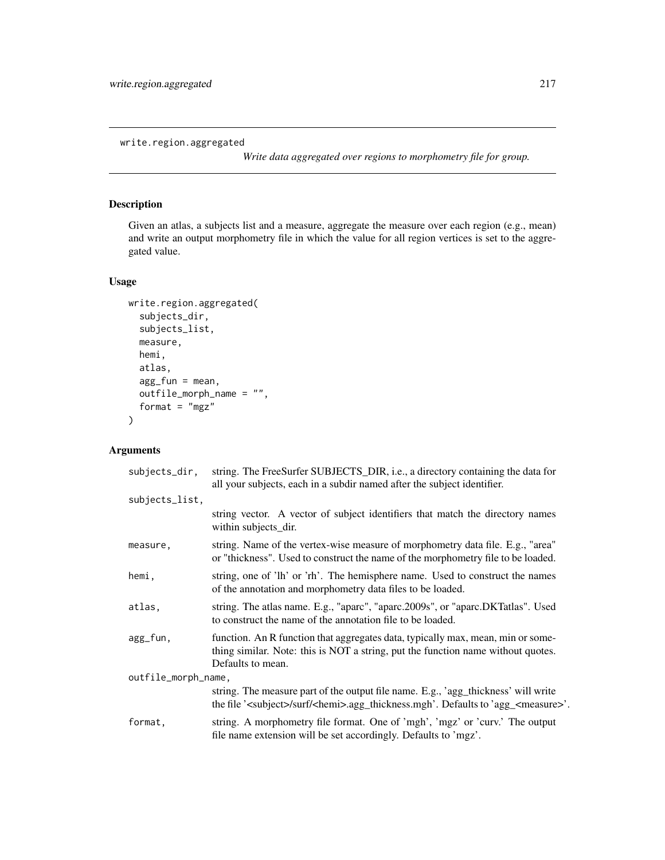<span id="page-216-1"></span><span id="page-216-0"></span>write.region.aggregated

*Write data aggregated over regions to morphometry file for group.*

# Description

Given an atlas, a subjects list and a measure, aggregate the measure over each region (e.g., mean) and write an output morphometry file in which the value for all region vertices is set to the aggregated value.

### Usage

```
write.region.aggregated(
  subjects_dir,
  subjects_list,
 measure,
 hemi,
 atlas,
  agg_fun = mean,outfile_morph_name = "",
  format = "mgz")
```
# Arguments

| subjects_dir,       | string. The FreeSurfer SUBJECTS_DIR, i.e., a directory containing the data for<br>all your subjects, each in a subdir named after the subject identifier.                                          |
|---------------------|----------------------------------------------------------------------------------------------------------------------------------------------------------------------------------------------------|
| subjects_list,      |                                                                                                                                                                                                    |
|                     | string vector. A vector of subject identifiers that match the directory names<br>within subjects_dir.                                                                                              |
| measure,            | string. Name of the vertex-wise measure of morphometry data file. E.g., "area"<br>or "thickness". Used to construct the name of the morphometry file to be loaded.                                 |
| hemi,               | string, one of 'lh' or 'rh'. The hemisphere name. Used to construct the names<br>of the annotation and morphometry data files to be loaded.                                                        |
| atlas,              | string. The atlas name. E.g., "aparc", "aparc.2009s", or "aparc.DKTatlas". Used<br>to construct the name of the annotation file to be loaded.                                                      |
| agg_fun,            | function. An R function that aggregates data, typically max, mean, min or some-<br>thing similar. Note: this is NOT a string, put the function name without quotes.<br>Defaults to mean.           |
| outfile_morph_name, |                                                                                                                                                                                                    |
|                     | string. The measure part of the output file name. E.g., 'agg_thickness' will write<br>the file ' <subject>/surf/<hemi>.agg_thickness.mgh'. Defaults to 'agg_<measure>'.</measure></hemi></subject> |
| format,             | string. A morphometry file format. One of 'mgh', 'mgz' or 'curv.' The output<br>file name extension will be set accordingly. Defaults to 'mgz'.                                                    |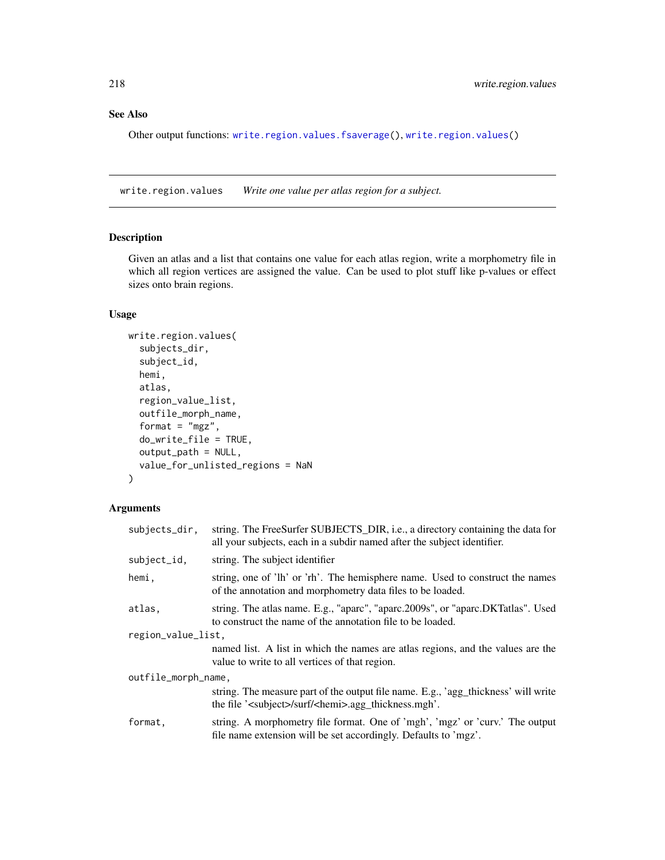# <span id="page-217-1"></span>See Also

Other output functions: [write.region.values.fsaverage\(](#page-218-0)), [write.region.values\(](#page-217-0))

<span id="page-217-0"></span>write.region.values *Write one value per atlas region for a subject.*

## Description

Given an atlas and a list that contains one value for each atlas region, write a morphometry file in which all region vertices are assigned the value. Can be used to plot stuff like p-values or effect sizes onto brain regions.

#### Usage

```
write.region.values(
  subjects_dir,
  subject_id,
 hemi,
  atlas,
  region_value_list,
  outfile_morph_name,
  format = "mgz",do_write_file = TRUE,
  output_path = NULL,
  value_for_unlisted_regions = NaN
)
```
## Arguments

| subjects_dir,       | string. The FreeSurfer SUBJECTS_DIR, i.e., a directory containing the data for<br>all your subjects, each in a subdir named after the subject identifier.   |  |
|---------------------|-------------------------------------------------------------------------------------------------------------------------------------------------------------|--|
| subject_id,         | string. The subject identifier                                                                                                                              |  |
| hemi,               | string, one of 'lh' or 'rh'. The hemisphere name. Used to construct the names<br>of the annotation and morphometry data files to be loaded.                 |  |
| atlas.              | string. The atlas name. E.g., "aparc", "aparc.2009s", or "aparc.DKTatlas". Used<br>to construct the name of the annotation file to be loaded.               |  |
| region_value_list,  |                                                                                                                                                             |  |
|                     | named list. A list in which the names are atlas regions, and the values are the<br>value to write to all vertices of that region.                           |  |
| outfile_morph_name, |                                                                                                                                                             |  |
|                     | string. The measure part of the output file name. E.g., 'agg_thickness' will write<br>the file ' <subject>/surf/<hemi>.agg_thickness.mgh'.</hemi></subject> |  |
| format,             | string. A morphometry file format. One of 'mgh', 'mgz' or 'curv.' The output<br>file name extension will be set accordingly. Defaults to 'mgz'.             |  |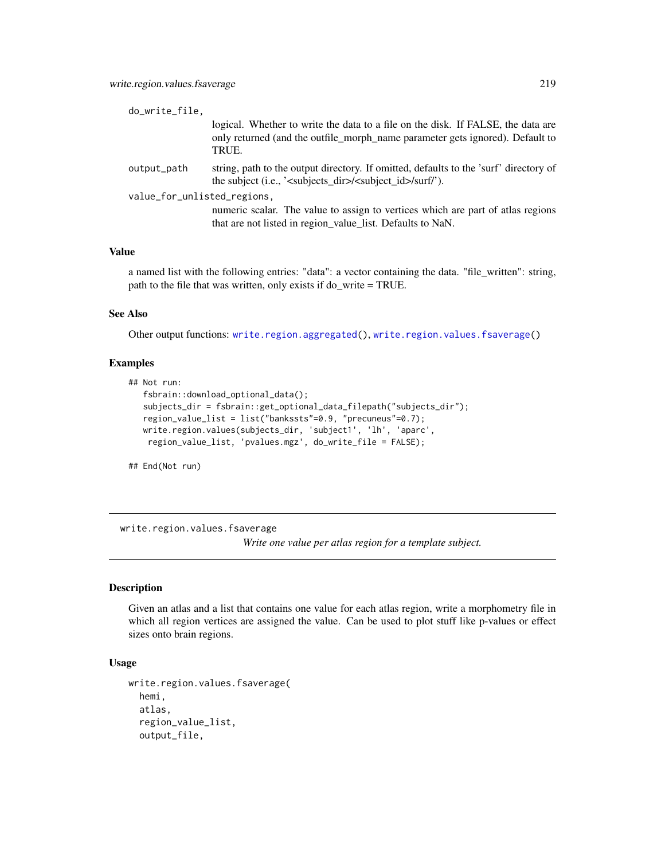<span id="page-218-1"></span>

| do_write_file,              |                                                                                                                                                                                         |  |
|-----------------------------|-----------------------------------------------------------------------------------------------------------------------------------------------------------------------------------------|--|
|                             | logical. Whether to write the data to a file on the disk. If FALSE, the data are<br>only returned (and the outfile_morph_name parameter gets ignored). Default to<br>TRUE.              |  |
| output_path                 | string, path to the output directory. If omitted, defaults to the 'surf' directory of<br>the subject (i.e., ' $\langle$ subjects dir $\rangle$ $\langle$ subject id $\rangle$ /surf/'). |  |
| value_for_unlisted_regions, |                                                                                                                                                                                         |  |
|                             | numeric scalar. The value to assign to vertices which are part of atlas regions<br>that are not listed in region value list. Defaults to NaN.                                           |  |

#### Value

a named list with the following entries: "data": a vector containing the data. "file\_written": string, path to the file that was written, only exists if do\_write = TRUE.

#### See Also

Other output functions: [write.region.aggregated\(](#page-216-0)), [write.region.values.fsaverage\(](#page-218-0))

#### Examples

```
## Not run:
  fsbrain::download_optional_data();
   subjects_dir = fsbrain::get_optional_data_filepath("subjects_dir");
  region_value_list = list("bankssts"=0.9, "precuneus"=0.7);
  write.region.values(subjects_dir, 'subject1', 'lh', 'aparc',
   region_value_list, 'pvalues.mgz', do_write_file = FALSE);
```
## End(Not run)

<span id="page-218-0"></span>write.region.values.fsaverage

*Write one value per atlas region for a template subject.*

#### Description

Given an atlas and a list that contains one value for each atlas region, write a morphometry file in which all region vertices are assigned the value. Can be used to plot stuff like p-values or effect sizes onto brain regions.

## Usage

```
write.region.values.fsaverage(
  hemi,
  atlas,
  region_value_list,
  output_file,
```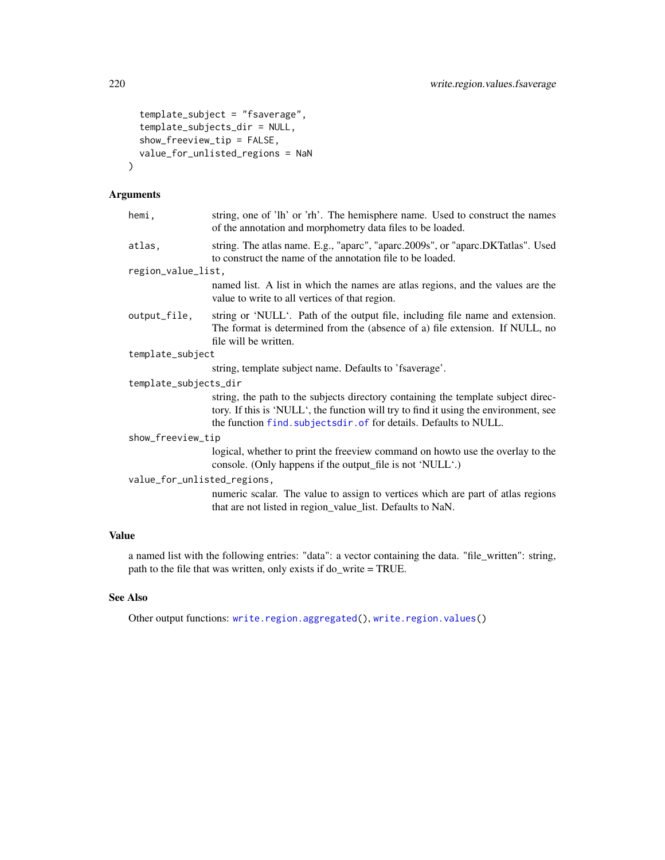```
template_subject = "fsaverage",
  template_subjects_dir = NULL,
  show_freeview_tip = FALSE,
 value_for_unlisted_regions = NaN
\mathcal{E}
```
## Arguments

| hemi,                 | string, one of 'lh' or 'rh'. The hemisphere name. Used to construct the names<br>of the annotation and morphometry data files to be loaded.                                                                                                    |  |
|-----------------------|------------------------------------------------------------------------------------------------------------------------------------------------------------------------------------------------------------------------------------------------|--|
| atlas,                | string. The atlas name. E.g., "aparc", "aparc.2009s", or "aparc.DKTatlas". Used<br>to construct the name of the annotation file to be loaded.                                                                                                  |  |
| region_value_list,    |                                                                                                                                                                                                                                                |  |
|                       | named list. A list in which the names are atlas regions, and the values are the<br>value to write to all vertices of that region.                                                                                                              |  |
| output_file,          | string or 'NULL'. Path of the output file, including file name and extension.<br>The format is determined from the (absence of a) file extension. If NULL, no<br>file will be written.                                                         |  |
| template_subject      |                                                                                                                                                                                                                                                |  |
|                       | string, template subject name. Defaults to 'fsaverage'.                                                                                                                                                                                        |  |
| template_subjects_dir |                                                                                                                                                                                                                                                |  |
|                       | string, the path to the subjects directory containing the template subject direc-<br>tory. If this is 'NULL', the function will try to find it using the environment, see<br>the function find. subjectsdir. of for details. Defaults to NULL. |  |
| show_freeview_tip     |                                                                                                                                                                                                                                                |  |
|                       | logical, whether to print the freeview command on howto use the overlay to the<br>console. (Only happens if the output_file is not 'NULL'.)                                                                                                    |  |
|                       | value_for_unlisted_regions,                                                                                                                                                                                                                    |  |
|                       | numeric scalar. The value to assign to vertices which are part of atlas regions<br>that are not listed in region_value_list. Defaults to NaN.                                                                                                  |  |
| <b>Value</b>          |                                                                                                                                                                                                                                                |  |

a named list with the following entries: "data": a vector containing the data. "file\_written": string, path to the file that was written, only exists if do\_write = TRUE.

# See Also

Other output functions: [write.region.aggregated\(](#page-216-0)), [write.region.values\(](#page-217-0))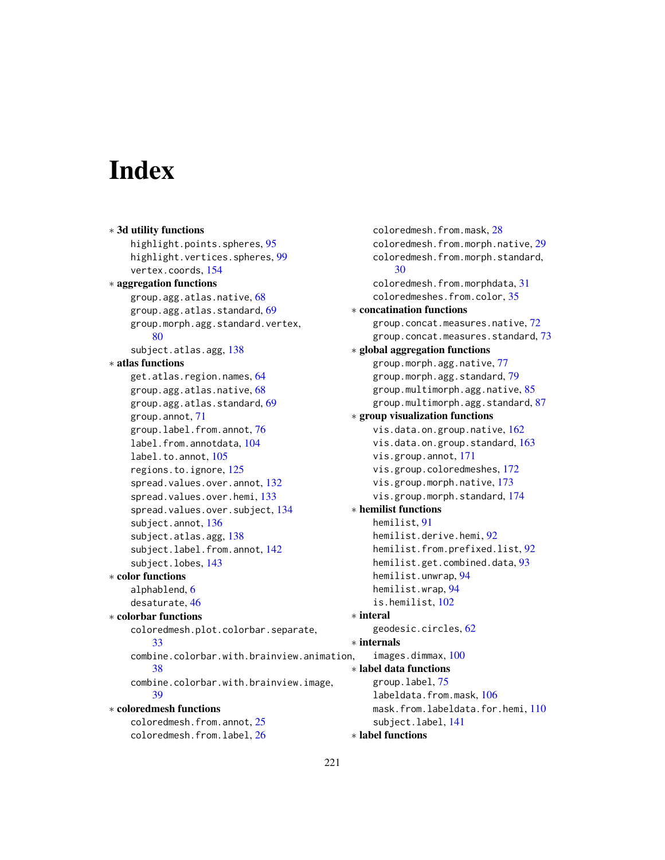# **Index**

```
∗ 3d utility functions
    highlight.points.spheres, 95
    highlight.vertices.spheres, 99
    vertex.coords, 154
∗ aggregation functions
    group.agg.atlas.native, 68
    group.agg.atlas.standard, 69
    group.morph.agg.standard.vertex,
        80
    subject.atlas.agg, 138
∗ atlas functions
    get.atlas.region.names, 64
    group.agg.atlas.native, 68
    group.agg.atlas.standard, 69
    group.annot, 71
    group.label.from.annot, 76
    label.from.annotdata, 104
    label.to.annot, 105
    regions.to.ignore, 125
    spread.values.over.annot, 132
    spread.values.over.hemi, 133
    spread.values.over.subject, 134
    subject.annot, 136
    subject.atlas.agg, 138
    subject.label.from.annot, 142
    subject.lobes, 143
∗ color functions
    alphablend, 6
    desaturate, 46
∗ colorbar functions
    coloredmesh.plot.colorbar.separate,
        33
    combine.colorbar.with.brainview.animation,
        38
    combine.colorbar.with.brainview.image,
        39
∗ coloredmesh functions
    coloredmesh.from.annot, 25
    coloredmesh.from.label, 26
```

```
coloredmesh.from.mask, 28
    coloredmesh.from.morph.native, 29
    coloredmesh.from.morph.standard,
        30
    coloredmesh.from.morphdata, 31
    coloredmeshes.from.color, 35
∗ concatination functions
    group.concat.measures.native, 72
    group.concat.measures.standard, 73
∗ global aggregation functions
    group.morph.agg.native, 77
    group.morph.agg.standard, 79
    group.multimorph.agg.native, 85
    87
∗ group visualization functions
    vis.data.on.group.native, 162
    vis.data.on.group.standard, 163
    vis.group.annot, 171
    vis.group.coloredmeshes, 172
    vis.group.morph.native, 173
    vis.group.morph.standard, 174
∗ hemilist functions
    hemilist, 91
    hemilist.derive.hemi, 92
    hemilist.from.prefixed.list, 92
    hemilist.get.combined.data, 93
    hemilist.unwrap, 94
    hemilist.wrap, 94
    is.hemilist, 102
∗ interal
    geodesic.circles, 62
∗ internals
    images.dimmax, 100
∗ label data functions
    group.label, 75
    labeldata.from.mask, 106
    mask.from.labeldata.for.hemi, 110
    subject.label, 141
∗ label functions
```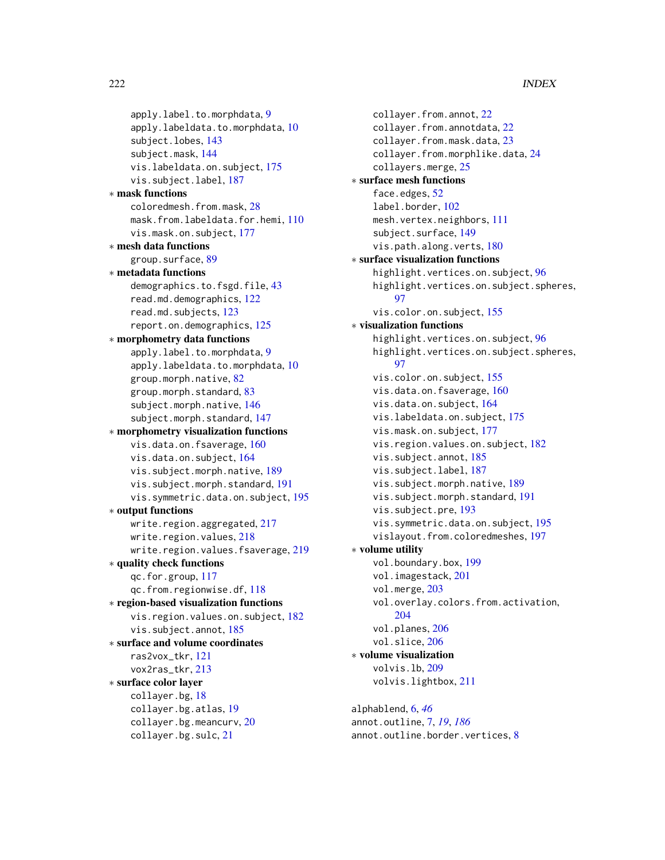222 INDEX

```
apply.label.to.morphdata, 9
    apply.labeldata.to.morphdata, 10
    subject.lobes, 143
    subject.mask, 144
    vis.labeldata.on.subject, 175
    vis.subject.label, 187
∗ mask functions
    coloredmesh.from.mask, 28
    mask.from.labeldata.for.hemi, 110
    vis.mask.on.subject, 177
∗ mesh data functions
    group.surface, 89
∗ metadata functions
    43
    read.md.demographics, 122
    read.md.subjects, 123
    report.on.demographics, 125
∗ morphometry data functions
    apply.label.to.morphdata, 9
    apply.labeldata.to.morphdata, 10
    group.morph.native, 82
    group.morph.standard, 83
    subject.morph.native, 146
    subject.morph.standard, 147
∗ morphometry visualization functions
    vis.data.on.fsaverage, 160
    vis.data.on.subject, 164
    vis.subject.morph.native, 189
    vis.subject.morph.standard, 191
    vis.symmetric.data.on.subject, 195
∗ output functions
    write.region.aggregated, 217
    write.region.values, 218
    write.region.values.fsaverage, 219
∗ quality check functions
    qc.for.group, 117
    qc.from.regionwise.df, 118
∗ region-based visualization functions
    vis.region.values.on.subject, 182
    vis.subject.annot, 185
∗ surface and volume coordinates
    ras2vox_tkr, 121
    vox2ras_tkr, 213
∗ surface color layer
    collayer.bg, 18
    collayer.bg.atlas, 19
    collayer.bg.meancurv, 20
    collayer.bg.sulc, 21
```
collayer.from.annot, [22](#page-21-0) collayer.from.annotdata, [22](#page-21-0) collayer.from.mask.data, [23](#page-22-0) collayer.from.morphlike.data, [24](#page-23-0) collayers.merge, [25](#page-24-0) ∗ surface mesh functions face.edges, [52](#page-51-0) label.border, [102](#page-101-0) mesh.vertex.neighbors, [111](#page-110-0) subject.surface, [149](#page-148-0) vis.path.along.verts, [180](#page-179-0) ∗ surface visualization functions highlight.vertices.on.subject, [96](#page-95-0) highlight.vertices.on.subject.spheres, [97](#page-96-0) vis.color.on.subject, [155](#page-154-0) ∗ visualization functions highlight.vertices.on.subject, [96](#page-95-0) highlight.vertices.on.subject.spheres, [97](#page-96-0) vis.color.on.subject, [155](#page-154-0) vis.data.on.fsaverage, [160](#page-159-0) vis.data.on.subject, [164](#page-163-0) vis.labeldata.on.subject, [175](#page-174-0) vis.mask.on.subject, [177](#page-176-0) vis.region.values.on.subject, [182](#page-181-0) vis.subject.annot, [185](#page-184-0) vis.subject.label, [187](#page-186-0) vis.subject.morph.native, [189](#page-188-0) vis.subject.morph.standard, [191](#page-190-0) vis.subject.pre, [193](#page-192-0) vis.symmetric.data.on.subject, [195](#page-194-0) vislayout.from.coloredmeshes, [197](#page-196-0) ∗ volume utility vol.boundary.box, [199](#page-198-0) vol.imagestack, [201](#page-200-0) vol.merge, [203](#page-202-0) vol.overlay.colors.from.activation, [204](#page-203-0) vol.planes, [206](#page-205-0) vol.slice, [206](#page-205-0) ∗ volume visualization volvis.lb, [209](#page-208-0) volvis.lightbox, [211](#page-210-0) alphablend, [6,](#page-5-0) *[46](#page-45-0)* annot.outline, [7,](#page-6-0) *[19](#page-18-0)*, *[186](#page-185-0)*

annot.outline.border.vertices, [8](#page-7-0)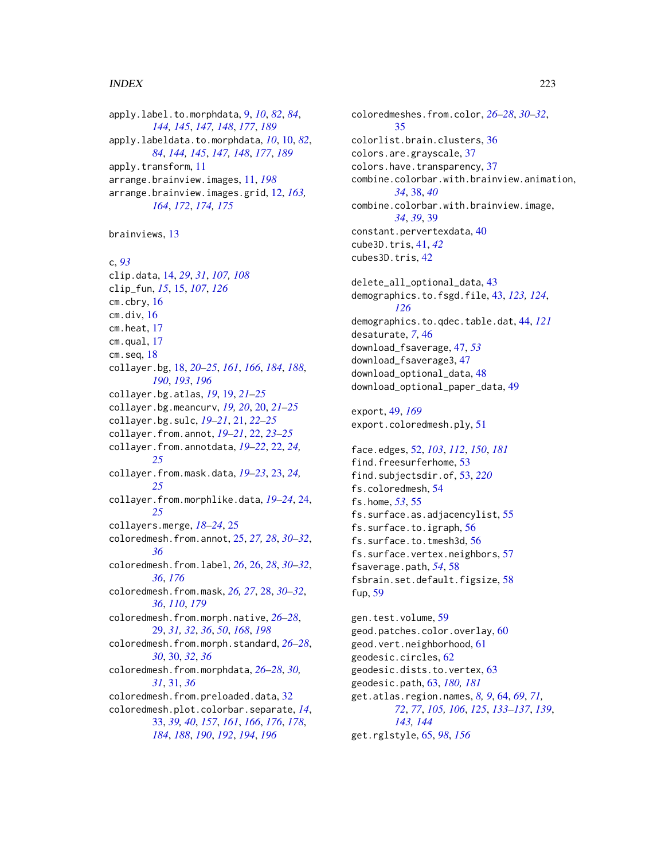#### $I$ NDEX 223

apply.label.to.morphdata, [9,](#page-8-0) *[10](#page-9-0)*, *[82](#page-81-0)*, *[84](#page-83-0)*, *[144,](#page-143-0) [145](#page-144-0)*, *[147,](#page-146-0) [148](#page-147-0)*, *[177](#page-176-0)*, *[189](#page-188-0)* apply.labeldata.to.morphdata, *[10](#page-9-0)*, [10,](#page-9-0) *[82](#page-81-0)*, *[84](#page-83-0)*, *[144,](#page-143-0) [145](#page-144-0)*, *[147,](#page-146-0) [148](#page-147-0)*, *[177](#page-176-0)*, *[189](#page-188-0)* apply.transform, [11](#page-10-0) arrange.brainview.images, [11,](#page-10-0) *[198](#page-197-0)* arrange.brainview.images.grid, [12,](#page-11-0) *[163,](#page-162-0) [164](#page-163-0)*, *[172](#page-171-0)*, *[174,](#page-173-0) [175](#page-174-0)*

brainviews, [13](#page-12-0)

c, *[93](#page-92-0)* clip.data, [14,](#page-13-0) *[29](#page-28-0)*, *[31](#page-30-0)*, *[107,](#page-106-0) [108](#page-107-0)* clip\_fun, *[15](#page-14-0)*, [15,](#page-14-0) *[107](#page-106-0)*, *[126](#page-125-0)* cm.cbry, [16](#page-15-0)  $cm.$ div,  $16$ cm.heat, [17](#page-16-0) cm.qual, [17](#page-16-0)  $cm.$ seq,  $18$ collayer.bg, [18,](#page-17-0) *[20](#page-19-0)[–25](#page-24-0)*, *[161](#page-160-0)*, *[166](#page-165-0)*, *[184](#page-183-0)*, *[188](#page-187-0)*, *[190](#page-189-0)*, *[193](#page-192-0)*, *[196](#page-195-0)* collayer.bg.atlas, *[19](#page-18-0)*, [19,](#page-18-0) *[21–](#page-20-0)[25](#page-24-0)* collayer.bg.meancurv, *[19,](#page-18-0) [20](#page-19-0)*, [20,](#page-19-0) *[21–](#page-20-0)[25](#page-24-0)* collayer.bg.sulc, *[19–](#page-18-0)[21](#page-20-0)*, [21,](#page-20-0) *[22–](#page-21-0)[25](#page-24-0)* collayer.from.annot, *[19–](#page-18-0)[21](#page-20-0)*, [22,](#page-21-0) *[23–](#page-22-0)[25](#page-24-0)* collayer.from.annotdata, *[19–](#page-18-0)[22](#page-21-0)*, [22,](#page-21-0) *[24,](#page-23-0) [25](#page-24-0)* collayer.from.mask.data, *[19–](#page-18-0)[23](#page-22-0)*, [23,](#page-22-0) *[24,](#page-23-0) [25](#page-24-0)* collayer.from.morphlike.data, *[19–](#page-18-0)[24](#page-23-0)*, [24,](#page-23-0) *[25](#page-24-0)* collayers.merge, *[18](#page-17-0)[–24](#page-23-0)*, [25](#page-24-0) coloredmesh.from.annot, [25,](#page-24-0) *[27,](#page-26-0) [28](#page-27-0)*, *[30–](#page-29-0)[32](#page-31-0)*, *[36](#page-35-0)* coloredmesh.from.label, *[26](#page-25-0)*, [26,](#page-25-0) *[28](#page-27-0)*, *[30–](#page-29-0)[32](#page-31-0)*, *[36](#page-35-0)*, *[176](#page-175-0)* coloredmesh.from.mask, *[26,](#page-25-0) [27](#page-26-0)*, [28,](#page-27-0) *[30–](#page-29-0)[32](#page-31-0)*, *[36](#page-35-0)*, *[110](#page-109-0)*, *[179](#page-178-0)* coloredmesh.from.morph.native, *[26–](#page-25-0)[28](#page-27-0)*, [29,](#page-28-0) *[31,](#page-30-0) [32](#page-31-0)*, *[36](#page-35-0)*, *[50](#page-49-0)*, *[168](#page-167-0)*, *[198](#page-197-0)* coloredmesh.from.morph.standard, *[26–](#page-25-0)[28](#page-27-0)*, *[30](#page-29-0)*, [30,](#page-29-0) *[32](#page-31-0)*, *[36](#page-35-0)* coloredmesh.from.morphdata, *[26–](#page-25-0)[28](#page-27-0)*, *[30,](#page-29-0) [31](#page-30-0)*, [31,](#page-30-0) *[36](#page-35-0)* coloredmesh.from.preloaded.data, [32](#page-31-0) coloredmesh.plot.colorbar.separate, *[14](#page-13-0)*, [33,](#page-32-0) *[39,](#page-38-0) [40](#page-39-0)*, *[157](#page-156-0)*, *[161](#page-160-0)*, *[166](#page-165-0)*, *[176](#page-175-0)*, *[178](#page-177-0)*, *[184](#page-183-0)*, *[188](#page-187-0)*, *[190](#page-189-0)*, *[192](#page-191-0)*, *[194](#page-193-0)*, *[196](#page-195-0)*

coloredmeshes.from.color, *[26](#page-25-0)[–28](#page-27-0)*, *[30](#page-29-0)[–32](#page-31-0)*, [35](#page-34-0) colorlist.brain.clusters, [36](#page-35-0) colors.are.grayscale, [37](#page-36-0) colors.have.transparency, [37](#page-36-0) combine.colorbar.with.brainview.animation, *[34](#page-33-0)*, [38,](#page-37-0) *[40](#page-39-0)* combine.colorbar.with.brainview.image, *[34](#page-33-0)*, *[39](#page-38-0)*, [39](#page-38-0) constant.pervertexdata, [40](#page-39-0) cube3D.tris, [41,](#page-40-0) *[42](#page-41-0)* cubes3D.tris, [42](#page-41-0) delete\_all\_optional\_data, [43](#page-42-0) demographics.to.fsgd.file, [43,](#page-42-0) *[123,](#page-122-0) [124](#page-123-0)*, *[126](#page-125-0)* demographics.to.qdec.table.dat, [44,](#page-43-0) *[121](#page-120-0)* desaturate, *[7](#page-6-0)*, [46](#page-45-0) download\_fsaverage, [47,](#page-46-0) *[53](#page-52-1)* download\_fsaverage3, [47](#page-46-0) download\_optional\_data, [48](#page-47-0) download\_optional\_paper\_data, [49](#page-48-0) export, [49,](#page-48-0) *[169](#page-168-0)* export.coloredmesh.ply, [51](#page-50-0) face.edges, [52,](#page-51-0) *[103](#page-102-0)*, *[112](#page-111-0)*, *[150](#page-149-0)*, *[181](#page-180-0)*

find.freesurferhome, [53](#page-52-1) find.subjectsdir.of, [53,](#page-52-1) *[220](#page-219-0)* fs.coloredmesh, [54](#page-53-0) fs.home, *[53](#page-52-1)*, [55](#page-54-0) fs.surface.as.adjacencylist, [55](#page-54-0) fs.surface.to.igraph, [56](#page-55-0) fs.surface.to.tmesh3d, [56](#page-55-0) fs.surface.vertex.neighbors, [57](#page-56-0) fsaverage.path, *[54](#page-53-0)*, [58](#page-57-0) fsbrain.set.default.figsize, [58](#page-57-0) fup, [59](#page-58-0)

gen.test.volume, [59](#page-58-0) geod.patches.color.overlay, [60](#page-59-0) geod.vert.neighborhood, [61](#page-60-0) geodesic.circles, [62](#page-61-0) geodesic.dists.to.vertex, [63](#page-62-0) geodesic.path, [63,](#page-62-0) *[180,](#page-179-0) [181](#page-180-0)* get.atlas.region.names, *[8,](#page-7-0) [9](#page-8-0)*, [64,](#page-63-0) *[69](#page-68-0)*, *[71,](#page-70-0) [72](#page-71-0)*, *[77](#page-76-0)*, *[105,](#page-104-0) [106](#page-105-0)*, *[125](#page-124-0)*, *[133](#page-132-0)[–137](#page-136-0)*, *[139](#page-138-0)*, *[143,](#page-142-0) [144](#page-143-0)* get.rglstyle, [65,](#page-64-0) *[98](#page-97-0)*, *[156](#page-155-0)*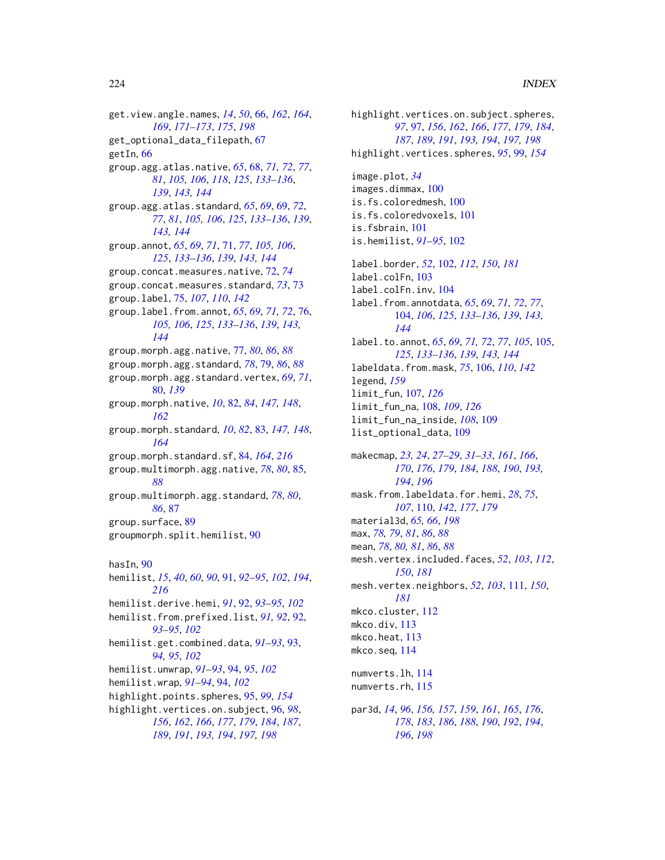get.view.angle.names, *[14](#page-13-0)*, *[50](#page-49-0)*, [66,](#page-65-0) *[162](#page-161-0)*, *[164](#page-163-0)*, *[169](#page-168-0)*, *[171](#page-170-0)[–173](#page-172-0)*, *[175](#page-174-0)*, *[198](#page-197-0)* get\_optional\_data\_filepath, [67](#page-66-0) getIn, [66](#page-65-0) group.agg.atlas.native, *[65](#page-64-0)*, [68,](#page-67-0) *[71,](#page-70-0) [72](#page-71-0)*, *[77](#page-76-0)*, *[81](#page-80-0)*, *[105,](#page-104-0) [106](#page-105-0)*, *[118](#page-117-0)*, *[125](#page-124-0)*, *[133–](#page-132-0)[136](#page-135-0)*, *[139](#page-138-0)*, *[143,](#page-142-0) [144](#page-143-0)* group.agg.atlas.standard, *[65](#page-64-0)*, *[69](#page-68-0)*, [69,](#page-68-0) *[72](#page-71-0)*, *[77](#page-76-0)*, *[81](#page-80-0)*, *[105,](#page-104-0) [106](#page-105-0)*, *[125](#page-124-0)*, *[133–](#page-132-0)[136](#page-135-0)*, *[139](#page-138-0)*, *[143,](#page-142-0) [144](#page-143-0)* group.annot, *[65](#page-64-0)*, *[69](#page-68-0)*, *[71](#page-70-0)*, [71,](#page-70-0) *[77](#page-76-0)*, *[105,](#page-104-0) [106](#page-105-0)*, *[125](#page-124-0)*, *[133](#page-132-0)[–136](#page-135-0)*, *[139](#page-138-0)*, *[143,](#page-142-0) [144](#page-143-0)* group.concat.measures.native, [72,](#page-71-0) *[74](#page-73-0)* group.concat.measures.standard, *[73](#page-72-0)*, [73](#page-72-0) group.label, [75,](#page-74-0) *[107](#page-106-0)*, *[110](#page-109-0)*, *[142](#page-141-0)* group.label.from.annot, *[65](#page-64-0)*, *[69](#page-68-0)*, *[71,](#page-70-0) [72](#page-71-0)*, [76,](#page-75-0) *[105,](#page-104-0) [106](#page-105-0)*, *[125](#page-124-0)*, *[133–](#page-132-0)[136](#page-135-0)*, *[139](#page-138-0)*, *[143,](#page-142-0) [144](#page-143-0)* group.morph.agg.native, [77,](#page-76-0) *[80](#page-79-0)*, *[86](#page-85-0)*, *[88](#page-87-0)* group.morph.agg.standard, *[78](#page-77-0)*, [79,](#page-78-0) *[86](#page-85-0)*, *[88](#page-87-0)* group.morph.agg.standard.vertex, *[69](#page-68-0)*, *[71](#page-70-0)*, [80,](#page-79-0) *[139](#page-138-0)* group.morph.native, *[10](#page-9-0)*, [82,](#page-81-0) *[84](#page-83-0)*, *[147,](#page-146-0) [148](#page-147-0)*, *[162](#page-161-0)* group.morph.standard, *[10](#page-9-0)*, *[82](#page-81-0)*, [83,](#page-82-0) *[147,](#page-146-0) [148](#page-147-0)*, *[164](#page-163-0)* group.morph.standard.sf, [84,](#page-83-0) *[164](#page-163-0)*, *[216](#page-215-0)* group.multimorph.agg.native, *[78](#page-77-0)*, *[80](#page-79-0)*, [85,](#page-84-0) *[88](#page-87-0)* group.multimorph.agg.standard, *[78](#page-77-0)*, *[80](#page-79-0)*, *[86](#page-85-0)*, [87](#page-86-0) group.surface, [89](#page-88-0) groupmorph.split.hemilist, [90](#page-89-0) hasIn, [90](#page-89-0) hemilist, *[15](#page-14-0)*, *[40](#page-39-0)*, *[60](#page-59-0)*, *[90](#page-89-0)*, [91,](#page-90-0) *[92–](#page-91-0)[95](#page-94-0)*, *[102](#page-101-0)*, *[194](#page-193-0)*, *[216](#page-215-0)* hemilist.derive.hemi, *[91](#page-90-0)*, [92,](#page-91-0) *[93–](#page-92-0)[95](#page-94-0)*, *[102](#page-101-0)* hemilist.from.prefixed.list, *[91,](#page-90-0) [92](#page-91-0)*, [92,](#page-91-0) *[93](#page-92-0)[–95](#page-94-0)*, *[102](#page-101-0)* hemilist.get.combined.data, *[91–](#page-90-0)[93](#page-92-0)*, [93,](#page-92-0) *[94,](#page-93-0) [95](#page-94-0)*, *[102](#page-101-0)* hemilist.unwrap, *[91](#page-90-0)[–93](#page-92-0)*, [94,](#page-93-0) *[95](#page-94-0)*, *[102](#page-101-0)* hemilist.wrap, *[91](#page-90-0)[–94](#page-93-0)*, [94,](#page-93-0) *[102](#page-101-0)* highlight.points.spheres, [95,](#page-94-0) *[99](#page-98-0)*, *[154](#page-153-0)* highlight.vertices.on.subject, [96,](#page-95-0) *[98](#page-97-0)*, *[156](#page-155-0)*, *[162](#page-161-0)*, *[166](#page-165-0)*, *[177](#page-176-0)*, *[179](#page-178-0)*, *[184](#page-183-0)*, *[187](#page-186-0)*,

*[189](#page-188-0)*, *[191](#page-190-0)*, *[193,](#page-192-0) [194](#page-193-0)*, *[197,](#page-196-0) [198](#page-197-0)*

highlight.vertices.on.subject.spheres, *[97](#page-96-0)*, [97,](#page-96-0) *[156](#page-155-0)*, *[162](#page-161-0)*, *[166](#page-165-0)*, *[177](#page-176-0)*, *[179](#page-178-0)*, *[184](#page-183-0)*, *[187](#page-186-0)*, *[189](#page-188-0)*, *[191](#page-190-0)*, *[193,](#page-192-0) [194](#page-193-0)*, *[197,](#page-196-0) [198](#page-197-0)* highlight.vertices.spheres, *[95](#page-94-0)*, [99,](#page-98-0) *[154](#page-153-0)* image.plot, *[34](#page-33-0)* images.dimmax, [100](#page-99-0) is.fs.coloredmesh, [100](#page-99-0) is.fs.coloredvoxels, [101](#page-100-0) is.fsbrain, [101](#page-100-0) is.hemilist, *[91](#page-90-0)[–95](#page-94-0)*, [102](#page-101-0) label.border, *[52](#page-51-0)*, [102,](#page-101-0) *[112](#page-111-0)*, *[150](#page-149-0)*, *[181](#page-180-0)* label.colFn, [103](#page-102-0) label.colFn.inv, [104](#page-103-0) label.from.annotdata, *[65](#page-64-0)*, *[69](#page-68-0)*, *[71,](#page-70-0) [72](#page-71-0)*, *[77](#page-76-0)*, [104,](#page-103-0) *[106](#page-105-0)*, *[125](#page-124-0)*, *[133](#page-132-0)[–136](#page-135-0)*, *[139](#page-138-0)*, *[143,](#page-142-0) [144](#page-143-0)* label.to.annot, *[65](#page-64-0)*, *[69](#page-68-0)*, *[71,](#page-70-0) [72](#page-71-0)*, *[77](#page-76-0)*, *[105](#page-104-0)*, [105,](#page-104-0) *[125](#page-124-0)*, *[133](#page-132-0)[–136](#page-135-0)*, *[139](#page-138-0)*, *[143,](#page-142-0) [144](#page-143-0)* labeldata.from.mask, *[75](#page-74-0)*, [106,](#page-105-0) *[110](#page-109-0)*, *[142](#page-141-0)* legend, *[159](#page-158-0)* limit\_fun, [107,](#page-106-0) *[126](#page-125-0)* limit\_fun\_na, [108,](#page-107-0) *[109](#page-108-0)*, *[126](#page-125-0)* limit\_fun\_na\_inside, *[108](#page-107-0)*, [109](#page-108-0) list\_optional\_data, [109](#page-108-0) makecmap, *[23,](#page-22-0) [24](#page-23-0)*, *[27](#page-26-0)[–29](#page-28-0)*, *[31](#page-30-0)[–33](#page-32-0)*, *[161](#page-160-0)*, *[166](#page-165-0)*, *[170](#page-169-0)*, *[176](#page-175-0)*, *[179](#page-178-0)*, *[184](#page-183-0)*, *[188](#page-187-0)*, *[190](#page-189-0)*, *[193,](#page-192-0) [194](#page-193-0)*, *[196](#page-195-0)* mask.from.labeldata.for.hemi, *[28](#page-27-0)*, *[75](#page-74-0)*, *[107](#page-106-0)*, [110,](#page-109-0) *[142](#page-141-0)*, *[177](#page-176-0)*, *[179](#page-178-0)* material3d, *[65,](#page-64-0) [66](#page-65-0)*, *[198](#page-197-0)* max, *[78,](#page-77-0) [79](#page-78-0)*, *[81](#page-80-0)*, *[86](#page-85-0)*, *[88](#page-87-0)* mean, *[78](#page-77-0)*, *[80,](#page-79-0) [81](#page-80-0)*, *[86](#page-85-0)*, *[88](#page-87-0)* mesh.vertex.included.faces, *[52](#page-51-0)*, *[103](#page-102-0)*, *[112](#page-111-0)*, *[150](#page-149-0)*, *[181](#page-180-0)* mesh.vertex.neighbors, *[52](#page-51-0)*, *[103](#page-102-0)*, [111,](#page-110-0) *[150](#page-149-0)*, *[181](#page-180-0)* mkco.cluster, [112](#page-111-0) mkco.div, [113](#page-112-0) mkco.heat, [113](#page-112-0) mkco.seq, [114](#page-113-0) numverts.lh, [114](#page-113-0) numverts.rh, [115](#page-114-0) par3d, *[14](#page-13-0)*, *[96](#page-95-0)*, *[156,](#page-155-0) [157](#page-156-0)*, *[159](#page-158-0)*, *[161](#page-160-0)*, *[165](#page-164-0)*, *[176](#page-175-0)*, *[178](#page-177-0)*, *[183](#page-182-0)*, *[186](#page-185-0)*, *[188](#page-187-0)*, *[190](#page-189-0)*, *[192](#page-191-0)*, *[194](#page-193-0)*,

*[196](#page-195-0)*, *[198](#page-197-0)*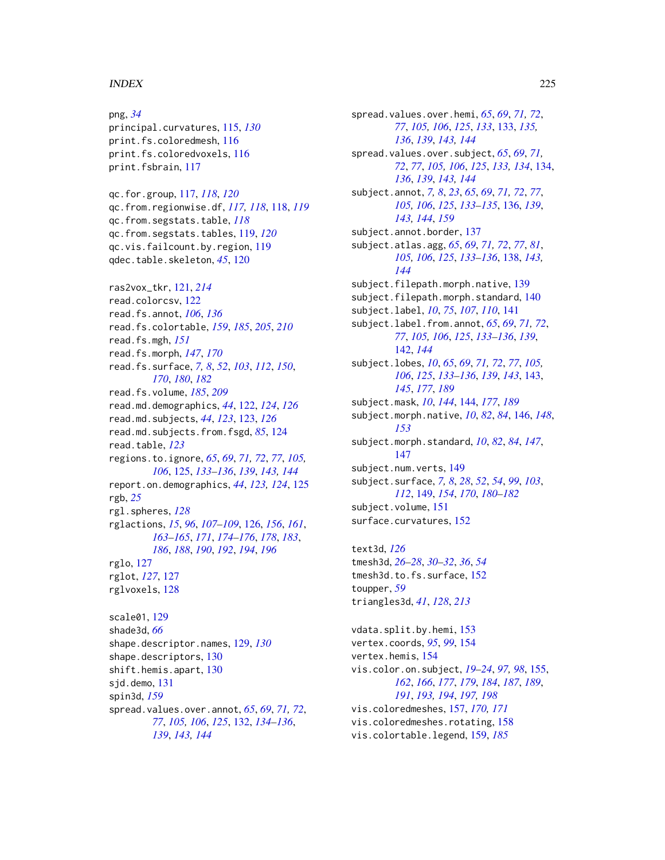#### INDEX 225

png, *[34](#page-33-0)* principal.curvatures, [115,](#page-114-0) *[130](#page-129-0)* print.fs.coloredmesh, [116](#page-115-0) print.fs.coloredvoxels, [116](#page-115-0) print.fsbrain, [117](#page-116-0) qc.for.group, [117,](#page-116-0) *[118](#page-117-0)*, *[120](#page-119-0)* qc.from.regionwise.df, *[117,](#page-116-0) [118](#page-117-0)*, [118,](#page-117-0) *[119](#page-118-0)* qc.from.segstats.table, *[118](#page-117-0)* qc.from.segstats.tables, [119,](#page-118-0) *[120](#page-119-0)* qc.vis.failcount.by.region, [119](#page-118-0) qdec.table.skeleton, *[45](#page-44-0)*, [120](#page-119-0) ras2vox\_tkr, [121,](#page-120-0) *[214](#page-213-0)* read.colorcsv, [122](#page-121-0) read.fs.annot, *[106](#page-105-0)*, *[136](#page-135-0)* read.fs.colortable, *[159](#page-158-0)*, *[185](#page-184-0)*, *[205](#page-204-0)*, *[210](#page-209-0)* read.fs.mgh, *[151](#page-150-0)* read.fs.morph, *[147](#page-146-0)*, *[170](#page-169-0)* read.fs.surface, *[7,](#page-6-0) [8](#page-7-0)*, *[52](#page-51-0)*, *[103](#page-102-0)*, *[112](#page-111-0)*, *[150](#page-149-0)*, *[170](#page-169-0)*, *[180](#page-179-0)*, *[182](#page-181-0)* read.fs.volume, *[185](#page-184-0)*, *[209](#page-208-0)* read.md.demographics, *[44](#page-43-0)*, [122,](#page-121-0) *[124](#page-123-0)*, *[126](#page-125-0)* read.md.subjects, *[44](#page-43-0)*, *[123](#page-122-0)*, [123,](#page-122-0) *[126](#page-125-0)* read.md.subjects.from.fsgd, *[85](#page-84-0)*, [124](#page-123-0) read.table, *[123](#page-122-0)* regions.to.ignore, *[65](#page-64-0)*, *[69](#page-68-0)*, *[71,](#page-70-0) [72](#page-71-0)*, *[77](#page-76-0)*, *[105,](#page-104-0) [106](#page-105-0)*, [125,](#page-124-0) *[133–](#page-132-0)[136](#page-135-0)*, *[139](#page-138-0)*, *[143,](#page-142-0) [144](#page-143-0)* report.on.demographics, *[44](#page-43-0)*, *[123,](#page-122-0) [124](#page-123-0)*, [125](#page-124-0) rgb, *[25](#page-24-0)* rgl.spheres, *[128](#page-127-0)* rglactions, *[15](#page-14-0)*, *[96](#page-95-0)*, *[107–](#page-106-0)[109](#page-108-0)*, [126,](#page-125-0) *[156](#page-155-0)*, *[161](#page-160-0)*, *[163](#page-162-0)[–165](#page-164-0)*, *[171](#page-170-0)*, *[174–](#page-173-0)[176](#page-175-0)*, *[178](#page-177-0)*, *[183](#page-182-0)*, *[186](#page-185-0)*, *[188](#page-187-0)*, *[190](#page-189-0)*, *[192](#page-191-0)*, *[194](#page-193-0)*, *[196](#page-195-0)* rglo, [127](#page-126-0) rglot, *[127](#page-126-0)*, [127](#page-126-0) rglvoxels, [128](#page-127-0) scale01, [129](#page-128-0) shade3d, *[66](#page-65-0)* shape.descriptor.names, [129,](#page-128-0) *[130](#page-129-0)* shape.descriptors, [130](#page-129-0) shift.hemis.apart, [130](#page-129-0) sjd.demo, [131](#page-130-0) spin3d, *[159](#page-158-0)* spread.values.over.annot, *[65](#page-64-0)*, *[69](#page-68-0)*, *[71,](#page-70-0) [72](#page-71-0)*, *[77](#page-76-0)*, *[105,](#page-104-0) [106](#page-105-0)*, *[125](#page-124-0)*, [132,](#page-131-0) *[134–](#page-133-0)[136](#page-135-0)*,

*[139](#page-138-0)*, *[143,](#page-142-0) [144](#page-143-0)*

spread.values.over.hemi, *[65](#page-64-0)*, *[69](#page-68-0)*, *[71,](#page-70-0) [72](#page-71-0)*, *[77](#page-76-0)*, *[105,](#page-104-0) [106](#page-105-0)*, *[125](#page-124-0)*, *[133](#page-132-0)*, [133,](#page-132-0) *[135,](#page-134-0) [136](#page-135-0)*, *[139](#page-138-0)*, *[143,](#page-142-0) [144](#page-143-0)* spread.values.over.subject, *[65](#page-64-0)*, *[69](#page-68-0)*, *[71,](#page-70-0) [72](#page-71-0)*, *[77](#page-76-0)*, *[105,](#page-104-0) [106](#page-105-0)*, *[125](#page-124-0)*, *[133,](#page-132-0) [134](#page-133-0)*, [134,](#page-133-0) *[136](#page-135-0)*, *[139](#page-138-0)*, *[143,](#page-142-0) [144](#page-143-0)* subject.annot, *[7,](#page-6-0) [8](#page-7-0)*, *[23](#page-22-0)*, *[65](#page-64-0)*, *[69](#page-68-0)*, *[71,](#page-70-0) [72](#page-71-0)*, *[77](#page-76-0)*, *[105,](#page-104-0) [106](#page-105-0)*, *[125](#page-124-0)*, *[133](#page-132-0)[–135](#page-134-0)*, [136,](#page-135-0) *[139](#page-138-0)*, *[143,](#page-142-0) [144](#page-143-0)*, *[159](#page-158-0)* subject.annot.border, [137](#page-136-0) subject.atlas.agg, *[65](#page-64-0)*, *[69](#page-68-0)*, *[71,](#page-70-0) [72](#page-71-0)*, *[77](#page-76-0)*, *[81](#page-80-0)*, *[105,](#page-104-0) [106](#page-105-0)*, *[125](#page-124-0)*, *[133](#page-132-0)[–136](#page-135-0)*, [138,](#page-137-0) *[143,](#page-142-0) [144](#page-143-0)* subject.filepath.morph.native, [139](#page-138-0) subject.filepath.morph.standard, [140](#page-139-0) subject.label, *[10](#page-9-0)*, *[75](#page-74-0)*, *[107](#page-106-0)*, *[110](#page-109-0)*, [141](#page-140-0) subject.label.from.annot, *[65](#page-64-0)*, *[69](#page-68-0)*, *[71,](#page-70-0) [72](#page-71-0)*, *[77](#page-76-0)*, *[105,](#page-104-0) [106](#page-105-0)*, *[125](#page-124-0)*, *[133](#page-132-0)[–136](#page-135-0)*, *[139](#page-138-0)*, [142,](#page-141-0) *[144](#page-143-0)* subject.lobes, *[10](#page-9-0)*, *[65](#page-64-0)*, *[69](#page-68-0)*, *[71,](#page-70-0) [72](#page-71-0)*, *[77](#page-76-0)*, *[105,](#page-104-0) [106](#page-105-0)*, *[125](#page-124-0)*, *[133](#page-132-0)[–136](#page-135-0)*, *[139](#page-138-0)*, *[143](#page-142-0)*, [143,](#page-142-0) *[145](#page-144-0)*, *[177](#page-176-0)*, *[189](#page-188-0)* subject.mask, *[10](#page-9-0)*, *[144](#page-143-0)*, [144,](#page-143-0) *[177](#page-176-0)*, *[189](#page-188-0)* subject.morph.native, *[10](#page-9-0)*, *[82](#page-81-0)*, *[84](#page-83-0)*, [146,](#page-145-0) *[148](#page-147-0)*, *[153](#page-152-0)* subject.morph.standard, *[10](#page-9-0)*, *[82](#page-81-0)*, *[84](#page-83-0)*, *[147](#page-146-0)*, [147](#page-146-0) subject.num.verts, [149](#page-148-0) subject.surface, *[7,](#page-6-0) [8](#page-7-0)*, *[28](#page-27-0)*, *[52](#page-51-0)*, *[54](#page-53-0)*, *[99](#page-98-0)*, *[103](#page-102-0)*, *[112](#page-111-0)*, [149,](#page-148-0) *[154](#page-153-0)*, *[170](#page-169-0)*, *[180](#page-179-0)[–182](#page-181-0)* subject.volume, [151](#page-150-0) surface.curvatures, [152](#page-151-0)

text3d, *[126](#page-125-0)* tmesh3d, *[26](#page-25-0)[–28](#page-27-0)*, *[30](#page-29-0)[–32](#page-31-0)*, *[36](#page-35-0)*, *[54](#page-53-0)* tmesh3d.to.fs.surface, [152](#page-151-0) toupper, *[59](#page-58-0)* triangles3d, *[41](#page-40-0)*, *[128](#page-127-0)*, *[213](#page-212-0)*

vdata.split.by.hemi, [153](#page-152-0) vertex.coords, *[95](#page-94-0)*, *[99](#page-98-0)*, [154](#page-153-0) vertex.hemis, [154](#page-153-0) vis.color.on.subject, *[19](#page-18-0)[–24](#page-23-0)*, *[97,](#page-96-0) [98](#page-97-0)*, [155,](#page-154-0) *[162](#page-161-0)*, *[166](#page-165-0)*, *[177](#page-176-0)*, *[179](#page-178-0)*, *[184](#page-183-0)*, *[187](#page-186-0)*, *[189](#page-188-0)*, *[191](#page-190-0)*, *[193,](#page-192-0) [194](#page-193-0)*, *[197,](#page-196-0) [198](#page-197-0)* vis.coloredmeshes, [157,](#page-156-0) *[170,](#page-169-0) [171](#page-170-0)* vis.coloredmeshes.rotating, [158](#page-157-0) vis.colortable.legend, [159,](#page-158-0) *[185](#page-184-0)*